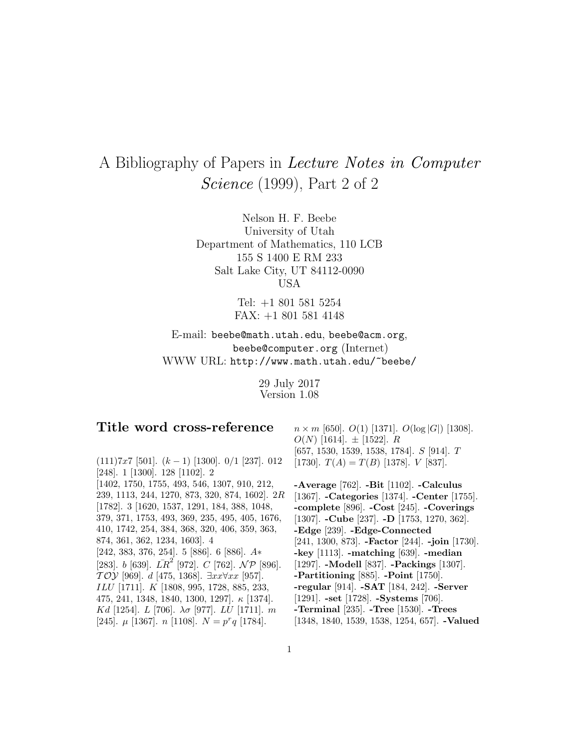## A Bibliography of Papers in Lecture Notes in Computer Science (1999), Part 2 of 2

Nelson H. F. Beebe University of Utah Department of Mathematics, 110 LCB 155 S 1400 E RM 233 Salt Lake City, UT 84112-0090 USA

> Tel: +1 801 581 5254 FAX: +1 801 581 4148

E-mail: beebe@math.utah.edu, beebe@acm.org, beebe@computer.org (Internet) WWW URL: http://www.math.utah.edu/~beebe/

> 29 July 2017 Version 1.08

## **Title word cross-reference**

 $(111)7x7$  [501].  $(k-1)$  [1300]. 0/1 [237]. 012 [248]. 1 [1300]. 128 [1102]. 2 [1402, 1750, 1755, 493, 546, 1307, 910, 212, 239, 1113, 244, 1270, 873, 320, 874, 1602]. 2R [1782]. 3 [1620, 1537, 1291, 184, 388, 1048, 379, 371, 1753, 493, 369, 235, 495, 405, 1676, 410, 1742, 254, 384, 368, 320, 406, 359, 363, 874, 361, 362, 1234, 1603]. 4 [242, 383, 376, 254]. 5 [886]. 6 [886]. A∗ [283]. b [639].  $\overline{LR}^2$  [972].  $C$  [762].  $\overline{NP}$  [896].  $TOY$  [969]. d [475, 1368]. ∃xx∀xx [957]. ILU [1711]. K [1808, 995, 1728, 885, 233, 475, 241, 1348, 1840, 1300, 1297]. κ [1374]. Kd [1254]. L [706].  $\lambda \sigma$  [977]. LU [1711]. m [245].  $\mu$  [1367].  $n$  [1108].  $N = p^r q$  [1784].

 $n \times m$  [650].  $O(1)$  [1371].  $O(\log |G|)$  [1308].  $O(N)$  [1614].  $\pm$  [1522]. R [657, 1530, 1539, 1538, 1784]. S [914]. T [1730].  $T(A) = T(B)$  [1378].  $V$  [837].

**-Average** [762]. **-Bit** [1102]. **-Calculus** [1367]. **-Categories** [1374]. **-Center** [1755]. **-complete** [896]. **-Cost** [245]. **-Coverings** [1307]. **-Cube** [237]. **-D** [1753, 1270, 362]. **-Edge** [239]. **-Edge-Connected** [241, 1300, 873]. **-Factor** [244]. **-join** [1730]. **-key** [1113]. **-matching** [639]. **-median** [1297]. **-Modell** [837]. **-Packings** [1307]. **-Partitioning** [885]. **-Point** [1750]. **-regular** [914]. **-SAT** [184, 242]. **-Server** [1291]. **-set** [1728]. **-Systems** [706]. **-Terminal** [235]. **-Tree** [1530]. **-Trees** [1348, 1840, 1539, 1538, 1254, 657]. **-Valued**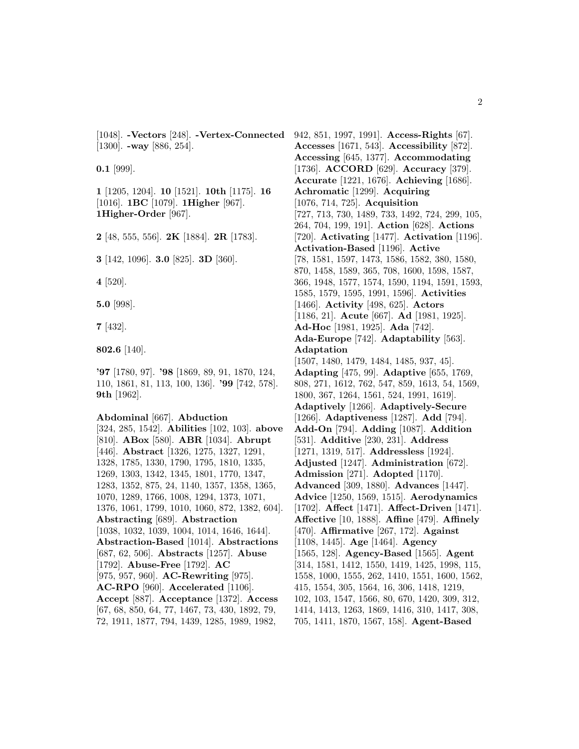[1048]. **-Vectors** [248]. **-Vertex-Connected** 942, 851, 1997, 1991]. **Access-Rights** [67]. [1300]. **-way** [886, 254].

**0.1** [999].

**1** [1205, 1204]. **10** [1521]. **10th** [1175]. **16** [1016]. **1BC** [1079]. **1Higher** [967]. **1Higher-Order** [967].

**2** [48, 555, 556]. **2K** [1884]. **2R** [1783].

**3** [142, 1096]. **3.0** [825]. **3D** [360].

**4** [520].

**5.0** [998].

**7** [432].

**802.6** [140].

**'97** [1780, 97]. **'98** [1869, 89, 91, 1870, 124, 110, 1861, 81, 113, 100, 136]. **'99** [742, 578]. **9th** [1962].

## **Abdominal** [667]. **Abduction**

[324, 285, 1542]. **Abilities** [102, 103]. **above** [810]. **ABox** [580]. **ABR** [1034]. **Abrupt** [446]. **Abstract** [1326, 1275, 1327, 1291, 1328, 1785, 1330, 1790, 1795, 1810, 1335, 1269, 1303, 1342, 1345, 1801, 1770, 1347, 1283, 1352, 875, 24, 1140, 1357, 1358, 1365, 1070, 1289, 1766, 1008, 1294, 1373, 1071, 1376, 1061, 1799, 1010, 1060, 872, 1382, 604]. **Abstracting** [689]. **Abstraction** [1038, 1032, 1039, 1004, 1014, 1646, 1644]. **Abstraction-Based** [1014]. **Abstractions** [687, 62, 506]. **Abstracts** [1257]. **Abuse** [1792]. **Abuse-Free** [1792]. **AC** [975, 957, 960]. **AC-Rewriting** [975]. **AC-RPO** [960]. **Accelerated** [1106]. **Accept** [887]. **Acceptance** [1372]. **Access** [67, 68, 850, 64, 77, 1467, 73, 430, 1892, 79, 72, 1911, 1877, 794, 1439, 1285, 1989, 1982,

**Accesses** [1671, 543]. **Accessibility** [872]. **Accessing** [645, 1377]. **Accommodating** [1736]. **ACCORD** [629]. **Accuracy** [379]. **Accurate** [1221, 1676]. **Achieving** [1686]. **Achromatic** [1299]. **Acquiring** [1076, 714, 725]. **Acquisition** [727, 713, 730, 1489, 733, 1492, 724, 299, 105, 264, 704, 199, 191]. **Action** [628]. **Actions** [720]. **Activating** [1477]. **Activation** [1196]. **Activation-Based** [1196]. **Active** [78, 1581, 1597, 1473, 1586, 1582, 380, 1580, 870, 1458, 1589, 365, 708, 1600, 1598, 1587, 366, 1948, 1577, 1574, 1590, 1194, 1591, 1593, 1585, 1579, 1595, 1991, 1596]. **Activities** [1466]. **Activity** [498, 625]. **Actors** [1186, 21]. **Acute** [667]. **Ad** [1981, 1925]. **Ad-Hoc** [1981, 1925]. **Ada** [742]. **Ada-Europe** [742]. **Adaptability** [563]. **Adaptation** [1507, 1480, 1479, 1484, 1485, 937, 45]. **Adapting** [475, 99]. **Adaptive** [655, 1769, 808, 271, 1612, 762, 547, 859, 1613, 54, 1569, 1800, 367, 1264, 1561, 524, 1991, 1619]. **Adaptively** [1266]. **Adaptively-Secure** [1266]. **Adaptiveness** [1287]. **Add** [794]. **Add-On** [794]. **Adding** [1087]. **Addition** [531]. **Additive** [230, 231]. **Address** [1271, 1319, 517]. **Addressless** [1924]. **Adjusted** [1247]. **Administration** [672]. **Admission** [271]. **Adopted** [1170]. **Advanced** [309, 1880]. **Advances** [1447]. **Advice** [1250, 1569, 1515]. **Aerodynamics** [1702]. **Affect** [1471]. **Affect-Driven** [1471]. **Affective** [10, 1888]. **Affine** [479]. **Affinely** [470]. **Affirmative** [267, 172]. **Against** [1108, 1445]. **Age** [1464]. **Agency** [1565, 128]. **Agency-Based** [1565]. **Agent** [314, 1581, 1412, 1550, 1419, 1425, 1998, 115, 1558, 1000, 1555, 262, 1410, 1551, 1600, 1562, 415, 1554, 305, 1564, 16, 306, 1418, 1219, 102, 103, 1547, 1566, 80, 670, 1420, 309, 312, 1414, 1413, 1263, 1869, 1416, 310, 1417, 308, 705, 1411, 1870, 1567, 158]. **Agent-Based**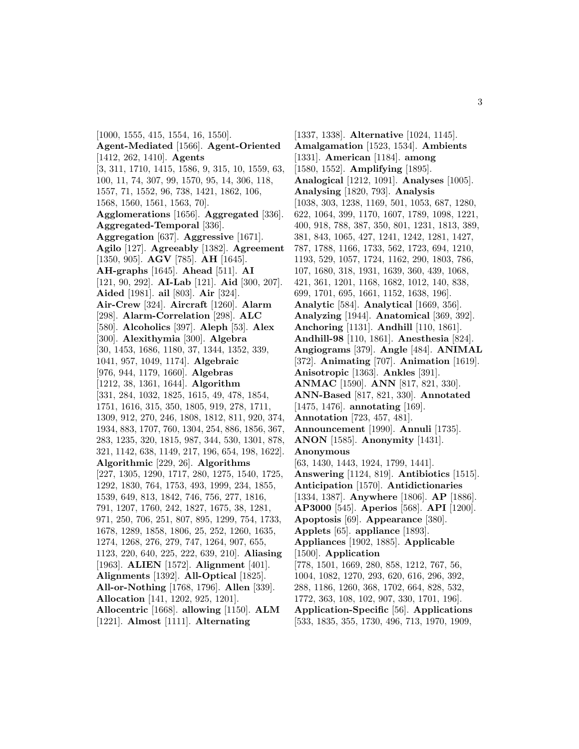[1000, 1555, 415, 1554, 16, 1550]. **Agent-Mediated** [1566]. **Agent-Oriented** [1412, 262, 1410]. **Agents** [3, 311, 1710, 1415, 1586, 9, 315, 10, 1559, 63, 100, 11, 74, 307, 99, 1570, 95, 14, 306, 118, 1557, 71, 1552, 96, 738, 1421, 1862, 106, 1568, 1560, 1561, 1563, 70]. **Agglomerations** [1656]. **Aggregated** [336]. **Aggregated-Temporal** [336]. **Aggregation** [637]. **Aggressive** [1671]. **Agilo** [127]. **Agreeably** [1382]. **Agreement** [1350, 905]. **AGV** [785]. **AH** [1645]. **AH-graphs** [1645]. **Ahead** [511]. **AI** [121, 90, 292]. **AI-Lab** [121]. **Aid** [300, 207]. **Aided** [1981]. **ail** [803]. **Air** [324]. **Air-Crew** [324]. **Aircraft** [1260]. **Alarm** [298]. **Alarm-Correlation** [298]. **ALC** [580]. **Alcoholics** [397]. **Aleph** [53]. **Alex** [300]. **Alexithymia** [300]. **Algebra** [30, 1453, 1686, 1180, 37, 1344, 1352, 339, 1041, 957, 1049, 1174]. **Algebraic** [976, 944, 1179, 1660]. **Algebras** [1212, 38, 1361, 1644]. **Algorithm** [331, 284, 1032, 1825, 1615, 49, 478, 1854, 1751, 1616, 315, 350, 1805, 919, 278, 1711, 1309, 912, 270, 246, 1808, 1812, 811, 920, 374, 1934, 883, 1707, 760, 1304, 254, 886, 1856, 367, 283, 1235, 320, 1815, 987, 344, 530, 1301, 878, 321, 1142, 638, 1149, 217, 196, 654, 198, 1622]. **Algorithmic** [229, 26]. **Algorithms** [227, 1305, 1290, 1717, 280, 1275, 1540, 1725, 1292, 1830, 764, 1753, 493, 1999, 234, 1855, 1539, 649, 813, 1842, 746, 756, 277, 1816, 791, 1207, 1760, 242, 1827, 1675, 38, 1281, 971, 250, 706, 251, 807, 895, 1299, 754, 1733, 1678, 1289, 1858, 1806, 25, 252, 1260, 1635, 1274, 1268, 276, 279, 747, 1264, 907, 655, 1123, 220, 640, 225, 222, 639, 210]. **Aliasing** [1963]. **ALIEN** [1572]. **Alignment** [401]. **Alignments** [1392]. **All-Optical** [1825]. **All-or-Nothing** [1768, 1796]. **Allen** [339]. **Allocation** [141, 1202, 925, 1201]. **Allocentric** [1668]. **allowing** [1150]. **ALM** [1221]. **Almost** [1111]. **Alternating**

[1337, 1338]. **Alternative** [1024, 1145]. **Amalgamation** [1523, 1534]. **Ambients** [1331]. **American** [1184]. **among** [1580, 1552]. **Amplifying** [1895]. **Analogical** [1212, 1091]. **Analyses** [1005]. **Analysing** [1820, 793]. **Analysis** [1038, 303, 1238, 1169, 501, 1053, 687, 1280, 622, 1064, 399, 1170, 1607, 1789, 1098, 1221, 400, 918, 788, 387, 350, 801, 1231, 1813, 389, 381, 843, 1065, 427, 1241, 1242, 1281, 1427, 787, 1788, 1166, 1733, 562, 1723, 694, 1210, 1193, 529, 1057, 1724, 1162, 290, 1803, 786, 107, 1680, 318, 1931, 1639, 360, 439, 1068, 421, 361, 1201, 1168, 1682, 1012, 140, 838, 699, 1701, 695, 1661, 1152, 1638, 196]. **Analytic** [584]. **Analytical** [1669, 356]. **Analyzing** [1944]. **Anatomical** [369, 392]. **Anchoring** [1131]. **Andhill** [110, 1861]. **Andhill-98** [110, 1861]. **Anesthesia** [824]. **Angiograms** [379]. **Angle** [484]. **ANIMAL** [372]. **Animating** [707]. **Animation** [1619]. **Anisotropic** [1363]. **Ankles** [391]. **ANMAC** [1590]. **ANN** [817, 821, 330]. **ANN-Based** [817, 821, 330]. **Annotated** [1475, 1476]. **annotating** [169]. **Annotation** [723, 457, 481]. **Announcement** [1990]. **Annuli** [1735]. **ANON** [1585]. **Anonymity** [1431]. **Anonymous** [63, 1430, 1443, 1924, 1799, 1441]. **Answering** [1124, 819]. **Antibiotics** [1515]. **Anticipation** [1570]. **Antidictionaries** [1334, 1387]. **Anywhere** [1806]. **AP** [1886]. **AP3000** [545]. **Aperios** [568]. **API** [1200]. **Apoptosis** [69]. **Appearance** [380]. **Applets** [65]. **appliance** [1893]. **Appliances** [1902, 1885]. **Applicable** [1500]. **Application** [778, 1501, 1669, 280, 858, 1212, 767, 56, 1004, 1082, 1270, 293, 620, 616, 296, 392, 288, 1186, 1260, 368, 1702, 664, 828, 532, 1772, 363, 108, 102, 907, 330, 1701, 196]. **Application-Specific** [56]. **Applications** [533, 1835, 355, 1730, 496, 713, 1970, 1909,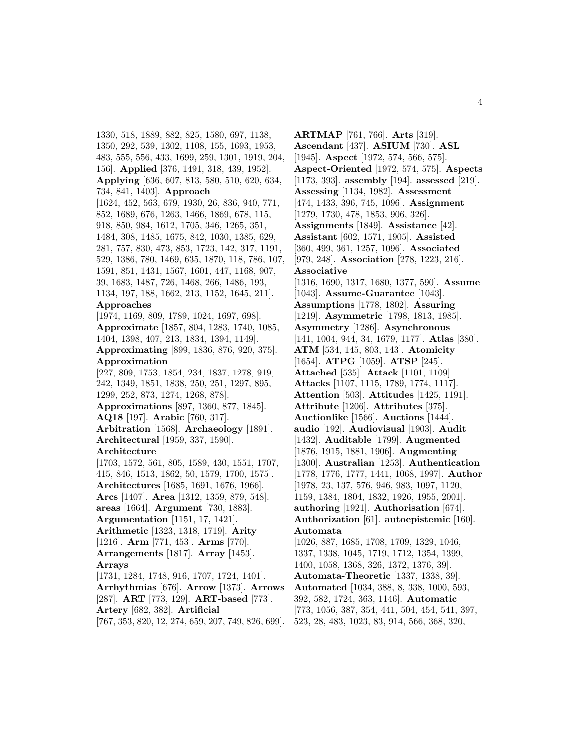1330, 518, 1889, 882, 825, 1580, 697, 1138, 1350, 292, 539, 1302, 1108, 155, 1693, 1953, 483, 555, 556, 433, 1699, 259, 1301, 1919, 204, 156]. **Applied** [376, 1491, 318, 439, 1952]. **Applying** [636, 607, 813, 580, 510, 620, 634, 734, 841, 1403]. **Approach** [1624, 452, 563, 679, 1930, 26, 836, 940, 771, 852, 1689, 676, 1263, 1466, 1869, 678, 115, 918, 850, 984, 1612, 1705, 346, 1265, 351, 1484, 308, 1485, 1675, 842, 1030, 1385, 629, 281, 757, 830, 473, 853, 1723, 142, 317, 1191, 529, 1386, 780, 1469, 635, 1870, 118, 786, 107, 1591, 851, 1431, 1567, 1601, 447, 1168, 907, 39, 1683, 1487, 726, 1468, 266, 1486, 193, 1134, 197, 188, 1662, 213, 1152, 1645, 211]. **Approaches** [1974, 1169, 809, 1789, 1024, 1697, 698]. **Approximate** [1857, 804, 1283, 1740, 1085, 1404, 1398, 407, 213, 1834, 1394, 1149]. **Approximating** [899, 1836, 876, 920, 375]. **Approximation** [227, 809, 1753, 1854, 234, 1837, 1278, 919, 242, 1349, 1851, 1838, 250, 251, 1297, 895, 1299, 252, 873, 1274, 1268, 878]. **Approximations** [897, 1360, 877, 1845]. **AQ18** [197]. **Arabic** [760, 317]. **Arbitration** [1568]. **Archaeology** [1891]. **Architectural** [1959, 337, 1590]. **Architecture** [1703, 1572, 561, 805, 1589, 430, 1551, 1707, 415, 846, 1513, 1862, 50, 1579, 1700, 1575]. **Architectures** [1685, 1691, 1676, 1966]. **Arcs** [1407]. **Area** [1312, 1359, 879, 548]. **areas** [1664]. **Argument** [730, 1883]. **Argumentation** [1151, 17, 1421]. **Arithmetic** [1323, 1318, 1719]. **Arity** [1216]. **Arm** [771, 453]. **Arms** [770]. **Arrangements** [1817]. **Array** [1453]. **Arrays** [1731, 1284, 1748, 916, 1707, 1724, 1401]. **Arrhythmias** [676]. **Arrow** [1373]. **Arrows** [287]. **ART** [773, 129]. **ART-based** [773]. **Artery** [682, 382]. **Artificial** [767, 353, 820, 12, 274, 659, 207, 749, 826, 699].

**ARTMAP** [761, 766]. **Arts** [319]. **Ascendant** [437]. **ASIUM** [730]. **ASL** [1945]. **Aspect** [1972, 574, 566, 575]. **Aspect-Oriented** [1972, 574, 575]. **Aspects** [1173, 393]. **assembly** [194]. **assessed** [219]. **Assessing** [1134, 1982]. **Assessment** [474, 1433, 396, 745, 1096]. **Assignment** [1279, 1730, 478, 1853, 906, 326]. **Assignments** [1849]. **Assistance** [42]. **Assistant** [602, 1571, 1905]. **Assisted** [360, 499, 361, 1257, 1096]. **Associated** [979, 248]. **Association** [278, 1223, 216]. **Associative** [1316, 1690, 1317, 1680, 1377, 590]. **Assume** [1043]. **Assume-Guarantee** [1043]. **Assumptions** [1778, 1802]. **Assuring** [1219]. **Asymmetric** [1798, 1813, 1985]. **Asymmetry** [1286]. **Asynchronous** [141, 1004, 944, 34, 1679, 1177]. **Atlas** [380]. **ATM** [534, 145, 803, 143]. **Atomicity** [1654]. **ATPG** [1059]. **ATSP** [245]. **Attached** [535]. **Attack** [1101, 1109]. **Attacks** [1107, 1115, 1789, 1774, 1117]. **Attention** [503]. **Attitudes** [1425, 1191]. **Attribute** [1206]. **Attributes** [375]. **Auctionlike** [1566]. **Auctions** [1444]. **audio** [192]. **Audiovisual** [1903]. **Audit** [1432]. **Auditable** [1799]. **Augmented** [1876, 1915, 1881, 1906]. **Augmenting** [1300]. **Australian** [1253]. **Authentication** [1778, 1776, 1777, 1441, 1068, 1997]. **Author** [1978, 23, 137, 576, 946, 983, 1097, 1120, 1159, 1384, 1804, 1832, 1926, 1955, 2001]. **authoring** [1921]. **Authorisation** [674]. **Authorization** [61]. **autoepistemic** [160]. **Automata** [1026, 887, 1685, 1708, 1709, 1329, 1046, 1337, 1338, 1045, 1719, 1712, 1354, 1399, 1400, 1058, 1368, 326, 1372, 1376, 39]. **Automata-Theoretic** [1337, 1338, 39]. **Automated** [1034, 388, 8, 338, 1000, 593, 392, 582, 1724, 363, 1146]. **Automatic** [773, 1056, 387, 354, 441, 504, 454, 541, 397, 523, 28, 483, 1023, 83, 914, 566, 368, 320,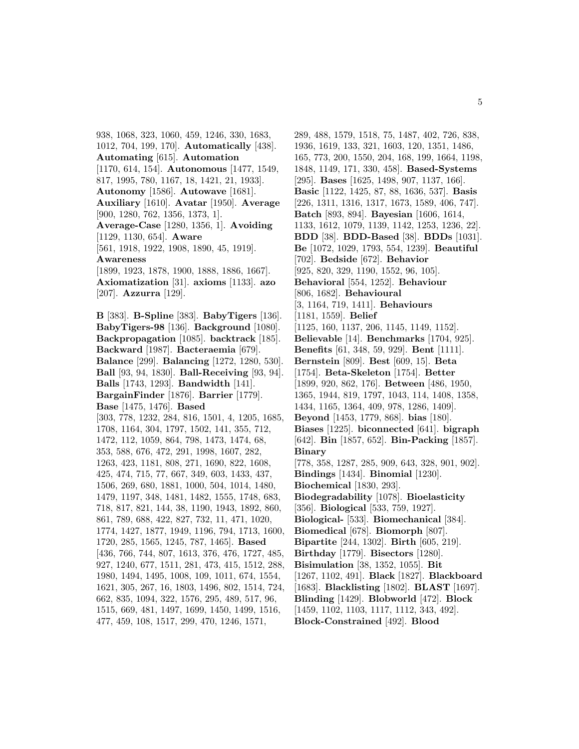938, 1068, 323, 1060, 459, 1246, 330, 1683, 1012, 704, 199, 170]. **Automatically** [438]. **Automating** [615]. **Automation** [1170, 614, 154]. **Autonomous** [1477, 1549, 817, 1995, 780, 1167, 18, 1421, 21, 1933]. **Autonomy** [1586]. **Autowave** [1681]. **Auxiliary** [1610]. **Avatar** [1950]. **Average** [900, 1280, 762, 1356, 1373, 1]. **Average-Case** [1280, 1356, 1]. **Avoiding** [1129, 1130, 654]. **Aware** [561, 1918, 1922, 1908, 1890, 45, 1919]. **Awareness** [1899, 1923, 1878, 1900, 1888, 1886, 1667]. **Axiomatization** [31]. **axioms** [1133]. **azo** [207]. **Azzurra** [129].

**B** [383]. **B-Spline** [383]. **BabyTigers** [136]. **BabyTigers-98** [136]. **Background** [1080]. **Backpropagation** [1085]. **backtrack** [185]. **Backward** [1987]. **Bacteraemia** [679]. **Balance** [299]. **Balancing** [1272, 1280, 530]. **Ball** [93, 94, 1830]. **Ball-Receiving** [93, 94]. **Balls** [1743, 1293]. **Bandwidth** [141]. **BargainFinder** [1876]. **Barrier** [1779]. **Base** [1475, 1476]. **Based** [303, 778, 1232, 284, 816, 1501, 4, 1205, 1685, 1708, 1164, 304, 1797, 1502, 141, 355, 712, 1472, 112, 1059, 864, 798, 1473, 1474, 68, 353, 588, 676, 472, 291, 1998, 1607, 282, 1263, 423, 1181, 808, 271, 1690, 822, 1608, 425, 474, 715, 77, 667, 349, 603, 1433, 437, 1506, 269, 680, 1881, 1000, 504, 1014, 1480, 1479, 1197, 348, 1481, 1482, 1555, 1748, 683, 718, 817, 821, 144, 38, 1190, 1943, 1892, 860, 861, 789, 688, 422, 827, 732, 11, 471, 1020, 1774, 1427, 1877, 1949, 1196, 794, 1713, 1600, 1720, 285, 1565, 1245, 787, 1465]. **Based** [436, 766, 744, 807, 1613, 376, 476, 1727, 485, 927, 1240, 677, 1511, 281, 473, 415, 1512, 288, 1980, 1494, 1495, 1008, 109, 1011, 674, 1554, 1621, 305, 267, 16, 1803, 1496, 802, 1514, 724, 662, 835, 1094, 322, 1576, 295, 489, 517, 96, 1515, 669, 481, 1497, 1699, 1450, 1499, 1516, 477, 459, 108, 1517, 299, 470, 1246, 1571,

289, 488, 1579, 1518, 75, 1487, 402, 726, 838, 1936, 1619, 133, 321, 1603, 120, 1351, 1486, 165, 773, 200, 1550, 204, 168, 199, 1664, 1198, 1848, 1149, 171, 330, 458]. **Based-Systems** [295]. **Bases** [1625, 1498, 907, 1137, 166]. **Basic** [1122, 1425, 87, 88, 1636, 537]. **Basis** [226, 1311, 1316, 1317, 1673, 1589, 406, 747]. **Batch** [893, 894]. **Bayesian** [1606, 1614, 1133, 1612, 1079, 1139, 1142, 1253, 1236, 22]. **BDD** [38]. **BDD-Based** [38]. **BDDs** [1031]. **Be** [1072, 1029, 1793, 554, 1239]. **Beautiful** [702]. **Bedside** [672]. **Behavior** [925, 820, 329, 1190, 1552, 96, 105]. **Behavioral** [554, 1252]. **Behaviour** [806, 1682]. **Behavioural** [3, 1164, 719, 1411]. **Behaviours** [1181, 1559]. **Belief** [1125, 160, 1137, 206, 1145, 1149, 1152]. **Believable** [14]. **Benchmarks** [1704, 925]. **Benefits** [61, 348, 59, 929]. **Bent** [1111]. **Bernstein** [809]. **Best** [609, 15]. **Beta** [1754]. **Beta-Skeleton** [1754]. **Better** [1899, 920, 862, 176]. **Between** [486, 1950, 1365, 1944, 819, 1797, 1043, 114, 1408, 1358, 1434, 1165, 1364, 409, 978, 1286, 1409]. **Beyond** [1453, 1779, 868]. **bias** [180]. **Biases** [1225]. **biconnected** [641]. **bigraph** [642]. **Bin** [1857, 652]. **Bin-Packing** [1857]. **Binary** [778, 358, 1287, 285, 909, 643, 328, 901, 902]. **Bindings** [1434]. **Binomial** [1230]. **Biochemical** [1830, 293]. **Biodegradability** [1078]. **Bioelasticity** [356]. **Biological** [533, 759, 1927]. **Biological-** [533]. **Biomechanical** [384]. **Biomedical** [678]. **Biomorph** [807]. **Bipartite** [244, 1302]. **Birth** [605, 219]. **Birthday** [1779]. **Bisectors** [1280]. **Bisimulation** [38, 1352, 1055]. **Bit** [1267, 1102, 491]. **Black** [1827]. **Blackboard** [1683]. **Blacklisting** [1802]. **BLAST** [1697]. **Blinding** [1429]. **Blobworld** [472]. **Block** [1459, 1102, 1103, 1117, 1112, 343, 492]. **Block-Constrained** [492]. **Blood**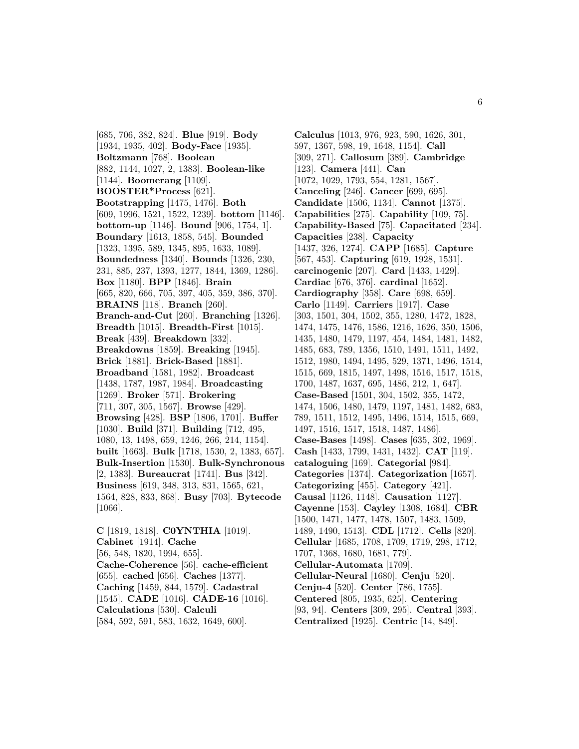[685, 706, 382, 824]. **Blue** [919]. **Body** [1934, 1935, 402]. **Body-Face** [1935]. **Boltzmann** [768]. **Boolean** [882, 1144, 1027, 2, 1383]. **Boolean-like** [1144]. **Boomerang** [1109]. **BOOSTER\*Process** [621]. **Bootstrapping** [1475, 1476]. **Both** [609, 1996, 1521, 1522, 1239]. **bottom** [1146]. **bottom-up** [1146]. **Bound** [906, 1754, 1]. **Boundary** [1613, 1858, 545]. **Bounded** [1323, 1395, 589, 1345, 895, 1633, 1089]. **Boundedness** [1340]. **Bounds** [1326, 230, 231, 885, 237, 1393, 1277, 1844, 1369, 1286]. **Box** [1180]. **BPP** [1846]. **Brain** [665, 820, 666, 705, 397, 405, 359, 386, 370]. **BRAINS** [118]. **Branch** [260]. **Branch-and-Cut** [260]. **Branching** [1326]. **Breadth** [1015]. **Breadth-First** [1015]. **Break** [439]. **Breakdown** [332]. **Breakdowns** [1859]. **Breaking** [1945]. **Brick** [1881]. **Brick-Based** [1881]. **Broadband** [1581, 1982]. **Broadcast** [1438, 1787, 1987, 1984]. **Broadcasting** [1269]. **Broker** [571]. **Brokering** [711, 307, 305, 1567]. **Browse** [429]. **Browsing** [428]. **BSP** [1806, 1701]. **Buffer** [1030]. **Build** [371]. **Building** [712, 495, 1080, 13, 1498, 659, 1246, 266, 214, 1154]. **built** [1663]. **Bulk** [1718, 1530, 2, 1383, 657]. **Bulk-Insertion** [1530]. **Bulk-Synchronous** [2, 1383]. **Bureaucrat** [1741]. **Bus** [342]. **Business** [619, 348, 313, 831, 1565, 621, 1564, 828, 833, 868]. **Busy** [703]. **Bytecode** [1066].

**C** [1819, 1818]. **C0YNTHIA** [1019]. **Cabinet** [1914]. **Cache** [56, 548, 1820, 1994, 655]. **Cache-Coherence** [56]. **cache-efficient** [655]. **cached** [656]. **Caches** [1377]. **Caching** [1459, 844, 1579]. **Cadastral** [1545]. **CADE** [1016]. **CADE-16** [1016]. **Calculations** [530]. **Calculi** [584, 592, 591, 583, 1632, 1649, 600].

**Calculus** [1013, 976, 923, 590, 1626, 301, 597, 1367, 598, 19, 1648, 1154]. **Call** [309, 271]. **Callosum** [389]. **Cambridge** [123]. **Camera** [441]. **Can** [1072, 1029, 1793, 554, 1281, 1567]. **Canceling** [246]. **Cancer** [699, 695]. **Candidate** [1506, 1134]. **Cannot** [1375]. **Capabilities** [275]. **Capability** [109, 75]. **Capability-Based** [75]. **Capacitated** [234]. **Capacities** [238]. **Capacity** [1437, 326, 1274]. **CAPP** [1685]. **Capture** [567, 453]. **Capturing** [619, 1928, 1531]. **carcinogenic** [207]. **Card** [1433, 1429]. **Cardiac** [676, 376]. **cardinal** [1652]. **Cardiography** [358]. **Care** [698, 659]. **Carlo** [1149]. **Carriers** [1917]. **Case** [303, 1501, 304, 1502, 355, 1280, 1472, 1828, 1474, 1475, 1476, 1586, 1216, 1626, 350, 1506, 1435, 1480, 1479, 1197, 454, 1484, 1481, 1482, 1485, 683, 789, 1356, 1510, 1491, 1511, 1492, 1512, 1980, 1494, 1495, 529, 1371, 1496, 1514, 1515, 669, 1815, 1497, 1498, 1516, 1517, 1518, 1700, 1487, 1637, 695, 1486, 212, 1, 647]. **Case-Based** [1501, 304, 1502, 355, 1472, 1474, 1506, 1480, 1479, 1197, 1481, 1482, 683, 789, 1511, 1512, 1495, 1496, 1514, 1515, 669, 1497, 1516, 1517, 1518, 1487, 1486]. **Case-Bases** [1498]. **Cases** [635, 302, 1969]. **Cash** [1433, 1799, 1431, 1432]. **CAT** [119]. **cataloguing** [169]. **Categorial** [984]. **Categories** [1374]. **Categorization** [1657]. **Categorizing** [455]. **Category** [421]. **Causal** [1126, 1148]. **Causation** [1127]. **Cayenne** [153]. **Cayley** [1308, 1684]. **CBR** [1500, 1471, 1477, 1478, 1507, 1483, 1509, 1489, 1490, 1513]. **CDL** [1712]. **Cells** [820]. **Cellular** [1685, 1708, 1709, 1719, 298, 1712, 1707, 1368, 1680, 1681, 779]. **Cellular-Automata** [1709]. **Cellular-Neural** [1680]. **Cenju** [520]. **Cenju-4** [520]. **Center** [786, 1755]. **Centered** [805, 1935, 625]. **Centering** [93, 94]. **Centers** [309, 295]. **Central** [393]. **Centralized** [1925]. **Centric** [14, 849].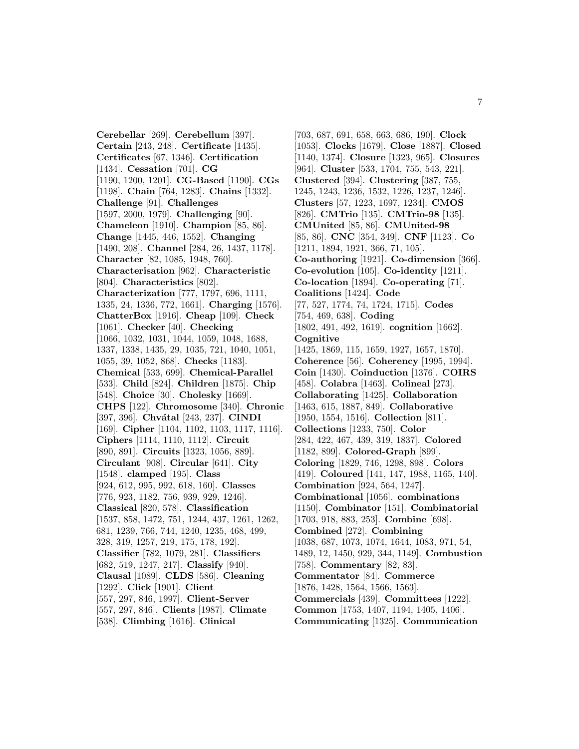**Cerebellar** [269]. **Cerebellum** [397]. **Certain** [243, 248]. **Certificate** [1435]. **Certificates** [67, 1346]. **Certification** [1434]. **Cessation** [701]. **CG** [1190, 1200, 1201]. **CG-Based** [1190]. **CGs** [1198]. **Chain** [764, 1283]. **Chains** [1332]. **Challenge** [91]. **Challenges** [1597, 2000, 1979]. **Challenging** [90]. **Chameleon** [1910]. **Champion** [85, 86]. **Change** [1445, 446, 1552]. **Changing** [1490, 208]. **Channel** [284, 26, 1437, 1178]. **Character** [82, 1085, 1948, 760]. **Characterisation** [962]. **Characteristic** [804]. **Characteristics** [802]. **Characterization** [777, 1797, 696, 1111, 1335, 24, 1336, 772, 1661]. **Charging** [1576]. **ChatterBox** [1916]. **Cheap** [109]. **Check** [1061]. **Checker** [40]. **Checking** [1066, 1032, 1031, 1044, 1059, 1048, 1688, 1337, 1338, 1435, 29, 1035, 721, 1040, 1051, 1055, 39, 1052, 868]. **Checks** [1183]. **Chemical** [533, 699]. **Chemical-Parallel** [533]. **Child** [824]. **Children** [1875]. **Chip** [548]. **Choice** [30]. **Cholesky** [1669]. **CHPS** [122]. **Chromosome** [340]. **Chronic** [397, 396]. **Chvátal** [243, 237]. **CINDI** [169]. **Cipher** [1104, 1102, 1103, 1117, 1116]. **Ciphers** [1114, 1110, 1112]. **Circuit** [890, 891]. **Circuits** [1323, 1056, 889]. **Circulant** [908]. **Circular** [641]. **City** [1548]. **clamped** [195]. **Class** [924, 612, 995, 992, 618, 160]. **Classes** [776, 923, 1182, 756, 939, 929, 1246]. **Classical** [820, 578]. **Classification** [1537, 858, 1472, 751, 1244, 437, 1261, 1262, 681, 1239, 766, 744, 1240, 1235, 468, 499, 328, 319, 1257, 219, 175, 178, 192]. **Classifier** [782, 1079, 281]. **Classifiers** [682, 519, 1247, 217]. **Classify** [940]. **Clausal** [1089]. **CLDS** [586]. **Cleaning** [1292]. **Click** [1901]. **Client** [557, 297, 846, 1997]. **Client-Server** [557, 297, 846]. **Clients** [1987]. **Climate** [538]. **Climbing** [1616]. **Clinical**

[703, 687, 691, 658, 663, 686, 190]. **Clock** [1053]. **Clocks** [1679]. **Close** [1887]. **Closed** [1140, 1374]. **Closure** [1323, 965]. **Closures** [964]. **Cluster** [533, 1704, 755, 543, 221]. **Clustered** [394]. **Clustering** [387, 755, 1245, 1243, 1236, 1532, 1226, 1237, 1246]. **Clusters** [57, 1223, 1697, 1234]. **CMOS** [826]. **CMTrio** [135]. **CMTrio-98** [135]. **CMUnited** [85, 86]. **CMUnited-98** [85, 86]. **CNC** [354, 349]. **CNF** [1123]. **Co** [1211, 1894, 1921, 366, 71, 105]. **Co-authoring** [1921]. **Co-dimension** [366]. **Co-evolution** [105]. **Co-identity** [1211]. **Co-location** [1894]. **Co-operating** [71]. **Coalitions** [1424]. **Code** [77, 527, 1774, 74, 1724, 1715]. **Codes** [754, 469, 638]. **Coding** [1802, 491, 492, 1619]. **cognition** [1662]. **Cognitive** [1425, 1869, 115, 1659, 1927, 1657, 1870]. **Coherence** [56]. **Coherency** [1995, 1994]. **Coin** [1430]. **Coinduction** [1376]. **COIRS** [458]. **Colabra** [1463]. **Colineal** [273]. **Collaborating** [1425]. **Collaboration** [1463, 615, 1887, 849]. **Collaborative** [1950, 1554, 1516]. **Collection** [811]. **Collections** [1233, 750]. **Color** [284, 422, 467, 439, 319, 1837]. **Colored** [1182, 899]. **Colored-Graph** [899]. **Coloring** [1829, 746, 1298, 898]. **Colors** [419]. **Coloured** [141, 147, 1988, 1165, 140]. **Combination** [924, 564, 1247]. **Combinational** [1056]. **combinations** [1150]. **Combinator** [151]. **Combinatorial** [1703, 918, 883, 253]. **Combine** [698]. **Combined** [272]. **Combining** [1038, 687, 1073, 1074, 1644, 1083, 971, 54, 1489, 12, 1450, 929, 344, 1149]. **Combustion** [758]. **Commentary** [82, 83]. **Commentator** [84]. **Commerce** [1876, 1428, 1564, 1566, 1563]. **Commercials** [439]. **Committees** [1222]. **Common** [1753, 1407, 1194, 1405, 1406]. **Communicating** [1325]. **Communication**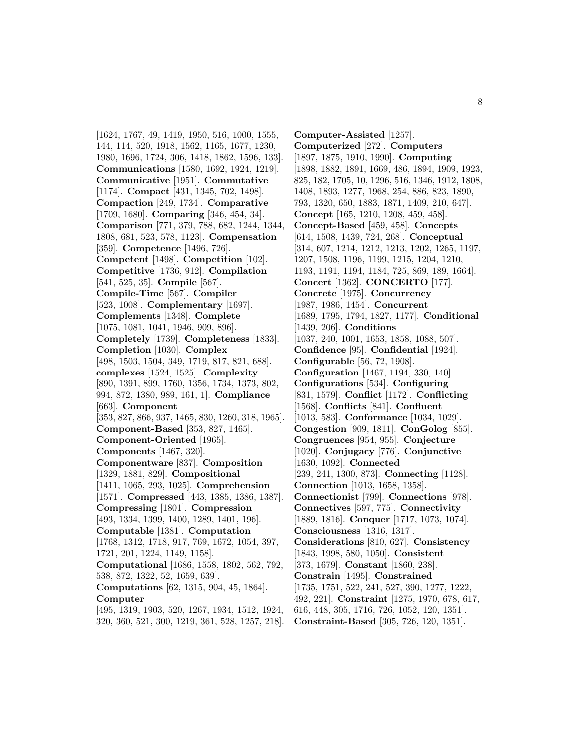[1624, 1767, 49, 1419, 1950, 516, 1000, 1555, 144, 114, 520, 1918, 1562, 1165, 1677, 1230, 1980, 1696, 1724, 306, 1418, 1862, 1596, 133]. **Communications** [1580, 1692, 1924, 1219]. **Communicative** [1951]. **Commutative** [1174]. **Compact** [431, 1345, 702, 1498]. **Compaction** [249, 1734]. **Comparative** [1709, 1680]. **Comparing** [346, 454, 34]. **Comparison** [771, 379, 788, 682, 1244, 1344, 1808, 681, 523, 578, 1123]. **Compensation** [359]. **Competence** [1496, 726]. **Competent** [1498]. **Competition** [102]. **Competitive** [1736, 912]. **Compilation** [541, 525, 35]. **Compile** [567]. **Compile-Time** [567]. **Compiler** [523, 1008]. **Complementary** [1697]. **Complements** [1348]. **Complete** [1075, 1081, 1041, 1946, 909, 896]. **Completely** [1739]. **Completeness** [1833]. **Completion** [1030]. **Complex** [498, 1503, 1504, 349, 1719, 817, 821, 688]. **complexes** [1524, 1525]. **Complexity** [890, 1391, 899, 1760, 1356, 1734, 1373, 802, 994, 872, 1380, 989, 161, 1]. **Compliance** [663]. **Component** [353, 827, 866, 937, 1465, 830, 1260, 318, 1965]. **Component-Based** [353, 827, 1465]. **Component-Oriented** [1965]. **Components** [1467, 320]. **Componentware** [837]. **Composition** [1329, 1881, 829]. **Compositional** [1411, 1065, 293, 1025]. **Comprehension** [1571]. **Compressed** [443, 1385, 1386, 1387]. **Compressing** [1801]. **Compression** [493, 1334, 1399, 1400, 1289, 1401, 196]. **Computable** [1381]. **Computation** [1768, 1312, 1718, 917, 769, 1672, 1054, 397, 1721, 201, 1224, 1149, 1158]. **Computational** [1686, 1558, 1802, 562, 792, 538, 872, 1322, 52, 1659, 639]. **Computations** [62, 1315, 904, 45, 1864]. **Computer** [495, 1319, 1903, 520, 1267, 1934, 1512, 1924,

320, 360, 521, 300, 1219, 361, 528, 1257, 218].

**Computer-Assisted** [1257]. **Computerized** [272]. **Computers** [1897, 1875, 1910, 1990]. **Computing** [1898, 1882, 1891, 1669, 486, 1894, 1909, 1923, 825, 182, 1705, 10, 1296, 516, 1346, 1912, 1808, 1408, 1893, 1277, 1968, 254, 886, 823, 1890, 793, 1320, 650, 1883, 1871, 1409, 210, 647]. **Concept** [165, 1210, 1208, 459, 458]. **Concept-Based** [459, 458]. **Concepts** [614, 1508, 1439, 724, 268]. **Conceptual** [314, 607, 1214, 1212, 1213, 1202, 1265, 1197, 1207, 1508, 1196, 1199, 1215, 1204, 1210, 1193, 1191, 1194, 1184, 725, 869, 189, 1664]. **Concert** [1362]. **CONCERTO** [177]. **Concrete** [1975]. **Concurrency** [1987, 1986, 1454]. **Concurrent** [1689, 1795, 1794, 1827, 1177]. **Conditional** [1439, 206]. **Conditions** [1037, 240, 1001, 1653, 1858, 1088, 507]. **Confidence** [95]. **Confidential** [1924]. **Configurable** [56, 72, 1908]. **Configuration** [1467, 1194, 330, 140]. **Configurations** [534]. **Configuring** [831, 1579]. **Conflict** [1172]. **Conflicting** [1568]. **Conflicts** [841]. **Confluent** [1013, 583]. **Conformance** [1034, 1029]. **Congestion** [909, 1811]. **ConGolog** [855]. **Congruences** [954, 955]. **Conjecture** [1020]. **Conjugacy** [776]. **Conjunctive** [1630, 1092]. **Connected** [239, 241, 1300, 873]. **Connecting** [1128]. **Connection** [1013, 1658, 1358]. **Connectionist** [799]. **Connections** [978]. **Connectives** [597, 775]. **Connectivity** [1889, 1816]. **Conquer** [1717, 1073, 1074]. **Consciousness** [1316, 1317]. **Considerations** [810, 627]. **Consistency** [1843, 1998, 580, 1050]. **Consistent** [373, 1679]. **Constant** [1860, 238]. **Constrain** [1495]. **Constrained** [1735, 1751, 522, 241, 527, 390, 1277, 1222, 492, 221]. **Constraint** [1275, 1970, 678, 617, 616, 448, 305, 1716, 726, 1052, 120, 1351]. **Constraint-Based** [305, 726, 120, 1351].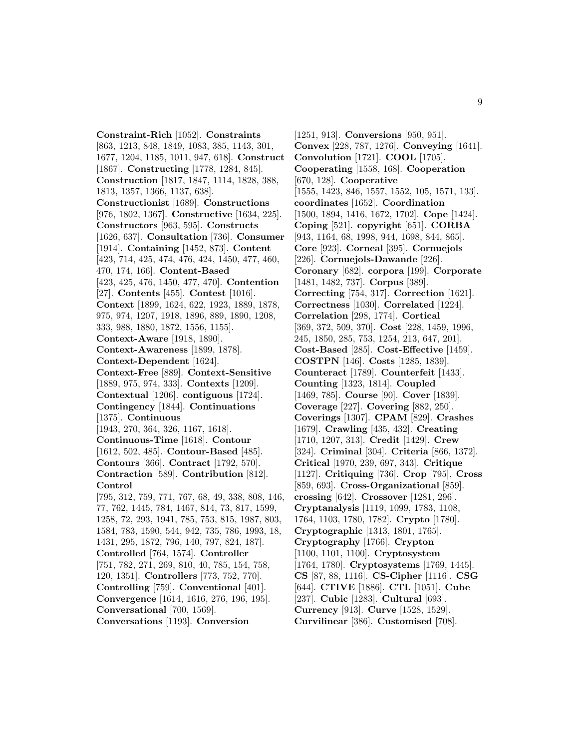**Constraint-Rich** [1052]. **Constraints** [863, 1213, 848, 1849, 1083, 385, 1143, 301, 1677, 1204, 1185, 1011, 947, 618]. **Construct** [1867]. **Constructing** [1778, 1284, 845]. **Construction** [1817, 1847, 1114, 1828, 388, 1813, 1357, 1366, 1137, 638]. **Constructionist** [1689]. **Constructions** [976, 1802, 1367]. **Constructive** [1634, 225]. **Constructors** [963, 595]. **Constructs** [1626, 637]. **Consultation** [736]. **Consumer** [1914]. **Containing** [1452, 873]. **Content** [423, 714, 425, 474, 476, 424, 1450, 477, 460, 470, 174, 166]. **Content-Based** [423, 425, 476, 1450, 477, 470]. **Contention** [27]. **Contents** [455]. **Contest** [1016]. **Context** [1899, 1624, 622, 1923, 1889, 1878, 975, 974, 1207, 1918, 1896, 889, 1890, 1208, 333, 988, 1880, 1872, 1556, 1155]. **Context-Aware** [1918, 1890]. **Context-Awareness** [1899, 1878]. **Context-Dependent** [1624]. **Context-Free** [889]. **Context-Sensitive** [1889, 975, 974, 333]. **Contexts** [1209]. **Contextual** [1206]. **contiguous** [1724]. **Contingency** [1844]. **Continuations** [1375]. **Continuous** [1943, 270, 364, 326, 1167, 1618]. **Continuous-Time** [1618]. **Contour** [1612, 502, 485]. **Contour-Based** [485]. **Contours** [366]. **Contract** [1792, 570]. **Contraction** [589]. **Contribution** [812]. **Control** [795, 312, 759, 771, 767, 68, 49, 338, 808, 146, 77, 762, 1445, 784, 1467, 814, 73, 817, 1599, 1258, 72, 293, 1941, 785, 753, 815, 1987, 803, 1584, 783, 1590, 544, 942, 735, 786, 1993, 18, 1431, 295, 1872, 796, 140, 797, 824, 187]. **Controlled** [764, 1574]. **Controller** [751, 782, 271, 269, 810, 40, 785, 154, 758, 120, 1351]. **Controllers** [773, 752, 770]. **Controlling** [759]. **Conventional** [401]. **Convergence** [1614, 1616, 276, 196, 195]. **Conversational** [700, 1569].

**Conversations** [1193]. **Conversion**

[1251, 913]. **Conversions** [950, 951]. **Convex** [228, 787, 1276]. **Conveying** [1641]. **Convolution** [1721]. **COOL** [1705]. **Cooperating** [1558, 168]. **Cooperation** [670, 128]. **Cooperative** [1555, 1423, 846, 1557, 1552, 105, 1571, 133]. **coordinates** [1652]. **Coordination** [1500, 1894, 1416, 1672, 1702]. **Cope** [1424]. **Coping** [521]. **copyright** [651]. **CORBA** [943, 1164, 68, 1998, 944, 1698, 844, 865]. **Core** [923]. **Corneal** [395]. **Cornuejols** [226]. **Cornuejols-Dawande** [226]. **Coronary** [682]. **corpora** [199]. **Corporate** [1481, 1482, 737]. **Corpus** [389]. **Correcting** [754, 317]. **Correction** [1621]. **Correctness** [1030]. **Correlated** [1224]. **Correlation** [298, 1774]. **Cortical** [369, 372, 509, 370]. **Cost** [228, 1459, 1996, 245, 1850, 285, 753, 1254, 213, 647, 201]. **Cost-Based** [285]. **Cost-Effective** [1459]. **COSTPN** [146]. **Costs** [1285, 1839]. **Counteract** [1789]. **Counterfeit** [1433]. **Counting** [1323, 1814]. **Coupled** [1469, 785]. **Course** [90]. **Cover** [1839]. **Coverage** [227]. **Covering** [882, 250]. **Coverings** [1307]. **CPAM** [829]. **Crashes** [1679]. **Crawling** [435, 432]. **Creating** [1710, 1207, 313]. **Credit** [1429]. **Crew** [324]. **Criminal** [304]. **Criteria** [866, 1372]. **Critical** [1970, 239, 697, 343]. **Critique** [1127]. **Critiquing** [736]. **Crop** [795]. **Cross** [859, 693]. **Cross-Organizational** [859]. **crossing** [642]. **Crossover** [1281, 296]. **Cryptanalysis** [1119, 1099, 1783, 1108, 1764, 1103, 1780, 1782]. **Crypto** [1780]. **Cryptographic** [1313, 1801, 1765]. **Cryptography** [1766]. **Crypton** [1100, 1101, 1100]. **Cryptosystem** [1764, 1780]. **Cryptosystems** [1769, 1445]. **CS** [87, 88, 1116]. **CS-Cipher** [1116]. **CSG** [644]. **CTIVE** [1886]. **CTL** [1051]. **Cube** [237]. **Cubic** [1283]. **Cultural** [693]. **Currency** [913]. **Curve** [1528, 1529]. **Curvilinear** [386]. **Customised** [708].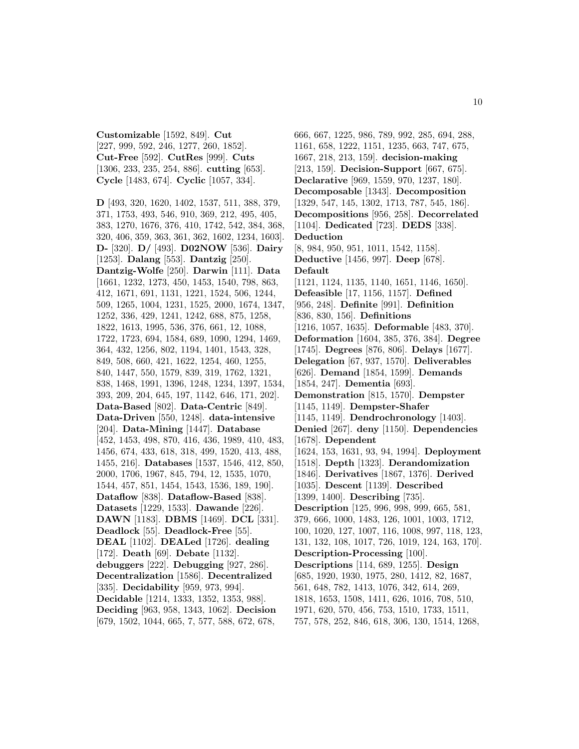**Customizable** [1592, 849]. **Cut** [227, 999, 592, 246, 1277, 260, 1852]. **Cut-Free** [592]. **CutRes** [999]. **Cuts** [1306, 233, 235, 254, 886]. **cutting** [653]. **Cycle** [1483, 674]. **Cyclic** [1057, 334].

**D** [493, 320, 1620, 1402, 1537, 511, 388, 379, 371, 1753, 493, 546, 910, 369, 212, 495, 405, 383, 1270, 1676, 376, 410, 1742, 542, 384, 368, 320, 406, 359, 363, 361, 362, 1602, 1234, 1603]. **D-** [320]. **D/** [493]. **D02NOW** [536]. **Dairy** [1253]. **Dalang** [553]. **Dantzig** [250]. **Dantzig-Wolfe** [250]. **Darwin** [111]. **Data** [1661, 1232, 1273, 450, 1453, 1540, 798, 863, 412, 1671, 691, 1131, 1221, 1524, 506, 1244, 509, 1265, 1004, 1231, 1525, 2000, 1674, 1347, 1252, 336, 429, 1241, 1242, 688, 875, 1258, 1822, 1613, 1995, 536, 376, 661, 12, 1088, 1722, 1723, 694, 1584, 689, 1090, 1294, 1469, 364, 432, 1256, 802, 1194, 1401, 1543, 328, 849, 508, 660, 421, 1622, 1254, 460, 1255, 840, 1447, 550, 1579, 839, 319, 1762, 1321, 838, 1468, 1991, 1396, 1248, 1234, 1397, 1534, 393, 209, 204, 645, 197, 1142, 646, 171, 202]. **Data-Based** [802]. **Data-Centric** [849]. **Data-Driven** [550, 1248]. **data-intensive** [204]. **Data-Mining** [1447]. **Database** [452, 1453, 498, 870, 416, 436, 1989, 410, 483, 1456, 674, 433, 618, 318, 499, 1520, 413, 488, 1455, 216]. **Databases** [1537, 1546, 412, 850, 2000, 1706, 1967, 845, 794, 12, 1535, 1070, 1544, 457, 851, 1454, 1543, 1536, 189, 190]. **Dataflow** [838]. **Dataflow-Based** [838]. **Datasets** [1229, 1533]. **Dawande** [226]. **DAWN** [1183]. **DBMS** [1469]. **DCL** [331]. **Deadlock** [55]. **Deadlock-Free** [55]. **DEAL** [1102]. **DEALed** [1726]. **dealing** [172]. **Death** [69]. **Debate** [1132]. **debuggers** [222]. **Debugging** [927, 286]. **Decentralization** [1586]. **Decentralized** [335]. **Decidability** [959, 973, 994]. **Decidable** [1214, 1333, 1352, 1353, 988]. **Deciding** [963, 958, 1343, 1062]. **Decision** [679, 1502, 1044, 665, 7, 577, 588, 672, 678,

666, 667, 1225, 986, 789, 992, 285, 694, 288, 1161, 658, 1222, 1151, 1235, 663, 747, 675, 1667, 218, 213, 159]. **decision-making** [213, 159]. **Decision-Support** [667, 675]. **Declarative** [969, 1559, 970, 1237, 180]. **Decomposable** [1343]. **Decomposition** [1329, 547, 145, 1302, 1713, 787, 545, 186]. **Decompositions** [956, 258]. **Decorrelated** [1104]. **Dedicated** [723]. **DEDS** [338]. **Deduction** [8, 984, 950, 951, 1011, 1542, 1158]. **Deductive** [1456, 997]. **Deep** [678]. **Default** [1121, 1124, 1135, 1140, 1651, 1146, 1650]. **Defeasible** [17, 1156, 1157]. **Defined** [956, 248]. **Definite** [991]. **Definition** [836, 830, 156]. **Definitions** [1216, 1057, 1635]. **Deformable** [483, 370]. **Deformation** [1604, 385, 376, 384]. **Degree** [1745]. **Degrees** [876, 806]. **Delays** [1677]. **Delegation** [67, 937, 1570]. **Deliverables** [626]. **Demand** [1854, 1599]. **Demands** [1854, 247]. **Dementia** [693]. **Demonstration** [815, 1570]. **Dempster** [1145, 1149]. **Dempster-Shafer** [1145, 1149]. **Dendrochronology** [1403]. **Denied** [267]. **deny** [1150]. **Dependencies** [1678]. **Dependent** [1624, 153, 1631, 93, 94, 1994]. **Deployment** [1518]. **Depth** [1323]. **Derandomization** [1846]. **Derivatives** [1867, 1376]. **Derived** [1035]. **Descent** [1139]. **Described** [1399, 1400]. **Describing** [735]. **Description** [125, 996, 998, 999, 665, 581, 379, 666, 1000, 1483, 126, 1001, 1003, 1712, 100, 1020, 127, 1007, 116, 1008, 997, 118, 123, 131, 132, 108, 1017, 726, 1019, 124, 163, 170]. **Description-Processing** [100]. **Descriptions** [114, 689, 1255]. **Design** [685, 1920, 1930, 1975, 280, 1412, 82, 1687, 561, 648, 782, 1413, 1076, 342, 614, 269, 1818, 1653, 1508, 1411, 626, 1016, 708, 510, 1971, 620, 570, 456, 753, 1510, 1733, 1511, 757, 578, 252, 846, 618, 306, 130, 1514, 1268,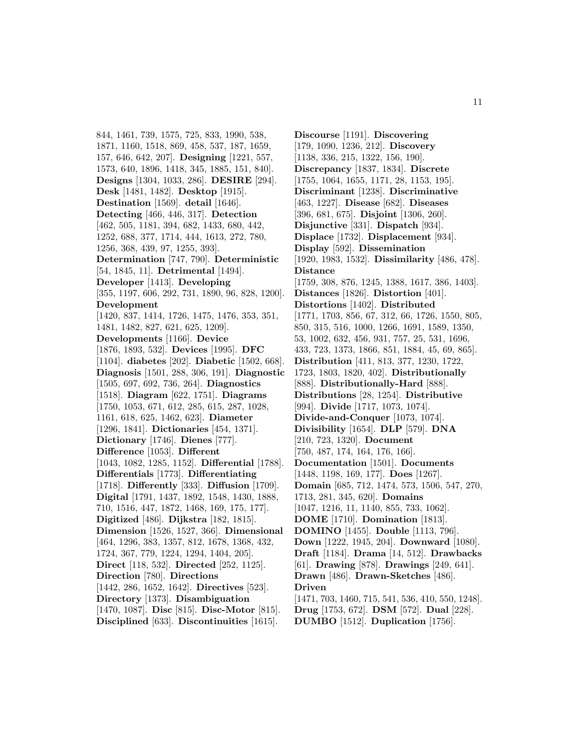844, 1461, 739, 1575, 725, 833, 1990, 538, 1871, 1160, 1518, 869, 458, 537, 187, 1659, 157, 646, 642, 207]. **Designing** [1221, 557, 1573, 640, 1896, 1418, 345, 1885, 151, 840]. **Designs** [1304, 1033, 286]. **DESIRE** [294]. **Desk** [1481, 1482]. **Desktop** [1915]. **Destination** [1569]. **detail** [1646]. **Detecting** [466, 446, 317]. **Detection** [462, 505, 1181, 394, 682, 1433, 680, 442, 1252, 688, 377, 1714, 444, 1613, 272, 780, 1256, 368, 439, 97, 1255, 393]. **Determination** [747, 790]. **Deterministic** [54, 1845, 11]. **Detrimental** [1494]. **Developer** [1413]. **Developing** [355, 1197, 606, 292, 731, 1890, 96, 828, 1200]. **Development** [1420, 837, 1414, 1726, 1475, 1476, 353, 351, 1481, 1482, 827, 621, 625, 1209]. **Developments** [1166]. **Device** [1876, 1893, 532]. **Devices** [1995]. **DFC** [1104]. **diabetes** [202]. **Diabetic** [1502, 668]. **Diagnosis** [1501, 288, 306, 191]. **Diagnostic** [1505, 697, 692, 736, 264]. **Diagnostics** [1518]. **Diagram** [622, 1751]. **Diagrams** [1750, 1053, 671, 612, 285, 615, 287, 1028, 1161, 618, 625, 1462, 623]. **Diameter** [1296, 1841]. **Dictionaries** [454, 1371]. **Dictionary** [1746]. **Dienes** [777]. **Difference** [1053]. **Different** [1043, 1082, 1285, 1152]. **Differential** [1788]. **Differentials** [1773]. **Differentiating** [1718]. **Differently** [333]. **Diffusion** [1709]. **Digital** [1791, 1437, 1892, 1548, 1430, 1888, 710, 1516, 447, 1872, 1468, 169, 175, 177]. **Digitized** [486]. **Dijkstra** [182, 1815]. **Dimension** [1526, 1527, 366]. **Dimensional** [464, 1296, 383, 1357, 812, 1678, 1368, 432, 1724, 367, 779, 1224, 1294, 1404, 205]. **Direct** [118, 532]. **Directed** [252, 1125]. **Direction** [780]. **Directions** [1442, 286, 1652, 1642]. **Directives** [523]. **Directory** [1373]. **Disambiguation** [1470, 1087]. **Disc** [815]. **Disc-Motor** [815]. **Disciplined** [633]. **Discontinuities** [1615].

**Discourse** [1191]. **Discovering** [179, 1090, 1236, 212]. **Discovery** [1138, 336, 215, 1322, 156, 190]. **Discrepancy** [1837, 1834]. **Discrete** [1755, 1064, 1655, 1171, 28, 1153, 195]. **Discriminant** [1238]. **Discriminative** [463, 1227]. **Disease** [682]. **Diseases** [396, 681, 675]. **Disjoint** [1306, 260]. **Disjunctive** [331]. **Dispatch** [934]. **Displace** [1732]. **Displacement** [934]. **Display** [592]. **Dissemination** [1920, 1983, 1532]. **Dissimilarity** [486, 478]. **Distance** [1759, 308, 876, 1245, 1388, 1617, 386, 1403]. **Distances** [1826]. **Distortion** [401]. **Distortions** [1402]. **Distributed** [1771, 1703, 856, 67, 312, 66, 1726, 1550, 805, 850, 315, 516, 1000, 1266, 1691, 1589, 1350, 53, 1002, 632, 456, 931, 757, 25, 531, 1696, 433, 723, 1373, 1866, 851, 1884, 45, 69, 865]. **Distribution** [411, 813, 377, 1230, 1722, 1723, 1803, 1820, 402]. **Distributionally** [888]. **Distributionally-Hard** [888]. **Distributions** [28, 1254]. **Distributive** [994]. **Divide** [1717, 1073, 1074]. **Divide-and-Conquer** [1073, 1074]. **Divisibility** [1654]. **DLP** [579]. **DNA** [210, 723, 1320]. **Document** [750, 487, 174, 164, 176, 166]. **Documentation** [1501]. **Documents** [1448, 1198, 169, 177]. **Does** [1267]. **Domain** [685, 712, 1474, 573, 1506, 547, 270, 1713, 281, 345, 620]. **Domains** [1047, 1216, 11, 1140, 855, 733, 1062]. **DOME** [1710]. **Domination** [1813]. **DOMINO** [1455]. **Double** [1113, 796]. **Down** [1222, 1945, 204]. **Downward** [1080]. **Draft** [1184]. **Drama** [14, 512]. **Drawbacks** [61]. **Drawing** [878]. **Drawings** [249, 641]. **Drawn** [486]. **Drawn-Sketches** [486]. **Driven** [1471, 703, 1460, 715, 541, 536, 410, 550, 1248]. **Drug** [1753, 672]. **DSM** [572]. **Dual** [228]. **DUMBO** [1512]. **Duplication** [1756].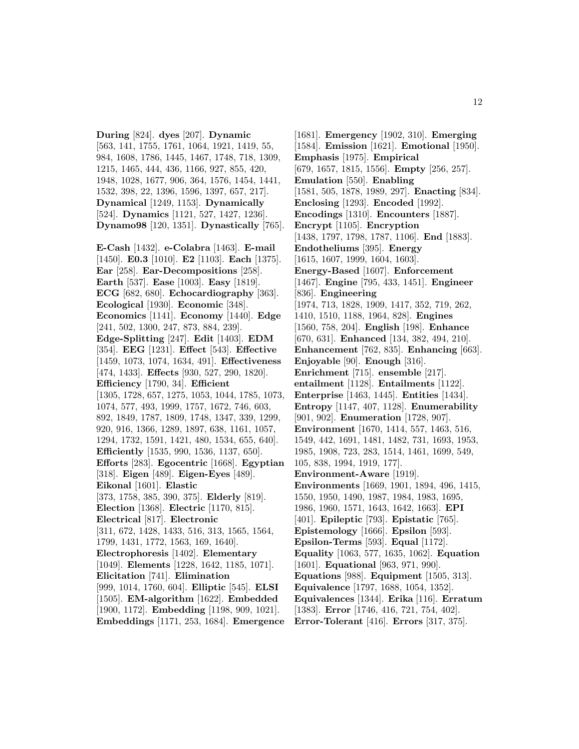**During** [824]. **dyes** [207]. **Dynamic** [563, 141, 1755, 1761, 1064, 1921, 1419, 55, 984, 1608, 1786, 1445, 1467, 1748, 718, 1309, 1215, 1465, 444, 436, 1166, 927, 855, 420, 1948, 1028, 1677, 906, 364, 1576, 1454, 1441, 1532, 398, 22, 1396, 1596, 1397, 657, 217]. **Dynamical** [1249, 1153]. **Dynamically** [524]. **Dynamics** [1121, 527, 1427, 1236]. **Dynamo98** [120, 1351]. **Dynastically** [765]. **E-Cash** [1432]. **e-Colabra** [1463]. **E-mail**

[1450]. **E0.3** [1010]. **E2** [1103]. **Each** [1375]. **Ear** [258]. **Ear-Decompositions** [258]. **Earth** [537]. **Ease** [1003]. **Easy** [1819]. **ECG** [682, 680]. **Echocardiography** [363]. **Ecological** [1930]. **Economic** [348]. **Economics** [1141]. **Economy** [1440]. **Edge** [241, 502, 1300, 247, 873, 884, 239]. **Edge-Splitting** [247]. **Edit** [1403]. **EDM** [354]. **EEG** [1231]. **Effect** [543]. **Effective** [1459, 1073, 1074, 1634, 491]. **Effectiveness** [474, 1433]. **Effects** [930, 527, 290, 1820]. **Efficiency** [1790, 34]. **Efficient** [1305, 1728, 657, 1275, 1053, 1044, 1785, 1073, 1074, 577, 493, 1999, 1757, 1672, 746, 603, 892, 1849, 1787, 1809, 1748, 1347, 339, 1299, 920, 916, 1366, 1289, 1897, 638, 1161, 1057, 1294, 1732, 1591, 1421, 480, 1534, 655, 640]. **Efficiently** [1535, 990, 1536, 1137, 650]. **Efforts** [283]. **Egocentric** [1668]. **Egyptian** [318]. **Eigen** [489]. **Eigen-Eyes** [489]. **Eikonal** [1601]. **Elastic** [373, 1758, 385, 390, 375]. **Elderly** [819]. **Election** [1368]. **Electric** [1170, 815]. **Electrical** [817]. **Electronic** [311, 672, 1428, 1433, 516, 313, 1565, 1564, 1799, 1431, 1772, 1563, 169, 1640]. **Electrophoresis** [1402]. **Elementary** [1049]. **Elements** [1228, 1642, 1185, 1071]. **Elicitation** [741]. **Elimination** [999, 1014, 1760, 604]. **Elliptic** [545]. **ELSI** [1505]. **EM-algorithm** [1622]. **Embedded** [1900, 1172]. **Embedding** [1198, 909, 1021]. **Embeddings** [1171, 253, 1684]. **Emergence**

[1681]. **Emergency** [1902, 310]. **Emerging** [1584]. **Emission** [1621]. **Emotional** [1950]. **Emphasis** [1975]. **Empirical** [679, 1657, 1815, 1556]. **Empty** [256, 257]. **Emulation** [550]. **Enabling** [1581, 505, 1878, 1989, 297]. **Enacting** [834]. **Enclosing** [1293]. **Encoded** [1992]. **Encodings** [1310]. **Encounters** [1887]. **Encrypt** [1105]. **Encryption** [1438, 1797, 1798, 1787, 1106]. **End** [1883]. **Endotheliums** [395]. **Energy** [1615, 1607, 1999, 1604, 1603]. **Energy-Based** [1607]. **Enforcement** [1467]. **Engine** [795, 433, 1451]. **Engineer** [836]. **Engineering** [1974, 713, 1828, 1909, 1417, 352, 719, 262, 1410, 1510, 1188, 1964, 828]. **Engines** [1560, 758, 204]. **English** [198]. **Enhance** [670, 631]. **Enhanced** [134, 382, 494, 210]. **Enhancement** [762, 835]. **Enhancing** [663]. **Enjoyable** [90]. **Enough** [316]. **Enrichment** [715]. **ensemble** [217]. **entailment** [1128]. **Entailments** [1122]. **Enterprise** [1463, 1445]. **Entities** [1434]. **Entropy** [1147, 407, 1128]. **Enumerability** [901, 902]. **Enumeration** [1728, 907]. **Environment** [1670, 1414, 557, 1463, 516, 1549, 442, 1691, 1481, 1482, 731, 1693, 1953, 1985, 1908, 723, 283, 1514, 1461, 1699, 549, 105, 838, 1994, 1919, 177]. **Environment-Aware** [1919]. **Environments** [1669, 1901, 1894, 496, 1415, 1550, 1950, 1490, 1987, 1984, 1983, 1695, 1986, 1960, 1571, 1643, 1642, 1663]. **EPI** [401]. **Epileptic** [793]. **Epistatic** [765]. **Epistemology** [1666]. **Epsilon** [593]. **Epsilon-Terms** [593]. **Equal** [1172]. **Equality** [1063, 577, 1635, 1062]. **Equation** [1601]. **Equational** [963, 971, 990]. **Equations** [988]. **Equipment** [1505, 313]. **Equivalence** [1797, 1688, 1054, 1352]. **Equivalences** [1344]. **Erika** [116]. **Erratum** [1383]. **Error** [1746, 416, 721, 754, 402]. **Error-Tolerant** [416]. **Errors** [317, 375].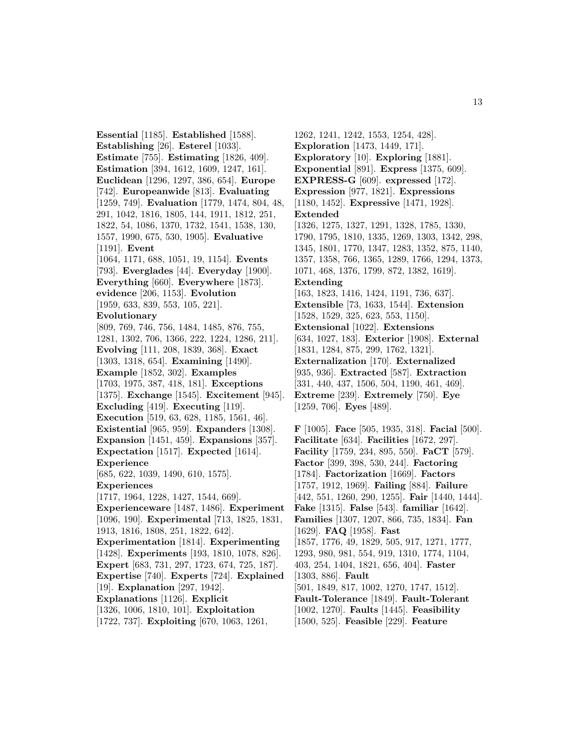**Essential** [1185]. **Established** [1588]. **Establishing** [26]. **Esterel** [1033]. **Estimate** [755]. **Estimating** [1826, 409]. **Estimation** [394, 1612, 1609, 1247, 161]. **Euclidean** [1296, 1297, 386, 654]. **Europe** [742]. **Europeanwide** [813]. **Evaluating** [1259, 749]. **Evaluation** [1779, 1474, 804, 48, 291, 1042, 1816, 1805, 144, 1911, 1812, 251, 1822, 54, 1086, 1370, 1732, 1541, 1538, 130, 1557, 1990, 675, 530, 1905]. **Evaluative** [1191]. **Event** [1064, 1171, 688, 1051, 19, 1154]. **Events** [793]. **Everglades** [44]. **Everyday** [1900]. **Everything** [660]. **Everywhere** [1873]. **evidence** [206, 1153]. **Evolution** [1959, 633, 839, 553, 105, 221]. **Evolutionary** [809, 769, 746, 756, 1484, 1485, 876, 755, 1281, 1302, 706, 1366, 222, 1224, 1286, 211]. **Evolving** [111, 208, 1839, 368]. **Exact** [1303, 1318, 654]. **Examining** [1490]. **Example** [1852, 302]. **Examples** [1703, 1975, 387, 418, 181]. **Exceptions** [1375]. **Exchange** [1545]. **Excitement** [945]. **Excluding** [419]. **Executing** [119]. **Execution** [519, 63, 628, 1185, 1561, 46]. **Existential** [965, 959]. **Expanders** [1308]. **Expansion** [1451, 459]. **Expansions** [357]. **Expectation** [1517]. **Expected** [1614]. **Experience** [685, 622, 1039, 1490, 610, 1575]. **Experiences** [1717, 1964, 1228, 1427, 1544, 669]. **Experienceware** [1487, 1486]. **Experiment** [1096, 190]. **Experimental** [713, 1825, 1831, 1913, 1816, 1808, 251, 1822, 642]. **Experimentation** [1814]. **Experimenting** [1428]. **Experiments** [193, 1810, 1078, 826]. **Expert** [683, 731, 297, 1723, 674, 725, 187]. **Expertise** [740]. **Experts** [724]. **Explained** [19]. **Explanation** [297, 1942]. **Explanations** [1126]. **Explicit** [1326, 1006, 1810, 101]. **Exploitation** [1722, 737]. **Exploiting** [670, 1063, 1261,

1262, 1241, 1242, 1553, 1254, 428]. **Exploration** [1473, 1449, 171]. **Exploratory** [10]. **Exploring** [1881]. **Exponential** [891]. **Express** [1375, 609]. **EXPRESS-G** [609]. **expressed** [172]. **Expression** [977, 1821]. **Expressions** [1180, 1452]. **Expressive** [1471, 1928]. **Extended** [1326, 1275, 1327, 1291, 1328, 1785, 1330, 1790, 1795, 1810, 1335, 1269, 1303, 1342, 298, 1345, 1801, 1770, 1347, 1283, 1352, 875, 1140, 1357, 1358, 766, 1365, 1289, 1766, 1294, 1373, 1071, 468, 1376, 1799, 872, 1382, 1619]. **Extending** [163, 1823, 1416, 1424, 1191, 736, 637]. **Extensible** [73, 1633, 1544]. **Extension** [1528, 1529, 325, 623, 553, 1150]. **Extensional** [1022]. **Extensions** [634, 1027, 183]. **Exterior** [1908]. **External** [1831, 1284, 875, 299, 1762, 1321]. **Externalization** [170]. **Externalized** [935, 936]. **Extracted** [587]. **Extraction** [331, 440, 437, 1506, 504, 1190, 461, 469]. **Extreme** [239]. **Extremely** [750]. **Eye** [1259, 706]. **Eyes** [489].

**F** [1005]. **Face** [505, 1935, 318]. **Facial** [500]. **Facilitate** [634]. **Facilities** [1672, 297]. **Facility** [1759, 234, 895, 550]. **FaCT** [579]. **Factor** [399, 398, 530, 244]. **Factoring** [1784]. **Factorization** [1669]. **Factors** [1757, 1912, 1969]. **Failing** [884]. **Failure** [442, 551, 1260, 290, 1255]. **Fair** [1440, 1444]. **Fake** [1315]. **False** [543]. **familiar** [1642]. **Families** [1307, 1207, 866, 735, 1834]. **Fan** [1629]. **FAQ** [1958]. **Fast** [1857, 1776, 49, 1829, 505, 917, 1271, 1777, 1293, 980, 981, 554, 919, 1310, 1774, 1104, 403, 254, 1404, 1821, 656, 404]. **Faster** [1303, 886]. **Fault** [501, 1849, 817, 1002, 1270, 1747, 1512]. **Fault-Tolerance** [1849]. **Fault-Tolerant** [1002, 1270]. **Faults** [1445]. **Feasibility** [1500, 525]. **Feasible** [229]. **Feature**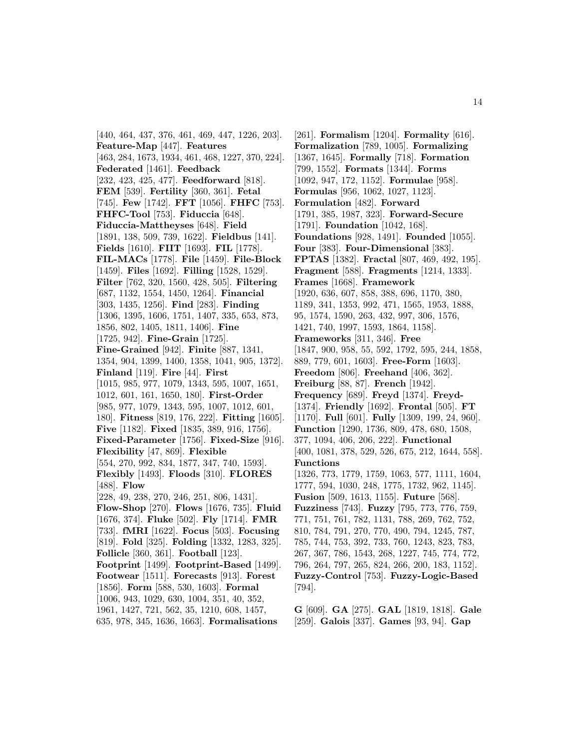[440, 464, 437, 376, 461, 469, 447, 1226, 203]. **Feature-Map** [447]. **Features** [463, 284, 1673, 1934, 461, 468, 1227, 370, 224]. **Federated** [1461]. **Feedback** [232, 423, 425, 477]. **Feedforward** [818]. **FEM** [539]. **Fertility** [360, 361]. **Fetal** [745]. **Few** [1742]. **FFT** [1056]. **FHFC** [753]. **FHFC-Tool** [753]. **Fiduccia** [648]. **Fiduccia-Mattheyses** [648]. **Field** [1891, 138, 509, 739, 1622]. **Fieldbus** [141]. **Fields** [1610]. **FIIT** [1693]. **FIL** [1778]. **FIL-MACs** [1778]. **File** [1459]. **File-Block** [1459]. **Files** [1692]. **Filling** [1528, 1529]. **Filter** [762, 320, 1560, 428, 505]. **Filtering** [687, 1132, 1554, 1450, 1264]. **Financial** [303, 1435, 1256]. **Find** [283]. **Finding** [1306, 1395, 1606, 1751, 1407, 335, 653, 873, 1856, 802, 1405, 1811, 1406]. **Fine** [1725, 942]. **Fine-Grain** [1725]. **Fine-Grained** [942]. **Finite** [887, 1341, 1354, 904, 1399, 1400, 1358, 1041, 905, 1372]. **Finland** [119]. **Fire** [44]. **First** [1015, 985, 977, 1079, 1343, 595, 1007, 1651, 1012, 601, 161, 1650, 180]. **First-Order** [985, 977, 1079, 1343, 595, 1007, 1012, 601, 180]. **Fitness** [819, 176, 222]. **Fitting** [1605]. **Five** [1182]. **Fixed** [1835, 389, 916, 1756]. **Fixed-Parameter** [1756]. **Fixed-Size** [916]. **Flexibility** [47, 869]. **Flexible** [554, 270, 992, 834, 1877, 347, 740, 1593]. **Flexibly** [1493]. **Floods** [310]. **FLORES** [488]. **Flow** [228, 49, 238, 270, 246, 251, 806, 1431]. **Flow-Shop** [270]. **Flows** [1676, 735]. **Fluid** [1676, 374]. **Fluke** [502]. **Fly** [1714]. **FMR** [733]. **fMRI** [1622]. **Focus** [503]. **Focusing** [819]. **Fold** [325]. **Folding** [1332, 1283, 325]. **Follicle** [360, 361]. **Football** [123]. **Footprint** [1499]. **Footprint-Based** [1499]. **Footwear** [1511]. **Forecasts** [913]. **Forest** [1856]. **Form** [588, 530, 1603]. **Formal** [1006, 943, 1029, 630, 1004, 351, 40, 352, 1961, 1427, 721, 562, 35, 1210, 608, 1457, 635, 978, 345, 1636, 1663]. **Formalisations**

[261]. **Formalism** [1204]. **Formality** [616]. **Formalization** [789, 1005]. **Formalizing** [1367, 1645]. **Formally** [718]. **Formation** [799, 1552]. **Formats** [1344]. **Forms** [1092, 947, 172, 1152]. **Formulae** [958]. **Formulas** [956, 1062, 1027, 1123]. **Formulation** [482]. **Forward** [1791, 385, 1987, 323]. **Forward-Secure** [1791]. **Foundation** [1042, 168]. **Foundations** [928, 1491]. **Founded** [1055]. **Four** [383]. **Four-Dimensional** [383]. **FPTAS** [1382]. **Fractal** [807, 469, 492, 195]. **Fragment** [588]. **Fragments** [1214, 1333]. **Frames** [1668]. **Framework** [1920, 636, 607, 858, 388, 696, 1170, 380, 1189, 341, 1353, 992, 471, 1565, 1953, 1888, 95, 1574, 1590, 263, 432, 997, 306, 1576, 1421, 740, 1997, 1593, 1864, 1158]. **Frameworks** [311, 346]. **Free** [1847, 900, 958, 55, 592, 1792, 595, 244, 1858, 889, 779, 601, 1603]. **Free-Form** [1603]. **Freedom** [806]. **Freehand** [406, 362]. **Freiburg** [88, 87]. **French** [1942]. **Frequency** [689]. **Freyd** [1374]. **Freyd-** [1374]. **Friendly** [1692]. **Frontal** [505]. **FT** [1170]. **Full** [601]. **Fully** [1309, 199, 24, 960]. **Function** [1290, 1736, 809, 478, 680, 1508, 377, 1094, 406, 206, 222]. **Functional** [400, 1081, 378, 529, 526, 675, 212, 1644, 558]. **Functions** [1326, 773, 1779, 1759, 1063, 577, 1111, 1604, 1777, 594, 1030, 248, 1775, 1732, 962, 1145]. **Fusion** [509, 1613, 1155]. **Future** [568]. **Fuzziness** [743]. **Fuzzy** [795, 773, 776, 759, 771, 751, 761, 782, 1131, 788, 269, 762, 752, 810, 784, 791, 270, 770, 490, 794, 1245, 787, 785, 744, 753, 392, 733, 760, 1243, 823, 783, 267, 367, 786, 1543, 268, 1227, 745, 774, 772, 796, 264, 797, 265, 824, 266, 200, 183, 1152]. **Fuzzy-Control** [753]. **Fuzzy-Logic-Based** [794].

**G** [609]. **GA** [275]. **GAL** [1819, 1818]. **Gale** [259]. **Galois** [337]. **Games** [93, 94]. **Gap**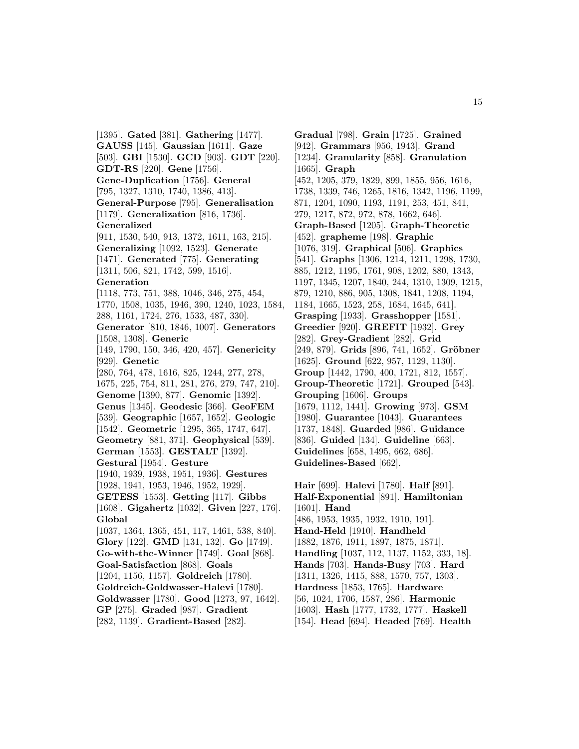[1395]. **Gated** [381]. **Gathering** [1477]. **GAUSS** [145]. **Gaussian** [1611]. **Gaze** [503]. **GBI** [1530]. **GCD** [903]. **GDT** [220]. **GDT-RS** [220]. **Gene** [1756]. **Gene-Duplication** [1756]. **General** [795, 1327, 1310, 1740, 1386, 413]. **General-Purpose** [795]. **Generalisation** [1179]. **Generalization** [816, 1736]. **Generalized** [911, 1530, 540, 913, 1372, 1611, 163, 215]. **Generalizing** [1092, 1523]. **Generate** [1471]. **Generated** [775]. **Generating** [1311, 506, 821, 1742, 599, 1516]. **Generation** [1118, 773, 751, 388, 1046, 346, 275, 454, 1770, 1508, 1035, 1946, 390, 1240, 1023, 1584, 288, 1161, 1724, 276, 1533, 487, 330]. **Generator** [810, 1846, 1007]. **Generators** [1508, 1308]. **Generic** [149, 1790, 150, 346, 420, 457]. **Genericity** [929]. **Genetic** [280, 764, 478, 1616, 825, 1244, 277, 278, 1675, 225, 754, 811, 281, 276, 279, 747, 210]. **Genome** [1390, 877]. **Genomic** [1392]. **Genus** [1345]. **Geodesic** [366]. **GeoFEM** [539]. **Geographic** [1657, 1652]. **Geologic** [1542]. **Geometric** [1295, 365, 1747, 647]. **Geometry** [881, 371]. **Geophysical** [539]. **German** [1553]. **GESTALT** [1392]. **Gestural** [1954]. **Gesture** [1940, 1939, 1938, 1951, 1936]. **Gestures** [1928, 1941, 1953, 1946, 1952, 1929]. **GETESS** [1553]. **Getting** [117]. **Gibbs** [1608]. **Gigahertz** [1032]. **Given** [227, 176]. **Global** [1037, 1364, 1365, 451, 117, 1461, 538, 840]. **Glory** [122]. **GMD** [131, 132]. **Go** [1749]. **Go-with-the-Winner** [1749]. **Goal** [868]. **Goal-Satisfaction** [868]. **Goals** [1204, 1156, 1157]. **Goldreich** [1780]. **Goldreich-Goldwasser-Halevi** [1780]. **Goldwasser** [1780]. **Good** [1273, 97, 1642]. **GP** [275]. **Graded** [987]. **Gradient** [282, 1139]. **Gradient-Based** [282].

**Gradual** [798]. **Grain** [1725]. **Grained** [942]. **Grammars** [956, 1943]. **Grand** [1234]. **Granularity** [858]. **Granulation** [1665]. **Graph** [452, 1205, 379, 1829, 899, 1855, 956, 1616, 1738, 1339, 746, 1265, 1816, 1342, 1196, 1199, 871, 1204, 1090, 1193, 1191, 253, 451, 841, 279, 1217, 872, 972, 878, 1662, 646]. **Graph-Based** [1205]. **Graph-Theoretic** [452]. **grapheme** [198]. **Graphic** [1076, 319]. **Graphical** [506]. **Graphics** [541]. **Graphs** [1306, 1214, 1211, 1298, 1730, 885, 1212, 1195, 1761, 908, 1202, 880, 1343, 1197, 1345, 1207, 1840, 244, 1310, 1309, 1215, 879, 1210, 886, 905, 1308, 1841, 1208, 1194, 1184, 1665, 1523, 258, 1684, 1645, 641]. **Grasping** [1933]. **Grasshopper** [1581]. **Greedier** [920]. **GREFIT** [1932]. **Grey** [282]. **Grey-Gradient** [282]. **Grid** [249, 879]. **Grids** [896, 741, 1652]. **Gröbner** [1625]. **Ground** [622, 957, 1129, 1130]. **Group** [1442, 1790, 400, 1721, 812, 1557]. **Group-Theoretic** [1721]. **Grouped** [543]. **Grouping** [1606]. **Groups** [1679, 1112, 1441]. **Growing** [973]. **GSM** [1980]. **Guarantee** [1043]. **Guarantees** [1737, 1848]. **Guarded** [986]. **Guidance** [836]. **Guided** [134]. **Guideline** [663]. **Guidelines** [658, 1495, 662, 686]. **Guidelines-Based** [662].

**Hair** [699]. **Halevi** [1780]. **Half** [891]. **Half-Exponential** [891]. **Hamiltonian** [1601]. **Hand** [486, 1953, 1935, 1932, 1910, 191]. **Hand-Held** [1910]. **Handheld** [1882, 1876, 1911, 1897, 1875, 1871]. **Handling** [1037, 112, 1137, 1152, 333, 18]. **Hands** [703]. **Hands-Busy** [703]. **Hard** [1311, 1326, 1415, 888, 1570, 757, 1303]. **Hardness** [1853, 1765]. **Hardware** [56, 1024, 1706, 1587, 286]. **Harmonic** [1603]. **Hash** [1777, 1732, 1777]. **Haskell** [154]. **Head** [694]. **Headed** [769]. **Health**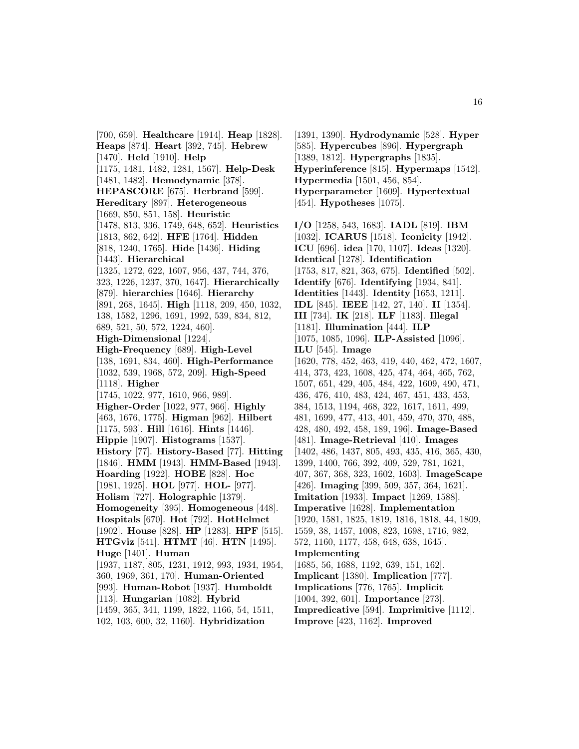[700, 659]. **Healthcare** [1914]. **Heap** [1828]. **Heaps** [874]. **Heart** [392, 745]. **Hebrew** [1470]. **Held** [1910]. **Help** [1175, 1481, 1482, 1281, 1567]. **Help-Desk** [1481, 1482]. **Hemodynamic** [378]. **HEPASCORE** [675]. **Herbrand** [599]. **Hereditary** [897]. **Heterogeneous** [1669, 850, 851, 158]. **Heuristic** [1478, 813, 336, 1749, 648, 652]. **Heuristics** [1813, 862, 642]. **HFE** [1764]. **Hidden** [818, 1240, 1765]. **Hide** [1436]. **Hiding** [1443]. **Hierarchical** [1325, 1272, 622, 1607, 956, 437, 744, 376, 323, 1226, 1237, 370, 1647]. **Hierarchically** [879]. **hierarchies** [1646]. **Hierarchy** [891, 268, 1645]. **High** [1118, 209, 450, 1032, 138, 1582, 1296, 1691, 1992, 539, 834, 812, 689, 521, 50, 572, 1224, 460]. **High-Dimensional** [1224]. **High-Frequency** [689]. **High-Level** [138, 1691, 834, 460]. **High-Performance** [1032, 539, 1968, 572, 209]. **High-Speed** [1118]. **Higher** [1745, 1022, 977, 1610, 966, 989]. **Higher-Order** [1022, 977, 966]. **Highly** [463, 1676, 1775]. **Higman** [962]. **Hilbert** [1175, 593]. **Hill** [1616]. **Hints** [1446]. **Hippie** [1907]. **Histograms** [1537]. **History** [77]. **History-Based** [77]. **Hitting** [1846]. **HMM** [1943]. **HMM-Based** [1943]. **Hoarding** [1922]. **HOBE** [828]. **Hoc** [1981, 1925]. **HOL** [977]. **HOL-** [977]. **Holism** [727]. **Holographic** [1379]. **Homogeneity** [395]. **Homogeneous** [448]. **Hospitals** [670]. **Hot** [792]. **HotHelmet** [1902]. **House** [828]. **HP** [1283]. **HPF** [515]. **HTGviz** [541]. **HTMT** [46]. **HTN** [1495]. **Huge** [1401]. **Human** [1937, 1187, 805, 1231, 1912, 993, 1934, 1954, 360, 1969, 361, 170]. **Human-Oriented** [993]. **Human-Robot** [1937]. **Humboldt** [113]. **Hungarian** [1082]. **Hybrid** [1459, 365, 341, 1199, 1822, 1166, 54, 1511,

102, 103, 600, 32, 1160]. **Hybridization**

[1391, 1390]. **Hydrodynamic** [528]. **Hyper** [585]. **Hypercubes** [896]. **Hypergraph** [1389, 1812]. **Hypergraphs** [1835]. **Hyperinference** [815]. **Hypermaps** [1542]. **Hypermedia** [1501, 456, 854]. **Hyperparameter** [1609]. **Hypertextual** [454]. **Hypotheses** [1075].

**I/O** [1258, 543, 1683]. **IADL** [819]. **IBM** [1032]. **ICARUS** [1518]. **Iconicity** [1942]. **ICU** [696]. **idea** [170, 1107]. **Ideas** [1320]. **Identical** [1278]. **Identification** [1753, 817, 821, 363, 675]. **Identified** [502]. **Identify** [676]. **Identifying** [1934, 841]. **Identities** [1443]. **Identity** [1653, 1211]. **IDL** [845]. **IEEE** [142, 27, 140]. **II** [1354]. **III** [734]. **IK** [218]. **ILF** [1183]. **Illegal** [1181]. **Illumination** [444]. **ILP** [1075, 1085, 1096]. **ILP-Assisted** [1096]. **ILU** [545]. **Image** [1620, 778, 452, 463, 419, 440, 462, 472, 1607, 414, 373, 423, 1608, 425, 474, 464, 465, 762, 1507, 651, 429, 405, 484, 422, 1609, 490, 471, 436, 476, 410, 483, 424, 467, 451, 433, 453, 384, 1513, 1194, 468, 322, 1617, 1611, 499, 481, 1699, 477, 413, 401, 459, 470, 370, 488, 428, 480, 492, 458, 189, 196]. **Image-Based** [481]. **Image-Retrieval** [410]. **Images** [1402, 486, 1437, 805, 493, 435, 416, 365, 430, 1399, 1400, 766, 392, 409, 529, 781, 1621, 407, 367, 368, 323, 1602, 1603]. **ImageScape** [426]. **Imaging** [399, 509, 357, 364, 1621]. **Imitation** [1933]. **Impact** [1269, 1588]. **Imperative** [1628]. **Implementation** [1920, 1581, 1825, 1819, 1816, 1818, 44, 1809, 1559, 38, 1457, 1008, 823, 1698, 1716, 982, 572, 1160, 1177, 458, 648, 638, 1645]. **Implementing** [1685, 56, 1688, 1192, 639, 151, 162]. **Implicant** [1380]. **Implication** [777]. **Implications** [776, 1765]. **Implicit** [1004, 392, 601]. **Importance** [273]. **Impredicative** [594]. **Imprimitive** [1112].

**Improve** [423, 1162]. **Improved**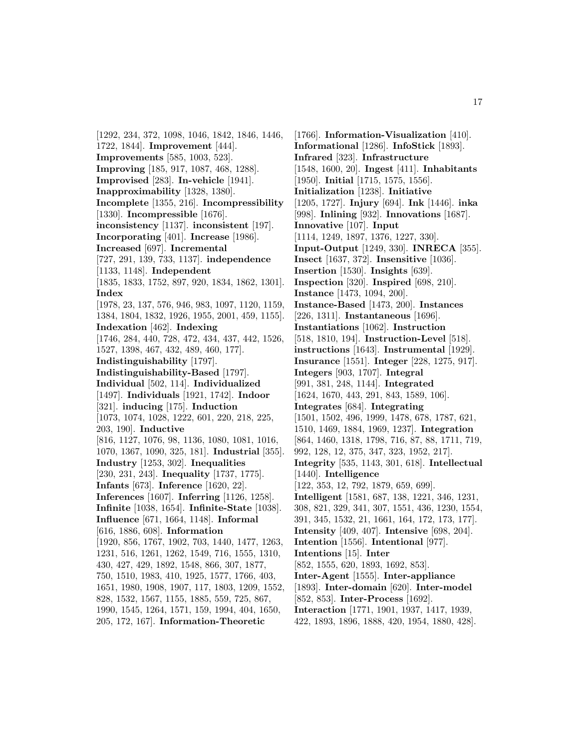[1292, 234, 372, 1098, 1046, 1842, 1846, 1446, 1722, 1844]. **Improvement** [444]. **Improvements** [585, 1003, 523]. **Improving** [185, 917, 1087, 468, 1288]. **Improvised** [283]. **In-vehicle** [1941]. **Inapproximability** [1328, 1380]. **Incomplete** [1355, 216]. **Incompressibility** [1330]. **Incompressible** [1676]. **inconsistency** [1137]. **inconsistent** [197]. **Incorporating** [401]. **Increase** [1986]. **Increased** [697]. **Incremental** [727, 291, 139, 733, 1137]. **independence** [1133, 1148]. **Independent** [1835, 1833, 1752, 897, 920, 1834, 1862, 1301]. **Index** [1978, 23, 137, 576, 946, 983, 1097, 1120, 1159, 1384, 1804, 1832, 1926, 1955, 2001, 459, 1155]. **Indexation** [462]. **Indexing** [1746, 284, 440, 728, 472, 434, 437, 442, 1526, 1527, 1398, 467, 432, 489, 460, 177]. **Indistinguishability** [1797]. **Indistinguishability-Based** [1797]. **Individual** [502, 114]. **Individualized** [1497]. **Individuals** [1921, 1742]. **Indoor** [321]. **inducing** [175]. **Induction** [1073, 1074, 1028, 1222, 601, 220, 218, 225, 203, 190]. **Inductive** [816, 1127, 1076, 98, 1136, 1080, 1081, 1016, 1070, 1367, 1090, 325, 181]. **Industrial** [355]. **Industry** [1253, 302]. **Inequalities** [230, 231, 243]. **Inequality** [1737, 1775]. **Infants** [673]. **Inference** [1620, 22]. **Inferences** [1607]. **Inferring** [1126, 1258]. **Infinite** [1038, 1654]. **Infinite-State** [1038]. **Influence** [671, 1664, 1148]. **Informal** [616, 1886, 608]. **Information** [1920, 856, 1767, 1902, 703, 1440, 1477, 1263, 1231, 516, 1261, 1262, 1549, 716, 1555, 1310, 430, 427, 429, 1892, 1548, 866, 307, 1877, 750, 1510, 1983, 410, 1925, 1577, 1766, 403, 1651, 1980, 1908, 1907, 117, 1803, 1209, 1552, 828, 1532, 1567, 1155, 1885, 559, 725, 867, 1990, 1545, 1264, 1571, 159, 1994, 404, 1650, 205, 172, 167]. **Information-Theoretic**

[1766]. **Information-Visualization** [410]. **Informational** [1286]. **InfoStick** [1893]. **Infrared** [323]. **Infrastructure** [1548, 1600, 20]. **Ingest** [411]. **Inhabitants** [1950]. **Initial** [1715, 1575, 1556]. **Initialization** [1238]. **Initiative** [1205, 1727]. **Injury** [694]. **Ink** [1446]. **inka** [998]. **Inlining** [932]. **Innovations** [1687]. **Innovative** [107]. **Input** [1114, 1249, 1897, 1376, 1227, 330]. **Input-Output** [1249, 330]. **INRECA** [355]. **Insect** [1637, 372]. **Insensitive** [1036]. **Insertion** [1530]. **Insights** [639]. **Inspection** [320]. **Inspired** [698, 210]. **Instance** [1473, 1094, 200]. **Instance-Based** [1473, 200]. **Instances** [226, 1311]. **Instantaneous** [1696]. **Instantiations** [1062]. **Instruction** [518, 1810, 194]. **Instruction-Level** [518]. **instructions** [1643]. **Instrumental** [1929]. **Insurance** [1551]. **Integer** [228, 1275, 917]. **Integers** [903, 1707]. **Integral** [991, 381, 248, 1144]. **Integrated** [1624, 1670, 443, 291, 843, 1589, 106]. **Integrates** [684]. **Integrating** [1501, 1502, 496, 1999, 1478, 678, 1787, 621, 1510, 1469, 1884, 1969, 1237]. **Integration** [864, 1460, 1318, 1798, 716, 87, 88, 1711, 719, 992, 128, 12, 375, 347, 323, 1952, 217]. **Integrity** [535, 1143, 301, 618]. **Intellectual** [1440]. **Intelligence** [122, 353, 12, 792, 1879, 659, 699]. **Intelligent** [1581, 687, 138, 1221, 346, 1231, 308, 821, 329, 341, 307, 1551, 436, 1230, 1554, 391, 345, 1532, 21, 1661, 164, 172, 173, 177]. **Intensity** [409, 407]. **Intensive** [698, 204]. **Intention** [1556]. **Intentional** [977]. **Intentions** [15]. **Inter** [852, 1555, 620, 1893, 1692, 853]. **Inter-Agent** [1555]. **Inter-appliance** [1893]. **Inter-domain** [620]. **Inter-model** [852, 853]. **Inter-Process** [1692]. **Interaction** [1771, 1901, 1937, 1417, 1939, 422, 1893, 1896, 1888, 420, 1954, 1880, 428].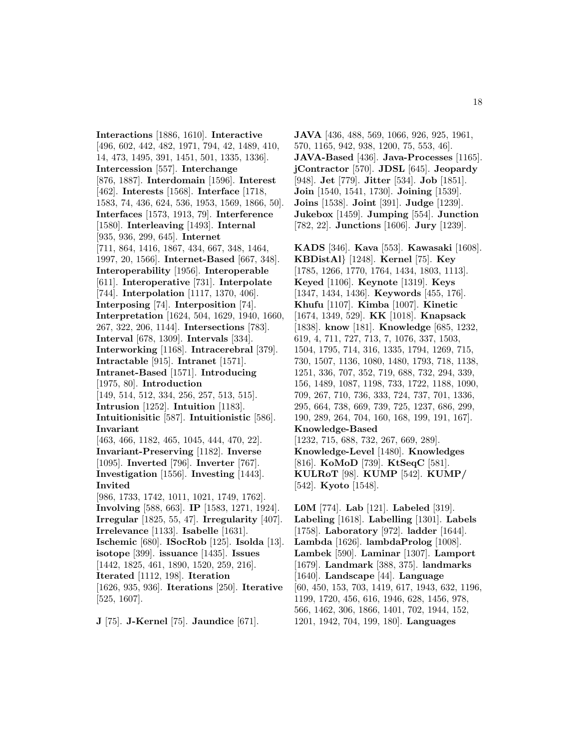**Interactions** [1886, 1610]. **Interactive** [496, 602, 442, 482, 1971, 794, 42, 1489, 410, 14, 473, 1495, 391, 1451, 501, 1335, 1336]. **Intercession** [557]. **Interchange** [876, 1887]. **Interdomain** [1596]. **Interest** [462]. **Interests** [1568]. **Interface** [1718, 1583, 74, 436, 624, 536, 1953, 1569, 1866, 50]. **Interfaces** [1573, 1913, 79]. **Interference** [1580]. **Interleaving** [1493]. **Internal** [935, 936, 299, 645]. **Internet** [711, 864, 1416, 1867, 434, 667, 348, 1464, 1997, 20, 1566]. **Internet-Based** [667, 348]. **Interoperability** [1956]. **Interoperable** [611]. **Interoperative** [731]. **Interpolate** [744]. **Interpolation** [1117, 1370, 406]. **Interposing** [74]. **Interposition** [74]. **Interpretation** [1624, 504, 1629, 1940, 1660, 267, 322, 206, 1144]. **Intersections** [783]. **Interval** [678, 1309]. **Intervals** [334]. **Interworking** [1168]. **Intracerebral** [379]. **Intractable** [915]. **Intranet** [1571]. **Intranet-Based** [1571]. **Introducing** [1975, 80]. **Introduction** [149, 514, 512, 334, 256, 257, 513, 515]. **Intrusion** [1252]. **Intuition** [1183]. **Intuitionisitic** [587]. **Intuitionistic** [586]. **Invariant** [463, 466, 1182, 465, 1045, 444, 470, 22]. **Invariant-Preserving** [1182]. **Inverse** [1095]. **Inverted** [796]. **Inverter** [767]. **Investigation** [1556]. **Investing** [1443]. **Invited** [986, 1733, 1742, 1011, 1021, 1749, 1762]. **Involving** [588, 663]. **IP** [1583, 1271, 1924]. **Irregular** [1825, 55, 47]. **Irregularity** [407]. **Irrelevance** [1133]. **Isabelle** [1631]. **Ischemic** [680]. **ISocRob** [125]. **Isolda** [13]. **isotope** [399]. **issuance** [1435]. **Issues** [1442, 1825, 461, 1890, 1520, 259, 216]. **Iterated** [1112, 198]. **Iteration** [1626, 935, 936]. **Iterations** [250]. **Iterative** [525, 1607].

**J** [75]. **J-Kernel** [75]. **Jaundice** [671].

**JAVA** [436, 488, 569, 1066, 926, 925, 1961, 570, 1165, 942, 938, 1200, 75, 553, 46]. **JAVA-Based** [436]. **Java-Processes** [1165]. **jContractor** [570]. **JDSL** [645]. **Jeopardy** [948]. **Jet** [779]. **Jitter** [534]. **Job** [1851]. **Join** [1540, 1541, 1730]. **Joining** [1539]. **Joins** [1538]. **Joint** [391]. **Judge** [1239]. **Jukebox** [1459]. **Jumping** [554]. **Junction** [782, 22]. **Junctions** [1606]. **Jury** [1239].

**KADS** [346]. **Kava** [553]. **Kawasaki** [1608]. **KBDistAl**} [1248]. **Kernel** [75]. **Key** [1785, 1266, 1770, 1764, 1434, 1803, 1113]. **Keyed** [1106]. **Keynote** [1319]. **Keys** [1347, 1434, 1436]. **Keywords** [455, 176]. **Khufu** [1107]. **Kimba** [1007]. **Kinetic** [1674, 1349, 529]. **KK** [1018]. **Knapsack** [1838]. **know** [181]. **Knowledge** [685, 1232, 619, 4, 711, 727, 713, 7, 1076, 337, 1503, 1504, 1795, 714, 316, 1335, 1794, 1269, 715, 730, 1507, 1136, 1080, 1480, 1793, 718, 1138, 1251, 336, 707, 352, 719, 688, 732, 294, 339, 156, 1489, 1087, 1198, 733, 1722, 1188, 1090, 709, 267, 710, 736, 333, 724, 737, 701, 1336, 295, 664, 738, 669, 739, 725, 1237, 686, 299, 190, 289, 264, 704, 160, 168, 199, 191, 167]. **Knowledge-Based** [1232, 715, 688, 732, 267, 669, 289]. **Knowledge-Level** [1480]. **Knowledges** [816]. **KoMoD** [739]. **KtSeqC** [581]. **KULRoT** [98]. **KUMP** [542]. **KUMP/** [542]. **Kyoto** [1548].

**L0M** [774]. **Lab** [121]. **Labeled** [319]. **Labeling** [1618]. **Labelling** [1301]. **Labels** [1758]. **Laboratory** [972]. **ladder** [1644]. **Lambda** [1626]. **lambdaProlog** [1008]. **Lambek** [590]. **Laminar** [1307]. **Lamport** [1679]. **Landmark** [388, 375]. **landmarks** [1640]. **Landscape** [44]. **Language** [60, 450, 153, 703, 1419, 617, 1943, 632, 1196, 1199, 1720, 456, 616, 1946, 628, 1456, 978, 566, 1462, 306, 1866, 1401, 702, 1944, 152, 1201, 1942, 704, 199, 180]. **Languages**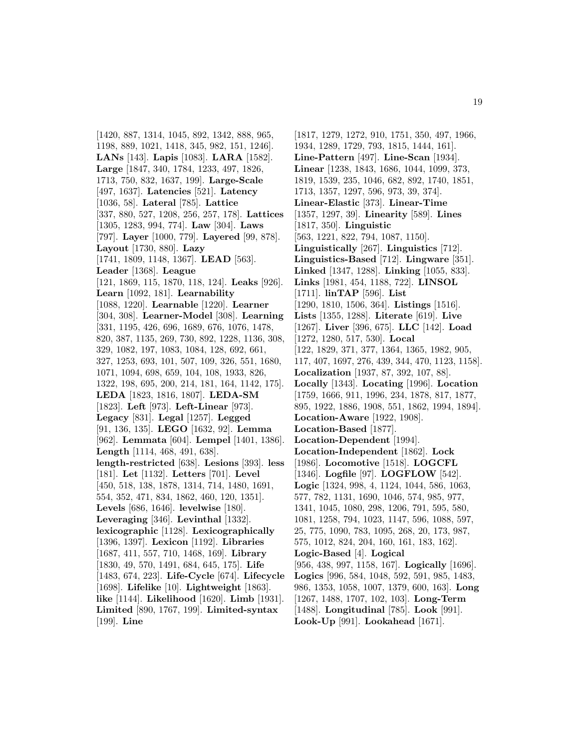[1420, 887, 1314, 1045, 892, 1342, 888, 965, 1198, 889, 1021, 1418, 345, 982, 151, 1246]. **LANs** [143]. **Lapis** [1083]. **LARA** [1582]. **Large** [1847, 340, 1784, 1233, 497, 1826, 1713, 750, 832, 1637, 199]. **Large-Scale** [497, 1637]. **Latencies** [521]. **Latency** [1036, 58]. **Lateral** [785]. **Lattice** [337, 880, 527, 1208, 256, 257, 178]. **Lattices** [1305, 1283, 994, 774]. **Law** [304]. **Laws** [797]. **Layer** [1000, 779]. **Layered** [99, 878]. **Layout** [1730, 880]. **Lazy** [1741, 1809, 1148, 1367]. **LEAD** [563]. **Leader** [1368]. **League** [121, 1869, 115, 1870, 118, 124]. **Leaks** [926]. **Learn** [1092, 181]. **Learnability** [1088, 1220]. **Learnable** [1220]. **Learner** [304, 308]. **Learner-Model** [308]. **Learning** [331, 1195, 426, 696, 1689, 676, 1076, 1478, 820, 387, 1135, 269, 730, 892, 1228, 1136, 308, 329, 1082, 197, 1083, 1084, 128, 692, 661, 327, 1253, 693, 101, 507, 109, 326, 551, 1680, 1071, 1094, 698, 659, 104, 108, 1933, 826, 1322, 198, 695, 200, 214, 181, 164, 1142, 175]. **LEDA** [1823, 1816, 1807]. **LEDA-SM** [1823]. **Left** [973]. **Left-Linear** [973]. **Legacy** [831]. **Legal** [1257]. **Legged** [91, 136, 135]. **LEGO** [1632, 92]. **Lemma** [962]. **Lemmata** [604]. **Lempel** [1401, 1386]. **Length** [1114, 468, 491, 638]. **length-restricted** [638]. **Lesions** [393]. **less** [181]. **Let** [1132]. **Letters** [701]. **Level** [450, 518, 138, 1878, 1314, 714, 1480, 1691, 554, 352, 471, 834, 1862, 460, 120, 1351]. **Levels** [686, 1646]. **levelwise** [180]. **Leveraging** [346]. **Levinthal** [1332]. **lexicographic** [1128]. **Lexicographically** [1396, 1397]. **Lexicon** [1192]. **Libraries** [1687, 411, 557, 710, 1468, 169]. **Library** [1830, 49, 570, 1491, 684, 645, 175]. **Life** [1483, 674, 223]. **Life-Cycle** [674]. **Lifecycle** [1698]. **Lifelike** [10]. **Lightweight** [1863]. **like** [1144]. **Likelihood** [1620]. **Limb** [1931]. **Limited** [890, 1767, 199]. **Limited-syntax** [199]. **Line**

[1817, 1279, 1272, 910, 1751, 350, 497, 1966, 1934, 1289, 1729, 793, 1815, 1444, 161]. **Line-Pattern** [497]. **Line-Scan** [1934]. **Linear** [1238, 1843, 1686, 1044, 1099, 373, 1819, 1539, 235, 1046, 682, 892, 1740, 1851, 1713, 1357, 1297, 596, 973, 39, 374]. **Linear-Elastic** [373]. **Linear-Time** [1357, 1297, 39]. **Linearity** [589]. **Lines** [1817, 350]. **Linguistic** [563, 1221, 822, 794, 1087, 1150]. **Linguistically** [267]. **Linguistics** [712]. **Linguistics-Based** [712]. **Lingware** [351]. **Linked** [1347, 1288]. **Linking** [1055, 833]. **Links** [1981, 454, 1188, 722]. **LINSOL** [1711]. **linTAP** [596]. **List** [1290, 1810, 1506, 364]. **Listings** [1516]. **Lists** [1355, 1288]. **Literate** [619]. **Live** [1267]. **Liver** [396, 675]. **LLC** [142]. **Load** [1272, 1280, 517, 530]. **Local** [122, 1829, 371, 377, 1364, 1365, 1982, 905, 117, 407, 1697, 276, 439, 344, 470, 1123, 1158]. **Localization** [1937, 87, 392, 107, 88]. **Locally** [1343]. **Locating** [1996]. **Location** [1759, 1666, 911, 1996, 234, 1878, 817, 1877, 895, 1922, 1886, 1908, 551, 1862, 1994, 1894]. **Location-Aware** [1922, 1908]. **Location-Based** [1877]. **Location-Dependent** [1994]. **Location-Independent** [1862]. **Lock** [1986]. **Locomotive** [1518]. **LOGCFL** [1346]. **Logfile** [97]. **LOGFLOW** [542]. **Logic** [1324, 998, 4, 1124, 1044, 586, 1063, 577, 782, 1131, 1690, 1046, 574, 985, 977, 1341, 1045, 1080, 298, 1206, 791, 595, 580, 1081, 1258, 794, 1023, 1147, 596, 1088, 597, 25, 775, 1090, 783, 1095, 268, 20, 173, 987, 575, 1012, 824, 204, 160, 161, 183, 162]. **Logic-Based** [4]. **Logical** [956, 438, 997, 1158, 167]. **Logically** [1696]. **Logics** [996, 584, 1048, 592, 591, 985, 1483, 986, 1353, 1058, 1007, 1379, 600, 163]. **Long** [1267, 1488, 1707, 102, 103]. **Long-Term** [1488]. **Longitudinal** [785]. **Look** [991]. **Look-Up** [991]. **Lookahead** [1671].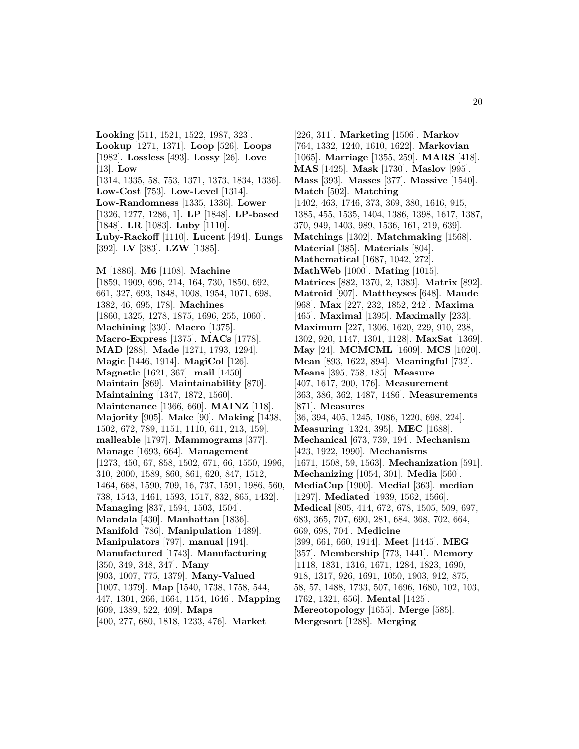**Looking** [511, 1521, 1522, 1987, 323]. **Lookup** [1271, 1371]. **Loop** [526]. **Loops** [1982]. **Lossless** [493]. **Lossy** [26]. **Love** [13]. **Low** [1314, 1335, 58, 753, 1371, 1373, 1834, 1336]. **Low-Cost** [753]. **Low-Level** [1314]. **Low-Randomness** [1335, 1336]. **Lower** [1326, 1277, 1286, 1]. **LP** [1848]. **LP-based** [1848]. **LR** [1083]. **Luby** [1110]. **Luby-Rackoff** [1110]. **Lucent** [494]. **Lungs** [392]. **LV** [383]. **LZW** [1385]. **M** [1886]. **M6** [1108]. **Machine** [1859, 1909, 696, 214, 164, 730, 1850, 692, 661, 327, 693, 1848, 1008, 1954, 1071, 698, 1382, 46, 695, 178]. **Machines** [1860, 1325, 1278, 1875, 1696, 255, 1060]. **Machining** [330]. **Macro** [1375]. **Macro-Express** [1375]. **MACs** [1778]. **MAD** [288]. **Made** [1271, 1793, 1294]. **Magic** [1446, 1914]. **MagiCol** [126]. **Magnetic** [1621, 367]. **mail** [1450]. **Maintain** [869]. **Maintainability** [870]. **Maintaining** [1347, 1872, 1560]. **Maintenance** [1366, 660]. **MAINZ** [118]. **Majority** [905]. **Make** [90]. **Making** [1438, 1502, 672, 789, 1151, 1110, 611, 213, 159]. **malleable** [1797]. **Mammograms** [377]. **Manage** [1693, 664]. **Management** [1273, 450, 67, 858, 1502, 671, 66, 1550, 1996, 310, 2000, 1589, 860, 861, 620, 847, 1512, 1464, 668, 1590, 709, 16, 737, 1591, 1986, 560, 738, 1543, 1461, 1593, 1517, 832, 865, 1432]. **Managing** [837, 1594, 1503, 1504]. **Mandala** [430]. **Manhattan** [1836]. **Manifold** [786]. **Manipulation** [1489]. **Manipulators** [797]. **manual** [194]. **Manufactured** [1743]. **Manufacturing** [350, 349, 348, 347]. **Many** [903, 1007, 775, 1379]. **Many-Valued** [1007, 1379]. **Map** [1540, 1738, 1758, 544, 447, 1301, 266, 1664, 1154, 1646]. **Mapping** [609, 1389, 522, 409]. **Maps** [400, 277, 680, 1818, 1233, 476]. **Market**

[226, 311]. **Marketing** [1506]. **Markov** [764, 1332, 1240, 1610, 1622]. **Markovian** [1065]. **Marriage** [1355, 259]. **MARS** [418]. **MAS** [1425]. **Mask** [1730]. **Maslov** [995]. **Mass** [393]. **Masses** [377]. **Massive** [1540]. **Match** [502]. **Matching** [1402, 463, 1746, 373, 369, 380, 1616, 915, 1385, 455, 1535, 1404, 1386, 1398, 1617, 1387, 370, 949, 1403, 989, 1536, 161, 219, 639]. **Matchings** [1302]. **Matchmaking** [1568]. **Material** [385]. **Materials** [804]. **Mathematical** [1687, 1042, 272]. **MathWeb** [1000]. **Mating** [1015]. **Matrices** [882, 1370, 2, 1383]. **Matrix** [892]. **Matroid** [907]. **Mattheyses** [648]. **Maude** [968]. **Max** [227, 232, 1852, 242]. **Maxima** [465]. **Maximal** [1395]. **Maximally** [233]. **Maximum** [227, 1306, 1620, 229, 910, 238, 1302, 920, 1147, 1301, 1128]. **MaxSat** [1369]. **May** [24]. **MCMCML** [1609]. **MCS** [1020]. **Mean** [893, 1622, 894]. **Meaningful** [732]. **Means** [395, 758, 185]. **Measure** [407, 1617, 200, 176]. **Measurement** [363, 386, 362, 1487, 1486]. **Measurements** [871]. **Measures** [36, 394, 405, 1245, 1086, 1220, 698, 224]. **Measuring** [1324, 395]. **MEC** [1688]. **Mechanical** [673, 739, 194]. **Mechanism** [423, 1922, 1990]. **Mechanisms** [1671, 1508, 59, 1563]. **Mechanization** [591]. **Mechanizing** [1054, 301]. **Media** [560]. **MediaCup** [1900]. **Medial** [363]. **median** [1297]. **Mediated** [1939, 1562, 1566]. **Medical** [805, 414, 672, 678, 1505, 509, 697, 683, 365, 707, 690, 281, 684, 368, 702, 664, 669, 698, 704]. **Medicine** [399, 661, 660, 1914]. **Meet** [1445]. **MEG** [357]. **Membership** [773, 1441]. **Memory** [1118, 1831, 1316, 1671, 1284, 1823, 1690, 918, 1317, 926, 1691, 1050, 1903, 912, 875, 58, 57, 1488, 1733, 507, 1696, 1680, 102, 103, 1762, 1321, 656]. **Mental** [1425]. **Mereotopology** [1655]. **Merge** [585]. **Mergesort** [1288]. **Merging**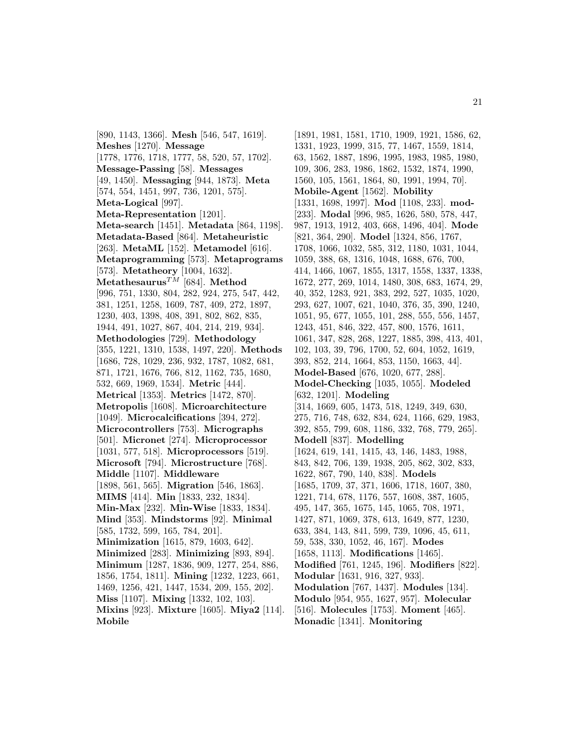[890, 1143, 1366]. **Mesh** [546, 547, 1619]. **Meshes** [1270]. **Message** [1778, 1776, 1718, 1777, 58, 520, 57, 1702]. **Message-Passing** [58]. **Messages** [49, 1450]. **Messaging** [944, 1873]. **Meta** [574, 554, 1451, 997, 736, 1201, 575]. **Meta-Logical** [997]. **Meta-Representation** [1201]. **Meta-search** [1451]. **Metadata** [864, 1198]. **Metadata-Based** [864]. **Metaheuristic** [263]. **MetaML** [152]. **Metamodel** [616]. **Metaprogramming** [573]. **Metaprograms** [573]. **Metatheory** [1004, 1632]. **Metathesaurus**TM [684]. **Method** [996, 751, 1330, 804, 282, 924, 275, 547, 442, 381, 1251, 1258, 1609, 787, 409, 272, 1897, 1230, 403, 1398, 408, 391, 802, 862, 835, 1944, 491, 1027, 867, 404, 214, 219, 934]. **Methodologies** [729]. **Methodology** [355, 1221, 1310, 1538, 1497, 220]. **Methods** [1686, 728, 1029, 236, 932, 1787, 1082, 681, 871, 1721, 1676, 766, 812, 1162, 735, 1680, 532, 669, 1969, 1534]. **Metric** [444]. **Metrical** [1353]. **Metrics** [1472, 870]. **Metropolis** [1608]. **Microarchitecture** [1049]. **Microcalcifications** [394, 272]. **Microcontrollers** [753]. **Micrographs** [501]. **Micronet** [274]. **Microprocessor** [1031, 577, 518]. **Microprocessors** [519]. **Microsoft** [794]. **Microstructure** [768]. **Middle** [1107]. **Middleware** [1898, 561, 565]. **Migration** [546, 1863]. **MIMS** [414]. **Min** [1833, 232, 1834]. **Min-Max** [232]. **Min-Wise** [1833, 1834]. **Mind** [353]. **Mindstorms** [92]. **Minimal** [585, 1732, 599, 165, 784, 201]. **Minimization** [1615, 879, 1603, 642]. **Minimized** [283]. **Minimizing** [893, 894]. **Minimum** [1287, 1836, 909, 1277, 254, 886, 1856, 1754, 1811]. **Mining** [1232, 1223, 661, 1469, 1256, 421, 1447, 1534, 209, 155, 202]. **Miss** [1107]. **Mixing** [1332, 102, 103]. **Mixins** [923]. **Mixture** [1605]. **Miya2** [114]. **Mobile**

[1891, 1981, 1581, 1710, 1909, 1921, 1586, 62, 1331, 1923, 1999, 315, 77, 1467, 1559, 1814, 63, 1562, 1887, 1896, 1995, 1983, 1985, 1980, 109, 306, 283, 1986, 1862, 1532, 1874, 1990, 1560, 105, 1561, 1864, 80, 1991, 1994, 70]. **Mobile-Agent** [1562]. **Mobility** [1331, 1698, 1997]. **Mod** [1108, 233]. **mod-** [233]. **Modal** [996, 985, 1626, 580, 578, 447, 987, 1913, 1912, 403, 668, 1496, 404]. **Mode** [821, 364, 290]. **Model** [1324, 856, 1767, 1708, 1066, 1032, 585, 312, 1180, 1031, 1044, 1059, 388, 68, 1316, 1048, 1688, 676, 700, 414, 1466, 1067, 1855, 1317, 1558, 1337, 1338, 1672, 277, 269, 1014, 1480, 308, 683, 1674, 29, 40, 352, 1283, 921, 383, 292, 527, 1035, 1020, 293, 627, 1007, 621, 1040, 376, 35, 390, 1240, 1051, 95, 677, 1055, 101, 288, 555, 556, 1457, 1243, 451, 846, 322, 457, 800, 1576, 1611, 1061, 347, 828, 268, 1227, 1885, 398, 413, 401, 102, 103, 39, 796, 1700, 52, 604, 1052, 1619, 393, 852, 214, 1664, 853, 1150, 1663, 44]. **Model-Based** [676, 1020, 677, 288]. **Model-Checking** [1035, 1055]. **Modeled** [632, 1201]. **Modeling** [314, 1669, 605, 1473, 518, 1249, 349, 630, 275, 716, 748, 632, 834, 624, 1166, 629, 1983, 392, 855, 799, 608, 1186, 332, 768, 779, 265]. **Modell** [837]. **Modelling** [1624, 619, 141, 1415, 43, 146, 1483, 1988, 843, 842, 706, 139, 1938, 205, 862, 302, 833, 1622, 867, 790, 140, 838]. **Models** [1685, 1709, 37, 371, 1606, 1718, 1607, 380, 1221, 714, 678, 1176, 557, 1608, 387, 1605, 495, 147, 365, 1675, 145, 1065, 708, 1971, 1427, 871, 1069, 378, 613, 1649, 877, 1230, 633, 384, 143, 841, 599, 739, 1096, 45, 611, 59, 538, 330, 1052, 46, 167]. **Modes** [1658, 1113]. **Modifications** [1465]. **Modified** [761, 1245, 196]. **Modifiers** [822]. **Modular** [1631, 916, 327, 933]. **Modulation** [767, 1437]. **Modules** [134]. **Modulo** [954, 955, 1627, 957]. **Molecular** [516]. **Molecules** [1753]. **Moment** [465]. **Monadic** [1341]. **Monitoring**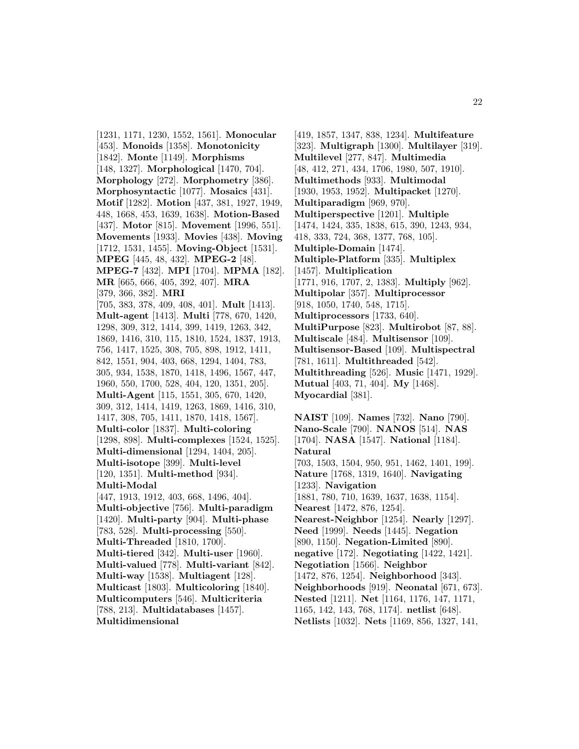[1231, 1171, 1230, 1552, 1561]. **Monocular** [453]. **Monoids** [1358]. **Monotonicity** [1842]. **Monte** [1149]. **Morphisms** [148, 1327]. **Morphological** [1470, 704]. **Morphology** [272]. **Morphometry** [386]. **Morphosyntactic** [1077]. **Mosaics** [431]. **Motif** [1282]. **Motion** [437, 381, 1927, 1949, 448, 1668, 453, 1639, 1638]. **Motion-Based** [437]. **Motor** [815]. **Movement** [1996, 551]. **Movements** [1933]. **Movies** [438]. **Moving** [1712, 1531, 1455]. **Moving-Object** [1531]. **MPEG** [445, 48, 432]. **MPEG-2** [48]. **MPEG-7** [432]. **MPI** [1704]. **MPMA** [182]. **MR** [665, 666, 405, 392, 407]. **MRA** [379, 366, 382]. **MRI** [705, 383, 378, 409, 408, 401]. **Mult** [1413]. **Mult-agent** [1413]. **Multi** [778, 670, 1420, 1298, 309, 312, 1414, 399, 1419, 1263, 342, 1869, 1416, 310, 115, 1810, 1524, 1837, 1913, 756, 1417, 1525, 308, 705, 898, 1912, 1411, 842, 1551, 904, 403, 668, 1294, 1404, 783, 305, 934, 1538, 1870, 1418, 1496, 1567, 447, 1960, 550, 1700, 528, 404, 120, 1351, 205]. **Multi-Agent** [115, 1551, 305, 670, 1420, 309, 312, 1414, 1419, 1263, 1869, 1416, 310, 1417, 308, 705, 1411, 1870, 1418, 1567]. **Multi-color** [1837]. **Multi-coloring** [1298, 898]. **Multi-complexes** [1524, 1525]. **Multi-dimensional** [1294, 1404, 205]. **Multi-isotope** [399]. **Multi-level** [120, 1351]. **Multi-method** [934]. **Multi-Modal** [447, 1913, 1912, 403, 668, 1496, 404]. **Multi-objective** [756]. **Multi-paradigm** [1420]. **Multi-party** [904]. **Multi-phase** [783, 528]. **Multi-processing** [550]. **Multi-Threaded** [1810, 1700]. **Multi-tiered** [342]. **Multi-user** [1960]. **Multi-valued** [778]. **Multi-variant** [842]. **Multi-way** [1538]. **Multiagent** [128]. **Multicast** [1803]. **Multicoloring** [1840]. **Multicomputers** [546]. **Multicriteria** [788, 213]. **Multidatabases** [1457]. **Multidimensional**

[419, 1857, 1347, 838, 1234]. **Multifeature** [323]. **Multigraph** [1300]. **Multilayer** [319]. **Multilevel** [277, 847]. **Multimedia** [48, 412, 271, 434, 1706, 1980, 507, 1910]. **Multimethods** [933]. **Multimodal** [1930, 1953, 1952]. **Multipacket** [1270]. **Multiparadigm** [969, 970]. **Multiperspective** [1201]. **Multiple** [1474, 1424, 335, 1838, 615, 390, 1243, 934, 418, 333, 724, 368, 1377, 768, 105]. **Multiple-Domain** [1474]. **Multiple-Platform** [335]. **Multiplex** [1457]. **Multiplication** [1771, 916, 1707, 2, 1383]. **Multiply** [962]. **Multipolar** [357]. **Multiprocessor** [918, 1050, 1740, 548, 1715]. **Multiprocessors** [1733, 640]. **MultiPurpose** [823]. **Multirobot** [87, 88]. **Multiscale** [484]. **Multisensor** [109]. **Multisensor-Based** [109]. **Multispectral** [781, 1611]. **Multithreaded** [542]. **Multithreading** [526]. **Music** [1471, 1929]. **Mutual** [403, 71, 404]. **My** [1468]. **Myocardial** [381].

**NAIST** [109]. **Names** [732]. **Nano** [790]. **Nano-Scale** [790]. **NANOS** [514]. **NAS** [1704]. **NASA** [1547]. **National** [1184]. **Natural** [703, 1503, 1504, 950, 951, 1462, 1401, 199]. **Nature** [1768, 1319, 1640]. **Navigating** [1233]. **Navigation** [1881, 780, 710, 1639, 1637, 1638, 1154]. **Nearest** [1472, 876, 1254]. **Nearest-Neighbor** [1254]. **Nearly** [1297]. **Need** [1999]. **Needs** [1445]. **Negation** [890, 1150]. **Negation-Limited** [890]. **negative** [172]. **Negotiating** [1422, 1421]. **Negotiation** [1566]. **Neighbor** [1472, 876, 1254]. **Neighborhood** [343]. **Neighborhoods** [919]. **Neonatal** [671, 673]. **Nested** [1211]. **Net** [1164, 1176, 147, 1171, 1165, 142, 143, 768, 1174]. **netlist** [648]. **Netlists** [1032]. **Nets** [1169, 856, 1327, 141,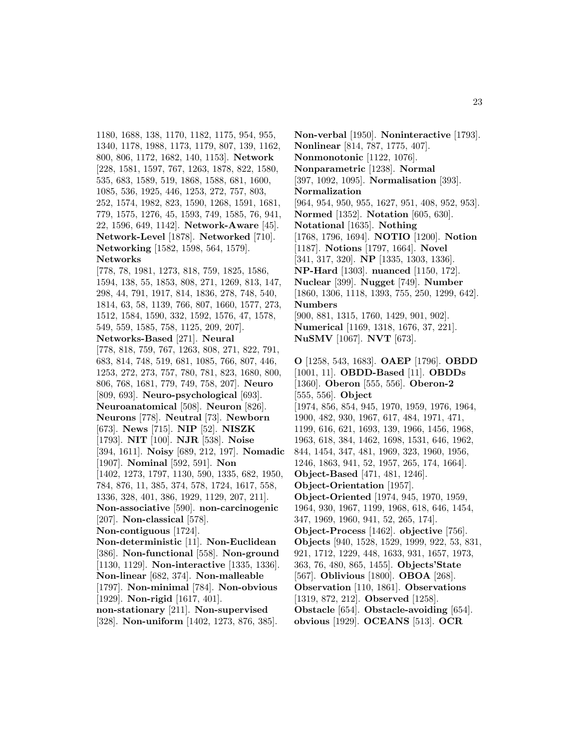1180, 1688, 138, 1170, 1182, 1175, 954, 955, 1340, 1178, 1988, 1173, 1179, 807, 139, 1162, 800, 806, 1172, 1682, 140, 1153]. **Network** [228, 1581, 1597, 767, 1263, 1878, 822, 1580, 535, 683, 1589, 519, 1868, 1588, 681, 1600, 1085, 536, 1925, 446, 1253, 272, 757, 803, 252, 1574, 1982, 823, 1590, 1268, 1591, 1681, 779, 1575, 1276, 45, 1593, 749, 1585, 76, 941, 22, 1596, 649, 1142]. **Network-Aware** [45]. **Network-Level** [1878]. **Networked** [710]. **Networking** [1582, 1598, 564, 1579]. **Networks**

[778, 78, 1981, 1273, 818, 759, 1825, 1586, 1594, 138, 55, 1853, 808, 271, 1269, 813, 147, 298, 44, 791, 1917, 814, 1836, 278, 748, 540, 1814, 63, 58, 1139, 766, 807, 1660, 1577, 273, 1512, 1584, 1590, 332, 1592, 1576, 47, 1578, 549, 559, 1585, 758, 1125, 209, 207]. **Networks-Based** [271]. **Neural** [778, 818, 759, 767, 1263, 808, 271, 822, 791, 683, 814, 748, 519, 681, 1085, 766, 807, 446, 1253, 272, 273, 757, 780, 781, 823, 1680, 800, 806, 768, 1681, 779, 749, 758, 207]. **Neuro** [809, 693]. **Neuro-psychological** [693]. **Neuroanatomical** [508]. **Neuron** [826]. **Neurons** [778]. **Neutral** [73]. **Newborn** [673]. **News** [715]. **NIP** [52]. **NISZK** [1793]. **NIT** [100]. **NJR** [538]. **Noise** [394, 1611]. **Noisy** [689, 212, 197]. **Nomadic** [1907]. **Nominal** [592, 591]. **Non** [1402, 1273, 1797, 1130, 590, 1335, 682, 1950, 784, 876, 11, 385, 374, 578, 1724, 1617, 558, 1336, 328, 401, 386, 1929, 1129, 207, 211]. **Non-associative** [590]. **non-carcinogenic** [207]. **Non-classical** [578]. **Non-contiguous** [1724]. **Non-deterministic** [11]. **Non-Euclidean** [386]. **Non-functional** [558]. **Non-ground** [1130, 1129]. **Non-interactive** [1335, 1336]. **Non-linear** [682, 374]. **Non-malleable** [1797]. **Non-minimal** [784]. **Non-obvious** [1929]. **Non-rigid** [1617, 401].

**non-stationary** [211]. **Non-supervised** [328]. **Non-uniform** [1402, 1273, 876, 385].

**Non-verbal** [1950]. **Noninteractive** [1793]. **Nonlinear** [814, 787, 1775, 407]. **Nonmonotonic** [1122, 1076]. **Nonparametric** [1238]. **Normal** [397, 1092, 1095]. **Normalisation** [393]. **Normalization** [964, 954, 950, 955, 1627, 951, 408, 952, 953]. **Normed** [1352]. **Notation** [605, 630]. **Notational** [1635]. **Nothing** [1768, 1796, 1694]. **NOTIO** [1200]. **Notion** [1187]. **Notions** [1797, 1664]. **Novel** [341, 317, 320]. **NP** [1335, 1303, 1336]. **NP-Hard** [1303]. **nuanced** [1150, 172]. **Nuclear** [399]. **Nugget** [749]. **Number** [1860, 1306, 1118, 1393, 755, 250, 1299, 642]. **Numbers** [900, 881, 1315, 1760, 1429, 901, 902]. **Numerical** [1169, 1318, 1676, 37, 221]. **NuSMV** [1067]. **NVT** [673].

**O** [1258, 543, 1683]. **OAEP** [1796]. **OBDD** [1001, 11]. **OBDD-Based** [11]. **OBDDs** [1360]. **Oberon** [555, 556]. **Oberon-2** [555, 556]. **Object** [1974, 856, 854, 945, 1970, 1959, 1976, 1964, 1900, 482, 930, 1967, 617, 484, 1971, 471, 1199, 616, 621, 1693, 139, 1966, 1456, 1968, 1963, 618, 384, 1462, 1698, 1531, 646, 1962, 844, 1454, 347, 481, 1969, 323, 1960, 1956, 1246, 1863, 941, 52, 1957, 265, 174, 1664]. **Object-Based** [471, 481, 1246]. **Object-Orientation** [1957]. **Object-Oriented** [1974, 945, 1970, 1959, 1964, 930, 1967, 1199, 1968, 618, 646, 1454, 347, 1969, 1960, 941, 52, 265, 174]. **Object-Process** [1462]. **objective** [756]. **Objects** [940, 1528, 1529, 1999, 922, 53, 831, 921, 1712, 1229, 448, 1633, 931, 1657, 1973, 363, 76, 480, 865, 1455]. **Objects'State** [567]. **Oblivious** [1800]. **OBOA** [268]. **Observation** [110, 1861]. **Observations** [1319, 872, 212]. **Observed** [1258]. **Obstacle** [654]. **Obstacle-avoiding** [654]. **obvious** [1929]. **OCEANS** [513]. **OCR**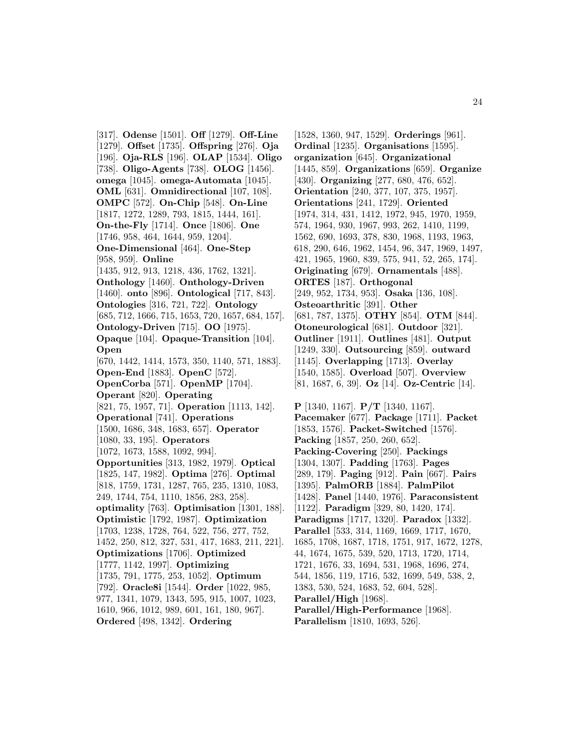[317]. **Odense** [1501]. **Off** [1279]. **Off-Line** [1279]. **Offset** [1735]. **Offspring** [276]. **Oja** [196]. **Oja-RLS** [196]. **OLAP** [1534]. **Oligo** [738]. **Oligo-Agents** [738]. **OLOG** [1456]. **omega** [1045]. **omega-Automata** [1045]. **OML** [631]. **Omnidirectional** [107, 108]. **OMPC** [572]. **On-Chip** [548]. **On-Line** [1817, 1272, 1289, 793, 1815, 1444, 161]. **On-the-Fly** [1714]. **Once** [1806]. **One** [1746, 958, 464, 1644, 959, 1204]. **One-Dimensional** [464]. **One-Step** [958, 959]. **Online** [1435, 912, 913, 1218, 436, 1762, 1321]. **Onthology** [1460]. **Onthology-Driven** [1460]. **onto** [896]. **Ontological** [717, 843]. **Ontologies** [316, 721, 722]. **Ontology** [685, 712, 1666, 715, 1653, 720, 1657, 684, 157]. **Ontology-Driven** [715]. **OO** [1975]. **Opaque** [104]. **Opaque-Transition** [104]. **Open** [670, 1442, 1414, 1573, 350, 1140, 571, 1883]. **Open-End** [1883]. **OpenC** [572]. **OpenCorba** [571]. **OpenMP** [1704]. **Operant** [820]. **Operating** [821, 75, 1957, 71]. **Operation** [1113, 142]. **Operational** [741]. **Operations** [1500, 1686, 348, 1683, 657]. **Operator** [1080, 33, 195]. **Operators** [1072, 1673, 1588, 1092, 994]. **Opportunities** [313, 1982, 1979]. **Optical** [1825, 147, 1982]. **Optima** [276]. **Optimal** [818, 1759, 1731, 1287, 765, 235, 1310, 1083, 249, 1744, 754, 1110, 1856, 283, 258]. **optimality** [763]. **Optimisation** [1301, 188]. **Optimistic** [1792, 1987]. **Optimization** [1703, 1238, 1728, 764, 522, 756, 277, 752, 1452, 250, 812, 327, 531, 417, 1683, 211, 221]. **Optimizations** [1706]. **Optimized** [1777, 1142, 1997]. **Optimizing** [1735, 791, 1775, 253, 1052]. **Optimum** [792]. **Oracle8i** [1544]. **Order** [1022, 985, 977, 1341, 1079, 1343, 595, 915, 1007, 1023, 1610, 966, 1012, 989, 601, 161, 180, 967]. **Ordered** [498, 1342]. **Ordering**

[1528, 1360, 947, 1529]. **Orderings** [961]. **Ordinal** [1235]. **Organisations** [1595]. **organization** [645]. **Organizational** [1445, 859]. **Organizations** [659]. **Organize** [430]. **Organizing** [277, 680, 476, 652]. **Orientation** [240, 377, 107, 375, 1957]. **Orientations** [241, 1729]. **Oriented** [1974, 314, 431, 1412, 1972, 945, 1970, 1959, 574, 1964, 930, 1967, 993, 262, 1410, 1199, 1562, 690, 1693, 378, 830, 1968, 1193, 1963, 618, 290, 646, 1962, 1454, 96, 347, 1969, 1497, 421, 1965, 1960, 839, 575, 941, 52, 265, 174]. **Originating** [679]. **Ornamentals** [488]. **ORTES** [187]. **Orthogonal** [249, 952, 1734, 953]. **Osaka** [136, 108]. **Osteoarthritic** [391]. **Other** [681, 787, 1375]. **OTHY** [854]. **OTM** [844]. **Otoneurological** [681]. **Outdoor** [321]. **Outliner** [1911]. **Outlines** [481]. **Output** [1249, 330]. **Outsourcing** [859]. **outward** [1145]. **Overlapping** [1713]. **Overlay** [1540, 1585]. **Overload** [507]. **Overview** [81, 1687, 6, 39]. **Oz** [14]. **Oz-Centric** [14].

**P** [1340, 1167]. **P/T** [1340, 1167]. **Pacemaker** [677]. **Package** [1711]. **Packet** [1853, 1576]. **Packet-Switched** [1576]. **Packing** [1857, 250, 260, 652]. **Packing-Covering** [250]. **Packings** [1304, 1307]. **Padding** [1763]. **Pages** [289, 179]. **Paging** [912]. **Pain** [667]. **Pairs** [1395]. **PalmORB** [1884]. **PalmPilot** [1428]. **Panel** [1440, 1976]. **Paraconsistent** [1122]. **Paradigm** [329, 80, 1420, 174]. **Paradigms** [1717, 1320]. **Paradox** [1332]. **Parallel** [533, 314, 1169, 1669, 1717, 1670, 1685, 1708, 1687, 1718, 1751, 917, 1672, 1278, 44, 1674, 1675, 539, 520, 1713, 1720, 1714, 1721, 1676, 33, 1694, 531, 1968, 1696, 274, 544, 1856, 119, 1716, 532, 1699, 549, 538, 2, 1383, 530, 524, 1683, 52, 604, 528]. **Parallel/High** [1968]. **Parallel/High-Performance** [1968]. **Parallelism** [1810, 1693, 526].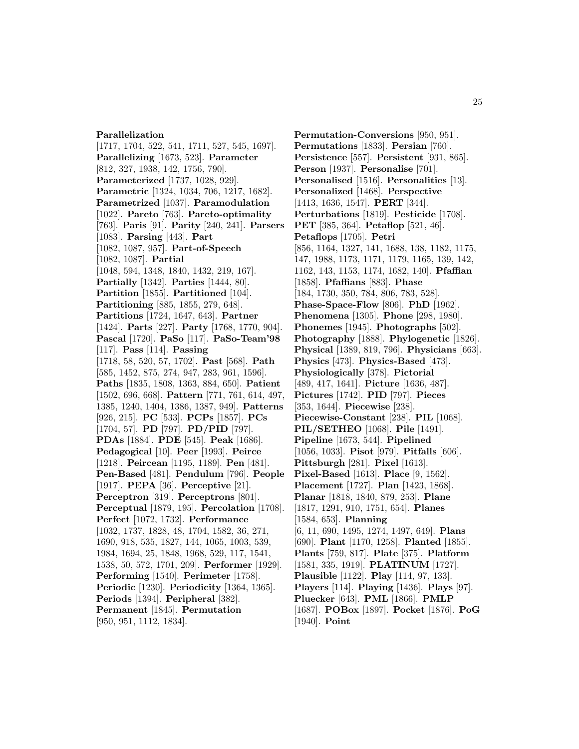## **Parallelization**

[1717, 1704, 522, 541, 1711, 527, 545, 1697]. **Parallelizing** [1673, 523]. **Parameter** [812, 327, 1938, 142, 1756, 790]. **Parameterized** [1737, 1028, 929]. **Parametric** [1324, 1034, 706, 1217, 1682]. **Parametrized** [1037]. **Paramodulation** [1022]. **Pareto** [763]. **Pareto-optimality** [763]. **Paris** [91]. **Parity** [240, 241]. **Parsers** [1083]. **Parsing** [443]. **Part** [1082, 1087, 957]. **Part-of-Speech** [1082, 1087]. **Partial** [1048, 594, 1348, 1840, 1432, 219, 167]. **Partially** [1342]. **Parties** [1444, 80]. **Partition** [1855]. **Partitioned** [104]. **Partitioning** [885, 1855, 279, 648]. **Partitions** [1724, 1647, 643]. **Partner** [1424]. **Parts** [227]. **Party** [1768, 1770, 904]. **Pascal** [1720]. **PaSo** [117]. **PaSo-Team'98** [117]. **Pass** [114]. **Passing** [1718, 58, 520, 57, 1702]. **Past** [568]. **Path** [585, 1452, 875, 274, 947, 283, 961, 1596]. **Paths** [1835, 1808, 1363, 884, 650]. **Patient** [1502, 696, 668]. **Pattern** [771, 761, 614, 497, 1385, 1240, 1404, 1386, 1387, 949]. **Patterns** [926, 215]. **PC** [533]. **PCPs** [1857]. **PCs** [1704, 57]. **PD** [797]. **PD/PID** [797]. **PDAs** [1884]. **PDE** [545]. **Peak** [1686]. **Pedagogical** [10]. **Peer** [1993]. **Peirce** [1218]. **Peircean** [1195, 1189]. **Pen** [481]. **Pen-Based** [481]. **Pendulum** [796]. **People** [1917]. **PEPA** [36]. **Perceptive** [21]. **Perceptron** [319]. **Perceptrons** [801]. **Perceptual** [1879, 195]. **Percolation** [1708]. **Perfect** [1072, 1732]. **Performance** [1032, 1737, 1828, 48, 1704, 1582, 36, 271, 1690, 918, 535, 1827, 144, 1065, 1003, 539, 1984, 1694, 25, 1848, 1968, 529, 117, 1541, 1538, 50, 572, 1701, 209]. **Performer** [1929]. **Performing** [1540]. **Perimeter** [1758]. **Periodic** [1230]. **Periodicity** [1364, 1365]. **Periods** [1394]. **Peripheral** [382]. **Permanent** [1845]. **Permutation**

[950, 951, 1112, 1834].

**Permutation-Conversions** [950, 951]. **Permutations** [1833]. **Persian** [760]. **Persistence** [557]. **Persistent** [931, 865]. **Person** [1937]. **Personalise** [701]. **Personalised** [1516]. **Personalities** [13]. **Personalized** [1468]. **Perspective** [1413, 1636, 1547]. **PERT** [344]. **Perturbations** [1819]. **Pesticide** [1708]. **PET** [385, 364]. **Petaflop** [521, 46]. **Petaflops** [1705]. **Petri** [856, 1164, 1327, 141, 1688, 138, 1182, 1175, 147, 1988, 1173, 1171, 1179, 1165, 139, 142, 1162, 143, 1153, 1174, 1682, 140]. **Pfaffian** [1858]. **Pfaffians** [883]. **Phase** [184, 1730, 350, 784, 806, 783, 528]. **Phase-Space-Flow** [806]. **PhD** [1962]. **Phenomena** [1305]. **Phone** [298, 1980]. **Phonemes** [1945]. **Photographs** [502]. **Photography** [1888]. **Phylogenetic** [1826]. **Physical** [1389, 819, 796]. **Physicians** [663]. **Physics** [473]. **Physics-Based** [473]. **Physiologically** [378]. **Pictorial** [489, 417, 1641]. **Picture** [1636, 487]. **Pictures** [1742]. **PID** [797]. **Pieces** [353, 1644]. **Piecewise** [238]. **Piecewise-Constant** [238]. **PIL** [1068]. **PIL/SETHEO** [1068]. **Pile** [1491]. **Pipeline** [1673, 544]. **Pipelined** [1056, 1033]. **Pisot** [979]. **Pitfalls** [606]. **Pittsburgh** [281]. **Pixel** [1613]. **Pixel-Based** [1613]. **Place** [9, 1562]. **Placement** [1727]. **Plan** [1423, 1868]. **Planar** [1818, 1840, 879, 253]. **Plane** [1817, 1291, 910, 1751, 654]. **Planes** [1584, 653]. **Planning** [6, 11, 690, 1495, 1274, 1497, 649]. **Plans** [690]. **Plant** [1170, 1258]. **Planted** [1855]. **Plants** [759, 817]. **Plate** [375]. **Platform** [1581, 335, 1919]. **PLATINUM** [1727]. **Plausible** [1122]. **Play** [114, 97, 133]. **Players** [114]. **Playing** [1436]. **Plays** [97]. **Pluecker** [643]. **PML** [1866]. **PMLP** [1687]. **POBox** [1897]. **Pocket** [1876]. **PoG**

[1940]. **Point**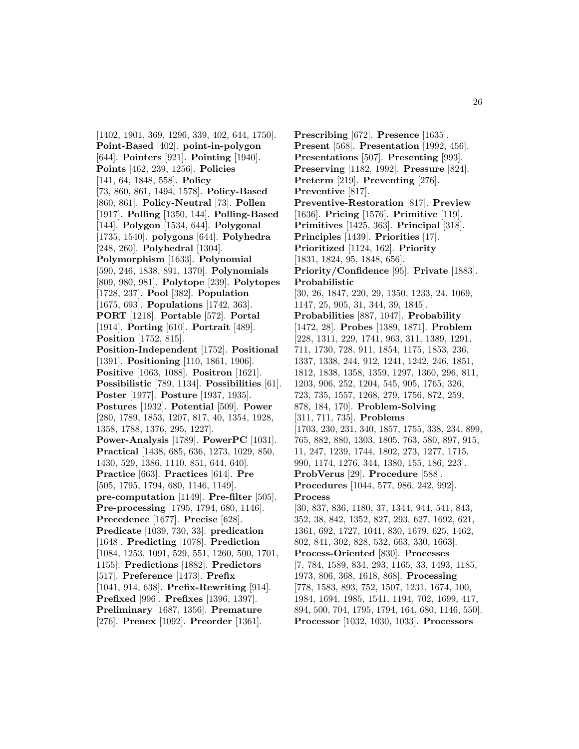[1402, 1901, 369, 1296, 339, 402, 644, 1750]. **Point-Based** [402]. **point-in-polygon** [644]. **Pointers** [921]. **Pointing** [1940]. **Points** [462, 239, 1256]. **Policies** [141, 64, 1848, 558]. **Policy** [73, 860, 861, 1494, 1578]. **Policy-Based** [860, 861]. **Policy-Neutral** [73]. **Pollen** [1917]. **Polling** [1350, 144]. **Polling-Based** [144]. **Polygon** [1534, 644]. **Polygonal** [1735, 1540]. **polygons** [644]. **Polyhedra** [248, 260]. **Polyhedral** [1304]. **Polymorphism** [1633]. **Polynomial** [590, 246, 1838, 891, 1370]. **Polynomials** [809, 980, 981]. **Polytope** [239]. **Polytopes** [1728, 237]. **Pool** [382]. **Population** [1675, 693]. **Populations** [1742, 363]. **PORT** [1218]. **Portable** [572]. **Portal** [1914]. **Porting** [610]. **Portrait** [489]. **Position** [1752, 815]. **Position-Independent** [1752]. **Positional** [1391]. **Positioning** [110, 1861, 1906]. **Positive** [1063, 1088]. **Positron** [1621]. **Possibilistic** [789, 1134]. **Possibilities** [61]. **Poster** [1977]. **Posture** [1937, 1935]. **Postures** [1932]. **Potential** [509]. **Power** [280, 1789, 1853, 1207, 817, 40, 1354, 1928, 1358, 1788, 1376, 295, 1227]. **Power-Analysis** [1789]. **PowerPC** [1031]. **Practical** [1438, 685, 636, 1273, 1029, 850, 1430, 529, 1386, 1110, 851, 644, 640]. **Practice** [663]. **Practices** [614]. **Pre** [505, 1795, 1794, 680, 1146, 1149]. **pre-computation** [1149]. **Pre-filter** [505]. **Pre-processing** [1795, 1794, 680, 1146]. **Precedence** [1677]. **Precise** [628]. **Predicate** [1039, 730, 33]. **predication** [1648]. **Predicting** [1078]. **Prediction** [1084, 1253, 1091, 529, 551, 1260, 500, 1701, 1155]. **Predictions** [1882]. **Predictors** [517]. **Preference** [1473]. **Prefix** [1041, 914, 638]. **Prefix-Rewriting** [914]. **Prefixed** [996]. **Prefixes** [1396, 1397]. **Preliminary** [1687, 1356]. **Premature** [276]. **Prenex** [1092]. **Preorder** [1361].

**Prescribing** [672]. **Presence** [1635]. **Present** [568]. **Presentation** [1992, 456]. **Presentations** [507]. **Presenting** [993]. **Preserving** [1182, 1992]. **Pressure** [824]. **Preterm** [219]. **Preventing** [276]. **Preventive** [817]. **Preventive-Restoration** [817]. **Preview** [1636]. **Pricing** [1576]. **Primitive** [119]. **Primitives** [1425, 363]. **Principal** [318]. **Principles** [1439]. **Priorities** [17]. **Prioritized** [1124, 162]. **Priority** [1831, 1824, 95, 1848, 656]. **Priority/Confidence** [95]. **Private** [1883]. **Probabilistic** [30, 26, 1847, 220, 29, 1350, 1233, 24, 1069, 1147, 25, 905, 31, 344, 39, 1845]. **Probabilities** [887, 1047]. **Probability** [1472, 28]. **Probes** [1389, 1871]. **Problem** [228, 1311, 229, 1741, 963, 311, 1389, 1291, 711, 1730, 728, 911, 1854, 1175, 1853, 236, 1337, 1338, 244, 912, 1241, 1242, 246, 1851, 1812, 1838, 1358, 1359, 1297, 1360, 296, 811, 1203, 906, 252, 1204, 545, 905, 1765, 326, 723, 735, 1557, 1268, 279, 1756, 872, 259, 878, 184, 170]. **Problem-Solving** [311, 711, 735]. **Problems** [1703, 230, 231, 340, 1857, 1755, 338, 234, 899, 765, 882, 880, 1303, 1805, 763, 580, 897, 915, 11, 247, 1239, 1744, 1802, 273, 1277, 1715, 990, 1174, 1276, 344, 1380, 155, 186, 223]. **ProbVerus** [29]. **Procedure** [588]. **Procedures** [1044, 577, 986, 242, 992]. **Process** [30, 837, 836, 1180, 37, 1344, 944, 541, 843, 352, 38, 842, 1352, 827, 293, 627, 1692, 621, 1361, 692, 1727, 1041, 830, 1679, 625, 1462, 802, 841, 302, 828, 532, 663, 330, 1663]. **Process-Oriented** [830]. **Processes** [7, 784, 1589, 834, 293, 1165, 33, 1493, 1185, 1973, 806, 368, 1618, 868]. **Processing** [778, 1583, 893, 752, 1507, 1231, 1674, 100, 1984, 1694, 1985, 1541, 1194, 702, 1699, 417, 894, 500, 704, 1795, 1794, 164, 680, 1146, 550]. **Processor** [1032, 1030, 1033]. **Processors**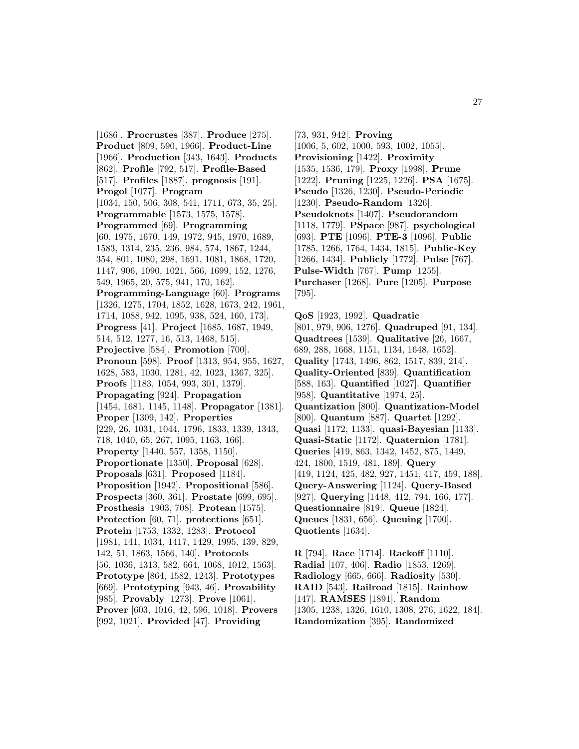[1686]. **Procrustes** [387]. **Produce** [275]. **Product** [809, 590, 1966]. **Product-Line** [1966]. **Production** [343, 1643]. **Products** [862]. **Profile** [792, 517]. **Profile-Based** [517]. **Profiles** [1887]. **prognosis** [191]. **Progol** [1077]. **Program** [1034, 150, 506, 308, 541, 1711, 673, 35, 25]. **Programmable** [1573, 1575, 1578]. **Programmed** [69]. **Programming** [60, 1975, 1670, 149, 1972, 945, 1970, 1689, 1583, 1314, 235, 236, 984, 574, 1867, 1244, 354, 801, 1080, 298, 1691, 1081, 1868, 1720, 1147, 906, 1090, 1021, 566, 1699, 152, 1276, 549, 1965, 20, 575, 941, 170, 162]. **Programming-Language** [60]. **Programs** [1326, 1275, 1704, 1852, 1628, 1673, 242, 1961, 1714, 1088, 942, 1095, 938, 524, 160, 173]. **Progress** [41]. **Project** [1685, 1687, 1949, 514, 512, 1277, 16, 513, 1468, 515]. **Projective** [584]. **Promotion** [700]. **Pronoun** [598]. **Proof** [1313, 954, 955, 1627, 1628, 583, 1030, 1281, 42, 1023, 1367, 325]. **Proofs** [1183, 1054, 993, 301, 1379]. **Propagating** [924]. **Propagation** [1454, 1681, 1145, 1148]. **Propagator** [1381]. **Proper** [1309, 142]. **Properties** [229, 26, 1031, 1044, 1796, 1833, 1339, 1343, 718, 1040, 65, 267, 1095, 1163, 166]. **Property** [1440, 557, 1358, 1150]. **Proportionate** [1350]. **Proposal** [628]. **Proposals** [631]. **Proposed** [1184]. **Proposition** [1942]. **Propositional** [586]. **Prospects** [360, 361]. **Prostate** [699, 695]. **Prosthesis** [1903, 708]. **Protean** [1575]. **Protection** [60, 71]. **protections** [651]. **Protein** [1753, 1332, 1283]. **Protocol** [1981, 141, 1034, 1417, 1429, 1995, 139, 829, 142, 51, 1863, 1566, 140]. **Protocols** [56, 1036, 1313, 582, 664, 1068, 1012, 1563]. **Prototype** [864, 1582, 1243]. **Prototypes** [669]. **Prototyping** [943, 46]. **Provability** [985]. **Provably** [1273]. **Prove** [1061]. **Prover** [603, 1016, 42, 596, 1018]. **Provers** [992, 1021]. **Provided** [47]. **Providing**

[73, 931, 942]. **Proving** [1006, 5, 602, 1000, 593, 1002, 1055]. **Provisioning** [1422]. **Proximity** [1535, 1536, 179]. **Proxy** [1998]. **Prune** [1222]. **Pruning** [1225, 1226]. **PSA** [1675]. **Pseudo** [1326, 1230]. **Pseudo-Periodic** [1230]. **Pseudo-Random** [1326]. **Pseudoknots** [1407]. **Pseudorandom** [1118, 1779]. **PSpace** [987]. **psychological** [693]. **PTE** [1096]. **PTE-3** [1096]. **Public** [1785, 1266, 1764, 1434, 1815]. **Public-Key** [1266, 1434]. **Publicly** [1772]. **Pulse** [767]. **Pulse-Width** [767]. **Pump** [1255]. **Purchaser** [1268]. **Pure** [1205]. **Purpose** [795].

**QoS** [1923, 1992]. **Quadratic** [801, 979, 906, 1276]. **Quadruped** [91, 134]. **Quadtrees** [1539]. **Qualitative** [26, 1667, 689, 288, 1668, 1151, 1134, 1648, 1652]. **Quality** [1743, 1496, 862, 1517, 839, 214]. **Quality-Oriented** [839]. **Quantification** [588, 163]. **Quantified** [1027]. **Quantifier** [958]. **Quantitative** [1974, 25]. **Quantization** [800]. **Quantization-Model** [800]. **Quantum** [887]. **Quartet** [1292]. **Quasi** [1172, 1133]. **quasi-Bayesian** [1133]. **Quasi-Static** [1172]. **Quaternion** [1781]. **Queries** [419, 863, 1342, 1452, 875, 1449, 424, 1800, 1519, 481, 189]. **Query** [419, 1124, 425, 482, 927, 1451, 417, 459, 188]. **Query-Answering** [1124]. **Query-Based** [927]. **Querying** [1448, 412, 794, 166, 177]. **Questionnaire** [819]. **Queue** [1824]. **Queues** [1831, 656]. **Queuing** [1700]. **Quotients** [1634].

**R** [794]. **Race** [1714]. **Rackoff** [1110]. **Radial** [107, 406]. **Radio** [1853, 1269]. **Radiology** [665, 666]. **Radiosity** [530]. **RAID** [543]. **Railroad** [1815]. **Rainbow** [147]. **RAMSES** [1891]. **Random** [1305, 1238, 1326, 1610, 1308, 276, 1622, 184]. **Randomization** [395]. **Randomized**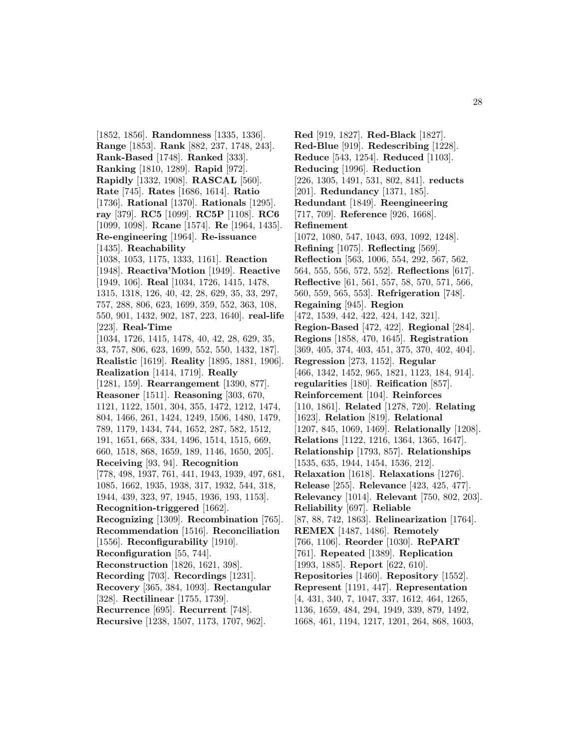[1852, 1856]. **Randomness** [1335, 1336]. **Range** [1853]. **Rank** [882, 237, 1748, 243]. **Rank-Based** [1748]. **Ranked** [333]. **Ranking** [1810, 1289]. **Rapid** [972]. **Rapidly** [1332, 1908]. **RASCAL** [560]. **Rate** [745]. **Rates** [1686, 1614]. **Ratio** [1736]. **Rational** [1370]. **Rationals** [1295]. **ray** [379]. **RC5** [1099]. **RC5P** [1108]. **RC6** [1099, 1098]. **Rcane** [1574]. **Re** [1964, 1435]. **Re-engineering** [1964]. **Re-issuance** [1435]. **Reachability** [1038, 1053, 1175, 1333, 1161]. **Reaction** [1948]. **Reactiva'Motion** [1949]. **Reactive** [1949, 106]. **Real** [1034, 1726, 1415, 1478, 1315, 1318, 126, 40, 42, 28, 629, 35, 33, 297, 757, 288, 806, 623, 1699, 359, 552, 363, 108, 550, 901, 1432, 902, 187, 223, 1640]. **real-life** [223]. **Real-Time** [1034, 1726, 1415, 1478, 40, 42, 28, 629, 35, 33, 757, 806, 623, 1699, 552, 550, 1432, 187]. **Realistic** [1619]. **Reality** [1895, 1881, 1906]. **Realization** [1414, 1719]. **Really** [1281, 159]. **Rearrangement** [1390, 877]. **Reasoner** [1511]. **Reasoning** [303, 670, 1121, 1122, 1501, 304, 355, 1472, 1212, 1474, 804, 1466, 261, 1424, 1249, 1506, 1480, 1479, 789, 1179, 1434, 744, 1652, 287, 582, 1512, 191, 1651, 668, 334, 1496, 1514, 1515, 669, 660, 1518, 868, 1659, 189, 1146, 1650, 205]. **Receiving** [93, 94]. **Recognition** [778, 498, 1937, 761, 441, 1943, 1939, 497, 681, 1085, 1662, 1935, 1938, 317, 1932, 544, 318, 1944, 439, 323, 97, 1945, 1936, 193, 1153]. **Recognition-triggered** [1662]. **Recognizing** [1309]. **Recombination** [765]. **Recommendation** [1516]. **Reconciliation** [1556]. **Reconfigurability** [1910]. **Reconfiguration** [55, 744]. **Reconstruction** [1826, 1621, 398]. **Recording** [703]. **Recordings** [1231]. **Recovery** [365, 384, 1093]. **Rectangular** [328]. **Rectilinear** [1755, 1739]. **Recurrence** [695]. **Recurrent** [748]. **Recursive** [1238, 1507, 1173, 1707, 962].

**Red** [919, 1827]. **Red-Black** [1827]. **Red-Blue** [919]. **Redescribing** [1228]. **Reduce** [543, 1254]. **Reduced** [1103]. **Reducing** [1996]. **Reduction** [226, 1305, 1491, 531, 802, 841]. **reducts** [201]. **Redundancy** [1371, 185]. **Redundant** [1849]. **Reengineering** [717, 709]. **Reference** [926, 1668]. **Refinement** [1072, 1080, 547, 1043, 693, 1092, 1248]. **Refining** [1075]. **Reflecting** [569]. **Reflection** [563, 1006, 554, 292, 567, 562, 564, 555, 556, 572, 552]. **Reflections** [617]. **Reflective** [61, 561, 557, 58, 570, 571, 566, 560, 559, 565, 553]. **Refrigeration** [748]. **Regaining** [945]. **Region** [472, 1539, 442, 422, 424, 142, 321]. **Region-Based** [472, 422]. **Regional** [284]. **Regions** [1858, 470, 1645]. **Registration** [369, 405, 374, 403, 451, 375, 370, 402, 404]. **Regression** [273, 1152]. **Regular** [466, 1342, 1452, 965, 1821, 1123, 184, 914]. **regularities** [180]. **Reification** [857]. **Reinforcement** [104]. **Reinforces** [110, 1861]. **Related** [1278, 720]. **Relating** [1623]. **Relation** [819]. **Relational** [1207, 845, 1069, 1469]. **Relationally** [1208]. **Relations** [1122, 1216, 1364, 1365, 1647]. **Relationship** [1793, 857]. **Relationships** [1535, 635, 1944, 1454, 1536, 212]. **Relaxation** [1618]. **Relaxations** [1276]. **Release** [255]. **Relevance** [423, 425, 477]. **Relevancy** [1014]. **Relevant** [750, 802, 203]. **Reliability** [697]. **Reliable** [87, 88, 742, 1863]. **Relinearization** [1764]. **REMEX** [1487, 1486]. **Remotely** [766, 1106]. **Reorder** [1030]. **RePART** [761]. **Repeated** [1389]. **Replication** [1993, 1885]. **Report** [622, 610]. **Repositories** [1460]. **Repository** [1552]. **Represent** [1191, 447]. **Representation** [4, 431, 340, 7, 1047, 337, 1612, 464, 1265, 1136, 1659, 484, 294, 1949, 339, 879, 1492, 1668, 461, 1194, 1217, 1201, 264, 868, 1603,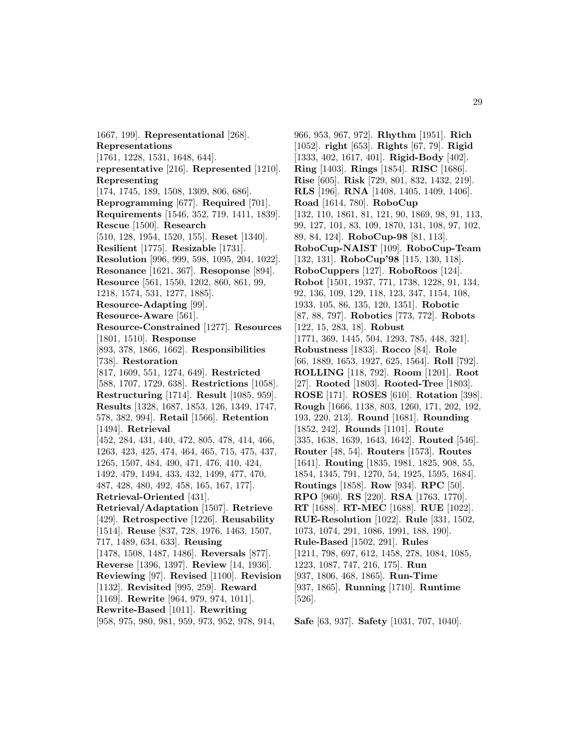1667, 199]. **Representational** [268]. **Representations** [1761, 1228, 1531, 1648, 644]. **representative** [216]. **Represented** [1210]. **Representing** [174, 1745, 189, 1508, 1309, 806, 686]. **Reprogramming** [677]. **Required** [701]. **Requirements** [1546, 352, 719, 1411, 1839]. **Rescue** [1500]. **Research** [510, 128, 1954, 1520, 155]. **Reset** [1340]. **Resilient** [1775]. **Resizable** [1731]. **Resolution** [996, 999, 598, 1095, 204, 1022]. **Resonance** [1621, 367]. **Resoponse** [894]. **Resource** [561, 1550, 1202, 860, 861, 99, 1218, 1574, 531, 1277, 1885]. **Resource-Adapting** [99]. **Resource-Aware** [561]. **Resource-Constrained** [1277]. **Resources** [1801, 1510]. **Response** [893, 378, 1866, 1662]. **Responsibilities** [738]. **Restoration** [817, 1609, 551, 1274, 649]. **Restricted** [588, 1707, 1729, 638]. **Restrictions** [1058]. **Restructuring** [1714]. **Result** [1085, 959]. **Results** [1328, 1687, 1853, 126, 1349, 1747, 578, 382, 994]. **Retail** [1566]. **Retention** [1494]. **Retrieval** [452, 284, 431, 440, 472, 805, 478, 414, 466, 1263, 423, 425, 474, 464, 465, 715, 475, 437, 1265, 1507, 484, 490, 471, 476, 410, 424, 1492, 479, 1494, 433, 432, 1499, 477, 470, 487, 428, 480, 492, 458, 165, 167, 177]. **Retrieval-Oriented** [431]. **Retrieval/Adaptation** [1507]. **Retrieve** [429]. **Retrospective** [1226]. **Reusability** [1514]. **Reuse** [837, 728, 1976, 1463, 1507, 717, 1489, 634, 633]. **Reusing** [1478, 1508, 1487, 1486]. **Reversals** [877]. **Reverse** [1396, 1397]. **Review** [14, 1936]. **Reviewing** [97]. **Revised** [1100]. **Revision** [1132]. **Revisited** [995, 259]. **Reward** [1169]. **Rewrite** [964, 979, 974, 1011]. **Rewrite-Based** [1011]. **Rewriting** [958, 975, 980, 981, 959, 973, 952, 978, 914,

966, 953, 967, 972]. **Rhythm** [1951]. **Rich** [1052]. **right** [653]. **Rights** [67, 79]. **Rigid** [1333, 402, 1617, 401]. **Rigid-Body** [402]. **Ring** [1403]. **Rings** [1854]. **RISC** [1686]. **Rise** [605]. **Risk** [729, 801, 832, 1432, 219]. **RLS** [196]. **RNA** [1408, 1405, 1409, 1406]. **Road** [1614, 780]. **RoboCup** [132, 110, 1861, 81, 121, 90, 1869, 98, 91, 113, 99, 127, 101, 83, 109, 1870, 131, 108, 97, 102, 89, 84, 124]. **RoboCup-98** [81, 113]. **RoboCup-NAIST** [109]. **RoboCup-Team** [132, 131]. **RoboCup'98** [115, 130, 118]. **RoboCuppers** [127]. **RoboRoos** [124]. **Robot** [1501, 1937, 771, 1738, 1228, 91, 134, 92, 136, 109, 129, 118, 123, 347, 1154, 108, 1933, 105, 86, 135, 120, 1351]. **Robotic** [87, 88, 797]. **Robotics** [773, 772]. **Robots** [122, 15, 283, 18]. **Robust** [1771, 369, 1445, 504, 1293, 785, 448, 321]. **Robustness** [1833]. **Rocco** [84]. **Role** [66, 1889, 1653, 1927, 625, 1564]. **Roll** [792]. **ROLLING** [118, 792]. **Room** [1201]. **Root** [27]. **Rooted** [1803]. **Rooted-Tree** [1803]. **ROSE** [171]. **ROSES** [610]. **Rotation** [398]. **Rough** [1666, 1138, 803, 1260, 171, 202, 192, 193, 220, 213]. **Round** [1681]. **Rounding** [1852, 242]. **Rounds** [1101]. **Route** [335, 1638, 1639, 1643, 1642]. **Routed** [546]. **Router** [48, 54]. **Routers** [1573]. **Routes** [1641]. **Routing** [1835, 1981, 1825, 908, 55, 1854, 1345, 791, 1270, 54, 1925, 1595, 1684]. **Routings** [1858]. **Row** [934]. **RPC** [50]. **RPO** [960]. **RS** [220]. **RSA** [1763, 1770]. **RT** [1688]. **RT-MEC** [1688]. **RUE** [1022]. **RUE-Resolution** [1022]. **Rule** [331, 1502, 1073, 1074, 291, 1086, 1991, 188, 190]. **Rule-Based** [1502, 291]. **Rules** [1211, 798, 697, 612, 1458, 278, 1084, 1085, 1223, 1087, 747, 216, 175]. **Run** [937, 1806, 468, 1865]. **Run-Time** [937, 1865]. **Running** [1710]. **Runtime** [526].

**Safe** [63, 937]. **Safety** [1031, 707, 1040].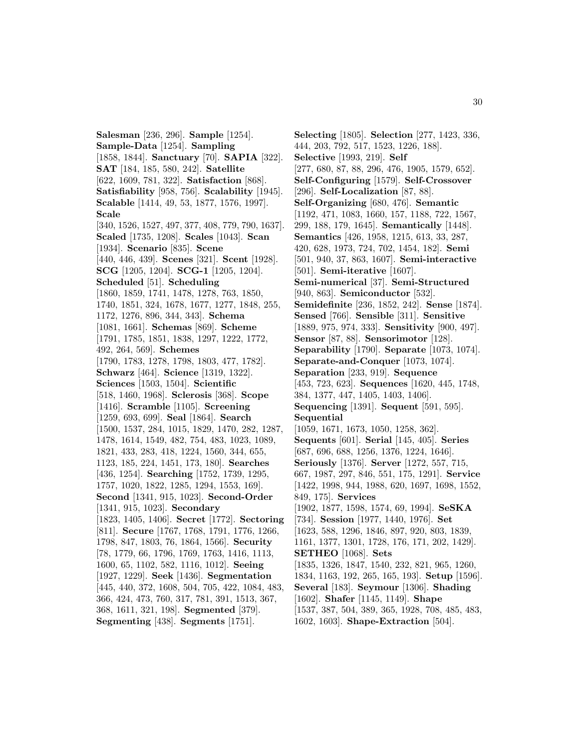**Salesman** [236, 296]. **Sample** [1254]. **Sample-Data** [1254]. **Sampling** [1858, 1844]. **Sanctuary** [70]. **SAPIA** [322]. **SAT** [184, 185, 580, 242]. **Satellite** [622, 1609, 781, 322]. **Satisfaction** [868]. **Satisfiability** [958, 756]. **Scalability** [1945]. **Scalable** [1414, 49, 53, 1877, 1576, 1997]. **Scale** [340, 1526, 1527, 497, 377, 408, 779, 790, 1637]. **Scaled** [1735, 1208]. **Scales** [1043]. **Scan** [1934]. **Scenario** [835]. **Scene** [440, 446, 439]. **Scenes** [321]. **Scent** [1928]. **SCG** [1205, 1204]. **SCG-1** [1205, 1204]. **Scheduled** [51]. **Scheduling** [1860, 1859, 1741, 1478, 1278, 763, 1850, 1740, 1851, 324, 1678, 1677, 1277, 1848, 255, 1172, 1276, 896, 344, 343]. **Schema** [1081, 1661]. **Schemas** [869]. **Scheme** [1791, 1785, 1851, 1838, 1297, 1222, 1772, 492, 264, 569]. **Schemes** [1790, 1783, 1278, 1798, 1803, 477, 1782]. **Schwarz** [464]. **Science** [1319, 1322]. **Sciences** [1503, 1504]. **Scientific** [518, 1460, 1968]. **Sclerosis** [368]. **Scope** [1416]. **Scramble** [1105]. **Screening** [1259, 693, 699]. **Seal** [1864]. **Search** [1500, 1537, 284, 1015, 1829, 1470, 282, 1287, 1478, 1614, 1549, 482, 754, 483, 1023, 1089, 1821, 433, 283, 418, 1224, 1560, 344, 655, 1123, 185, 224, 1451, 173, 180]. **Searches** [436, 1254]. **Searching** [1752, 1739, 1295, 1757, 1020, 1822, 1285, 1294, 1553, 169]. **Second** [1341, 915, 1023]. **Second-Order** [1341, 915, 1023]. **Secondary** [1823, 1405, 1406]. **Secret** [1772]. **Sectoring** [811]. **Secure** [1767, 1768, 1791, 1776, 1266, 1798, 847, 1803, 76, 1864, 1566]. **Security** [78, 1779, 66, 1796, 1769, 1763, 1416, 1113, 1600, 65, 1102, 582, 1116, 1012]. **Seeing** [1927, 1229]. **Seek** [1436]. **Segmentation** [445, 440, 372, 1608, 504, 705, 422, 1084, 483, 366, 424, 473, 760, 317, 781, 391, 1513, 367, 368, 1611, 321, 198]. **Segmented** [379]. **Segmenting** [438]. **Segments** [1751].

**Selecting** [1805]. **Selection** [277, 1423, 336, 444, 203, 792, 517, 1523, 1226, 188]. **Selective** [1993, 219]. **Self** [277, 680, 87, 88, 296, 476, 1905, 1579, 652]. **Self-Configuring** [1579]. **Self-Crossover** [296]. **Self-Localization** [87, 88]. **Self-Organizing** [680, 476]. **Semantic** [1192, 471, 1083, 1660, 157, 1188, 722, 1567, 299, 188, 179, 1645]. **Semantically** [1448]. **Semantics** [426, 1958, 1215, 613, 33, 287, 420, 628, 1973, 724, 702, 1454, 182]. **Semi** [501, 940, 37, 863, 1607]. **Semi-interactive** [501]. **Semi-iterative** [1607]. **Semi-numerical** [37]. **Semi-Structured** [940, 863]. **Semiconductor** [532]. **Semidefinite** [236, 1852, 242]. **Sense** [1874]. **Sensed** [766]. **Sensible** [311]. **Sensitive** [1889, 975, 974, 333]. **Sensitivity** [900, 497]. **Sensor** [87, 88]. **Sensorimotor** [128]. **Separability** [1790]. **Separate** [1073, 1074]. **Separate-and-Conquer** [1073, 1074]. **Separation** [233, 919]. **Sequence** [453, 723, 623]. **Sequences** [1620, 445, 1748, 384, 1377, 447, 1405, 1403, 1406]. **Sequencing** [1391]. **Sequent** [591, 595]. **Sequential** [1059, 1671, 1673, 1050, 1258, 362]. **Sequents** [601]. **Serial** [145, 405]. **Series** [687, 696, 688, 1256, 1376, 1224, 1646]. **Seriously** [1376]. **Server** [1272, 557, 715, 667, 1987, 297, 846, 551, 175, 1291]. **Service** [1422, 1998, 944, 1988, 620, 1697, 1698, 1552, 849, 175]. **Services** [1902, 1877, 1598, 1574, 69, 1994]. **SeSKA** [734]. **Session** [1977, 1440, 1976]. **Set** [1623, 588, 1296, 1846, 897, 920, 803, 1839, 1161, 1377, 1301, 1728, 176, 171, 202, 1429]. **SETHEO** [1068]. **Sets** [1835, 1326, 1847, 1540, 232, 821, 965, 1260, 1834, 1163, 192, 265, 165, 193]. **Setup** [1596]. **Several** [183]. **Seymour** [1306]. **Shading** [1602]. **Shafer** [1145, 1149]. **Shape** [1537, 387, 504, 389, 365, 1928, 708, 485, 483, 1602, 1603]. **Shape-Extraction** [504].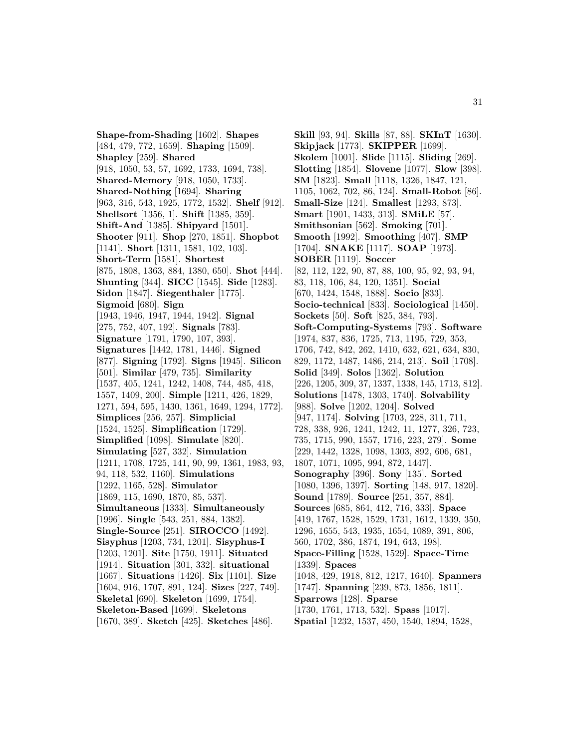**Shape-from-Shading** [1602]. **Shapes** [484, 479, 772, 1659]. **Shaping** [1509]. **Shapley** [259]. **Shared** [918, 1050, 53, 57, 1692, 1733, 1694, 738]. **Shared-Memory** [918, 1050, 1733]. **Shared-Nothing** [1694]. **Sharing** [963, 316, 543, 1925, 1772, 1532]. **Shelf** [912]. **Shellsort** [1356, 1]. **Shift** [1385, 359]. **Shift-And** [1385]. **Shipyard** [1501]. **Shooter** [911]. **Shop** [270, 1851]. **Shopbot** [1141]. **Short** [1311, 1581, 102, 103]. **Short-Term** [1581]. **Shortest** [875, 1808, 1363, 884, 1380, 650]. **Shot** [444]. **Shunting** [344]. **SICC** [1545]. **Side** [1283]. **Sidon** [1847]. **Siegenthaler** [1775]. **Sigmoid** [680]. **Sign** [1943, 1946, 1947, 1944, 1942]. **Signal** [275, 752, 407, 192]. **Signals** [783]. **Signature** [1791, 1790, 107, 393]. **Signatures** [1442, 1781, 1446]. **Signed** [877]. **Signing** [1792]. **Signs** [1945]. **Silicon** [501]. **Similar** [479, 735]. **Similarity** [1537, 405, 1241, 1242, 1408, 744, 485, 418, 1557, 1409, 200]. **Simple** [1211, 426, 1829, 1271, 594, 595, 1430, 1361, 1649, 1294, 1772]. **Simplices** [256, 257]. **Simplicial** [1524, 1525]. **Simplification** [1729]. **Simplified** [1098]. **Simulate** [820]. **Simulating** [527, 332]. **Simulation** [1211, 1708, 1725, 141, 90, 99, 1361, 1983, 93, 94, 118, 532, 1160]. **Simulations** [1292, 1165, 528]. **Simulator** [1869, 115, 1690, 1870, 85, 537]. **Simultaneous** [1333]. **Simultaneously** [1996]. **Single** [543, 251, 884, 1382]. **Single-Source** [251]. **SIROCCO** [1492]. **Sisyphus** [1203, 734, 1201]. **Sisyphus-I** [1203, 1201]. **Site** [1750, 1911]. **Situated** [1914]. **Situation** [301, 332]. **situational** [1667]. **Situations** [1426]. **Six** [1101]. **Size** [1604, 916, 1707, 891, 124]. **Sizes** [227, 749]. **Skeletal** [690]. **Skeleton** [1699, 1754]. **Skeleton-Based** [1699]. **Skeletons** [1670, 389]. **Sketch** [425]. **Sketches** [486].

**Skill** [93, 94]. **Skills** [87, 88]. **SKInT** [1630]. **Skipjack** [1773]. **SKIPPER** [1699]. **Skolem** [1001]. **Slide** [1115]. **Sliding** [269]. **Slotting** [1854]. **Slovene** [1077]. **Slow** [398]. **SM** [1823]. **Small** [1118, 1326, 1847, 121, 1105, 1062, 702, 86, 124]. **Small-Robot** [86]. **Small-Size** [124]. **Smallest** [1293, 873]. **Smart** [1901, 1433, 313]. **SMiLE** [57]. **Smithsonian** [562]. **Smoking** [701]. **Smooth** [1992]. **Smoothing** [407]. **SMP** [1704]. **SNAKE** [1117]. **SOAP** [1973]. **SOBER** [1119]. **Soccer** [82, 112, 122, 90, 87, 88, 100, 95, 92, 93, 94, 83, 118, 106, 84, 120, 1351]. **Social** [670, 1424, 1548, 1888]. **Socio** [833]. **Socio-technical** [833]. **Sociological** [1450]. **Sockets** [50]. **Soft** [825, 384, 793]. **Soft-Computing-Systems** [793]. **Software** [1974, 837, 836, 1725, 713, 1195, 729, 353, 1706, 742, 842, 262, 1410, 632, 621, 634, 830, 829, 1172, 1487, 1486, 214, 213]. **Soil** [1708]. **Solid** [349]. **Solos** [1362]. **Solution** [226, 1205, 309, 37, 1337, 1338, 145, 1713, 812]. **Solutions** [1478, 1303, 1740]. **Solvability** [988]. **Solve** [1202, 1204]. **Solved** [947, 1174]. **Solving** [1703, 228, 311, 711, 728, 338, 926, 1241, 1242, 11, 1277, 326, 723, 735, 1715, 990, 1557, 1716, 223, 279]. **Some** [229, 1442, 1328, 1098, 1303, 892, 606, 681, 1807, 1071, 1095, 994, 872, 1447]. **Sonography** [396]. **Sony** [135]. **Sorted** [1080, 1396, 1397]. **Sorting** [148, 917, 1820]. **Sound** [1789]. **Source** [251, 357, 884]. **Sources** [685, 864, 412, 716, 333]. **Space** [419, 1767, 1528, 1529, 1731, 1612, 1339, 350, 1296, 1655, 543, 1935, 1654, 1089, 391, 806, 560, 1702, 386, 1874, 194, 643, 198]. **Space-Filling** [1528, 1529]. **Space-Time** [1339]. **Spaces** [1048, 429, 1918, 812, 1217, 1640]. **Spanners** [1747]. **Spanning** [239, 873, 1856, 1811]. **Sparrows** [128]. **Sparse** [1730, 1761, 1713, 532]. **Spass** [1017]. **Spatial** [1232, 1537, 450, 1540, 1894, 1528,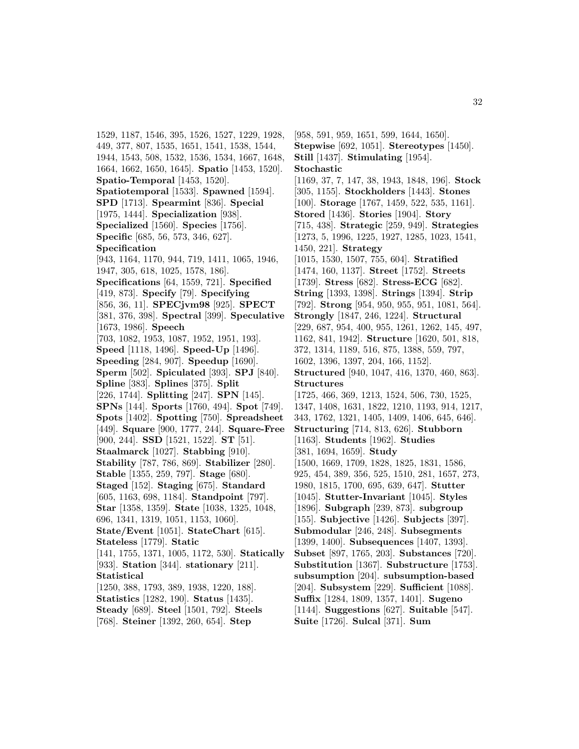1529, 1187, 1546, 395, 1526, 1527, 1229, 1928, 449, 377, 807, 1535, 1651, 1541, 1538, 1544, 1944, 1543, 508, 1532, 1536, 1534, 1667, 1648, 1664, 1662, 1650, 1645]. **Spatio** [1453, 1520]. **Spatio-Temporal** [1453, 1520]. **Spatiotemporal** [1533]. **Spawned** [1594]. **SPD** [1713]. **Spearmint** [836]. **Special** [1975, 1444]. **Specialization** [938]. **Specialized** [1560]. **Species** [1756]. **Specific** [685, 56, 573, 346, 627]. **Specification** [943, 1164, 1170, 944, 719, 1411, 1065, 1946, 1947, 305, 618, 1025, 1578, 186]. **Specifications** [64, 1559, 721]. **Specified** [419, 873]. **Specify** [79]. **Specifying** [856, 36, 11]. **SPECjvm98** [925]. **SPECT** [381, 376, 398]. **Spectral** [399]. **Speculative** [1673, 1986]. **Speech** [703, 1082, 1953, 1087, 1952, 1951, 193]. **Speed** [1118, 1496]. **Speed-Up** [1496]. **Speeding** [284, 907]. **Speedup** [1690]. **Sperm** [502]. **Spiculated** [393]. **SPJ** [840]. **Spline** [383]. **Splines** [375]. **Split** [226, 1744]. **Splitting** [247]. **SPN** [145]. **SPNs** [144]. **Sports** [1760, 494]. **Spot** [749]. **Spots** [1402]. **Spotting** [750]. **Spreadsheet** [449]. **Square** [900, 1777, 244]. **Square-Free** [900, 244]. **SSD** [1521, 1522]. **ST** [51]. **Staalmarck** [1027]. **Stabbing** [910]. **Stability** [787, 786, 869]. **Stabilizer** [280]. **Stable** [1355, 259, 797]. **Stage** [680]. **Staged** [152]. **Staging** [675]. **Standard** [605, 1163, 698, 1184]. **Standpoint** [797]. **Star** [1358, 1359]. **State** [1038, 1325, 1048, 696, 1341, 1319, 1051, 1153, 1060]. **State/Event** [1051]. **StateChart** [615]. **Stateless** [1779]. **Static** [141, 1755, 1371, 1005, 1172, 530]. **Statically** [933]. **Station** [344]. **stationary** [211]. **Statistical** [1250, 388, 1793, 389, 1938, 1220, 188]. **Statistics** [1282, 190]. **Status** [1435]. **Steady** [689]. **Steel** [1501, 792]. **Steels**

[768]. **Steiner** [1392, 260, 654]. **Step**

[958, 591, 959, 1651, 599, 1644, 1650]. **Stepwise** [692, 1051]. **Stereotypes** [1450]. **Still** [1437]. **Stimulating** [1954]. **Stochastic** [1169, 37, 7, 147, 38, 1943, 1848, 196]. **Stock** [305, 1155]. **Stockholders** [1443]. **Stones** [100]. **Storage** [1767, 1459, 522, 535, 1161]. **Stored** [1436]. **Stories** [1904]. **Story** [715, 438]. **Strategic** [259, 949]. **Strategies** [1273, 5, 1996, 1225, 1927, 1285, 1023, 1541, 1450, 221]. **Strategy** [1015, 1530, 1507, 755, 604]. **Stratified** [1474, 160, 1137]. **Street** [1752]. **Streets** [1739]. **Stress** [682]. **Stress-ECG** [682]. **String** [1393, 1398]. **Strings** [1394]. **Strip** [792]. **Strong** [954, 950, 955, 951, 1081, 564]. **Strongly** [1847, 246, 1224]. **Structural** [229, 687, 954, 400, 955, 1261, 1262, 145, 497, 1162, 841, 1942]. **Structure** [1620, 501, 818, 372, 1314, 1189, 516, 875, 1388, 559, 797, 1602, 1396, 1397, 204, 166, 1152]. **Structured** [940, 1047, 416, 1370, 460, 863]. **Structures** [1725, 466, 369, 1213, 1524, 506, 730, 1525, 1347, 1408, 1631, 1822, 1210, 1193, 914, 1217, 343, 1762, 1321, 1405, 1409, 1406, 645, 646]. **Structuring** [714, 813, 626]. **Stubborn** [1163]. **Students** [1962]. **Studies** [381, 1694, 1659]. **Study** [1500, 1669, 1709, 1828, 1825, 1831, 1586, 925, 454, 389, 356, 525, 1510, 281, 1657, 273, 1980, 1815, 1700, 695, 639, 647]. **Stutter** [1045]. **Stutter-Invariant** [1045]. **Styles** [1896]. **Subgraph** [239, 873]. **subgroup** [155]. **Subjective** [1426]. **Subjects** [397]. **Submodular** [246, 248]. **Subsegments** [1399, 1400]. **Subsequences** [1407, 1393]. **Subset** [897, 1765, 203]. **Substances** [720]. **Substitution** [1367]. **Substructure** [1753]. **subsumption** [204]. **subsumption-based** [204]. **Subsystem** [229]. **Sufficient** [1088]. **Suffix** [1284, 1809, 1357, 1401]. **Sugeno** [1144]. **Suggestions** [627]. **Suitable** [547]. **Suite** [1726]. **Sulcal** [371]. **Sum**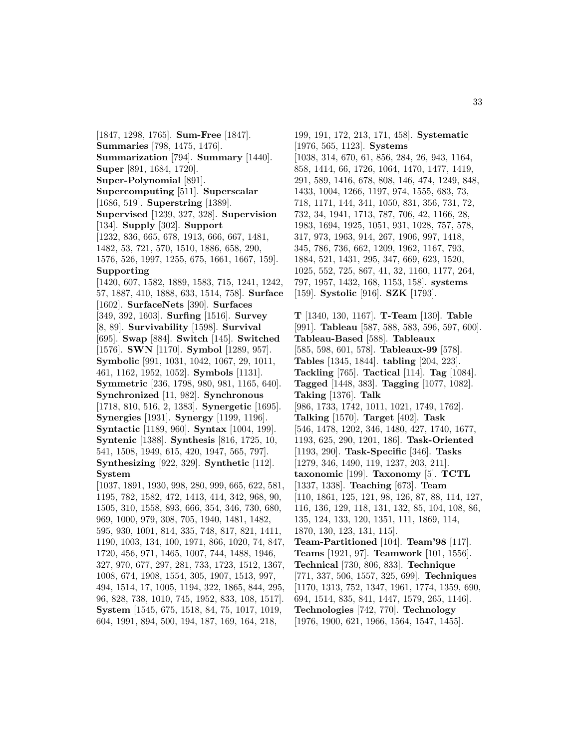[1847, 1298, 1765]. **Sum-Free** [1847]. **Summaries** [798, 1475, 1476]. **Summarization** [794]. **Summary** [1440]. **Super** [891, 1684, 1720]. **Super-Polynomial** [891]. **Supercomputing** [511]. **Superscalar** [1686, 519]. **Superstring** [1389]. **Supervised** [1239, 327, 328]. **Supervision** [134]. **Supply** [302]. **Support** [1232, 836, 665, 678, 1913, 666, 667, 1481, 1482, 53, 721, 570, 1510, 1886, 658, 290, 1576, 526, 1997, 1255, 675, 1661, 1667, 159]. **Supporting** [1420, 607, 1582, 1889, 1583, 715, 1241, 1242, 57, 1887, 410, 1888, 633, 1514, 758]. **Surface** [1602]. **SurfaceNets** [390]. **Surfaces** [349, 392, 1603]. **Surfing** [1516]. **Survey** [8, 89]. **Survivability** [1598]. **Survival** [695]. **Swap** [884]. **Switch** [145]. **Switched** [1576]. **SWN** [1170]. **Symbol** [1289, 957]. **Symbolic** [991, 1031, 1042, 1067, 29, 1011, 461, 1162, 1952, 1052]. **Symbols** [1131]. **Symmetric** [236, 1798, 980, 981, 1165, 640]. **Synchronized** [11, 982]. **Synchronous** [1718, 810, 516, 2, 1383]. **Synergetic** [1695]. **Synergies** [1931]. **Synergy** [1199, 1196]. **Syntactic** [1189, 960]. **Syntax** [1004, 199]. **Syntenic** [1388]. **Synthesis** [816, 1725, 10, 541, 1508, 1949, 615, 420, 1947, 565, 797]. **Synthesizing** [922, 329]. **Synthetic** [112]. **System** [1037, 1891, 1930, 998, 280, 999, 665, 622, 581, 1195, 782, 1582, 472, 1413, 414, 342, 968, 90, 1505, 310, 1558, 893, 666, 354, 346, 730, 680, 969, 1000, 979, 308, 705, 1940, 1481, 1482, 595, 930, 1001, 814, 335, 748, 817, 821, 1411, 1190, 1003, 134, 100, 1971, 866, 1020, 74, 847, 1720, 456, 971, 1465, 1007, 744, 1488, 1946, 327, 970, 677, 297, 281, 733, 1723, 1512, 1367,

1008, 674, 1908, 1554, 305, 1907, 1513, 997, 494, 1514, 17, 1005, 1194, 322, 1865, 844, 295, 96, 828, 738, 1010, 745, 1952, 833, 108, 1517]. **System** [1545, 675, 1518, 84, 75, 1017, 1019, 604, 1991, 894, 500, 194, 187, 169, 164, 218,

199, 191, 172, 213, 171, 458]. **Systematic** [1976, 565, 1123]. **Systems** [1038, 314, 670, 61, 856, 284, 26, 943, 1164, 858, 1414, 66, 1726, 1064, 1470, 1477, 1419, 291, 589, 1416, 678, 808, 146, 474, 1249, 848, 1433, 1004, 1266, 1197, 974, 1555, 683, 73, 718, 1171, 144, 341, 1050, 831, 356, 731, 72, 732, 34, 1941, 1713, 787, 706, 42, 1166, 28, 1983, 1694, 1925, 1051, 931, 1028, 757, 578, 317, 973, 1963, 914, 267, 1906, 997, 1418, 345, 786, 736, 662, 1209, 1962, 1167, 793, 1884, 521, 1431, 295, 347, 669, 623, 1520, 1025, 552, 725, 867, 41, 32, 1160, 1177, 264, 797, 1957, 1432, 168, 1153, 158]. **systems** [159]. **Systolic** [916]. **SZK** [1793].

**T** [1340, 130, 1167]. **T-Team** [130]. **Table** [991]. **Tableau** [587, 588, 583, 596, 597, 600]. **Tableau-Based** [588]. **Tableaux** [585, 598, 601, 578]. **Tableaux-99** [578]. **Tables** [1345, 1844]. **tabling** [204, 223]. **Tackling** [765]. **Tactical** [114]. **Tag** [1084]. **Tagged** [1448, 383]. **Tagging** [1077, 1082]. **Taking** [1376]. **Talk** [986, 1733, 1742, 1011, 1021, 1749, 1762]. **Talking** [1570]. **Target** [402]. **Task** [546, 1478, 1202, 346, 1480, 427, 1740, 1677, 1193, 625, 290, 1201, 186]. **Task-Oriented** [1193, 290]. **Task-Specific** [346]. **Tasks** [1279, 346, 1490, 119, 1237, 203, 211]. **taxonomic** [199]. **Taxonomy** [5]. **TCTL** [1337, 1338]. **Teaching** [673]. **Team** [110, 1861, 125, 121, 98, 126, 87, 88, 114, 127, 116, 136, 129, 118, 131, 132, 85, 104, 108, 86, 135, 124, 133, 120, 1351, 111, 1869, 114, 1870, 130, 123, 131, 115]. **Team-Partitioned** [104]. **Team'98** [117]. **Teams** [1921, 97]. **Teamwork** [101, 1556]. **Technical** [730, 806, 833]. **Technique** [771, 337, 506, 1557, 325, 699]. **Techniques** [1170, 1313, 752, 1347, 1961, 1774, 1359, 690, 694, 1514, 835, 841, 1447, 1579, 265, 1146]. **Technologies** [742, 770]. **Technology** [1976, 1900, 621, 1966, 1564, 1547, 1455].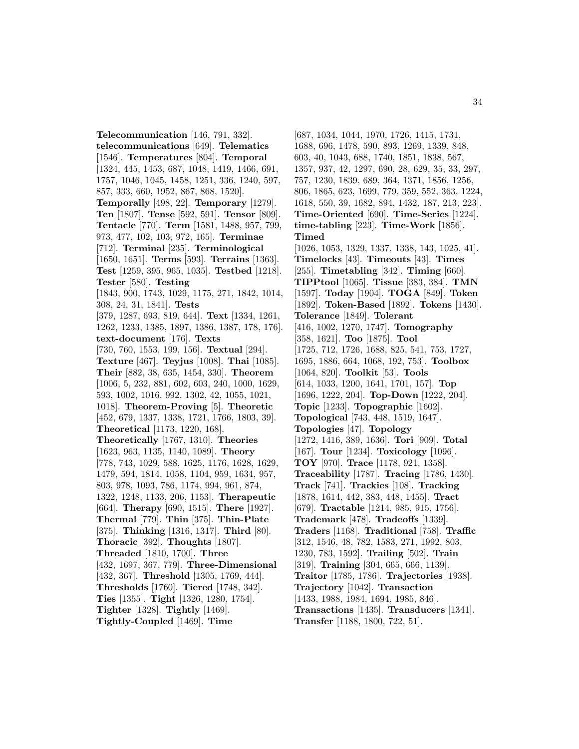**Telecommunication** [146, 791, 332]. **telecommunications** [649]. **Telematics** [1546]. **Temperatures** [804]. **Temporal** [1324, 445, 1453, 687, 1048, 1419, 1466, 691, 1757, 1046, 1045, 1458, 1251, 336, 1240, 597, 857, 333, 660, 1952, 867, 868, 1520]. **Temporally** [498, 22]. **Temporary** [1279]. **Ten** [1807]. **Tense** [592, 591]. **Tensor** [809]. **Tentacle** [770]. **Term** [1581, 1488, 957, 799, 973, 477, 102, 103, 972, 165]. **Terminae** [712]. **Terminal** [235]. **Terminological** [1650, 1651]. **Terms** [593]. **Terrains** [1363]. **Test** [1259, 395, 965, 1035]. **Testbed** [1218]. **Tester** [580]. **Testing** [1843, 900, 1743, 1029, 1175, 271, 1842, 1014, 308, 24, 31, 1841]. **Tests** [379, 1287, 693, 819, 644]. **Text** [1334, 1261, 1262, 1233, 1385, 1897, 1386, 1387, 178, 176]. **text-document** [176]. **Texts** [730, 760, 1553, 199, 156]. **Textual** [294]. **Texture** [467]. **Teyjus** [1008]. **Thai** [1085]. **Their** [882, 38, 635, 1454, 330]. **Theorem** [1006, 5, 232, 881, 602, 603, 240, 1000, 1629, 593, 1002, 1016, 992, 1302, 42, 1055, 1021, 1018]. **Theorem-Proving** [5]. **Theoretic** [452, 679, 1337, 1338, 1721, 1766, 1803, 39]. **Theoretical** [1173, 1220, 168]. **Theoretically** [1767, 1310]. **Theories** [1623, 963, 1135, 1140, 1089]. **Theory** [778, 743, 1029, 588, 1625, 1176, 1628, 1629, 1479, 594, 1814, 1058, 1104, 959, 1634, 957, 803, 978, 1093, 786, 1174, 994, 961, 874, 1322, 1248, 1133, 206, 1153]. **Therapeutic** [664]. **Therapy** [690, 1515]. **There** [1927]. **Thermal** [779]. **Thin** [375]. **Thin-Plate** [375]. **Thinking** [1316, 1317]. **Third** [80]. **Thoracic** [392]. **Thoughts** [1807]. **Threaded** [1810, 1700]. **Three** [432, 1697, 367, 779]. **Three-Dimensional** [432, 367]. **Threshold** [1305, 1769, 444]. **Thresholds** [1760]. **Tiered** [1748, 342]. **Ties** [1355]. **Tight** [1326, 1280, 1754]. **Tighter** [1328]. **Tightly** [1469]. **Tightly-Coupled** [1469]. **Time**

[687, 1034, 1044, 1970, 1726, 1415, 1731, 1688, 696, 1478, 590, 893, 1269, 1339, 848, 603, 40, 1043, 688, 1740, 1851, 1838, 567, 1357, 937, 42, 1297, 690, 28, 629, 35, 33, 297, 757, 1230, 1839, 689, 364, 1371, 1856, 1256, 806, 1865, 623, 1699, 779, 359, 552, 363, 1224, 1618, 550, 39, 1682, 894, 1432, 187, 213, 223]. **Time-Oriented** [690]. **Time-Series** [1224]. **time-tabling** [223]. **Time-Work** [1856]. **Timed** [1026, 1053, 1329, 1337, 1338, 143, 1025, 41]. **Timelocks** [43]. **Timeouts** [43]. **Times** [255]. **Timetabling** [342]. **Timing** [660]. **TIPPtool** [1065]. **Tissue** [383, 384]. **TMN** [1597]. **Today** [1904]. **TOGA** [849]. **Token** [1892]. **Token-Based** [1892]. **Tokens** [1430]. **Tolerance** [1849]. **Tolerant** [416, 1002, 1270, 1747]. **Tomography** [358, 1621]. **Too** [1875]. **Tool** [1725, 712, 1726, 1688, 825, 541, 753, 1727, 1695, 1886, 664, 1068, 192, 753]. **Toolbox** [1064, 820]. **Toolkit** [53]. **Tools** [614, 1033, 1200, 1641, 1701, 157]. **Top** [1696, 1222, 204]. **Top-Down** [1222, 204]. **Topic** [1233]. **Topographic** [1602]. **Topological** [743, 448, 1519, 1647]. **Topologies** [47]. **Topology** [1272, 1416, 389, 1636]. **Tori** [909]. **Total** [167]. **Tour** [1234]. **Toxicology** [1096]. **TOY** [970]. **Trace** [1178, 921, 1358]. **Traceability** [1787]. **Tracing** [1786, 1430]. **Track** [741]. **Trackies** [108]. **Tracking** [1878, 1614, 442, 383, 448, 1455]. **Tract** [679]. **Tractable** [1214, 985, 915, 1756]. **Trademark** [478]. **Tradeoffs** [1339]. **Traders** [1168]. **Traditional** [758]. **Traffic** [312, 1546, 48, 782, 1583, 271, 1992, 803, 1230, 783, 1592]. **Trailing** [502]. **Train** [319]. **Training** [304, 665, 666, 1139]. **Traitor** [1785, 1786]. **Trajectories** [1938]. **Trajectory** [1042]. **Transaction** [1433, 1988, 1984, 1694, 1985, 846]. **Transactions** [1435]. **Transducers** [1341]. **Transfer** [1188, 1800, 722, 51].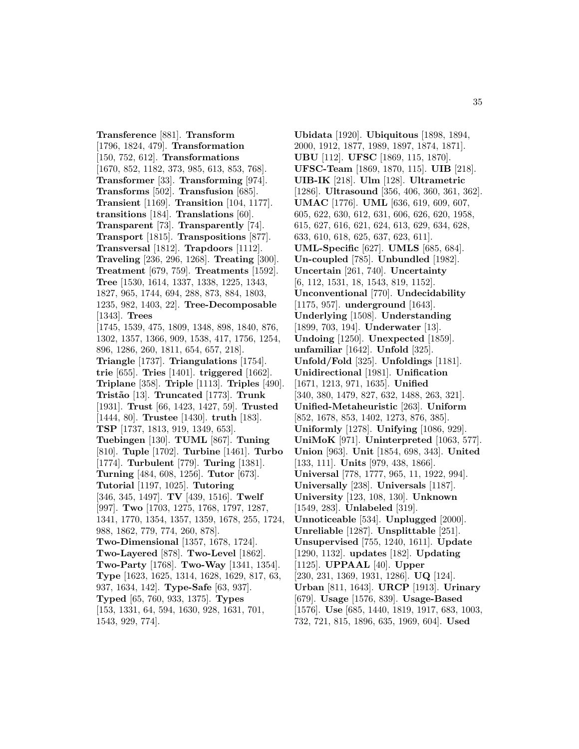**Transference** [881]. **Transform** [1796, 1824, 479]. **Transformation** [150, 752, 612]. **Transformations** [1670, 852, 1182, 373, 985, 613, 853, 768]. **Transformer** [33]. **Transforming** [974]. **Transforms** [502]. **Transfusion** [685]. **Transient** [1169]. **Transition** [104, 1177]. **transitions** [184]. **Translations** [60]. **Transparent** [73]. **Transparently** [74]. **Transport** [1815]. **Transpositions** [877]. **Transversal** [1812]. **Trapdoors** [1112]. **Traveling** [236, 296, 1268]. **Treating** [300]. **Treatment** [679, 759]. **Treatments** [1592]. **Tree** [1530, 1614, 1337, 1338, 1225, 1343, 1827, 965, 1744, 694, 288, 873, 884, 1803, 1235, 982, 1403, 22]. **Tree-Decomposable** [1343]. **Trees** [1745, 1539, 475, 1809, 1348, 898, 1840, 876, 1302, 1357, 1366, 909, 1538, 417, 1756, 1254, 896, 1286, 260, 1811, 654, 657, 218]. **Triangle** [1737]. **Triangulations** [1754]. **trie** [655]. **Tries** [1401]. **triggered** [1662]. **Triplane** [358]. **Triple** [1113]. **Triples** [490]. **Trist˜ao** [13]. **Truncated** [1773]. **Trunk** [1931]. **Trust** [66, 1423, 1427, 59]. **Trusted** [1444, 80]. **Trustee** [1430]. **truth** [183]. **TSP** [1737, 1813, 919, 1349, 653]. **Tuebingen** [130]. **TUML** [867]. **Tuning** [810]. **Tuple** [1702]. **Turbine** [1461]. **Turbo** [1774]. **Turbulent** [779]. **Turing** [1381]. **Turning** [484, 608, 1256]. **Tutor** [673]. **Tutorial** [1197, 1025]. **Tutoring** [346, 345, 1497]. **TV** [439, 1516]. **Twelf** [997]. **Two** [1703, 1275, 1768, 1797, 1287, 1341, 1770, 1354, 1357, 1359, 1678, 255, 1724, 988, 1862, 779, 774, 260, 878]. **Two-Dimensional** [1357, 1678, 1724]. **Two-Layered** [878]. **Two-Level** [1862]. **Two-Party** [1768]. **Two-Way** [1341, 1354]. **Type** [1623, 1625, 1314, 1628, 1629, 817, 63, 937, 1634, 142]. **Type-Safe** [63, 937]. **Typed** [65, 760, 933, 1375]. **Types** [153, 1331, 64, 594, 1630, 928, 1631, 701, 1543, 929, 774].

**Ubidata** [1920]. **Ubiquitous** [1898, 1894, 2000, 1912, 1877, 1989, 1897, 1874, 1871]. **UBU** [112]. **UFSC** [1869, 115, 1870]. **UFSC-Team** [1869, 1870, 115]. **UIB** [218]. **UIB-IK** [218]. **Ulm** [128]. **Ultrametric** [1286]. **Ultrasound** [356, 406, 360, 361, 362]. **UMAC** [1776]. **UML** [636, 619, 609, 607, 605, 622, 630, 612, 631, 606, 626, 620, 1958, 615, 627, 616, 621, 624, 613, 629, 634, 628, 633, 610, 618, 625, 637, 623, 611]. **UML-Specific** [627]. **UMLS** [685, 684]. **Un-coupled** [785]. **Unbundled** [1982]. **Uncertain** [261, 740]. **Uncertainty** [6, 112, 1531, 18, 1543, 819, 1152]. **Unconventional** [770]. **Undecidability** [1175, 957]. **underground** [1643]. **Underlying** [1508]. **Understanding** [1899, 703, 194]. **Underwater** [13]. **Undoing** [1250]. **Unexpected** [1859]. **unfamiliar** [1642]. **Unfold** [325]. **Unfold/Fold** [325]. **Unfoldings** [1181]. **Unidirectional** [1981]. **Unification** [1671, 1213, 971, 1635]. **Unified** [340, 380, 1479, 827, 632, 1488, 263, 321]. **Unified-Metaheuristic** [263]. **Uniform** [852, 1678, 853, 1402, 1273, 876, 385]. **Uniformly** [1278]. **Unifying** [1086, 929]. **UniMoK** [971]. **Uninterpreted** [1063, 577]. **Union** [963]. **Unit** [1854, 698, 343]. **United** [133, 111]. **Units** [979, 438, 1866]. **Universal** [778, 1777, 965, 11, 1922, 994]. **Universally** [238]. **Universals** [1187]. **University** [123, 108, 130]. **Unknown** [1549, 283]. **Unlabeled** [319]. **Unnoticeable** [534]. **Unplugged** [2000]. **Unreliable** [1287]. **Unsplittable** [251]. **Unsupervised** [755, 1240, 1611]. **Update** [1290, 1132]. **updates** [182]. **Updating** [1125]. **UPPAAL** [40]. **Upper** [230, 231, 1369, 1931, 1286]. **UQ** [124]. **Urban** [811, 1643]. **URCP** [1913]. **Urinary** [679]. **Usage** [1576, 839]. **Usage-Based** [1576]. **Use** [685, 1440, 1819, 1917, 683, 1003, 732, 721, 815, 1896, 635, 1969, 604]. **Used**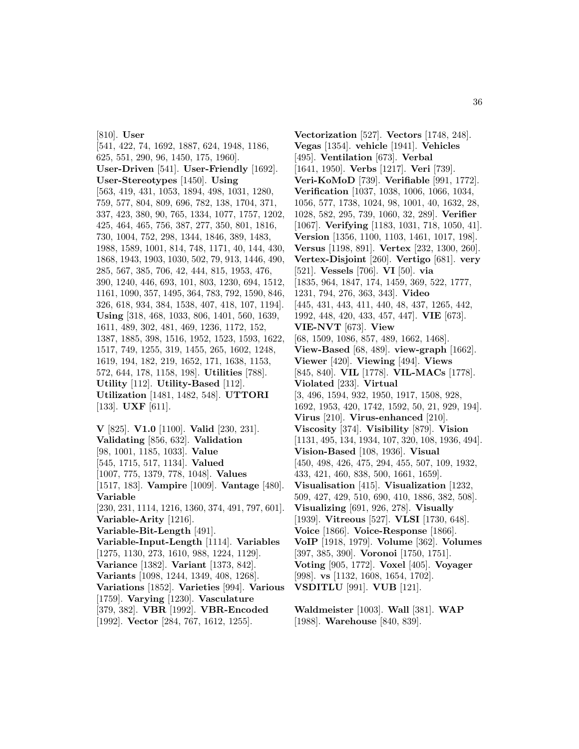[810]. **User** [541, 422, 74, 1692, 1887, 624, 1948, 1186, 625, 551, 290, 96, 1450, 175, 1960]. **User-Driven** [541]. **User-Friendly** [1692]. **User-Stereotypes** [1450]. **Using** [563, 419, 431, 1053, 1894, 498, 1031, 1280, 759, 577, 804, 809, 696, 782, 138, 1704, 371, 337, 423, 380, 90, 765, 1334, 1077, 1757, 1202, 425, 464, 465, 756, 387, 277, 350, 801, 1816, 730, 1004, 752, 298, 1344, 1846, 389, 1483, 1988, 1589, 1001, 814, 748, 1171, 40, 144, 430, 1868, 1943, 1903, 1030, 502, 79, 913, 1446, 490, 285, 567, 385, 706, 42, 444, 815, 1953, 476, 390, 1240, 446, 693, 101, 803, 1230, 694, 1512, 1161, 1090, 357, 1495, 364, 783, 792, 1590, 846, 326, 618, 934, 384, 1538, 407, 418, 107, 1194]. **Using** [318, 468, 1033, 806, 1401, 560, 1639, 1611, 489, 302, 481, 469, 1236, 1172, 152, 1387, 1885, 398, 1516, 1952, 1523, 1593, 1622, 1517, 749, 1255, 319, 1455, 265, 1602, 1248, 1619, 194, 182, 219, 1652, 171, 1638, 1153, 572, 644, 178, 1158, 198]. **Utilities** [788]. **Utility** [112]. **Utility-Based** [112]. **Utilization** [1481, 1482, 548]. **UTTORI** [133]. **UXF** [611].

**V** [825]. **V1.0** [1100]. **Valid** [230, 231]. **Validating** [856, 632]. **Validation** [98, 1001, 1185, 1033]. **Value** [545, 1715, 517, 1134]. **Valued** [1007, 775, 1379, 778, 1048]. **Values** [1517, 183]. **Vampire** [1009]. **Vantage** [480]. **Variable** [230, 231, 1114, 1216, 1360, 374, 491, 797, 601]. **Variable-Arity** [1216]. **Variable-Bit-Length** [491]. **Variable-Input-Length** [1114]. **Variables** [1275, 1130, 273, 1610, 988, 1224, 1129]. **Variance** [1382]. **Variant** [1373, 842]. **Variants** [1098, 1244, 1349, 408, 1268]. **Variations** [1852]. **Varieties** [994]. **Various** [1759]. **Varying** [1230]. **Vasculature** [379, 382]. **VBR** [1992]. **VBR-Encoded** [1992]. **Vector** [284, 767, 1612, 1255].

**Vectorization** [527]. **Vectors** [1748, 248]. **Vegas** [1354]. **vehicle** [1941]. **Vehicles** [495]. **Ventilation** [673]. **Verbal** [1641, 1950]. **Verbs** [1217]. **Veri** [739]. **Veri-KoMoD** [739]. **Verifiable** [991, 1772]. **Verification** [1037, 1038, 1006, 1066, 1034, 1056, 577, 1738, 1024, 98, 1001, 40, 1632, 28, 1028, 582, 295, 739, 1060, 32, 289]. **Verifier** [1067]. **Verifying** [1183, 1031, 718, 1050, 41]. **Version** [1356, 1100, 1103, 1461, 1017, 198]. **Versus** [1198, 891]. **Vertex** [232, 1300, 260]. **Vertex-Disjoint** [260]. **Vertigo** [681]. **very** [521]. **Vessels** [706]. **VI** [50]. **via** [1835, 964, 1847, 174, 1459, 369, 522, 1777, 1231, 794, 276, 363, 343]. **Video** [445, 431, 443, 411, 440, 48, 437, 1265, 442, 1992, 448, 420, 433, 457, 447]. **VIE** [673]. **VIE-NVT** [673]. **View** [68, 1509, 1086, 857, 489, 1662, 1468]. **View-Based** [68, 489]. **view-graph** [1662]. **Viewer** [420]. **Viewing** [494]. **Views** [845, 840]. **VIL** [1778]. **VIL-MACs** [1778]. **Violated** [233]. **Virtual** [3, 496, 1594, 932, 1950, 1917, 1508, 928, 1692, 1953, 420, 1742, 1592, 50, 21, 929, 194]. **Virus** [210]. **Virus-enhanced** [210]. **Viscosity** [374]. **Visibility** [879]. **Vision** [1131, 495, 134, 1934, 107, 320, 108, 1936, 494]. **Vision-Based** [108, 1936]. **Visual** [450, 498, 426, 475, 294, 455, 507, 109, 1932, 433, 421, 460, 838, 500, 1661, 1659]. **Visualisation** [415]. **Visualization** [1232, 509, 427, 429, 510, 690, 410, 1886, 382, 508]. **Visualizing** [691, 926, 278]. **Visually** [1939]. **Vitreous** [527]. **VLSI** [1730, 648]. **Voice** [1866]. **Voice-Response** [1866]. **VoIP** [1918, 1979]. **Volume** [362]. **Volumes** [397, 385, 390]. **Voronoi** [1750, 1751]. **Voting** [905, 1772]. **Voxel** [405]. **Voyager** [998]. **vs** [1132, 1608, 1654, 1702]. **VSDITLU** [991]. **VUB** [121].

**Waldmeister** [1003]. **Wall** [381]. **WAP** [1988]. **Warehouse** [840, 839].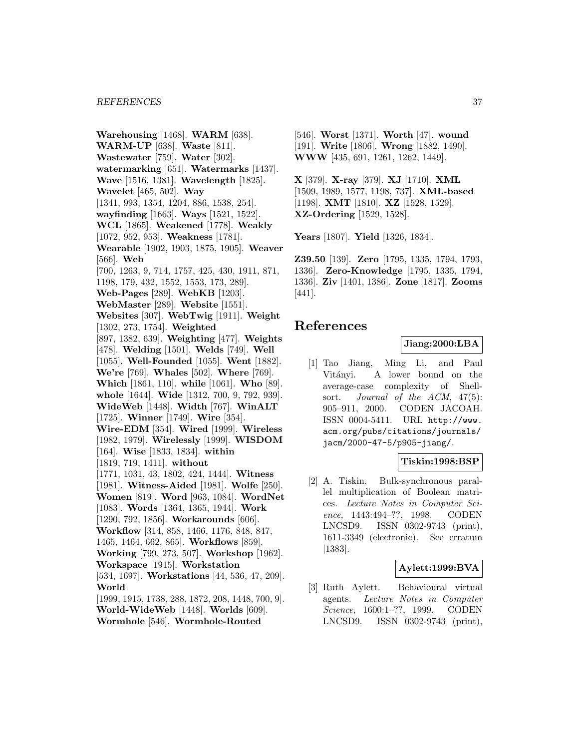**Warehousing** [1468]. **WARM** [638]. **WARM-UP** [638]. **Waste** [811]. **Wastewater** [759]. **Water** [302]. **watermarking** [651]. **Watermarks** [1437]. **Wave** [1516, 1381]. **Wavelength** [1825]. **Wavelet** [465, 502]. **Way** [1341, 993, 1354, 1204, 886, 1538, 254]. **wayfinding** [1663]. **Ways** [1521, 1522]. **WCL** [1865]. **Weakened** [1778]. **Weakly** [1072, 952, 953]. **Weakness** [1781]. **Wearable** [1902, 1903, 1875, 1905]. **Weaver** [566]. **Web** [700, 1263, 9, 714, 1757, 425, 430, 1911, 871, 1198, 179, 432, 1552, 1553, 173, 289]. **Web-Pages** [289]. **WebKB** [1203]. **WebMaster** [289]. **Website** [1551]. **Websites** [307]. **WebTwig** [1911]. **Weight** [1302, 273, 1754]. **Weighted** [897, 1382, 639]. **Weighting** [477]. **Weights** [478]. **Welding** [1501]. **Welds** [749]. **Well** [1055]. **Well-Founded** [1055]. **Went** [1882]. **We're** [769]. **Whales** [502]. **Where** [769]. **Which** [1861, 110]. **while** [1061]. **Who** [89]. **whole** [1644]. **Wide** [1312, 700, 9, 792, 939]. **WideWeb** [1448]. **Width** [767]. **WinALT** [1725]. **Winner** [1749]. **Wire** [354]. **Wire-EDM** [354]. **Wired** [1999]. **Wireless** [1982, 1979]. **Wirelessly** [1999]. **WISDOM** [164]. **Wise** [1833, 1834]. **within** [1819, 719, 1411]. **without** [1771, 1031, 43, 1802, 424, 1444]. **Witness** [1981]. **Witness-Aided** [1981]. **Wolfe** [250]. **Women** [819]. **Word** [963, 1084]. **WordNet** [1083]. **Words** [1364, 1365, 1944]. **Work** [1290, 792, 1856]. **Workarounds** [606]. **Workflow** [314, 858, 1466, 1176, 848, 847, 1465, 1464, 662, 865]. **Workflows** [859]. **Working** [799, 273, 507]. **Workshop** [1962]. **Workspace** [1915]. **Workstation** [534, 1697]. **Workstations** [44, 536, 47, 209]. **World** [1999, 1915, 1738, 288, 1872, 208, 1448, 700, 9]. **World-WideWeb** [1448]. **Worlds** [609]. **Wormhole** [546]. **Wormhole-Routed**

[546]. **Worst** [1371]. **Worth** [47]. **wound** [191]. **Write** [1806]. **Wrong** [1882, 1490]. **WWW** [435, 691, 1261, 1262, 1449].

**X** [379]. **X-ray** [379]. **XJ** [1710]. **XML** [1509, 1989, 1577, 1198, 737]. **XML-based** [1198]. **XMT** [1810]. **XZ** [1528, 1529]. **XZ-Ordering** [1529, 1528].

**Years** [1807]. **Yield** [1326, 1834].

**Z39.50** [139]. **Zero** [1795, 1335, 1794, 1793, 1336]. **Zero-Knowledge** [1795, 1335, 1794, 1336]. **Ziv** [1401, 1386]. **Zone** [1817]. **Zooms** [441].

# **References**

# **Jiang:2000:LBA**

[1] Tao Jiang, Ming Li, and Paul Vitányi. A lower bound on the average-case complexity of Shellsort. Journal of the ACM, 47(5): 905–911, 2000. CODEN JACOAH. ISSN 0004-5411. URL http://www. acm.org/pubs/citations/journals/ jacm/2000-47-5/p905-jiang/.

### **Tiskin:1998:BSP**

[2] A. Tiskin. Bulk-synchronous parallel multiplication of Boolean matrices. Lecture Notes in Computer Science, 1443:494–??, 1998. CODEN LNCSD9. ISSN 0302-9743 (print), 1611-3349 (electronic). See erratum [1383].

### **Aylett:1999:BVA**

[3] Ruth Aylett. Behavioural virtual agents. Lecture Notes in Computer Science, 1600:1–??, 1999. CODEN LNCSD9. ISSN 0302-9743 (print),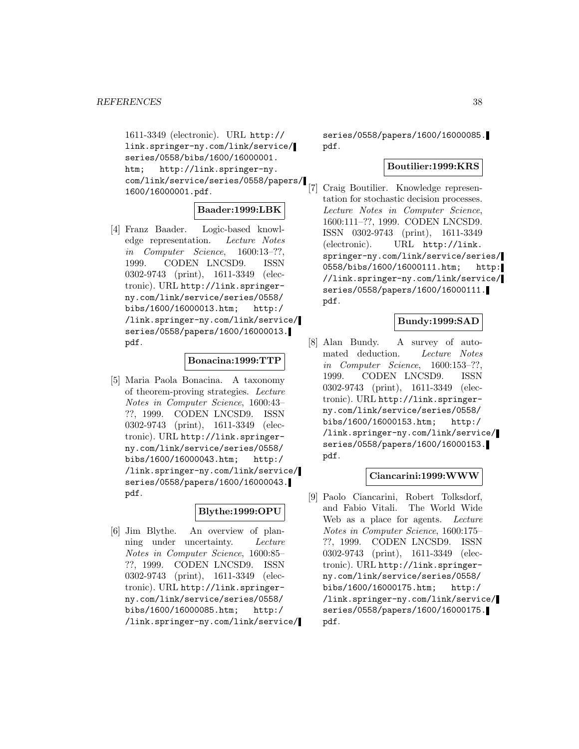1611-3349 (electronic). URL http:// link.springer-ny.com/link/service/ series/0558/bibs/1600/16000001. htm; http://link.springer-ny. com/link/service/series/0558/papers/ 1600/16000001.pdf.

### **Baader:1999:LBK**

[4] Franz Baader. Logic-based knowledge representation. Lecture Notes in Computer Science, 1600:13–??, 1999. CODEN LNCSD9. ISSN 0302-9743 (print), 1611-3349 (electronic). URL http://link.springerny.com/link/service/series/0558/ bibs/1600/16000013.htm; http:/ /link.springer-ny.com/link/service/ series/0558/papers/1600/16000013. pdf.

#### **Bonacina:1999:TTP**

[5] Maria Paola Bonacina. A taxonomy of theorem-proving strategies. Lecture Notes in Computer Science, 1600:43– ??, 1999. CODEN LNCSD9. ISSN 0302-9743 (print), 1611-3349 (electronic). URL http://link.springerny.com/link/service/series/0558/ bibs/1600/16000043.htm; http:/ /link.springer-ny.com/link/service/ series/0558/papers/1600/16000043. pdf.

## **Blythe:1999:OPU**

[6] Jim Blythe. An overview of planning under uncertainty. Lecture Notes in Computer Science, 1600:85– ??, 1999. CODEN LNCSD9. ISSN 0302-9743 (print), 1611-3349 (electronic). URL http://link.springerny.com/link/service/series/0558/ bibs/1600/16000085.htm; http:/ /link.springer-ny.com/link/service/

series/0558/papers/1600/16000085. pdf.

# **Boutilier:1999:KRS**

[7] Craig Boutilier. Knowledge representation for stochastic decision processes. Lecture Notes in Computer Science, 1600:111–??, 1999. CODEN LNCSD9. ISSN 0302-9743 (print), 1611-3349 (electronic). URL http://link. springer-ny.com/link/service/series/ 0558/bibs/1600/16000111.htm; http: //link.springer-ny.com/link/service/ series/0558/papers/1600/16000111. pdf.

# **Bundy:1999:SAD**

[8] Alan Bundy. A survey of automated deduction. Lecture Notes in Computer Science, 1600:153–??, 1999. CODEN LNCSD9. ISSN 0302-9743 (print), 1611-3349 (electronic). URL http://link.springerny.com/link/service/series/0558/ bibs/1600/16000153.htm; http:/ /link.springer-ny.com/link/service/ series/0558/papers/1600/16000153. pdf.

#### **Ciancarini:1999:WWW**

[9] Paolo Ciancarini, Robert Tolksdorf, and Fabio Vitali. The World Wide Web as a place for agents. Lecture Notes in Computer Science, 1600:175– ??, 1999. CODEN LNCSD9. ISSN 0302-9743 (print), 1611-3349 (electronic). URL http://link.springerny.com/link/service/series/0558/ bibs/1600/16000175.htm; http:/ /link.springer-ny.com/link/service/ series/0558/papers/1600/16000175. pdf.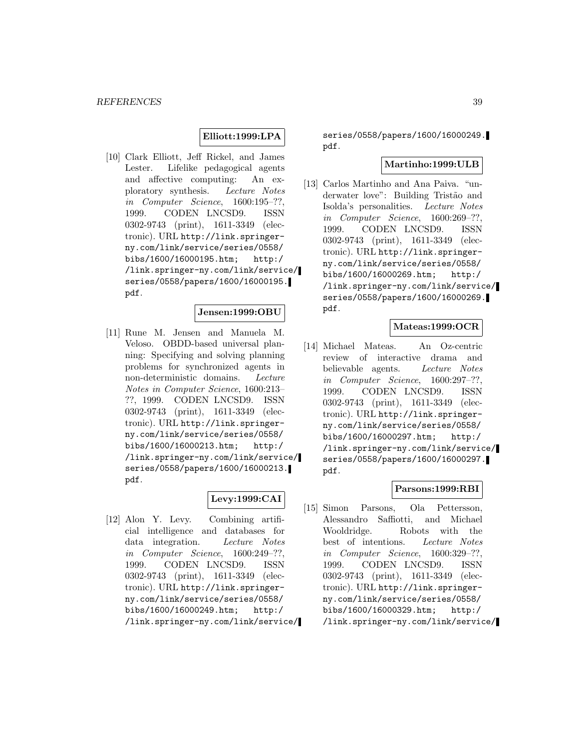# **Elliott:1999:LPA**

[10] Clark Elliott, Jeff Rickel, and James Lester. Lifelike pedagogical agents and affective computing: An exploratory synthesis. Lecture Notes in Computer Science, 1600:195–??, 1999. CODEN LNCSD9. ISSN 0302-9743 (print), 1611-3349 (electronic). URL http://link.springerny.com/link/service/series/0558/ bibs/1600/16000195.htm; http:/ /link.springer-ny.com/link/service/ series/0558/papers/1600/16000195. pdf.

### **Jensen:1999:OBU**

[11] Rune M. Jensen and Manuela M. Veloso. OBDD-based universal planning: Specifying and solving planning problems for synchronized agents in non-deterministic domains. Lecture Notes in Computer Science, 1600:213– ??, 1999. CODEN LNCSD9. ISSN 0302-9743 (print), 1611-3349 (electronic). URL http://link.springerny.com/link/service/series/0558/ bibs/1600/16000213.htm; http:/ /link.springer-ny.com/link/service/ series/0558/papers/1600/16000213. pdf.

### **Levy:1999:CAI**

[12] Alon Y. Levy. Combining artificial intelligence and databases for data integration. Lecture Notes in Computer Science, 1600:249–??, 1999. CODEN LNCSD9. ISSN 0302-9743 (print), 1611-3349 (electronic). URL http://link.springerny.com/link/service/series/0558/ bibs/1600/16000249.htm; http:/ /link.springer-ny.com/link/service/

series/0558/papers/1600/16000249. pdf.

#### **Martinho:1999:ULB**

[13] Carlos Martinho and Ana Paiva. "underwater love": Building Tristão and Isolda's personalities. Lecture Notes in Computer Science, 1600:269–??, 1999. CODEN LNCSD9. ISSN 0302-9743 (print), 1611-3349 (electronic). URL http://link.springerny.com/link/service/series/0558/ bibs/1600/16000269.htm; http:/ /link.springer-ny.com/link/service/ series/0558/papers/1600/16000269. pdf.

# **Mateas:1999:OCR**

[14] Michael Mateas. An Oz-centric review of interactive drama and believable agents. Lecture Notes in Computer Science, 1600:297–??, 1999. CODEN LNCSD9. ISSN 0302-9743 (print), 1611-3349 (electronic). URL http://link.springerny.com/link/service/series/0558/ bibs/1600/16000297.htm; http:/ /link.springer-ny.com/link/service/ series/0558/papers/1600/16000297. pdf.

## **Parsons:1999:RBI**

[15] Simon Parsons, Ola Pettersson, Alessandro Saffiotti, and Michael Wooldridge. Robots with the best of intentions. Lecture Notes in Computer Science, 1600:329–??, 1999. CODEN LNCSD9. ISSN 0302-9743 (print), 1611-3349 (electronic). URL http://link.springerny.com/link/service/series/0558/ bibs/1600/16000329.htm; http:/ /link.springer-ny.com/link/service/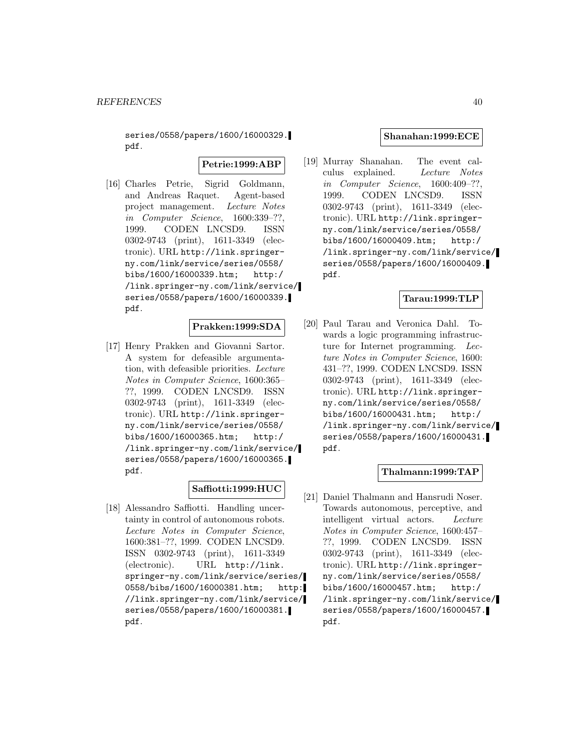series/0558/papers/1600/16000329. pdf.

**Petrie:1999:ABP**

[16] Charles Petrie, Sigrid Goldmann, and Andreas Raquet. Agent-based project management. Lecture Notes in Computer Science, 1600:339–??, 1999. CODEN LNCSD9. ISSN 0302-9743 (print), 1611-3349 (electronic). URL http://link.springerny.com/link/service/series/0558/ bibs/1600/16000339.htm; http:/ /link.springer-ny.com/link/service/ series/0558/papers/1600/16000339. pdf.

# **Prakken:1999:SDA**

[17] Henry Prakken and Giovanni Sartor. A system for defeasible argumentation, with defeasible priorities. Lecture Notes in Computer Science, 1600:365– ??, 1999. CODEN LNCSD9. ISSN 0302-9743 (print), 1611-3349 (electronic). URL http://link.springerny.com/link/service/series/0558/ bibs/1600/16000365.htm; http:/ /link.springer-ny.com/link/service/ series/0558/papers/1600/16000365. pdf.

# **Saffiotti:1999:HUC**

[18] Alessandro Saffiotti. Handling uncertainty in control of autonomous robots. Lecture Notes in Computer Science, 1600:381–??, 1999. CODEN LNCSD9. ISSN 0302-9743 (print), 1611-3349 (electronic). URL http://link. springer-ny.com/link/service/series/ 0558/bibs/1600/16000381.htm; http: //link.springer-ny.com/link/service/ series/0558/papers/1600/16000381. pdf.

### **Shanahan:1999:ECE**

[19] Murray Shanahan. The event calculus explained. Lecture Notes in Computer Science, 1600:409–??, 1999. CODEN LNCSD9. ISSN 0302-9743 (print), 1611-3349 (electronic). URL http://link.springerny.com/link/service/series/0558/ bibs/1600/16000409.htm; http:/ /link.springer-ny.com/link/service/ series/0558/papers/1600/16000409. pdf.

## **Tarau:1999:TLP**

[20] Paul Tarau and Veronica Dahl. Towards a logic programming infrastructure for Internet programming. Lecture Notes in Computer Science, 1600: 431–??, 1999. CODEN LNCSD9. ISSN 0302-9743 (print), 1611-3349 (electronic). URL http://link.springerny.com/link/service/series/0558/ bibs/1600/16000431.htm; http:/ /link.springer-ny.com/link/service/ series/0558/papers/1600/16000431. pdf.

# **Thalmann:1999:TAP**

[21] Daniel Thalmann and Hansrudi Noser. Towards autonomous, perceptive, and intelligent virtual actors. Lecture Notes in Computer Science, 1600:457– ??, 1999. CODEN LNCSD9. ISSN 0302-9743 (print), 1611-3349 (electronic). URL http://link.springerny.com/link/service/series/0558/ bibs/1600/16000457.htm; http:/ /link.springer-ny.com/link/service/ series/0558/papers/1600/16000457. pdf.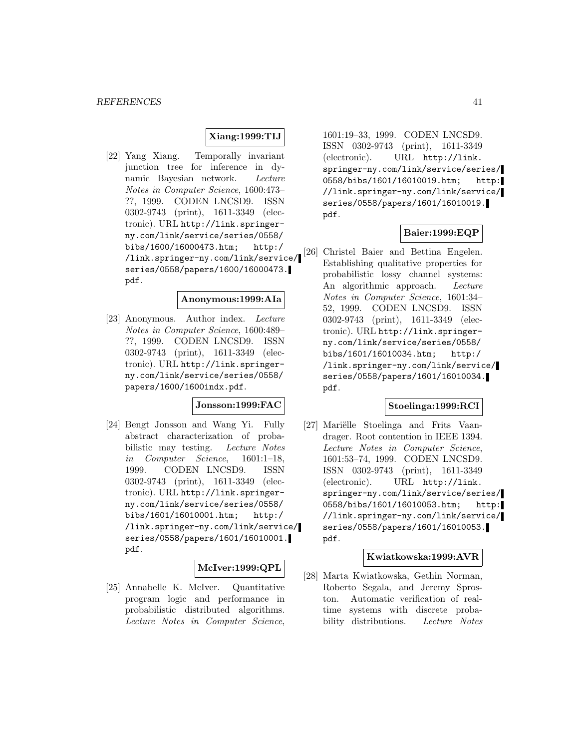# **Xiang:1999:TIJ**

[22] Yang Xiang. Temporally invariant junction tree for inference in dynamic Bayesian network. Lecture Notes in Computer Science, 1600:473– ??, 1999. CODEN LNCSD9. ISSN 0302-9743 (print), 1611-3349 (electronic). URL http://link.springerny.com/link/service/series/0558/ bibs/1600/16000473.htm; http:/ /link.springer-ny.com/link/service/ series/0558/papers/1600/16000473. pdf.

#### **Anonymous:1999:AIa**

[23] Anonymous. Author index. Lecture Notes in Computer Science, 1600:489– ??, 1999. CODEN LNCSD9. ISSN 0302-9743 (print), 1611-3349 (electronic). URL http://link.springerny.com/link/service/series/0558/ papers/1600/1600indx.pdf.

# **Jonsson:1999:FAC**

[24] Bengt Jonsson and Wang Yi. Fully abstract characterization of probabilistic may testing. Lecture Notes in Computer Science, 1601:1–18, 1999. CODEN LNCSD9. ISSN 0302-9743 (print), 1611-3349 (electronic). URL http://link.springerny.com/link/service/series/0558/ bibs/1601/16010001.htm; http:/ /link.springer-ny.com/link/service/ series/0558/papers/1601/16010001. pdf.

### **McIver:1999:QPL**

[25] Annabelle K. McIver. Quantitative program logic and performance in probabilistic distributed algorithms. Lecture Notes in Computer Science,

1601:19–33, 1999. CODEN LNCSD9. ISSN 0302-9743 (print), 1611-3349 (electronic). URL http://link. springer-ny.com/link/service/series/ 0558/bibs/1601/16010019.htm; http: //link.springer-ny.com/link/service/ series/0558/papers/1601/16010019. pdf.

## **Baier:1999:EQP**

[26] Christel Baier and Bettina Engelen. Establishing qualitative properties for probabilistic lossy channel systems: An algorithmic approach. Lecture Notes in Computer Science, 1601:34– 52, 1999. CODEN LNCSD9. ISSN 0302-9743 (print), 1611-3349 (electronic). URL http://link.springerny.com/link/service/series/0558/ bibs/1601/16010034.htm; http:/ /link.springer-ny.com/link/service/ series/0558/papers/1601/16010034. pdf.

## **Stoelinga:1999:RCI**

[27] Mariëlle Stoelinga and Frits Vaandrager. Root contention in IEEE 1394. Lecture Notes in Computer Science, 1601:53–74, 1999. CODEN LNCSD9. ISSN 0302-9743 (print), 1611-3349 (electronic). URL http://link. springer-ny.com/link/service/series/ 0558/bibs/1601/16010053.htm; http: //link.springer-ny.com/link/service/ series/0558/papers/1601/16010053. pdf.

### **Kwiatkowska:1999:AVR**

[28] Marta Kwiatkowska, Gethin Norman, Roberto Segala, and Jeremy Sproston. Automatic verification of realtime systems with discrete probability distributions. Lecture Notes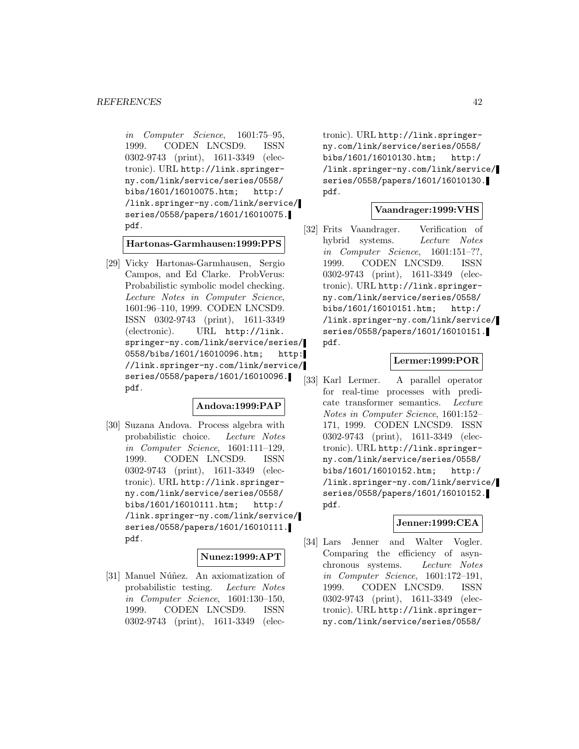in Computer Science, 1601:75–95, 1999. CODEN LNCSD9. ISSN 0302-9743 (print), 1611-3349 (electronic). URL http://link.springerny.com/link/service/series/0558/ bibs/1601/16010075.htm; http:/ /link.springer-ny.com/link/service/ series/0558/papers/1601/16010075. pdf.

**Hartonas-Garmhausen:1999:PPS**

[29] Vicky Hartonas-Garmhausen, Sergio Campos, and Ed Clarke. ProbVerus: Probabilistic symbolic model checking. Lecture Notes in Computer Science, 1601:96–110, 1999. CODEN LNCSD9. ISSN 0302-9743 (print), 1611-3349 (electronic). URL http://link. springer-ny.com/link/service/series/ 0558/bibs/1601/16010096.htm; http: //link.springer-ny.com/link/service/ series/0558/papers/1601/16010096. pdf.

## **Andova:1999:PAP**

[30] Suzana Andova. Process algebra with probabilistic choice. Lecture Notes in Computer Science, 1601:111–129, 1999. CODEN LNCSD9. ISSN 0302-9743 (print), 1611-3349 (electronic). URL http://link.springerny.com/link/service/series/0558/ bibs/1601/16010111.htm; http:/ /link.springer-ny.com/link/service/ series/0558/papers/1601/16010111. pdf.

### **Nunez:1999:APT**

[31] Manuel Núñez. An axiomatization of probabilistic testing. Lecture Notes in Computer Science, 1601:130–150, 1999. CODEN LNCSD9. ISSN 0302-9743 (print), 1611-3349 (elec-

tronic). URL http://link.springerny.com/link/service/series/0558/ bibs/1601/16010130.htm; http:/ /link.springer-ny.com/link/service/ series/0558/papers/1601/16010130. pdf.

#### **Vaandrager:1999:VHS**

[32] Frits Vaandrager. Verification of hybrid systems. Lecture Notes in Computer Science, 1601:151–??, 1999. CODEN LNCSD9. ISSN 0302-9743 (print), 1611-3349 (electronic). URL http://link.springerny.com/link/service/series/0558/ bibs/1601/16010151.htm; http:/ /link.springer-ny.com/link/service/ series/0558/papers/1601/16010151. pdf.

# **Lermer:1999:POR**

[33] Karl Lermer. A parallel operator for real-time processes with predicate transformer semantics. Lecture Notes in Computer Science, 1601:152– 171, 1999. CODEN LNCSD9. ISSN 0302-9743 (print), 1611-3349 (electronic). URL http://link.springerny.com/link/service/series/0558/ bibs/1601/16010152.htm; http:/ /link.springer-ny.com/link/service/ series/0558/papers/1601/16010152. pdf.

#### **Jenner:1999:CEA**

[34] Lars Jenner and Walter Vogler. Comparing the efficiency of asynchronous systems. Lecture Notes in Computer Science, 1601:172–191, 1999. CODEN LNCSD9. ISSN 0302-9743 (print), 1611-3349 (electronic). URL http://link.springerny.com/link/service/series/0558/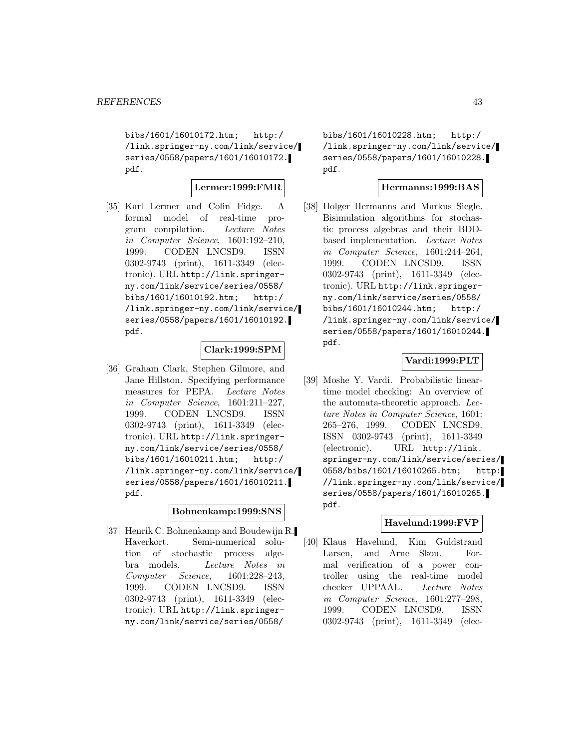bibs/1601/16010172.htm; http:/ /link.springer-ny.com/link/service/ series/0558/papers/1601/16010172. pdf.

### **Lermer:1999:FMR**

[35] Karl Lermer and Colin Fidge. A formal model of real-time program compilation. Lecture Notes in Computer Science, 1601:192–210, 1999. CODEN LNCSD9. ISSN 0302-9743 (print), 1611-3349 (electronic). URL http://link.springerny.com/link/service/series/0558/ bibs/1601/16010192.htm; http:/ /link.springer-ny.com/link/service/ series/0558/papers/1601/16010192. pdf.

### **Clark:1999:SPM**

[36] Graham Clark, Stephen Gilmore, and Jane Hillston. Specifying performance measures for PEPA. Lecture Notes in Computer Science, 1601:211–227, 1999. CODEN LNCSD9. ISSN 0302-9743 (print), 1611-3349 (electronic). URL http://link.springerny.com/link/service/series/0558/ bibs/1601/16010211.htm; http:/ /link.springer-ny.com/link/service/ series/0558/papers/1601/16010211. pdf.

### **Bohnenkamp:1999:SNS**

[37] Henrik C. Bohnenkamp and Boudewijn R. Haverkort. Semi-numerical solution of stochastic process algebra models. Lecture Notes in Computer Science, 1601:228–243, 1999. CODEN LNCSD9. ISSN 0302-9743 (print), 1611-3349 (electronic). URL http://link.springerny.com/link/service/series/0558/

bibs/1601/16010228.htm; http:/ /link.springer-ny.com/link/service/ series/0558/papers/1601/16010228. pdf.

## **Hermanns:1999:BAS**

[38] Holger Hermanns and Markus Siegle. Bisimulation algorithms for stochastic process algebras and their BDDbased implementation. Lecture Notes in Computer Science, 1601:244–264, 1999. CODEN LNCSD9. ISSN 0302-9743 (print), 1611-3349 (electronic). URL http://link.springerny.com/link/service/series/0558/ bibs/1601/16010244.htm; http:/ /link.springer-ny.com/link/service/ series/0558/papers/1601/16010244. pdf.

# **Vardi:1999:PLT**

[39] Moshe Y. Vardi. Probabilistic lineartime model checking: An overview of the automata-theoretic approach. Lecture Notes in Computer Science, 1601: 265–276, 1999. CODEN LNCSD9. ISSN 0302-9743 (print), 1611-3349 (electronic). URL http://link. springer-ny.com/link/service/series/ 0558/bibs/1601/16010265.htm; http: //link.springer-ny.com/link/service/ series/0558/papers/1601/16010265. pdf.

# **Havelund:1999:FVP**

[40] Klaus Havelund, Kim Guldstrand Larsen, and Arne Skou. Formal verification of a power controller using the real-time model checker UPPAAL. Lecture Notes in Computer Science, 1601:277–298, 1999. CODEN LNCSD9. ISSN 0302-9743 (print), 1611-3349 (elec-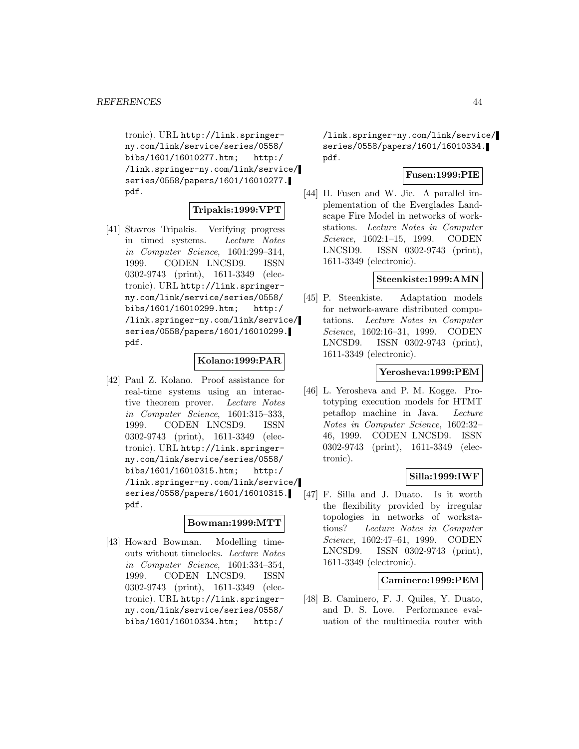tronic). URL http://link.springerny.com/link/service/series/0558/ bibs/1601/16010277.htm; http:/ /link.springer-ny.com/link/service/ series/0558/papers/1601/16010277. pdf.

### **Tripakis:1999:VPT**

[41] Stavros Tripakis. Verifying progress in timed systems. Lecture Notes in Computer Science, 1601:299–314, 1999. CODEN LNCSD9. ISSN 0302-9743 (print), 1611-3349 (electronic). URL http://link.springerny.com/link/service/series/0558/ bibs/1601/16010299.htm; http:/ /link.springer-ny.com/link/service/ series/0558/papers/1601/16010299. pdf.

#### **Kolano:1999:PAR**

[42] Paul Z. Kolano. Proof assistance for real-time systems using an interactive theorem prover. Lecture Notes in Computer Science, 1601:315–333, 1999. CODEN LNCSD9. ISSN 0302-9743 (print), 1611-3349 (electronic). URL http://link.springerny.com/link/service/series/0558/ bibs/1601/16010315.htm; http:/ /link.springer-ny.com/link/service/ series/0558/papers/1601/16010315. pdf.

#### **Bowman:1999:MTT**

[43] Howard Bowman. Modelling timeouts without timelocks. Lecture Notes in Computer Science, 1601:334–354, 1999. CODEN LNCSD9. ISSN 0302-9743 (print), 1611-3349 (electronic). URL http://link.springerny.com/link/service/series/0558/ bibs/1601/16010334.htm; http:/

/link.springer-ny.com/link/service/ series/0558/papers/1601/16010334. pdf.

# **Fusen:1999:PIE**

[44] H. Fusen and W. Jie. A parallel implementation of the Everglades Landscape Fire Model in networks of workstations. Lecture Notes in Computer Science, 1602:1–15, 1999. CODEN LNCSD9. ISSN 0302-9743 (print), 1611-3349 (electronic).

#### **Steenkiste:1999:AMN**

[45] P. Steenkiste. Adaptation models for network-aware distributed computations. Lecture Notes in Computer Science, 1602:16–31, 1999. CODEN LNCSD9. ISSN 0302-9743 (print), 1611-3349 (electronic).

### **Yerosheva:1999:PEM**

[46] L. Yerosheva and P. M. Kogge. Prototyping execution models for HTMT petaflop machine in Java. Lecture Notes in Computer Science, 1602:32– 46, 1999. CODEN LNCSD9. ISSN 0302-9743 (print), 1611-3349 (electronic).

### **Silla:1999:IWF**

[47] F. Silla and J. Duato. Is it worth the flexibility provided by irregular topologies in networks of workstations? Lecture Notes in Computer Science, 1602:47–61, 1999. CODEN LNCSD9. ISSN 0302-9743 (print), 1611-3349 (electronic).

# **Caminero:1999:PEM**

[48] B. Caminero, F. J. Quiles, Y. Duato, and D. S. Love. Performance evaluation of the multimedia router with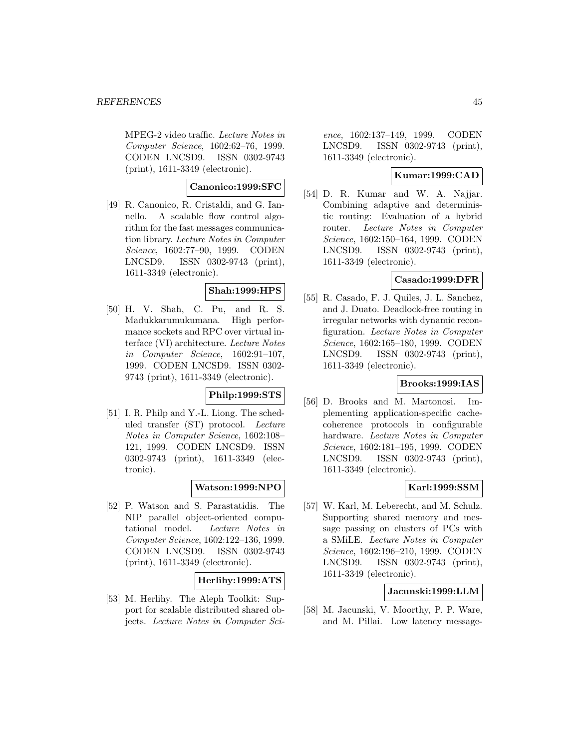MPEG-2 video traffic. Lecture Notes in Computer Science, 1602:62–76, 1999. CODEN LNCSD9. ISSN 0302-9743 (print), 1611-3349 (electronic).

### **Canonico:1999:SFC**

[49] R. Canonico, R. Cristaldi, and G. Iannello. A scalable flow control algorithm for the fast messages communication library. Lecture Notes in Computer Science, 1602:77–90, 1999. CODEN LNCSD9. ISSN 0302-9743 (print), 1611-3349 (electronic).

# **Shah:1999:HPS**

[50] H. V. Shah, C. Pu, and R. S. Madukkarumukumana. High performance sockets and RPC over virtual interface (VI) architecture. Lecture Notes in Computer Science, 1602:91–107, 1999. CODEN LNCSD9. ISSN 0302- 9743 (print), 1611-3349 (electronic).

# **Philp:1999:STS**

[51] I. R. Philp and Y.-L. Liong. The scheduled transfer (ST) protocol. Lecture Notes in Computer Science, 1602:108– 121, 1999. CODEN LNCSD9. ISSN 0302-9743 (print), 1611-3349 (electronic).

### **Watson:1999:NPO**

[52] P. Watson and S. Parastatidis. The NIP parallel object-oriented computational model. Lecture Notes in Computer Science, 1602:122–136, 1999. CODEN LNCSD9. ISSN 0302-9743 (print), 1611-3349 (electronic).

# **Herlihy:1999:ATS**

[53] M. Herlihy. The Aleph Toolkit: Support for scalable distributed shared objects. Lecture Notes in Computer Sci-

ence, 1602:137–149, 1999. CODEN LNCSD9. ISSN 0302-9743 (print), 1611-3349 (electronic).

# **Kumar:1999:CAD**

[54] D. R. Kumar and W. A. Najjar. Combining adaptive and deterministic routing: Evaluation of a hybrid router. Lecture Notes in Computer Science, 1602:150–164, 1999. CODEN LNCSD9. ISSN 0302-9743 (print), 1611-3349 (electronic).

# **Casado:1999:DFR**

[55] R. Casado, F. J. Quiles, J. L. Sanchez, and J. Duato. Deadlock-free routing in irregular networks with dynamic reconfiguration. Lecture Notes in Computer Science, 1602:165–180, 1999. CODEN LNCSD9. ISSN 0302-9743 (print), 1611-3349 (electronic).

### **Brooks:1999:IAS**

[56] D. Brooks and M. Martonosi. Implementing application-specific cachecoherence protocols in configurable hardware. Lecture Notes in Computer Science, 1602:181–195, 1999. CODEN LNCSD9. ISSN 0302-9743 (print), 1611-3349 (electronic).

# **Karl:1999:SSM**

[57] W. Karl, M. Leberecht, and M. Schulz. Supporting shared memory and message passing on clusters of PCs with a SMiLE. Lecture Notes in Computer Science, 1602:196–210, 1999. CODEN LNCSD9. ISSN 0302-9743 (print), 1611-3349 (electronic).

### **Jacunski:1999:LLM**

[58] M. Jacunski, V. Moorthy, P. P. Ware, and M. Pillai. Low latency message-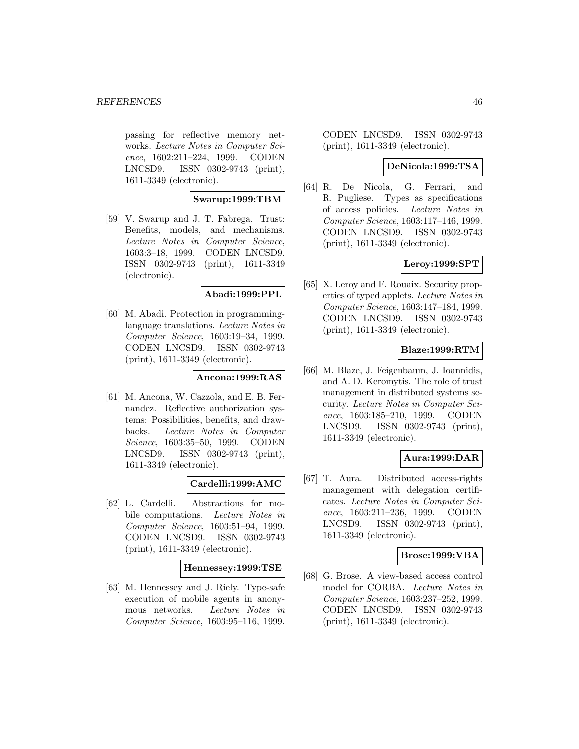passing for reflective memory networks. Lecture Notes in Computer Science, 1602:211–224, 1999. CODEN LNCSD9. ISSN 0302-9743 (print), 1611-3349 (electronic).

#### **Swarup:1999:TBM**

[59] V. Swarup and J. T. Fabrega. Trust: Benefits, models, and mechanisms. Lecture Notes in Computer Science, 1603:3–18, 1999. CODEN LNCSD9. ISSN 0302-9743 (print), 1611-3349 (electronic).

#### **Abadi:1999:PPL**

[60] M. Abadi. Protection in programminglanguage translations. Lecture Notes in Computer Science, 1603:19–34, 1999. CODEN LNCSD9. ISSN 0302-9743 (print), 1611-3349 (electronic).

### **Ancona:1999:RAS**

[61] M. Ancona, W. Cazzola, and E. B. Fernandez. Reflective authorization systems: Possibilities, benefits, and drawbacks. Lecture Notes in Computer Science, 1603:35–50, 1999. CODEN LNCSD9. ISSN 0302-9743 (print), 1611-3349 (electronic).

# **Cardelli:1999:AMC**

[62] L. Cardelli. Abstractions for mobile computations. Lecture Notes in Computer Science, 1603:51–94, 1999. CODEN LNCSD9. ISSN 0302-9743 (print), 1611-3349 (electronic).

#### **Hennessey:1999:TSE**

[63] M. Hennessey and J. Riely. Type-safe execution of mobile agents in anonymous networks. Lecture Notes in Computer Science, 1603:95–116, 1999.

CODEN LNCSD9. ISSN 0302-9743 (print), 1611-3349 (electronic).

### **DeNicola:1999:TSA**

[64] R. De Nicola, G. Ferrari, and R. Pugliese. Types as specifications of access policies. Lecture Notes in Computer Science, 1603:117–146, 1999. CODEN LNCSD9. ISSN 0302-9743 (print), 1611-3349 (electronic).

## **Leroy:1999:SPT**

[65] X. Leroy and F. Rouaix. Security properties of typed applets. Lecture Notes in Computer Science, 1603:147–184, 1999. CODEN LNCSD9. ISSN 0302-9743 (print), 1611-3349 (electronic).

#### **Blaze:1999:RTM**

[66] M. Blaze, J. Feigenbaum, J. Ioannidis, and A. D. Keromytis. The role of trust management in distributed systems security. Lecture Notes in Computer Science, 1603:185–210, 1999. CODEN LNCSD9. ISSN 0302-9743 (print), 1611-3349 (electronic).

# **Aura:1999:DAR**

[67] T. Aura. Distributed access-rights management with delegation certificates. Lecture Notes in Computer Science, 1603:211–236, 1999. CODEN LNCSD9. ISSN 0302-9743 (print), 1611-3349 (electronic).

#### **Brose:1999:VBA**

[68] G. Brose. A view-based access control model for CORBA. Lecture Notes in Computer Science, 1603:237–252, 1999. CODEN LNCSD9. ISSN 0302-9743 (print), 1611-3349 (electronic).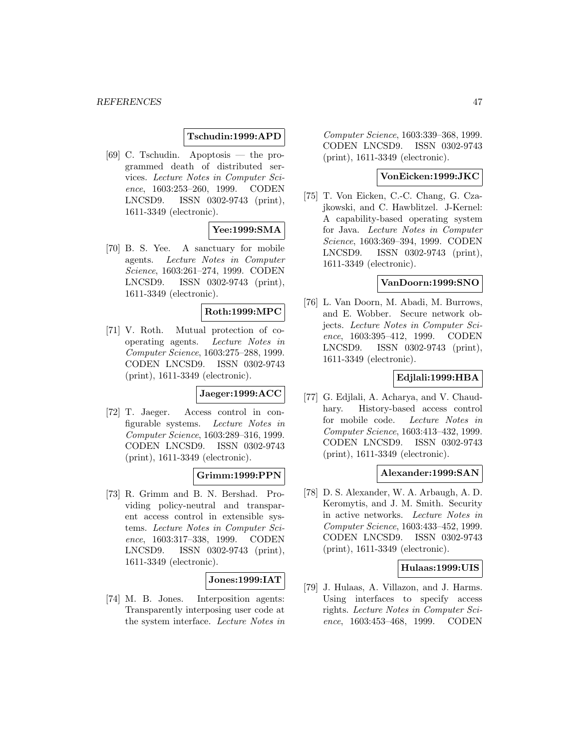# **Tschudin:1999:APD**

[69] C. Tschudin. Apoptosis — the programmed death of distributed services. Lecture Notes in Computer Science, 1603:253–260, 1999. CODEN LNCSD9. ISSN 0302-9743 (print), 1611-3349 (electronic).

# **Yee:1999:SMA**

[70] B. S. Yee. A sanctuary for mobile agents. Lecture Notes in Computer Science, 1603:261–274, 1999. CODEN LNCSD9. ISSN 0302-9743 (print), 1611-3349 (electronic).

# **Roth:1999:MPC**

[71] V. Roth. Mutual protection of cooperating agents. Lecture Notes in Computer Science, 1603:275–288, 1999. CODEN LNCSD9. ISSN 0302-9743 (print), 1611-3349 (electronic).

### **Jaeger:1999:ACC**

[72] T. Jaeger. Access control in configurable systems. Lecture Notes in Computer Science, 1603:289–316, 1999. CODEN LNCSD9. ISSN 0302-9743 (print), 1611-3349 (electronic).

### **Grimm:1999:PPN**

[73] R. Grimm and B. N. Bershad. Providing policy-neutral and transparent access control in extensible systems. Lecture Notes in Computer Science, 1603:317–338, 1999. CODEN LNCSD9. ISSN 0302-9743 (print), 1611-3349 (electronic).

### **Jones:1999:IAT**

[74] M. B. Jones. Interposition agents: Transparently interposing user code at the system interface. Lecture Notes in

Computer Science, 1603:339–368, 1999. CODEN LNCSD9. ISSN 0302-9743 (print), 1611-3349 (electronic).

### **VonEicken:1999:JKC**

[75] T. Von Eicken, C.-C. Chang, G. Czajkowski, and C. Hawblitzel. J-Kernel: A capability-based operating system for Java. Lecture Notes in Computer Science, 1603:369–394, 1999. CODEN LNCSD9. ISSN 0302-9743 (print), 1611-3349 (electronic).

### **VanDoorn:1999:SNO**

[76] L. Van Doorn, M. Abadi, M. Burrows, and E. Wobber. Secure network objects. Lecture Notes in Computer Science, 1603:395–412, 1999. CODEN LNCSD9. ISSN 0302-9743 (print), 1611-3349 (electronic).

# **Edjlali:1999:HBA**

[77] G. Edjlali, A. Acharya, and V. Chaudhary. History-based access control for mobile code. Lecture Notes in Computer Science, 1603:413–432, 1999. CODEN LNCSD9. ISSN 0302-9743 (print), 1611-3349 (electronic).

### **Alexander:1999:SAN**

[78] D. S. Alexander, W. A. Arbaugh, A. D. Keromytis, and J. M. Smith. Security in active networks. Lecture Notes in Computer Science, 1603:433–452, 1999. CODEN LNCSD9. ISSN 0302-9743 (print), 1611-3349 (electronic).

### **Hulaas:1999:UIS**

[79] J. Hulaas, A. Villazon, and J. Harms. Using interfaces to specify access rights. Lecture Notes in Computer Science, 1603:453–468, 1999. CODEN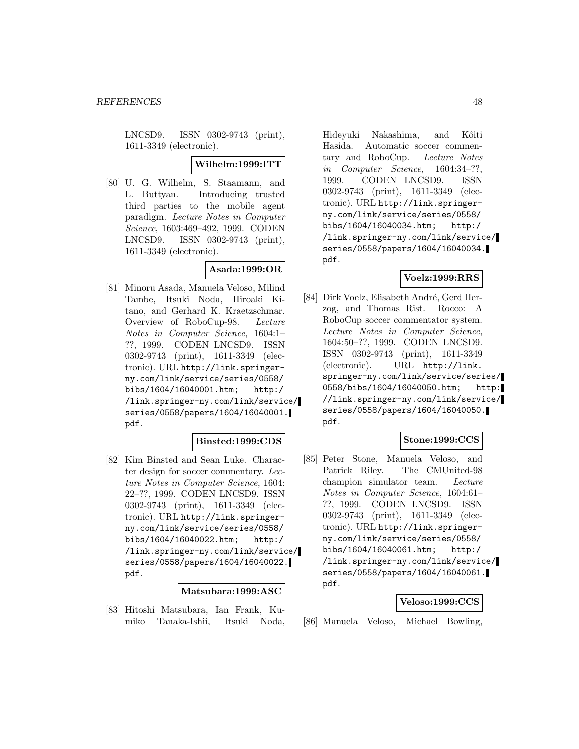LNCSD9. ISSN 0302-9743 (print), 1611-3349 (electronic).

#### **Wilhelm:1999:ITT**

[80] U. G. Wilhelm, S. Staamann, and L. Buttyan. Introducing trusted third parties to the mobile agent paradigm. Lecture Notes in Computer Science, 1603:469–492, 1999. CODEN LNCSD9. ISSN 0302-9743 (print), 1611-3349 (electronic).

# **Asada:1999:OR**

[81] Minoru Asada, Manuela Veloso, Milind Tambe, Itsuki Noda, Hiroaki Kitano, and Gerhard K. Kraetzschmar. Overview of RoboCup-98. Lecture Notes in Computer Science, 1604:1– ??, 1999. CODEN LNCSD9. ISSN 0302-9743 (print), 1611-3349 (electronic). URL http://link.springerny.com/link/service/series/0558/ bibs/1604/16040001.htm; http:/ /link.springer-ny.com/link/service/ series/0558/papers/1604/16040001. pdf.

#### **Binsted:1999:CDS**

[82] Kim Binsted and Sean Luke. Character design for soccer commentary. Lecture Notes in Computer Science, 1604: 22–??, 1999. CODEN LNCSD9. ISSN 0302-9743 (print), 1611-3349 (electronic). URL http://link.springerny.com/link/service/series/0558/ bibs/1604/16040022.htm; http:/ /link.springer-ny.com/link/service/ series/0558/papers/1604/16040022. pdf.

#### **Matsubara:1999:ASC**

[83] Hitoshi Matsubara, Ian Frank, Kumiko Tanaka-Ishii, Itsuki Noda,

Hideyuki Nakashima, and Kôiti Hasida. Automatic soccer commentary and RoboCup. Lecture Notes in Computer Science, 1604:34–??, 1999. CODEN LNCSD9. ISSN 0302-9743 (print), 1611-3349 (electronic). URL http://link.springerny.com/link/service/series/0558/ bibs/1604/16040034.htm; http:/ /link.springer-ny.com/link/service/ series/0558/papers/1604/16040034. pdf.

# **Voelz:1999:RRS**

[84] Dirk Voelz, Elisabeth André, Gerd Herzog, and Thomas Rist. Rocco: A RoboCup soccer commentator system. Lecture Notes in Computer Science, 1604:50–??, 1999. CODEN LNCSD9. ISSN 0302-9743 (print), 1611-3349 (electronic). URL http://link. springer-ny.com/link/service/series/ 0558/bibs/1604/16040050.htm; http: //link.springer-ny.com/link/service/ series/0558/papers/1604/16040050. pdf.

### **Stone:1999:CCS**

[85] Peter Stone, Manuela Veloso, and Patrick Riley. The CMUnited-98 champion simulator team. Lecture Notes in Computer Science, 1604:61– ??, 1999. CODEN LNCSD9. ISSN 0302-9743 (print), 1611-3349 (electronic). URL http://link.springerny.com/link/service/series/0558/ bibs/1604/16040061.htm; http:/ /link.springer-ny.com/link/service/ series/0558/papers/1604/16040061. pdf.

#### **Veloso:1999:CCS**

[86] Manuela Veloso, Michael Bowling,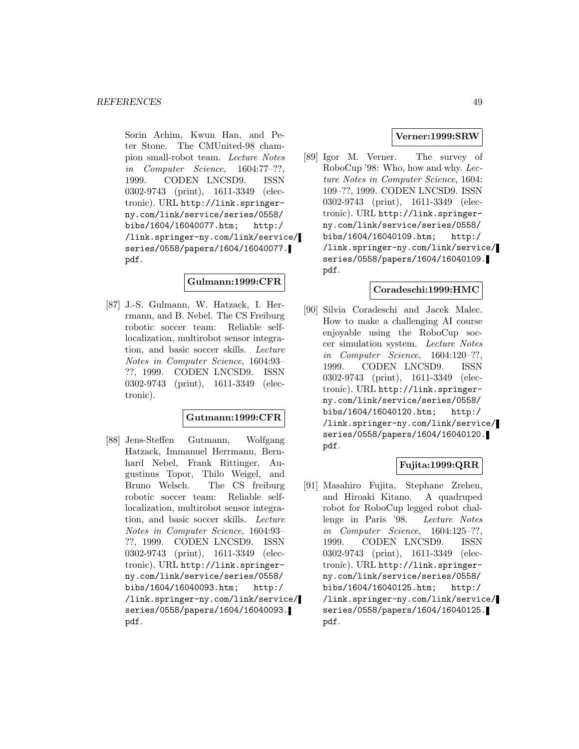Sorin Achim, Kwun Han, and Peter Stone. The CMUnited-98 champion small-robot team. Lecture Notes in Computer Science, 1604:77–??, 1999. CODEN LNCSD9. ISSN 0302-9743 (print), 1611-3349 (electronic). URL http://link.springerny.com/link/service/series/0558/ bibs/1604/16040077.htm; http:/ /link.springer-ny.com/link/service/ series/0558/papers/1604/16040077. pdf.

# **Gulmann:1999:CFR**

[87] J.-S. Gulmann, W. Hatzack, I. Herrmann, and B. Nebel. The CS Freiburg robotic soccer team: Reliable selflocalization, multirobot sensor integration, and basic soccer skills. Lecture Notes in Computer Science, 1604:93– ??, 1999. CODEN LNCSD9. ISSN 0302-9743 (print), 1611-3349 (electronic).

### **Gutmann:1999:CFR**

[88] Jens-Steffen Gutmann, Wolfgang Hatzack, Immanuel Herrmann, Bernhard Nebel, Frank Rittinger, Augustinus Topor, Thilo Weigel, and Bruno Welsch. The CS freiburg robotic soccer team: Reliable selflocalization, multirobot sensor integration, and basic soccer skills. Lecture Notes in Computer Science, 1604:93– ??, 1999. CODEN LNCSD9. ISSN 0302-9743 (print), 1611-3349 (electronic). URL http://link.springerny.com/link/service/series/0558/ bibs/1604/16040093.htm; http:/ /link.springer-ny.com/link/service/ series/0558/papers/1604/16040093. pdf.

# **Verner:1999:SRW**

[89] Igor M. Verner. The survey of RoboCup '98: Who, how and why. Lecture Notes in Computer Science, 1604: 109–??, 1999. CODEN LNCSD9. ISSN 0302-9743 (print), 1611-3349 (electronic). URL http://link.springerny.com/link/service/series/0558/ bibs/1604/16040109.htm; http:/ /link.springer-ny.com/link/service/ series/0558/papers/1604/16040109. pdf.

#### **Coradeschi:1999:HMC**

[90] Silvia Coradeschi and Jacek Malec. How to make a challenging AI course enjoyable using the RoboCup soccer simulation system. Lecture Notes in Computer Science, 1604:120–??, 1999. CODEN LNCSD9. ISSN 0302-9743 (print), 1611-3349 (electronic). URL http://link.springerny.com/link/service/series/0558/ bibs/1604/16040120.htm; http:/ /link.springer-ny.com/link/service/ series/0558/papers/1604/16040120. pdf.

# **Fujita:1999:QRR**

[91] Masahiro Fujita, Stephane Zrehen, and Hiroaki Kitano. A quadruped robot for RoboCup legged robot challenge in Paris '98. Lecture Notes in Computer Science, 1604:125–??, 1999. CODEN LNCSD9. ISSN 0302-9743 (print), 1611-3349 (electronic). URL http://link.springerny.com/link/service/series/0558/ bibs/1604/16040125.htm; http:/ /link.springer-ny.com/link/service/ series/0558/papers/1604/16040125. pdf.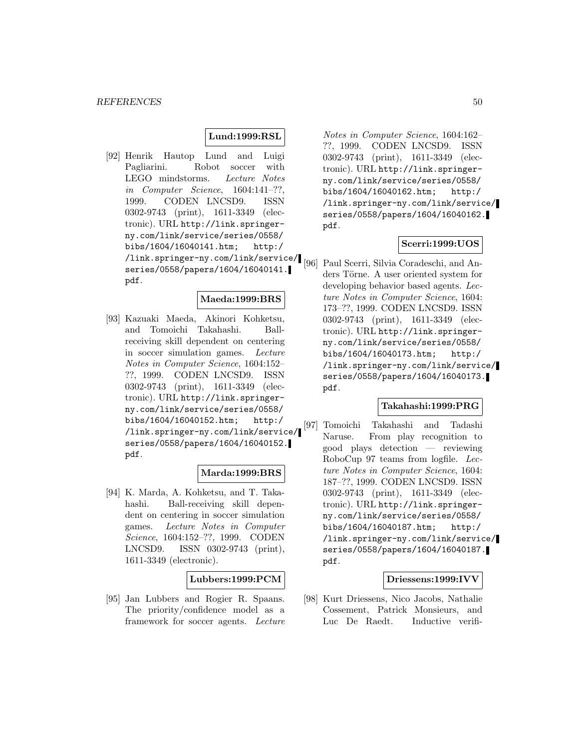### **Lund:1999:RSL**

[92] Henrik Hautop Lund and Luigi Pagliarini. Robot soccer with LEGO mindstorms. Lecture Notes in Computer Science, 1604:141–??, 1999. CODEN LNCSD9. ISSN 0302-9743 (print), 1611-3349 (electronic). URL http://link.springerny.com/link/service/series/0558/ bibs/1604/16040141.htm; http:/ /link.springer-ny.com/link/service/ series/0558/papers/1604/16040141. pdf.

#### **Maeda:1999:BRS**

[93] Kazuaki Maeda, Akinori Kohketsu, and Tomoichi Takahashi. Ballreceiving skill dependent on centering in soccer simulation games. Lecture Notes in Computer Science, 1604:152– ??, 1999. CODEN LNCSD9. ISSN 0302-9743 (print), 1611-3349 (electronic). URL http://link.springerny.com/link/service/series/0558/ bibs/1604/16040152.htm; http:/ /link.springer-ny.com/link/service/ series/0558/papers/1604/16040152. pdf.

### **Marda:1999:BRS**

[94] K. Marda, A. Kohketsu, and T. Takahashi. Ball-receiving skill dependent on centering in soccer simulation games. Lecture Notes in Computer Science, 1604:152–??, 1999. CODEN LNCSD9. ISSN 0302-9743 (print), 1611-3349 (electronic).

### **Lubbers:1999:PCM**

[95] Jan Lubbers and Rogier R. Spaans. The priority/confidence model as a framework for soccer agents. Lecture

Notes in Computer Science, 1604:162– ??, 1999. CODEN LNCSD9. ISSN 0302-9743 (print), 1611-3349 (electronic). URL http://link.springerny.com/link/service/series/0558/ bibs/1604/16040162.htm; http:/ /link.springer-ny.com/link/service/ series/0558/papers/1604/16040162. pdf.

#### **Scerri:1999:UOS**

[96] Paul Scerri, Silvia Coradeschi, and Anders Törne. A user oriented system for developing behavior based agents. Lecture Notes in Computer Science, 1604: 173–??, 1999. CODEN LNCSD9. ISSN 0302-9743 (print), 1611-3349 (electronic). URL http://link.springerny.com/link/service/series/0558/ bibs/1604/16040173.htm; http:/ /link.springer-ny.com/link/service/ series/0558/papers/1604/16040173. pdf.

## **Takahashi:1999:PRG**

[97] Tomoichi Takahashi and Tadashi Naruse. From play recognition to good plays detection — reviewing RoboCup 97 teams from logfile. Lecture Notes in Computer Science, 1604: 187–??, 1999. CODEN LNCSD9. ISSN 0302-9743 (print), 1611-3349 (electronic). URL http://link.springerny.com/link/service/series/0558/ bibs/1604/16040187.htm; http:/ /link.springer-ny.com/link/service/ series/0558/papers/1604/16040187. pdf.

# **Driessens:1999:IVV**

[98] Kurt Driessens, Nico Jacobs, Nathalie Cossement, Patrick Monsieurs, and Luc De Raedt. Inductive verifi-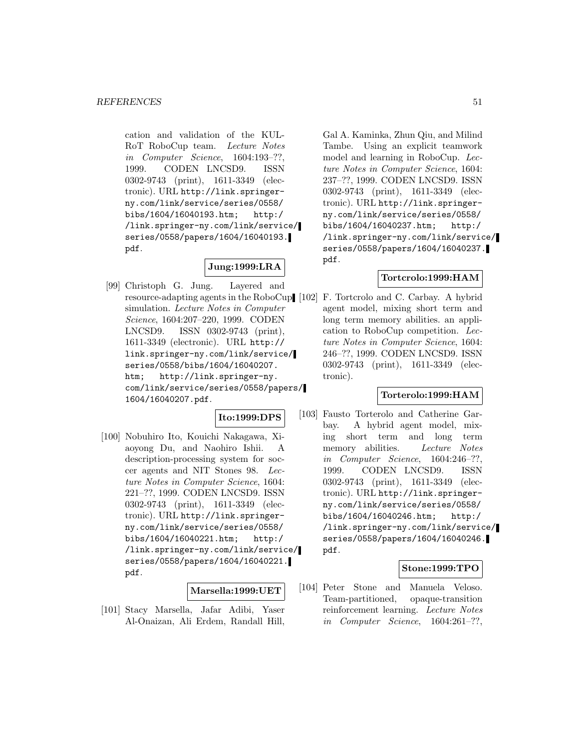cation and validation of the KUL-RoT RoboCup team. Lecture Notes in Computer Science, 1604:193–??, 1999. CODEN LNCSD9. ISSN 0302-9743 (print), 1611-3349 (electronic). URL http://link.springerny.com/link/service/series/0558/ bibs/1604/16040193.htm; http:/ /link.springer-ny.com/link/service/ series/0558/papers/1604/16040193. pdf.

# **Jung:1999:LRA**

[99] Christoph G. Jung. Layered and resource-adapting agents in the RoboCup [102] F. Tortcrolo and C. Carbay. A hybrid simulation. Lecture Notes in Computer Science, 1604:207–220, 1999. CODEN LNCSD9. ISSN 0302-9743 (print), 1611-3349 (electronic). URL http:// link.springer-ny.com/link/service/ series/0558/bibs/1604/16040207. htm; http://link.springer-ny. com/link/service/series/0558/papers/ 1604/16040207.pdf.

# **Ito:1999:DPS**

[100] Nobuhiro Ito, Kouichi Nakagawa, Xiaoyong Du, and Naohiro Ishii. A description-processing system for soccer agents and NIT Stones 98. Lecture Notes in Computer Science, 1604: 221–??, 1999. CODEN LNCSD9. ISSN 0302-9743 (print), 1611-3349 (electronic). URL http://link.springerny.com/link/service/series/0558/ bibs/1604/16040221.htm; http:/ /link.springer-ny.com/link/service/ series/0558/papers/1604/16040221. pdf.

#### **Marsella:1999:UET**

[101] Stacy Marsella, Jafar Adibi, Yaser Al-Onaizan, Ali Erdem, Randall Hill,

Gal A. Kaminka, Zhun Qiu, and Milind Tambe. Using an explicit teamwork model and learning in RoboCup. Lecture Notes in Computer Science, 1604: 237–??, 1999. CODEN LNCSD9. ISSN 0302-9743 (print), 1611-3349 (electronic). URL http://link.springerny.com/link/service/series/0558/ bibs/1604/16040237.htm; http:/ /link.springer-ny.com/link/service/ series/0558/papers/1604/16040237. pdf.

# **Tortcrolo:1999:HAM**

agent model, mixing short term and long term memory abilities. an application to RoboCup competition. Lecture Notes in Computer Science, 1604: 246–??, 1999. CODEN LNCSD9. ISSN 0302-9743 (print), 1611-3349 (electronic).

# **Torterolo:1999:HAM**

[103] Fausto Torterolo and Catherine Garbay. A hybrid agent model, mixing short term and long term memory abilities. Lecture Notes in Computer Science, 1604:246–??, 1999. CODEN LNCSD9. ISSN 0302-9743 (print), 1611-3349 (electronic). URL http://link.springerny.com/link/service/series/0558/ bibs/1604/16040246.htm; http:/ /link.springer-ny.com/link/service/ series/0558/papers/1604/16040246. pdf.

### **Stone:1999:TPO**

[104] Peter Stone and Manuela Veloso. Team-partitioned, opaque-transition reinforcement learning. Lecture Notes in Computer Science, 1604:261–??,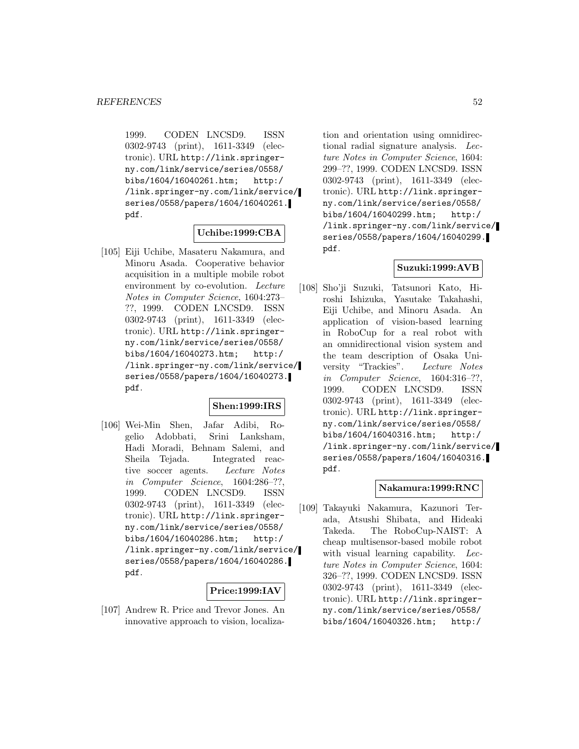1999. CODEN LNCSD9. ISSN 0302-9743 (print), 1611-3349 (electronic). URL http://link.springerny.com/link/service/series/0558/ bibs/1604/16040261.htm; http:/ /link.springer-ny.com/link/service/ series/0558/papers/1604/16040261. pdf.

## **Uchibe:1999:CBA**

[105] Eiji Uchibe, Masateru Nakamura, and Minoru Asada. Cooperative behavior acquisition in a multiple mobile robot environment by co-evolution. Lecture Notes in Computer Science, 1604:273– ??, 1999. CODEN LNCSD9. ISSN 0302-9743 (print), 1611-3349 (electronic). URL http://link.springerny.com/link/service/series/0558/ bibs/1604/16040273.htm; http:/ /link.springer-ny.com/link/service/ series/0558/papers/1604/16040273. pdf.

## **Shen:1999:IRS**

[106] Wei-Min Shen, Jafar Adibi, Rogelio Adobbati, Srini Lanksham, Hadi Moradi, Behnam Salemi, and Sheila Tejada. Integrated reactive soccer agents. Lecture Notes in Computer Science, 1604:286–??, 1999. CODEN LNCSD9. ISSN 0302-9743 (print), 1611-3349 (electronic). URL http://link.springerny.com/link/service/series/0558/ bibs/1604/16040286.htm; http:/ /link.springer-ny.com/link/service/ series/0558/papers/1604/16040286. pdf.

#### **Price:1999:IAV**

[107] Andrew R. Price and Trevor Jones. An innovative approach to vision, localiza-

tion and orientation using omnidirectional radial signature analysis. Lecture Notes in Computer Science, 1604: 299–??, 1999. CODEN LNCSD9. ISSN 0302-9743 (print), 1611-3349 (electronic). URL http://link.springerny.com/link/service/series/0558/ bibs/1604/16040299.htm; http:/ /link.springer-ny.com/link/service/ series/0558/papers/1604/16040299. pdf.

# **Suzuki:1999:AVB**

[108] Sho'ji Suzuki, Tatsunori Kato, Hiroshi Ishizuka, Yasutake Takahashi, Eiji Uchibe, and Minoru Asada. An application of vision-based learning in RoboCup for a real robot with an omnidirectional vision system and the team description of Osaka University "Trackies". Lecture Notes in Computer Science, 1604:316–??, 1999. CODEN LNCSD9. ISSN 0302-9743 (print), 1611-3349 (electronic). URL http://link.springerny.com/link/service/series/0558/ bibs/1604/16040316.htm; http:/ /link.springer-ny.com/link/service/ series/0558/papers/1604/16040316. pdf.

# **Nakamura:1999:RNC**

[109] Takayuki Nakamura, Kazunori Terada, Atsushi Shibata, and Hideaki Takeda. The RoboCup-NAIST: A cheap multisensor-based mobile robot with visual learning capability. Lecture Notes in Computer Science, 1604: 326–??, 1999. CODEN LNCSD9. ISSN 0302-9743 (print), 1611-3349 (electronic). URL http://link.springerny.com/link/service/series/0558/ bibs/1604/16040326.htm; http:/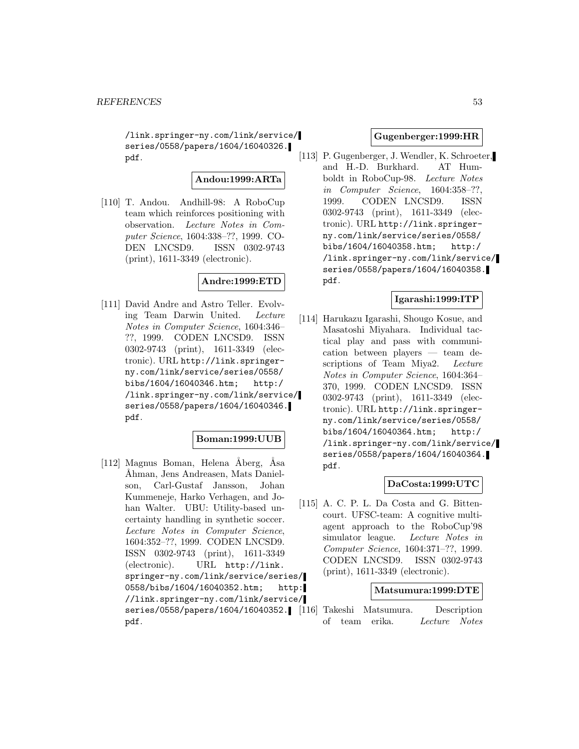/link.springer-ny.com/link/service/ series/0558/papers/1604/16040326. pdf.

### **Andou:1999:ARTa**

[110] T. Andou. Andhill-98: A RoboCup team which reinforces positioning with observation. Lecture Notes in Computer Science, 1604:338–??, 1999. CO-DEN LNCSD9. ISSN 0302-9743 (print), 1611-3349 (electronic).

# **Andre:1999:ETD**

[111] David Andre and Astro Teller. Evolving Team Darwin United. Lecture Notes in Computer Science, 1604:346– ??, 1999. CODEN LNCSD9. ISSN 0302-9743 (print), 1611-3349 (electronic). URL http://link.springerny.com/link/service/series/0558/ bibs/1604/16040346.htm; http:/ /link.springer-ny.com/link/service/ series/0558/papers/1604/16040346. pdf.

### **Boman:1999:UUB**

[112] Magnus Boman, Helena Åberg, Åsa ˚Ahman, Jens Andreasen, Mats Danielson, Carl-Gustaf Jansson, Johan Kummeneje, Harko Verhagen, and Johan Walter. UBU: Utility-based uncertainty handling in synthetic soccer. Lecture Notes in Computer Science, 1604:352–??, 1999. CODEN LNCSD9. ISSN 0302-9743 (print), 1611-3349 (electronic). URL http://link. springer-ny.com/link/service/series/ 0558/bibs/1604/16040352.htm; http: //link.springer-ny.com/link/service/ pdf.

## **Gugenberger:1999:HR**

[113] P. Gugenberger, J. Wendler, K. Schroeter, and H.-D. Burkhard. AT Humboldt in RoboCup-98. Lecture Notes in Computer Science, 1604:358–??, 1999. CODEN LNCSD9. ISSN 0302-9743 (print), 1611-3349 (electronic). URL http://link.springerny.com/link/service/series/0558/ bibs/1604/16040358.htm; http:/ /link.springer-ny.com/link/service/ series/0558/papers/1604/16040358. pdf.

### **Igarashi:1999:ITP**

[114] Harukazu Igarashi, Shougo Kosue, and Masatoshi Miyahara. Individual tactical play and pass with communication between players — team descriptions of Team Miya2. Lecture Notes in Computer Science, 1604:364– 370, 1999. CODEN LNCSD9. ISSN 0302-9743 (print), 1611-3349 (electronic). URL http://link.springerny.com/link/service/series/0558/ bibs/1604/16040364.htm; http:/ /link.springer-ny.com/link/service/ series/0558/papers/1604/16040364. pdf.

# **DaCosta:1999:UTC**

[115] A. C. P. L. Da Costa and G. Bittencourt. UFSC-team: A cognitive multiagent approach to the RoboCup'98 simulator league. Lecture Notes in Computer Science, 1604:371–??, 1999. CODEN LNCSD9. ISSN 0302-9743 (print), 1611-3349 (electronic).

#### **Matsumura:1999:DTE**

series/0558/papers/1604/16040352. [116] Takeshi Matsumura. Description of team erika. Lecture Notes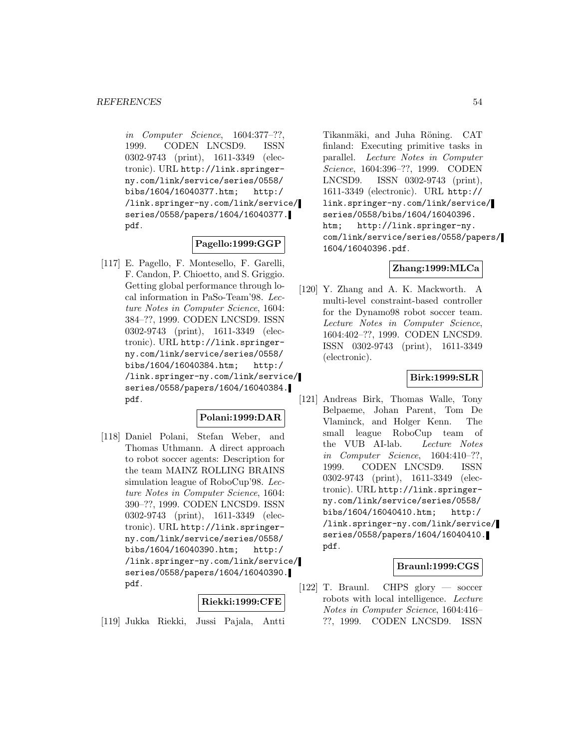in Computer Science, 1604:377–??, 1999. CODEN LNCSD9. ISSN 0302-9743 (print), 1611-3349 (electronic). URL http://link.springerny.com/link/service/series/0558/ bibs/1604/16040377.htm; http:/ /link.springer-ny.com/link/service/ series/0558/papers/1604/16040377. pdf.

### **Pagello:1999:GGP**

[117] E. Pagello, F. Montesello, F. Garelli, F. Candon, P. Chioetto, and S. Griggio. Getting global performance through local information in PaSo-Team'98. Lecture Notes in Computer Science, 1604: 384–??, 1999. CODEN LNCSD9. ISSN 0302-9743 (print), 1611-3349 (electronic). URL http://link.springerny.com/link/service/series/0558/ bibs/1604/16040384.htm; http:/ /link.springer-ny.com/link/service/ series/0558/papers/1604/16040384. pdf.

### **Polani:1999:DAR**

[118] Daniel Polani, Stefan Weber, and Thomas Uthmann. A direct approach to robot soccer agents: Description for the team MAINZ ROLLING BRAINS simulation league of RoboCup'98. Lecture Notes in Computer Science, 1604: 390–??, 1999. CODEN LNCSD9. ISSN 0302-9743 (print), 1611-3349 (electronic). URL http://link.springerny.com/link/service/series/0558/ bibs/1604/16040390.htm; http:/ /link.springer-ny.com/link/service/ series/0558/papers/1604/16040390. pdf.

### **Riekki:1999:CFE**

[119] Jukka Riekki, Jussi Pajala, Antti

Tikanmäki, and Juha Röning. CAT finland: Executing primitive tasks in parallel. Lecture Notes in Computer Science, 1604:396–??, 1999. CODEN LNCSD9. ISSN 0302-9743 (print), 1611-3349 (electronic). URL http:// link.springer-ny.com/link/service/ series/0558/bibs/1604/16040396. htm; http://link.springer-ny. com/link/service/series/0558/papers/ 1604/16040396.pdf.

### **Zhang:1999:MLCa**

[120] Y. Zhang and A. K. Mackworth. A multi-level constraint-based controller for the Dynamo98 robot soccer team. Lecture Notes in Computer Science, 1604:402–??, 1999. CODEN LNCSD9. ISSN 0302-9743 (print), 1611-3349 (electronic).

### **Birk:1999:SLR**

[121] Andreas Birk, Thomas Walle, Tony Belpaeme, Johan Parent, Tom De Vlaminck, and Holger Kenn. The small league RoboCup team of the VUB AI-lab. Lecture Notes in Computer Science, 1604:410–??, 1999. CODEN LNCSD9. ISSN 0302-9743 (print), 1611-3349 (electronic). URL http://link.springerny.com/link/service/series/0558/ bibs/1604/16040410.htm; http:/ /link.springer-ny.com/link/service/ series/0558/papers/1604/16040410. pdf.

# **Braunl:1999:CGS**

[122] T. Braunl. CHPS glory — soccer robots with local intelligence. Lecture Notes in Computer Science, 1604:416– ??, 1999. CODEN LNCSD9. ISSN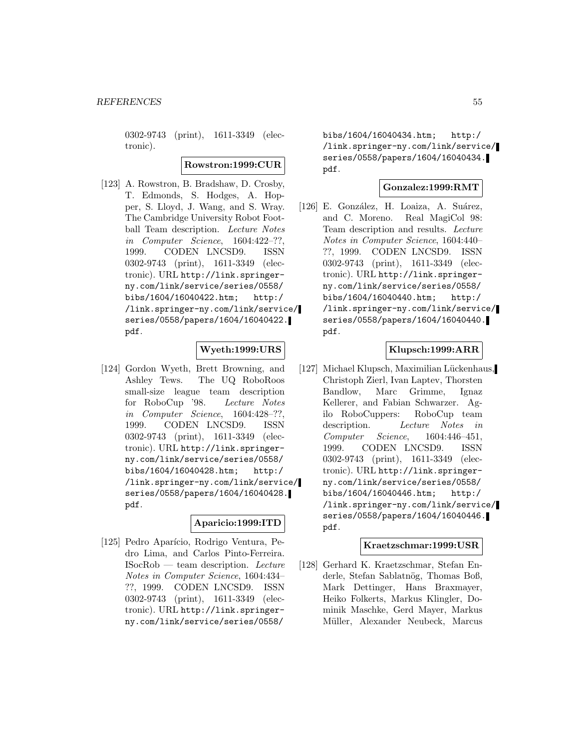0302-9743 (print), 1611-3349 (electronic).

#### **Rowstron:1999:CUR**

[123] A. Rowstron, B. Bradshaw, D. Crosby, T. Edmonds, S. Hodges, A. Hopper, S. Lloyd, J. Wang, and S. Wray. The Cambridge University Robot Football Team description. Lecture Notes in Computer Science, 1604:422–??, 1999. CODEN LNCSD9. ISSN 0302-9743 (print), 1611-3349 (electronic). URL http://link.springerny.com/link/service/series/0558/ bibs/1604/16040422.htm; http:/ /link.springer-ny.com/link/service/ series/0558/papers/1604/16040422. pdf.

### **Wyeth:1999:URS**

[124] Gordon Wyeth, Brett Browning, and Ashley Tews. The UQ RoboRoos small-size league team description for RoboCup '98. Lecture Notes in Computer Science, 1604:428–??, 1999. CODEN LNCSD9. ISSN 0302-9743 (print), 1611-3349 (electronic). URL http://link.springerny.com/link/service/series/0558/ bibs/1604/16040428.htm; http:/ /link.springer-ny.com/link/service/ series/0558/papers/1604/16040428. pdf.

### **Aparicio:1999:ITD**

[125] Pedro Aparício, Rodrigo Ventura, Pedro Lima, and Carlos Pinto-Ferreira.  $\text{ISocRob} \text{—} \text{team description.}$  *Lecture* Notes in Computer Science, 1604:434– ??, 1999. CODEN LNCSD9. ISSN 0302-9743 (print), 1611-3349 (electronic). URL http://link.springerny.com/link/service/series/0558/

bibs/1604/16040434.htm; http:/ /link.springer-ny.com/link/service/ series/0558/papers/1604/16040434. pdf.

## **Gonzalez:1999:RMT**

[126] E. González, H. Loaiza, A. Suárez, and C. Moreno. Real MagiCol 98: Team description and results. Lecture Notes in Computer Science, 1604:440– ??, 1999. CODEN LNCSD9. ISSN 0302-9743 (print), 1611-3349 (electronic). URL http://link.springerny.com/link/service/series/0558/ bibs/1604/16040440.htm; http:/ /link.springer-ny.com/link/service/ series/0558/papers/1604/16040440. pdf.

### **Klupsch:1999:ARR**

[127] Michael Klupsch, Maximilian Lückenhaus, Christoph Zierl, Ivan Laptev, Thorsten Bandlow, Marc Grimme, Ignaz Kellerer, and Fabian Schwarzer. Agilo RoboCuppers: RoboCup team description. Lecture Notes in Computer Science, 1604:446–451, 1999. CODEN LNCSD9. ISSN 0302-9743 (print), 1611-3349 (electronic). URL http://link.springerny.com/link/service/series/0558/ bibs/1604/16040446.htm; http:/ /link.springer-ny.com/link/service/ series/0558/papers/1604/16040446. pdf.

### **Kraetzschmar:1999:USR**

[128] Gerhard K. Kraetzschmar, Stefan Enderle, Stefan Sablatnög, Thomas Boß, Mark Dettinger, Hans Braxmayer, Heiko Folkerts, Markus Klingler, Dominik Maschke, Gerd Mayer, Markus Müller, Alexander Neubeck, Marcus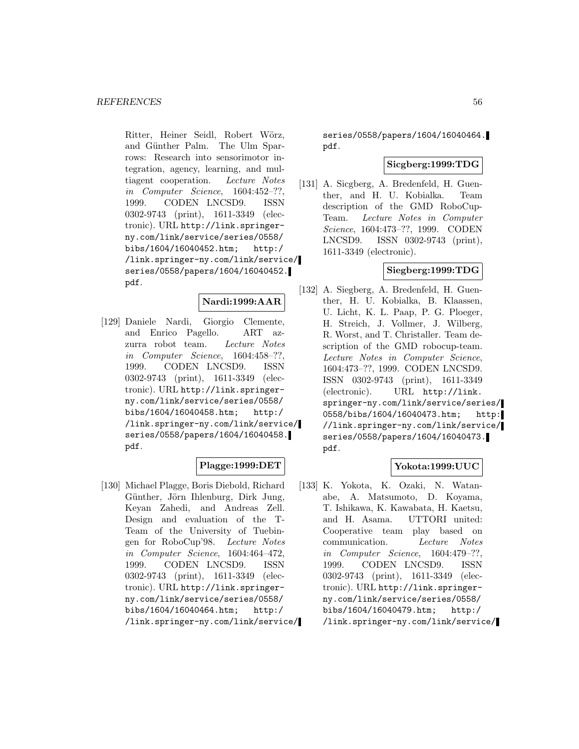Ritter, Heiner Seidl, Robert Wörz, and Günther Palm. The Ulm Sparrows: Research into sensorimotor integration, agency, learning, and multiagent cooperation. Lecture Notes in Computer Science, 1604:452–??, 1999. CODEN LNCSD9. ISSN 0302-9743 (print), 1611-3349 (electronic). URL http://link.springerny.com/link/service/series/0558/ bibs/1604/16040452.htm; http:/ /link.springer-ny.com/link/service/ series/0558/papers/1604/16040452. pdf.

# **Nardi:1999:AAR**

[129] Daniele Nardi, Giorgio Clemente, and Enrico Pagello. ART azzurra robot team. Lecture Notes in Computer Science, 1604:458–??, 1999. CODEN LNCSD9. ISSN 0302-9743 (print), 1611-3349 (electronic). URL http://link.springerny.com/link/service/series/0558/ bibs/1604/16040458.htm; http:/ /link.springer-ny.com/link/service/ series/0558/papers/1604/16040458. pdf.

### **Plagge:1999:DET**

[130] Michael Plagge, Boris Diebold, Richard Günther, Jörn Ihlenburg, Dirk Jung, Keyan Zahedi, and Andreas Zell. Design and evaluation of the T-Team of the University of Tuebingen for RoboCup'98. Lecture Notes in Computer Science, 1604:464–472, 1999. CODEN LNCSD9. ISSN 0302-9743 (print), 1611-3349 (electronic). URL http://link.springerny.com/link/service/series/0558/ bibs/1604/16040464.htm; http:/ /link.springer-ny.com/link/service/

series/0558/papers/1604/16040464. pdf.

### **Sicgberg:1999:TDG**

[131] A. Sicgberg, A. Bredenfeld, H. Guenther, and H. U. Kobialka. Team description of the GMD RoboCup-Team. Lecture Notes in Computer Science, 1604:473–??, 1999. CODEN LNCSD9. ISSN 0302-9743 (print), 1611-3349 (electronic).

# **Siegberg:1999:TDG**

[132] A. Siegberg, A. Bredenfeld, H. Guenther, H. U. Kobialka, B. Klaassen, U. Licht, K. L. Paap, P. G. Ploeger, H. Streich, J. Vollmer, J. Wilberg, R. Worst, and T. Christaller. Team description of the GMD robocup-team. Lecture Notes in Computer Science, 1604:473–??, 1999. CODEN LNCSD9. ISSN 0302-9743 (print), 1611-3349 (electronic). URL http://link. springer-ny.com/link/service/series/ 0558/bibs/1604/16040473.htm; http: //link.springer-ny.com/link/service/ series/0558/papers/1604/16040473. pdf.

## **Yokota:1999:UUC**

[133] K. Yokota, K. Ozaki, N. Watanabe, A. Matsumoto, D. Koyama, T. Ishikawa, K. Kawabata, H. Kaetsu, and H. Asama. UTTORI united: Cooperative team play based on communication. Lecture Notes in Computer Science, 1604:479–??, 1999. CODEN LNCSD9. ISSN 0302-9743 (print), 1611-3349 (electronic). URL http://link.springerny.com/link/service/series/0558/ bibs/1604/16040479.htm; http:/ /link.springer-ny.com/link/service/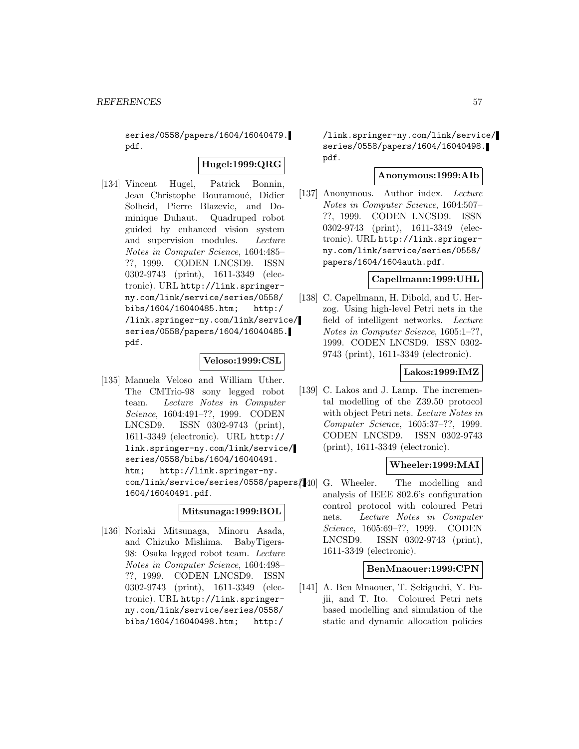series/0558/papers/1604/16040479. pdf.

# **Hugel:1999:QRG**

[134] Vincent Hugel, Patrick Bonnin, Jean Christophe Bouramoué, Didier Solheid, Pierre Blazevic, and Dominique Duhaut. Quadruped robot guided by enhanced vision system and supervision modules. Lecture Notes in Computer Science, 1604:485– ??, 1999. CODEN LNCSD9. ISSN 0302-9743 (print), 1611-3349 (electronic). URL http://link.springerny.com/link/service/series/0558/ bibs/1604/16040485.htm; http:/ /link.springer-ny.com/link/service/ series/0558/papers/1604/16040485. pdf.

### **Veloso:1999:CSL**

[135] Manuela Veloso and William Uther. The CMTrio-98 sony legged robot team. Lecture Notes in Computer Science, 1604:491–??, 1999. CODEN LNCSD9. ISSN 0302-9743 (print), 1611-3349 (electronic). URL http:// link.springer-ny.com/link/service/ series/0558/bibs/1604/16040491. htm; http://link.springer-ny. com/link/service/series/0558/papers/140 G. Wheeler. 1604/16040491.pdf.

## **Mitsunaga:1999:BOL**

[136] Noriaki Mitsunaga, Minoru Asada, and Chizuko Mishima. BabyTigers-98: Osaka legged robot team. Lecture Notes in Computer Science, 1604:498– ??, 1999. CODEN LNCSD9. ISSN 0302-9743 (print), 1611-3349 (electronic). URL http://link.springerny.com/link/service/series/0558/ bibs/1604/16040498.htm; http:/

/link.springer-ny.com/link/service/ series/0558/papers/1604/16040498. pdf.

# **Anonymous:1999:AIb**

[137] Anonymous. Author index. Lecture Notes in Computer Science, 1604:507– ??, 1999. CODEN LNCSD9. ISSN 0302-9743 (print), 1611-3349 (electronic). URL http://link.springerny.com/link/service/series/0558/ papers/1604/1604auth.pdf.

### **Capellmann:1999:UHL**

[138] C. Capellmann, H. Dibold, and U. Herzog. Using high-level Petri nets in the field of intelligent networks. Lecture Notes in Computer Science, 1605:1–??, 1999. CODEN LNCSD9. ISSN 0302- 9743 (print), 1611-3349 (electronic).

# **Lakos:1999:IMZ**

[139] C. Lakos and J. Lamp. The incremental modelling of the Z39.50 protocol with object Petri nets. Lecture Notes in Computer Science, 1605:37–??, 1999. CODEN LNCSD9. ISSN 0302-9743 (print), 1611-3349 (electronic).

### **Wheeler:1999:MAI**

The modelling and analysis of IEEE 802.6's configuration control protocol with coloured Petri nets. Lecture Notes in Computer Science, 1605:69–??, 1999. CODEN LNCSD9. ISSN 0302-9743 (print), 1611-3349 (electronic).

### **BenMnaouer:1999:CPN**

[141] A. Ben Mnaouer, T. Sekiguchi, Y. Fujii, and T. Ito. Coloured Petri nets based modelling and simulation of the static and dynamic allocation policies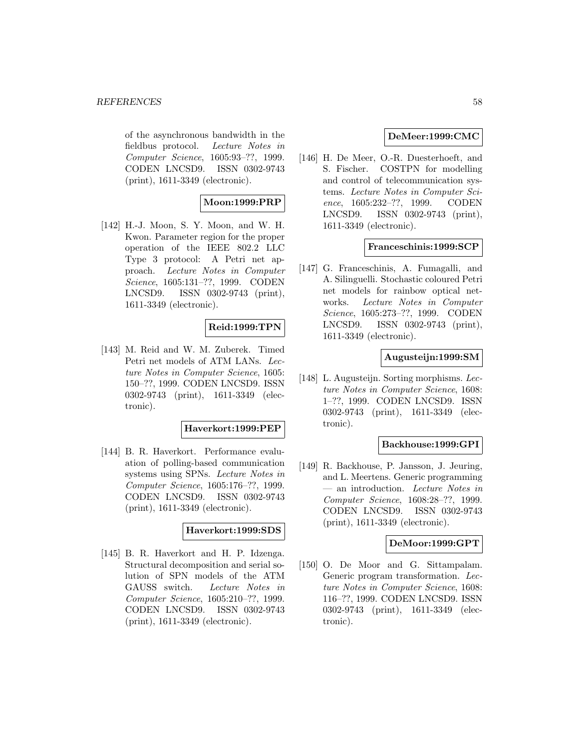of the asynchronous bandwidth in the fieldbus protocol. Lecture Notes in Computer Science, 1605:93–??, 1999. CODEN LNCSD9. ISSN 0302-9743 (print), 1611-3349 (electronic).

# **Moon:1999:PRP**

[142] H.-J. Moon, S. Y. Moon, and W. H. Kwon. Parameter region for the proper operation of the IEEE 802.2 LLC Type 3 protocol: A Petri net approach. Lecture Notes in Computer Science, 1605:131–??, 1999. CODEN LNCSD9. ISSN 0302-9743 (print), 1611-3349 (electronic).

# **Reid:1999:TPN**

[143] M. Reid and W. M. Zuberek. Timed Petri net models of ATM LANs. Lecture Notes in Computer Science, 1605: 150–??, 1999. CODEN LNCSD9. ISSN 0302-9743 (print), 1611-3349 (electronic).

#### **Haverkort:1999:PEP**

[144] B. R. Haverkort. Performance evaluation of polling-based communication systems using SPNs. Lecture Notes in Computer Science, 1605:176–??, 1999. CODEN LNCSD9. ISSN 0302-9743 (print), 1611-3349 (electronic).

### **Haverkort:1999:SDS**

[145] B. R. Haverkort and H. P. Idzenga. Structural decomposition and serial solution of SPN models of the ATM GAUSS switch. Lecture Notes in Computer Science, 1605:210–??, 1999. CODEN LNCSD9. ISSN 0302-9743 (print), 1611-3349 (electronic).

#### **DeMeer:1999:CMC**

[146] H. De Meer, O.-R. Duesterhoeft, and S. Fischer. COSTPN for modelling and control of telecommunication systems. Lecture Notes in Computer Science, 1605:232–??, 1999. CODEN LNCSD9. ISSN 0302-9743 (print), 1611-3349 (electronic).

#### **Franceschinis:1999:SCP**

[147] G. Franceschinis, A. Fumagalli, and A. Silinguelli. Stochastic coloured Petri net models for rainbow optical networks. Lecture Notes in Computer Science, 1605:273–??, 1999. CODEN LNCSD9. ISSN 0302-9743 (print), 1611-3349 (electronic).

### **Augusteijn:1999:SM**

[148] L. Augusteijn. Sorting morphisms. Lecture Notes in Computer Science, 1608: 1–??, 1999. CODEN LNCSD9. ISSN 0302-9743 (print), 1611-3349 (electronic).

#### **Backhouse:1999:GPI**

[149] R. Backhouse, P. Jansson, J. Jeuring, and L. Meertens. Generic programming — an introduction. Lecture Notes in Computer Science, 1608:28–??, 1999. CODEN LNCSD9. ISSN 0302-9743 (print), 1611-3349 (electronic).

# **DeMoor:1999:GPT**

[150] O. De Moor and G. Sittampalam. Generic program transformation. Lecture Notes in Computer Science, 1608: 116–??, 1999. CODEN LNCSD9. ISSN 0302-9743 (print), 1611-3349 (electronic).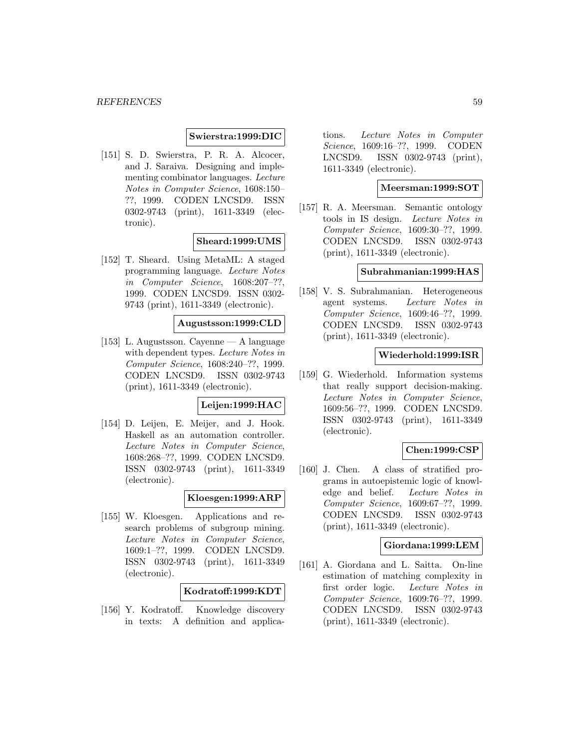#### **Swierstra:1999:DIC**

[151] S. D. Swierstra, P. R. A. Alcocer, and J. Saraiva. Designing and implementing combinator languages. Lecture Notes in Computer Science, 1608:150– ??, 1999. CODEN LNCSD9. ISSN 0302-9743 (print), 1611-3349 (electronic).

#### **Sheard:1999:UMS**

[152] T. Sheard. Using MetaML: A staged programming language. Lecture Notes in Computer Science, 1608:207–??, 1999. CODEN LNCSD9. ISSN 0302- 9743 (print), 1611-3349 (electronic).

#### **Augustsson:1999:CLD**

[153] L. Augustsson. Cayenne — A language with dependent types. Lecture Notes in Computer Science, 1608:240–??, 1999. CODEN LNCSD9. ISSN 0302-9743 (print), 1611-3349 (electronic).

# **Leijen:1999:HAC**

[154] D. Leijen, E. Meijer, and J. Hook. Haskell as an automation controller. Lecture Notes in Computer Science, 1608:268–??, 1999. CODEN LNCSD9. ISSN 0302-9743 (print), 1611-3349 (electronic).

### **Kloesgen:1999:ARP**

[155] W. Kloesgen. Applications and research problems of subgroup mining. Lecture Notes in Computer Science, 1609:1–??, 1999. CODEN LNCSD9. ISSN 0302-9743 (print), 1611-3349 (electronic).

### **Kodratoff:1999:KDT**

[156] Y. Kodratoff. Knowledge discovery in texts: A definition and applica-

tions. Lecture Notes in Computer Science, 1609:16–??, 1999. CODEN LNCSD9. ISSN 0302-9743 (print), 1611-3349 (electronic).

# **Meersman:1999:SOT**

[157] R. A. Meersman. Semantic ontology tools in IS design. Lecture Notes in Computer Science, 1609:30–??, 1999. CODEN LNCSD9. ISSN 0302-9743 (print), 1611-3349 (electronic).

### **Subrahmanian:1999:HAS**

[158] V. S. Subrahmanian. Heterogeneous agent systems. Lecture Notes in Computer Science, 1609:46–??, 1999. CODEN LNCSD9. ISSN 0302-9743 (print), 1611-3349 (electronic).

#### **Wiederhold:1999:ISR**

[159] G. Wiederhold. Information systems that really support decision-making. Lecture Notes in Computer Science, 1609:56–??, 1999. CODEN LNCSD9. ISSN 0302-9743 (print), 1611-3349 (electronic).

#### **Chen:1999:CSP**

[160] J. Chen. A class of stratified programs in autoepistemic logic of knowledge and belief. Lecture Notes in Computer Science, 1609:67–??, 1999. CODEN LNCSD9. ISSN 0302-9743 (print), 1611-3349 (electronic).

### **Giordana:1999:LEM**

[161] A. Giordana and L. Saitta. On-line estimation of matching complexity in first order logic. Lecture Notes in Computer Science, 1609:76–??, 1999. CODEN LNCSD9. ISSN 0302-9743 (print), 1611-3349 (electronic).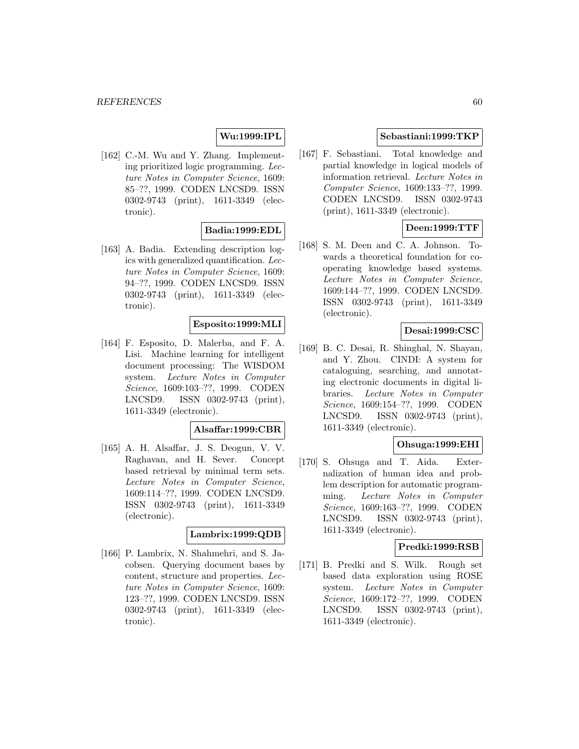### **Wu:1999:IPL**

[162] C.-M. Wu and Y. Zhang. Implementing prioritized logic programming. Lecture Notes in Computer Science, 1609: 85–??, 1999. CODEN LNCSD9. ISSN 0302-9743 (print), 1611-3349 (electronic).

# **Badia:1999:EDL**

[163] A. Badia. Extending description logics with generalized quantification. Lecture Notes in Computer Science, 1609: 94–??, 1999. CODEN LNCSD9. ISSN 0302-9743 (print), 1611-3349 (electronic).

### **Esposito:1999:MLI**

[164] F. Esposito, D. Malerba, and F. A. Lisi. Machine learning for intelligent document processing: The WISDOM system. Lecture Notes in Computer Science, 1609:103–??, 1999. CODEN LNCSD9. ISSN 0302-9743 (print), 1611-3349 (electronic).

#### **Alsaffar:1999:CBR**

[165] A. H. Alsaffar, J. S. Deogun, V. V. Raghavan, and H. Sever. Concept based retrieval by minimal term sets. Lecture Notes in Computer Science, 1609:114–??, 1999. CODEN LNCSD9. ISSN 0302-9743 (print), 1611-3349 (electronic).

#### **Lambrix:1999:QDB**

[166] P. Lambrix, N. Shahmehri, and S. Jacobsen. Querying document bases by content, structure and properties. Lecture Notes in Computer Science, 1609: 123–??, 1999. CODEN LNCSD9. ISSN 0302-9743 (print), 1611-3349 (electronic).

# **Sebastiani:1999:TKP**

[167] F. Sebastiani. Total knowledge and partial knowledge in logical models of information retrieval. Lecture Notes in Computer Science, 1609:133–??, 1999. CODEN LNCSD9. ISSN 0302-9743 (print), 1611-3349 (electronic).

# **Deen:1999:TTF**

[168] S. M. Deen and C. A. Johnson. Towards a theoretical foundation for cooperating knowledge based systems. Lecture Notes in Computer Science, 1609:144–??, 1999. CODEN LNCSD9. ISSN 0302-9743 (print), 1611-3349 (electronic).

# **Desai:1999:CSC**

[169] B. C. Desai, R. Shinghal, N. Shayan, and Y. Zhou. CINDI: A system for cataloguing, searching, and annotating electronic documents in digital libraries. Lecture Notes in Computer Science, 1609:154–??, 1999. CODEN LNCSD9. ISSN 0302-9743 (print), 1611-3349 (electronic).

### **Ohsuga:1999:EHI**

[170] S. Ohsuga and T. Aida. Externalization of human idea and problem description for automatic programming. Lecture Notes in Computer Science, 1609:163–??, 1999. CODEN LNCSD9. ISSN 0302-9743 (print), 1611-3349 (electronic).

### **Predki:1999:RSB**

[171] B. Predki and S. Wilk. Rough set based data exploration using ROSE system. Lecture Notes in Computer Science, 1609:172–??, 1999. CODEN LNCSD9. ISSN 0302-9743 (print), 1611-3349 (electronic).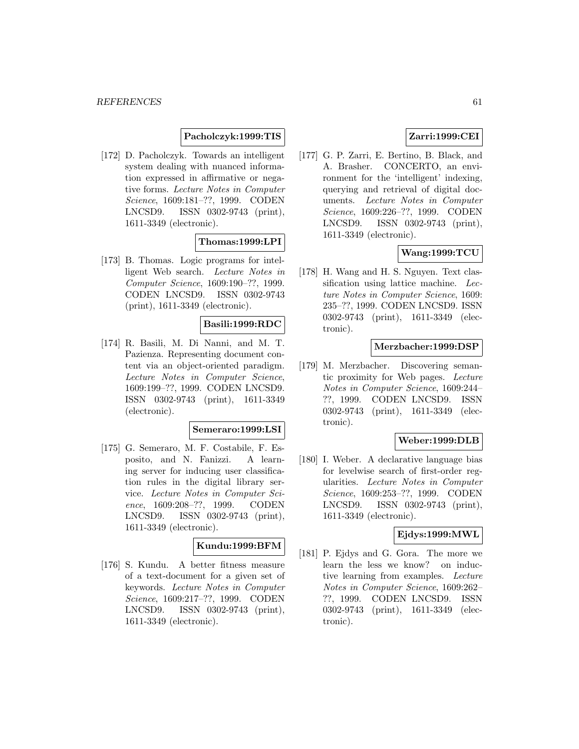### **Pacholczyk:1999:TIS**

[172] D. Pacholczyk. Towards an intelligent system dealing with nuanced information expressed in affirmative or negative forms. Lecture Notes in Computer Science, 1609:181–??, 1999. CODEN LNCSD9. ISSN 0302-9743 (print), 1611-3349 (electronic).

# **Thomas:1999:LPI**

[173] B. Thomas. Logic programs for intelligent Web search. Lecture Notes in Computer Science, 1609:190–??, 1999. CODEN LNCSD9. ISSN 0302-9743 (print), 1611-3349 (electronic).

# **Basili:1999:RDC**

[174] R. Basili, M. Di Nanni, and M. T. Pazienza. Representing document content via an object-oriented paradigm. Lecture Notes in Computer Science, 1609:199–??, 1999. CODEN LNCSD9. ISSN 0302-9743 (print), 1611-3349 (electronic).

#### **Semeraro:1999:LSI**

[175] G. Semeraro, M. F. Costabile, F. Esposito, and N. Fanizzi. A learning server for inducing user classification rules in the digital library service. Lecture Notes in Computer Science, 1609:208–??, 1999. CODEN LNCSD9. ISSN 0302-9743 (print), 1611-3349 (electronic).

# **Kundu:1999:BFM**

[176] S. Kundu. A better fitness measure of a text-document for a given set of keywords. Lecture Notes in Computer Science, 1609:217–??, 1999. CODEN LNCSD9. ISSN 0302-9743 (print), 1611-3349 (electronic).

# **Zarri:1999:CEI**

[177] G. P. Zarri, E. Bertino, B. Black, and A. Brasher. CONCERTO, an environment for the 'intelligent' indexing, querying and retrieval of digital documents. Lecture Notes in Computer Science, 1609:226–??, 1999. CODEN LNCSD9. ISSN 0302-9743 (print), 1611-3349 (electronic).

# **Wang:1999:TCU**

[178] H. Wang and H. S. Nguyen. Text classification using lattice machine. Lecture Notes in Computer Science, 1609: 235–??, 1999. CODEN LNCSD9. ISSN 0302-9743 (print), 1611-3349 (electronic).

#### **Merzbacher:1999:DSP**

[179] M. Merzbacher. Discovering semantic proximity for Web pages. Lecture Notes in Computer Science, 1609:244– ??, 1999. CODEN LNCSD9. ISSN 0302-9743 (print), 1611-3349 (electronic).

### **Weber:1999:DLB**

[180] I. Weber. A declarative language bias for levelwise search of first-order regularities. Lecture Notes in Computer Science, 1609:253–??, 1999. CODEN LNCSD9. ISSN 0302-9743 (print), 1611-3349 (electronic).

### **Ejdys:1999:MWL**

[181] P. Ejdys and G. Gora. The more we learn the less we know? on inductive learning from examples. Lecture Notes in Computer Science, 1609:262– ??, 1999. CODEN LNCSD9. ISSN 0302-9743 (print), 1611-3349 (electronic).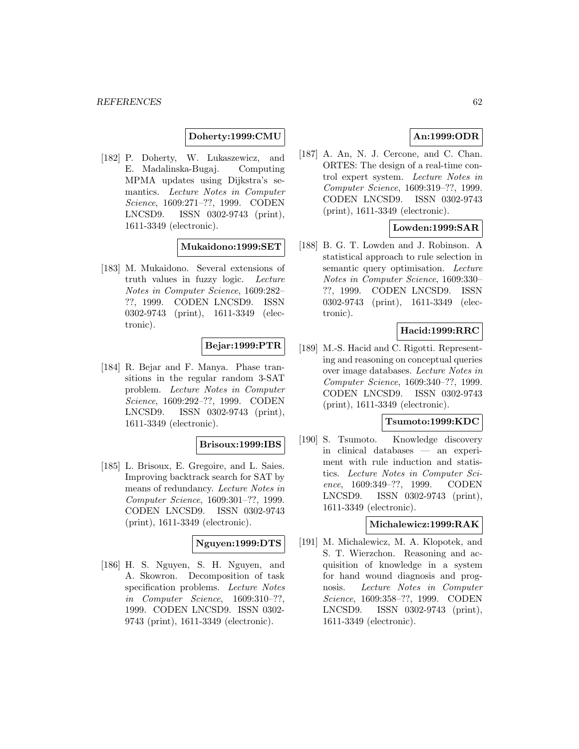### **Doherty:1999:CMU**

[182] P. Doherty, W. Lukaszewicz, and E. Madalinska-Bugaj. Computing MPMA updates using Dijkstra's semantics. Lecture Notes in Computer Science, 1609:271–??, 1999. CODEN LNCSD9. ISSN 0302-9743 (print), 1611-3349 (electronic).

#### **Mukaidono:1999:SET**

[183] M. Mukaidono. Several extensions of truth values in fuzzy logic. Lecture Notes in Computer Science, 1609:282– ??, 1999. CODEN LNCSD9. ISSN 0302-9743 (print), 1611-3349 (electronic).

### **Bejar:1999:PTR**

[184] R. Bejar and F. Manya. Phase transitions in the regular random 3-SAT problem. Lecture Notes in Computer Science, 1609:292–??, 1999. CODEN LNCSD9. ISSN 0302-9743 (print), 1611-3349 (electronic).

#### **Brisoux:1999:IBS**

[185] L. Brisoux, E. Gregoire, and L. Saies. Improving backtrack search for SAT by means of redundancy. Lecture Notes in Computer Science, 1609:301–??, 1999. CODEN LNCSD9. ISSN 0302-9743 (print), 1611-3349 (electronic).

#### **Nguyen:1999:DTS**

[186] H. S. Nguyen, S. H. Nguyen, and A. Skowron. Decomposition of task specification problems. Lecture Notes in Computer Science, 1609:310–??, 1999. CODEN LNCSD9. ISSN 0302- 9743 (print), 1611-3349 (electronic).

## **An:1999:ODR**

[187] A. An, N. J. Cercone, and C. Chan. ORTES: The design of a real-time control expert system. Lecture Notes in Computer Science, 1609:319–??, 1999. CODEN LNCSD9. ISSN 0302-9743 (print), 1611-3349 (electronic).

### **Lowden:1999:SAR**

[188] B. G. T. Lowden and J. Robinson. A statistical approach to rule selection in semantic query optimisation. Lecture Notes in Computer Science, 1609:330– ??, 1999. CODEN LNCSD9. ISSN 0302-9743 (print), 1611-3349 (electronic).

# **Hacid:1999:RRC**

[189] M.-S. Hacid and C. Rigotti. Representing and reasoning on conceptual queries over image databases. Lecture Notes in Computer Science, 1609:340–??, 1999. CODEN LNCSD9. ISSN 0302-9743 (print), 1611-3349 (electronic).

## **Tsumoto:1999:KDC**

[190] S. Tsumoto. Knowledge discovery in clinical databases — an experiment with rule induction and statistics. Lecture Notes in Computer Science, 1609:349–??, 1999. CODEN LNCSD9. ISSN 0302-9743 (print), 1611-3349 (electronic).

## **Michalewicz:1999:RAK**

[191] M. Michalewicz, M. A. Klopotek, and S. T. Wierzchon. Reasoning and acquisition of knowledge in a system for hand wound diagnosis and prognosis. Lecture Notes in Computer Science, 1609:358–??, 1999. CODEN LNCSD9. ISSN 0302-9743 (print), 1611-3349 (electronic).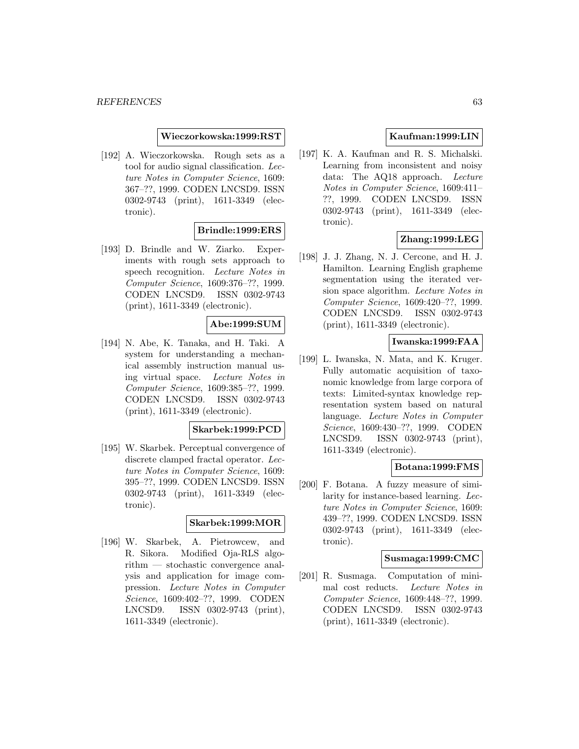#### **Wieczorkowska:1999:RST**

[192] A. Wieczorkowska. Rough sets as a tool for audio signal classification. Lecture Notes in Computer Science, 1609: 367–??, 1999. CODEN LNCSD9. ISSN 0302-9743 (print), 1611-3349 (electronic).

# **Brindle:1999:ERS**

[193] D. Brindle and W. Ziarko. Experiments with rough sets approach to speech recognition. Lecture Notes in Computer Science, 1609:376–??, 1999. CODEN LNCSD9. ISSN 0302-9743 (print), 1611-3349 (electronic).

### **Abe:1999:SUM**

[194] N. Abe, K. Tanaka, and H. Taki. A system for understanding a mechanical assembly instruction manual using virtual space. Lecture Notes in Computer Science, 1609:385–??, 1999. CODEN LNCSD9. ISSN 0302-9743 (print), 1611-3349 (electronic).

#### **Skarbek:1999:PCD**

[195] W. Skarbek. Perceptual convergence of discrete clamped fractal operator. Lecture Notes in Computer Science, 1609: 395–??, 1999. CODEN LNCSD9. ISSN 0302-9743 (print), 1611-3349 (electronic).

### **Skarbek:1999:MOR**

[196] W. Skarbek, A. Pietrowcew, and R. Sikora. Modified Oja-RLS algorithm — stochastic convergence analysis and application for image compression. Lecture Notes in Computer Science, 1609:402–??, 1999. CODEN LNCSD9. ISSN 0302-9743 (print), 1611-3349 (electronic).

# **Kaufman:1999:LIN**

[197] K. A. Kaufman and R. S. Michalski. Learning from inconsistent and noisy data: The AQ18 approach. Lecture Notes in Computer Science, 1609:411– ??, 1999. CODEN LNCSD9. ISSN 0302-9743 (print), 1611-3349 (electronic).

## **Zhang:1999:LEG**

[198] J. J. Zhang, N. J. Cercone, and H. J. Hamilton. Learning English grapheme segmentation using the iterated version space algorithm. Lecture Notes in Computer Science, 1609:420–??, 1999. CODEN LNCSD9. ISSN 0302-9743 (print), 1611-3349 (electronic).

# **Iwanska:1999:FAA**

[199] L. Iwanska, N. Mata, and K. Kruger. Fully automatic acquisition of taxonomic knowledge from large corpora of texts: Limited-syntax knowledge representation system based on natural language. Lecture Notes in Computer Science, 1609:430–??, 1999. CODEN LNCSD9. ISSN 0302-9743 (print), 1611-3349 (electronic).

### **Botana:1999:FMS**

[200] F. Botana. A fuzzy measure of similarity for instance-based learning. Lecture Notes in Computer Science, 1609: 439–??, 1999. CODEN LNCSD9. ISSN 0302-9743 (print), 1611-3349 (electronic).

#### **Susmaga:1999:CMC**

[201] R. Susmaga. Computation of minimal cost reducts. Lecture Notes in Computer Science, 1609:448–??, 1999. CODEN LNCSD9. ISSN 0302-9743 (print), 1611-3349 (electronic).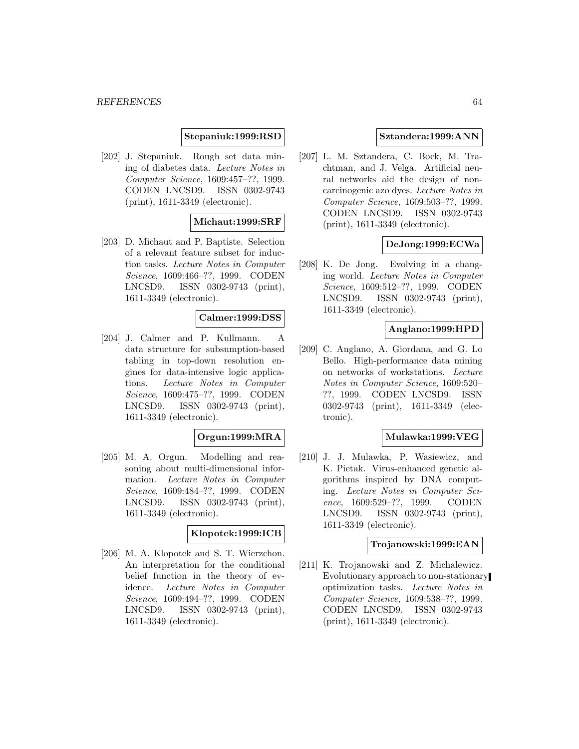### **Stepaniuk:1999:RSD**

[202] J. Stepaniuk. Rough set data mining of diabetes data. Lecture Notes in Computer Science, 1609:457–??, 1999. CODEN LNCSD9. ISSN 0302-9743 (print), 1611-3349 (electronic).

### **Michaut:1999:SRF**

[203] D. Michaut and P. Baptiste. Selection of a relevant feature subset for induction tasks. Lecture Notes in Computer Science, 1609:466–??, 1999. CODEN LNCSD9. ISSN 0302-9743 (print), 1611-3349 (electronic).

#### **Calmer:1999:DSS**

[204] J. Calmer and P. Kullmann. A data structure for subsumption-based tabling in top-down resolution engines for data-intensive logic applications. Lecture Notes in Computer Science, 1609:475–??, 1999. CODEN LNCSD9. ISSN 0302-9743 (print), 1611-3349 (electronic).

#### **Orgun:1999:MRA**

[205] M. A. Orgun. Modelling and reasoning about multi-dimensional information. Lecture Notes in Computer Science, 1609:484–??, 1999. CODEN LNCSD9. ISSN 0302-9743 (print), 1611-3349 (electronic).

# **Klopotek:1999:ICB**

[206] M. A. Klopotek and S. T. Wierzchon. An interpretation for the conditional belief function in the theory of evidence. Lecture Notes in Computer Science, 1609:494–??, 1999. CODEN LNCSD9. ISSN 0302-9743 (print), 1611-3349 (electronic).

### **Sztandera:1999:ANN**

[207] L. M. Sztandera, C. Bock, M. Trachtman, and J. Velga. Artificial neural networks aid the design of noncarcinogenic azo dyes. Lecture Notes in Computer Science, 1609:503–??, 1999. CODEN LNCSD9. ISSN 0302-9743 (print), 1611-3349 (electronic).

### **DeJong:1999:ECWa**

[208] K. De Jong. Evolving in a changing world. Lecture Notes in Computer Science, 1609:512–??, 1999. CODEN LNCSD9. ISSN 0302-9743 (print), 1611-3349 (electronic).

### **Anglano:1999:HPD**

[209] C. Anglano, A. Giordana, and G. Lo Bello. High-performance data mining on networks of workstations. Lecture Notes in Computer Science, 1609:520– ??, 1999. CODEN LNCSD9. ISSN 0302-9743 (print), 1611-3349 (electronic).

### **Mulawka:1999:VEG**

[210] J. J. Mulawka, P. Wasiewicz, and K. Pietak. Virus-enhanced genetic algorithms inspired by DNA computing. Lecture Notes in Computer Science, 1609:529–??, 1999. CODEN LNCSD9. ISSN 0302-9743 (print), 1611-3349 (electronic).

#### **Trojanowski:1999:EAN**

[211] K. Trojanowski and Z. Michalewicz. Evolutionary approach to non-stationary optimization tasks. Lecture Notes in Computer Science, 1609:538–??, 1999. CODEN LNCSD9. ISSN 0302-9743 (print), 1611-3349 (electronic).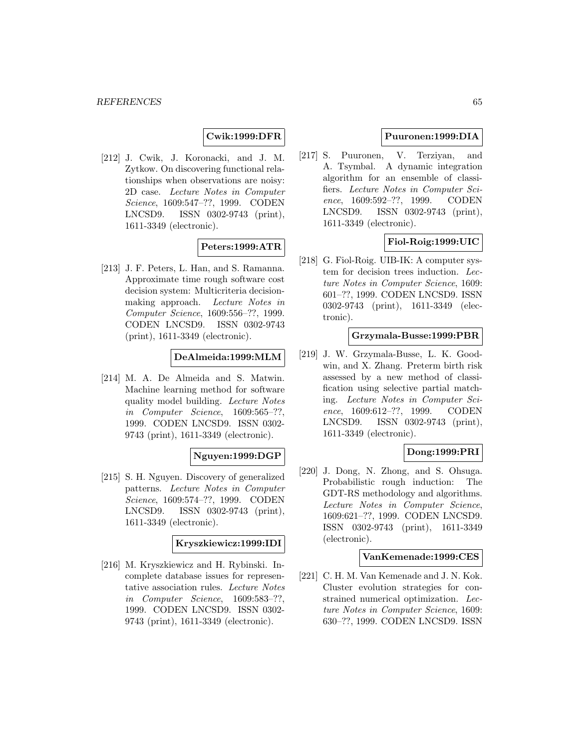## **Cwik:1999:DFR**

[212] J. Cwik, J. Koronacki, and J. M. Zytkow. On discovering functional relationships when observations are noisy: 2D case. Lecture Notes in Computer Science, 1609:547–??, 1999. CODEN LNCSD9. ISSN 0302-9743 (print), 1611-3349 (electronic).

#### **Peters:1999:ATR**

[213] J. F. Peters, L. Han, and S. Ramanna. Approximate time rough software cost decision system: Multicriteria decisionmaking approach. Lecture Notes in Computer Science, 1609:556–??, 1999. CODEN LNCSD9. ISSN 0302-9743 (print), 1611-3349 (electronic).

#### **DeAlmeida:1999:MLM**

[214] M. A. De Almeida and S. Matwin. Machine learning method for software quality model building. Lecture Notes in Computer Science, 1609:565–??, 1999. CODEN LNCSD9. ISSN 0302- 9743 (print), 1611-3349 (electronic).

### **Nguyen:1999:DGP**

[215] S. H. Nguyen. Discovery of generalized patterns. Lecture Notes in Computer Science, 1609:574–??, 1999. CODEN LNCSD9. ISSN 0302-9743 (print), 1611-3349 (electronic).

#### **Kryszkiewicz:1999:IDI**

[216] M. Kryszkiewicz and H. Rybinski. Incomplete database issues for representative association rules. Lecture Notes in Computer Science, 1609:583–??, 1999. CODEN LNCSD9. ISSN 0302- 9743 (print), 1611-3349 (electronic).

## **Puuronen:1999:DIA**

[217] S. Puuronen, V. Terziyan, and A. Tsymbal. A dynamic integration algorithm for an ensemble of classifiers. Lecture Notes in Computer Science, 1609:592–??, 1999. CODEN LNCSD9. ISSN 0302-9743 (print), 1611-3349 (electronic).

### **Fiol-Roig:1999:UIC**

[218] G. Fiol-Roig. UIB-IK: A computer system for decision trees induction. Lecture Notes in Computer Science, 1609: 601–??, 1999. CODEN LNCSD9. ISSN 0302-9743 (print), 1611-3349 (electronic).

#### **Grzymala-Busse:1999:PBR**

[219] J. W. Grzymala-Busse, L. K. Goodwin, and X. Zhang. Preterm birth risk assessed by a new method of classification using selective partial matching. Lecture Notes in Computer Science, 1609:612–??, 1999. CODEN LNCSD9. ISSN 0302-9743 (print), 1611-3349 (electronic).

# **Dong:1999:PRI**

[220] J. Dong, N. Zhong, and S. Ohsuga. Probabilistic rough induction: The GDT-RS methodology and algorithms. Lecture Notes in Computer Science, 1609:621–??, 1999. CODEN LNCSD9. ISSN 0302-9743 (print), 1611-3349 (electronic).

### **VanKemenade:1999:CES**

[221] C. H. M. Van Kemenade and J. N. Kok. Cluster evolution strategies for constrained numerical optimization. Lecture Notes in Computer Science, 1609: 630–??, 1999. CODEN LNCSD9. ISSN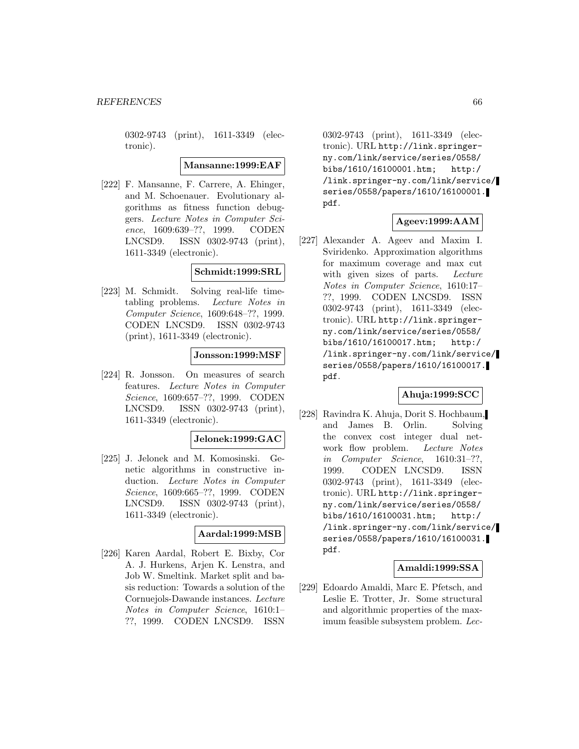0302-9743 (print), 1611-3349 (electronic).

#### **Mansanne:1999:EAF**

[222] F. Mansanne, F. Carrere, A. Ehinger, and M. Schoenauer. Evolutionary algorithms as fitness function debuggers. Lecture Notes in Computer Science, 1609:639–??, 1999. CODEN LNCSD9. ISSN 0302-9743 (print), 1611-3349 (electronic).

#### **Schmidt:1999:SRL**

[223] M. Schmidt. Solving real-life timetabling problems. Lecture Notes in Computer Science, 1609:648–??, 1999. CODEN LNCSD9. ISSN 0302-9743 (print), 1611-3349 (electronic).

#### **Jonsson:1999:MSF**

[224] R. Jonsson. On measures of search features. Lecture Notes in Computer Science, 1609:657–??, 1999. CODEN LNCSD9. ISSN 0302-9743 (print), 1611-3349 (electronic).

#### **Jelonek:1999:GAC**

[225] J. Jelonek and M. Komosinski. Genetic algorithms in constructive induction. Lecture Notes in Computer Science, 1609:665–??, 1999. CODEN LNCSD9. ISSN 0302-9743 (print), 1611-3349 (electronic).

#### **Aardal:1999:MSB**

[226] Karen Aardal, Robert E. Bixby, Cor A. J. Hurkens, Arjen K. Lenstra, and Job W. Smeltink. Market split and basis reduction: Towards a solution of the Cornuejols-Dawande instances. Lecture Notes in Computer Science, 1610:1– ??, 1999. CODEN LNCSD9. ISSN

0302-9743 (print), 1611-3349 (electronic). URL http://link.springerny.com/link/service/series/0558/ bibs/1610/16100001.htm; http:/ /link.springer-ny.com/link/service/ series/0558/papers/1610/16100001. pdf.

# **Ageev:1999:AAM**

[227] Alexander A. Ageev and Maxim I. Sviridenko. Approximation algorithms for maximum coverage and max cut with given sizes of parts. Lecture Notes in Computer Science, 1610:17– ??, 1999. CODEN LNCSD9. ISSN 0302-9743 (print), 1611-3349 (electronic). URL http://link.springerny.com/link/service/series/0558/ bibs/1610/16100017.htm; http:/ /link.springer-ny.com/link/service/ series/0558/papers/1610/16100017. pdf.

### **Ahuja:1999:SCC**

[228] Ravindra K. Ahuja, Dorit S. Hochbaum, and James B. Orlin. Solving the convex cost integer dual network flow problem. Lecture Notes in Computer Science, 1610:31–??, 1999. CODEN LNCSD9. ISSN 0302-9743 (print), 1611-3349 (electronic). URL http://link.springerny.com/link/service/series/0558/ bibs/1610/16100031.htm; http:/ /link.springer-ny.com/link/service/ series/0558/papers/1610/16100031. pdf.

### **Amaldi:1999:SSA**

[229] Edoardo Amaldi, Marc E. Pfetsch, and Leslie E. Trotter, Jr. Some structural and algorithmic properties of the maximum feasible subsystem problem. Lec-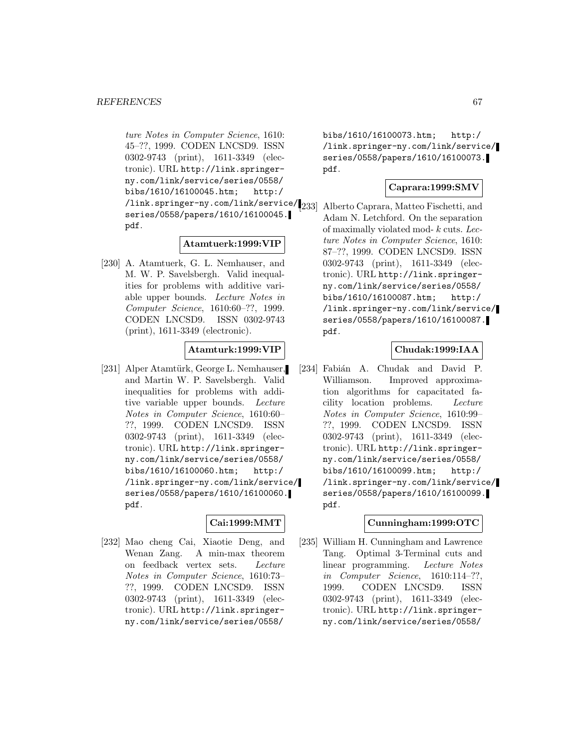ture Notes in Computer Science, 1610: 45–??, 1999. CODEN LNCSD9. ISSN 0302-9743 (print), 1611-3349 (electronic). URL http://link.springerny.com/link/service/series/0558/ bibs/1610/16100045.htm; http:/ /link.springer-ny.com/link/service/ series/0558/papers/1610/16100045. pdf.

### **Atamtuerk:1999:VIP**

[230] A. Atamtuerk, G. L. Nemhauser, and M. W. P. Savelsbergh. Valid inequalities for problems with additive variable upper bounds. Lecture Notes in Computer Science, 1610:60–??, 1999. CODEN LNCSD9. ISSN 0302-9743 (print), 1611-3349 (electronic).

#### **Atamturk:1999:VIP**

[231] Alper Atamtürk, George L. Nemhauser, and Martin W. P. Savelsbergh. Valid inequalities for problems with additive variable upper bounds. Lecture Notes in Computer Science, 1610:60– ??, 1999. CODEN LNCSD9. ISSN 0302-9743 (print), 1611-3349 (electronic). URL http://link.springerny.com/link/service/series/0558/ bibs/1610/16100060.htm; http:/ /link.springer-ny.com/link/service/ series/0558/papers/1610/16100060. pdf.

### **Cai:1999:MMT**

[232] Mao cheng Cai, Xiaotie Deng, and Wenan Zang. A min-max theorem on feedback vertex sets. Lecture Notes in Computer Science, 1610:73– ??, 1999. CODEN LNCSD9. ISSN 0302-9743 (print), 1611-3349 (electronic). URL http://link.springerny.com/link/service/series/0558/

bibs/1610/16100073.htm; http:/ /link.springer-ny.com/link/service/ series/0558/papers/1610/16100073. pdf.

## **Caprara:1999:SMV**

[233] Alberto Caprara, Matteo Fischetti, and Adam N. Letchford. On the separation of maximally violated mod- k cuts. Lecture Notes in Computer Science, 1610: 87–??, 1999. CODEN LNCSD9. ISSN 0302-9743 (print), 1611-3349 (electronic). URL http://link.springerny.com/link/service/series/0558/ bibs/1610/16100087.htm; http:/ /link.springer-ny.com/link/service/ series/0558/papers/1610/16100087. pdf.

# **Chudak:1999:IAA**

[234] Fabián A. Chudak and David P. Williamson. Improved approximation algorithms for capacitated facility location problems. Lecture Notes in Computer Science, 1610:99– ??, 1999. CODEN LNCSD9. ISSN 0302-9743 (print), 1611-3349 (electronic). URL http://link.springerny.com/link/service/series/0558/ bibs/1610/16100099.htm; http:/ /link.springer-ny.com/link/service/ series/0558/papers/1610/16100099. pdf.

### **Cunningham:1999:OTC**

[235] William H. Cunningham and Lawrence Tang. Optimal 3-Terminal cuts and linear programming. Lecture Notes in Computer Science, 1610:114–??, 1999. CODEN LNCSD9. ISSN 0302-9743 (print), 1611-3349 (electronic). URL http://link.springerny.com/link/service/series/0558/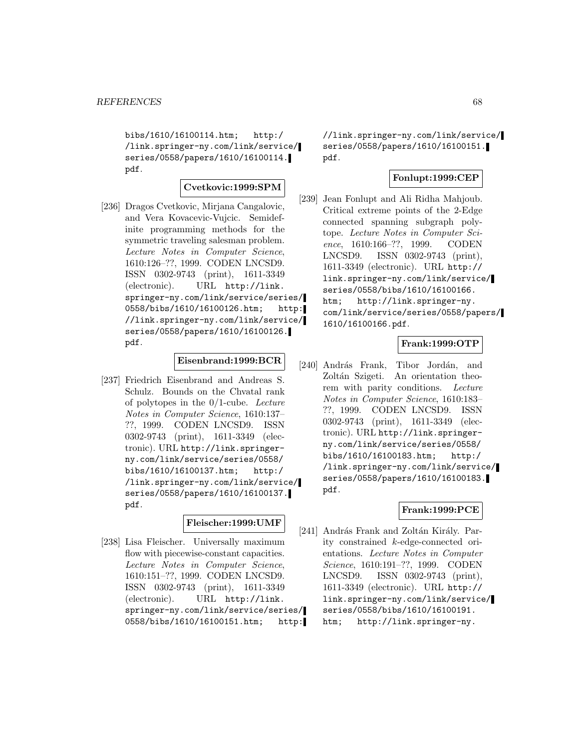bibs/1610/16100114.htm; http:/ /link.springer-ny.com/link/service/ series/0558/papers/1610/16100114. pdf.

# **Cvetkovic:1999:SPM**

[236] Dragos Cvetkovic, Mirjana Cangalovic, and Vera Kovacevic-Vujcic. Semidefinite programming methods for the symmetric traveling salesman problem. Lecture Notes in Computer Science, 1610:126–??, 1999. CODEN LNCSD9. ISSN 0302-9743 (print), 1611-3349 (electronic). URL http://link. springer-ny.com/link/service/series/ 0558/bibs/1610/16100126.htm; http: //link.springer-ny.com/link/service/ series/0558/papers/1610/16100126. pdf.

## **Eisenbrand:1999:BCR**

[237] Friedrich Eisenbrand and Andreas S. Schulz. Bounds on the Chvatal rank of polytopes in the 0/1-cube. Lecture Notes in Computer Science, 1610:137– ??, 1999. CODEN LNCSD9. ISSN 0302-9743 (print), 1611-3349 (electronic). URL http://link.springerny.com/link/service/series/0558/ bibs/1610/16100137.htm; http:/ /link.springer-ny.com/link/service/ series/0558/papers/1610/16100137. pdf.

#### **Fleischer:1999:UMF**

[238] Lisa Fleischer. Universally maximum flow with piecewise-constant capacities. Lecture Notes in Computer Science, 1610:151–??, 1999. CODEN LNCSD9. ISSN 0302-9743 (print), 1611-3349 (electronic). URL http://link. springer-ny.com/link/service/series/ 0558/bibs/1610/16100151.htm; http: //link.springer-ny.com/link/service/ series/0558/papers/1610/16100151. pdf.

# **Fonlupt:1999:CEP**

[239] Jean Fonlupt and Ali Ridha Mahjoub. Critical extreme points of the 2-Edge connected spanning subgraph polytope. Lecture Notes in Computer Science, 1610:166–??, 1999. CODEN LNCSD9. ISSN 0302-9743 (print), 1611-3349 (electronic). URL http:// link.springer-ny.com/link/service/ series/0558/bibs/1610/16100166. htm; http://link.springer-ny. com/link/service/series/0558/papers/ 1610/16100166.pdf.

# **Frank:1999:OTP**

[240] András Frank, Tibor Jordán, and Zoltán Szigeti. An orientation theorem with parity conditions. Lecture Notes in Computer Science, 1610:183– ??, 1999. CODEN LNCSD9. ISSN 0302-9743 (print), 1611-3349 (electronic). URL http://link.springerny.com/link/service/series/0558/ bibs/1610/16100183.htm; http:/ /link.springer-ny.com/link/service/ series/0558/papers/1610/16100183. pdf.

# **Frank:1999:PCE**

[241] András Frank and Zoltán Király. Parity constrained k-edge-connected orientations. Lecture Notes in Computer Science, 1610:191–??, 1999. CODEN LNCSD9. ISSN 0302-9743 (print), 1611-3349 (electronic). URL http:// link.springer-ny.com/link/service/ series/0558/bibs/1610/16100191. htm; http://link.springer-ny.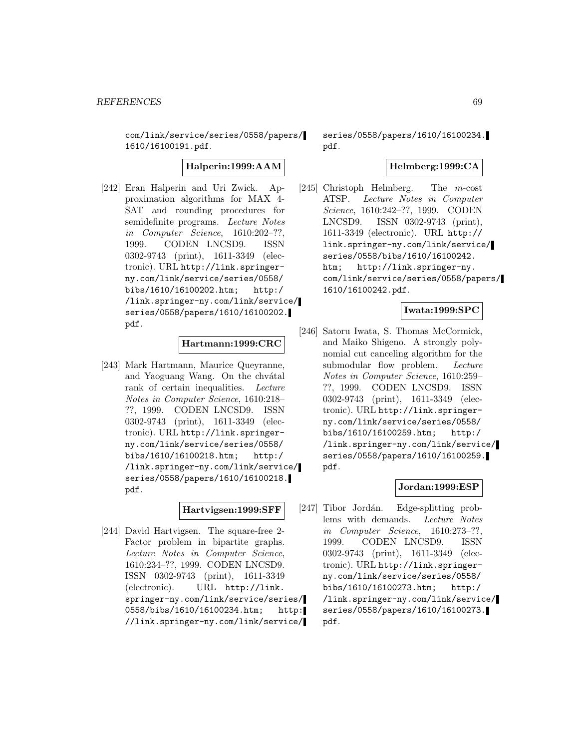com/link/service/series/0558/papers/ 1610/16100191.pdf.

**Halperin:1999:AAM**

[242] Eran Halperin and Uri Zwick. Approximation algorithms for MAX 4- SAT and rounding procedures for semidefinite programs. Lecture Notes in Computer Science, 1610:202–??, 1999. CODEN LNCSD9. ISSN 0302-9743 (print), 1611-3349 (electronic). URL http://link.springerny.com/link/service/series/0558/ bibs/1610/16100202.htm; http:/ /link.springer-ny.com/link/service/ series/0558/papers/1610/16100202. pdf.

# **Hartmann:1999:CRC**

[243] Mark Hartmann, Maurice Queyranne, and Yaoguang Wang. On the chvatal rank of certain inequalities. Lecture Notes in Computer Science, 1610:218– ??, 1999. CODEN LNCSD9. ISSN 0302-9743 (print), 1611-3349 (electronic). URL http://link.springerny.com/link/service/series/0558/ bibs/1610/16100218.htm; http:/ /link.springer-ny.com/link/service/ series/0558/papers/1610/16100218. pdf.

# **Hartvigsen:1999:SFF**

[244] David Hartvigsen. The square-free 2- Factor problem in bipartite graphs. Lecture Notes in Computer Science, 1610:234–??, 1999. CODEN LNCSD9. ISSN 0302-9743 (print), 1611-3349 (electronic). URL http://link. springer-ny.com/link/service/series/ 0558/bibs/1610/16100234.htm; http: //link.springer-ny.com/link/service/

series/0558/papers/1610/16100234. pdf.

### **Helmberg:1999:CA**

[245] Christoph Helmberg. The m-cost ATSP. Lecture Notes in Computer Science, 1610:242–??, 1999. CODEN LNCSD9. ISSN 0302-9743 (print), 1611-3349 (electronic). URL http:// link.springer-ny.com/link/service/ series/0558/bibs/1610/16100242. htm; http://link.springer-ny. com/link/service/series/0558/papers/ 1610/16100242.pdf.

### **Iwata:1999:SPC**

[246] Satoru Iwata, S. Thomas McCormick, and Maiko Shigeno. A strongly polynomial cut canceling algorithm for the submodular flow problem. Lecture Notes in Computer Science, 1610:259– ??, 1999. CODEN LNCSD9. ISSN 0302-9743 (print), 1611-3349 (electronic). URL http://link.springerny.com/link/service/series/0558/ bibs/1610/16100259.htm; http:/ /link.springer-ny.com/link/service/ series/0558/papers/1610/16100259. pdf.

# **Jordan:1999:ESP**

[247] Tibor Jordán. Edge-splitting problems with demands. Lecture Notes in Computer Science, 1610:273–??, 1999. CODEN LNCSD9. ISSN 0302-9743 (print), 1611-3349 (electronic). URL http://link.springerny.com/link/service/series/0558/ bibs/1610/16100273.htm; http:/ /link.springer-ny.com/link/service/ series/0558/papers/1610/16100273. pdf.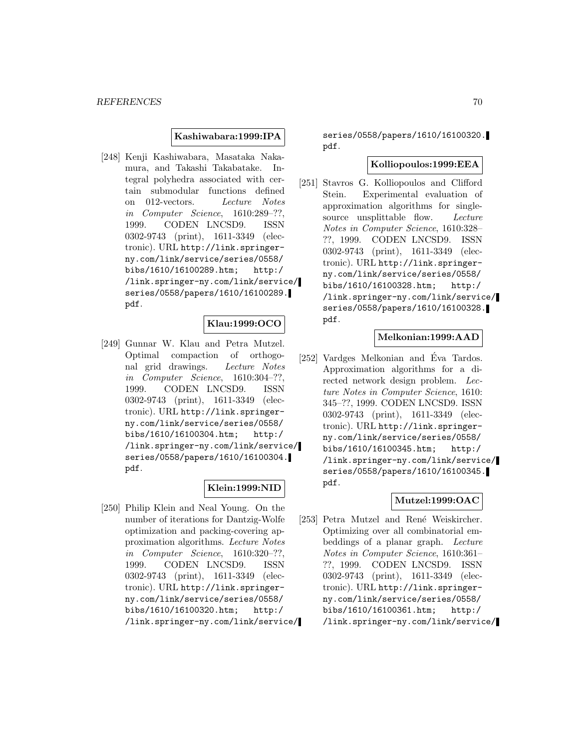### **Kashiwabara:1999:IPA**

[248] Kenji Kashiwabara, Masataka Nakamura, and Takashi Takabatake. Integral polyhedra associated with certain submodular functions defined on 012-vectors. Lecture Notes in Computer Science, 1610:289–??, 1999. CODEN LNCSD9. ISSN 0302-9743 (print), 1611-3349 (electronic). URL http://link.springerny.com/link/service/series/0558/ bibs/1610/16100289.htm; http:/ /link.springer-ny.com/link/service/ series/0558/papers/1610/16100289. pdf.

### **Klau:1999:OCO**

[249] Gunnar W. Klau and Petra Mutzel. Optimal compaction of orthogonal grid drawings. Lecture Notes in Computer Science, 1610:304–??, 1999. CODEN LNCSD9. ISSN 0302-9743 (print), 1611-3349 (electronic). URL http://link.springerny.com/link/service/series/0558/ bibs/1610/16100304.htm; http:/ /link.springer-ny.com/link/service/ series/0558/papers/1610/16100304. pdf.

#### **Klein:1999:NID**

[250] Philip Klein and Neal Young. On the number of iterations for Dantzig-Wolfe optimization and packing-covering approximation algorithms. Lecture Notes in Computer Science, 1610:320–??, 1999. CODEN LNCSD9. ISSN 0302-9743 (print), 1611-3349 (electronic). URL http://link.springerny.com/link/service/series/0558/ bibs/1610/16100320.htm; http:/ /link.springer-ny.com/link/service/

series/0558/papers/1610/16100320. pdf.

#### **Kolliopoulos:1999:EEA**

[251] Stavros G. Kolliopoulos and Clifford Stein. Experimental evaluation of approximation algorithms for singlesource unsplittable flow. Lecture Notes in Computer Science, 1610:328– ??, 1999. CODEN LNCSD9. ISSN 0302-9743 (print), 1611-3349 (electronic). URL http://link.springerny.com/link/service/series/0558/ bibs/1610/16100328.htm; http:/ /link.springer-ny.com/link/service/ series/0558/papers/1610/16100328. pdf.

#### **Melkonian:1999:AAD**

[252] Vardges Melkonian and Éva Tardos. Approximation algorithms for a directed network design problem. Lecture Notes in Computer Science, 1610: 345–??, 1999. CODEN LNCSD9. ISSN 0302-9743 (print), 1611-3349 (electronic). URL http://link.springerny.com/link/service/series/0558/ bibs/1610/16100345.htm; http:/ /link.springer-ny.com/link/service/ series/0558/papers/1610/16100345. pdf.

## **Mutzel:1999:OAC**

[253] Petra Mutzel and René Weiskircher. Optimizing over all combinatorial embeddings of a planar graph. Lecture Notes in Computer Science, 1610:361– ??, 1999. CODEN LNCSD9. ISSN 0302-9743 (print), 1611-3349 (electronic). URL http://link.springerny.com/link/service/series/0558/ bibs/1610/16100361.htm; http:/ /link.springer-ny.com/link/service/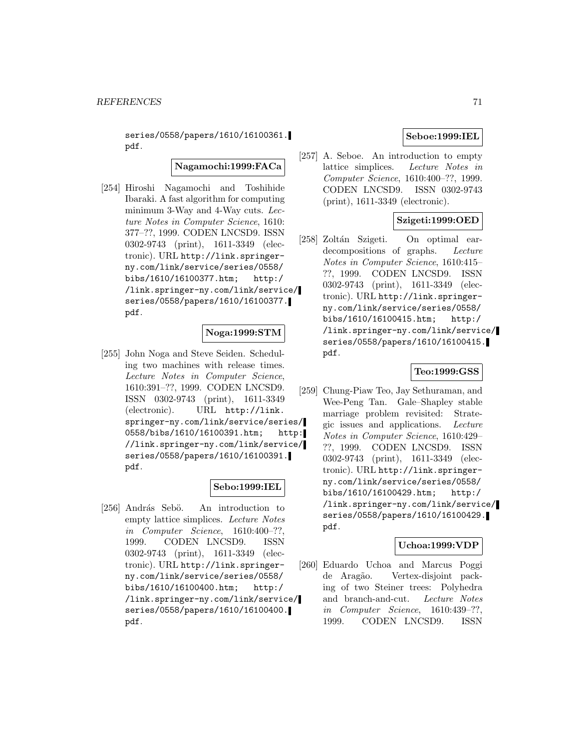series/0558/papers/1610/16100361. pdf.

# **Nagamochi:1999:FACa**

[254] Hiroshi Nagamochi and Toshihide Ibaraki. A fast algorithm for computing minimum 3-Way and 4-Way cuts. Lecture Notes in Computer Science, 1610: 377–??, 1999. CODEN LNCSD9. ISSN 0302-9743 (print), 1611-3349 (electronic). URL http://link.springerny.com/link/service/series/0558/ bibs/1610/16100377.htm; http:/ /link.springer-ny.com/link/service/ series/0558/papers/1610/16100377. pdf.

## **Noga:1999:STM**

[255] John Noga and Steve Seiden. Scheduling two machines with release times. Lecture Notes in Computer Science, 1610:391–??, 1999. CODEN LNCSD9. ISSN 0302-9743 (print), 1611-3349 (electronic). URL http://link. springer-ny.com/link/service/series/ 0558/bibs/1610/16100391.htm; http: //link.springer-ny.com/link/service/ series/0558/papers/1610/16100391. pdf.

### **Sebo:1999:IEL**

[256] András Sebö. An introduction to empty lattice simplices. Lecture Notes in Computer Science, 1610:400–??, 1999. CODEN LNCSD9. ISSN 0302-9743 (print), 1611-3349 (electronic). URL http://link.springerny.com/link/service/series/0558/ bibs/1610/16100400.htm; http:/ /link.springer-ny.com/link/service/ series/0558/papers/1610/16100400. pdf.

# **Seboe:1999:IEL**

[257] A. Seboe. An introduction to empty lattice simplices. Lecture Notes in Computer Science, 1610:400–??, 1999. CODEN LNCSD9. ISSN 0302-9743 (print), 1611-3349 (electronic).

# **Szigeti:1999:OED**

[258] Zoltán Szigeti. On optimal eardecompositions of graphs. Lecture Notes in Computer Science, 1610:415– ??, 1999. CODEN LNCSD9. ISSN 0302-9743 (print), 1611-3349 (electronic). URL http://link.springerny.com/link/service/series/0558/ bibs/1610/16100415.htm; http:/ /link.springer-ny.com/link/service/ series/0558/papers/1610/16100415. pdf.

#### **Teo:1999:GSS**

[259] Chung-Piaw Teo, Jay Sethuraman, and Wee-Peng Tan. Gale–Shapley stable marriage problem revisited: Strategic issues and applications. Lecture Notes in Computer Science, 1610:429– ??, 1999. CODEN LNCSD9. ISSN 0302-9743 (print), 1611-3349 (electronic). URL http://link.springerny.com/link/service/series/0558/ bibs/1610/16100429.htm; http:/ /link.springer-ny.com/link/service/ series/0558/papers/1610/16100429. pdf.

# **Uchoa:1999:VDP**

[260] Eduardo Uchoa and Marcus Poggi de Aragão. Vertex-disjoint packing of two Steiner trees: Polyhedra and branch-and-cut. Lecture Notes in Computer Science, 1610:439–??, 1999. CODEN LNCSD9. ISSN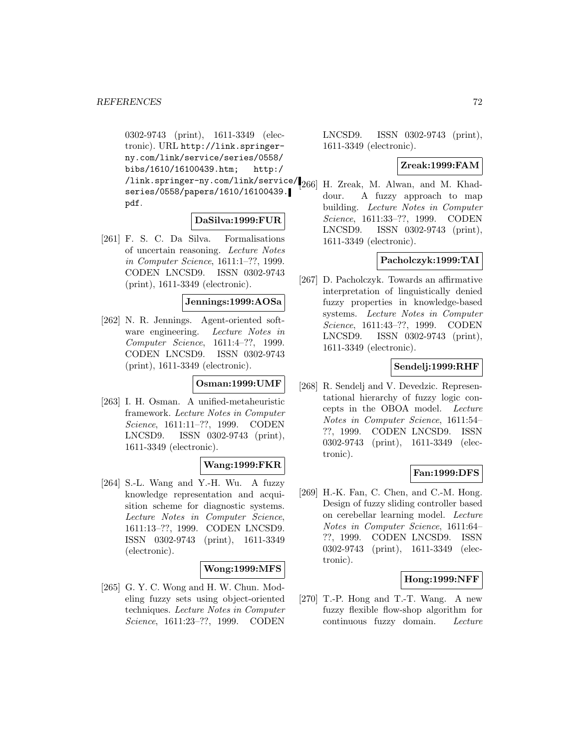0302-9743 (print), 1611-3349 (electronic). URL http://link.springerny.com/link/service/series/0558/ bibs/1610/16100439.htm; http:/ /link.springer-ny.com/link/service/<br>266 series/0558/papers/1610/16100439. pdf.

### **DaSilva:1999:FUR**

[261] F. S. C. Da Silva. Formalisations of uncertain reasoning. Lecture Notes in Computer Science, 1611:1–??, 1999. CODEN LNCSD9. ISSN 0302-9743 (print), 1611-3349 (electronic).

### **Jennings:1999:AOSa**

[262] N. R. Jennings. Agent-oriented software engineering. Lecture Notes in Computer Science, 1611:4–??, 1999. CODEN LNCSD9. ISSN 0302-9743 (print), 1611-3349 (electronic).

#### **Osman:1999:UMF**

[263] I. H. Osman. A unified-metaheuristic framework. Lecture Notes in Computer Science, 1611:11–??, 1999. CODEN LNCSD9. ISSN 0302-9743 (print), 1611-3349 (electronic).

# **Wang:1999:FKR**

[264] S.-L. Wang and Y.-H. Wu. A fuzzy knowledge representation and acquisition scheme for diagnostic systems. Lecture Notes in Computer Science, 1611:13–??, 1999. CODEN LNCSD9. ISSN 0302-9743 (print), 1611-3349 (electronic).

#### **Wong:1999:MFS**

[265] G. Y. C. Wong and H. W. Chun. Modeling fuzzy sets using object-oriented techniques. Lecture Notes in Computer Science, 1611:23–??, 1999. CODEN

LNCSD9. ISSN 0302-9743 (print), 1611-3349 (electronic).

### **Zreak:1999:FAM**

[266] H. Zreak, M. Alwan, and M. Khaddour. A fuzzy approach to map building. Lecture Notes in Computer Science, 1611:33–??, 1999. CODEN LNCSD9. ISSN 0302-9743 (print), 1611-3349 (electronic).

# **Pacholczyk:1999:TAI**

[267] D. Pacholczyk. Towards an affirmative interpretation of linguistically denied fuzzy properties in knowledge-based systems. Lecture Notes in Computer Science, 1611:43–??, 1999. CODEN LNCSD9. ISSN 0302-9743 (print), 1611-3349 (electronic).

### **Sendelj:1999:RHF**

[268] R. Sendelj and V. Devedzic. Representational hierarchy of fuzzy logic concepts in the OBOA model. Lecture Notes in Computer Science, 1611:54– ??, 1999. CODEN LNCSD9. ISSN 0302-9743 (print), 1611-3349 (electronic).

# **Fan:1999:DFS**

[269] H.-K. Fan, C. Chen, and C.-M. Hong. Design of fuzzy sliding controller based on cerebellar learning model. Lecture Notes in Computer Science, 1611:64– ??, 1999. CODEN LNCSD9. ISSN 0302-9743 (print), 1611-3349 (electronic).

### **Hong:1999:NFF**

[270] T.-P. Hong and T.-T. Wang. A new fuzzy flexible flow-shop algorithm for continuous fuzzy domain. Lecture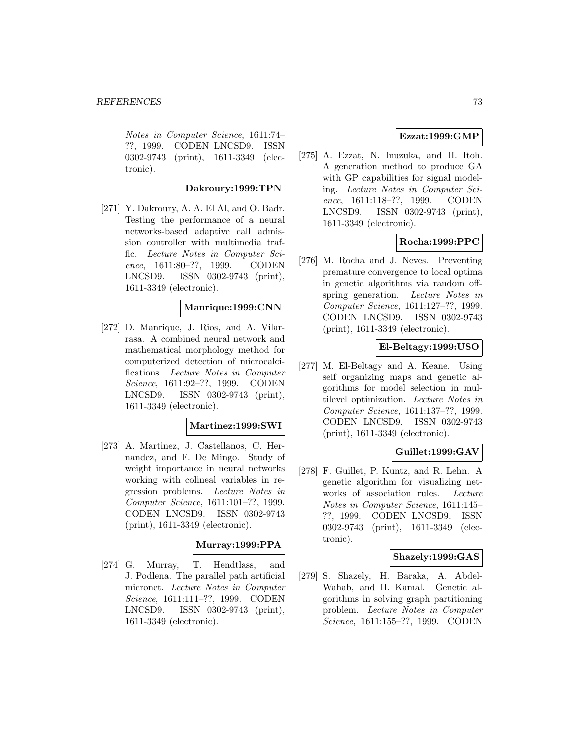Notes in Computer Science, 1611:74– ??, 1999. CODEN LNCSD9. ISSN 0302-9743 (print), 1611-3349 (electronic).

### **Dakroury:1999:TPN**

[271] Y. Dakroury, A. A. El Al, and O. Badr. Testing the performance of a neural networks-based adaptive call admission controller with multimedia traffic. Lecture Notes in Computer Science, 1611:80–??, 1999. CODEN LNCSD9. ISSN 0302-9743 (print), 1611-3349 (electronic).

#### **Manrique:1999:CNN**

[272] D. Manrique, J. Rios, and A. Vilarrasa. A combined neural network and mathematical morphology method for computerized detection of microcalcifications. Lecture Notes in Computer Science, 1611:92–??, 1999. CODEN LNCSD9. ISSN 0302-9743 (print), 1611-3349 (electronic).

#### **Martinez:1999:SWI**

[273] A. Martinez, J. Castellanos, C. Hernandez, and F. De Mingo. Study of weight importance in neural networks working with colineal variables in regression problems. Lecture Notes in Computer Science, 1611:101–??, 1999. CODEN LNCSD9. ISSN 0302-9743 (print), 1611-3349 (electronic).

## **Murray:1999:PPA**

[274] G. Murray, T. Hendtlass, and J. Podlena. The parallel path artificial micronet. Lecture Notes in Computer Science, 1611:111–??, 1999. CODEN LNCSD9. ISSN 0302-9743 (print), 1611-3349 (electronic).

## **Ezzat:1999:GMP**

[275] A. Ezzat, N. Inuzuka, and H. Itoh. A generation method to produce GA with GP capabilities for signal modeling. Lecture Notes in Computer Science, 1611:118–??, 1999. CODEN LNCSD9. ISSN 0302-9743 (print), 1611-3349 (electronic).

## **Rocha:1999:PPC**

[276] M. Rocha and J. Neves. Preventing premature convergence to local optima in genetic algorithms via random offspring generation. Lecture Notes in Computer Science, 1611:127–??, 1999. CODEN LNCSD9. ISSN 0302-9743 (print), 1611-3349 (electronic).

## **El-Beltagy:1999:USO**

[277] M. El-Beltagy and A. Keane. Using self organizing maps and genetic algorithms for model selection in multilevel optimization. Lecture Notes in Computer Science, 1611:137–??, 1999. CODEN LNCSD9. ISSN 0302-9743 (print), 1611-3349 (electronic).

# **Guillet:1999:GAV**

[278] F. Guillet, P. Kuntz, and R. Lehn. A genetic algorithm for visualizing networks of association rules. Lecture Notes in Computer Science, 1611:145– ??, 1999. CODEN LNCSD9. ISSN 0302-9743 (print), 1611-3349 (electronic).

## **Shazely:1999:GAS**

[279] S. Shazely, H. Baraka, A. Abdel-Wahab, and H. Kamal. Genetic algorithms in solving graph partitioning problem. Lecture Notes in Computer Science, 1611:155–??, 1999. CODEN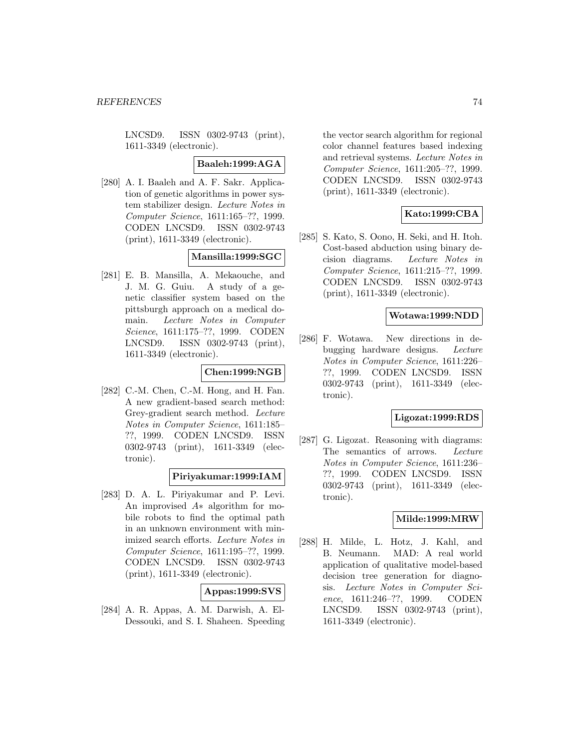LNCSD9. ISSN 0302-9743 (print), 1611-3349 (electronic).

#### **Baaleh:1999:AGA**

[280] A. I. Baaleh and A. F. Sakr. Application of genetic algorithms in power system stabilizer design. Lecture Notes in Computer Science, 1611:165–??, 1999. CODEN LNCSD9. ISSN 0302-9743 (print), 1611-3349 (electronic).

## **Mansilla:1999:SGC**

[281] E. B. Mansilla, A. Mekaouche, and J. M. G. Guiu. A study of a genetic classifier system based on the pittsburgh approach on a medical domain. Lecture Notes in Computer Science, 1611:175–??, 1999. CODEN LNCSD9. ISSN 0302-9743 (print), 1611-3349 (electronic).

# **Chen:1999:NGB**

[282] C.-M. Chen, C.-M. Hong, and H. Fan. A new gradient-based search method: Grey-gradient search method. Lecture Notes in Computer Science, 1611:185– ??, 1999. CODEN LNCSD9. ISSN 0302-9743 (print), 1611-3349 (electronic).

## **Piriyakumar:1999:IAM**

[283] D. A. L. Piriyakumar and P. Levi. An improvised A∗ algorithm for mobile robots to find the optimal path in an unknown environment with minimized search efforts. Lecture Notes in Computer Science, 1611:195–??, 1999. CODEN LNCSD9. ISSN 0302-9743 (print), 1611-3349 (electronic).

## **Appas:1999:SVS**

[284] A. R. Appas, A. M. Darwish, A. El-Dessouki, and S. I. Shaheen. Speeding

the vector search algorithm for regional color channel features based indexing and retrieval systems. Lecture Notes in Computer Science, 1611:205–??, 1999. CODEN LNCSD9. ISSN 0302-9743 (print), 1611-3349 (electronic).

## **Kato:1999:CBA**

[285] S. Kato, S. Oono, H. Seki, and H. Itoh. Cost-based abduction using binary decision diagrams. Lecture Notes in Computer Science, 1611:215–??, 1999. CODEN LNCSD9. ISSN 0302-9743 (print), 1611-3349 (electronic).

## **Wotawa:1999:NDD**

[286] F. Wotawa. New directions in debugging hardware designs. Lecture Notes in Computer Science, 1611:226– ??, 1999. CODEN LNCSD9. ISSN 0302-9743 (print), 1611-3349 (electronic).

#### **Ligozat:1999:RDS**

[287] G. Ligozat. Reasoning with diagrams: The semantics of arrows. Lecture Notes in Computer Science, 1611:236– ??, 1999. CODEN LNCSD9. ISSN 0302-9743 (print), 1611-3349 (electronic).

## **Milde:1999:MRW**

[288] H. Milde, L. Hotz, J. Kahl, and B. Neumann. MAD: A real world application of qualitative model-based decision tree generation for diagnosis. Lecture Notes in Computer Science, 1611:246–??, 1999. CODEN LNCSD9. ISSN 0302-9743 (print), 1611-3349 (electronic).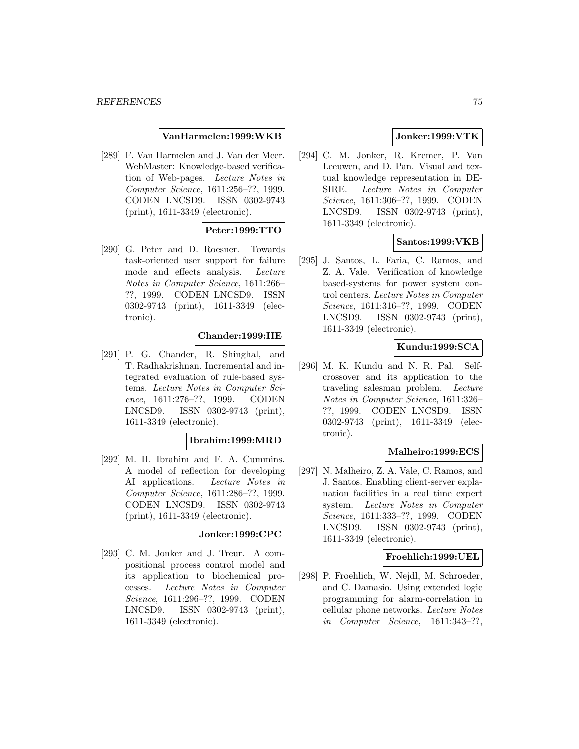### **VanHarmelen:1999:WKB**

[289] F. Van Harmelen and J. Van der Meer. WebMaster: Knowledge-based verification of Web-pages. Lecture Notes in Computer Science, 1611:256–??, 1999. CODEN LNCSD9. ISSN 0302-9743 (print), 1611-3349 (electronic).

# **Peter:1999:TTO**

[290] G. Peter and D. Roesner. Towards task-oriented user support for failure mode and effects analysis. Lecture Notes in Computer Science, 1611:266– ??, 1999. CODEN LNCSD9. ISSN 0302-9743 (print), 1611-3349 (electronic).

## **Chander:1999:IIE**

[291] P. G. Chander, R. Shinghal, and T. Radhakrishnan. Incremental and integrated evaluation of rule-based systems. Lecture Notes in Computer Science, 1611:276–??, 1999. CODEN LNCSD9. ISSN 0302-9743 (print), 1611-3349 (electronic).

#### **Ibrahim:1999:MRD**

[292] M. H. Ibrahim and F. A. Cummins. A model of reflection for developing AI applications. Lecture Notes in Computer Science, 1611:286–??, 1999. CODEN LNCSD9. ISSN 0302-9743 (print), 1611-3349 (electronic).

#### **Jonker:1999:CPC**

[293] C. M. Jonker and J. Treur. A compositional process control model and its application to biochemical processes. Lecture Notes in Computer Science, 1611:296–??, 1999. CODEN LNCSD9. ISSN 0302-9743 (print), 1611-3349 (electronic).

## **Jonker:1999:VTK**

[294] C. M. Jonker, R. Kremer, P. Van Leeuwen, and D. Pan. Visual and textual knowledge representation in DE-SIRE. Lecture Notes in Computer Science, 1611:306–??, 1999. CODEN LNCSD9. ISSN 0302-9743 (print), 1611-3349 (electronic).

## **Santos:1999:VKB**

[295] J. Santos, L. Faria, C. Ramos, and Z. A. Vale. Verification of knowledge based-systems for power system control centers. Lecture Notes in Computer Science, 1611:316–??, 1999. CODEN LNCSD9. ISSN 0302-9743 (print), 1611-3349 (electronic).

## **Kundu:1999:SCA**

[296] M. K. Kundu and N. R. Pal. Selfcrossover and its application to the traveling salesman problem. Lecture Notes in Computer Science, 1611:326– ??, 1999. CODEN LNCSD9. ISSN 0302-9743 (print), 1611-3349 (electronic).

### **Malheiro:1999:ECS**

[297] N. Malheiro, Z. A. Vale, C. Ramos, and J. Santos. Enabling client-server explanation facilities in a real time expert system. Lecture Notes in Computer Science, 1611:333–??, 1999. CODEN LNCSD9. ISSN 0302-9743 (print), 1611-3349 (electronic).

#### **Froehlich:1999:UEL**

[298] P. Froehlich, W. Nejdl, M. Schroeder, and C. Damasio. Using extended logic programming for alarm-correlation in cellular phone networks. Lecture Notes in Computer Science, 1611:343–??,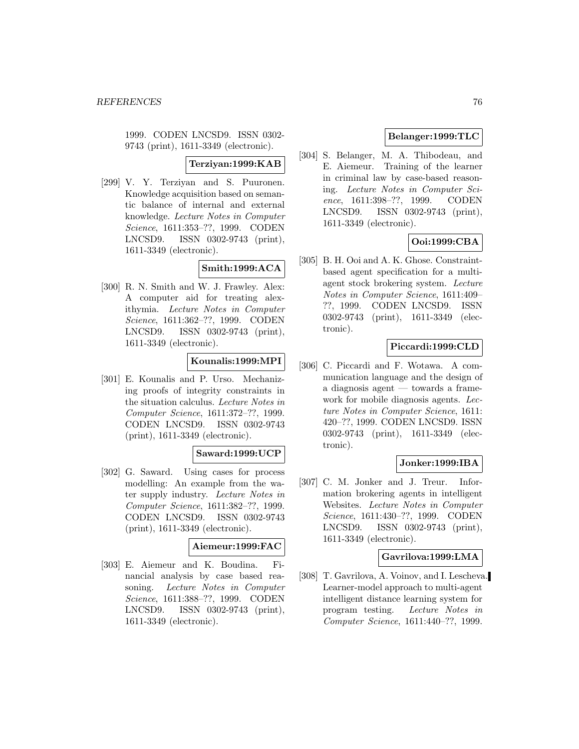1999. CODEN LNCSD9. ISSN 0302- 9743 (print), 1611-3349 (electronic).

**Terziyan:1999:KAB**

[299] V. Y. Terziyan and S. Puuronen. Knowledge acquisition based on semantic balance of internal and external knowledge. Lecture Notes in Computer Science, 1611:353–??, 1999. CODEN LNCSD9. ISSN 0302-9743 (print), 1611-3349 (electronic).

# **Smith:1999:ACA**

[300] R. N. Smith and W. J. Frawley. Alex: A computer aid for treating alexithymia. Lecture Notes in Computer Science, 1611:362–??, 1999. CODEN LNCSD9. ISSN 0302-9743 (print), 1611-3349 (electronic).

## **Kounalis:1999:MPI**

[301] E. Kounalis and P. Urso. Mechanizing proofs of integrity constraints in the situation calculus. Lecture Notes in Computer Science, 1611:372–??, 1999. CODEN LNCSD9. ISSN 0302-9743 (print), 1611-3349 (electronic).

## **Saward:1999:UCP**

[302] G. Saward. Using cases for process modelling: An example from the water supply industry. Lecture Notes in Computer Science, 1611:382–??, 1999. CODEN LNCSD9. ISSN 0302-9743 (print), 1611-3349 (electronic).

# **Aiemeur:1999:FAC**

[303] E. Aiemeur and K. Boudina. Financial analysis by case based reasoning. Lecture Notes in Computer Science, 1611:388–??, 1999. CODEN LNCSD9. ISSN 0302-9743 (print), 1611-3349 (electronic).

## **Belanger:1999:TLC**

[304] S. Belanger, M. A. Thibodeau, and E. Aiemeur. Training of the learner in criminal law by case-based reasoning. Lecture Notes in Computer Science, 1611:398–??, 1999. CODEN LNCSD9. ISSN 0302-9743 (print), 1611-3349 (electronic).

# **Ooi:1999:CBA**

[305] B. H. Ooi and A. K. Ghose. Constraintbased agent specification for a multiagent stock brokering system. Lecture Notes in Computer Science, 1611:409– ??, 1999. CODEN LNCSD9. ISSN 0302-9743 (print), 1611-3349 (electronic).

## **Piccardi:1999:CLD**

[306] C. Piccardi and F. Wotawa. A communication language and the design of a diagnosis agent — towards a framework for mobile diagnosis agents. Lecture Notes in Computer Science, 1611: 420–??, 1999. CODEN LNCSD9. ISSN 0302-9743 (print), 1611-3349 (electronic).

## **Jonker:1999:IBA**

[307] C. M. Jonker and J. Treur. Information brokering agents in intelligent Websites. Lecture Notes in Computer Science, 1611:430–??, 1999. CODEN LNCSD9. ISSN 0302-9743 (print), 1611-3349 (electronic).

## **Gavrilova:1999:LMA**

[308] T. Gavrilova, A. Voinov, and I. Lescheva. Learner-model approach to multi-agent intelligent distance learning system for program testing. Lecture Notes in Computer Science, 1611:440–??, 1999.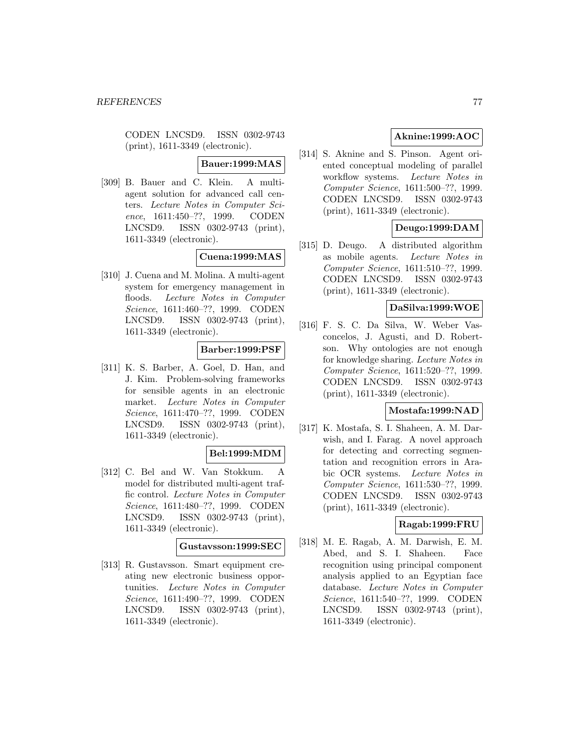CODEN LNCSD9. ISSN 0302-9743 (print), 1611-3349 (electronic).

## **Bauer:1999:MAS**

[309] B. Bauer and C. Klein. A multiagent solution for advanced call centers. Lecture Notes in Computer Science, 1611:450–??, 1999. CODEN LNCSD9. ISSN 0302-9743 (print), 1611-3349 (electronic).

# **Cuena:1999:MAS**

[310] J. Cuena and M. Molina. A multi-agent system for emergency management in floods. Lecture Notes in Computer Science, 1611:460–??, 1999. CODEN LNCSD9. ISSN 0302-9743 (print), 1611-3349 (electronic).

## **Barber:1999:PSF**

[311] K. S. Barber, A. Goel, D. Han, and J. Kim. Problem-solving frameworks for sensible agents in an electronic market. Lecture Notes in Computer Science, 1611:470–??, 1999. CODEN LNCSD9. ISSN 0302-9743 (print), 1611-3349 (electronic).

## **Bel:1999:MDM**

[312] C. Bel and W. Van Stokkum. A model for distributed multi-agent traffic control. Lecture Notes in Computer Science, 1611:480–??, 1999. CODEN LNCSD9. ISSN 0302-9743 (print), 1611-3349 (electronic).

#### **Gustavsson:1999:SEC**

[313] R. Gustavsson. Smart equipment creating new electronic business opportunities. Lecture Notes in Computer Science, 1611:490–??, 1999. CODEN LNCSD9. ISSN 0302-9743 (print), 1611-3349 (electronic).

# **Aknine:1999:AOC**

[314] S. Aknine and S. Pinson. Agent oriented conceptual modeling of parallel workflow systems. Lecture Notes in Computer Science, 1611:500–??, 1999. CODEN LNCSD9. ISSN 0302-9743 (print), 1611-3349 (electronic).

# **Deugo:1999:DAM**

[315] D. Deugo. A distributed algorithm as mobile agents. Lecture Notes in Computer Science, 1611:510–??, 1999. CODEN LNCSD9. ISSN 0302-9743 (print), 1611-3349 (electronic).

## **DaSilva:1999:WOE**

[316] F. S. C. Da Silva, W. Weber Vasconcelos, J. Agusti, and D. Robertson. Why ontologies are not enough for knowledge sharing. Lecture Notes in Computer Science, 1611:520–??, 1999. CODEN LNCSD9. ISSN 0302-9743 (print), 1611-3349 (electronic).

#### **Mostafa:1999:NAD**

[317] K. Mostafa, S. I. Shaheen, A. M. Darwish, and I. Farag. A novel approach for detecting and correcting segmentation and recognition errors in Arabic OCR systems. Lecture Notes in Computer Science, 1611:530–??, 1999. CODEN LNCSD9. ISSN 0302-9743 (print), 1611-3349 (electronic).

## **Ragab:1999:FRU**

[318] M. E. Ragab, A. M. Darwish, E. M. Abed, and S. I. Shaheen. Face recognition using principal component analysis applied to an Egyptian face database. Lecture Notes in Computer Science, 1611:540–??, 1999. CODEN LNCSD9. ISSN 0302-9743 (print), 1611-3349 (electronic).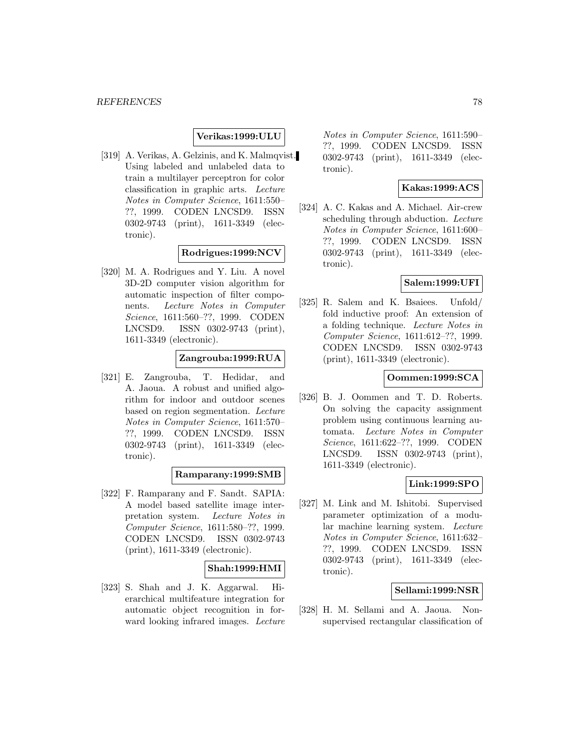## **Verikas:1999:ULU**

[319] A. Verikas, A. Gelzinis, and K. Malmqvist. Using labeled and unlabeled data to train a multilayer perceptron for color classification in graphic arts. Lecture Notes in Computer Science, 1611:550– ??, 1999. CODEN LNCSD9. ISSN 0302-9743 (print), 1611-3349 (electronic).

## **Rodrigues:1999:NCV**

[320] M. A. Rodrigues and Y. Liu. A novel 3D-2D computer vision algorithm for automatic inspection of filter components. Lecture Notes in Computer Science, 1611:560–??, 1999. CODEN LNCSD9. ISSN 0302-9743 (print), 1611-3349 (electronic).

## **Zangrouba:1999:RUA**

[321] E. Zangrouba, T. Hedidar, and A. Jaoua. A robust and unified algorithm for indoor and outdoor scenes based on region segmentation. Lecture Notes in Computer Science, 1611:570– ??, 1999. CODEN LNCSD9. ISSN 0302-9743 (print), 1611-3349 (electronic).

#### **Ramparany:1999:SMB**

[322] F. Ramparany and F. Sandt. SAPIA: A model based satellite image interpretation system. Lecture Notes in Computer Science, 1611:580–??, 1999. CODEN LNCSD9. ISSN 0302-9743 (print), 1611-3349 (electronic).

#### **Shah:1999:HMI**

[323] S. Shah and J. K. Aggarwal. Hierarchical multifeature integration for automatic object recognition in forward looking infrared images. Lecture

Notes in Computer Science, 1611:590– ??, 1999. CODEN LNCSD9. ISSN 0302-9743 (print), 1611-3349 (electronic).

# **Kakas:1999:ACS**

[324] A. C. Kakas and A. Michael. Air-crew scheduling through abduction. Lecture Notes in Computer Science, 1611:600– ??, 1999. CODEN LNCSD9. ISSN 0302-9743 (print), 1611-3349 (electronic).

## **Salem:1999:UFI**

[325] R. Salem and K. Bsaiees. Unfold/ fold inductive proof: An extension of a folding technique. Lecture Notes in Computer Science, 1611:612–??, 1999. CODEN LNCSD9. ISSN 0302-9743 (print), 1611-3349 (electronic).

## **Oommen:1999:SCA**

[326] B. J. Oommen and T. D. Roberts. On solving the capacity assignment problem using continuous learning automata. Lecture Notes in Computer Science, 1611:622–??, 1999. CODEN LNCSD9. ISSN 0302-9743 (print), 1611-3349 (electronic).

## **Link:1999:SPO**

[327] M. Link and M. Ishitobi. Supervised parameter optimization of a modular machine learning system. Lecture Notes in Computer Science, 1611:632– ??, 1999. CODEN LNCSD9. ISSN 0302-9743 (print), 1611-3349 (electronic).

## **Sellami:1999:NSR**

[328] H. M. Sellami and A. Jaoua. Nonsupervised rectangular classification of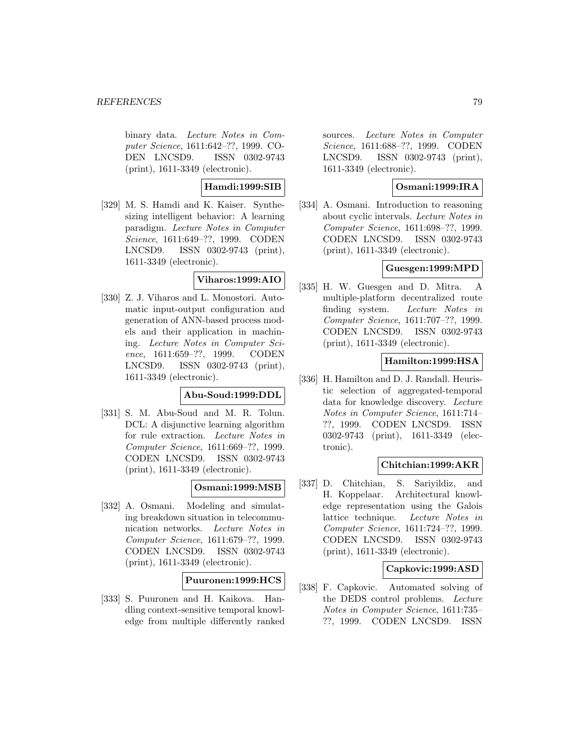binary data. Lecture Notes in Computer Science, 1611:642–??, 1999. CO-DEN LNCSD9. ISSN 0302-9743 (print), 1611-3349 (electronic).

**Hamdi:1999:SIB**

[329] M. S. Hamdi and K. Kaiser. Synthesizing intelligent behavior: A learning paradigm. Lecture Notes in Computer Science, 1611:649–??, 1999. CODEN LNCSD9. ISSN 0302-9743 (print), 1611-3349 (electronic).

**Viharos:1999:AIO**

[330] Z. J. Viharos and L. Monostori. Automatic input-output configuration and generation of ANN-based process models and their application in machining. Lecture Notes in Computer Science, 1611:659–??, 1999. CODEN LNCSD9. ISSN 0302-9743 (print), 1611-3349 (electronic).

## **Abu-Soud:1999:DDL**

[331] S. M. Abu-Soud and M. R. Tolun. DCL: A disjunctive learning algorithm for rule extraction. Lecture Notes in Computer Science, 1611:669–??, 1999. CODEN LNCSD9. ISSN 0302-9743 (print), 1611-3349 (electronic).

# **Osmani:1999:MSB**

[332] A. Osmani. Modeling and simulating breakdown situation in telecommunication networks. Lecture Notes in Computer Science, 1611:679–??, 1999. CODEN LNCSD9. ISSN 0302-9743 (print), 1611-3349 (electronic).

## **Puuronen:1999:HCS**

[333] S. Puuronen and H. Kaikova. Handling context-sensitive temporal knowledge from multiple differently ranked sources. Lecture Notes in Computer Science, 1611:688–??, 1999. CODEN LNCSD9. ISSN 0302-9743 (print), 1611-3349 (electronic).

# **Osmani:1999:IRA**

[334] A. Osmani. Introduction to reasoning about cyclic intervals. Lecture Notes in Computer Science, 1611:698–??, 1999. CODEN LNCSD9. ISSN 0302-9743 (print), 1611-3349 (electronic).

## **Guesgen:1999:MPD**

[335] H. W. Guesgen and D. Mitra. A multiple-platform decentralized route finding system. Lecture Notes in Computer Science, 1611:707–??, 1999. CODEN LNCSD9. ISSN 0302-9743 (print), 1611-3349 (electronic).

## **Hamilton:1999:HSA**

[336] H. Hamilton and D. J. Randall. Heuristic selection of aggregated-temporal data for knowledge discovery. Lecture Notes in Computer Science, 1611:714– ??, 1999. CODEN LNCSD9. ISSN 0302-9743 (print), 1611-3349 (electronic).

## **Chitchian:1999:AKR**

[337] D. Chitchian, S. Sariyildiz, and H. Koppelaar. Architectural knowledge representation using the Galois lattice technique. Lecture Notes in Computer Science, 1611:724–??, 1999. CODEN LNCSD9. ISSN 0302-9743 (print), 1611-3349 (electronic).

## **Capkovic:1999:ASD**

[338] F. Capkovic. Automated solving of the DEDS control problems. Lecture Notes in Computer Science, 1611:735– ??, 1999. CODEN LNCSD9. ISSN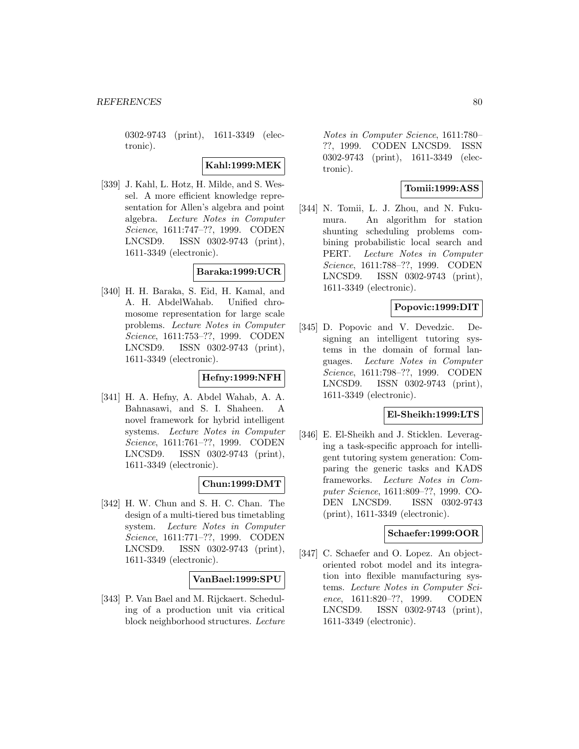0302-9743 (print), 1611-3349 (electronic).

**Kahl:1999:MEK**

[339] J. Kahl, L. Hotz, H. Milde, and S. Wessel. A more efficient knowledge representation for Allen's algebra and point algebra. Lecture Notes in Computer Science, 1611:747–??, 1999. CODEN LNCSD9. ISSN 0302-9743 (print), 1611-3349 (electronic).

## **Baraka:1999:UCR**

[340] H. H. Baraka, S. Eid, H. Kamal, and A. H. AbdelWahab. Unified chromosome representation for large scale problems. Lecture Notes in Computer Science, 1611:753–??, 1999. CODEN LNCSD9. ISSN 0302-9743 (print), 1611-3349 (electronic).

## **Hefny:1999:NFH**

[341] H. A. Hefny, A. Abdel Wahab, A. A. Bahnasawi, and S. I. Shaheen. A novel framework for hybrid intelligent systems. Lecture Notes in Computer Science, 1611:761–??, 1999. CODEN LNCSD9. ISSN 0302-9743 (print), 1611-3349 (electronic).

## **Chun:1999:DMT**

[342] H. W. Chun and S. H. C. Chan. The design of a multi-tiered bus timetabling system. Lecture Notes in Computer Science, 1611:771–??, 1999. CODEN LNCSD9. ISSN 0302-9743 (print), 1611-3349 (electronic).

### **VanBael:1999:SPU**

[343] P. Van Bael and M. Rijckaert. Scheduling of a production unit via critical block neighborhood structures. Lecture

Notes in Computer Science, 1611:780– ??, 1999. CODEN LNCSD9. ISSN 0302-9743 (print), 1611-3349 (electronic).

# **Tomii:1999:ASS**

[344] N. Tomii, L. J. Zhou, and N. Fukumura. An algorithm for station shunting scheduling problems combining probabilistic local search and PERT. Lecture Notes in Computer Science, 1611:788–??, 1999. CODEN LNCSD9. ISSN 0302-9743 (print), 1611-3349 (electronic).

## **Popovic:1999:DIT**

[345] D. Popovic and V. Devedzic. Designing an intelligent tutoring systems in the domain of formal languages. Lecture Notes in Computer Science, 1611:798–??, 1999. CODEN LNCSD9. ISSN 0302-9743 (print), 1611-3349 (electronic).

#### **El-Sheikh:1999:LTS**

[346] E. El-Sheikh and J. Sticklen. Leveraging a task-specific approach for intelligent tutoring system generation: Comparing the generic tasks and KADS frameworks. Lecture Notes in Computer Science, 1611:809–??, 1999. CO-DEN LNCSD9. ISSN 0302-9743 (print), 1611-3349 (electronic).

## **Schaefer:1999:OOR**

[347] C. Schaefer and O. Lopez. An objectoriented robot model and its integration into flexible manufacturing systems. Lecture Notes in Computer Science, 1611:820–??, 1999. CODEN LNCSD9. ISSN 0302-9743 (print), 1611-3349 (electronic).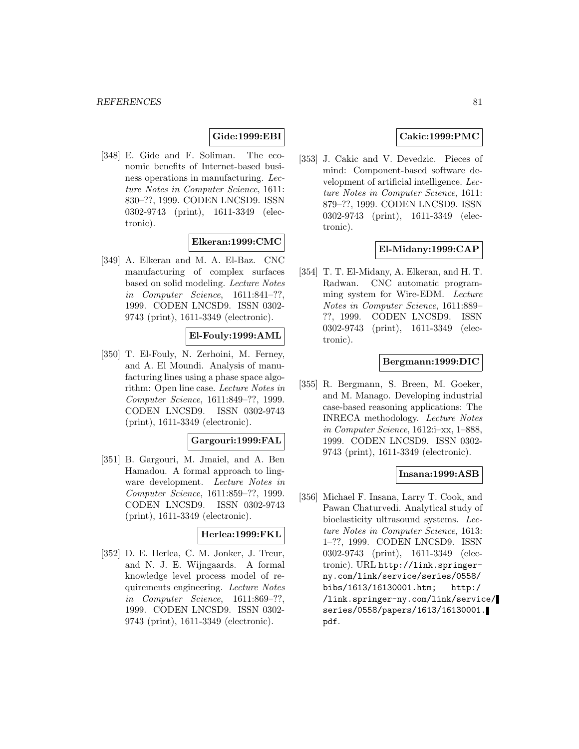## **Gide:1999:EBI**

[348] E. Gide and F. Soliman. The economic benefits of Internet-based business operations in manufacturing. Lecture Notes in Computer Science, 1611: 830–??, 1999. CODEN LNCSD9. ISSN 0302-9743 (print), 1611-3349 (electronic).

## **Elkeran:1999:CMC**

[349] A. Elkeran and M. A. El-Baz. CNC manufacturing of complex surfaces based on solid modeling. Lecture Notes in Computer Science, 1611:841–??, 1999. CODEN LNCSD9. ISSN 0302- 9743 (print), 1611-3349 (electronic).

## **El-Fouly:1999:AML**

[350] T. El-Fouly, N. Zerhoini, M. Ferney, and A. El Moundi. Analysis of manufacturing lines using a phase space algorithm: Open line case. Lecture Notes in Computer Science, 1611:849–??, 1999. CODEN LNCSD9. ISSN 0302-9743 (print), 1611-3349 (electronic).

#### **Gargouri:1999:FAL**

[351] B. Gargouri, M. Jmaiel, and A. Ben Hamadou. A formal approach to lingware development. Lecture Notes in Computer Science, 1611:859–??, 1999. CODEN LNCSD9. ISSN 0302-9743 (print), 1611-3349 (electronic).

#### **Herlea:1999:FKL**

[352] D. E. Herlea, C. M. Jonker, J. Treur, and N. J. E. Wijngaards. A formal knowledge level process model of requirements engineering. Lecture Notes in Computer Science, 1611:869–??, 1999. CODEN LNCSD9. ISSN 0302- 9743 (print), 1611-3349 (electronic).

## **Cakic:1999:PMC**

[353] J. Cakic and V. Devedzic. Pieces of mind: Component-based software development of artificial intelligence. Lecture Notes in Computer Science, 1611: 879–??, 1999. CODEN LNCSD9. ISSN 0302-9743 (print), 1611-3349 (electronic).

## **El-Midany:1999:CAP**

[354] T. T. El-Midany, A. Elkeran, and H. T. Radwan. CNC automatic programming system for Wire-EDM. Lecture Notes in Computer Science, 1611:889– ??, 1999. CODEN LNCSD9. ISSN 0302-9743 (print), 1611-3349 (electronic).

#### **Bergmann:1999:DIC**

[355] R. Bergmann, S. Breen, M. Goeker, and M. Manago. Developing industrial case-based reasoning applications: The INRECA methodology. Lecture Notes in Computer Science, 1612:i–xx, 1–888, 1999. CODEN LNCSD9. ISSN 0302- 9743 (print), 1611-3349 (electronic).

#### **Insana:1999:ASB**

[356] Michael F. Insana, Larry T. Cook, and Pawan Chaturvedi. Analytical study of bioelasticity ultrasound systems. Lecture Notes in Computer Science, 1613: 1–??, 1999. CODEN LNCSD9. ISSN 0302-9743 (print), 1611-3349 (electronic). URL http://link.springerny.com/link/service/series/0558/ bibs/1613/16130001.htm; http:/ /link.springer-ny.com/link/service/ series/0558/papers/1613/16130001. pdf.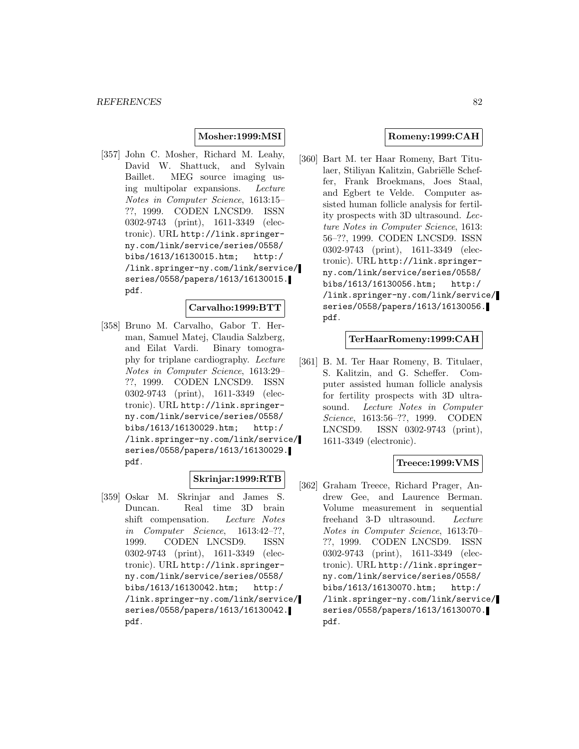## **Mosher:1999:MSI**

[357] John C. Mosher, Richard M. Leahy, David W. Shattuck, and Sylvain Baillet. MEG source imaging using multipolar expansions. Lecture Notes in Computer Science, 1613:15– ??, 1999. CODEN LNCSD9. ISSN 0302-9743 (print), 1611-3349 (electronic). URL http://link.springerny.com/link/service/series/0558/ bibs/1613/16130015.htm; http:/ /link.springer-ny.com/link/service/ series/0558/papers/1613/16130015. pdf.

## **Carvalho:1999:BTT**

[358] Bruno M. Carvalho, Gabor T. Herman, Samuel Matej, Claudia Salzberg, and Eilat Vardi. Binary tomography for triplane cardiography. Lecture Notes in Computer Science, 1613:29– ??, 1999. CODEN LNCSD9. ISSN 0302-9743 (print), 1611-3349 (electronic). URL http://link.springerny.com/link/service/series/0558/ bibs/1613/16130029.htm; http:/ /link.springer-ny.com/link/service/ series/0558/papers/1613/16130029. pdf.

## **Skrinjar:1999:RTB**

[359] Oskar M. Skrinjar and James S. Duncan. Real time 3D brain shift compensation. Lecture Notes in Computer Science, 1613:42–??, 1999. CODEN LNCSD9. ISSN 0302-9743 (print), 1611-3349 (electronic). URL http://link.springerny.com/link/service/series/0558/ bibs/1613/16130042.htm; http:/ /link.springer-ny.com/link/service/ series/0558/papers/1613/16130042. pdf.

### **Romeny:1999:CAH**

[360] Bart M. ter Haar Romeny, Bart Titulaer, Stiliyan Kalitzin, Gabriëlle Scheffer, Frank Broekmans, Joes Staal, and Egbert te Velde. Computer assisted human follicle analysis for fertility prospects with 3D ultrasound. Lecture Notes in Computer Science, 1613: 56–??, 1999. CODEN LNCSD9. ISSN 0302-9743 (print), 1611-3349 (electronic). URL http://link.springerny.com/link/service/series/0558/ bibs/1613/16130056.htm; http:/ /link.springer-ny.com/link/service/ series/0558/papers/1613/16130056. pdf.

#### **TerHaarRomeny:1999:CAH**

[361] B. M. Ter Haar Romeny, B. Titulaer, S. Kalitzin, and G. Scheffer. Computer assisted human follicle analysis for fertility prospects with 3D ultrasound. Lecture Notes in Computer Science, 1613:56–??, 1999. CODEN LNCSD9. ISSN 0302-9743 (print), 1611-3349 (electronic).

## **Treece:1999:VMS**

[362] Graham Treece, Richard Prager, Andrew Gee, and Laurence Berman. Volume measurement in sequential freehand 3-D ultrasound. Lecture Notes in Computer Science, 1613:70– ??, 1999. CODEN LNCSD9. ISSN 0302-9743 (print), 1611-3349 (electronic). URL http://link.springerny.com/link/service/series/0558/ bibs/1613/16130070.htm; http:/ /link.springer-ny.com/link/service/ series/0558/papers/1613/16130070. pdf.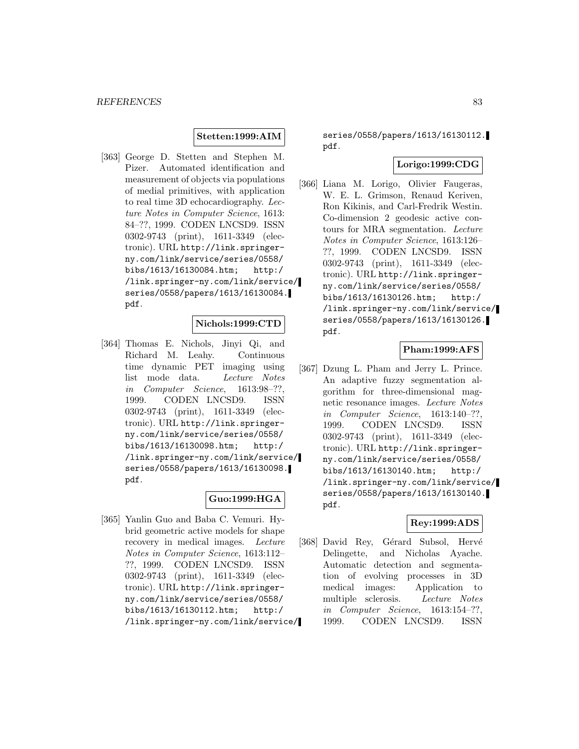## **Stetten:1999:AIM**

[363] George D. Stetten and Stephen M. Pizer. Automated identification and measurement of objects via populations of medial primitives, with application to real time 3D echocardiography. Lecture Notes in Computer Science, 1613: 84–??, 1999. CODEN LNCSD9. ISSN 0302-9743 (print), 1611-3349 (electronic). URL http://link.springerny.com/link/service/series/0558/ bibs/1613/16130084.htm; http:/ /link.springer-ny.com/link/service/ series/0558/papers/1613/16130084. pdf.

#### **Nichols:1999:CTD**

[364] Thomas E. Nichols, Jinyi Qi, and Richard M. Leahy. Continuous time dynamic PET imaging using list mode data. Lecture Notes in Computer Science, 1613:98–??, 1999. CODEN LNCSD9. ISSN 0302-9743 (print), 1611-3349 (electronic). URL http://link.springerny.com/link/service/series/0558/ bibs/1613/16130098.htm; http:/ /link.springer-ny.com/link/service/ series/0558/papers/1613/16130098. pdf.

## **Guo:1999:HGA**

[365] Yanlin Guo and Baba C. Vemuri. Hybrid geometric active models for shape recovery in medical images. Lecture Notes in Computer Science, 1613:112– ??, 1999. CODEN LNCSD9. ISSN 0302-9743 (print), 1611-3349 (electronic). URL http://link.springerny.com/link/service/series/0558/ bibs/1613/16130112.htm; http:/ /link.springer-ny.com/link/service/

series/0558/papers/1613/16130112. pdf.

## **Lorigo:1999:CDG**

[366] Liana M. Lorigo, Olivier Faugeras, W. E. L. Grimson, Renaud Keriven, Ron Kikinis, and Carl-Fredrik Westin. Co-dimension 2 geodesic active contours for MRA segmentation. Lecture Notes in Computer Science, 1613:126– ??, 1999. CODEN LNCSD9. ISSN 0302-9743 (print), 1611-3349 (electronic). URL http://link.springerny.com/link/service/series/0558/ bibs/1613/16130126.htm; http:/ /link.springer-ny.com/link/service/ series/0558/papers/1613/16130126. pdf.

## **Pham:1999:AFS**

[367] Dzung L. Pham and Jerry L. Prince. An adaptive fuzzy segmentation algorithm for three-dimensional magnetic resonance images. Lecture Notes in Computer Science, 1613:140–??, 1999. CODEN LNCSD9. ISSN 0302-9743 (print), 1611-3349 (electronic). URL http://link.springerny.com/link/service/series/0558/ bibs/1613/16130140.htm; http:/ /link.springer-ny.com/link/service/ series/0558/papers/1613/16130140. pdf.

#### **Rey:1999:ADS**

[368] David Rey, Gérard Subsol, Hervé Delingette, and Nicholas Ayache. Automatic detection and segmentation of evolving processes in 3D medical images: Application to multiple sclerosis. Lecture Notes in Computer Science, 1613:154–??, 1999. CODEN LNCSD9. ISSN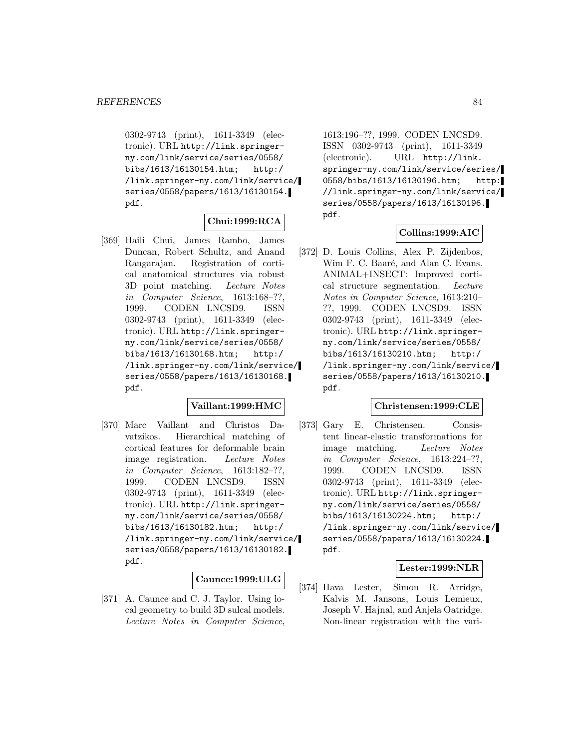0302-9743 (print), 1611-3349 (electronic). URL http://link.springerny.com/link/service/series/0558/ bibs/1613/16130154.htm; http:/ /link.springer-ny.com/link/service/ series/0558/papers/1613/16130154. pdf.

## **Chui:1999:RCA**

[369] Haili Chui, James Rambo, James Duncan, Robert Schultz, and Anand Rangarajan. Registration of cortical anatomical structures via robust 3D point matching. Lecture Notes in Computer Science, 1613:168–??, 1999. CODEN LNCSD9. ISSN 0302-9743 (print), 1611-3349 (electronic). URL http://link.springerny.com/link/service/series/0558/ bibs/1613/16130168.htm; http:/ /link.springer-ny.com/link/service/ series/0558/papers/1613/16130168. pdf.

## **Vaillant:1999:HMC**

[370] Marc Vaillant and Christos Davatzikos. Hierarchical matching of cortical features for deformable brain image registration. Lecture Notes in Computer Science, 1613:182–??, 1999. CODEN LNCSD9. ISSN 0302-9743 (print), 1611-3349 (electronic). URL http://link.springerny.com/link/service/series/0558/ bibs/1613/16130182.htm; http:/ /link.springer-ny.com/link/service/ series/0558/papers/1613/16130182. pdf.

# **Caunce:1999:ULG**

[371] A. Caunce and C. J. Taylor. Using local geometry to build 3D sulcal models. Lecture Notes in Computer Science,

1613:196–??, 1999. CODEN LNCSD9. ISSN 0302-9743 (print), 1611-3349 (electronic). URL http://link. springer-ny.com/link/service/series/ 0558/bibs/1613/16130196.htm; http: //link.springer-ny.com/link/service/ series/0558/papers/1613/16130196. pdf.

## **Collins:1999:AIC**

[372] D. Louis Collins, Alex P. Zijdenbos, Wim F. C. Baaré, and Alan C. Evans. ANIMAL+INSECT: Improved cortical structure segmentation. Lecture Notes in Computer Science, 1613:210– ??, 1999. CODEN LNCSD9. ISSN 0302-9743 (print), 1611-3349 (electronic). URL http://link.springerny.com/link/service/series/0558/ bibs/1613/16130210.htm; http:/ /link.springer-ny.com/link/service/ series/0558/papers/1613/16130210. pdf.

### **Christensen:1999:CLE**

[373] Gary E. Christensen. Consistent linear-elastic transformations for image matching. Lecture Notes in Computer Science, 1613:224–??, 1999. CODEN LNCSD9. ISSN 0302-9743 (print), 1611-3349 (electronic). URL http://link.springerny.com/link/service/series/0558/ bibs/1613/16130224.htm; http:/ /link.springer-ny.com/link/service/ series/0558/papers/1613/16130224. pdf.

## **Lester:1999:NLR**

[374] Hava Lester, Simon R. Arridge, Kalvis M. Jansons, Louis Lemieux, Joseph V. Hajnal, and Anjela Oatridge. Non-linear registration with the vari-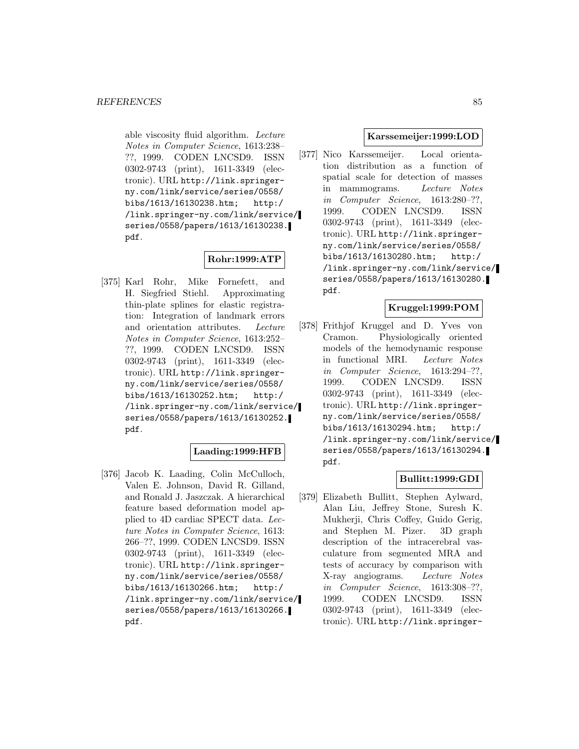able viscosity fluid algorithm. Lecture Notes in Computer Science, 1613:238– ??, 1999. CODEN LNCSD9. ISSN 0302-9743 (print), 1611-3349 (electronic). URL http://link.springerny.com/link/service/series/0558/ bibs/1613/16130238.htm; http:/ /link.springer-ny.com/link/service/ series/0558/papers/1613/16130238. pdf.

## **Rohr:1999:ATP**

[375] Karl Rohr, Mike Fornefett, and H. Siegfried Stiehl. Approximating thin-plate splines for elastic registration: Integration of landmark errors and orientation attributes. Lecture Notes in Computer Science, 1613:252– ??, 1999. CODEN LNCSD9. ISSN 0302-9743 (print), 1611-3349 (electronic). URL http://link.springerny.com/link/service/series/0558/ bibs/1613/16130252.htm; http:/ /link.springer-ny.com/link/service/ series/0558/papers/1613/16130252. pdf.

## **Laading:1999:HFB**

[376] Jacob K. Laading, Colin McCulloch, Valen E. Johnson, David R. Gilland, and Ronald J. Jaszczak. A hierarchical feature based deformation model applied to 4D cardiac SPECT data. Lecture Notes in Computer Science, 1613: 266–??, 1999. CODEN LNCSD9. ISSN 0302-9743 (print), 1611-3349 (electronic). URL http://link.springerny.com/link/service/series/0558/ bibs/1613/16130266.htm; http:/ /link.springer-ny.com/link/service/ series/0558/papers/1613/16130266. pdf.

### **Karssemeijer:1999:LOD**

[377] Nico Karssemeijer. Local orientation distribution as a function of spatial scale for detection of masses in mammograms. Lecture Notes in Computer Science, 1613:280–??, 1999. CODEN LNCSD9. ISSN 0302-9743 (print), 1611-3349 (electronic). URL http://link.springerny.com/link/service/series/0558/ bibs/1613/16130280.htm; http:/ /link.springer-ny.com/link/service/ series/0558/papers/1613/16130280. pdf.

## **Kruggel:1999:POM**

[378] Frithjof Kruggel and D. Yves von Cramon. Physiologically oriented models of the hemodynamic response in functional MRI. Lecture Notes in Computer Science, 1613:294–??, 1999. CODEN LNCSD9. ISSN 0302-9743 (print), 1611-3349 (electronic). URL http://link.springerny.com/link/service/series/0558/ bibs/1613/16130294.htm; http:/ /link.springer-ny.com/link/service/ series/0558/papers/1613/16130294. pdf.

## **Bullitt:1999:GDI**

[379] Elizabeth Bullitt, Stephen Aylward, Alan Liu, Jeffrey Stone, Suresh K. Mukherji, Chris Coffey, Guido Gerig, and Stephen M. Pizer. 3D graph description of the intracerebral vasculature from segmented MRA and tests of accuracy by comparison with X-ray angiograms. Lecture Notes in Computer Science, 1613:308–??, 1999. CODEN LNCSD9. ISSN 0302-9743 (print), 1611-3349 (electronic). URL http://link.springer-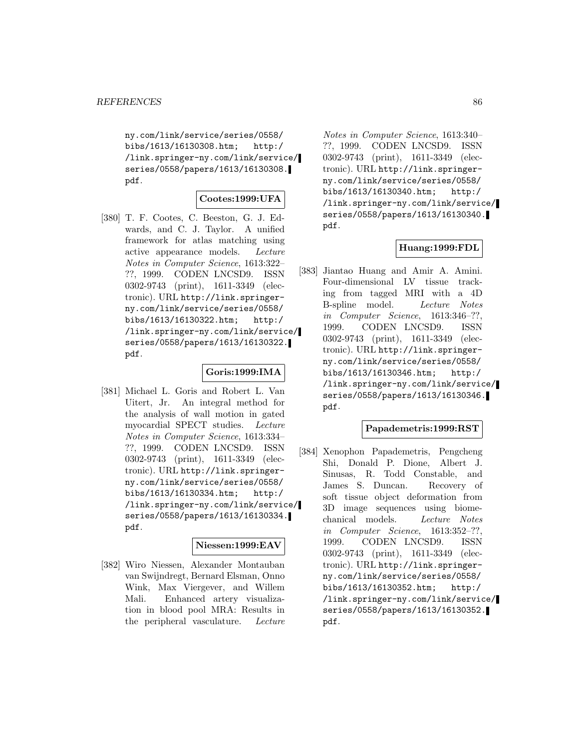ny.com/link/service/series/0558/ bibs/1613/16130308.htm; http:/ /link.springer-ny.com/link/service/ series/0558/papers/1613/16130308. pdf.

## **Cootes:1999:UFA**

[380] T. F. Cootes, C. Beeston, G. J. Edwards, and C. J. Taylor. A unified framework for atlas matching using active appearance models. Lecture Notes in Computer Science, 1613:322– ??, 1999. CODEN LNCSD9. ISSN 0302-9743 (print), 1611-3349 (electronic). URL http://link.springerny.com/link/service/series/0558/ bibs/1613/16130322.htm; http:/ /link.springer-ny.com/link/service/ series/0558/papers/1613/16130322. pdf.

#### **Goris:1999:IMA**

[381] Michael L. Goris and Robert L. Van Uitert, Jr. An integral method for the analysis of wall motion in gated myocardial SPECT studies. Lecture Notes in Computer Science, 1613:334– ??, 1999. CODEN LNCSD9. ISSN 0302-9743 (print), 1611-3349 (electronic). URL http://link.springerny.com/link/service/series/0558/ bibs/1613/16130334.htm; http:/ /link.springer-ny.com/link/service/ series/0558/papers/1613/16130334. pdf.

## **Niessen:1999:EAV**

[382] Wiro Niessen, Alexander Montauban van Swijndregt, Bernard Elsman, Onno Wink, Max Viergever, and Willem Mali. Enhanced artery visualization in blood pool MRA: Results in the peripheral vasculature. Lecture

Notes in Computer Science, 1613:340– ??, 1999. CODEN LNCSD9. ISSN 0302-9743 (print), 1611-3349 (electronic). URL http://link.springerny.com/link/service/series/0558/ bibs/1613/16130340.htm; http:/ /link.springer-ny.com/link/service/ series/0558/papers/1613/16130340. pdf.

### **Huang:1999:FDL**

[383] Jiantao Huang and Amir A. Amini. Four-dimensional LV tissue tracking from tagged MRI with a 4D B-spline model. Lecture Notes in Computer Science, 1613:346–??, 1999. CODEN LNCSD9. ISSN 0302-9743 (print), 1611-3349 (electronic). URL http://link.springerny.com/link/service/series/0558/ bibs/1613/16130346.htm; http:/ /link.springer-ny.com/link/service/ series/0558/papers/1613/16130346. pdf.

## **Papademetris:1999:RST**

[384] Xenophon Papademetris, Pengcheng Shi, Donald P. Dione, Albert J. Sinusas, R. Todd Constable, and James S. Duncan. Recovery of soft tissue object deformation from 3D image sequences using biomechanical models. Lecture Notes in Computer Science, 1613:352–??, 1999. CODEN LNCSD9. ISSN 0302-9743 (print), 1611-3349 (electronic). URL http://link.springerny.com/link/service/series/0558/ bibs/1613/16130352.htm; http:/ /link.springer-ny.com/link/service/ series/0558/papers/1613/16130352. pdf.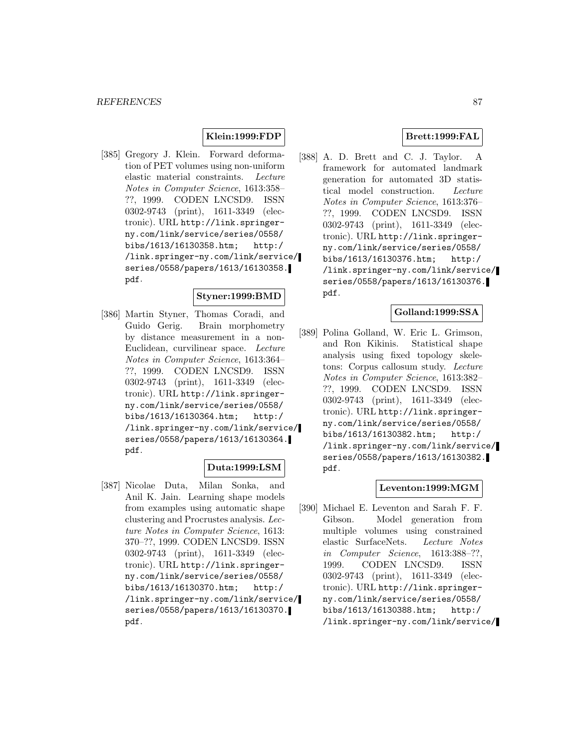## **Klein:1999:FDP**

[385] Gregory J. Klein. Forward deformation of PET volumes using non-uniform elastic material constraints. Lecture Notes in Computer Science, 1613:358– ??, 1999. CODEN LNCSD9. ISSN 0302-9743 (print), 1611-3349 (electronic). URL http://link.springerny.com/link/service/series/0558/ bibs/1613/16130358.htm; http:/ /link.springer-ny.com/link/service/ series/0558/papers/1613/16130358. pdf.

## **Styner:1999:BMD**

[386] Martin Styner, Thomas Coradi, and Guido Gerig. Brain morphometry by distance measurement in a non-Euclidean, curvilinear space. Lecture Notes in Computer Science, 1613:364– ??, 1999. CODEN LNCSD9. ISSN 0302-9743 (print), 1611-3349 (electronic). URL http://link.springerny.com/link/service/series/0558/ bibs/1613/16130364.htm; http:/ /link.springer-ny.com/link/service/ series/0558/papers/1613/16130364. pdf.

## **Duta:1999:LSM**

[387] Nicolae Duta, Milan Sonka, and Anil K. Jain. Learning shape models from examples using automatic shape clustering and Procrustes analysis. Lecture Notes in Computer Science, 1613: 370–??, 1999. CODEN LNCSD9. ISSN 0302-9743 (print), 1611-3349 (electronic). URL http://link.springerny.com/link/service/series/0558/ bibs/1613/16130370.htm; http:/ /link.springer-ny.com/link/service/ series/0558/papers/1613/16130370. pdf.

## **Brett:1999:FAL**

[388] A. D. Brett and C. J. Taylor. A framework for automated landmark generation for automated 3D statistical model construction. Lecture Notes in Computer Science, 1613:376– ??, 1999. CODEN LNCSD9. ISSN 0302-9743 (print), 1611-3349 (electronic). URL http://link.springerny.com/link/service/series/0558/ bibs/1613/16130376.htm; http:/ /link.springer-ny.com/link/service/ series/0558/papers/1613/16130376. pdf.

## **Golland:1999:SSA**

[389] Polina Golland, W. Eric L. Grimson, and Ron Kikinis. Statistical shape analysis using fixed topology skeletons: Corpus callosum study. Lecture Notes in Computer Science, 1613:382– ??, 1999. CODEN LNCSD9. ISSN 0302-9743 (print), 1611-3349 (electronic). URL http://link.springerny.com/link/service/series/0558/ bibs/1613/16130382.htm; http:/ /link.springer-ny.com/link/service/ series/0558/papers/1613/16130382. pdf.

# **Leventon:1999:MGM**

[390] Michael E. Leventon and Sarah F. F. Gibson. Model generation from multiple volumes using constrained elastic SurfaceNets. Lecture Notes in Computer Science, 1613:388–??, 1999. CODEN LNCSD9. ISSN 0302-9743 (print), 1611-3349 (electronic). URL http://link.springerny.com/link/service/series/0558/ bibs/1613/16130388.htm; http:/ /link.springer-ny.com/link/service/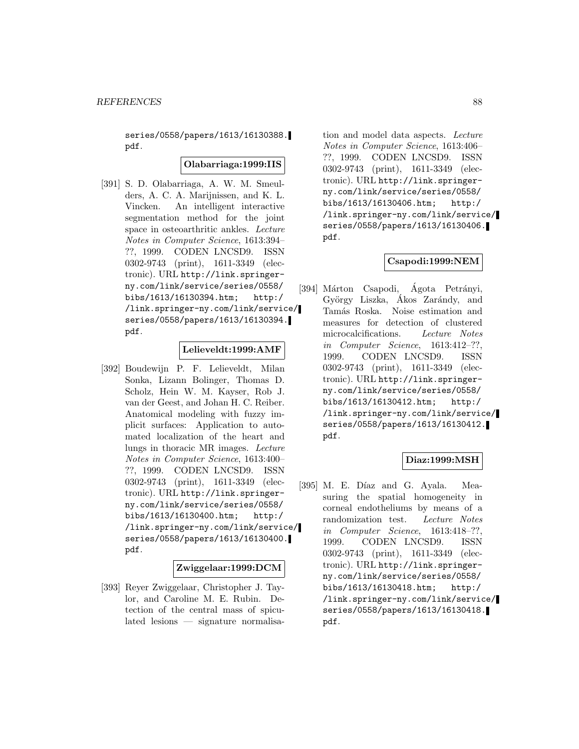series/0558/papers/1613/16130388. pdf.

### **Olabarriaga:1999:IIS**

[391] S. D. Olabarriaga, A. W. M. Smeulders, A. C. A. Marijnissen, and K. L. Vincken. An intelligent interactive segmentation method for the joint space in osteoarthritic ankles. Lecture Notes in Computer Science, 1613:394– ??, 1999. CODEN LNCSD9. ISSN 0302-9743 (print), 1611-3349 (electronic). URL http://link.springerny.com/link/service/series/0558/ bibs/1613/16130394.htm; http:/ /link.springer-ny.com/link/service/ series/0558/papers/1613/16130394. pdf.

#### **Lelieveldt:1999:AMF**

[392] Boudewijn P. F. Lelieveldt, Milan Sonka, Lizann Bolinger, Thomas D. Scholz, Hein W. M. Kayser, Rob J. van der Geest, and Johan H. C. Reiber. Anatomical modeling with fuzzy implicit surfaces: Application to automated localization of the heart and lungs in thoracic MR images. Lecture Notes in Computer Science, 1613:400– ??, 1999. CODEN LNCSD9. ISSN 0302-9743 (print), 1611-3349 (electronic). URL http://link.springerny.com/link/service/series/0558/ bibs/1613/16130400.htm; http:/ /link.springer-ny.com/link/service/ series/0558/papers/1613/16130400. pdf.

## **Zwiggelaar:1999:DCM**

[393] Reyer Zwiggelaar, Christopher J. Taylor, and Caroline M. E. Rubin. Detection of the central mass of spiculated lesions — signature normalisa-

tion and model data aspects. Lecture Notes in Computer Science, 1613:406– ??, 1999. CODEN LNCSD9. ISSN 0302-9743 (print), 1611-3349 (electronic). URL http://link.springerny.com/link/service/series/0558/ bibs/1613/16130406.htm; http:/ /link.springer-ny.com/link/service/ series/0558/papers/1613/16130406. pdf.

### **Csapodi:1999:NEM**

[394] Márton Csapodi, Ágota Petrányi, György Liszka, Ákos Zarándy, and Tamás Roska. Noise estimation and measures for detection of clustered microcalcifications. Lecture Notes in Computer Science, 1613:412–??, 1999. CODEN LNCSD9. ISSN 0302-9743 (print), 1611-3349 (electronic). URL http://link.springerny.com/link/service/series/0558/ bibs/1613/16130412.htm; http:/ /link.springer-ny.com/link/service/ series/0558/papers/1613/16130412. pdf.

## **Diaz:1999:MSH**

[395] M. E. Díaz and G. Ayala. Measuring the spatial homogeneity in corneal endotheliums by means of a randomization test. Lecture Notes in Computer Science, 1613:418–??, 1999. CODEN LNCSD9. ISSN 0302-9743 (print), 1611-3349 (electronic). URL http://link.springerny.com/link/service/series/0558/ bibs/1613/16130418.htm; http:/ /link.springer-ny.com/link/service/ series/0558/papers/1613/16130418. pdf.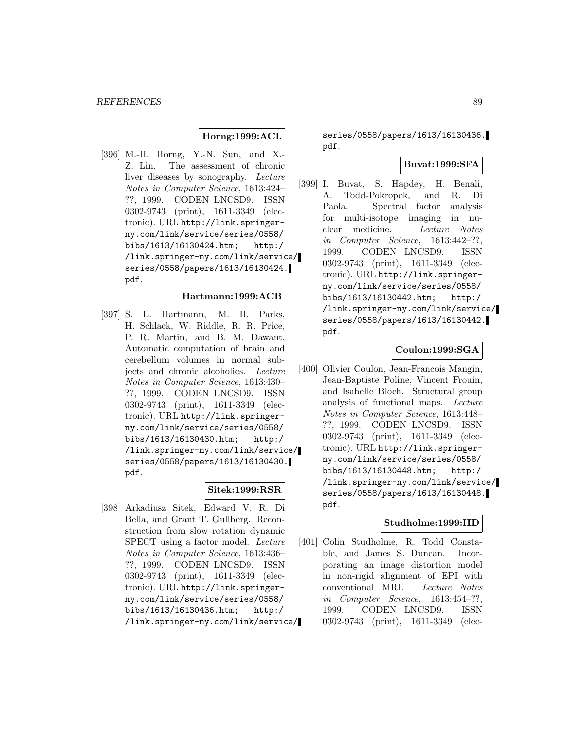# **Horng:1999:ACL**

[396] M.-H. Horng, Y.-N. Sun, and X.- Z. Lin. The assessment of chronic liver diseases by sonography. Lecture Notes in Computer Science, 1613:424– ??, 1999. CODEN LNCSD9. ISSN 0302-9743 (print), 1611-3349 (electronic). URL http://link.springerny.com/link/service/series/0558/ bibs/1613/16130424.htm; http:/ /link.springer-ny.com/link/service/ series/0558/papers/1613/16130424. pdf.

## **Hartmann:1999:ACB**

[397] S. L. Hartmann, M. H. Parks, H. Schlack, W. Riddle, R. R. Price, P. R. Martin, and B. M. Dawant. Automatic computation of brain and cerebellum volumes in normal subjects and chronic alcoholics. Lecture Notes in Computer Science, 1613:430– ??, 1999. CODEN LNCSD9. ISSN 0302-9743 (print), 1611-3349 (electronic). URL http://link.springerny.com/link/service/series/0558/ bibs/1613/16130430.htm; http:/ /link.springer-ny.com/link/service/ series/0558/papers/1613/16130430. pdf.

### **Sitek:1999:RSR**

[398] Arkadiusz Sitek, Edward V. R. Di Bella, and Grant T. Gullberg. Reconstruction from slow rotation dynamic SPECT using a factor model. Lecture Notes in Computer Science, 1613:436– ??, 1999. CODEN LNCSD9. ISSN 0302-9743 (print), 1611-3349 (electronic). URL http://link.springerny.com/link/service/series/0558/ bibs/1613/16130436.htm; http:/ /link.springer-ny.com/link/service/

series/0558/papers/1613/16130436. pdf.

### **Buvat:1999:SFA**

[399] I. Buvat, S. Hapdey, H. Benali, A. Todd-Pokropek, and R. Di Paola. Spectral factor analysis for multi-isotope imaging in nuclear medicine. Lecture Notes in Computer Science, 1613:442–??, 1999. CODEN LNCSD9. ISSN 0302-9743 (print), 1611-3349 (electronic). URL http://link.springerny.com/link/service/series/0558/ bibs/1613/16130442.htm; http:/ /link.springer-ny.com/link/service/ series/0558/papers/1613/16130442. pdf.

## **Coulon:1999:SGA**

[400] Olivier Coulon, Jean-Francois Mangin, Jean-Baptiste Poline, Vincent Frouin, and Isabelle Bloch. Structural group analysis of functional maps. Lecture Notes in Computer Science, 1613:448– ??, 1999. CODEN LNCSD9. ISSN 0302-9743 (print), 1611-3349 (electronic). URL http://link.springerny.com/link/service/series/0558/ bibs/1613/16130448.htm; http:/ /link.springer-ny.com/link/service/ series/0558/papers/1613/16130448. pdf.

#### **Studholme:1999:IID**

[401] Colin Studholme, R. Todd Constable, and James S. Duncan. Incorporating an image distortion model in non-rigid alignment of EPI with conventional MRI. Lecture Notes in Computer Science, 1613:454–??, 1999. CODEN LNCSD9. ISSN 0302-9743 (print), 1611-3349 (elec-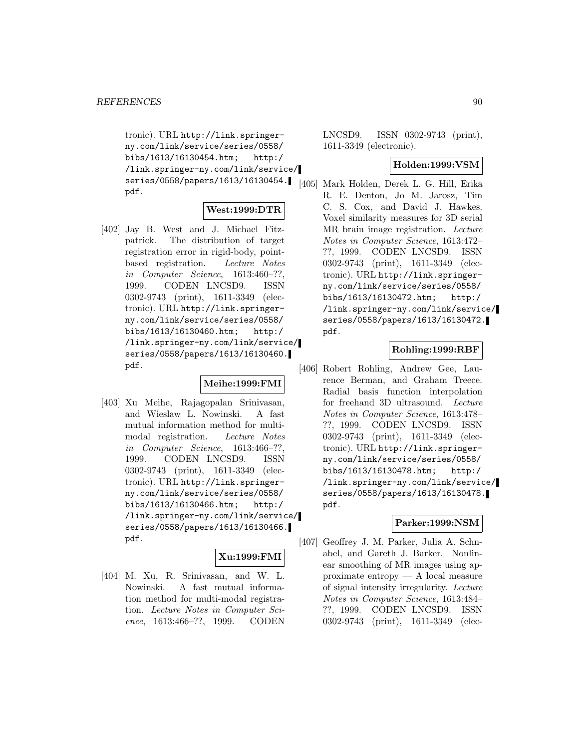tronic). URL http://link.springerny.com/link/service/series/0558/ bibs/1613/16130454.htm; http:/ /link.springer-ny.com/link/service/ series/0558/papers/1613/16130454. pdf.

#### **West:1999:DTR**

[402] Jay B. West and J. Michael Fitzpatrick. The distribution of target registration error in rigid-body, pointbased registration. Lecture Notes in Computer Science, 1613:460–??, 1999. CODEN LNCSD9. ISSN 0302-9743 (print), 1611-3349 (electronic). URL http://link.springerny.com/link/service/series/0558/ bibs/1613/16130460.htm; http:/ /link.springer-ny.com/link/service/ series/0558/papers/1613/16130460. pdf.

## **Meihe:1999:FMI**

[403] Xu Meihe, Rajagopalan Srinivasan, and Wieslaw L. Nowinski. A fast mutual information method for multimodal registration. Lecture Notes in Computer Science, 1613:466–??, 1999. CODEN LNCSD9. ISSN 0302-9743 (print), 1611-3349 (electronic). URL http://link.springerny.com/link/service/series/0558/ bibs/1613/16130466.htm; http:/ /link.springer-ny.com/link/service/ series/0558/papers/1613/16130466. pdf.

## **Xu:1999:FMI**

[404] M. Xu, R. Srinivasan, and W. L. Nowinski. A fast mutual information method for multi-modal registration. Lecture Notes in Computer Science, 1613:466–??, 1999. CODEN

LNCSD9. ISSN 0302-9743 (print), 1611-3349 (electronic).

### **Holden:1999:VSM**

[405] Mark Holden, Derek L. G. Hill, Erika R. E. Denton, Jo M. Jarosz, Tim C. S. Cox, and David J. Hawkes. Voxel similarity measures for 3D serial MR brain image registration. Lecture Notes in Computer Science, 1613:472– ??, 1999. CODEN LNCSD9. ISSN 0302-9743 (print), 1611-3349 (electronic). URL http://link.springerny.com/link/service/series/0558/ bibs/1613/16130472.htm; http:/ /link.springer-ny.com/link/service/ series/0558/papers/1613/16130472. pdf.

## **Rohling:1999:RBF**

[406] Robert Rohling, Andrew Gee, Laurence Berman, and Graham Treece. Radial basis function interpolation for freehand 3D ultrasound. Lecture Notes in Computer Science, 1613:478– ??, 1999. CODEN LNCSD9. ISSN 0302-9743 (print), 1611-3349 (electronic). URL http://link.springerny.com/link/service/series/0558/ bibs/1613/16130478.htm; http:/ /link.springer-ny.com/link/service/ series/0558/papers/1613/16130478. pdf.

## **Parker:1999:NSM**

[407] Geoffrey J. M. Parker, Julia A. Schnabel, and Gareth J. Barker. Nonlinear smoothing of MR images using approximate entropy — A local measure of signal intensity irregularity. Lecture Notes in Computer Science, 1613:484– ??, 1999. CODEN LNCSD9. ISSN 0302-9743 (print), 1611-3349 (elec-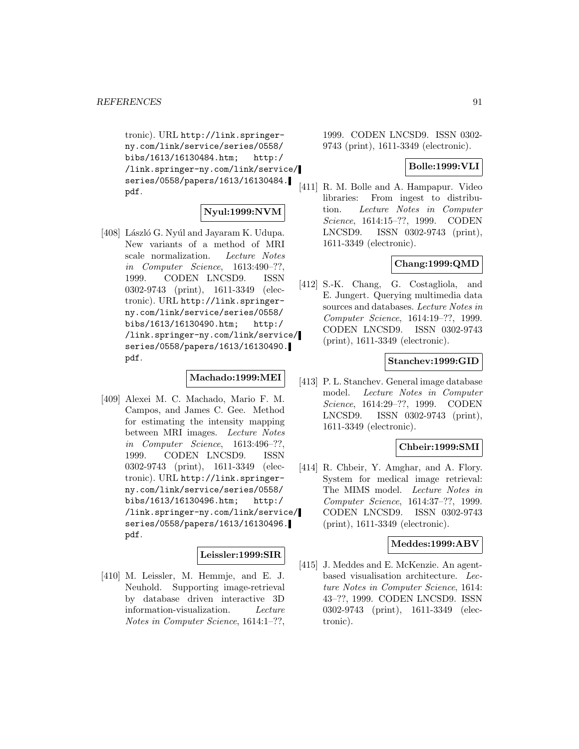tronic). URL http://link.springerny.com/link/service/series/0558/ bibs/1613/16130484.htm; http:/ /link.springer-ny.com/link/service/ series/0558/papers/1613/16130484. pdf.

# **Nyul:1999:NVM**

[408] László G. Nyúl and Jayaram K. Udupa. New variants of a method of MRI scale normalization. Lecture Notes in Computer Science, 1613:490–??, 1999. CODEN LNCSD9. ISSN 0302-9743 (print), 1611-3349 (electronic). URL http://link.springerny.com/link/service/series/0558/ bibs/1613/16130490.htm; http:/ /link.springer-ny.com/link/service/ series/0558/papers/1613/16130490. pdf.

## **Machado:1999:MEI**

[409] Alexei M. C. Machado, Mario F. M. Campos, and James C. Gee. Method for estimating the intensity mapping between MRI images. Lecture Notes in Computer Science, 1613:496–??, 1999. CODEN LNCSD9. ISSN 0302-9743 (print), 1611-3349 (electronic). URL http://link.springerny.com/link/service/series/0558/ bibs/1613/16130496.htm; http:/ /link.springer-ny.com/link/service/ series/0558/papers/1613/16130496. pdf.

## **Leissler:1999:SIR**

[410] M. Leissler, M. Hemmje, and E. J. Neuhold. Supporting image-retrieval by database driven interactive 3D information-visualization. Lecture Notes in Computer Science, 1614:1–??,

1999. CODEN LNCSD9. ISSN 0302- 9743 (print), 1611-3349 (electronic).

#### **Bolle:1999:VLI**

[411] R. M. Bolle and A. Hampapur. Video libraries: From ingest to distribution. Lecture Notes in Computer Science, 1614:15–??, 1999. CODEN LNCSD9. ISSN 0302-9743 (print), 1611-3349 (electronic).

## **Chang:1999:QMD**

[412] S.-K. Chang, G. Costagliola, and E. Jungert. Querying multimedia data sources and databases. Lecture Notes in Computer Science, 1614:19–??, 1999. CODEN LNCSD9. ISSN 0302-9743 (print), 1611-3349 (electronic).

## **Stanchev:1999:GID**

[413] P. L. Stanchev. General image database model. Lecture Notes in Computer Science, 1614:29–??, 1999. CODEN LNCSD9. ISSN 0302-9743 (print), 1611-3349 (electronic).

## **Chbeir:1999:SMI**

[414] R. Chbeir, Y. Amghar, and A. Flory. System for medical image retrieval: The MIMS model. Lecture Notes in Computer Science, 1614:37–??, 1999. CODEN LNCSD9. ISSN 0302-9743 (print), 1611-3349 (electronic).

## **Meddes:1999:ABV**

[415] J. Meddes and E. McKenzie. An agentbased visualisation architecture. Lecture Notes in Computer Science, 1614: 43–??, 1999. CODEN LNCSD9. ISSN 0302-9743 (print), 1611-3349 (electronic).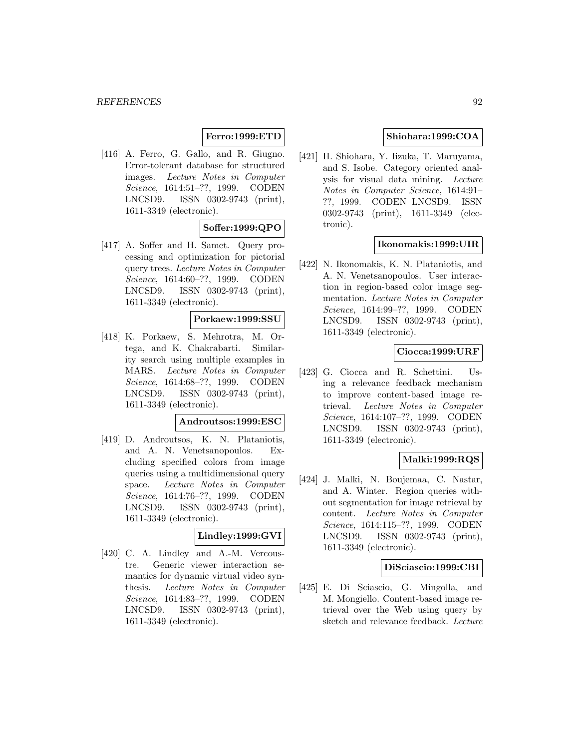# **Ferro:1999:ETD**

[416] A. Ferro, G. Gallo, and R. Giugno. Error-tolerant database for structured images. Lecture Notes in Computer Science, 1614:51–??, 1999. CODEN LNCSD9. ISSN 0302-9743 (print), 1611-3349 (electronic).

# **Soffer:1999:QPO**

[417] A. Soffer and H. Samet. Query processing and optimization for pictorial query trees. Lecture Notes in Computer Science, 1614:60–??, 1999. CODEN LNCSD9. ISSN 0302-9743 (print), 1611-3349 (electronic).

#### **Porkaew:1999:SSU**

[418] K. Porkaew, S. Mehrotra, M. Ortega, and K. Chakrabarti. Similarity search using multiple examples in MARS. Lecture Notes in Computer Science, 1614:68–??, 1999. CODEN LNCSD9. ISSN 0302-9743 (print), 1611-3349 (electronic).

## **Androutsos:1999:ESC**

[419] D. Androutsos, K. N. Plataniotis, and A. N. Venetsanopoulos. Excluding specified colors from image queries using a multidimensional query space. Lecture Notes in Computer Science, 1614:76–??, 1999. CODEN LNCSD9. ISSN 0302-9743 (print), 1611-3349 (electronic).

## **Lindley:1999:GVI**

[420] C. A. Lindley and A.-M. Vercoustre. Generic viewer interaction semantics for dynamic virtual video synthesis. Lecture Notes in Computer Science, 1614:83–??, 1999. CODEN LNCSD9. ISSN 0302-9743 (print), 1611-3349 (electronic).

## **Shiohara:1999:COA**

[421] H. Shiohara, Y. Iizuka, T. Maruyama, and S. Isobe. Category oriented analysis for visual data mining. Lecture Notes in Computer Science, 1614:91– ??, 1999. CODEN LNCSD9. ISSN 0302-9743 (print), 1611-3349 (electronic).

## **Ikonomakis:1999:UIR**

[422] N. Ikonomakis, K. N. Plataniotis, and A. N. Venetsanopoulos. User interaction in region-based color image segmentation. Lecture Notes in Computer Science, 1614:99–??, 1999. CODEN LNCSD9. ISSN 0302-9743 (print), 1611-3349 (electronic).

## **Ciocca:1999:URF**

[423] G. Ciocca and R. Schettini. Using a relevance feedback mechanism to improve content-based image retrieval. Lecture Notes in Computer Science, 1614:107–??, 1999. CODEN LNCSD9. ISSN 0302-9743 (print), 1611-3349 (electronic).

## **Malki:1999:RQS**

[424] J. Malki, N. Boujemaa, C. Nastar, and A. Winter. Region queries without segmentation for image retrieval by content. Lecture Notes in Computer Science, 1614:115–??, 1999. CODEN LNCSD9. ISSN 0302-9743 (print), 1611-3349 (electronic).

## **DiSciascio:1999:CBI**

[425] E. Di Sciascio, G. Mingolla, and M. Mongiello. Content-based image retrieval over the Web using query by sketch and relevance feedback. Lecture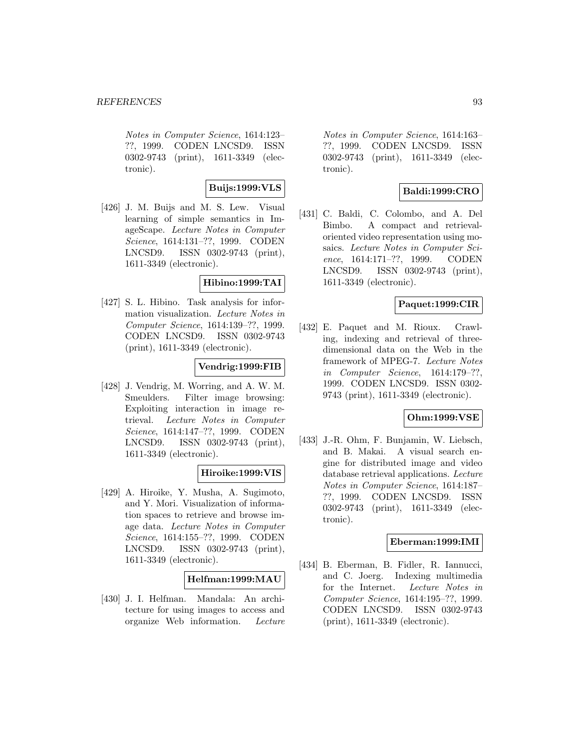Notes in Computer Science, 1614:123– ??, 1999. CODEN LNCSD9. ISSN 0302-9743 (print), 1611-3349 (electronic).

## **Buijs:1999:VLS**

[426] J. M. Buijs and M. S. Lew. Visual learning of simple semantics in ImageScape. Lecture Notes in Computer Science, 1614:131–??, 1999. CODEN LNCSD9. ISSN 0302-9743 (print), 1611-3349 (electronic).

#### **Hibino:1999:TAI**

[427] S. L. Hibino. Task analysis for information visualization. Lecture Notes in Computer Science, 1614:139–??, 1999. CODEN LNCSD9. ISSN 0302-9743 (print), 1611-3349 (electronic).

## **Vendrig:1999:FIB**

[428] J. Vendrig, M. Worring, and A. W. M. Smeulders. Filter image browsing: Exploiting interaction in image retrieval. Lecture Notes in Computer Science, 1614:147–??, 1999. CODEN LNCSD9. ISSN 0302-9743 (print), 1611-3349 (electronic).

## **Hiroike:1999:VIS**

[429] A. Hiroike, Y. Musha, A. Sugimoto, and Y. Mori. Visualization of information spaces to retrieve and browse image data. Lecture Notes in Computer Science, 1614:155–??, 1999. CODEN LNCSD9. ISSN 0302-9743 (print), 1611-3349 (electronic).

## **Helfman:1999:MAU**

[430] J. I. Helfman. Mandala: An architecture for using images to access and organize Web information. Lecture

Notes in Computer Science, 1614:163– ??, 1999. CODEN LNCSD9. ISSN 0302-9743 (print), 1611-3349 (electronic).

## **Baldi:1999:CRO**

[431] C. Baldi, C. Colombo, and A. Del Bimbo. A compact and retrievaloriented video representation using mosaics. Lecture Notes in Computer Science, 1614:171–??, 1999. CODEN LNCSD9. ISSN 0302-9743 (print), 1611-3349 (electronic).

## **Paquet:1999:CIR**

[432] E. Paquet and M. Rioux. Crawling, indexing and retrieval of threedimensional data on the Web in the framework of MPEG-7. Lecture Notes in Computer Science, 1614:179–??, 1999. CODEN LNCSD9. ISSN 0302- 9743 (print), 1611-3349 (electronic).

## **Ohm:1999:VSE**

[433] J.-R. Ohm, F. Bunjamin, W. Liebsch, and B. Makai. A visual search engine for distributed image and video database retrieval applications. Lecture Notes in Computer Science, 1614:187– ??, 1999. CODEN LNCSD9. ISSN 0302-9743 (print), 1611-3349 (electronic).

## **Eberman:1999:IMI**

[434] B. Eberman, B. Fidler, R. Iannucci, and C. Joerg. Indexing multimedia for the Internet. Lecture Notes in Computer Science, 1614:195–??, 1999. CODEN LNCSD9. ISSN 0302-9743 (print), 1611-3349 (electronic).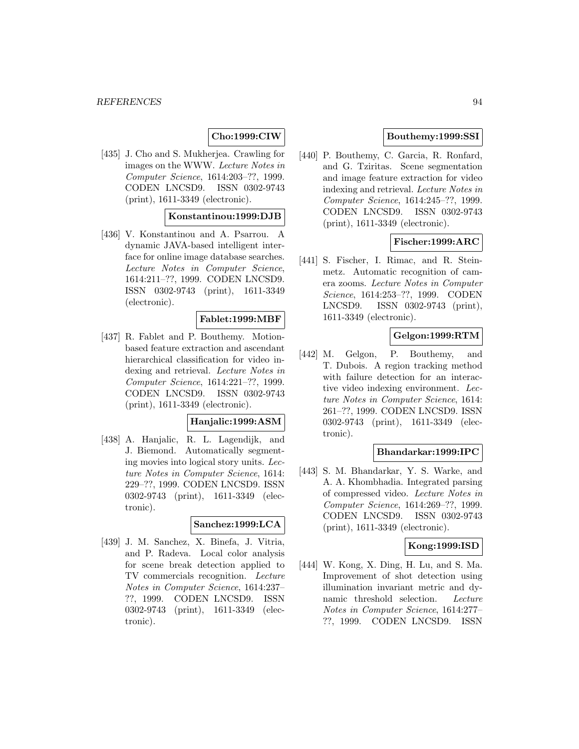# **Cho:1999:CIW**

[435] J. Cho and S. Mukherjea. Crawling for images on the WWW. Lecture Notes in Computer Science, 1614:203–??, 1999. CODEN LNCSD9. ISSN 0302-9743 (print), 1611-3349 (electronic).

### **Konstantinou:1999:DJB**

[436] V. Konstantinou and A. Psarrou. A dynamic JAVA-based intelligent interface for online image database searches. Lecture Notes in Computer Science, 1614:211–??, 1999. CODEN LNCSD9. ISSN 0302-9743 (print), 1611-3349 (electronic).

#### **Fablet:1999:MBF**

[437] R. Fablet and P. Bouthemy. Motionbased feature extraction and ascendant hierarchical classification for video indexing and retrieval. Lecture Notes in Computer Science, 1614:221–??, 1999. CODEN LNCSD9. ISSN 0302-9743 (print), 1611-3349 (electronic).

## **Hanjalic:1999:ASM**

[438] A. Hanjalic, R. L. Lagendijk, and J. Biemond. Automatically segmenting movies into logical story units. Lecture Notes in Computer Science, 1614: 229–??, 1999. CODEN LNCSD9. ISSN 0302-9743 (print), 1611-3349 (electronic).

## **Sanchez:1999:LCA**

[439] J. M. Sanchez, X. Binefa, J. Vitria, and P. Radeva. Local color analysis for scene break detection applied to TV commercials recognition. Lecture Notes in Computer Science, 1614:237– ??, 1999. CODEN LNCSD9. ISSN 0302-9743 (print), 1611-3349 (electronic).

## **Bouthemy:1999:SSI**

[440] P. Bouthemy, C. Garcia, R. Ronfard, and G. Tziritas. Scene segmentation and image feature extraction for video indexing and retrieval. Lecture Notes in Computer Science, 1614:245–??, 1999. CODEN LNCSD9. ISSN 0302-9743 (print), 1611-3349 (electronic).

## **Fischer:1999:ARC**

[441] S. Fischer, I. Rimac, and R. Steinmetz. Automatic recognition of camera zooms. Lecture Notes in Computer Science, 1614:253–??, 1999. CODEN LNCSD9. ISSN 0302-9743 (print), 1611-3349 (electronic).

## **Gelgon:1999:RTM**

[442] M. Gelgon, P. Bouthemy, and T. Dubois. A region tracking method with failure detection for an interactive video indexing environment. Lecture Notes in Computer Science, 1614: 261–??, 1999. CODEN LNCSD9. ISSN 0302-9743 (print), 1611-3349 (electronic).

## **Bhandarkar:1999:IPC**

[443] S. M. Bhandarkar, Y. S. Warke, and A. A. Khombhadia. Integrated parsing of compressed video. Lecture Notes in Computer Science, 1614:269–??, 1999. CODEN LNCSD9. ISSN 0302-9743 (print), 1611-3349 (electronic).

## **Kong:1999:ISD**

[444] W. Kong, X. Ding, H. Lu, and S. Ma. Improvement of shot detection using illumination invariant metric and dynamic threshold selection. Lecture Notes in Computer Science, 1614:277– ??, 1999. CODEN LNCSD9. ISSN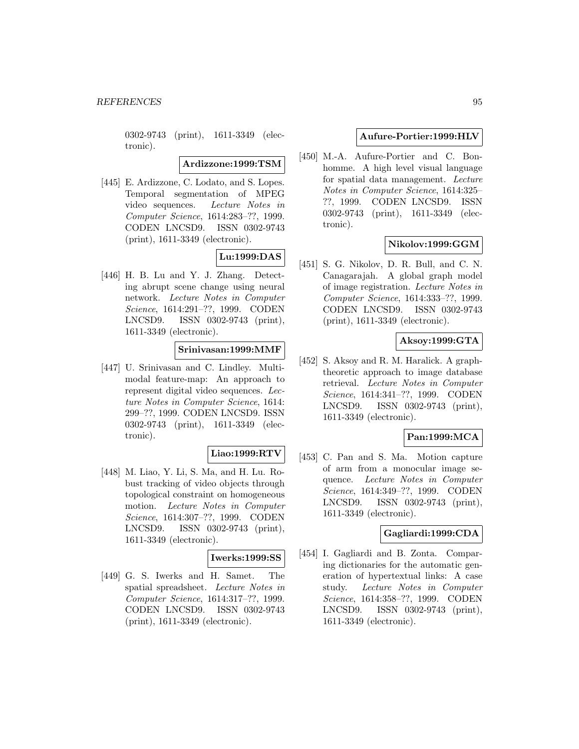0302-9743 (print), 1611-3349 (electronic).

**Ardizzone:1999:TSM**

[445] E. Ardizzone, C. Lodato, and S. Lopes. Temporal segmentation of MPEG video sequences. Lecture Notes in Computer Science, 1614:283–??, 1999. CODEN LNCSD9. ISSN 0302-9743 (print), 1611-3349 (electronic).

# **Lu:1999:DAS**

[446] H. B. Lu and Y. J. Zhang. Detecting abrupt scene change using neural network. Lecture Notes in Computer Science, 1614:291–??, 1999. CODEN LNCSD9. ISSN 0302-9743 (print), 1611-3349 (electronic).

## **Srinivasan:1999:MMF**

[447] U. Srinivasan and C. Lindley. Multimodal feature-map: An approach to represent digital video sequences. Lecture Notes in Computer Science, 1614: 299–??, 1999. CODEN LNCSD9. ISSN 0302-9743 (print), 1611-3349 (electronic).

## **Liao:1999:RTV**

[448] M. Liao, Y. Li, S. Ma, and H. Lu. Robust tracking of video objects through topological constraint on homogeneous motion. Lecture Notes in Computer Science, 1614:307–??, 1999. CODEN LNCSD9. ISSN 0302-9743 (print), 1611-3349 (electronic).

## **Iwerks:1999:SS**

[449] G. S. Iwerks and H. Samet. The spatial spreadsheet. Lecture Notes in Computer Science, 1614:317–??, 1999. CODEN LNCSD9. ISSN 0302-9743 (print), 1611-3349 (electronic).

## **Aufure-Portier:1999:HLV**

[450] M.-A. Aufure-Portier and C. Bonhomme. A high level visual language for spatial data management. Lecture Notes in Computer Science, 1614:325– ??, 1999. CODEN LNCSD9. ISSN 0302-9743 (print), 1611-3349 (electronic).

## **Nikolov:1999:GGM**

[451] S. G. Nikolov, D. R. Bull, and C. N. Canagarajah. A global graph model of image registration. Lecture Notes in Computer Science, 1614:333–??, 1999. CODEN LNCSD9. ISSN 0302-9743 (print), 1611-3349 (electronic).

## **Aksoy:1999:GTA**

[452] S. Aksoy and R. M. Haralick. A graphtheoretic approach to image database retrieval. Lecture Notes in Computer Science, 1614:341–??, 1999. CODEN LNCSD9. ISSN 0302-9743 (print), 1611-3349 (electronic).

# **Pan:1999:MCA**

[453] C. Pan and S. Ma. Motion capture of arm from a monocular image sequence. Lecture Notes in Computer Science, 1614:349–??, 1999. CODEN LNCSD9. ISSN 0302-9743 (print), 1611-3349 (electronic).

# **Gagliardi:1999:CDA**

[454] I. Gagliardi and B. Zonta. Comparing dictionaries for the automatic generation of hypertextual links: A case study. Lecture Notes in Computer Science, 1614:358–??, 1999. CODEN LNCSD9. ISSN 0302-9743 (print), 1611-3349 (electronic).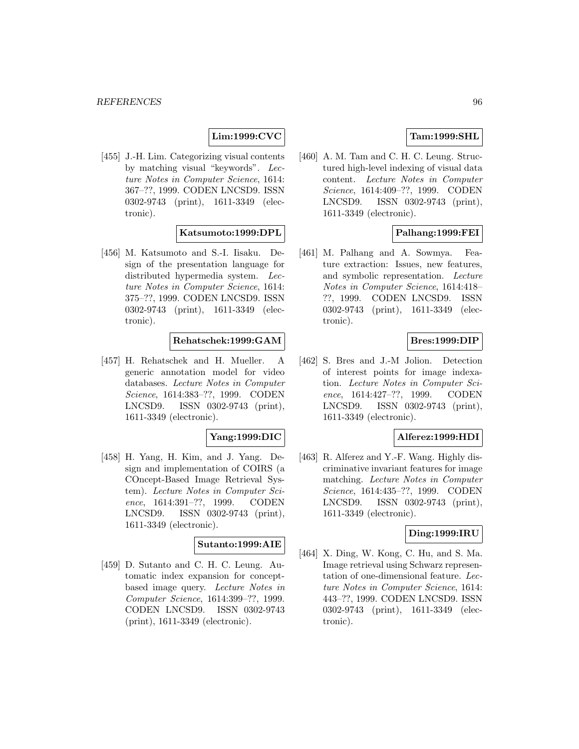# **Lim:1999:CVC**

[455] J.-H. Lim. Categorizing visual contents by matching visual "keywords". Lecture Notes in Computer Science, 1614: 367–??, 1999. CODEN LNCSD9. ISSN 0302-9743 (print), 1611-3349 (electronic).

## **Katsumoto:1999:DPL**

[456] M. Katsumoto and S.-I. Iisaku. Design of the presentation language for distributed hypermedia system. Lecture Notes in Computer Science, 1614: 375–??, 1999. CODEN LNCSD9. ISSN 0302-9743 (print), 1611-3349 (electronic).

## **Rehatschek:1999:GAM**

[457] H. Rehatschek and H. Mueller. A generic annotation model for video databases. Lecture Notes in Computer Science, 1614:383–??, 1999. CODEN LNCSD9. ISSN 0302-9743 (print), 1611-3349 (electronic).

#### **Yang:1999:DIC**

[458] H. Yang, H. Kim, and J. Yang. Design and implementation of COIRS (a COncept-Based Image Retrieval System). Lecture Notes in Computer Science, 1614:391–??, 1999. CODEN LNCSD9. ISSN 0302-9743 (print), 1611-3349 (electronic).

## **Sutanto:1999:AIE**

[459] D. Sutanto and C. H. C. Leung. Automatic index expansion for conceptbased image query. Lecture Notes in Computer Science, 1614:399–??, 1999. CODEN LNCSD9. ISSN 0302-9743 (print), 1611-3349 (electronic).

## **Tam:1999:SHL**

[460] A. M. Tam and C. H. C. Leung. Structured high-level indexing of visual data content. Lecture Notes in Computer Science, 1614:409–??, 1999. CODEN LNCSD9. ISSN 0302-9743 (print), 1611-3349 (electronic).

# **Palhang:1999:FEI**

[461] M. Palhang and A. Sowmya. Feature extraction: Issues, new features, and symbolic representation. Lecture Notes in Computer Science, 1614:418– ??, 1999. CODEN LNCSD9. ISSN 0302-9743 (print), 1611-3349 (electronic).

## **Bres:1999:DIP**

[462] S. Bres and J.-M Jolion. Detection of interest points for image indexation. Lecture Notes in Computer Science, 1614:427–??, 1999. CODEN LNCSD9. ISSN 0302-9743 (print), 1611-3349 (electronic).

## **Alferez:1999:HDI**

[463] R. Alferez and Y.-F. Wang. Highly discriminative invariant features for image matching. Lecture Notes in Computer Science, 1614:435–??, 1999. CODEN LNCSD9. ISSN 0302-9743 (print), 1611-3349 (electronic).

## **Ding:1999:IRU**

[464] X. Ding, W. Kong, C. Hu, and S. Ma. Image retrieval using Schwarz representation of one-dimensional feature. Lecture Notes in Computer Science, 1614: 443–??, 1999. CODEN LNCSD9. ISSN 0302-9743 (print), 1611-3349 (electronic).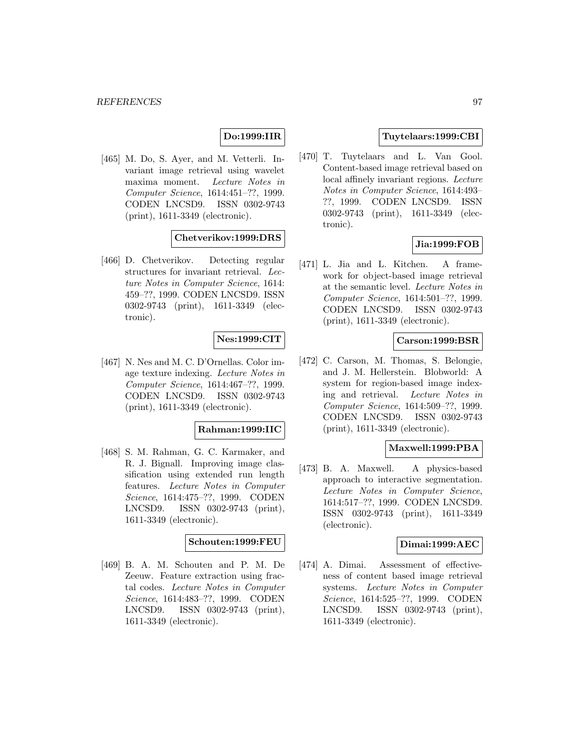## **Do:1999:IIR**

[465] M. Do, S. Ayer, and M. Vetterli. Invariant image retrieval using wavelet maxima moment. Lecture Notes in Computer Science, 1614:451–??, 1999. CODEN LNCSD9. ISSN 0302-9743 (print), 1611-3349 (electronic).

## **Chetverikov:1999:DRS**

[466] D. Chetverikov. Detecting regular structures for invariant retrieval. Lecture Notes in Computer Science, 1614: 459–??, 1999. CODEN LNCSD9. ISSN 0302-9743 (print), 1611-3349 (electronic).

#### **Nes:1999:CIT**

[467] N. Nes and M. C. D'Ornellas. Color image texture indexing. Lecture Notes in Computer Science, 1614:467–??, 1999. CODEN LNCSD9. ISSN 0302-9743 (print), 1611-3349 (electronic).

#### **Rahman:1999:IIC**

[468] S. M. Rahman, G. C. Karmaker, and R. J. Bignall. Improving image classification using extended run length features. Lecture Notes in Computer Science, 1614:475–??, 1999. CODEN LNCSD9. ISSN 0302-9743 (print), 1611-3349 (electronic).

#### **Schouten:1999:FEU**

[469] B. A. M. Schouten and P. M. De Zeeuw. Feature extraction using fractal codes. Lecture Notes in Computer Science, 1614:483–??, 1999. CODEN LNCSD9. ISSN 0302-9743 (print), 1611-3349 (electronic).

## **Tuytelaars:1999:CBI**

[470] T. Tuytelaars and L. Van Gool. Content-based image retrieval based on local affinely invariant regions. Lecture Notes in Computer Science, 1614:493– ??, 1999. CODEN LNCSD9. ISSN 0302-9743 (print), 1611-3349 (electronic).

## **Jia:1999:FOB**

[471] L. Jia and L. Kitchen. A framework for object-based image retrieval at the semantic level. Lecture Notes in Computer Science, 1614:501–??, 1999. CODEN LNCSD9. ISSN 0302-9743 (print), 1611-3349 (electronic).

## **Carson:1999:BSR**

[472] C. Carson, M. Thomas, S. Belongie, and J. M. Hellerstein. Blobworld: A system for region-based image indexing and retrieval. Lecture Notes in Computer Science, 1614:509–??, 1999. CODEN LNCSD9. ISSN 0302-9743 (print), 1611-3349 (electronic).

#### **Maxwell:1999:PBA**

[473] B. A. Maxwell. A physics-based approach to interactive segmentation. Lecture Notes in Computer Science, 1614:517–??, 1999. CODEN LNCSD9. ISSN 0302-9743 (print), 1611-3349 (electronic).

### **Dimai:1999:AEC**

[474] A. Dimai. Assessment of effectiveness of content based image retrieval systems. Lecture Notes in Computer Science, 1614:525–??, 1999. CODEN LNCSD9. ISSN 0302-9743 (print), 1611-3349 (electronic).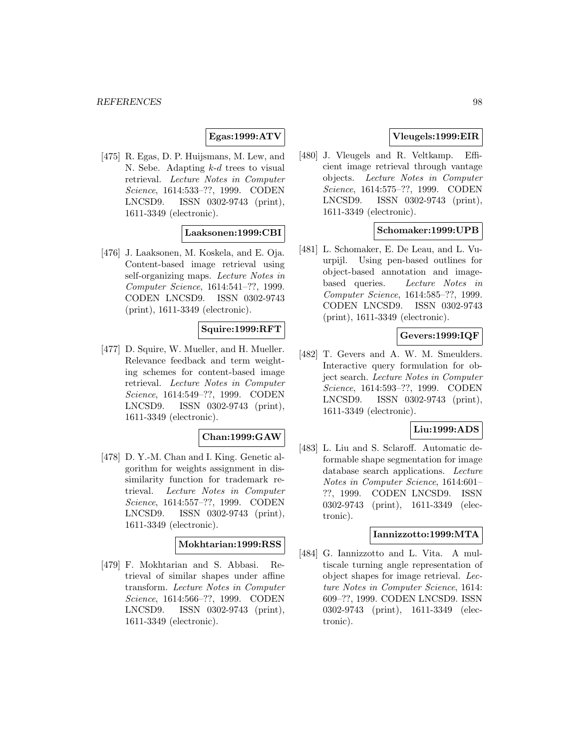## **Egas:1999:ATV**

[475] R. Egas, D. P. Huijsmans, M. Lew, and N. Sebe. Adapting  $k-d$  trees to visual retrieval. Lecture Notes in Computer Science, 1614:533–??, 1999. CODEN LNCSD9. ISSN 0302-9743 (print), 1611-3349 (electronic).

## **Laaksonen:1999:CBI**

[476] J. Laaksonen, M. Koskela, and E. Oja. Content-based image retrieval using self-organizing maps. Lecture Notes in Computer Science, 1614:541–??, 1999. CODEN LNCSD9. ISSN 0302-9743 (print), 1611-3349 (electronic).

# **Squire:1999:RFT**

[477] D. Squire, W. Mueller, and H. Mueller. Relevance feedback and term weighting schemes for content-based image retrieval. Lecture Notes in Computer Science, 1614:549–??, 1999. CODEN LNCSD9. ISSN 0302-9743 (print), 1611-3349 (electronic).

#### **Chan:1999:GAW**

[478] D. Y.-M. Chan and I. King. Genetic algorithm for weights assignment in dissimilarity function for trademark retrieval. Lecture Notes in Computer Science, 1614:557–??, 1999. CODEN LNCSD9. ISSN 0302-9743 (print), 1611-3349 (electronic).

### **Mokhtarian:1999:RSS**

[479] F. Mokhtarian and S. Abbasi. Retrieval of similar shapes under affine transform. Lecture Notes in Computer Science, 1614:566–??, 1999. CODEN LNCSD9. ISSN 0302-9743 (print), 1611-3349 (electronic).

## **Vleugels:1999:EIR**

[480] J. Vleugels and R. Veltkamp. Efficient image retrieval through vantage objects. Lecture Notes in Computer Science, 1614:575–??, 1999. CODEN LNCSD9. ISSN 0302-9743 (print), 1611-3349 (electronic).

## **Schomaker:1999:UPB**

[481] L. Schomaker, E. De Leau, and L. Vuurpijl. Using pen-based outlines for object-based annotation and imagebased queries. Lecture Notes in Computer Science, 1614:585–??, 1999. CODEN LNCSD9. ISSN 0302-9743 (print), 1611-3349 (electronic).

## **Gevers:1999:IQF**

[482] T. Gevers and A. W. M. Smeulders. Interactive query formulation for object search. Lecture Notes in Computer Science, 1614:593–??, 1999. CODEN LNCSD9. ISSN 0302-9743 (print), 1611-3349 (electronic).

### **Liu:1999:ADS**

[483] L. Liu and S. Sclaroff. Automatic deformable shape segmentation for image database search applications. Lecture Notes in Computer Science, 1614:601– ??, 1999. CODEN LNCSD9. ISSN 0302-9743 (print), 1611-3349 (electronic).

### **Iannizzotto:1999:MTA**

[484] G. Iannizzotto and L. Vita. A multiscale turning angle representation of object shapes for image retrieval. Lecture Notes in Computer Science, 1614: 609–??, 1999. CODEN LNCSD9. ISSN 0302-9743 (print), 1611-3349 (electronic).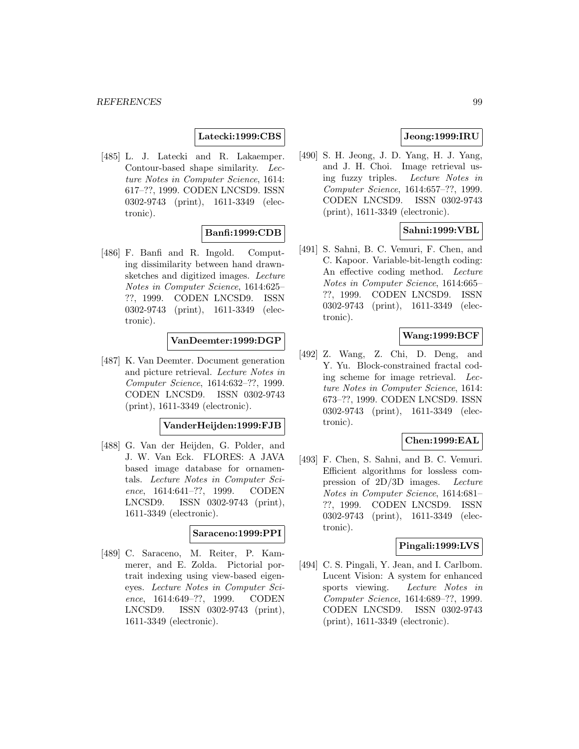## **Latecki:1999:CBS**

[485] L. J. Latecki and R. Lakaemper. Contour-based shape similarity. Lecture Notes in Computer Science, 1614: 617–??, 1999. CODEN LNCSD9. ISSN 0302-9743 (print), 1611-3349 (electronic).

## **Banfi:1999:CDB**

[486] F. Banfi and R. Ingold. Computing dissimilarity between hand drawnsketches and digitized images. Lecture Notes in Computer Science, 1614:625– ??, 1999. CODEN LNCSD9. ISSN 0302-9743 (print), 1611-3349 (electronic).

## **VanDeemter:1999:DGP**

[487] K. Van Deemter. Document generation and picture retrieval. Lecture Notes in Computer Science, 1614:632–??, 1999. CODEN LNCSD9. ISSN 0302-9743 (print), 1611-3349 (electronic).

#### **VanderHeijden:1999:FJB**

[488] G. Van der Heijden, G. Polder, and J. W. Van Eck. FLORES: A JAVA based image database for ornamentals. Lecture Notes in Computer Science, 1614:641–??, 1999. CODEN LNCSD9. ISSN 0302-9743 (print), 1611-3349 (electronic).

#### **Saraceno:1999:PPI**

[489] C. Saraceno, M. Reiter, P. Kammerer, and E. Zolda. Pictorial portrait indexing using view-based eigeneyes. Lecture Notes in Computer Science, 1614:649–??, 1999. CODEN LNCSD9. ISSN 0302-9743 (print), 1611-3349 (electronic).

# **Jeong:1999:IRU**

[490] S. H. Jeong, J. D. Yang, H. J. Yang, and J. H. Choi. Image retrieval using fuzzy triples. Lecture Notes in Computer Science, 1614:657–??, 1999. CODEN LNCSD9. ISSN 0302-9743 (print), 1611-3349 (electronic).

## **Sahni:1999:VBL**

[491] S. Sahni, B. C. Vemuri, F. Chen, and C. Kapoor. Variable-bit-length coding: An effective coding method. Lecture Notes in Computer Science, 1614:665– ??, 1999. CODEN LNCSD9. ISSN 0302-9743 (print), 1611-3349 (electronic).

## **Wang:1999:BCF**

[492] Z. Wang, Z. Chi, D. Deng, and Y. Yu. Block-constrained fractal coding scheme for image retrieval. Lecture Notes in Computer Science, 1614: 673–??, 1999. CODEN LNCSD9. ISSN 0302-9743 (print), 1611-3349 (electronic).

## **Chen:1999:EAL**

[493] F. Chen, S. Sahni, and B. C. Vemuri. Efficient algorithms for lossless compression of 2D/3D images. Lecture Notes in Computer Science, 1614:681– ??, 1999. CODEN LNCSD9. ISSN 0302-9743 (print), 1611-3349 (electronic).

## **Pingali:1999:LVS**

[494] C. S. Pingali, Y. Jean, and I. Carlbom. Lucent Vision: A system for enhanced sports viewing. Lecture Notes in Computer Science, 1614:689–??, 1999. CODEN LNCSD9. ISSN 0302-9743 (print), 1611-3349 (electronic).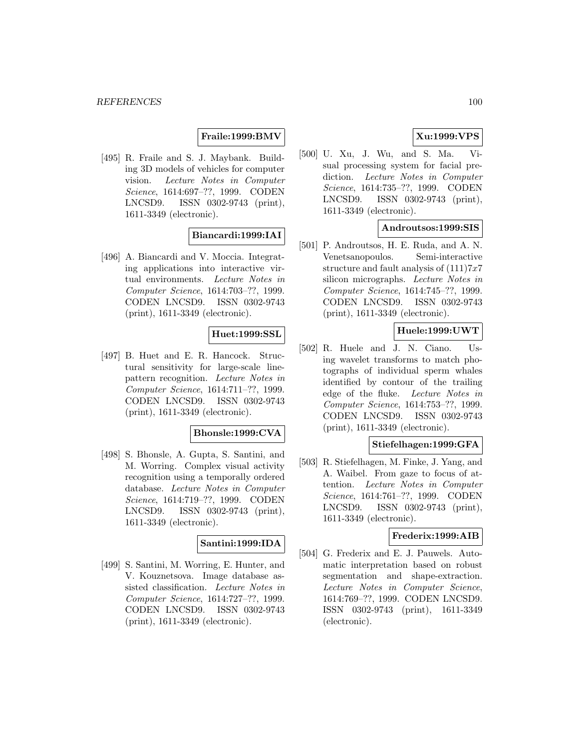## **Fraile:1999:BMV**

[495] R. Fraile and S. J. Maybank. Building 3D models of vehicles for computer vision. Lecture Notes in Computer Science, 1614:697–??, 1999. CODEN LNCSD9. ISSN 0302-9743 (print), 1611-3349 (electronic).

# **Biancardi:1999:IAI**

[496] A. Biancardi and V. Moccia. Integrating applications into interactive virtual environments. Lecture Notes in Computer Science, 1614:703–??, 1999. CODEN LNCSD9. ISSN 0302-9743 (print), 1611-3349 (electronic).

## **Huet:1999:SSL**

[497] B. Huet and E. R. Hancock. Structural sensitivity for large-scale linepattern recognition. Lecture Notes in Computer Science, 1614:711–??, 1999. CODEN LNCSD9. ISSN 0302-9743 (print), 1611-3349 (electronic).

#### **Bhonsle:1999:CVA**

[498] S. Bhonsle, A. Gupta, S. Santini, and M. Worring. Complex visual activity recognition using a temporally ordered database. Lecture Notes in Computer Science, 1614:719–??, 1999. CODEN LNCSD9. ISSN 0302-9743 (print), 1611-3349 (electronic).

#### **Santini:1999:IDA**

[499] S. Santini, M. Worring, E. Hunter, and V. Kouznetsova. Image database assisted classification. Lecture Notes in Computer Science, 1614:727–??, 1999. CODEN LNCSD9. ISSN 0302-9743 (print), 1611-3349 (electronic).

# **Xu:1999:VPS**

[500] U. Xu, J. Wu, and S. Ma. Visual processing system for facial prediction. Lecture Notes in Computer Science, 1614:735–??, 1999. CODEN LNCSD9. ISSN 0302-9743 (print), 1611-3349 (electronic).

## **Androutsos:1999:SIS**

[501] P. Androutsos, H. E. Ruda, and A. N. Venetsanopoulos. Semi-interactive structure and fault analysis of  $(111)7x7$ silicon micrographs. Lecture Notes in Computer Science, 1614:745–??, 1999. CODEN LNCSD9. ISSN 0302-9743 (print), 1611-3349 (electronic).

## **Huele:1999:UWT**

[502] R. Huele and J. N. Ciano. Using wavelet transforms to match photographs of individual sperm whales identified by contour of the trailing edge of the fluke. Lecture Notes in Computer Science, 1614:753–??, 1999. CODEN LNCSD9. ISSN 0302-9743 (print), 1611-3349 (electronic).

## **Stiefelhagen:1999:GFA**

[503] R. Stiefelhagen, M. Finke, J. Yang, and A. Waibel. From gaze to focus of attention. Lecture Notes in Computer Science, 1614:761–??, 1999. CODEN LNCSD9. ISSN 0302-9743 (print), 1611-3349 (electronic).

#### **Frederix:1999:AIB**

[504] G. Frederix and E. J. Pauwels. Automatic interpretation based on robust segmentation and shape-extraction. Lecture Notes in Computer Science, 1614:769–??, 1999. CODEN LNCSD9. ISSN 0302-9743 (print), 1611-3349 (electronic).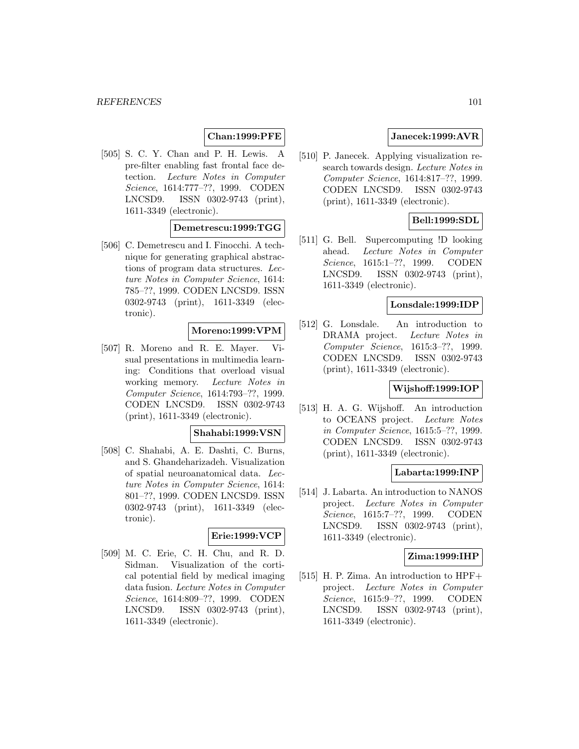## **Chan:1999:PFE**

[505] S. C. Y. Chan and P. H. Lewis. A pre-filter enabling fast frontal face detection. Lecture Notes in Computer Science, 1614:777–??, 1999. CODEN LNCSD9. ISSN 0302-9743 (print), 1611-3349 (electronic).

## **Demetrescu:1999:TGG**

[506] C. Demetrescu and I. Finocchi. A technique for generating graphical abstractions of program data structures. Lecture Notes in Computer Science, 1614: 785–??, 1999. CODEN LNCSD9. ISSN 0302-9743 (print), 1611-3349 (electronic).

## **Moreno:1999:VPM**

[507] R. Moreno and R. E. Mayer. Visual presentations in multimedia learning: Conditions that overload visual working memory. Lecture Notes in Computer Science, 1614:793–??, 1999. CODEN LNCSD9. ISSN 0302-9743 (print), 1611-3349 (electronic).

### **Shahabi:1999:VSN**

[508] C. Shahabi, A. E. Dashti, C. Burns, and S. Ghandeharizadeh. Visualization of spatial neuroanatomical data. Lecture Notes in Computer Science, 1614: 801–??, 1999. CODEN LNCSD9. ISSN 0302-9743 (print), 1611-3349 (electronic).

#### **Erie:1999:VCP**

[509] M. C. Erie, C. H. Chu, and R. D. Sidman. Visualization of the cortical potential field by medical imaging data fusion. Lecture Notes in Computer Science, 1614:809–??, 1999. CODEN LNCSD9. ISSN 0302-9743 (print), 1611-3349 (electronic).

## **Janecek:1999:AVR**

[510] P. Janecek. Applying visualization research towards design. Lecture Notes in Computer Science, 1614:817–??, 1999. CODEN LNCSD9. ISSN 0302-9743 (print), 1611-3349 (electronic).

## **Bell:1999:SDL**

[511] G. Bell. Supercomputing !D looking ahead. Lecture Notes in Computer Science, 1615:1–??, 1999. CODEN LNCSD9. ISSN 0302-9743 (print), 1611-3349 (electronic).

### **Lonsdale:1999:IDP**

[512] G. Lonsdale. An introduction to DRAMA project. Lecture Notes in Computer Science, 1615:3–??, 1999. CODEN LNCSD9. ISSN 0302-9743 (print), 1611-3349 (electronic).

## **Wijshoff:1999:IOP**

[513] H. A. G. Wijshoff. An introduction to OCEANS project. Lecture Notes in Computer Science, 1615:5–??, 1999. CODEN LNCSD9. ISSN 0302-9743 (print), 1611-3349 (electronic).

## **Labarta:1999:INP**

[514] J. Labarta. An introduction to NANOS project. Lecture Notes in Computer Science, 1615:7–??, 1999. CODEN LNCSD9. ISSN 0302-9743 (print), 1611-3349 (electronic).

## **Zima:1999:IHP**

[515] H. P. Zima. An introduction to HPF+ project. Lecture Notes in Computer Science, 1615:9–??, 1999. CODEN LNCSD9. ISSN 0302-9743 (print), 1611-3349 (electronic).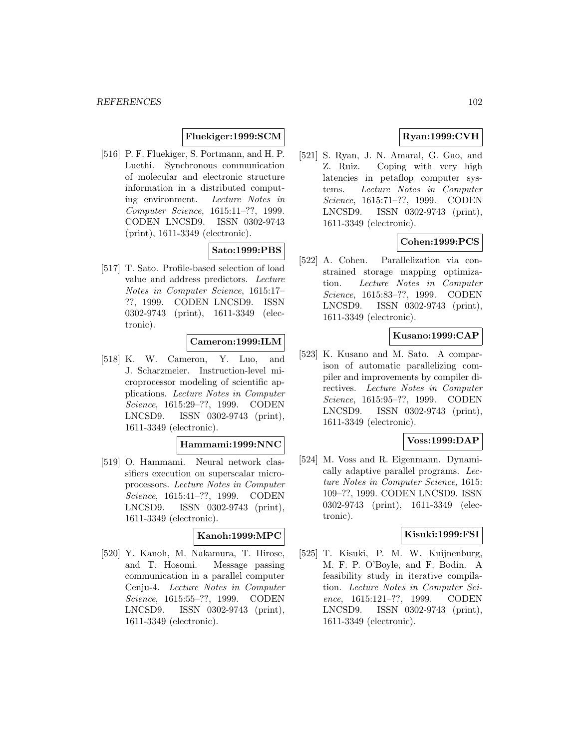# **Fluekiger:1999:SCM**

[516] P. F. Fluekiger, S. Portmann, and H. P. Luethi. Synchronous communication of molecular and electronic structure information in a distributed computing environment. Lecture Notes in Computer Science, 1615:11–??, 1999. CODEN LNCSD9. ISSN 0302-9743 (print), 1611-3349 (electronic).

## **Sato:1999:PBS**

[517] T. Sato. Profile-based selection of load value and address predictors. Lecture Notes in Computer Science, 1615:17– ??, 1999. CODEN LNCSD9. ISSN 0302-9743 (print), 1611-3349 (electronic).

# **Cameron:1999:ILM**

[518] K. W. Cameron, Y. Luo, and J. Scharzmeier. Instruction-level microprocessor modeling of scientific applications. Lecture Notes in Computer Science, 1615:29–??, 1999. CODEN LNCSD9. ISSN 0302-9743 (print), 1611-3349 (electronic).

## **Hammami:1999:NNC**

[519] O. Hammami. Neural network classifiers execution on superscalar microprocessors. Lecture Notes in Computer Science, 1615:41–??, 1999. CODEN LNCSD9. ISSN 0302-9743 (print), 1611-3349 (electronic).

#### **Kanoh:1999:MPC**

[520] Y. Kanoh, M. Nakamura, T. Hirose, and T. Hosomi. Message passing communication in a parallel computer Cenju-4. Lecture Notes in Computer Science, 1615:55–??, 1999. CODEN LNCSD9. ISSN 0302-9743 (print), 1611-3349 (electronic).

# **Ryan:1999:CVH**

[521] S. Ryan, J. N. Amaral, G. Gao, and Z. Ruiz. Coping with very high latencies in petaflop computer systems. Lecture Notes in Computer Science, 1615:71–??, 1999. CODEN LNCSD9. ISSN 0302-9743 (print), 1611-3349 (electronic).

## **Cohen:1999:PCS**

[522] A. Cohen. Parallelization via constrained storage mapping optimization. Lecture Notes in Computer Science, 1615:83–??, 1999. CODEN LNCSD9. ISSN 0302-9743 (print), 1611-3349 (electronic).

## **Kusano:1999:CAP**

[523] K. Kusano and M. Sato. A comparison of automatic parallelizing compiler and improvements by compiler directives. Lecture Notes in Computer Science, 1615:95–??, 1999. CODEN LNCSD9. ISSN 0302-9743 (print), 1611-3349 (electronic).

## **Voss:1999:DAP**

[524] M. Voss and R. Eigenmann. Dynamically adaptive parallel programs. Lecture Notes in Computer Science, 1615: 109–??, 1999. CODEN LNCSD9. ISSN 0302-9743 (print), 1611-3349 (electronic).

#### **Kisuki:1999:FSI**

[525] T. Kisuki, P. M. W. Knijnenburg, M. F. P. O'Boyle, and F. Bodin. A feasibility study in iterative compilation. Lecture Notes in Computer Science, 1615:121–??, 1999. CODEN LNCSD9. ISSN 0302-9743 (print), 1611-3349 (electronic).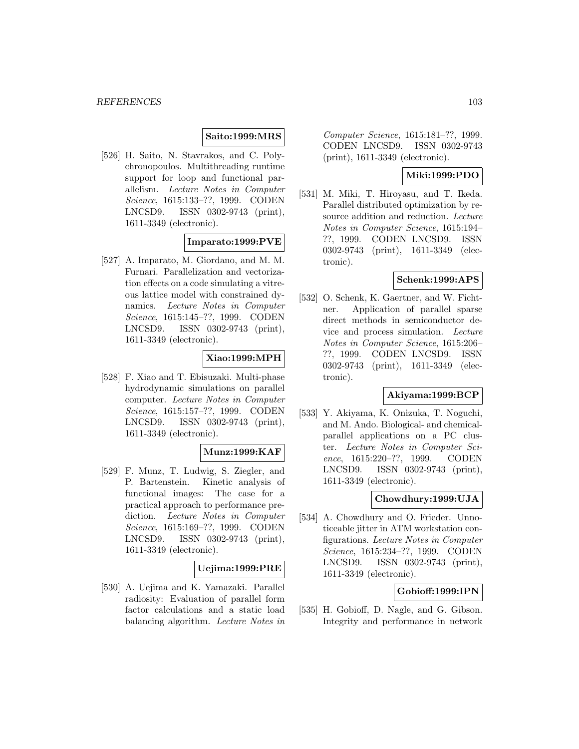## **Saito:1999:MRS**

[526] H. Saito, N. Stavrakos, and C. Polychronopoulos. Multithreading runtime support for loop and functional parallelism. Lecture Notes in Computer Science, 1615:133–??, 1999. CODEN LNCSD9. ISSN 0302-9743 (print), 1611-3349 (electronic).

# **Imparato:1999:PVE**

[527] A. Imparato, M. Giordano, and M. M. Furnari. Parallelization and vectorization effects on a code simulating a vitreous lattice model with constrained dynamics. Lecture Notes in Computer Science, 1615:145–??, 1999. CODEN LNCSD9. ISSN 0302-9743 (print), 1611-3349 (electronic).

# **Xiao:1999:MPH**

[528] F. Xiao and T. Ebisuzaki. Multi-phase hydrodynamic simulations on parallel computer. Lecture Notes in Computer Science, 1615:157–??, 1999. CODEN LNCSD9. ISSN 0302-9743 (print), 1611-3349 (electronic).

## **Munz:1999:KAF**

[529] F. Munz, T. Ludwig, S. Ziegler, and P. Bartenstein. Kinetic analysis of functional images: The case for a practical approach to performance prediction. Lecture Notes in Computer Science, 1615:169–??, 1999. CODEN LNCSD9. ISSN 0302-9743 (print), 1611-3349 (electronic).

## **Uejima:1999:PRE**

[530] A. Uejima and K. Yamazaki. Parallel radiosity: Evaluation of parallel form factor calculations and a static load balancing algorithm. Lecture Notes in

Computer Science, 1615:181–??, 1999. CODEN LNCSD9. ISSN 0302-9743 (print), 1611-3349 (electronic).

## **Miki:1999:PDO**

[531] M. Miki, T. Hiroyasu, and T. Ikeda. Parallel distributed optimization by resource addition and reduction. Lecture Notes in Computer Science, 1615:194– ??, 1999. CODEN LNCSD9. ISSN 0302-9743 (print), 1611-3349 (electronic).

## **Schenk:1999:APS**

[532] O. Schenk, K. Gaertner, and W. Fichtner. Application of parallel sparse direct methods in semiconductor device and process simulation. Lecture Notes in Computer Science, 1615:206– ??, 1999. CODEN LNCSD9. ISSN 0302-9743 (print), 1611-3349 (electronic).

### **Akiyama:1999:BCP**

[533] Y. Akiyama, K. Onizuka, T. Noguchi, and M. Ando. Biological- and chemicalparallel applications on a PC cluster. Lecture Notes in Computer Science, 1615:220–??, 1999. CODEN LNCSD9. ISSN 0302-9743 (print), 1611-3349 (electronic).

### **Chowdhury:1999:UJA**

[534] A. Chowdhury and O. Frieder. Unnoticeable jitter in ATM workstation configurations. Lecture Notes in Computer Science, 1615:234–??, 1999. CODEN LNCSD9. ISSN 0302-9743 (print), 1611-3349 (electronic).

## **Gobioff:1999:IPN**

[535] H. Gobioff, D. Nagle, and G. Gibson. Integrity and performance in network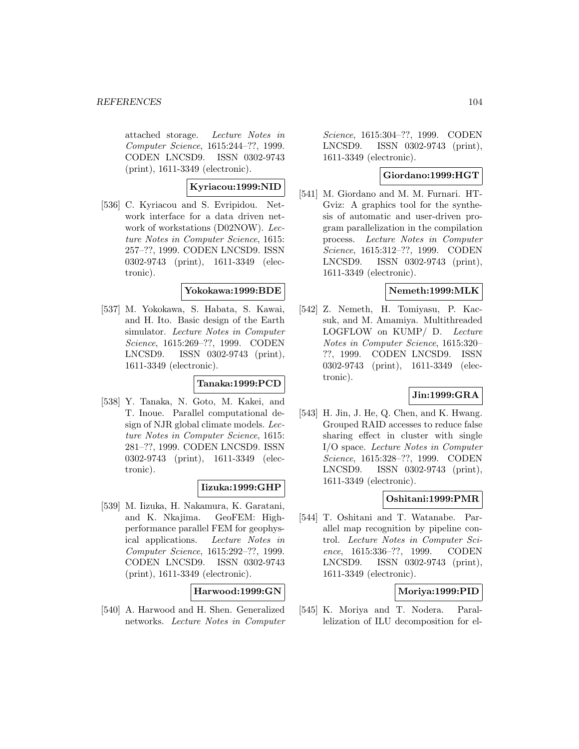attached storage. Lecture Notes in Computer Science, 1615:244–??, 1999. CODEN LNCSD9. ISSN 0302-9743 (print), 1611-3349 (electronic).

## **Kyriacou:1999:NID**

[536] C. Kyriacou and S. Evripidou. Network interface for a data driven network of workstations (D02NOW). Lecture Notes in Computer Science, 1615: 257–??, 1999. CODEN LNCSD9. ISSN 0302-9743 (print), 1611-3349 (electronic).

## **Yokokawa:1999:BDE**

[537] M. Yokokawa, S. Habata, S. Kawai, and H. Ito. Basic design of the Earth simulator. Lecture Notes in Computer Science, 1615:269–??, 1999. CODEN LNCSD9. ISSN 0302-9743 (print), 1611-3349 (electronic).

## **Tanaka:1999:PCD**

[538] Y. Tanaka, N. Goto, M. Kakei, and T. Inoue. Parallel computational design of NJR global climate models. Lecture Notes in Computer Science, 1615: 281–??, 1999. CODEN LNCSD9. ISSN 0302-9743 (print), 1611-3349 (electronic).

## **Iizuka:1999:GHP**

[539] M. Iizuka, H. Nakamura, K. Garatani, and K. Nkajima. GeoFEM: Highperformance parallel FEM for geophysical applications. Lecture Notes in Computer Science, 1615:292–??, 1999. CODEN LNCSD9. ISSN 0302-9743 (print), 1611-3349 (electronic).

## **Harwood:1999:GN**

[540] A. Harwood and H. Shen. Generalized networks. Lecture Notes in Computer

Science, 1615:304–??, 1999. CODEN LNCSD9. ISSN 0302-9743 (print), 1611-3349 (electronic).

## **Giordano:1999:HGT**

[541] M. Giordano and M. M. Furnari. HT-Gviz: A graphics tool for the synthesis of automatic and user-driven program parallelization in the compilation process. Lecture Notes in Computer Science, 1615:312–??, 1999. CODEN LNCSD9. ISSN 0302-9743 (print), 1611-3349 (electronic).

## **Nemeth:1999:MLK**

[542] Z. Nemeth, H. Tomiyasu, P. Kacsuk, and M. Amamiya. Multithreaded LOGFLOW on KUMP/ D. Lecture Notes in Computer Science, 1615:320– ??, 1999. CODEN LNCSD9. ISSN 0302-9743 (print), 1611-3349 (electronic).

## **Jin:1999:GRA**

[543] H. Jin, J. He, Q. Chen, and K. Hwang. Grouped RAID accesses to reduce false sharing effect in cluster with single I/O space. Lecture Notes in Computer Science, 1615:328–??, 1999. CODEN LNCSD9. ISSN 0302-9743 (print), 1611-3349 (electronic).

### **Oshitani:1999:PMR**

[544] T. Oshitani and T. Watanabe. Parallel map recognition by pipeline control. Lecture Notes in Computer Science, 1615:336–??, 1999. CODEN LNCSD9. ISSN 0302-9743 (print), 1611-3349 (electronic).

## **Moriya:1999:PID**

[545] K. Moriya and T. Nodera. Parallelization of ILU decomposition for el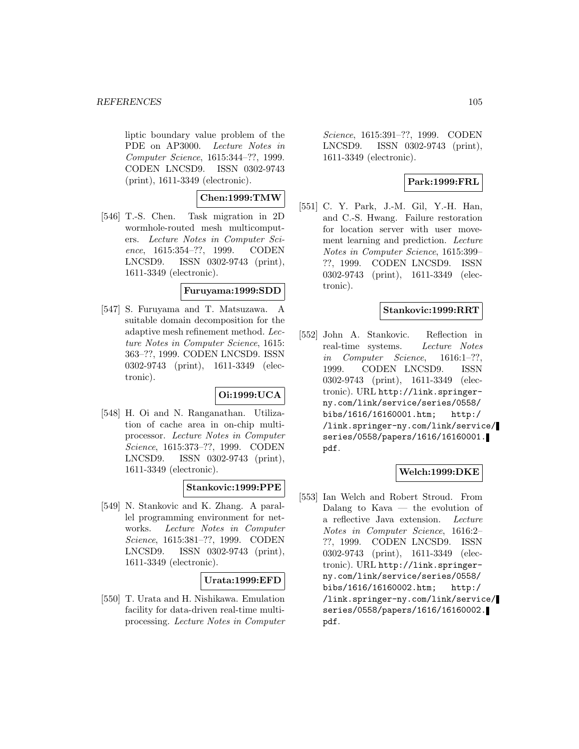liptic boundary value problem of the PDE on AP3000. Lecture Notes in Computer Science, 1615:344–??, 1999. CODEN LNCSD9. ISSN 0302-9743 (print), 1611-3349 (electronic).

# **Chen:1999:TMW**

[546] T.-S. Chen. Task migration in 2D wormhole-routed mesh multicomputers. Lecture Notes in Computer Science, 1615:354–??, 1999. CODEN LNCSD9. ISSN 0302-9743 (print), 1611-3349 (electronic).

## **Furuyama:1999:SDD**

[547] S. Furuyama and T. Matsuzawa. suitable domain decomposition for the adaptive mesh refinement method. Lecture Notes in Computer Science, 1615: 363–??, 1999. CODEN LNCSD9. ISSN 0302-9743 (print), 1611-3349 (electronic).

## **Oi:1999:UCA**

[548] H. Oi and N. Ranganathan. Utilization of cache area in on-chip multiprocessor. Lecture Notes in Computer Science, 1615:373–??, 1999. CODEN LNCSD9. ISSN 0302-9743 (print), 1611-3349 (electronic).

# **Stankovic:1999:PPE**

[549] N. Stankovic and K. Zhang. A parallel programming environment for networks. Lecture Notes in Computer Science, 1615:381–??, 1999. CODEN LNCSD9. ISSN 0302-9743 (print), 1611-3349 (electronic).

## **Urata:1999:EFD**

[550] T. Urata and H. Nishikawa. Emulation facility for data-driven real-time multiprocessing. Lecture Notes in Computer

Science, 1615:391–??, 1999. CODEN LNCSD9. ISSN 0302-9743 (print), 1611-3349 (electronic).

# **Park:1999:FRL**

[551] C. Y. Park, J.-M. Gil, Y.-H. Han, and C.-S. Hwang. Failure restoration for location server with user movement learning and prediction. Lecture Notes in Computer Science, 1615:399– ??, 1999. CODEN LNCSD9. ISSN 0302-9743 (print), 1611-3349 (electronic).

## **Stankovic:1999:RRT**

[552] John A. Stankovic. Reflection in real-time systems. Lecture Notes in Computer Science, 1616:1–??, 1999. CODEN LNCSD9. ISSN 0302-9743 (print), 1611-3349 (electronic). URL http://link.springerny.com/link/service/series/0558/ bibs/1616/16160001.htm; http:/ /link.springer-ny.com/link/service/ series/0558/papers/1616/16160001. pdf.

## **Welch:1999:DKE**

[553] Ian Welch and Robert Stroud. From Dalang to  $K$ ava  $-$  the evolution of a reflective Java extension. Lecture Notes in Computer Science, 1616:2– ??, 1999. CODEN LNCSD9. ISSN 0302-9743 (print), 1611-3349 (electronic). URL http://link.springerny.com/link/service/series/0558/ bibs/1616/16160002.htm; http:/ /link.springer-ny.com/link/service/ series/0558/papers/1616/16160002. pdf.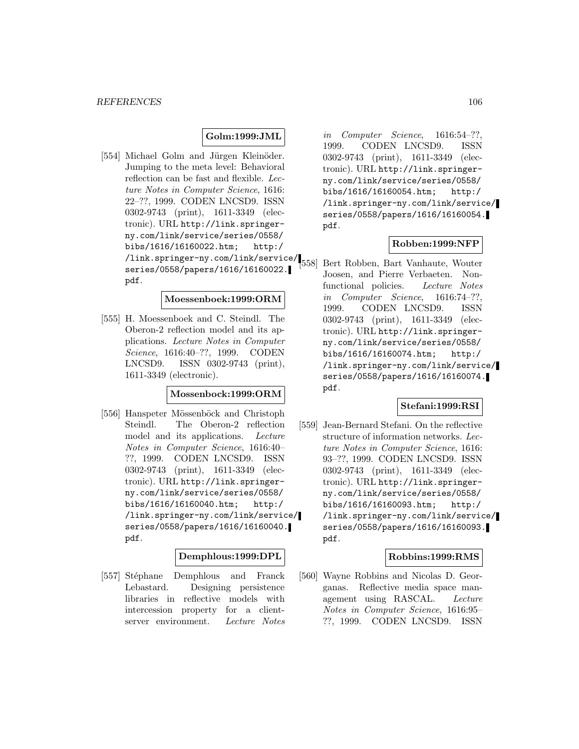## **Golm:1999:JML**

[554] Michael Golm and Jürgen Kleinöder. Jumping to the meta level: Behavioral reflection can be fast and flexible. Lecture Notes in Computer Science, 1616: 22–??, 1999. CODEN LNCSD9. ISSN 0302-9743 (print), 1611-3349 (electronic). URL http://link.springerny.com/link/service/series/0558/ bibs/1616/16160022.htm; http:/ /link.springer-ny.com/link/service/ series/0558/papers/1616/16160022. pdf.

#### **Moessenboek:1999:ORM**

[555] H. Moessenboek and C. Steindl. The Oberon-2 reflection model and its applications. Lecture Notes in Computer Science, 1616:40–??, 1999. CODEN LNCSD9. ISSN 0302-9743 (print), 1611-3349 (electronic).

### **Mossenbock:1999:ORM**

[556] Hanspeter Mössenböck and Christoph Steindl. The Oberon-2 reflection model and its applications. Lecture Notes in Computer Science, 1616:40– ??, 1999. CODEN LNCSD9. ISSN 0302-9743 (print), 1611-3349 (electronic). URL http://link.springerny.com/link/service/series/0558/ bibs/1616/16160040.htm; http:/ /link.springer-ny.com/link/service/ series/0558/papers/1616/16160040. pdf.

## **Demphlous:1999:DPL**

[557] Stéphane Demphlous and Franck Lebastard. Designing persistence libraries in reflective models with intercession property for a clientserver environment. Lecture Notes

in Computer Science, 1616:54–??, 1999. CODEN LNCSD9. ISSN 0302-9743 (print), 1611-3349 (electronic). URL http://link.springerny.com/link/service/series/0558/ bibs/1616/16160054.htm; http:/ /link.springer-ny.com/link/service/ series/0558/papers/1616/16160054. pdf.

## **Robben:1999:NFP**

[558] Bert Robben, Bart Vanhaute, Wouter Joosen, and Pierre Verbaeten. Nonfunctional policies. Lecture Notes in Computer Science, 1616:74–??, 1999. CODEN LNCSD9. ISSN 0302-9743 (print), 1611-3349 (electronic). URL http://link.springerny.com/link/service/series/0558/ bibs/1616/16160074.htm; http:/ /link.springer-ny.com/link/service/ series/0558/papers/1616/16160074. pdf.

#### **Stefani:1999:RSI**

[559] Jean-Bernard Stefani. On the reflective structure of information networks. Lecture Notes in Computer Science, 1616: 93–??, 1999. CODEN LNCSD9. ISSN 0302-9743 (print), 1611-3349 (electronic). URL http://link.springerny.com/link/service/series/0558/ bibs/1616/16160093.htm; http:/ /link.springer-ny.com/link/service/ series/0558/papers/1616/16160093. pdf.

#### **Robbins:1999:RMS**

[560] Wayne Robbins and Nicolas D. Georganas. Reflective media space management using RASCAL. Lecture Notes in Computer Science, 1616:95– ??, 1999. CODEN LNCSD9. ISSN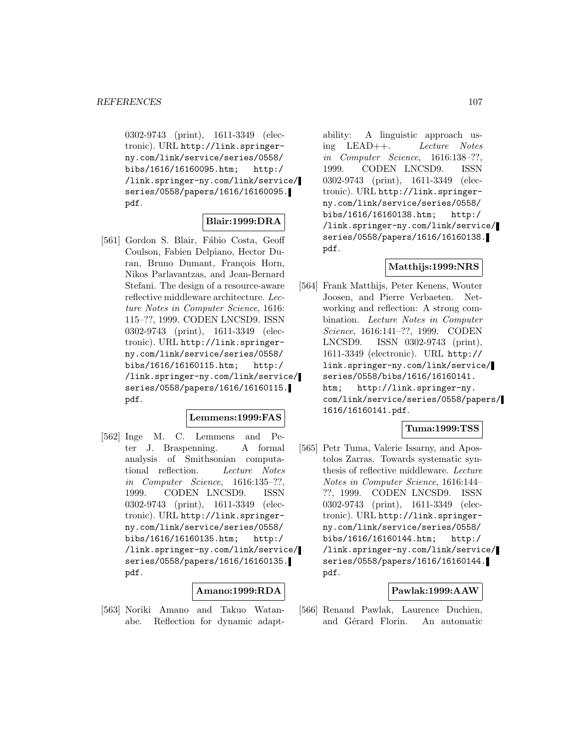0302-9743 (print), 1611-3349 (electronic). URL http://link.springerny.com/link/service/series/0558/ bibs/1616/16160095.htm; http:/ /link.springer-ny.com/link/service/ series/0558/papers/1616/16160095. pdf.

## **Blair:1999:DRA**

[561] Gordon S. Blair, Fábio Costa, Geoff Coulson, Fabien Delpiano, Hector Duran, Bruno Dumant, François Horn, Nikos Parlavantzas, and Jean-Bernard Stefani. The design of a resource-aware reflective middleware architecture. Lecture Notes in Computer Science, 1616: 115–??, 1999. CODEN LNCSD9. ISSN 0302-9743 (print), 1611-3349 (electronic). URL http://link.springerny.com/link/service/series/0558/ bibs/1616/16160115.htm; http:/ /link.springer-ny.com/link/service/ series/0558/papers/1616/16160115. pdf.

## **Lemmens:1999:FAS**

[562] Inge M. C. Lemmens and Peter J. Braspenning. A formal analysis of Smithsonian computational reflection. Lecture Notes in Computer Science, 1616:135–??, 1999. CODEN LNCSD9. ISSN 0302-9743 (print), 1611-3349 (electronic). URL http://link.springerny.com/link/service/series/0558/ bibs/1616/16160135.htm; http:/ /link.springer-ny.com/link/service/ series/0558/papers/1616/16160135. pdf.

#### **Amano:1999:RDA**

[563] Noriki Amano and Takuo Watanabe. Reflection for dynamic adapt-

ability: A linguistic approach using LEAD++. Lecture Notes in Computer Science, 1616:138–??, 1999. CODEN LNCSD9. ISSN 0302-9743 (print), 1611-3349 (electronic). URL http://link.springerny.com/link/service/series/0558/ bibs/1616/16160138.htm; http:/ /link.springer-ny.com/link/service/ series/0558/papers/1616/16160138. pdf.

### **Matthijs:1999:NRS**

[564] Frank Matthijs, Peter Kenens, Wouter Joosen, and Pierre Verbaeten. Networking and reflection: A strong combination. Lecture Notes in Computer Science, 1616:141–??, 1999. CODEN LNCSD9. ISSN 0302-9743 (print), 1611-3349 (electronic). URL http:// link.springer-ny.com/link/service/ series/0558/bibs/1616/16160141. htm; http://link.springer-ny. com/link/service/series/0558/papers/ 1616/16160141.pdf.

## **Tuma:1999:TSS**

[565] Petr Tuma, Valerie Issarny, and Apostolos Zarras. Towards systematic synthesis of reflective middleware. Lecture Notes in Computer Science, 1616:144– ??, 1999. CODEN LNCSD9. ISSN 0302-9743 (print), 1611-3349 (electronic). URL http://link.springerny.com/link/service/series/0558/ bibs/1616/16160144.htm; http:/ /link.springer-ny.com/link/service/ series/0558/papers/1616/16160144. pdf.

#### **Pawlak:1999:AAW**

[566] Renaud Pawlak, Laurence Duchien, and Gérard Florin. An automatic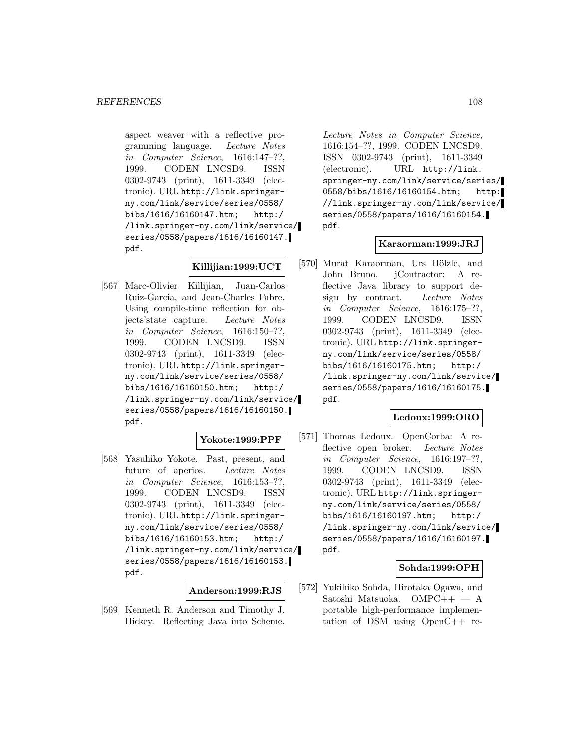aspect weaver with a reflective programming language. Lecture Notes in Computer Science, 1616:147–??, 1999. CODEN LNCSD9. ISSN 0302-9743 (print), 1611-3349 (electronic). URL http://link.springerny.com/link/service/series/0558/ bibs/1616/16160147.htm; http:/ /link.springer-ny.com/link/service/ series/0558/papers/1616/16160147. pdf.

# **Killijian:1999:UCT**

[567] Marc-Olivier Killijian, Juan-Carlos Ruiz-Garcia, and Jean-Charles Fabre. Using compile-time reflection for objects'state capture. Lecture Notes in Computer Science, 1616:150–??, 1999. CODEN LNCSD9. ISSN 0302-9743 (print), 1611-3349 (electronic). URL http://link.springerny.com/link/service/series/0558/ bibs/1616/16160150.htm; http:/ /link.springer-ny.com/link/service/ series/0558/papers/1616/16160150. pdf.

## **Yokote:1999:PPF**

[568] Yasuhiko Yokote. Past, present, and future of aperios. Lecture Notes in Computer Science, 1616:153–??, 1999. CODEN LNCSD9. ISSN 0302-9743 (print), 1611-3349 (electronic). URL http://link.springerny.com/link/service/series/0558/ bibs/1616/16160153.htm; http:/ /link.springer-ny.com/link/service/ series/0558/papers/1616/16160153. pdf.

#### **Anderson:1999:RJS**

[569] Kenneth R. Anderson and Timothy J. Hickey. Reflecting Java into Scheme.

Lecture Notes in Computer Science, 1616:154–??, 1999. CODEN LNCSD9. ISSN 0302-9743 (print), 1611-3349 (electronic). URL http://link. springer-ny.com/link/service/series/ 0558/bibs/1616/16160154.htm; http: //link.springer-ny.com/link/service/ series/0558/papers/1616/16160154. pdf.

## **Karaorman:1999:JRJ**

[570] Murat Karaorman, Urs Hölzle, and John Bruno. jContractor: A reflective Java library to support design by contract. Lecture Notes in Computer Science, 1616:175–??, 1999. CODEN LNCSD9. ISSN 0302-9743 (print), 1611-3349 (electronic). URL http://link.springerny.com/link/service/series/0558/ bibs/1616/16160175.htm; http:/ /link.springer-ny.com/link/service/ series/0558/papers/1616/16160175. pdf.

## **Ledoux:1999:ORO**

[571] Thomas Ledoux. OpenCorba: A reflective open broker. Lecture Notes in Computer Science, 1616:197–??, 1999. CODEN LNCSD9. ISSN 0302-9743 (print), 1611-3349 (electronic). URL http://link.springerny.com/link/service/series/0558/ bibs/1616/16160197.htm; http:/ /link.springer-ny.com/link/service/ series/0558/papers/1616/16160197. pdf.

## **Sohda:1999:OPH**

[572] Yukihiko Sohda, Hirotaka Ogawa, and Satoshi Matsuoka. OMPC++ — A portable high-performance implementation of DSM using OpenC++ re-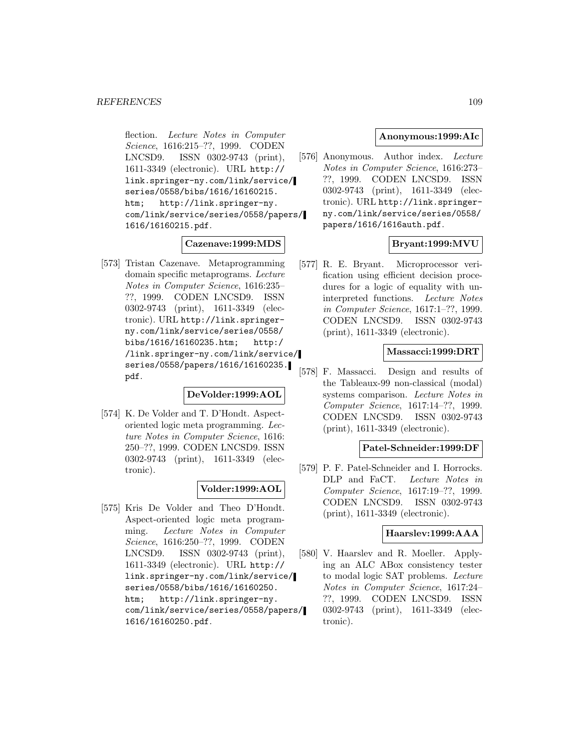flection. Lecture Notes in Computer Science, 1616:215–??, 1999. CODEN LNCSD9. ISSN 0302-9743 (print), 1611-3349 (electronic). URL http:// link.springer-ny.com/link/service/ series/0558/bibs/1616/16160215. htm; http://link.springer-ny. com/link/service/series/0558/papers/ 1616/16160215.pdf.

#### **Cazenave:1999:MDS**

[573] Tristan Cazenave. Metaprogramming domain specific metaprograms. Lecture Notes in Computer Science, 1616:235– ??, 1999. CODEN LNCSD9. ISSN 0302-9743 (print), 1611-3349 (electronic). URL http://link.springerny.com/link/service/series/0558/ bibs/1616/16160235.htm; http:/ /link.springer-ny.com/link/service/ series/0558/papers/1616/16160235. pdf.

#### **DeVolder:1999:AOL**

[574] K. De Volder and T. D'Hondt. Aspectoriented logic meta programming. Lecture Notes in Computer Science, 1616: 250–??, 1999. CODEN LNCSD9. ISSN 0302-9743 (print), 1611-3349 (electronic).

### **Volder:1999:AOL**

[575] Kris De Volder and Theo D'Hondt. Aspect-oriented logic meta programming. Lecture Notes in Computer Science, 1616:250–??, 1999. CODEN LNCSD9. ISSN 0302-9743 (print), 1611-3349 (electronic). URL http:// link.springer-ny.com/link/service/ series/0558/bibs/1616/16160250. htm; http://link.springer-ny. com/link/service/series/0558/papers/ 1616/16160250.pdf.

### **Anonymous:1999:AIc**

[576] Anonymous. Author index. Lecture Notes in Computer Science, 1616:273– ??, 1999. CODEN LNCSD9. ISSN 0302-9743 (print), 1611-3349 (electronic). URL http://link.springerny.com/link/service/series/0558/ papers/1616/1616auth.pdf.

## **Bryant:1999:MVU**

[577] R. E. Bryant. Microprocessor verification using efficient decision procedures for a logic of equality with uninterpreted functions. Lecture Notes in Computer Science, 1617:1–??, 1999. CODEN LNCSD9. ISSN 0302-9743 (print), 1611-3349 (electronic).

### **Massacci:1999:DRT**

[578] F. Massacci. Design and results of the Tableaux-99 non-classical (modal) systems comparison. Lecture Notes in Computer Science, 1617:14–??, 1999. CODEN LNCSD9. ISSN 0302-9743 (print), 1611-3349 (electronic).

### **Patel-Schneider:1999:DF**

[579] P. F. Patel-Schneider and I. Horrocks. DLP and FaCT. Lecture Notes in Computer Science, 1617:19–??, 1999. CODEN LNCSD9. ISSN 0302-9743 (print), 1611-3349 (electronic).

# **Haarslev:1999:AAA**

[580] V. Haarslev and R. Moeller. Applying an ALC ABox consistency tester to modal logic SAT problems. Lecture Notes in Computer Science, 1617:24– ??, 1999. CODEN LNCSD9. ISSN 0302-9743 (print), 1611-3349 (electronic).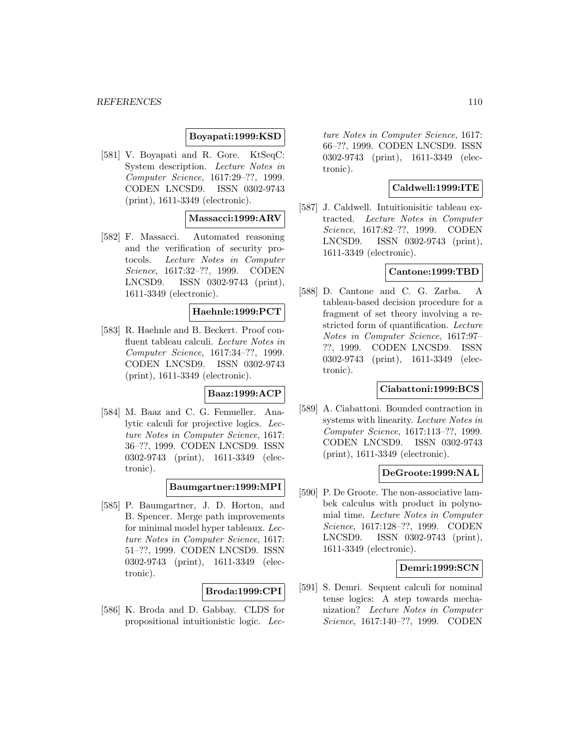### **Boyapati:1999:KSD**

[581] V. Boyapati and R. Gore. KtSeqC: System description. Lecture Notes in Computer Science, 1617:29–??, 1999. CODEN LNCSD9. ISSN 0302-9743 (print), 1611-3349 (electronic).

### **Massacci:1999:ARV**

[582] F. Massacci. Automated reasoning and the verification of security protocols. Lecture Notes in Computer Science, 1617:32–??, 1999. CODEN LNCSD9. ISSN 0302-9743 (print), 1611-3349 (electronic).

### **Haehnle:1999:PCT**

[583] R. Haehnle and B. Beckert. Proof confluent tableau calculi. Lecture Notes in Computer Science, 1617:34–??, 1999. CODEN LNCSD9. ISSN 0302-9743 (print), 1611-3349 (electronic).

#### **Baaz:1999:ACP**

[584] M. Baaz and C. G. Femueller. Analytic calculi for projective logics. Lecture Notes in Computer Science, 1617: 36–??, 1999. CODEN LNCSD9. ISSN 0302-9743 (print), 1611-3349 (electronic).

# **Baumgartner:1999:MPI**

[585] P. Baumgartner, J. D. Horton, and B. Spencer. Merge path improvements for minimal model hyper tableaux. Lecture Notes in Computer Science, 1617: 51–??, 1999. CODEN LNCSD9. ISSN 0302-9743 (print), 1611-3349 (electronic).

#### **Broda:1999:CPI**

[586] K. Broda and D. Gabbay. CLDS for propositional intuitionistic logic. Lec-

ture Notes in Computer Science, 1617: 66–??, 1999. CODEN LNCSD9. ISSN 0302-9743 (print), 1611-3349 (electronic).

## **Caldwell:1999:ITE**

[587] J. Caldwell. Intuitionisitic tableau extracted. Lecture Notes in Computer Science, 1617:82–??, 1999. CODEN LNCSD9. ISSN 0302-9743 (print), 1611-3349 (electronic).

#### **Cantone:1999:TBD**

[588] D. Cantone and C. G. Zarba. A tableau-based decision procedure for a fragment of set theory involving a restricted form of quantification. Lecture Notes in Computer Science, 1617:97– ??, 1999. CODEN LNCSD9. ISSN 0302-9743 (print), 1611-3349 (electronic).

#### **Ciabattoni:1999:BCS**

[589] A. Ciabattoni. Bounded contraction in systems with linearity. Lecture Notes in Computer Science, 1617:113–??, 1999. CODEN LNCSD9. ISSN 0302-9743 (print), 1611-3349 (electronic).

## **DeGroote:1999:NAL**

[590] P. De Groote. The non-associative lambek calculus with product in polynomial time. Lecture Notes in Computer Science, 1617:128–??, 1999. CODEN LNCSD9. ISSN 0302-9743 (print), 1611-3349 (electronic).

### **Demri:1999:SCN**

[591] S. Demri. Sequent calculi for nominal tense logics: A step towards mechanization? Lecture Notes in Computer Science, 1617:140–??, 1999. CODEN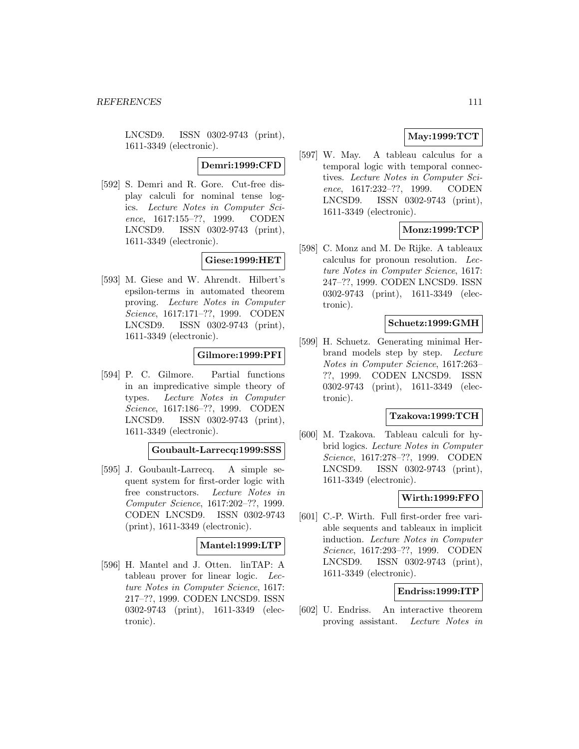LNCSD9. ISSN 0302-9743 (print), 1611-3349 (electronic).

### **Demri:1999:CFD**

[592] S. Demri and R. Gore. Cut-free display calculi for nominal tense logics. Lecture Notes in Computer Science, 1617:155–??, 1999. CODEN LNCSD9. ISSN 0302-9743 (print), 1611-3349 (electronic).

### **Giese:1999:HET**

[593] M. Giese and W. Ahrendt. Hilbert's epsilon-terms in automated theorem proving. Lecture Notes in Computer Science, 1617:171–??, 1999. CODEN LNCSD9. ISSN 0302-9743 (print), 1611-3349 (electronic).

#### **Gilmore:1999:PFI**

[594] P. C. Gilmore. Partial functions in an impredicative simple theory of types. Lecture Notes in Computer Science, 1617:186–??, 1999. CODEN LNCSD9. ISSN 0302-9743 (print), 1611-3349 (electronic).

#### **Goubault-Larrecq:1999:SSS**

[595] J. Goubault-Larrecq. A simple sequent system for first-order logic with free constructors. Lecture Notes in Computer Science, 1617:202–??, 1999. CODEN LNCSD9. ISSN 0302-9743 (print), 1611-3349 (electronic).

## **Mantel:1999:LTP**

[596] H. Mantel and J. Otten. linTAP: A tableau prover for linear logic. Lecture Notes in Computer Science, 1617: 217–??, 1999. CODEN LNCSD9. ISSN 0302-9743 (print), 1611-3349 (electronic).

# **May:1999:TCT**

[597] W. May. A tableau calculus for a temporal logic with temporal connectives. Lecture Notes in Computer Science, 1617:232–??, 1999. CODEN LNCSD9. ISSN 0302-9743 (print), 1611-3349 (electronic).

## **Monz:1999:TCP**

[598] C. Monz and M. De Rijke. A tableaux calculus for pronoun resolution. Lecture Notes in Computer Science, 1617: 247–??, 1999. CODEN LNCSD9. ISSN 0302-9743 (print), 1611-3349 (electronic).

#### **Schuetz:1999:GMH**

[599] H. Schuetz. Generating minimal Herbrand models step by step. Lecture Notes in Computer Science, 1617:263– ??, 1999. CODEN LNCSD9. ISSN 0302-9743 (print), 1611-3349 (electronic).

### **Tzakova:1999:TCH**

[600] M. Tzakova. Tableau calculi for hybrid logics. Lecture Notes in Computer Science, 1617:278–??, 1999. CODEN LNCSD9. ISSN 0302-9743 (print), 1611-3349 (electronic).

### **Wirth:1999:FFO**

[601] C.-P. Wirth. Full first-order free variable sequents and tableaux in implicit induction. Lecture Notes in Computer Science, 1617:293–??, 1999. CODEN LNCSD9. ISSN 0302-9743 (print), 1611-3349 (electronic).

### **Endriss:1999:ITP**

[602] U. Endriss. An interactive theorem proving assistant. Lecture Notes in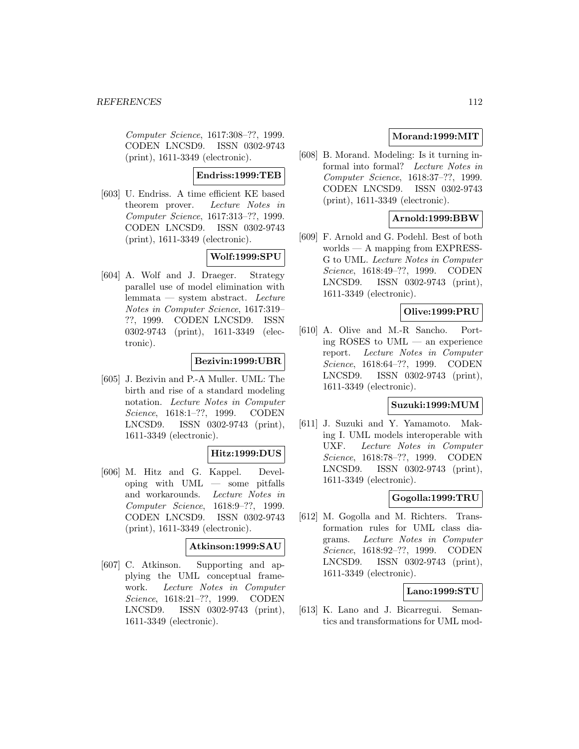Computer Science, 1617:308–??, 1999. CODEN LNCSD9. ISSN 0302-9743 (print), 1611-3349 (electronic).

### **Endriss:1999:TEB**

[603] U. Endriss. A time efficient KE based theorem prover. Lecture Notes in Computer Science, 1617:313–??, 1999. CODEN LNCSD9. ISSN 0302-9743 (print), 1611-3349 (electronic).

# **Wolf:1999:SPU**

[604] A. Wolf and J. Draeger. Strategy parallel use of model elimination with lemmata — system abstract. Lecture Notes in Computer Science, 1617:319– ??, 1999. CODEN LNCSD9. ISSN 0302-9743 (print), 1611-3349 (electronic).

### **Bezivin:1999:UBR**

[605] J. Bezivin and P.-A Muller. UML: The birth and rise of a standard modeling notation. Lecture Notes in Computer Science, 1618:1–??, 1999. CODEN LNCSD9. ISSN 0302-9743 (print), 1611-3349 (electronic).

### **Hitz:1999:DUS**

[606] M. Hitz and G. Kappel. Developing with UML — some pitfalls and workarounds. Lecture Notes in Computer Science, 1618:9–??, 1999. CODEN LNCSD9. ISSN 0302-9743 (print), 1611-3349 (electronic).

#### **Atkinson:1999:SAU**

[607] C. Atkinson. Supporting and applying the UML conceptual framework. Lecture Notes in Computer Science, 1618:21–??, 1999. CODEN LNCSD9. ISSN 0302-9743 (print), 1611-3349 (electronic).

# **Morand:1999:MIT**

[608] B. Morand. Modeling: Is it turning informal into formal? Lecture Notes in Computer Science, 1618:37–??, 1999. CODEN LNCSD9. ISSN 0302-9743 (print), 1611-3349 (electronic).

## **Arnold:1999:BBW**

[609] F. Arnold and G. Podehl. Best of both worlds — A mapping from EXPRESS-G to UML. Lecture Notes in Computer Science, 1618:49–??, 1999. CODEN LNCSD9. ISSN 0302-9743 (print), 1611-3349 (electronic).

# **Olive:1999:PRU**

[610] A. Olive and M.-R Sancho. Porting ROSES to UML — an experience report. Lecture Notes in Computer Science, 1618:64–??, 1999. CODEN LNCSD9. ISSN 0302-9743 (print), 1611-3349 (electronic).

# **Suzuki:1999:MUM**

[611] J. Suzuki and Y. Yamamoto. Making I. UML models interoperable with UXF. Lecture Notes in Computer Science, 1618:78–??, 1999. CODEN LNCSD9. ISSN 0302-9743 (print), 1611-3349 (electronic).

# **Gogolla:1999:TRU**

[612] M. Gogolla and M. Richters. Transformation rules for UML class diagrams. Lecture Notes in Computer Science, 1618:92–??, 1999. CODEN LNCSD9. ISSN 0302-9743 (print), 1611-3349 (electronic).

# **Lano:1999:STU**

[613] K. Lano and J. Bicarregui. Semantics and transformations for UML mod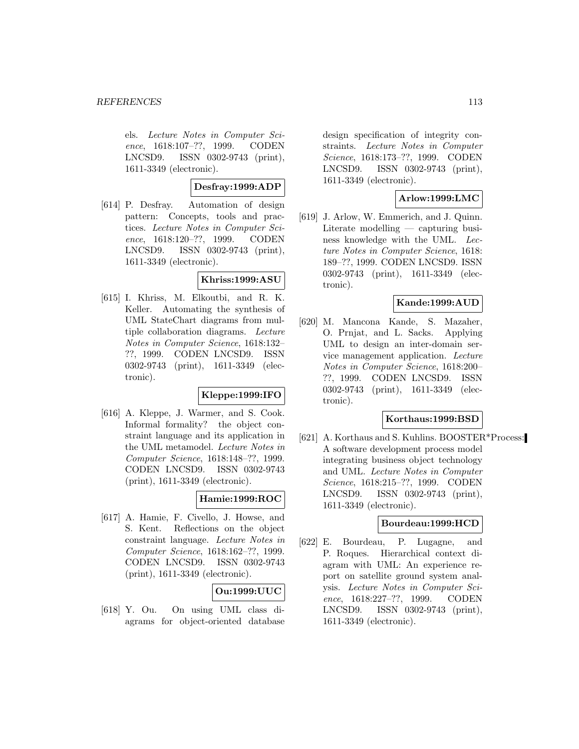els. Lecture Notes in Computer Science, 1618:107–??, 1999. CODEN LNCSD9. ISSN 0302-9743 (print), 1611-3349 (electronic).

**Desfray:1999:ADP**

[614] P. Desfray. Automation of design pattern: Concepts, tools and practices. Lecture Notes in Computer Science, 1618:120–??, 1999. CODEN LNCSD9. ISSN 0302-9743 (print), 1611-3349 (electronic).

## **Khriss:1999:ASU**

[615] I. Khriss, M. Elkoutbi, and R. K. Keller. Automating the synthesis of UML StateChart diagrams from multiple collaboration diagrams. Lecture Notes in Computer Science, 1618:132– ??, 1999. CODEN LNCSD9. ISSN 0302-9743 (print), 1611-3349 (electronic).

## **Kleppe:1999:IFO**

[616] A. Kleppe, J. Warmer, and S. Cook. Informal formality? the object constraint language and its application in the UML metamodel. Lecture Notes in Computer Science, 1618:148–??, 1999. CODEN LNCSD9. ISSN 0302-9743 (print), 1611-3349 (electronic).

### **Hamie:1999:ROC**

[617] A. Hamie, F. Civello, J. Howse, and S. Kent. Reflections on the object constraint language. Lecture Notes in Computer Science, 1618:162–??, 1999. CODEN LNCSD9. ISSN 0302-9743 (print), 1611-3349 (electronic).

# **Ou:1999:UUC**

[618] Y. Ou. On using UML class diagrams for object-oriented database

design specification of integrity constraints. Lecture Notes in Computer Science, 1618:173–??, 1999. CODEN LNCSD9. ISSN 0302-9743 (print), 1611-3349 (electronic).

## **Arlow:1999:LMC**

[619] J. Arlow, W. Emmerich, and J. Quinn. Literate modelling — capturing business knowledge with the UML. Lecture Notes in Computer Science, 1618: 189–??, 1999. CODEN LNCSD9. ISSN 0302-9743 (print), 1611-3349 (electronic).

### **Kande:1999:AUD**

[620] M. Mancona Kande, S. Mazaher, O. Prnjat, and L. Sacks. Applying UML to design an inter-domain service management application. Lecture Notes in Computer Science, 1618:200– ??, 1999. CODEN LNCSD9. ISSN 0302-9743 (print), 1611-3349 (electronic).

### **Korthaus:1999:BSD**

[621] A. Korthaus and S. Kuhlins. BOOSTER\*Process: A software development process model integrating business object technology and UML. Lecture Notes in Computer Science, 1618:215–??, 1999. CODEN LNCSD9. ISSN 0302-9743 (print), 1611-3349 (electronic).

#### **Bourdeau:1999:HCD**

[622] E. Bourdeau, P. Lugagne, and P. Roques. Hierarchical context diagram with UML: An experience report on satellite ground system analysis. Lecture Notes in Computer Science, 1618:227–??, 1999. CODEN LNCSD9. ISSN 0302-9743 (print), 1611-3349 (electronic).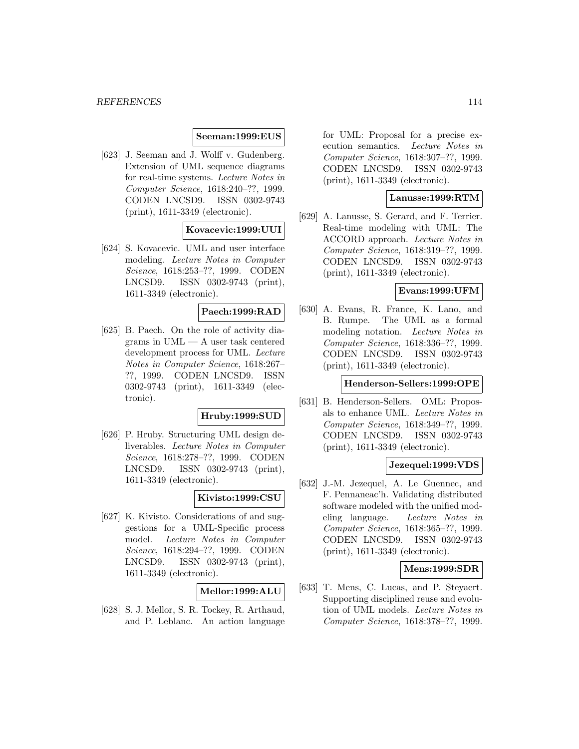#### **Seeman:1999:EUS**

[623] J. Seeman and J. Wolff v. Gudenberg. Extension of UML sequence diagrams for real-time systems. Lecture Notes in Computer Science, 1618:240–??, 1999. CODEN LNCSD9. ISSN 0302-9743 (print), 1611-3349 (electronic).

### **Kovacevic:1999:UUI**

[624] S. Kovacevic. UML and user interface modeling. Lecture Notes in Computer Science, 1618:253–??, 1999. CODEN LNCSD9. ISSN 0302-9743 (print), 1611-3349 (electronic).

## **Paech:1999:RAD**

[625] B. Paech. On the role of activity diagrams in UML — A user task centered development process for UML. Lecture Notes in Computer Science, 1618:267– ??, 1999. CODEN LNCSD9. ISSN 0302-9743 (print), 1611-3349 (electronic).

## **Hruby:1999:SUD**

[626] P. Hruby. Structuring UML design deliverables. Lecture Notes in Computer Science, 1618:278–??, 1999. CODEN LNCSD9. ISSN 0302-9743 (print), 1611-3349 (electronic).

## **Kivisto:1999:CSU**

[627] K. Kivisto. Considerations of and suggestions for a UML-Specific process model. Lecture Notes in Computer Science, 1618:294–??, 1999. CODEN LNCSD9. ISSN 0302-9743 (print), 1611-3349 (electronic).

### **Mellor:1999:ALU**

[628] S. J. Mellor, S. R. Tockey, R. Arthaud, and P. Leblanc. An action language

for UML: Proposal for a precise execution semantics. Lecture Notes in Computer Science, 1618:307–??, 1999. CODEN LNCSD9. ISSN 0302-9743 (print), 1611-3349 (electronic).

### **Lanusse:1999:RTM**

[629] A. Lanusse, S. Gerard, and F. Terrier. Real-time modeling with UML: The ACCORD approach. Lecture Notes in Computer Science, 1618:319–??, 1999. CODEN LNCSD9. ISSN 0302-9743 (print), 1611-3349 (electronic).

#### **Evans:1999:UFM**

[630] A. Evans, R. France, K. Lano, and B. Rumpe. The UML as a formal modeling notation. Lecture Notes in Computer Science, 1618:336–??, 1999. CODEN LNCSD9. ISSN 0302-9743 (print), 1611-3349 (electronic).

#### **Henderson-Sellers:1999:OPE**

[631] B. Henderson-Sellers. OML: Proposals to enhance UML. Lecture Notes in Computer Science, 1618:349–??, 1999. CODEN LNCSD9. ISSN 0302-9743 (print), 1611-3349 (electronic).

## **Jezequel:1999:VDS**

[632] J.-M. Jezequel, A. Le Guennec, and F. Pennaneac'h. Validating distributed software modeled with the unified modeling language. Lecture Notes in Computer Science, 1618:365–??, 1999. CODEN LNCSD9. ISSN 0302-9743 (print), 1611-3349 (electronic).

#### **Mens:1999:SDR**

[633] T. Mens, C. Lucas, and P. Steyaert. Supporting disciplined reuse and evolution of UML models. Lecture Notes in Computer Science, 1618:378–??, 1999.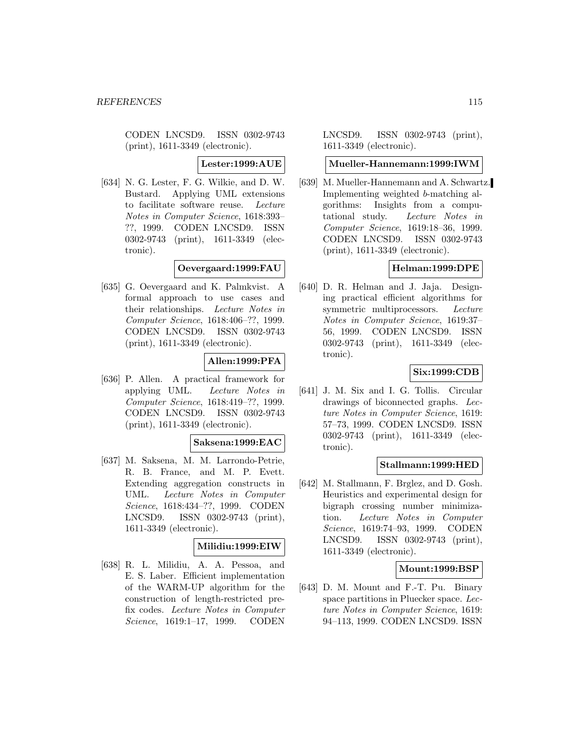CODEN LNCSD9. ISSN 0302-9743 (print), 1611-3349 (electronic).

**Lester:1999:AUE**

[634] N. G. Lester, F. G. Wilkie, and D. W. Bustard. Applying UML extensions to facilitate software reuse. Lecture Notes in Computer Science, 1618:393– ??, 1999. CODEN LNCSD9. ISSN 0302-9743 (print), 1611-3349 (electronic).

### **Oevergaard:1999:FAU**

[635] G. Oevergaard and K. Palmkvist. A formal approach to use cases and their relationships. Lecture Notes in Computer Science, 1618:406–??, 1999. CODEN LNCSD9. ISSN 0302-9743 (print), 1611-3349 (electronic).

### **Allen:1999:PFA**

[636] P. Allen. A practical framework for applying UML. Lecture Notes in Computer Science, 1618:419–??, 1999. CODEN LNCSD9. ISSN 0302-9743 (print), 1611-3349 (electronic).

#### **Saksena:1999:EAC**

[637] M. Saksena, M. M. Larrondo-Petrie, R. B. France, and M. P. Evett. Extending aggregation constructs in UML. Lecture Notes in Computer Science, 1618:434–??, 1999. CODEN LNCSD9. ISSN 0302-9743 (print), 1611-3349 (electronic).

#### **Milidiu:1999:EIW**

[638] R. L. Milidiu, A. A. Pessoa, and E. S. Laber. Efficient implementation of the WARM-UP algorithm for the construction of length-restricted prefix codes. Lecture Notes in Computer Science, 1619:1–17, 1999. CODEN

LNCSD9. ISSN 0302-9743 (print), 1611-3349 (electronic).

#### **Mueller-Hannemann:1999:IWM**

[639] M. Mueller-Hannemann and A. Schwartz. Implementing weighted b-matching algorithms: Insights from a computational study. Lecture Notes in Computer Science, 1619:18–36, 1999. CODEN LNCSD9. ISSN 0302-9743 (print), 1611-3349 (electronic).

## **Helman:1999:DPE**

[640] D. R. Helman and J. Jaja. Designing practical efficient algorithms for symmetric multiprocessors. Lecture Notes in Computer Science, 1619:37– 56, 1999. CODEN LNCSD9. ISSN 0302-9743 (print), 1611-3349 (electronic).

### **Six:1999:CDB**

[641] J. M. Six and I. G. Tollis. Circular drawings of biconnected graphs. Lecture Notes in Computer Science, 1619: 57–73, 1999. CODEN LNCSD9. ISSN 0302-9743 (print), 1611-3349 (electronic).

#### **Stallmann:1999:HED**

[642] M. Stallmann, F. Brglez, and D. Gosh. Heuristics and experimental design for bigraph crossing number minimization. Lecture Notes in Computer Science, 1619:74–93, 1999. CODEN LNCSD9. ISSN 0302-9743 (print), 1611-3349 (electronic).

#### **Mount:1999:BSP**

[643] D. M. Mount and F.-T. Pu. Binary space partitions in Pluecker space. Lecture Notes in Computer Science, 1619: 94–113, 1999. CODEN LNCSD9. ISSN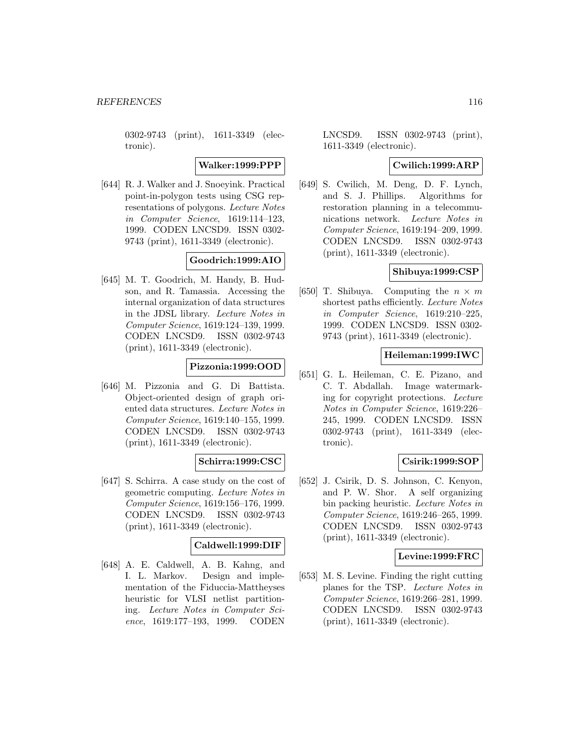0302-9743 (print), 1611-3349 (electronic).

**Walker:1999:PPP**

[644] R. J. Walker and J. Snoeyink. Practical point-in-polygon tests using CSG representations of polygons. Lecture Notes in Computer Science, 1619:114–123, 1999. CODEN LNCSD9. ISSN 0302- 9743 (print), 1611-3349 (electronic).

# **Goodrich:1999:AIO**

[645] M. T. Goodrich, M. Handy, B. Hudson, and R. Tamassia. Accessing the internal organization of data structures in the JDSL library. Lecture Notes in Computer Science, 1619:124–139, 1999. CODEN LNCSD9. ISSN 0302-9743 (print), 1611-3349 (electronic).

### **Pizzonia:1999:OOD**

[646] M. Pizzonia and G. Di Battista. Object-oriented design of graph oriented data structures. Lecture Notes in Computer Science, 1619:140–155, 1999. CODEN LNCSD9. ISSN 0302-9743 (print), 1611-3349 (electronic).

### **Schirra:1999:CSC**

[647] S. Schirra. A case study on the cost of geometric computing. Lecture Notes in Computer Science, 1619:156–176, 1999. CODEN LNCSD9. ISSN 0302-9743 (print), 1611-3349 (electronic).

# **Caldwell:1999:DIF**

[648] A. E. Caldwell, A. B. Kahng, and I. L. Markov. Design and implementation of the Fiduccia-Mattheyses heuristic for VLSI netlist partitioning. Lecture Notes in Computer Science, 1619:177–193, 1999. CODEN

LNCSD9. ISSN 0302-9743 (print), 1611-3349 (electronic).

### **Cwilich:1999:ARP**

[649] S. Cwilich, M. Deng, D. F. Lynch, and S. J. Phillips. Algorithms for restoration planning in a telecommunications network. Lecture Notes in Computer Science, 1619:194–209, 1999. CODEN LNCSD9. ISSN 0302-9743 (print), 1611-3349 (electronic).

#### **Shibuya:1999:CSP**

[650] T. Shibuya. Computing the  $n \times m$ shortest paths efficiently. Lecture Notes in Computer Science, 1619:210–225, 1999. CODEN LNCSD9. ISSN 0302- 9743 (print), 1611-3349 (electronic).

#### **Heileman:1999:IWC**

[651] G. L. Heileman, C. E. Pizano, and C. T. Abdallah. Image watermarking for copyright protections. Lecture Notes in Computer Science, 1619:226– 245, 1999. CODEN LNCSD9. ISSN 0302-9743 (print), 1611-3349 (electronic).

### **Csirik:1999:SOP**

[652] J. Csirik, D. S. Johnson, C. Kenyon, and P. W. Shor. A self organizing bin packing heuristic. Lecture Notes in Computer Science, 1619:246–265, 1999. CODEN LNCSD9. ISSN 0302-9743 (print), 1611-3349 (electronic).

#### **Levine:1999:FRC**

[653] M. S. Levine. Finding the right cutting planes for the TSP. Lecture Notes in Computer Science, 1619:266–281, 1999. CODEN LNCSD9. ISSN 0302-9743 (print), 1611-3349 (electronic).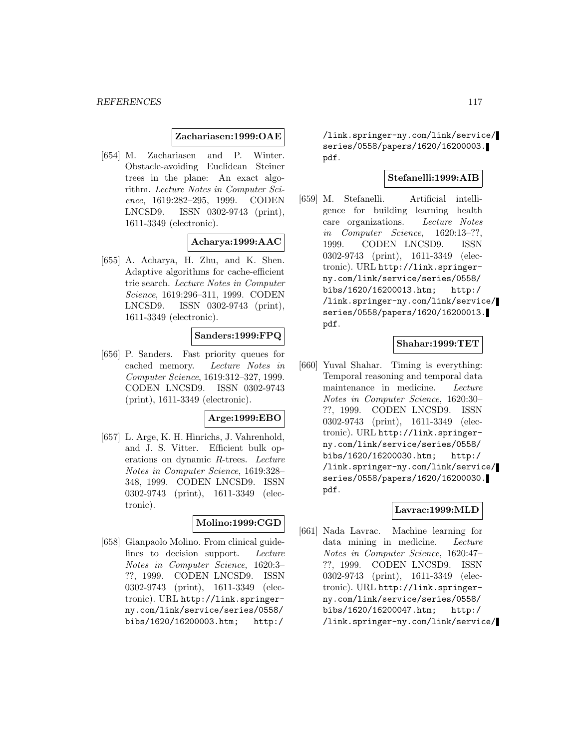#### **Zachariasen:1999:OAE**

[654] M. Zachariasen and P. Winter. Obstacle-avoiding Euclidean Steiner trees in the plane: An exact algorithm. Lecture Notes in Computer Science, 1619:282–295, 1999. CODEN LNCSD9. ISSN 0302-9743 (print), 1611-3349 (electronic).

### **Acharya:1999:AAC**

[655] A. Acharya, H. Zhu, and K. Shen. Adaptive algorithms for cache-efficient trie search. Lecture Notes in Computer Science, 1619:296–311, 1999. CODEN LNCSD9. ISSN 0302-9743 (print), 1611-3349 (electronic).

### **Sanders:1999:FPQ**

[656] P. Sanders. Fast priority queues for cached memory. Lecture Notes in Computer Science, 1619:312–327, 1999. CODEN LNCSD9. ISSN 0302-9743 (print), 1611-3349 (electronic).

#### **Arge:1999:EBO**

[657] L. Arge, K. H. Hinrichs, J. Vahrenhold, and J. S. Vitter. Efficient bulk operations on dynamic R-trees. Lecture Notes in Computer Science, 1619:328– 348, 1999. CODEN LNCSD9. ISSN 0302-9743 (print), 1611-3349 (electronic).

# **Molino:1999:CGD**

[658] Gianpaolo Molino. From clinical guidelines to decision support. Lecture Notes in Computer Science, 1620:3– ??, 1999. CODEN LNCSD9. ISSN 0302-9743 (print), 1611-3349 (electronic). URL http://link.springerny.com/link/service/series/0558/ bibs/1620/16200003.htm; http:/

/link.springer-ny.com/link/service/ series/0558/papers/1620/16200003. pdf.

### **Stefanelli:1999:AIB**

[659] M. Stefanelli. Artificial intelligence for building learning health care organizations. Lecture Notes in Computer Science, 1620:13–??, 1999. CODEN LNCSD9. ISSN 0302-9743 (print), 1611-3349 (electronic). URL http://link.springerny.com/link/service/series/0558/ bibs/1620/16200013.htm; http:/ /link.springer-ny.com/link/service/ series/0558/papers/1620/16200013. pdf.

### **Shahar:1999:TET**

[660] Yuval Shahar. Timing is everything: Temporal reasoning and temporal data maintenance in medicine. Lecture Notes in Computer Science, 1620:30– ??, 1999. CODEN LNCSD9. ISSN 0302-9743 (print), 1611-3349 (electronic). URL http://link.springerny.com/link/service/series/0558/ bibs/1620/16200030.htm; http:/ /link.springer-ny.com/link/service/ series/0558/papers/1620/16200030. pdf.

## **Lavrac:1999:MLD**

[661] Nada Lavrac. Machine learning for data mining in medicine. Lecture Notes in Computer Science, 1620:47– ??, 1999. CODEN LNCSD9. ISSN 0302-9743 (print), 1611-3349 (electronic). URL http://link.springerny.com/link/service/series/0558/ bibs/1620/16200047.htm; http:/ /link.springer-ny.com/link/service/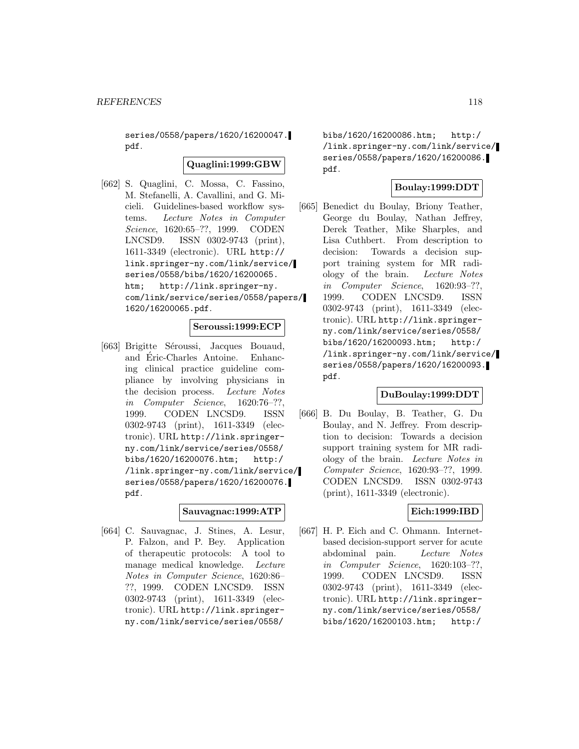series/0558/papers/1620/16200047. pdf.

#### **Quaglini:1999:GBW**

[662] S. Quaglini, C. Mossa, C. Fassino, M. Stefanelli, A. Cavallini, and G. Micieli. Guidelines-based workflow systems. Lecture Notes in Computer Science, 1620:65–??, 1999. CODEN LNCSD9. ISSN 0302-9743 (print), 1611-3349 (electronic). URL http:// link.springer-ny.com/link/service/ series/0558/bibs/1620/16200065. htm; http://link.springer-ny. com/link/service/series/0558/papers/ 1620/16200065.pdf.

### **Seroussi:1999:ECP**

[663] Brigitte Séroussi, Jacques Bouaud, and Eric-Charles Antoine. Enhanc- ´ ing clinical practice guideline compliance by involving physicians in the decision process. Lecture Notes in Computer Science, 1620:76–??, 1999. CODEN LNCSD9. ISSN 0302-9743 (print), 1611-3349 (electronic). URL http://link.springerny.com/link/service/series/0558/ bibs/1620/16200076.htm; http:/ /link.springer-ny.com/link/service/ series/0558/papers/1620/16200076. pdf.

#### **Sauvagnac:1999:ATP**

[664] C. Sauvagnac, J. Stines, A. Lesur, P. Falzon, and P. Bey. Application of therapeutic protocols: A tool to manage medical knowledge. Lecture Notes in Computer Science, 1620:86– ??, 1999. CODEN LNCSD9. ISSN 0302-9743 (print), 1611-3349 (electronic). URL http://link.springerny.com/link/service/series/0558/

bibs/1620/16200086.htm; http:/ /link.springer-ny.com/link/service/ series/0558/papers/1620/16200086. pdf.

# **Boulay:1999:DDT**

[665] Benedict du Boulay, Briony Teather, George du Boulay, Nathan Jeffrey, Derek Teather, Mike Sharples, and Lisa Cuthbert. From description to decision: Towards a decision support training system for MR radiology of the brain. Lecture Notes in Computer Science, 1620:93–??, 1999. CODEN LNCSD9. ISSN 0302-9743 (print), 1611-3349 (electronic). URL http://link.springerny.com/link/service/series/0558/ bibs/1620/16200093.htm; http:/ /link.springer-ny.com/link/service/ series/0558/papers/1620/16200093. pdf.

## **DuBoulay:1999:DDT**

[666] B. Du Boulay, B. Teather, G. Du Boulay, and N. Jeffrey. From description to decision: Towards a decision support training system for MR radiology of the brain. Lecture Notes in Computer Science, 1620:93–??, 1999. CODEN LNCSD9. ISSN 0302-9743 (print), 1611-3349 (electronic).

### **Eich:1999:IBD**

[667] H. P. Eich and C. Ohmann. Internetbased decision-support server for acute abdominal pain. Lecture Notes in Computer Science, 1620:103–??, 1999. CODEN LNCSD9. ISSN 0302-9743 (print), 1611-3349 (electronic). URL http://link.springerny.com/link/service/series/0558/ bibs/1620/16200103.htm; http:/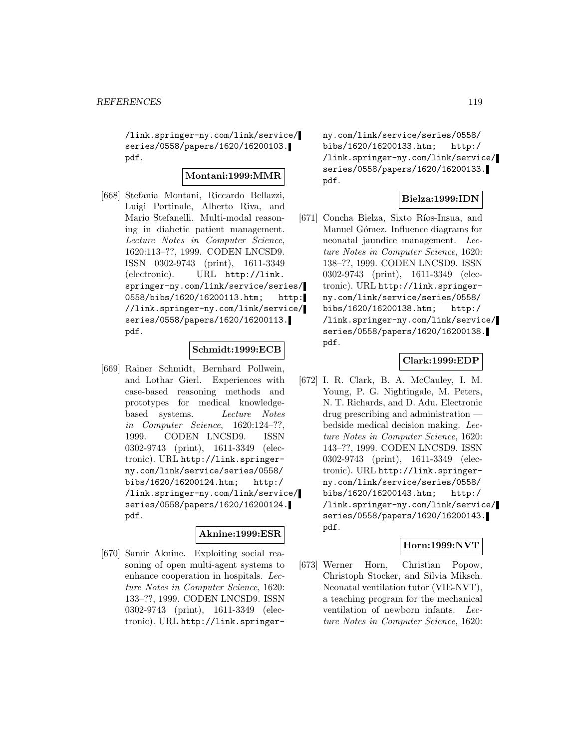/link.springer-ny.com/link/service/ series/0558/papers/1620/16200103. pdf.

## **Montani:1999:MMR**

[668] Stefania Montani, Riccardo Bellazzi, Luigi Portinale, Alberto Riva, and Mario Stefanelli. Multi-modal reasoning in diabetic patient management. Lecture Notes in Computer Science, 1620:113–??, 1999. CODEN LNCSD9. ISSN 0302-9743 (print), 1611-3349 (electronic). URL http://link. springer-ny.com/link/service/series/ 0558/bibs/1620/16200113.htm; http: //link.springer-ny.com/link/service/ series/0558/papers/1620/16200113. pdf.

#### **Schmidt:1999:ECB**

[669] Rainer Schmidt, Bernhard Pollwein, and Lothar Gierl. Experiences with case-based reasoning methods and prototypes for medical knowledgebased systems. Lecture Notes in Computer Science, 1620:124–??, 1999. CODEN LNCSD9. ISSN 0302-9743 (print), 1611-3349 (electronic). URL http://link.springerny.com/link/service/series/0558/ bibs/1620/16200124.htm; http:/ /link.springer-ny.com/link/service/ series/0558/papers/1620/16200124. pdf.

### **Aknine:1999:ESR**

[670] Samir Aknine. Exploiting social reasoning of open multi-agent systems to enhance cooperation in hospitals. Lecture Notes in Computer Science, 1620: 133–??, 1999. CODEN LNCSD9. ISSN 0302-9743 (print), 1611-3349 (electronic). URL http://link.springerny.com/link/service/series/0558/ bibs/1620/16200133.htm; http:/ /link.springer-ny.com/link/service/ series/0558/papers/1620/16200133. pdf.

### **Bielza:1999:IDN**

[671] Concha Bielza, Sixto Ríos-Insua, and Manuel Gómez. Influence diagrams for neonatal jaundice management. Lecture Notes in Computer Science, 1620: 138–??, 1999. CODEN LNCSD9. ISSN 0302-9743 (print), 1611-3349 (electronic). URL http://link.springerny.com/link/service/series/0558/ bibs/1620/16200138.htm; http:/ /link.springer-ny.com/link/service/ series/0558/papers/1620/16200138. pdf.

### **Clark:1999:EDP**

[672] I. R. Clark, B. A. McCauley, I. M. Young, P. G. Nightingale, M. Peters, N. T. Richards, and D. Adu. Electronic drug prescribing and administration bedside medical decision making. Lecture Notes in Computer Science, 1620: 143–??, 1999. CODEN LNCSD9. ISSN 0302-9743 (print), 1611-3349 (electronic). URL http://link.springerny.com/link/service/series/0558/ bibs/1620/16200143.htm; http:/ /link.springer-ny.com/link/service/ series/0558/papers/1620/16200143. pdf.

# **Horn:1999:NVT**

[673] Werner Horn, Christian Popow, Christoph Stocker, and Silvia Miksch. Neonatal ventilation tutor (VIE-NVT), a teaching program for the mechanical ventilation of newborn infants. Lecture Notes in Computer Science, 1620: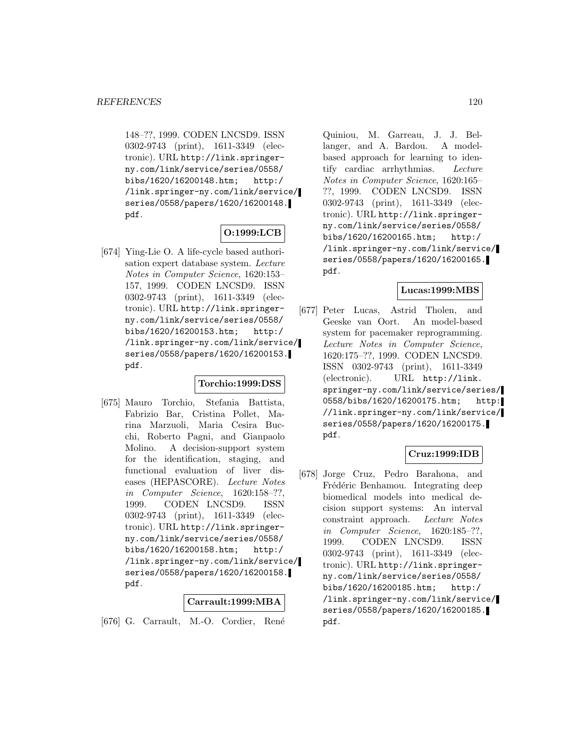148–??, 1999. CODEN LNCSD9. ISSN 0302-9743 (print), 1611-3349 (electronic). URL http://link.springerny.com/link/service/series/0558/ bibs/1620/16200148.htm; http:/ /link.springer-ny.com/link/service/ series/0558/papers/1620/16200148. pdf.

# **O:1999:LCB**

[674] Ying-Lie O. A life-cycle based authorisation expert database system. Lecture Notes in Computer Science, 1620:153– 157, 1999. CODEN LNCSD9. ISSN 0302-9743 (print), 1611-3349 (electronic). URL http://link.springerny.com/link/service/series/0558/ bibs/1620/16200153.htm; http:/ /link.springer-ny.com/link/service/ series/0558/papers/1620/16200153. pdf.

### **Torchio:1999:DSS**

[675] Mauro Torchio, Stefania Battista, Fabrizio Bar, Cristina Pollet, Marina Marzuoli, Maria Cesira Bucchi, Roberto Pagni, and Gianpaolo Molino. A decision-support system for the identification, staging, and functional evaluation of liver diseases (HEPASCORE). Lecture Notes in Computer Science, 1620:158–??, 1999. CODEN LNCSD9. ISSN 0302-9743 (print), 1611-3349 (electronic). URL http://link.springerny.com/link/service/series/0558/ bibs/1620/16200158.htm; http:/ /link.springer-ny.com/link/service/ series/0558/papers/1620/16200158. pdf.

### **Carrault:1999:MBA**

[676] G. Carrault, M.-O. Cordier, René

Quiniou, M. Garreau, J. J. Bellanger, and A. Bardou. A modelbased approach for learning to identify cardiac arrhythmias. Lecture Notes in Computer Science, 1620:165– ??, 1999. CODEN LNCSD9. ISSN 0302-9743 (print), 1611-3349 (electronic). URL http://link.springerny.com/link/service/series/0558/ bibs/1620/16200165.htm; http:/ /link.springer-ny.com/link/service/ series/0558/papers/1620/16200165. pdf.

#### **Lucas:1999:MBS**

[677] Peter Lucas, Astrid Tholen, and Geeske van Oort. An model-based system for pacemaker reprogramming. Lecture Notes in Computer Science, 1620:175–??, 1999. CODEN LNCSD9. ISSN 0302-9743 (print), 1611-3349 (electronic). URL http://link. springer-ny.com/link/service/series/ 0558/bibs/1620/16200175.htm; http: //link.springer-ny.com/link/service/ series/0558/papers/1620/16200175. pdf.

# **Cruz:1999:IDB**

[678] Jorge Cruz, Pedro Barahona, and Frédéric Benhamou. Integrating deep biomedical models into medical decision support systems: An interval constraint approach. Lecture Notes in Computer Science, 1620:185–??, 1999. CODEN LNCSD9. ISSN 0302-9743 (print), 1611-3349 (electronic). URL http://link.springerny.com/link/service/series/0558/ bibs/1620/16200185.htm; http:/ /link.springer-ny.com/link/service/ series/0558/papers/1620/16200185. pdf.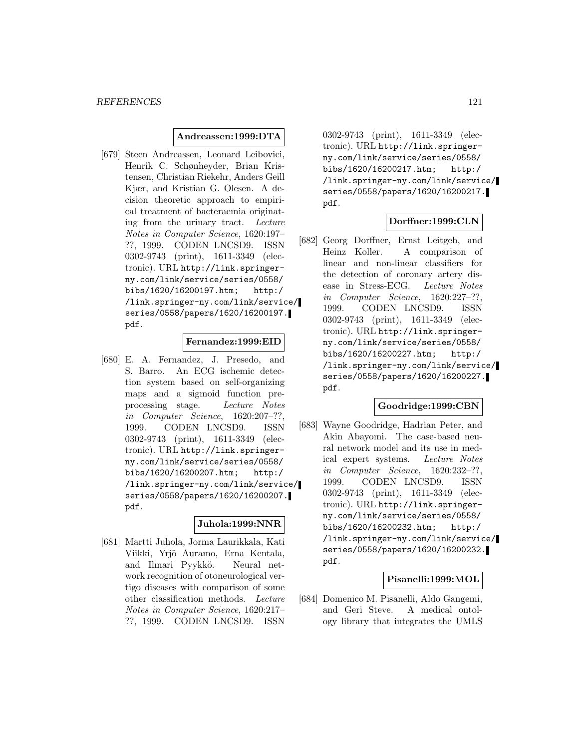### **Andreassen:1999:DTA**

[679] Steen Andreassen, Leonard Leibovici, Henrik C. Schønheyder, Brian Kristensen, Christian Riekehr, Anders Geill Kjær, and Kristian G. Olesen. A decision theoretic approach to empirical treatment of bacteraemia originating from the urinary tract. Lecture Notes in Computer Science, 1620:197– ??, 1999. CODEN LNCSD9. ISSN 0302-9743 (print), 1611-3349 (electronic). URL http://link.springerny.com/link/service/series/0558/ bibs/1620/16200197.htm; http:/ /link.springer-ny.com/link/service/ series/0558/papers/1620/16200197. pdf.

### **Fernandez:1999:EID**

[680] E. A. Fernandez, J. Presedo, and S. Barro. An ECG ischemic detection system based on self-organizing maps and a sigmoid function preprocessing stage. Lecture Notes in Computer Science, 1620:207–??, 1999. CODEN LNCSD9. ISSN 0302-9743 (print), 1611-3349 (electronic). URL http://link.springerny.com/link/service/series/0558/ bibs/1620/16200207.htm; http:/ /link.springer-ny.com/link/service/ series/0558/papers/1620/16200207. pdf.

### **Juhola:1999:NNR**

[681] Martti Juhola, Jorma Laurikkala, Kati Viikki, Yrjö Auramo, Erna Kentala, and Ilmari Pyykkö. Neural network recognition of otoneurological vertigo diseases with comparison of some other classification methods. Lecture Notes in Computer Science, 1620:217– ??, 1999. CODEN LNCSD9. ISSN

0302-9743 (print), 1611-3349 (electronic). URL http://link.springerny.com/link/service/series/0558/ bibs/1620/16200217.htm; http:/ /link.springer-ny.com/link/service/ series/0558/papers/1620/16200217. pdf.

### **Dorffner:1999:CLN**

[682] Georg Dorffner, Ernst Leitgeb, and Heinz Koller. A comparison of linear and non-linear classifiers for the detection of coronary artery disease in Stress-ECG. Lecture Notes in Computer Science, 1620:227–??, 1999. CODEN LNCSD9. ISSN 0302-9743 (print), 1611-3349 (electronic). URL http://link.springerny.com/link/service/series/0558/ bibs/1620/16200227.htm; http:/ /link.springer-ny.com/link/service/ series/0558/papers/1620/16200227. pdf.

#### **Goodridge:1999:CBN**

[683] Wayne Goodridge, Hadrian Peter, and Akin Abayomi. The case-based neural network model and its use in medical expert systems. Lecture Notes in Computer Science, 1620:232–??, 1999. CODEN LNCSD9. ISSN 0302-9743 (print), 1611-3349 (electronic). URL http://link.springerny.com/link/service/series/0558/ bibs/1620/16200232.htm; http:/ /link.springer-ny.com/link/service/ series/0558/papers/1620/16200232. pdf.

### **Pisanelli:1999:MOL**

[684] Domenico M. Pisanelli, Aldo Gangemi, and Geri Steve. A medical ontology library that integrates the UMLS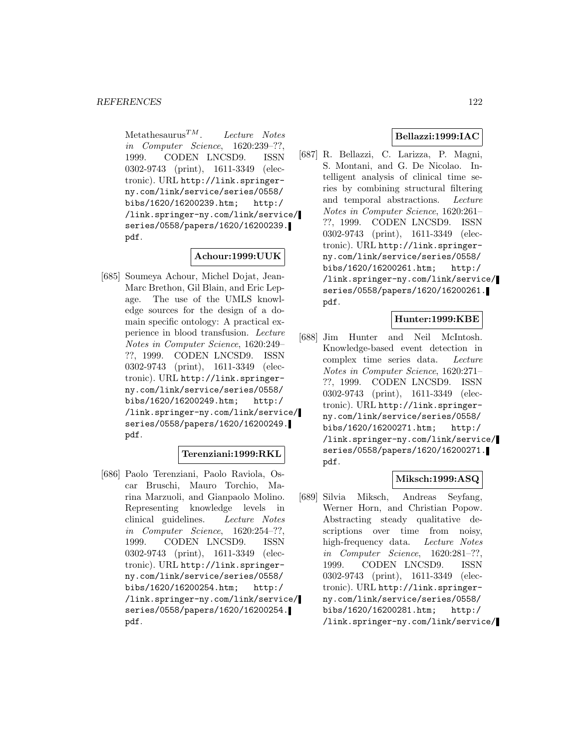Metathesaurus<sup>TM</sup>. Lecture Notes in Computer Science, 1620:239–??, 1999. CODEN LNCSD9. ISSN 0302-9743 (print), 1611-3349 (electronic). URL http://link.springerny.com/link/service/series/0558/ bibs/1620/16200239.htm; http:/ /link.springer-ny.com/link/service/ series/0558/papers/1620/16200239. pdf.

## **Achour:1999:UUK**

[685] Soumeya Achour, Michel Dojat, Jean-Marc Brethon, Gil Blain, and Eric Lepage. The use of the UMLS knowledge sources for the design of a domain specific ontology: A practical experience in blood transfusion. Lecture Notes in Computer Science, 1620:249– ??, 1999. CODEN LNCSD9. ISSN 0302-9743 (print), 1611-3349 (electronic). URL http://link.springerny.com/link/service/series/0558/ bibs/1620/16200249.htm; http:/ /link.springer-ny.com/link/service/ series/0558/papers/1620/16200249. pdf.

## **Terenziani:1999:RKL**

[686] Paolo Terenziani, Paolo Raviola, Oscar Bruschi, Mauro Torchio, Marina Marzuoli, and Gianpaolo Molino. Representing knowledge levels in clinical guidelines. Lecture Notes in Computer Science, 1620:254–??, 1999. CODEN LNCSD9. ISSN 0302-9743 (print), 1611-3349 (electronic). URL http://link.springerny.com/link/service/series/0558/ bibs/1620/16200254.htm; http:/ /link.springer-ny.com/link/service/ series/0558/papers/1620/16200254. pdf.

# **Bellazzi:1999:IAC**

[687] R. Bellazzi, C. Larizza, P. Magni, S. Montani, and G. De Nicolao. Intelligent analysis of clinical time series by combining structural filtering and temporal abstractions. Lecture Notes in Computer Science, 1620:261– ??, 1999. CODEN LNCSD9. ISSN 0302-9743 (print), 1611-3349 (electronic). URL http://link.springerny.com/link/service/series/0558/ bibs/1620/16200261.htm; http:/ /link.springer-ny.com/link/service/ series/0558/papers/1620/16200261. pdf.

### **Hunter:1999:KBE**

[688] Jim Hunter and Neil McIntosh. Knowledge-based event detection in complex time series data. Lecture Notes in Computer Science, 1620:271– ??, 1999. CODEN LNCSD9. ISSN 0302-9743 (print), 1611-3349 (electronic). URL http://link.springerny.com/link/service/series/0558/ bibs/1620/16200271.htm; http:/ /link.springer-ny.com/link/service/ series/0558/papers/1620/16200271. pdf.

### **Miksch:1999:ASQ**

[689] Silvia Miksch, Andreas Seyfang, Werner Horn, and Christian Popow. Abstracting steady qualitative descriptions over time from noisy, high-frequency data. Lecture Notes in Computer Science, 1620:281–??, 1999. CODEN LNCSD9. ISSN 0302-9743 (print), 1611-3349 (electronic). URL http://link.springerny.com/link/service/series/0558/ bibs/1620/16200281.htm; http:/ /link.springer-ny.com/link/service/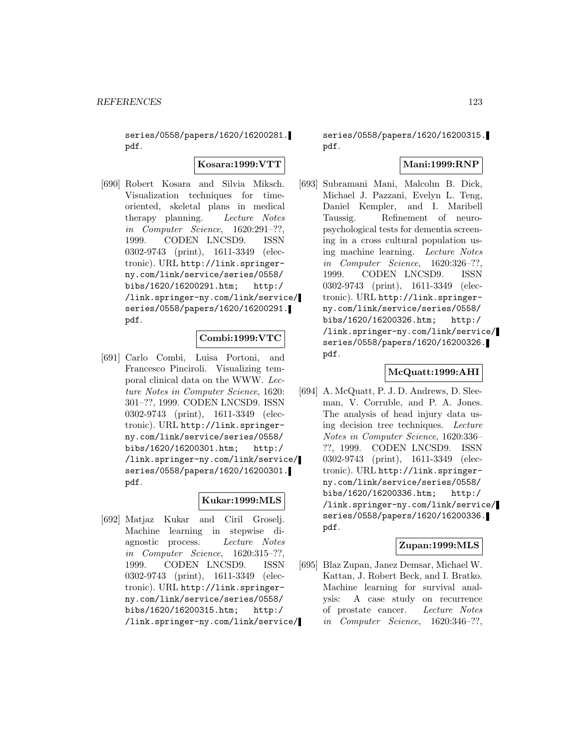series/0558/papers/1620/16200281. pdf.

**Kosara:1999:VTT**

[690] Robert Kosara and Silvia Miksch. Visualization techniques for timeoriented, skeletal plans in medical therapy planning. Lecture Notes in Computer Science, 1620:291–??, 1999. CODEN LNCSD9. ISSN 0302-9743 (print), 1611-3349 (electronic). URL http://link.springerny.com/link/service/series/0558/ bibs/1620/16200291.htm; http:/ /link.springer-ny.com/link/service/ series/0558/papers/1620/16200291. pdf.

## **Combi:1999:VTC**

[691] Carlo Combi, Luisa Portoni, and Francesco Pinciroli. Visualizing temporal clinical data on the WWW. Lecture Notes in Computer Science, 1620: 301–??, 1999. CODEN LNCSD9. ISSN 0302-9743 (print), 1611-3349 (electronic). URL http://link.springerny.com/link/service/series/0558/ bibs/1620/16200301.htm; http:/ /link.springer-ny.com/link/service/ series/0558/papers/1620/16200301. pdf.

### **Kukar:1999:MLS**

[692] Matjaz Kukar and Ciril Groselj. Machine learning in stepwise diagnostic process. Lecture Notes in Computer Science, 1620:315–??, 1999. CODEN LNCSD9. ISSN 0302-9743 (print), 1611-3349 (electronic). URL http://link.springerny.com/link/service/series/0558/ bibs/1620/16200315.htm; http:/ /link.springer-ny.com/link/service/

series/0558/papers/1620/16200315. pdf.

### **Mani:1999:RNP**

[693] Subramani Mani, Malcolm B. Dick, Michael J. Pazzani, Evelyn L. Teng, Daniel Kempler, and I. Maribell Taussig. Refinement of neuropsychological tests for dementia screening in a cross cultural population using machine learning. Lecture Notes in Computer Science, 1620:326–??, 1999. CODEN LNCSD9. ISSN 0302-9743 (print), 1611-3349 (electronic). URL http://link.springerny.com/link/service/series/0558/ bibs/1620/16200326.htm; http:/ /link.springer-ny.com/link/service/ series/0558/papers/1620/16200326. pdf.

### **McQuatt:1999:AHI**

[694] A. McQuatt, P. J. D. Andrews, D. Sleeman, V. Corruble, and P. A. Jones. The analysis of head injury data using decision tree techniques. Lecture Notes in Computer Science, 1620:336– ??, 1999. CODEN LNCSD9. ISSN 0302-9743 (print), 1611-3349 (electronic). URL http://link.springerny.com/link/service/series/0558/ bibs/1620/16200336.htm; http:/ /link.springer-ny.com/link/service/ series/0558/papers/1620/16200336. pdf.

## **Zupan:1999:MLS**

[695] Blaz Zupan, Janez Demsar, Michael W. Kattan, J. Robert Beck, and I. Bratko. Machine learning for survival analysis: A case study on recurrence of prostate cancer. Lecture Notes in Computer Science, 1620:346–??,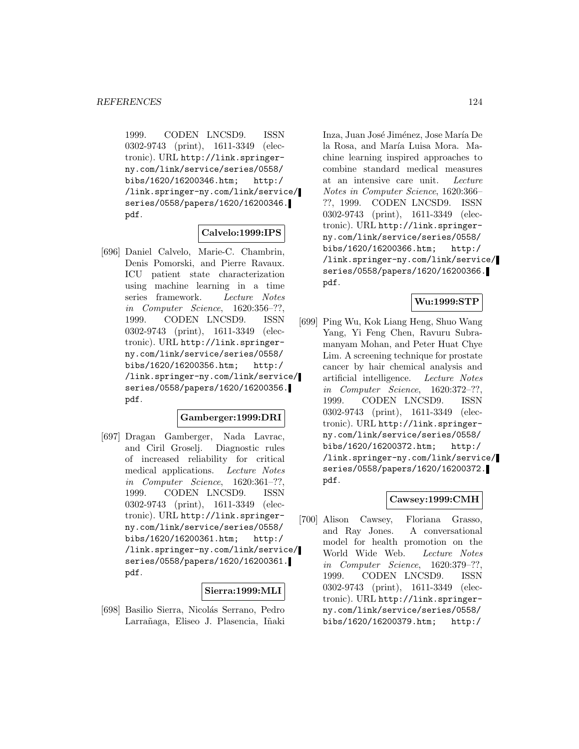1999. CODEN LNCSD9. ISSN 0302-9743 (print), 1611-3349 (electronic). URL http://link.springerny.com/link/service/series/0558/ bibs/1620/16200346.htm; http:/ /link.springer-ny.com/link/service/ series/0558/papers/1620/16200346. pdf.

#### **Calvelo:1999:IPS**

[696] Daniel Calvelo, Marie-C. Chambrin, Denis Pomorski, and Pierre Ravaux. ICU patient state characterization using machine learning in a time series framework. Lecture Notes in Computer Science, 1620:356–??, 1999. CODEN LNCSD9. ISSN 0302-9743 (print), 1611-3349 (electronic). URL http://link.springerny.com/link/service/series/0558/ bibs/1620/16200356.htm; http:/ /link.springer-ny.com/link/service/ series/0558/papers/1620/16200356. pdf.

#### **Gamberger:1999:DRI**

[697] Dragan Gamberger, Nada Lavrac, and Ciril Groselj. Diagnostic rules of increased reliability for critical medical applications. Lecture Notes in Computer Science, 1620:361–??, 1999. CODEN LNCSD9. ISSN 0302-9743 (print), 1611-3349 (electronic). URL http://link.springerny.com/link/service/series/0558/ bibs/1620/16200361.htm; http:/ /link.springer-ny.com/link/service/ series/0558/papers/1620/16200361. pdf.

#### **Sierra:1999:MLI**

[698] Basilio Sierra, Nicolás Serrano, Pedro Larrañaga, Eliseo J. Plasencia, Iñaki

Inza, Juan José Jiménez, Jose María De la Rosa, and María Luisa Mora. Machine learning inspired approaches to combine standard medical measures at an intensive care unit. Lecture Notes in Computer Science, 1620:366– ??, 1999. CODEN LNCSD9. ISSN 0302-9743 (print), 1611-3349 (electronic). URL http://link.springerny.com/link/service/series/0558/ bibs/1620/16200366.htm; http:/ /link.springer-ny.com/link/service/ series/0558/papers/1620/16200366. pdf.

# **Wu:1999:STP**

[699] Ping Wu, Kok Liang Heng, Shuo Wang Yang, Yi Feng Chen, Ravuru Subramanyam Mohan, and Peter Huat Chye Lim. A screening technique for prostate cancer by hair chemical analysis and artificial intelligence. Lecture Notes in Computer Science, 1620:372–??, 1999. CODEN LNCSD9. ISSN 0302-9743 (print), 1611-3349 (electronic). URL http://link.springerny.com/link/service/series/0558/ bibs/1620/16200372.htm; http:/ /link.springer-ny.com/link/service/ series/0558/papers/1620/16200372. pdf.

### **Cawsey:1999:CMH**

[700] Alison Cawsey, Floriana Grasso, and Ray Jones. A conversational model for health promotion on the World Wide Web. Lecture Notes in Computer Science, 1620:379–??, 1999. CODEN LNCSD9. ISSN 0302-9743 (print), 1611-3349 (electronic). URL http://link.springerny.com/link/service/series/0558/ bibs/1620/16200379.htm; http:/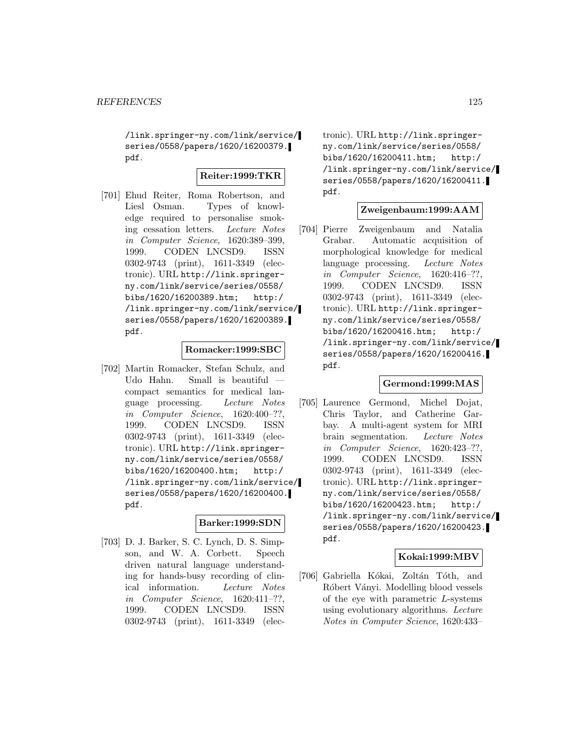/link.springer-ny.com/link/service/ series/0558/papers/1620/16200379. pdf.

#### **Reiter:1999:TKR**

[701] Ehud Reiter, Roma Robertson, and Liesl Osman. Types of knowledge required to personalise smoking cessation letters. Lecture Notes in Computer Science, 1620:389–399, 1999. CODEN LNCSD9. ISSN 0302-9743 (print), 1611-3349 (electronic). URL http://link.springerny.com/link/service/series/0558/ bibs/1620/16200389.htm; http:/ /link.springer-ny.com/link/service/ series/0558/papers/1620/16200389. pdf.

#### **Romacker:1999:SBC**

[702] Martin Romacker, Stefan Schulz, and Udo Hahn. Small is beautiful compact semantics for medical language processing. Lecture Notes in Computer Science, 1620:400–??, 1999. CODEN LNCSD9. ISSN 0302-9743 (print), 1611-3349 (electronic). URL http://link.springerny.com/link/service/series/0558/ bibs/1620/16200400.htm; http:/ /link.springer-ny.com/link/service/ series/0558/papers/1620/16200400. pdf.

# **Barker:1999:SDN**

[703] D. J. Barker, S. C. Lynch, D. S. Simpson, and W. A. Corbett. Speech driven natural language understanding for hands-busy recording of clinical information. Lecture Notes in Computer Science, 1620:411–??, 1999. CODEN LNCSD9. ISSN 0302-9743 (print), 1611-3349 (elec-

tronic). URL http://link.springerny.com/link/service/series/0558/ bibs/1620/16200411.htm; http:/ /link.springer-ny.com/link/service/ series/0558/papers/1620/16200411. pdf.

#### **Zweigenbaum:1999:AAM**

[704] Pierre Zweigenbaum and Natalia Grabar. Automatic acquisition of morphological knowledge for medical language processing. Lecture Notes in Computer Science, 1620:416–??, 1999. CODEN LNCSD9. ISSN 0302-9743 (print), 1611-3349 (electronic). URL http://link.springerny.com/link/service/series/0558/ bibs/1620/16200416.htm; http:/ /link.springer-ny.com/link/service/ series/0558/papers/1620/16200416. pdf.

### **Germond:1999:MAS**

[705] Laurence Germond, Michel Dojat, Chris Taylor, and Catherine Garbay. A multi-agent system for MRI brain segmentation. Lecture Notes in Computer Science, 1620:423–??, 1999. CODEN LNCSD9. ISSN 0302-9743 (print), 1611-3349 (electronic). URL http://link.springerny.com/link/service/series/0558/ bibs/1620/16200423.htm; http:/ /link.springer-ny.com/link/service/ series/0558/papers/1620/16200423. pdf.

### **Kokai:1999:MBV**

[706] Gabriella Kókai, Zoltán Tóth, and Róbert Ványi. Modelling blood vessels of the eye with parametric L-systems using evolutionary algorithms. Lecture Notes in Computer Science, 1620:433–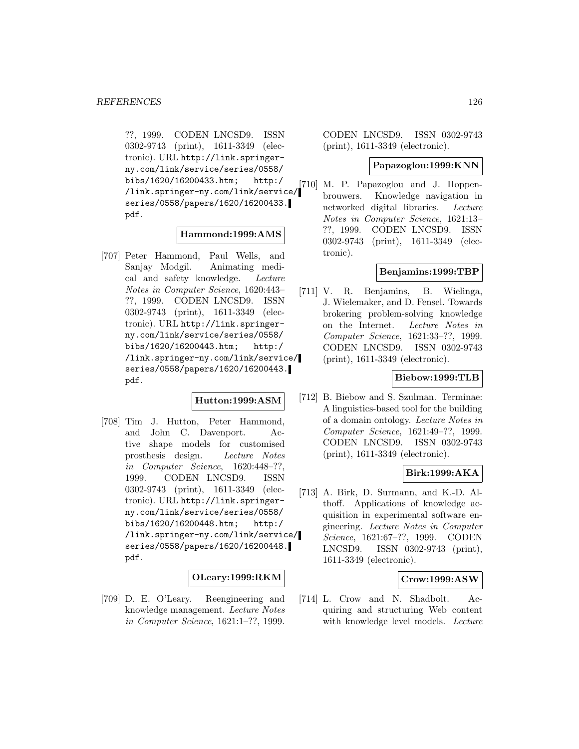??, 1999. CODEN LNCSD9. ISSN 0302-9743 (print), 1611-3349 (electronic). URL http://link.springerny.com/link/service/series/0558/ bibs/1620/16200433.htm; http:/ /link.springer-ny.com/link/service/ series/0558/papers/1620/16200433. pdf.

#### **Hammond:1999:AMS**

[707] Peter Hammond, Paul Wells, and Sanjay Modgil. Animating medical and safety knowledge. Lecture Notes in Computer Science, 1620:443– ??, 1999. CODEN LNCSD9. ISSN 0302-9743 (print), 1611-3349 (electronic). URL http://link.springerny.com/link/service/series/0558/ bibs/1620/16200443.htm; http:/ /link.springer-ny.com/link/service/ series/0558/papers/1620/16200443. pdf.

## **Hutton:1999:ASM**

[708] Tim J. Hutton, Peter Hammond, and John C. Davenport. Active shape models for customised prosthesis design. Lecture Notes in Computer Science, 1620:448–??, 1999. CODEN LNCSD9. ISSN 0302-9743 (print), 1611-3349 (electronic). URL http://link.springerny.com/link/service/series/0558/ bibs/1620/16200448.htm; http:/ /link.springer-ny.com/link/service/ series/0558/papers/1620/16200448. pdf.

# **OLeary:1999:RKM**

[709] D. E. O'Leary. Reengineering and knowledge management. Lecture Notes in Computer Science, 1621:1–??, 1999.

CODEN LNCSD9. ISSN 0302-9743 (print), 1611-3349 (electronic).

#### **Papazoglou:1999:KNN**

[710] M. P. Papazoglou and J. Hoppenbrouwers. Knowledge navigation in networked digital libraries. Lecture Notes in Computer Science, 1621:13– ??, 1999. CODEN LNCSD9. ISSN 0302-9743 (print), 1611-3349 (electronic).

#### **Benjamins:1999:TBP**

[711] V. R. Benjamins, B. Wielinga, J. Wielemaker, and D. Fensel. Towards brokering problem-solving knowledge on the Internet. Lecture Notes in Computer Science, 1621:33–??, 1999. CODEN LNCSD9. ISSN 0302-9743 (print), 1611-3349 (electronic).

## **Biebow:1999:TLB**

[712] B. Biebow and S. Szulman. Terminae: A linguistics-based tool for the building of a domain ontology. Lecture Notes in Computer Science, 1621:49–??, 1999. CODEN LNCSD9. ISSN 0302-9743 (print), 1611-3349 (electronic).

## **Birk:1999:AKA**

[713] A. Birk, D. Surmann, and K.-D. Althoff. Applications of knowledge acquisition in experimental software engineering. Lecture Notes in Computer Science, 1621:67–??, 1999. CODEN LNCSD9. ISSN 0302-9743 (print), 1611-3349 (electronic).

### **Crow:1999:ASW**

[714] L. Crow and N. Shadbolt. Acquiring and structuring Web content with knowledge level models. *Lecture*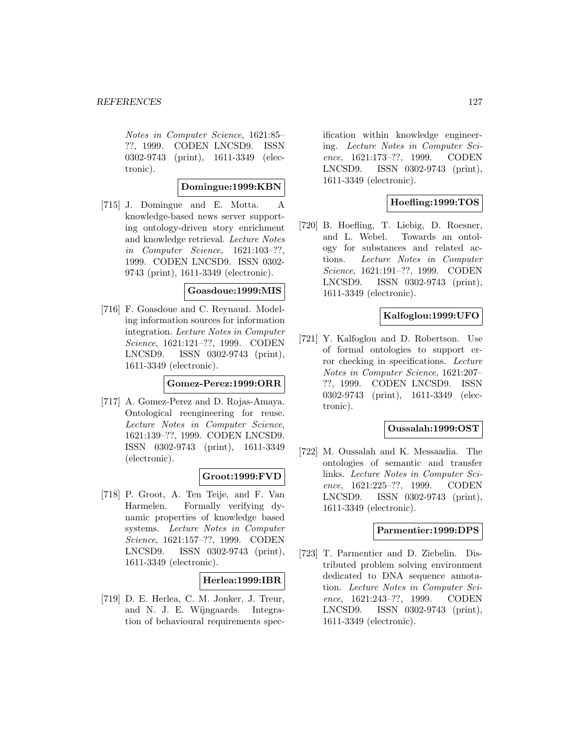Notes in Computer Science, 1621:85– ??, 1999. CODEN LNCSD9. ISSN 0302-9743 (print), 1611-3349 (electronic).

## **Domingue:1999:KBN**

[715] J. Domingue and E. Motta. A knowledge-based news server supporting ontology-driven story enrichment and knowledge retrieval. Lecture Notes in Computer Science, 1621:103–??, 1999. CODEN LNCSD9. ISSN 0302- 9743 (print), 1611-3349 (electronic).

#### **Goasdoue:1999:MIS**

[716] F. Goasdoue and C. Reynaud. Modeling information sources for information integration. Lecture Notes in Computer Science, 1621:121–??, 1999. CODEN LNCSD9. ISSN 0302-9743 (print), 1611-3349 (electronic).

#### **Gomez-Perez:1999:ORR**

[717] A. Gomez-Perez and D. Rojas-Amaya. Ontological reengineering for reuse. Lecture Notes in Computer Science, 1621:139–??, 1999. CODEN LNCSD9. ISSN 0302-9743 (print), 1611-3349 (electronic).

# **Groot:1999:FVD**

[718] P. Groot, A. Ten Teije, and F. Van Harmelen. Formally verifying dynamic properties of knowledge based systems. Lecture Notes in Computer Science, 1621:157–??, 1999. CODEN LNCSD9. ISSN 0302-9743 (print), 1611-3349 (electronic).

### **Herlea:1999:IBR**

[719] D. E. Herlea, C. M. Jonker, J. Treur, and N. J. E. Wijngaards. Integration of behavioural requirements spec-

ification within knowledge engineering. Lecture Notes in Computer Science, 1621:173–??, 1999. CODEN LNCSD9. ISSN 0302-9743 (print), 1611-3349 (electronic).

# **Hoefling:1999:TOS**

[720] B. Hoefling, T. Liebig, D. Roesner, and L. Webel. Towards an ontology for substances and related actions. Lecture Notes in Computer Science, 1621:191–??, 1999. CODEN LNCSD9. ISSN 0302-9743 (print), 1611-3349 (electronic).

### **Kalfoglou:1999:UFO**

[721] Y. Kalfoglou and D. Robertson. Use of formal ontologies to support error checking in specifications. Lecture Notes in Computer Science, 1621:207– ??, 1999. CODEN LNCSD9. ISSN 0302-9743 (print), 1611-3349 (electronic).

#### **Oussalah:1999:OST**

[722] M. Oussalah and K. Messaadia. The ontologies of semantic and transfer links. Lecture Notes in Computer Science, 1621:225–??, 1999. CODEN LNCSD9. ISSN 0302-9743 (print), 1611-3349 (electronic).

## **Parmentier:1999:DPS**

[723] T. Parmentier and D. Ziebelin. Distributed problem solving environment dedicated to DNA sequence annotation. Lecture Notes in Computer Science, 1621:243–??, 1999. CODEN LNCSD9. ISSN 0302-9743 (print), 1611-3349 (electronic).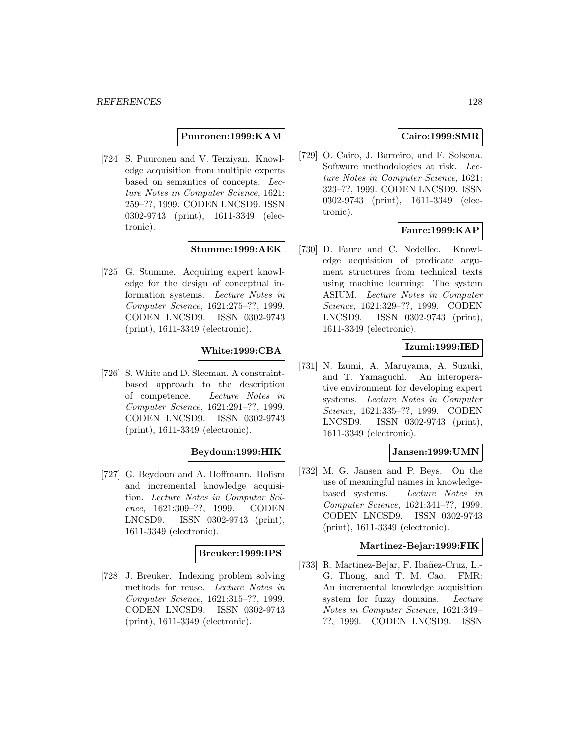#### **Puuronen:1999:KAM**

[724] S. Puuronen and V. Terziyan. Knowledge acquisition from multiple experts based on semantics of concepts. Lecture Notes in Computer Science, 1621: 259–??, 1999. CODEN LNCSD9. ISSN 0302-9743 (print), 1611-3349 (electronic).

#### **Stumme:1999:AEK**

[725] G. Stumme. Acquiring expert knowledge for the design of conceptual information systems. Lecture Notes in Computer Science, 1621:275–??, 1999. CODEN LNCSD9. ISSN 0302-9743 (print), 1611-3349 (electronic).

### **White:1999:CBA**

[726] S. White and D. Sleeman. A constraintbased approach to the description of competence. Lecture Notes in Computer Science, 1621:291–??, 1999. CODEN LNCSD9. ISSN 0302-9743 (print), 1611-3349 (electronic).

# **Beydoun:1999:HIK**

[727] G. Beydoun and A. Hoffmann. Holism and incremental knowledge acquisition. Lecture Notes in Computer Science, 1621:309–??, 1999. CODEN LNCSD9. ISSN 0302-9743 (print), 1611-3349 (electronic).

#### **Breuker:1999:IPS**

[728] J. Breuker. Indexing problem solving methods for reuse. Lecture Notes in Computer Science, 1621:315–??, 1999. CODEN LNCSD9. ISSN 0302-9743 (print), 1611-3349 (electronic).

### **Cairo:1999:SMR**

[729] O. Cairo, J. Barreiro, and F. Solsona. Software methodologies at risk. Lecture Notes in Computer Science, 1621: 323–??, 1999. CODEN LNCSD9. ISSN 0302-9743 (print), 1611-3349 (electronic).

## **Faure:1999:KAP**

[730] D. Faure and C. Nedellec. Knowledge acquisition of predicate argument structures from technical texts using machine learning: The system ASIUM. Lecture Notes in Computer Science, 1621:329–??, 1999. CODEN LNCSD9. ISSN 0302-9743 (print), 1611-3349 (electronic).

# **Izumi:1999:IED**

[731] N. Izumi, A. Maruyama, A. Suzuki, and T. Yamaguchi. An interoperative environment for developing expert systems. Lecture Notes in Computer Science, 1621:335–??, 1999. CODEN LNCSD9. ISSN 0302-9743 (print), 1611-3349 (electronic).

# **Jansen:1999:UMN**

[732] M. G. Jansen and P. Beys. On the use of meaningful names in knowledgebased systems. Lecture Notes in Computer Science, 1621:341–??, 1999. CODEN LNCSD9. ISSN 0302-9743 (print), 1611-3349 (electronic).

### **Martinez-Bejar:1999:FIK**

[733] R. Martinez-Bejar, F. Ibañez-Cruz, L.-G. Thong, and T. M. Cao. FMR: An incremental knowledge acquisition system for fuzzy domains. Lecture Notes in Computer Science, 1621:349– ??, 1999. CODEN LNCSD9. ISSN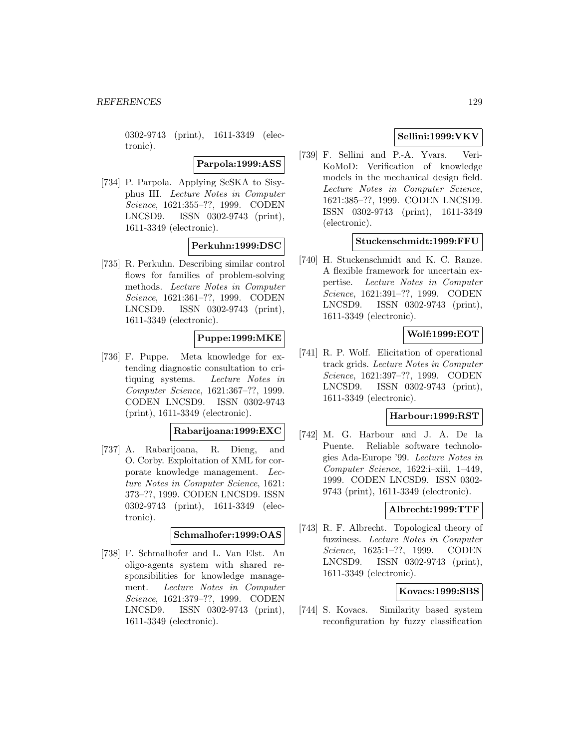0302-9743 (print), 1611-3349 (electronic).

**Parpola:1999:ASS**

[734] P. Parpola. Applying SeSKA to Sisyphus III. Lecture Notes in Computer Science, 1621:355–??, 1999. CODEN LNCSD9. ISSN 0302-9743 (print), 1611-3349 (electronic).

### **Perkuhn:1999:DSC**

[735] R. Perkuhn. Describing similar control flows for families of problem-solving methods. Lecture Notes in Computer Science, 1621:361–??, 1999. CODEN LNCSD9. ISSN 0302-9743 (print), 1611-3349 (electronic).

### **Puppe:1999:MKE**

[736] F. Puppe. Meta knowledge for extending diagnostic consultation to critiquing systems. Lecture Notes in Computer Science, 1621:367–??, 1999. CODEN LNCSD9. ISSN 0302-9743 (print), 1611-3349 (electronic).

#### **Rabarijoana:1999:EXC**

[737] A. Rabarijoana, R. Dieng, and O. Corby. Exploitation of XML for corporate knowledge management. Lecture Notes in Computer Science, 1621: 373–??, 1999. CODEN LNCSD9. ISSN 0302-9743 (print), 1611-3349 (electronic).

### **Schmalhofer:1999:OAS**

[738] F. Schmalhofer and L. Van Elst. An oligo-agents system with shared responsibilities for knowledge management. Lecture Notes in Computer Science, 1621:379–??, 1999. CODEN LNCSD9. ISSN 0302-9743 (print), 1611-3349 (electronic).

## **Sellini:1999:VKV**

[739] F. Sellini and P.-A. Yvars. Veri-KoMoD: Verification of knowledge models in the mechanical design field. Lecture Notes in Computer Science, 1621:385–??, 1999. CODEN LNCSD9. ISSN 0302-9743 (print), 1611-3349 (electronic).

### **Stuckenschmidt:1999:FFU**

[740] H. Stuckenschmidt and K. C. Ranze. A flexible framework for uncertain expertise. Lecture Notes in Computer Science, 1621:391–??, 1999. CODEN LNCSD9. ISSN 0302-9743 (print), 1611-3349 (electronic).

## **Wolf:1999:EOT**

[741] R. P. Wolf. Elicitation of operational track grids. Lecture Notes in Computer Science, 1621:397–??, 1999. CODEN LNCSD9. ISSN 0302-9743 (print), 1611-3349 (electronic).

#### **Harbour:1999:RST**

[742] M. G. Harbour and J. A. De la Puente. Reliable software technologies Ada-Europe '99. Lecture Notes in Computer Science, 1622:i–xiii, 1–449, 1999. CODEN LNCSD9. ISSN 0302- 9743 (print), 1611-3349 (electronic).

## **Albrecht:1999:TTF**

[743] R. F. Albrecht. Topological theory of fuzziness. Lecture Notes in Computer Science, 1625:1–??, 1999. CODEN LNCSD9. ISSN 0302-9743 (print), 1611-3349 (electronic).

#### **Kovacs:1999:SBS**

[744] S. Kovacs. Similarity based system reconfiguration by fuzzy classification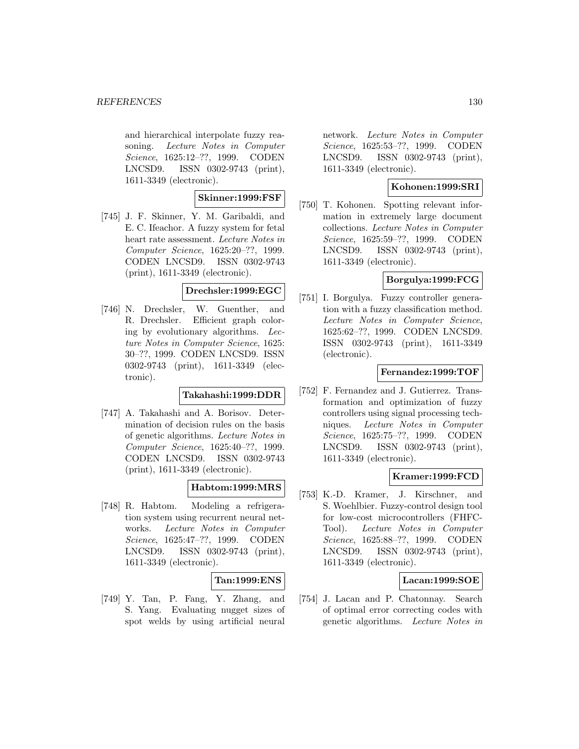and hierarchical interpolate fuzzy reasoning. Lecture Notes in Computer Science, 1625:12–??, 1999. CODEN LNCSD9. ISSN 0302-9743 (print), 1611-3349 (electronic).

## **Skinner:1999:FSF**

[745] J. F. Skinner, Y. M. Garibaldi, and E. C. Ifeachor. A fuzzy system for fetal heart rate assessment. Lecture Notes in Computer Science, 1625:20–??, 1999. CODEN LNCSD9. ISSN 0302-9743 (print), 1611-3349 (electronic).

### **Drechsler:1999:EGC**

[746] N. Drechsler, W. Guenther, and R. Drechsler. Efficient graph coloring by evolutionary algorithms. Lecture Notes in Computer Science, 1625: 30–??, 1999. CODEN LNCSD9. ISSN 0302-9743 (print), 1611-3349 (electronic).

### **Takahashi:1999:DDR**

[747] A. Takahashi and A. Borisov. Determination of decision rules on the basis of genetic algorithms. Lecture Notes in Computer Science, 1625:40–??, 1999. CODEN LNCSD9. ISSN 0302-9743 (print), 1611-3349 (electronic).

# **Habtom:1999:MRS**

[748] R. Habtom. Modeling a refrigeration system using recurrent neural networks. Lecture Notes in Computer Science, 1625:47–??, 1999. CODEN LNCSD9. ISSN 0302-9743 (print), 1611-3349 (electronic).

# **Tan:1999:ENS**

[749] Y. Tan, P. Fang, Y. Zhang, and S. Yang. Evaluating nugget sizes of spot welds by using artificial neural

network. Lecture Notes in Computer Science, 1625:53–??, 1999. CODEN LNCSD9. ISSN 0302-9743 (print), 1611-3349 (electronic).

## **Kohonen:1999:SRI**

[750] T. Kohonen. Spotting relevant information in extremely large document collections. Lecture Notes in Computer Science, 1625:59–??, 1999. CODEN LNCSD9. ISSN 0302-9743 (print), 1611-3349 (electronic).

# **Borgulya:1999:FCG**

[751] I. Borgulya. Fuzzy controller generation with a fuzzy classification method. Lecture Notes in Computer Science, 1625:62–??, 1999. CODEN LNCSD9. ISSN 0302-9743 (print), 1611-3349 (electronic).

### **Fernandez:1999:TOF**

[752] F. Fernandez and J. Gutierrez. Transformation and optimization of fuzzy controllers using signal processing techniques. Lecture Notes in Computer Science, 1625:75–??, 1999. CODEN LNCSD9. ISSN 0302-9743 (print), 1611-3349 (electronic).

### **Kramer:1999:FCD**

[753] K.-D. Kramer, J. Kirschner, and S. Woehlbier. Fuzzy-control design tool for low-cost microcontrollers (FHFC-Tool). Lecture Notes in Computer Science, 1625:88–??, 1999. CODEN LNCSD9. ISSN 0302-9743 (print), 1611-3349 (electronic).

### **Lacan:1999:SOE**

[754] J. Lacan and P. Chatonnay. Search of optimal error correcting codes with genetic algorithms. Lecture Notes in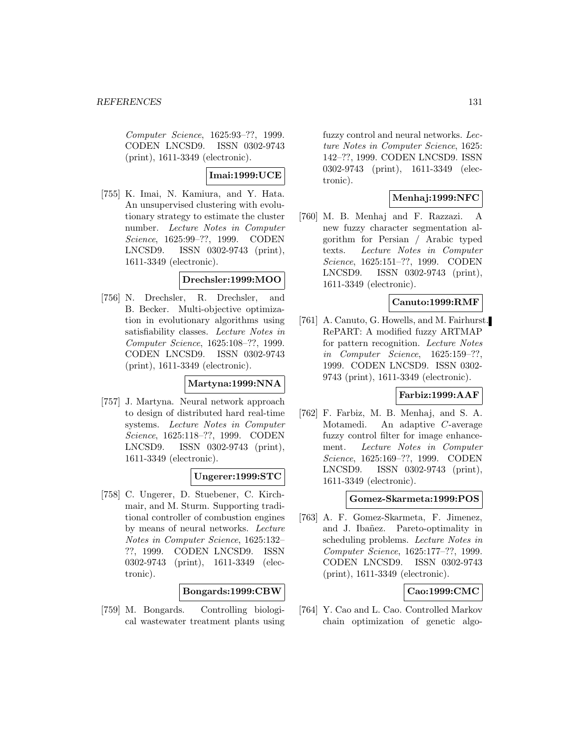Computer Science, 1625:93–??, 1999. CODEN LNCSD9. ISSN 0302-9743 (print), 1611-3349 (electronic).

**Imai:1999:UCE**

[755] K. Imai, N. Kamiura, and Y. Hata. An unsupervised clustering with evolutionary strategy to estimate the cluster number. Lecture Notes in Computer Science, 1625:99–??, 1999. CODEN LNCSD9. ISSN 0302-9743 (print), 1611-3349 (electronic).

#### **Drechsler:1999:MOO**

[756] N. Drechsler, R. Drechsler, and B. Becker. Multi-objective optimization in evolutionary algorithms using satisfiability classes. Lecture Notes in Computer Science, 1625:108–??, 1999. CODEN LNCSD9. ISSN 0302-9743 (print), 1611-3349 (electronic).

### **Martyna:1999:NNA**

[757] J. Martyna. Neural network approach to design of distributed hard real-time systems. Lecture Notes in Computer Science, 1625:118–??, 1999. CODEN LNCSD9. ISSN 0302-9743 (print), 1611-3349 (electronic).

### **Ungerer:1999:STC**

[758] C. Ungerer, D. Stuebener, C. Kirchmair, and M. Sturm. Supporting traditional controller of combustion engines by means of neural networks. Lecture Notes in Computer Science, 1625:132– ??, 1999. CODEN LNCSD9. ISSN 0302-9743 (print), 1611-3349 (electronic).

### **Bongards:1999:CBW**

[759] M. Bongards. Controlling biological wastewater treatment plants using

fuzzy control and neural networks. Lecture Notes in Computer Science, 1625: 142–??, 1999. CODEN LNCSD9. ISSN 0302-9743 (print), 1611-3349 (electronic).

# **Menhaj:1999:NFC**

[760] M. B. Menhaj and F. Razzazi. A new fuzzy character segmentation algorithm for Persian / Arabic typed texts. Lecture Notes in Computer Science, 1625:151–??, 1999. CODEN LNCSD9. ISSN 0302-9743 (print), 1611-3349 (electronic).

### **Canuto:1999:RMF**

[761] A. Canuto, G. Howells, and M. Fairhurst. RePART: A modified fuzzy ARTMAP for pattern recognition. Lecture Notes in Computer Science, 1625:159–??, 1999. CODEN LNCSD9. ISSN 0302- 9743 (print), 1611-3349 (electronic).

# **Farbiz:1999:AAF**

[762] F. Farbiz, M. B. Menhaj, and S. A. Motamedi. An adaptive C-average fuzzy control filter for image enhancement. Lecture Notes in Computer Science, 1625:169–??, 1999. CODEN LNCSD9. ISSN 0302-9743 (print), 1611-3349 (electronic).

#### **Gomez-Skarmeta:1999:POS**

[763] A. F. Gomez-Skarmeta, F. Jimenez, and J. Ibañez. Pareto-optimality in scheduling problems. Lecture Notes in Computer Science, 1625:177–??, 1999. CODEN LNCSD9. ISSN 0302-9743 (print), 1611-3349 (electronic).

# **Cao:1999:CMC**

[764] Y. Cao and L. Cao. Controlled Markov chain optimization of genetic algo-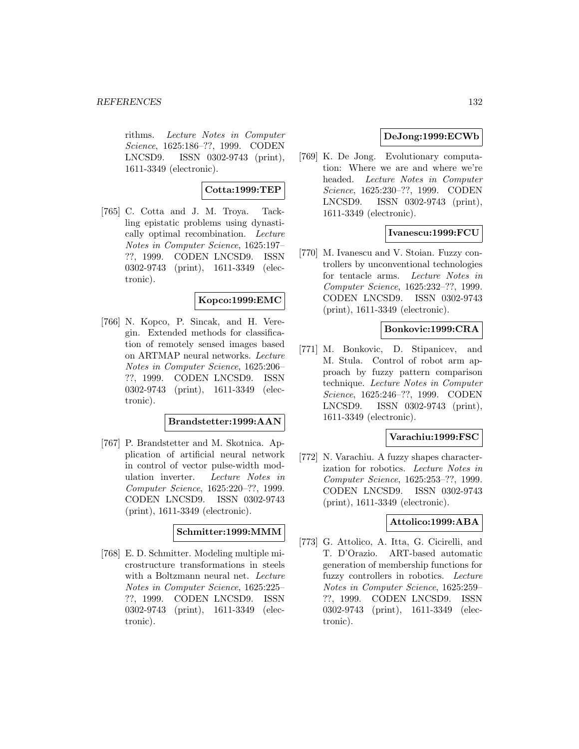#### *REFERENCES* 132

rithms. Lecture Notes in Computer Science, 1625:186–??, 1999. CODEN LNCSD9. ISSN 0302-9743 (print), 1611-3349 (electronic).

# **Cotta:1999:TEP**

[765] C. Cotta and J. M. Troya. Tackling epistatic problems using dynastically optimal recombination. Lecture Notes in Computer Science, 1625:197– ??, 1999. CODEN LNCSD9. ISSN 0302-9743 (print), 1611-3349 (electronic).

### **Kopco:1999:EMC**

[766] N. Kopco, P. Sincak, and H. Veregin. Extended methods for classification of remotely sensed images based on ARTMAP neural networks. Lecture Notes in Computer Science, 1625:206– ??, 1999. CODEN LNCSD9. ISSN 0302-9743 (print), 1611-3349 (electronic).

## **Brandstetter:1999:AAN**

[767] P. Brandstetter and M. Skotnica. Application of artificial neural network in control of vector pulse-width modulation inverter. Lecture Notes in Computer Science, 1625:220–??, 1999. CODEN LNCSD9. ISSN 0302-9743 (print), 1611-3349 (electronic).

## **Schmitter:1999:MMM**

[768] E. D. Schmitter. Modeling multiple microstructure transformations in steels with a Boltzmann neural net. Lecture Notes in Computer Science, 1625:225– ??, 1999. CODEN LNCSD9. ISSN 0302-9743 (print), 1611-3349 (electronic).

## **DeJong:1999:ECWb**

[769] K. De Jong. Evolutionary computation: Where we are and where we're headed. Lecture Notes in Computer Science, 1625:230–??, 1999. CODEN LNCSD9. ISSN 0302-9743 (print), 1611-3349 (electronic).

## **Ivanescu:1999:FCU**

[770] M. Ivanescu and V. Stoian. Fuzzy controllers by unconventional technologies for tentacle arms. Lecture Notes in Computer Science, 1625:232–??, 1999. CODEN LNCSD9. ISSN 0302-9743 (print), 1611-3349 (electronic).

## **Bonkovic:1999:CRA**

[771] M. Bonkovic, D. Stipanicev, and M. Stula. Control of robot arm approach by fuzzy pattern comparison technique. Lecture Notes in Computer Science, 1625:246–??, 1999. CODEN LNCSD9. ISSN 0302-9743 (print), 1611-3349 (electronic).

#### **Varachiu:1999:FSC**

[772] N. Varachiu. A fuzzy shapes characterization for robotics. Lecture Notes in Computer Science, 1625:253–??, 1999. CODEN LNCSD9. ISSN 0302-9743 (print), 1611-3349 (electronic).

## **Attolico:1999:ABA**

[773] G. Attolico, A. Itta, G. Cicirelli, and T. D'Orazio. ART-based automatic generation of membership functions for fuzzy controllers in robotics. Lecture Notes in Computer Science, 1625:259– ??, 1999. CODEN LNCSD9. ISSN 0302-9743 (print), 1611-3349 (electronic).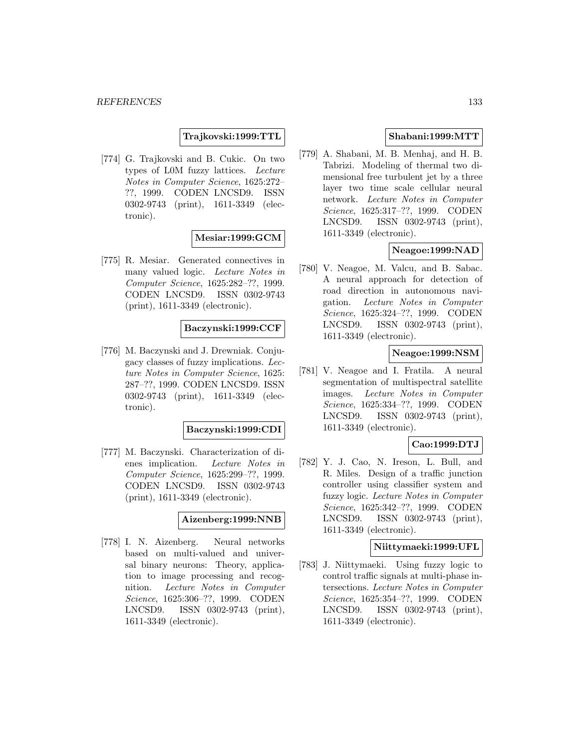**Trajkovski:1999:TTL**

[774] G. Trajkovski and B. Cukic. On two types of L0M fuzzy lattices. Lecture Notes in Computer Science, 1625:272– ??, 1999. CODEN LNCSD9. ISSN 0302-9743 (print), 1611-3349 (electronic).

### **Mesiar:1999:GCM**

[775] R. Mesiar. Generated connectives in many valued logic. Lecture Notes in Computer Science, 1625:282–??, 1999. CODEN LNCSD9. ISSN 0302-9743 (print), 1611-3349 (electronic).

# **Baczynski:1999:CCF**

[776] M. Baczynski and J. Drewniak. Conjugacy classes of fuzzy implications. Lecture Notes in Computer Science, 1625: 287–??, 1999. CODEN LNCSD9. ISSN 0302-9743 (print), 1611-3349 (electronic).

#### **Baczynski:1999:CDI**

[777] M. Baczynski. Characterization of dienes implication. Lecture Notes in Computer Science, 1625:299–??, 1999. CODEN LNCSD9. ISSN 0302-9743 (print), 1611-3349 (electronic).

### **Aizenberg:1999:NNB**

[778] I. N. Aizenberg. Neural networks based on multi-valued and universal binary neurons: Theory, application to image processing and recognition. Lecture Notes in Computer Science, 1625:306–??, 1999. CODEN LNCSD9. ISSN 0302-9743 (print), 1611-3349 (electronic).

### **Shabani:1999:MTT**

[779] A. Shabani, M. B. Menhaj, and H. B. Tabrizi. Modeling of thermal two dimensional free turbulent jet by a three layer two time scale cellular neural network. Lecture Notes in Computer Science, 1625:317–??, 1999. CODEN LNCSD9. ISSN 0302-9743 (print), 1611-3349 (electronic).

# **Neagoe:1999:NAD**

[780] V. Neagoe, M. Valcu, and B. Sabac. A neural approach for detection of road direction in autonomous navigation. Lecture Notes in Computer Science, 1625:324–??, 1999. CODEN LNCSD9. ISSN 0302-9743 (print), 1611-3349 (electronic).

### **Neagoe:1999:NSM**

[781] V. Neagoe and I. Fratila. A neural segmentation of multispectral satellite images. Lecture Notes in Computer Science, 1625:334–??, 1999. CODEN LNCSD9. ISSN 0302-9743 (print), 1611-3349 (electronic).

#### **Cao:1999:DTJ**

[782] Y. J. Cao, N. Ireson, L. Bull, and R. Miles. Design of a traffic junction controller using classifier system and fuzzy logic. Lecture Notes in Computer Science, 1625:342–??, 1999. CODEN LNCSD9. ISSN 0302-9743 (print), 1611-3349 (electronic).

### **Niittymaeki:1999:UFL**

[783] J. Niittymaeki. Using fuzzy logic to control traffic signals at multi-phase intersections. Lecture Notes in Computer Science, 1625:354–??, 1999. CODEN LNCSD9. ISSN 0302-9743 (print), 1611-3349 (electronic).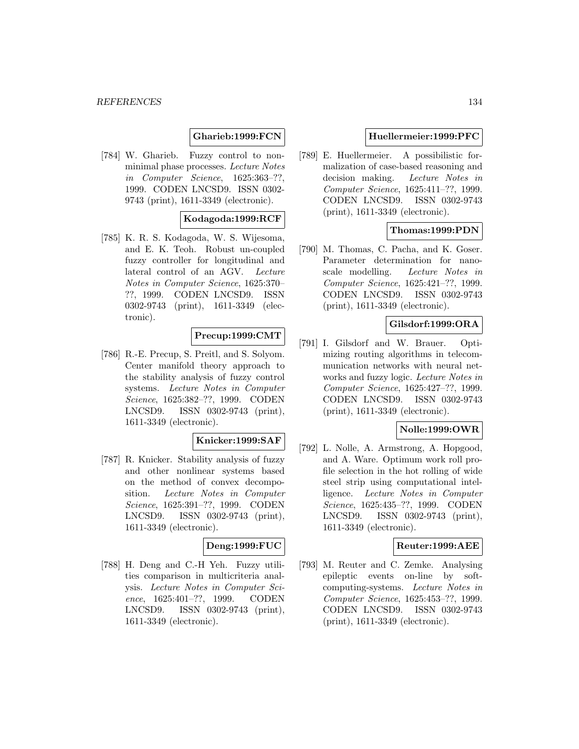### **Gharieb:1999:FCN**

[784] W. Gharieb. Fuzzy control to nonminimal phase processes. Lecture Notes in Computer Science, 1625:363–??, 1999. CODEN LNCSD9. ISSN 0302- 9743 (print), 1611-3349 (electronic).

### **Kodagoda:1999:RCF**

[785] K. R. S. Kodagoda, W. S. Wijesoma, and E. K. Teoh. Robust un-coupled fuzzy controller for longitudinal and lateral control of an AGV. Lecture Notes in Computer Science, 1625:370– ??, 1999. CODEN LNCSD9. ISSN 0302-9743 (print), 1611-3349 (electronic).

### **Precup:1999:CMT**

[786] R.-E. Precup, S. Preitl, and S. Solyom. Center manifold theory approach to the stability analysis of fuzzy control systems. Lecture Notes in Computer Science, 1625:382–??, 1999. CODEN LNCSD9. ISSN 0302-9743 (print), 1611-3349 (electronic).

# **Knicker:1999:SAF**

[787] R. Knicker. Stability analysis of fuzzy and other nonlinear systems based on the method of convex decomposition. Lecture Notes in Computer Science, 1625:391–??, 1999. CODEN LNCSD9. ISSN 0302-9743 (print), 1611-3349 (electronic).

## **Deng:1999:FUC**

[788] H. Deng and C.-H Yeh. Fuzzy utilities comparison in multicriteria analysis. Lecture Notes in Computer Science, 1625:401–??, 1999. CODEN LNCSD9. ISSN 0302-9743 (print), 1611-3349 (electronic).

#### **Huellermeier:1999:PFC**

[789] E. Huellermeier. A possibilistic formalization of case-based reasoning and decision making. Lecture Notes in Computer Science, 1625:411–??, 1999. CODEN LNCSD9. ISSN 0302-9743 (print), 1611-3349 (electronic).

### **Thomas:1999:PDN**

[790] M. Thomas, C. Pacha, and K. Goser. Parameter determination for nanoscale modelling. Lecture Notes in Computer Science, 1625:421–??, 1999. CODEN LNCSD9. ISSN 0302-9743 (print), 1611-3349 (electronic).

### **Gilsdorf:1999:ORA**

[791] I. Gilsdorf and W. Brauer. Optimizing routing algorithms in telecommunication networks with neural networks and fuzzy logic. Lecture Notes in Computer Science, 1625:427–??, 1999. CODEN LNCSD9. ISSN 0302-9743 (print), 1611-3349 (electronic).

#### **Nolle:1999:OWR**

[792] L. Nolle, A. Armstrong, A. Hopgood, and A. Ware. Optimum work roll profile selection in the hot rolling of wide steel strip using computational intelligence. Lecture Notes in Computer Science, 1625:435–??, 1999. CODEN LNCSD9. ISSN 0302-9743 (print), 1611-3349 (electronic).

#### **Reuter:1999:AEE**

[793] M. Reuter and C. Zemke. Analysing epileptic events on-line by softcomputing-systems. Lecture Notes in Computer Science, 1625:453–??, 1999. CODEN LNCSD9. ISSN 0302-9743 (print), 1611-3349 (electronic).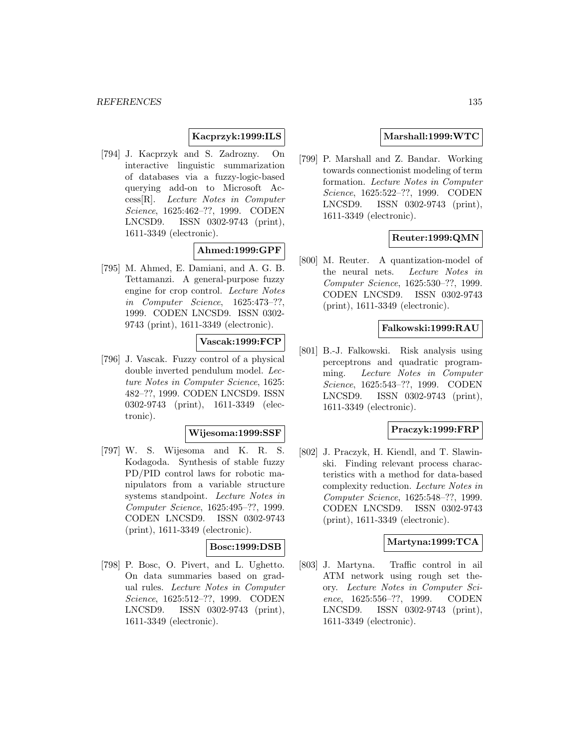## **Kacprzyk:1999:ILS**

[794] J. Kacprzyk and S. Zadrozny. On interactive linguistic summarization of databases via a fuzzy-logic-based querying add-on to Microsoft Access[R]. Lecture Notes in Computer Science, 1625:462–??, 1999. CODEN LNCSD9. ISSN 0302-9743 (print), 1611-3349 (electronic).

#### **Ahmed:1999:GPF**

[795] M. Ahmed, E. Damiani, and A. G. B. Tettamanzi. A general-purpose fuzzy engine for crop control. Lecture Notes in Computer Science, 1625:473–??, 1999. CODEN LNCSD9. ISSN 0302- 9743 (print), 1611-3349 (electronic).

## **Vascak:1999:FCP**

[796] J. Vascak. Fuzzy control of a physical double inverted pendulum model. Lecture Notes in Computer Science, 1625: 482–??, 1999. CODEN LNCSD9. ISSN 0302-9743 (print), 1611-3349 (electronic).

### **Wijesoma:1999:SSF**

[797] W. S. Wijesoma and K. R. S. Kodagoda. Synthesis of stable fuzzy PD/PID control laws for robotic manipulators from a variable structure systems standpoint. Lecture Notes in Computer Science, 1625:495–??, 1999. CODEN LNCSD9. ISSN 0302-9743 (print), 1611-3349 (electronic).

## **Bosc:1999:DSB**

[798] P. Bosc, O. Pivert, and L. Ughetto. On data summaries based on gradual rules. Lecture Notes in Computer Science, 1625:512–??, 1999. CODEN LNCSD9. ISSN 0302-9743 (print), 1611-3349 (electronic).

## **Marshall:1999:WTC**

[799] P. Marshall and Z. Bandar. Working towards connectionist modeling of term formation. Lecture Notes in Computer Science, 1625:522–??, 1999. CODEN LNCSD9. ISSN 0302-9743 (print), 1611-3349 (electronic).

# **Reuter:1999:QMN**

[800] M. Reuter. A quantization-model of the neural nets. Lecture Notes in Computer Science, 1625:530–??, 1999. CODEN LNCSD9. ISSN 0302-9743 (print), 1611-3349 (electronic).

### **Falkowski:1999:RAU**

[801] B.-J. Falkowski. Risk analysis using perceptrons and quadratic programming. Lecture Notes in Computer Science, 1625:543–??, 1999. CODEN LNCSD9. ISSN 0302-9743 (print), 1611-3349 (electronic).

## **Praczyk:1999:FRP**

[802] J. Praczyk, H. Kiendl, and T. Slawinski. Finding relevant process characteristics with a method for data-based complexity reduction. Lecture Notes in Computer Science, 1625:548–??, 1999. CODEN LNCSD9. ISSN 0302-9743 (print), 1611-3349 (electronic).

#### **Martyna:1999:TCA**

[803] J. Martyna. Traffic control in ail ATM network using rough set theory. Lecture Notes in Computer Science, 1625:556–??, 1999. CODEN LNCSD9. ISSN 0302-9743 (print), 1611-3349 (electronic).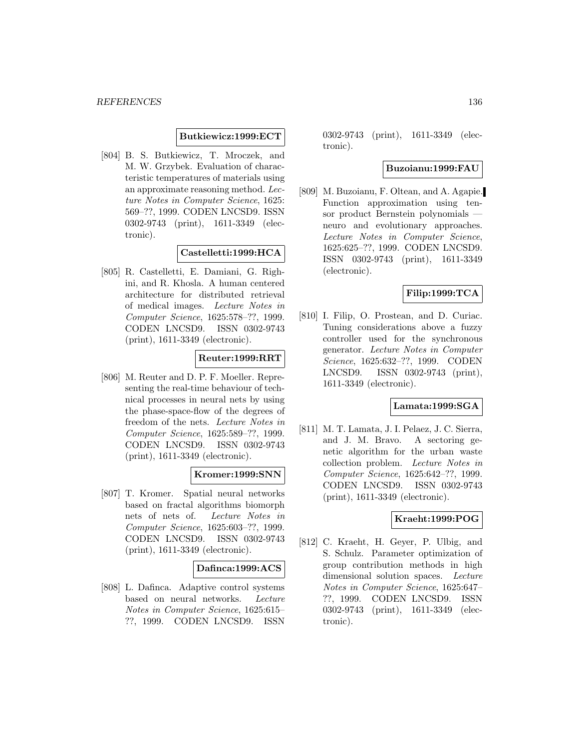#### **Butkiewicz:1999:ECT**

[804] B. S. Butkiewicz, T. Mroczek, and M. W. Grzybek. Evaluation of characteristic temperatures of materials using an approximate reasoning method. Lecture Notes in Computer Science, 1625: 569–??, 1999. CODEN LNCSD9. ISSN 0302-9743 (print), 1611-3349 (electronic).

## **Castelletti:1999:HCA**

[805] R. Castelletti, E. Damiani, G. Righini, and R. Khosla. A human centered architecture for distributed retrieval of medical images. Lecture Notes in Computer Science, 1625:578–??, 1999. CODEN LNCSD9. ISSN 0302-9743 (print), 1611-3349 (electronic).

## **Reuter:1999:RRT**

[806] M. Reuter and D. P. F. Moeller. Representing the real-time behaviour of technical processes in neural nets by using the phase-space-flow of the degrees of freedom of the nets. Lecture Notes in Computer Science, 1625:589–??, 1999. CODEN LNCSD9. ISSN 0302-9743 (print), 1611-3349 (electronic).

### **Kromer:1999:SNN**

[807] T. Kromer. Spatial neural networks based on fractal algorithms biomorph nets of nets of. Lecture Notes in Computer Science, 1625:603–??, 1999. CODEN LNCSD9. ISSN 0302-9743 (print), 1611-3349 (electronic).

#### **Dafinca:1999:ACS**

[808] L. Dafinca. Adaptive control systems based on neural networks. Lecture Notes in Computer Science, 1625:615– ??, 1999. CODEN LNCSD9. ISSN

0302-9743 (print), 1611-3349 (electronic).

#### **Buzoianu:1999:FAU**

[809] M. Buzoianu, F. Oltean, and A. Agapie. Function approximation using tensor product Bernstein polynomials neuro and evolutionary approaches. Lecture Notes in Computer Science, 1625:625–??, 1999. CODEN LNCSD9. ISSN 0302-9743 (print), 1611-3349 (electronic).

#### **Filip:1999:TCA**

[810] I. Filip, O. Prostean, and D. Curiac. Tuning considerations above a fuzzy controller used for the synchronous generator. Lecture Notes in Computer Science, 1625:632–??, 1999. CODEN LNCSD9. ISSN 0302-9743 (print), 1611-3349 (electronic).

### **Lamata:1999:SGA**

[811] M. T. Lamata, J. I. Pelaez, J. C. Sierra, and J. M. Bravo. A sectoring genetic algorithm for the urban waste collection problem. Lecture Notes in Computer Science, 1625:642–??, 1999. CODEN LNCSD9. ISSN 0302-9743 (print), 1611-3349 (electronic).

# **Kraeht:1999:POG**

[812] C. Kraeht, H. Geyer, P. Ulbig, and S. Schulz. Parameter optimization of group contribution methods in high dimensional solution spaces. Lecture Notes in Computer Science, 1625:647– ??, 1999. CODEN LNCSD9. ISSN 0302-9743 (print), 1611-3349 (electronic).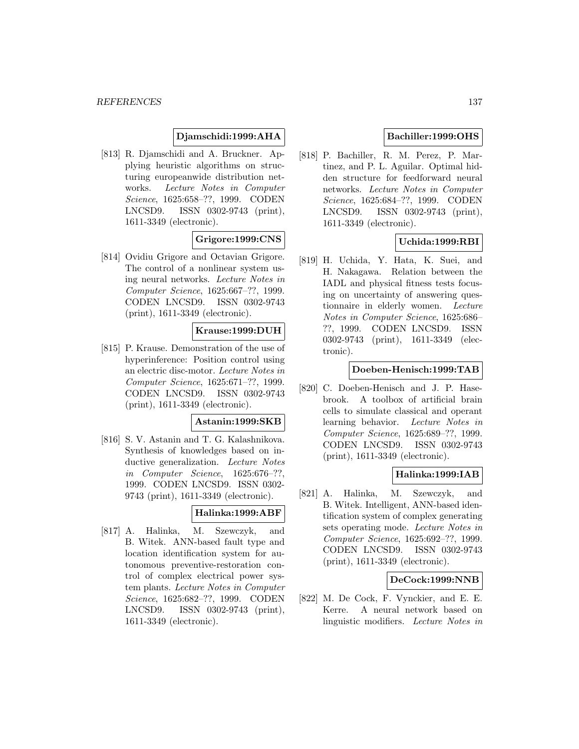## **Djamschidi:1999:AHA**

[813] R. Djamschidi and A. Bruckner. Applying heuristic algorithms on structuring europeanwide distribution networks. Lecture Notes in Computer Science, 1625:658–??, 1999. CODEN LNCSD9. ISSN 0302-9743 (print), 1611-3349 (electronic).

### **Grigore:1999:CNS**

[814] Ovidiu Grigore and Octavian Grigore. The control of a nonlinear system using neural networks. Lecture Notes in Computer Science, 1625:667–??, 1999. CODEN LNCSD9. ISSN 0302-9743 (print), 1611-3349 (electronic).

### **Krause:1999:DUH**

[815] P. Krause. Demonstration of the use of hyperinference: Position control using an electric disc-motor. Lecture Notes in Computer Science, 1625:671–??, 1999. CODEN LNCSD9. ISSN 0302-9743 (print), 1611-3349 (electronic).

### **Astanin:1999:SKB**

[816] S. V. Astanin and T. G. Kalashnikova. Synthesis of knowledges based on inductive generalization. Lecture Notes in Computer Science, 1625:676–??, 1999. CODEN LNCSD9. ISSN 0302- 9743 (print), 1611-3349 (electronic).

### **Halinka:1999:ABF**

[817] A. Halinka, M. Szewczyk, and B. Witek. ANN-based fault type and location identification system for autonomous preventive-restoration control of complex electrical power system plants. Lecture Notes in Computer Science, 1625:682–??, 1999. CODEN LNCSD9. ISSN 0302-9743 (print), 1611-3349 (electronic).

## **Bachiller:1999:OHS**

[818] P. Bachiller, R. M. Perez, P. Martinez, and P. L. Aguilar. Optimal hidden structure for feedforward neural networks. Lecture Notes in Computer Science, 1625:684–??, 1999. CODEN LNCSD9. ISSN 0302-9743 (print), 1611-3349 (electronic).

## **Uchida:1999:RBI**

[819] H. Uchida, Y. Hata, K. Suei, and H. Nakagawa. Relation between the IADL and physical fitness tests focusing on uncertainty of answering questionnaire in elderly women. Lecture Notes in Computer Science, 1625:686– ??, 1999. CODEN LNCSD9. ISSN 0302-9743 (print), 1611-3349 (electronic).

#### **Doeben-Henisch:1999:TAB**

[820] C. Doeben-Henisch and J. P. Hasebrook. A toolbox of artificial brain cells to simulate classical and operant learning behavior. Lecture Notes in Computer Science, 1625:689–??, 1999. CODEN LNCSD9. ISSN 0302-9743 (print), 1611-3349 (electronic).

### **Halinka:1999:IAB**

[821] A. Halinka, M. Szewczyk, and B. Witek. Intelligent, ANN-based identification system of complex generating sets operating mode. Lecture Notes in Computer Science, 1625:692–??, 1999. CODEN LNCSD9. ISSN 0302-9743 (print), 1611-3349 (electronic).

#### **DeCock:1999:NNB**

[822] M. De Cock, F. Vynckier, and E. E. Kerre. A neural network based on linguistic modifiers. Lecture Notes in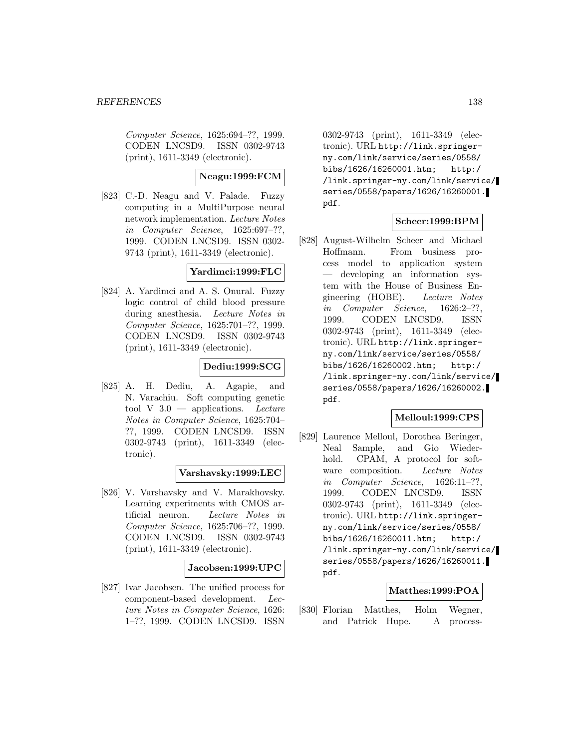Computer Science, 1625:694–??, 1999. CODEN LNCSD9. ISSN 0302-9743 (print), 1611-3349 (electronic).

## **Neagu:1999:FCM**

[823] C.-D. Neagu and V. Palade. Fuzzy computing in a MultiPurpose neural network implementation. Lecture Notes in Computer Science, 1625:697–??, 1999. CODEN LNCSD9. ISSN 0302- 9743 (print), 1611-3349 (electronic).

### **Yardimci:1999:FLC**

[824] A. Yardimci and A. S. Onural. Fuzzy logic control of child blood pressure during anesthesia. Lecture Notes in Computer Science, 1625:701–??, 1999. CODEN LNCSD9. ISSN 0302-9743 (print), 1611-3349 (electronic).

# **Dediu:1999:SCG**

[825] A. H. Dediu, A. Agapie, and N. Varachiu. Soft computing genetic tool V  $3.0$  — applications. Lecture Notes in Computer Science, 1625:704– ??, 1999. CODEN LNCSD9. ISSN 0302-9743 (print), 1611-3349 (electronic).

### **Varshavsky:1999:LEC**

[826] V. Varshavsky and V. Marakhovsky. Learning experiments with CMOS artificial neuron. Lecture Notes in Computer Science, 1625:706–??, 1999. CODEN LNCSD9. ISSN 0302-9743 (print), 1611-3349 (electronic).

### **Jacobsen:1999:UPC**

[827] Ivar Jacobsen. The unified process for component-based development. Lecture Notes in Computer Science, 1626: 1–??, 1999. CODEN LNCSD9. ISSN

0302-9743 (print), 1611-3349 (electronic). URL http://link.springerny.com/link/service/series/0558/ bibs/1626/16260001.htm; http:/ /link.springer-ny.com/link/service/ series/0558/papers/1626/16260001. pdf.

## **Scheer:1999:BPM**

[828] August-Wilhelm Scheer and Michael Hoffmann. From business process model to application system — developing an information system with the House of Business Engineering (HOBE). Lecture Notes in Computer Science, 1626:2–??, 1999. CODEN LNCSD9. ISSN 0302-9743 (print), 1611-3349 (electronic). URL http://link.springerny.com/link/service/series/0558/ bibs/1626/16260002.htm; http:/ /link.springer-ny.com/link/service/ series/0558/papers/1626/16260002. pdf.

### **Melloul:1999:CPS**

[829] Laurence Melloul, Dorothea Beringer, Neal Sample, and Gio Wiederhold. CPAM, A protocol for software composition. Lecture Notes in Computer Science, 1626:11–??, 1999. CODEN LNCSD9. ISSN 0302-9743 (print), 1611-3349 (electronic). URL http://link.springerny.com/link/service/series/0558/ bibs/1626/16260011.htm; http:/ /link.springer-ny.com/link/service/ series/0558/papers/1626/16260011. pdf.

### **Matthes:1999:POA**

[830] Florian Matthes, Holm Wegner, and Patrick Hupe. A process-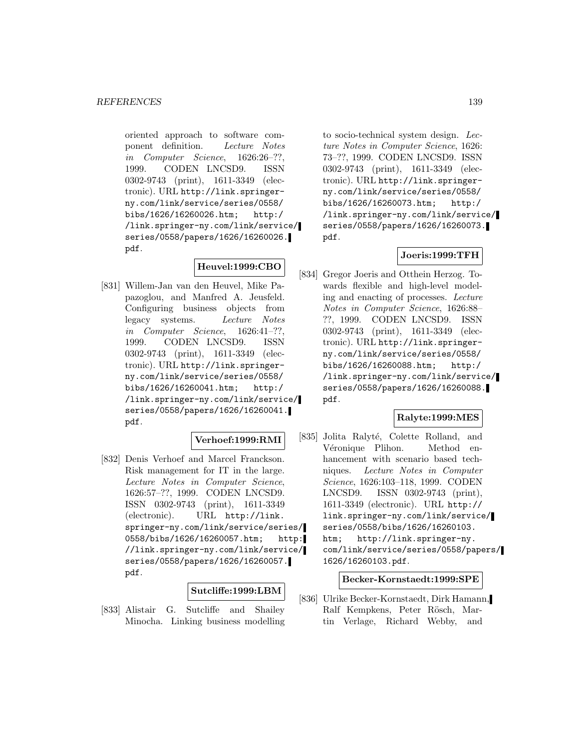oriented approach to software component definition. Lecture Notes in Computer Science, 1626:26–??, 1999. CODEN LNCSD9. ISSN 0302-9743 (print), 1611-3349 (electronic). URL http://link.springerny.com/link/service/series/0558/ bibs/1626/16260026.htm; http:/ /link.springer-ny.com/link/service/ series/0558/papers/1626/16260026. pdf.

# **Heuvel:1999:CBO**

[831] Willem-Jan van den Heuvel, Mike Papazoglou, and Manfred A. Jeusfeld. Configuring business objects from legacy systems. Lecture Notes in Computer Science, 1626:41–??, 1999. CODEN LNCSD9. ISSN 0302-9743 (print), 1611-3349 (electronic). URL http://link.springerny.com/link/service/series/0558/ bibs/1626/16260041.htm; http:/ /link.springer-ny.com/link/service/ series/0558/papers/1626/16260041. pdf.

### **Verhoef:1999:RMI**

[832] Denis Verhoef and Marcel Franckson. Risk management for IT in the large. Lecture Notes in Computer Science, 1626:57–??, 1999. CODEN LNCSD9. ISSN 0302-9743 (print), 1611-3349 (electronic). URL http://link. springer-ny.com/link/service/series/ 0558/bibs/1626/16260057.htm; http: //link.springer-ny.com/link/service/ series/0558/papers/1626/16260057. pdf.

### **Sutcliffe:1999:LBM**

[833] Alistair G. Sutcliffe and Shailey Minocha. Linking business modelling

to socio-technical system design. Lecture Notes in Computer Science, 1626: 73–??, 1999. CODEN LNCSD9. ISSN 0302-9743 (print), 1611-3349 (electronic). URL http://link.springerny.com/link/service/series/0558/ bibs/1626/16260073.htm; http:/ /link.springer-ny.com/link/service/ series/0558/papers/1626/16260073. pdf.

## **Joeris:1999:TFH**

[834] Gregor Joeris and Otthein Herzog. Towards flexible and high-level modeling and enacting of processes. Lecture Notes in Computer Science, 1626:88– ??, 1999. CODEN LNCSD9. ISSN 0302-9743 (print), 1611-3349 (electronic). URL http://link.springerny.com/link/service/series/0558/ bibs/1626/16260088.htm; http:/ /link.springer-ny.com/link/service/ series/0558/papers/1626/16260088. pdf.

### **Ralyte:1999:MES**

[835] Jolita Ralyté, Colette Rolland, and Véronique Plihon. Method enhancement with scenario based techniques. Lecture Notes in Computer Science, 1626:103–118, 1999. CODEN LNCSD9. ISSN 0302-9743 (print), 1611-3349 (electronic). URL http:// link.springer-ny.com/link/service/ series/0558/bibs/1626/16260103. htm; http://link.springer-ny. com/link/service/series/0558/papers/ 1626/16260103.pdf.

#### **Becker-Kornstaedt:1999:SPE**

[836] Ulrike Becker-Kornstaedt, Dirk Hamann, Ralf Kempkens, Peter Rösch, Martin Verlage, Richard Webby, and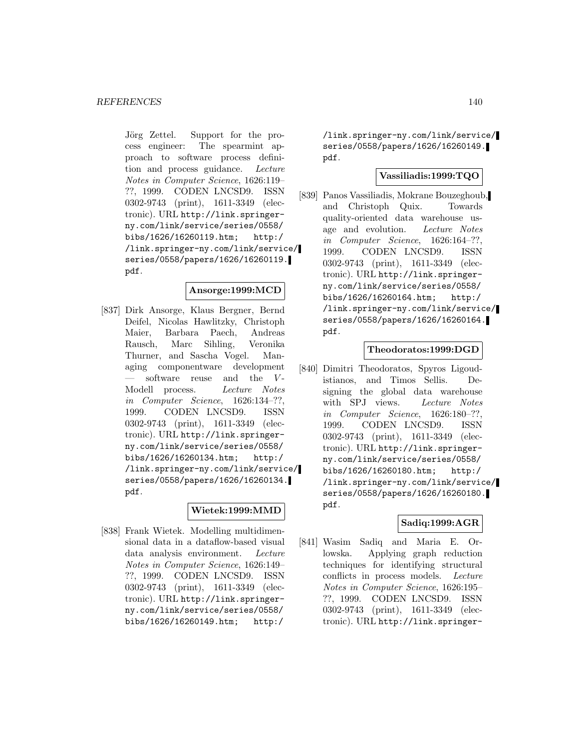Jörg Zettel. Support for the process engineer: The spearmint approach to software process definition and process guidance. Lecture Notes in Computer Science, 1626:119– ??, 1999. CODEN LNCSD9. ISSN 0302-9743 (print), 1611-3349 (electronic). URL http://link.springerny.com/link/service/series/0558/ bibs/1626/16260119.htm; http:/ /link.springer-ny.com/link/service/ series/0558/papers/1626/16260119. pdf.

### **Ansorge:1999:MCD**

[837] Dirk Ansorge, Klaus Bergner, Bernd Deifel, Nicolas Hawlitzky, Christoph Maier, Barbara Paech, Andreas Rausch, Marc Sihling, Veronika Thurner, and Sascha Vogel. Managing componentware development software reuse and the  $V$ -Modell process. Lecture Notes in Computer Science, 1626:134–??, 1999. CODEN LNCSD9. ISSN 0302-9743 (print), 1611-3349 (electronic). URL http://link.springerny.com/link/service/series/0558/ bibs/1626/16260134.htm; http:/ /link.springer-ny.com/link/service/ series/0558/papers/1626/16260134. pdf.

### **Wietek:1999:MMD**

[838] Frank Wietek. Modelling multidimensional data in a dataflow-based visual data analysis environment. Lecture Notes in Computer Science, 1626:149– ??, 1999. CODEN LNCSD9. ISSN 0302-9743 (print), 1611-3349 (electronic). URL http://link.springerny.com/link/service/series/0558/ bibs/1626/16260149.htm; http:/

/link.springer-ny.com/link/service/ series/0558/papers/1626/16260149. pdf.

### **Vassiliadis:1999:TQO**

[839] Panos Vassiliadis, Mokrane Bouzeghoub, and Christoph Quix. Towards quality-oriented data warehouse usage and evolution. Lecture Notes in Computer Science, 1626:164–??, 1999. CODEN LNCSD9. ISSN 0302-9743 (print), 1611-3349 (electronic). URL http://link.springerny.com/link/service/series/0558/ bibs/1626/16260164.htm; http:/ /link.springer-ny.com/link/service/ series/0558/papers/1626/16260164. pdf.

### **Theodoratos:1999:DGD**

[840] Dimitri Theodoratos, Spyros Ligoudistianos, and Timos Sellis. Designing the global data warehouse with SPJ views. Lecture Notes in Computer Science, 1626:180–??, 1999. CODEN LNCSD9. ISSN 0302-9743 (print), 1611-3349 (electronic). URL http://link.springerny.com/link/service/series/0558/ bibs/1626/16260180.htm; http:/ /link.springer-ny.com/link/service/ series/0558/papers/1626/16260180. pdf.

### **Sadiq:1999:AGR**

[841] Wasim Sadiq and Maria E. Orlowska. Applying graph reduction techniques for identifying structural conflicts in process models. Lecture Notes in Computer Science, 1626:195– ??, 1999. CODEN LNCSD9. ISSN 0302-9743 (print), 1611-3349 (electronic). URL http://link.springer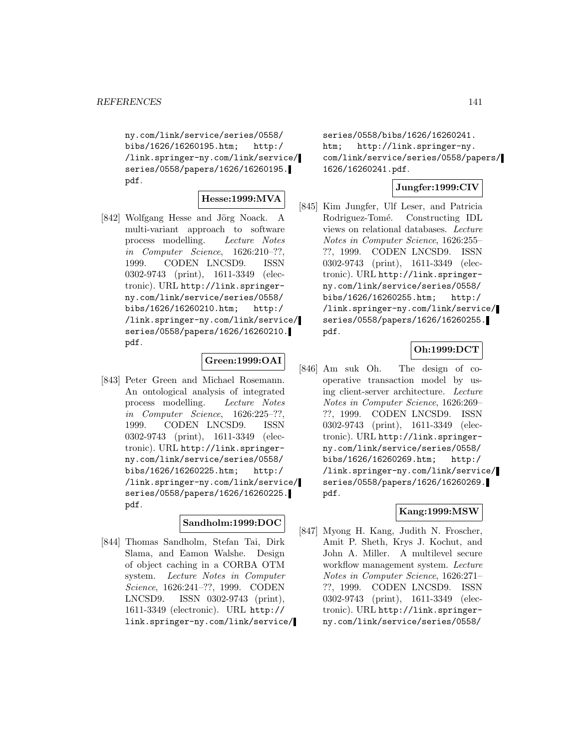ny.com/link/service/series/0558/ bibs/1626/16260195.htm; http:/ /link.springer-ny.com/link/service/ series/0558/papers/1626/16260195. pdf.

### **Hesse:1999:MVA**

[842] Wolfgang Hesse and Jörg Noack. A multi-variant approach to software process modelling. Lecture Notes in Computer Science, 1626:210–??, 1999. CODEN LNCSD9. ISSN 0302-9743 (print), 1611-3349 (electronic). URL http://link.springerny.com/link/service/series/0558/ bibs/1626/16260210.htm; http:/ /link.springer-ny.com/link/service/ series/0558/papers/1626/16260210. pdf.

### **Green:1999:OAI**

[843] Peter Green and Michael Rosemann. An ontological analysis of integrated process modelling. Lecture Notes in Computer Science, 1626:225–??, 1999. CODEN LNCSD9. ISSN 0302-9743 (print), 1611-3349 (electronic). URL http://link.springerny.com/link/service/series/0558/ bibs/1626/16260225.htm; http:/ /link.springer-ny.com/link/service/ series/0558/papers/1626/16260225. pdf.

### **Sandholm:1999:DOC**

[844] Thomas Sandholm, Stefan Tai, Dirk Slama, and Eamon Walshe. Design of object caching in a CORBA OTM system. Lecture Notes in Computer Science, 1626:241–??, 1999. CODEN LNCSD9. ISSN 0302-9743 (print), 1611-3349 (electronic). URL http:// link.springer-ny.com/link/service/

series/0558/bibs/1626/16260241. htm; http://link.springer-ny. com/link/service/series/0558/papers/ 1626/16260241.pdf.

# **Jungfer:1999:CIV**

[845] Kim Jungfer, Ulf Leser, and Patricia Rodriguez-Tomé. Constructing IDL views on relational databases. Lecture Notes in Computer Science, 1626:255– ??, 1999. CODEN LNCSD9. ISSN 0302-9743 (print), 1611-3349 (electronic). URL http://link.springerny.com/link/service/series/0558/ bibs/1626/16260255.htm; http:/ /link.springer-ny.com/link/service/ series/0558/papers/1626/16260255. pdf.

# **Oh:1999:DCT**

[846] Am suk Oh. The design of cooperative transaction model by using client-server architecture. Lecture Notes in Computer Science, 1626:269– ??, 1999. CODEN LNCSD9. ISSN 0302-9743 (print), 1611-3349 (electronic). URL http://link.springerny.com/link/service/series/0558/ bibs/1626/16260269.htm; http:/ /link.springer-ny.com/link/service/ series/0558/papers/1626/16260269. pdf.

### **Kang:1999:MSW**

[847] Myong H. Kang, Judith N. Froscher, Amit P. Sheth, Krys J. Kochut, and John A. Miller. A multilevel secure workflow management system. Lecture Notes in Computer Science, 1626:271– ??, 1999. CODEN LNCSD9. ISSN 0302-9743 (print), 1611-3349 (electronic). URL http://link.springerny.com/link/service/series/0558/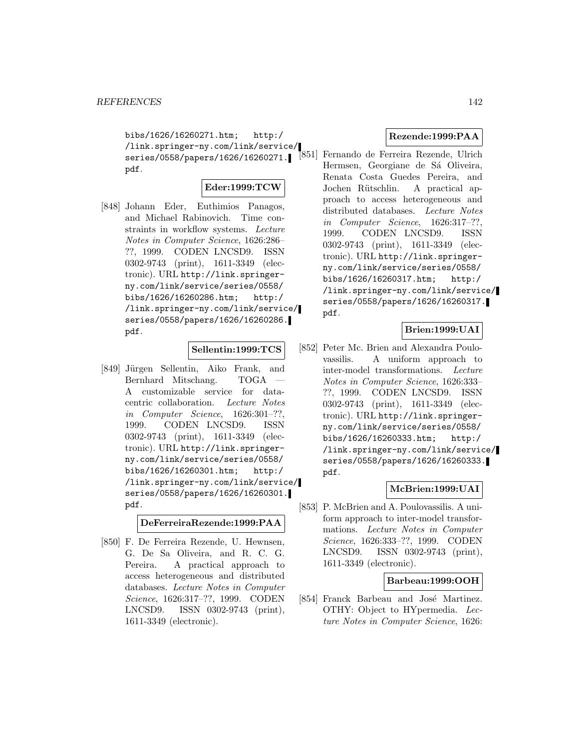bibs/1626/16260271.htm; http:/ /link.springer-ny.com/link/service/ series/0558/papers/1626/16260271. pdf.

## **Eder:1999:TCW**

[848] Johann Eder, Euthimios Panagos, and Michael Rabinovich. Time constraints in workflow systems. Lecture Notes in Computer Science, 1626:286– ??, 1999. CODEN LNCSD9. ISSN 0302-9743 (print), 1611-3349 (electronic). URL http://link.springerny.com/link/service/series/0558/ bibs/1626/16260286.htm; http:/ /link.springer-ny.com/link/service/ series/0558/papers/1626/16260286. pdf.

#### **Sellentin:1999:TCS**

[849] Jürgen Sellentin, Aiko Frank, and Bernhard Mitschang. TOGA A customizable service for datacentric collaboration. Lecture Notes in Computer Science, 1626:301–??, 1999. CODEN LNCSD9. ISSN 0302-9743 (print), 1611-3349 (electronic). URL http://link.springerny.com/link/service/series/0558/ bibs/1626/16260301.htm; http:/ /link.springer-ny.com/link/service/ series/0558/papers/1626/16260301. pdf.

**DeFerreiraRezende:1999:PAA**

[850] F. De Ferreira Rezende, U. Hewnsen, G. De Sa Oliveira, and R. C. G. Pereira. A practical approach to access heterogeneous and distributed databases. Lecture Notes in Computer Science, 1626:317–??, 1999. CODEN LNCSD9. ISSN 0302-9743 (print), 1611-3349 (electronic).

## **Rezende:1999:PAA**

[851] Fernando de Ferreira Rezende, Ulrich Hermsen, Georgiane de Sá Oliveira, Renata Costa Guedes Pereira, and Jochen Rütschlin. A practical approach to access heterogeneous and distributed databases. Lecture Notes in Computer Science, 1626:317–??, 1999. CODEN LNCSD9. ISSN 0302-9743 (print), 1611-3349 (electronic). URL http://link.springerny.com/link/service/series/0558/ bibs/1626/16260317.htm; http:/ /link.springer-ny.com/link/service/ series/0558/papers/1626/16260317. pdf.

# **Brien:1999:UAI**

[852] Peter Mc. Brien and Alexandra Poulovassilis. A uniform approach to inter-model transformations. Lecture Notes in Computer Science, 1626:333– ??, 1999. CODEN LNCSD9. ISSN 0302-9743 (print), 1611-3349 (electronic). URL http://link.springerny.com/link/service/series/0558/ bibs/1626/16260333.htm; http:/ /link.springer-ny.com/link/service/ series/0558/papers/1626/16260333. pdf.

### **McBrien:1999:UAI**

[853] P. McBrien and A. Poulovassilis. A uniform approach to inter-model transformations. Lecture Notes in Computer Science, 1626:333–??, 1999. CODEN LNCSD9. ISSN 0302-9743 (print), 1611-3349 (electronic).

### **Barbeau:1999:OOH**

[854] Franck Barbeau and José Martinez. OTHY: Object to HYpermedia. Lecture Notes in Computer Science, 1626: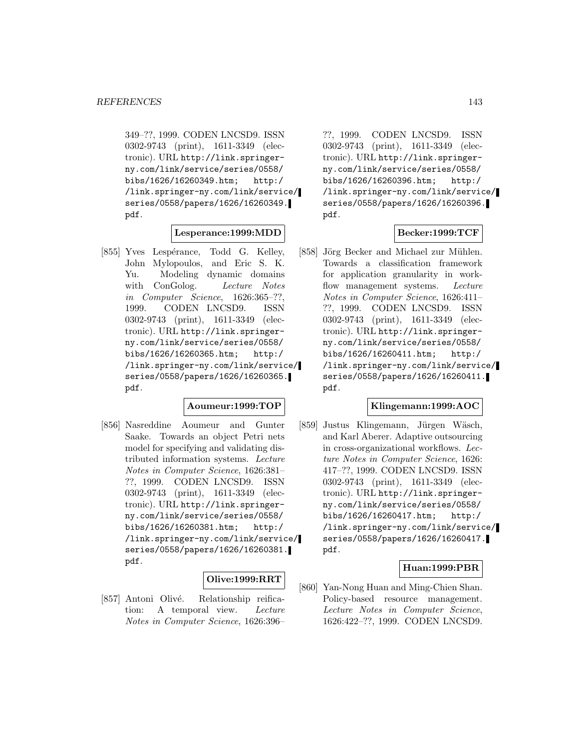349–??, 1999. CODEN LNCSD9. ISSN 0302-9743 (print), 1611-3349 (electronic). URL http://link.springerny.com/link/service/series/0558/ bibs/1626/16260349.htm; http:/ /link.springer-ny.com/link/service/ series/0558/papers/1626/16260349. pdf.

### **Lesperance:1999:MDD**

[855] Yves Lespérance, Todd G. Kelley, John Mylopoulos, and Eric S. K. Yu. Modeling dynamic domains with ConGolog. Lecture Notes in Computer Science, 1626:365–??, 1999. CODEN LNCSD9. ISSN 0302-9743 (print), 1611-3349 (electronic). URL http://link.springerny.com/link/service/series/0558/ bibs/1626/16260365.htm; http:/ /link.springer-ny.com/link/service/ series/0558/papers/1626/16260365. pdf.

#### **Aoumeur:1999:TOP**

[856] Nasreddine Aoumeur and Gunter Saake. Towards an object Petri nets model for specifying and validating distributed information systems. Lecture Notes in Computer Science, 1626:381– ??, 1999. CODEN LNCSD9. ISSN 0302-9743 (print), 1611-3349 (electronic). URL http://link.springerny.com/link/service/series/0558/ bibs/1626/16260381.htm; http:/ /link.springer-ny.com/link/service/ series/0558/papers/1626/16260381. pdf.

## **Olive:1999:RRT**

[857] Antoni Olivé. Relationship reification: A temporal view. Lecture Notes in Computer Science, 1626:396–

??, 1999. CODEN LNCSD9. ISSN 0302-9743 (print), 1611-3349 (electronic). URL http://link.springerny.com/link/service/series/0558/ bibs/1626/16260396.htm; http:/ /link.springer-ny.com/link/service/ series/0558/papers/1626/16260396. pdf.

## **Becker:1999:TCF**

[858] Jörg Becker and Michael zur Mühlen. Towards a classification framework for application granularity in workflow management systems. Lecture Notes in Computer Science, 1626:411– ??, 1999. CODEN LNCSD9. ISSN 0302-9743 (print), 1611-3349 (electronic). URL http://link.springerny.com/link/service/series/0558/ bibs/1626/16260411.htm; http:/ /link.springer-ny.com/link/service/ series/0558/papers/1626/16260411. pdf.

#### **Klingemann:1999:AOC**

[859] Justus Klingemann, Jürgen Wäsch, and Karl Aberer. Adaptive outsourcing in cross-organizational workflows. Lecture Notes in Computer Science, 1626: 417–??, 1999. CODEN LNCSD9. ISSN 0302-9743 (print), 1611-3349 (electronic). URL http://link.springerny.com/link/service/series/0558/ bibs/1626/16260417.htm; http:/ /link.springer-ny.com/link/service/ series/0558/papers/1626/16260417. pdf.

### **Huan:1999:PBR**

[860] Yan-Nong Huan and Ming-Chien Shan. Policy-based resource management. Lecture Notes in Computer Science, 1626:422–??, 1999. CODEN LNCSD9.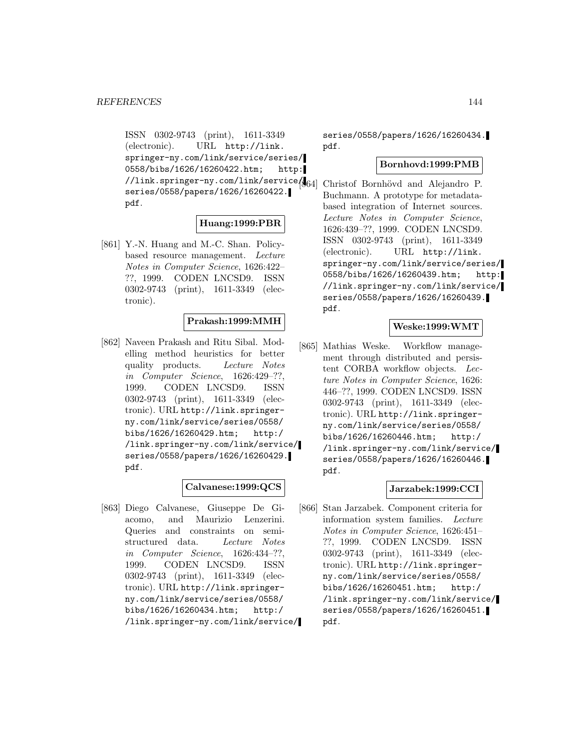ISSN 0302-9743 (print), 1611-3349 (electronic). URL http://link. springer-ny.com/link/service/series/ 0558/bibs/1626/16260422.htm; http: //link.springer-ny.com/link/service/ series/0558/papers/1626/16260422. pdf.

## **Huang:1999:PBR**

[861] Y.-N. Huang and M.-C. Shan. Policybased resource management. Lecture Notes in Computer Science, 1626:422– ??, 1999. CODEN LNCSD9. ISSN 0302-9743 (print), 1611-3349 (electronic).

## **Prakash:1999:MMH**

[862] Naveen Prakash and Ritu Sibal. Modelling method heuristics for better quality products. Lecture Notes in Computer Science, 1626:429–??, 1999. CODEN LNCSD9. ISSN 0302-9743 (print), 1611-3349 (electronic). URL http://link.springerny.com/link/service/series/0558/ bibs/1626/16260429.htm; http:/ /link.springer-ny.com/link/service/ series/0558/papers/1626/16260429. pdf.

### **Calvanese:1999:QCS**

[863] Diego Calvanese, Giuseppe De Giacomo, and Maurizio Lenzerini. Queries and constraints on semistructured data. Lecture Notes in Computer Science, 1626:434–??, 1999. CODEN LNCSD9. ISSN 0302-9743 (print), 1611-3349 (electronic). URL http://link.springerny.com/link/service/series/0558/ bibs/1626/16260434.htm; http:/ /link.springer-ny.com/link/service/

series/0558/papers/1626/16260434. pdf.

#### **Bornhovd:1999:PMB**

Christof Bornhövd and Alejandro P. Buchmann. A prototype for metadatabased integration of Internet sources. Lecture Notes in Computer Science, 1626:439–??, 1999. CODEN LNCSD9. ISSN 0302-9743 (print), 1611-3349 (electronic). URL http://link. springer-ny.com/link/service/series/ 0558/bibs/1626/16260439.htm; http: //link.springer-ny.com/link/service/ series/0558/papers/1626/16260439. pdf.

### **Weske:1999:WMT**

[865] Mathias Weske. Workflow management through distributed and persistent CORBA workflow objects. Lecture Notes in Computer Science, 1626: 446–??, 1999. CODEN LNCSD9. ISSN 0302-9743 (print), 1611-3349 (electronic). URL http://link.springerny.com/link/service/series/0558/ bibs/1626/16260446.htm; http:/ /link.springer-ny.com/link/service/ series/0558/papers/1626/16260446. pdf.

### **Jarzabek:1999:CCI**

[866] Stan Jarzabek. Component criteria for information system families. Lecture Notes in Computer Science, 1626:451– ??, 1999. CODEN LNCSD9. ISSN 0302-9743 (print), 1611-3349 (electronic). URL http://link.springerny.com/link/service/series/0558/ bibs/1626/16260451.htm; http:/ /link.springer-ny.com/link/service/ series/0558/papers/1626/16260451. pdf.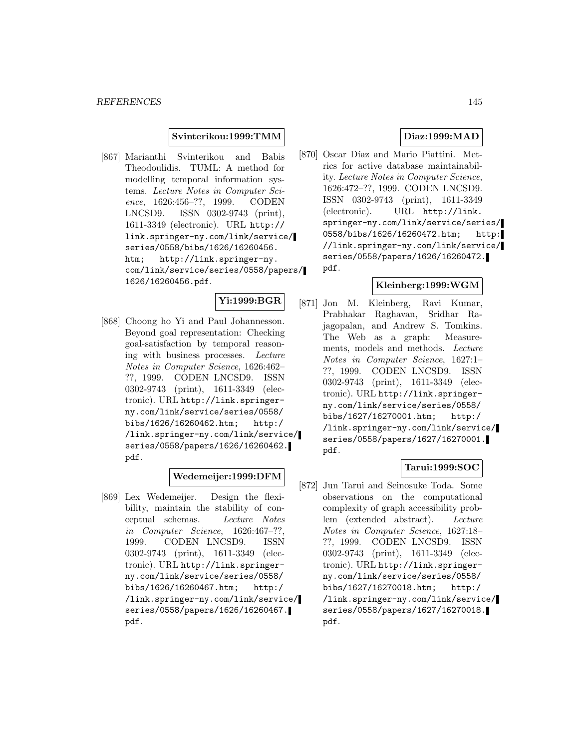### **Svinterikou:1999:TMM**

[867] Marianthi Svinterikou and Babis Theodoulidis. TUML: A method for modelling temporal information systems. Lecture Notes in Computer Science, 1626:456–??, 1999. CODEN LNCSD9. ISSN 0302-9743 (print), 1611-3349 (electronic). URL http:// link.springer-ny.com/link/service/ series/0558/bibs/1626/16260456. htm; http://link.springer-ny. com/link/service/series/0558/papers/ 1626/16260456.pdf.

# **Yi:1999:BGR**

[868] Choong ho Yi and Paul Johannesson. Beyond goal representation: Checking goal-satisfaction by temporal reasoning with business processes. Lecture Notes in Computer Science, 1626:462– ??, 1999. CODEN LNCSD9. ISSN 0302-9743 (print), 1611-3349 (electronic). URL http://link.springerny.com/link/service/series/0558/ bibs/1626/16260462.htm; http:/ /link.springer-ny.com/link/service/ series/0558/papers/1626/16260462. pdf.

## **Wedemeijer:1999:DFM**

[869] Lex Wedemeijer. Design the flexibility, maintain the stability of conceptual schemas. Lecture Notes in Computer Science, 1626:467–??, 1999. CODEN LNCSD9. ISSN 0302-9743 (print), 1611-3349 (electronic). URL http://link.springerny.com/link/service/series/0558/ bibs/1626/16260467.htm; http:/ /link.springer-ny.com/link/service/ series/0558/papers/1626/16260467. pdf.

## **Diaz:1999:MAD**

[870] Oscar Díaz and Mario Piattini. Metrics for active database maintainability. Lecture Notes in Computer Science, 1626:472–??, 1999. CODEN LNCSD9. ISSN 0302-9743 (print), 1611-3349 (electronic). URL http://link. springer-ny.com/link/service/series/ 0558/bibs/1626/16260472.htm; http: //link.springer-ny.com/link/service/ series/0558/papers/1626/16260472. pdf.

# **Kleinberg:1999:WGM**

[871] Jon M. Kleinberg, Ravi Kumar, Prabhakar Raghavan, Sridhar Rajagopalan, and Andrew S. Tomkins. The Web as a graph: Measurements, models and methods. Lecture Notes in Computer Science, 1627:1– ??, 1999. CODEN LNCSD9. ISSN 0302-9743 (print), 1611-3349 (electronic). URL http://link.springerny.com/link/service/series/0558/ bibs/1627/16270001.htm; http:/ /link.springer-ny.com/link/service/ series/0558/papers/1627/16270001. pdf.

# **Tarui:1999:SOC**

[872] Jun Tarui and Seinosuke Toda. Some observations on the computational complexity of graph accessibility problem (extended abstract). Lecture Notes in Computer Science, 1627:18– ??, 1999. CODEN LNCSD9. ISSN 0302-9743 (print), 1611-3349 (electronic). URL http://link.springerny.com/link/service/series/0558/ bibs/1627/16270018.htm; http:/ /link.springer-ny.com/link/service/ series/0558/papers/1627/16270018. pdf.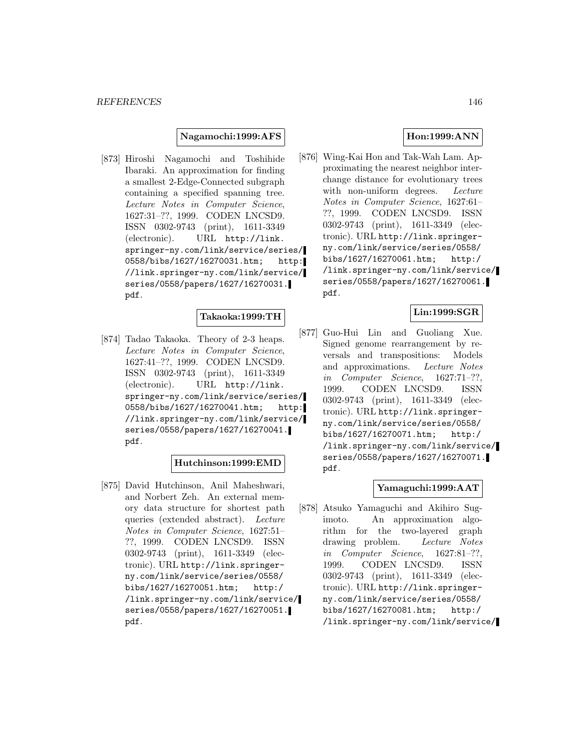### **Nagamochi:1999:AFS**

[873] Hiroshi Nagamochi and Toshihide Ibaraki. An approximation for finding a smallest 2-Edge-Connected subgraph containing a specified spanning tree. Lecture Notes in Computer Science, 1627:31–??, 1999. CODEN LNCSD9. ISSN 0302-9743 (print), 1611-3349 (electronic). URL http://link. springer-ny.com/link/service/series/ 0558/bibs/1627/16270031.htm; http: //link.springer-ny.com/link/service/ series/0558/papers/1627/16270031. pdf.

### **Takaoka:1999:TH**

[874] Tadao Takaoka. Theory of 2-3 heaps. Lecture Notes in Computer Science, 1627:41–??, 1999. CODEN LNCSD9. ISSN 0302-9743 (print), 1611-3349 (electronic). URL http://link. springer-ny.com/link/service/series/ 0558/bibs/1627/16270041.htm; http: //link.springer-ny.com/link/service/ series/0558/papers/1627/16270041. pdf.

#### **Hutchinson:1999:EMD**

[875] David Hutchinson, Anil Maheshwari, and Norbert Zeh. An external memory data structure for shortest path queries (extended abstract). Lecture Notes in Computer Science, 1627:51– ??, 1999. CODEN LNCSD9. ISSN 0302-9743 (print), 1611-3349 (electronic). URL http://link.springerny.com/link/service/series/0558/ bibs/1627/16270051.htm; http:/ /link.springer-ny.com/link/service/ series/0558/papers/1627/16270051. pdf.

# **Hon:1999:ANN**

[876] Wing-Kai Hon and Tak-Wah Lam. Approximating the nearest neighbor interchange distance for evolutionary trees with non-uniform degrees. Lecture Notes in Computer Science, 1627:61– ??, 1999. CODEN LNCSD9. ISSN 0302-9743 (print), 1611-3349 (electronic). URL http://link.springerny.com/link/service/series/0558/ bibs/1627/16270061.htm; http:/ /link.springer-ny.com/link/service/ series/0558/papers/1627/16270061. pdf.

# **Lin:1999:SGR**

[877] Guo-Hui Lin and Guoliang Xue. Signed genome rearrangement by reversals and transpositions: Models and approximations. Lecture Notes in Computer Science, 1627:71–??, 1999. CODEN LNCSD9. ISSN 0302-9743 (print), 1611-3349 (electronic). URL http://link.springerny.com/link/service/series/0558/ bibs/1627/16270071.htm; http:/ /link.springer-ny.com/link/service/ series/0558/papers/1627/16270071. pdf.

## **Yamaguchi:1999:AAT**

[878] Atsuko Yamaguchi and Akihiro Sugimoto. An approximation algorithm for the two-layered graph drawing problem. Lecture Notes in Computer Science, 1627:81–??, 1999. CODEN LNCSD9. ISSN 0302-9743 (print), 1611-3349 (electronic). URL http://link.springerny.com/link/service/series/0558/ bibs/1627/16270081.htm; http:/ /link.springer-ny.com/link/service/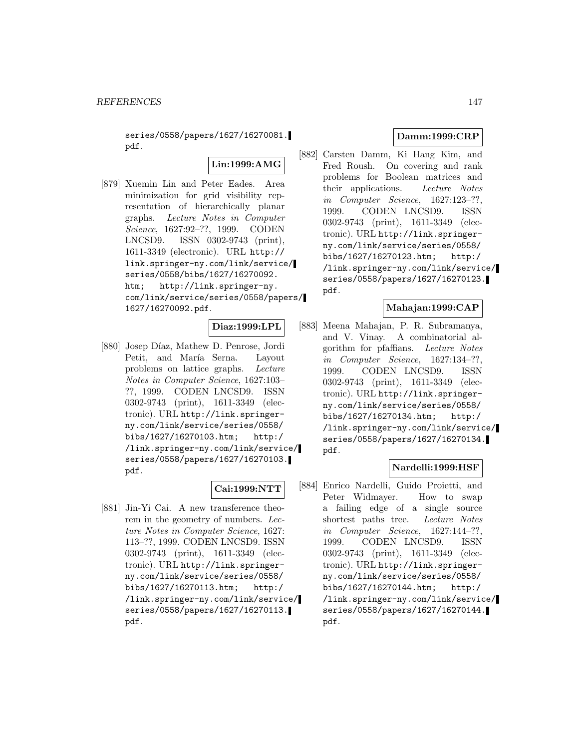series/0558/papers/1627/16270081. pdf.

**Lin:1999:AMG**

[879] Xuemin Lin and Peter Eades. Area minimization for grid visibility representation of hierarchically planar graphs. Lecture Notes in Computer Science, 1627:92–??, 1999. CODEN LNCSD9. ISSN 0302-9743 (print), 1611-3349 (electronic). URL http:// link.springer-ny.com/link/service/ series/0558/bibs/1627/16270092. htm; http://link.springer-ny. com/link/service/series/0558/papers/ 1627/16270092.pdf.

# **Diaz:1999:LPL**

[880] Josep Díaz, Mathew D. Penrose, Jordi Petit, and María Serna. Layout problems on lattice graphs. Lecture Notes in Computer Science, 1627:103– ??, 1999. CODEN LNCSD9. ISSN 0302-9743 (print), 1611-3349 (electronic). URL http://link.springerny.com/link/service/series/0558/ bibs/1627/16270103.htm; http:/ /link.springer-ny.com/link/service/ series/0558/papers/1627/16270103. pdf.

#### **Cai:1999:NTT**

[881] Jin-Yi Cai. A new transference theorem in the geometry of numbers. Lecture Notes in Computer Science, 1627: 113–??, 1999. CODEN LNCSD9. ISSN 0302-9743 (print), 1611-3349 (electronic). URL http://link.springerny.com/link/service/series/0558/ bibs/1627/16270113.htm; http:/ /link.springer-ny.com/link/service/ series/0558/papers/1627/16270113. pdf.

# **Damm:1999:CRP**

[882] Carsten Damm, Ki Hang Kim, and Fred Roush. On covering and rank problems for Boolean matrices and their applications. Lecture Notes in Computer Science, 1627:123–??, 1999. CODEN LNCSD9. ISSN 0302-9743 (print), 1611-3349 (electronic). URL http://link.springerny.com/link/service/series/0558/ bibs/1627/16270123.htm; http:/ /link.springer-ny.com/link/service/ series/0558/papers/1627/16270123. pdf.

## **Mahajan:1999:CAP**

[883] Meena Mahajan, P. R. Subramanya, and V. Vinay. A combinatorial algorithm for pfaffians. Lecture Notes in Computer Science, 1627:134–??, 1999. CODEN LNCSD9. ISSN 0302-9743 (print), 1611-3349 (electronic). URL http://link.springerny.com/link/service/series/0558/ bibs/1627/16270134.htm; http:/ /link.springer-ny.com/link/service/ series/0558/papers/1627/16270134. pdf.

# **Nardelli:1999:HSF**

[884] Enrico Nardelli, Guido Proietti, and Peter Widmayer. How to swap a failing edge of a single source shortest paths tree. Lecture Notes in Computer Science, 1627:144–??, 1999. CODEN LNCSD9. ISSN 0302-9743 (print), 1611-3349 (electronic). URL http://link.springerny.com/link/service/series/0558/ bibs/1627/16270144.htm; http:/ /link.springer-ny.com/link/service/ series/0558/papers/1627/16270144. pdf.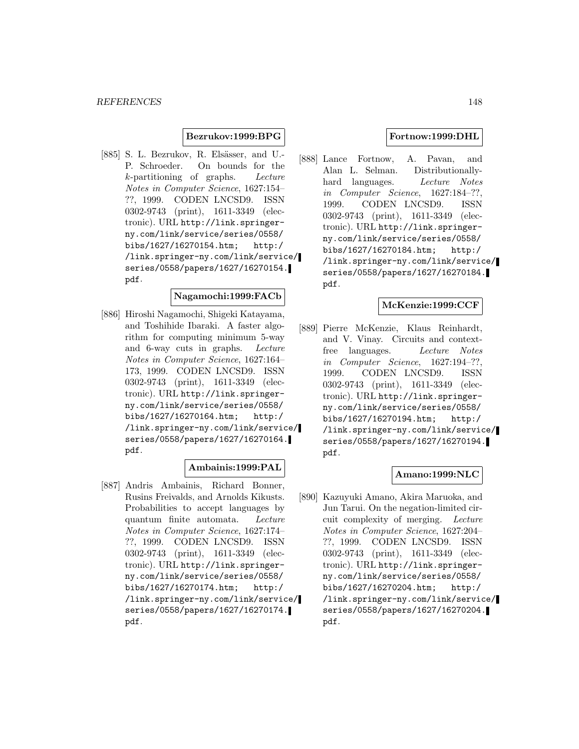## **Bezrukov:1999:BPG**

[885] S. L. Bezrukov, R. Elsässer, and U.-P. Schroeder. On bounds for the k-partitioning of graphs. Lecture Notes in Computer Science, 1627:154– ??, 1999. CODEN LNCSD9. ISSN 0302-9743 (print), 1611-3349 (electronic). URL http://link.springerny.com/link/service/series/0558/ bibs/1627/16270154.htm; http:/ /link.springer-ny.com/link/service/ series/0558/papers/1627/16270154. pdf.

# **Nagamochi:1999:FACb**

[886] Hiroshi Nagamochi, Shigeki Katayama, and Toshihide Ibaraki. A faster algorithm for computing minimum 5-way and 6-way cuts in graphs. Lecture Notes in Computer Science, 1627:164– 173, 1999. CODEN LNCSD9. ISSN 0302-9743 (print), 1611-3349 (electronic). URL http://link.springerny.com/link/service/series/0558/ bibs/1627/16270164.htm; http:/ /link.springer-ny.com/link/service/ series/0558/papers/1627/16270164. pdf.

# **Ambainis:1999:PAL**

[887] Andris Ambainis, Richard Bonner, Rusins Freivalds, and Arnolds Kikusts. Probabilities to accept languages by quantum finite automata. Lecture Notes in Computer Science, 1627:174– ??, 1999. CODEN LNCSD9. ISSN 0302-9743 (print), 1611-3349 (electronic). URL http://link.springerny.com/link/service/series/0558/ bibs/1627/16270174.htm; http:/ /link.springer-ny.com/link/service/ series/0558/papers/1627/16270174. pdf.

## **Fortnow:1999:DHL**

[888] Lance Fortnow, A. Pavan, and Alan L. Selman. Distributionallyhard languages. Lecture Notes in Computer Science, 1627:184–??, 1999. CODEN LNCSD9. ISSN 0302-9743 (print), 1611-3349 (electronic). URL http://link.springerny.com/link/service/series/0558/ bibs/1627/16270184.htm; http:/ /link.springer-ny.com/link/service/ series/0558/papers/1627/16270184. pdf.

# **McKenzie:1999:CCF**

[889] Pierre McKenzie, Klaus Reinhardt, and V. Vinay. Circuits and contextfree languages. Lecture Notes in Computer Science, 1627:194–??, 1999. CODEN LNCSD9. ISSN 0302-9743 (print), 1611-3349 (electronic). URL http://link.springerny.com/link/service/series/0558/ bibs/1627/16270194.htm; http:/ /link.springer-ny.com/link/service/ series/0558/papers/1627/16270194. pdf.

## **Amano:1999:NLC**

[890] Kazuyuki Amano, Akira Maruoka, and Jun Tarui. On the negation-limited circuit complexity of merging. Lecture Notes in Computer Science, 1627:204– ??, 1999. CODEN LNCSD9. ISSN 0302-9743 (print), 1611-3349 (electronic). URL http://link.springerny.com/link/service/series/0558/ bibs/1627/16270204.htm; http:/ /link.springer-ny.com/link/service/ series/0558/papers/1627/16270204. pdf.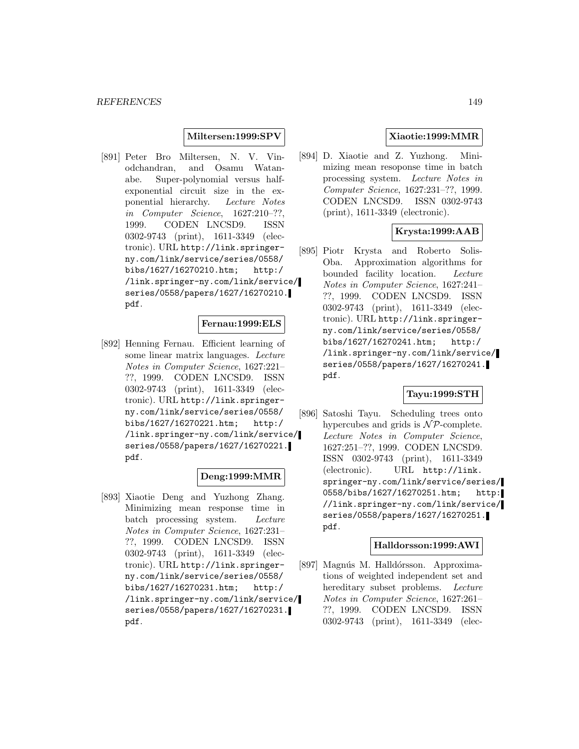## **Miltersen:1999:SPV**

[891] Peter Bro Miltersen, N. V. Vinodchandran, and Osamu Watanabe. Super-polynomial versus halfexponential circuit size in the exponential hierarchy. Lecture Notes in Computer Science, 1627:210–??, 1999. CODEN LNCSD9. ISSN 0302-9743 (print), 1611-3349 (electronic). URL http://link.springerny.com/link/service/series/0558/ bibs/1627/16270210.htm; http:/ /link.springer-ny.com/link/service/ series/0558/papers/1627/16270210. pdf.

### **Fernau:1999:ELS**

[892] Henning Fernau. Efficient learning of some linear matrix languages. Lecture Notes in Computer Science, 1627:221– ??, 1999. CODEN LNCSD9. ISSN 0302-9743 (print), 1611-3349 (electronic). URL http://link.springerny.com/link/service/series/0558/ bibs/1627/16270221.htm; http:/ /link.springer-ny.com/link/service/ series/0558/papers/1627/16270221. pdf.

## **Deng:1999:MMR**

[893] Xiaotie Deng and Yuzhong Zhang. Minimizing mean response time in batch processing system. Lecture Notes in Computer Science, 1627:231– ??, 1999. CODEN LNCSD9. ISSN 0302-9743 (print), 1611-3349 (electronic). URL http://link.springerny.com/link/service/series/0558/ bibs/1627/16270231.htm; http:/ /link.springer-ny.com/link/service/ series/0558/papers/1627/16270231. pdf.

# **Xiaotie:1999:MMR**

[894] D. Xiaotie and Z. Yuzhong. Minimizing mean resoponse time in batch processing system. Lecture Notes in Computer Science, 1627:231–??, 1999. CODEN LNCSD9. ISSN 0302-9743 (print), 1611-3349 (electronic).

# **Krysta:1999:AAB**

[895] Piotr Krysta and Roberto Solis-Oba. Approximation algorithms for bounded facility location. Lecture Notes in Computer Science, 1627:241– ??, 1999. CODEN LNCSD9. ISSN 0302-9743 (print), 1611-3349 (electronic). URL http://link.springerny.com/link/service/series/0558/ bibs/1627/16270241.htm; http:/ /link.springer-ny.com/link/service/ series/0558/papers/1627/16270241. pdf.

## **Tayu:1999:STH**

[896] Satoshi Tayu. Scheduling trees onto hypercubes and grids is  $N\mathcal{P}$ -complete. Lecture Notes in Computer Science, 1627:251–??, 1999. CODEN LNCSD9. ISSN 0302-9743 (print), 1611-3349 (electronic). URL http://link. springer-ny.com/link/service/series/ 0558/bibs/1627/16270251.htm; http: //link.springer-ny.com/link/service/ series/0558/papers/1627/16270251. pdf.

### **Halldorsson:1999:AWI**

[897] Magnús M. Halldórsson. Approximations of weighted independent set and hereditary subset problems. Lecture Notes in Computer Science, 1627:261– ??, 1999. CODEN LNCSD9. ISSN 0302-9743 (print), 1611-3349 (elec-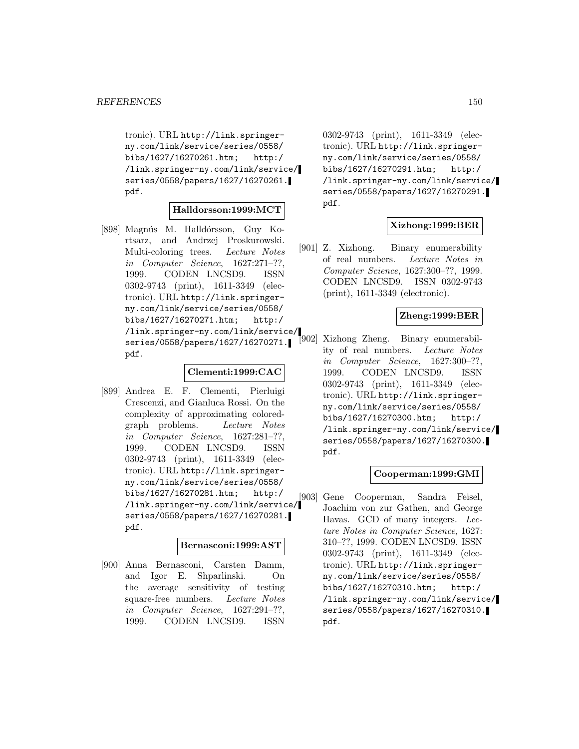tronic). URL http://link.springerny.com/link/service/series/0558/ bibs/1627/16270261.htm; http:/ /link.springer-ny.com/link/service/ series/0558/papers/1627/16270261. pdf.

### **Halldorsson:1999:MCT**

[898] Magnús M. Halldórsson, Guy Kortsarz, and Andrzej Proskurowski. Multi-coloring trees. Lecture Notes in Computer Science, 1627:271–??, 1999. CODEN LNCSD9. ISSN 0302-9743 (print), 1611-3349 (electronic). URL http://link.springerny.com/link/service/series/0558/ bibs/1627/16270271.htm; http:/ /link.springer-ny.com/link/service/ series/0558/papers/1627/16270271. pdf.

### **Clementi:1999:CAC**

[899] Andrea E. F. Clementi, Pierluigi Crescenzi, and Gianluca Rossi. On the complexity of approximating coloredgraph problems. Lecture Notes in Computer Science, 1627:281–??, 1999. CODEN LNCSD9. ISSN 0302-9743 (print), 1611-3349 (electronic). URL http://link.springerny.com/link/service/series/0558/ bibs/1627/16270281.htm; http:/ /link.springer-ny.com/link/service/ series/0558/papers/1627/16270281. pdf.

### **Bernasconi:1999:AST**

[900] Anna Bernasconi, Carsten Damm, and Igor E. Shparlinski. On the average sensitivity of testing square-free numbers. Lecture Notes in Computer Science, 1627:291–??, 1999. CODEN LNCSD9. ISSN

0302-9743 (print), 1611-3349 (electronic). URL http://link.springerny.com/link/service/series/0558/ bibs/1627/16270291.htm; http:/ /link.springer-ny.com/link/service/ series/0558/papers/1627/16270291. pdf.

## **Xizhong:1999:BER**

[901] Z. Xizhong. Binary enumerability of real numbers. Lecture Notes in Computer Science, 1627:300–??, 1999. CODEN LNCSD9. ISSN 0302-9743 (print), 1611-3349 (electronic).

## **Zheng:1999:BER**

[902] Xizhong Zheng. Binary enumerability of real numbers. Lecture Notes in Computer Science, 1627:300–??, 1999. CODEN LNCSD9. ISSN 0302-9743 (print), 1611-3349 (electronic). URL http://link.springerny.com/link/service/series/0558/ bibs/1627/16270300.htm; http:/ /link.springer-ny.com/link/service/ series/0558/papers/1627/16270300. pdf.

#### **Cooperman:1999:GMI**

[903] Gene Cooperman, Sandra Feisel, Joachim von zur Gathen, and George Havas. GCD of many integers. Lecture Notes in Computer Science, 1627: 310–??, 1999. CODEN LNCSD9. ISSN 0302-9743 (print), 1611-3349 (electronic). URL http://link.springerny.com/link/service/series/0558/ bibs/1627/16270310.htm; http:/ /link.springer-ny.com/link/service/ series/0558/papers/1627/16270310. pdf.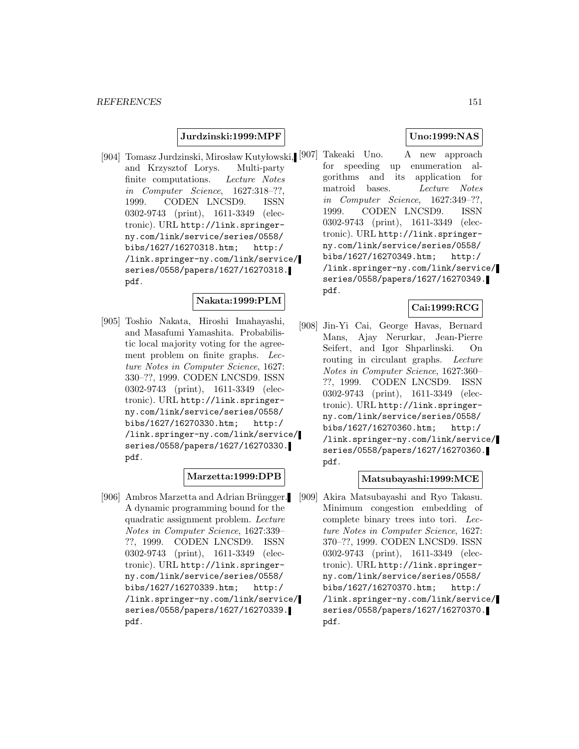## **Jurdzinski:1999:MPF**

and Krzysztof Lorys. Multi-party finite computations. Lecture Notes in Computer Science, 1627:318–??, 1999. CODEN LNCSD9. ISSN 0302-9743 (print), 1611-3349 (electronic). URL http://link.springerny.com/link/service/series/0558/ bibs/1627/16270318.htm; http:/ /link.springer-ny.com/link/service/ series/0558/papers/1627/16270318. pdf.

### **Nakata:1999:PLM**

[905] Toshio Nakata, Hiroshi Imahayashi, and Masafumi Yamashita. Probabilistic local majority voting for the agreement problem on finite graphs. Lecture Notes in Computer Science, 1627: 330–??, 1999. CODEN LNCSD9. ISSN 0302-9743 (print), 1611-3349 (electronic). URL http://link.springerny.com/link/service/series/0558/ bibs/1627/16270330.htm; http:/ /link.springer-ny.com/link/service/ series/0558/papers/1627/16270330. pdf.

## **Marzetta:1999:DPB**

[906] Ambros Marzetta and Adrian Brüngger. A dynamic programming bound for the quadratic assignment problem. Lecture Notes in Computer Science, 1627:339– ??, 1999. CODEN LNCSD9. ISSN 0302-9743 (print), 1611-3349 (electronic). URL http://link.springerny.com/link/service/series/0558/ bibs/1627/16270339.htm; http:/ /link.springer-ny.com/link/service/ series/0558/papers/1627/16270339. pdf.

# **Uno:1999:NAS**

[904] Tomasz Jurdzinski, Mirosław Kutyłowski, [907] Takeaki Uno. A new approach for speeding up enumeration algorithms and its application for matroid bases. Lecture Notes in Computer Science, 1627:349–??, 1999. CODEN LNCSD9. ISSN 0302-9743 (print), 1611-3349 (electronic). URL http://link.springerny.com/link/service/series/0558/ bibs/1627/16270349.htm; http:/ /link.springer-ny.com/link/service/ series/0558/papers/1627/16270349. pdf.

## **Cai:1999:RCG**

[908] Jin-Yi Cai, George Havas, Bernard Mans, Ajay Nerurkar, Jean-Pierre Seifert, and Igor Shparlinski. On routing in circulant graphs. Lecture Notes in Computer Science, 1627:360– ??, 1999. CODEN LNCSD9. ISSN 0302-9743 (print), 1611-3349 (electronic). URL http://link.springerny.com/link/service/series/0558/ bibs/1627/16270360.htm; http:/ /link.springer-ny.com/link/service/ series/0558/papers/1627/16270360. pdf.

### **Matsubayashi:1999:MCE**

[909] Akira Matsubayashi and Ryo Takasu. Minimum congestion embedding of complete binary trees into tori. Lecture Notes in Computer Science, 1627: 370–??, 1999. CODEN LNCSD9. ISSN 0302-9743 (print), 1611-3349 (electronic). URL http://link.springerny.com/link/service/series/0558/ bibs/1627/16270370.htm; http:/ /link.springer-ny.com/link/service/ series/0558/papers/1627/16270370. pdf.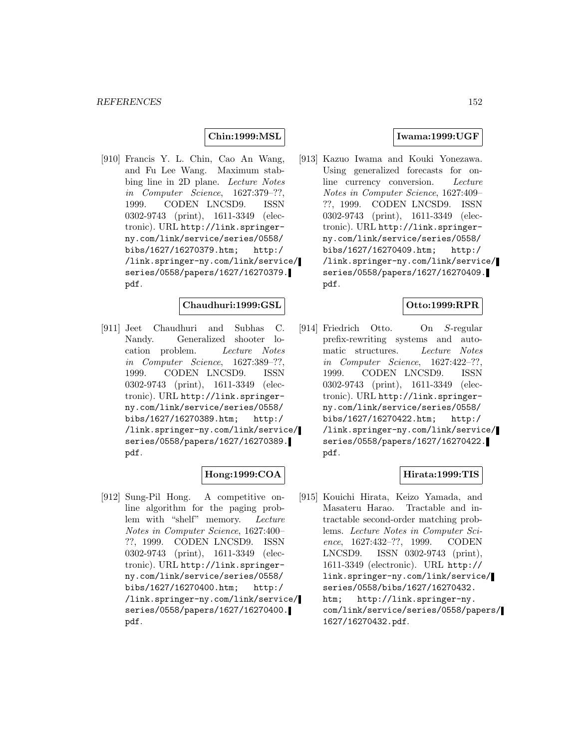## **Chin:1999:MSL**

[910] Francis Y. L. Chin, Cao An Wang, and Fu Lee Wang. Maximum stabbing line in 2D plane. Lecture Notes in Computer Science, 1627:379–??, 1999. CODEN LNCSD9. ISSN 0302-9743 (print), 1611-3349 (electronic). URL http://link.springerny.com/link/service/series/0558/ bibs/1627/16270379.htm; http:/ /link.springer-ny.com/link/service/ series/0558/papers/1627/16270379. pdf.

### **Chaudhuri:1999:GSL**

[911] Jeet Chaudhuri and Subhas C. Nandy. Generalized shooter location problem. Lecture Notes in Computer Science, 1627:389–??, 1999. CODEN LNCSD9. ISSN 0302-9743 (print), 1611-3349 (electronic). URL http://link.springerny.com/link/service/series/0558/ bibs/1627/16270389.htm; http:/ /link.springer-ny.com/link/service/ series/0558/papers/1627/16270389. pdf.

## **Hong:1999:COA**

[912] Sung-Pil Hong. A competitive online algorithm for the paging problem with "shelf" memory. Lecture Notes in Computer Science, 1627:400– ??, 1999. CODEN LNCSD9. ISSN 0302-9743 (print), 1611-3349 (electronic). URL http://link.springerny.com/link/service/series/0558/ bibs/1627/16270400.htm; http:/ /link.springer-ny.com/link/service/ series/0558/papers/1627/16270400. pdf.

### **Iwama:1999:UGF**

[913] Kazuo Iwama and Kouki Yonezawa. Using generalized forecasts for online currency conversion. Lecture Notes in Computer Science, 1627:409– ??, 1999. CODEN LNCSD9. ISSN 0302-9743 (print), 1611-3349 (electronic). URL http://link.springerny.com/link/service/series/0558/ bibs/1627/16270409.htm; http:/ /link.springer-ny.com/link/service/ series/0558/papers/1627/16270409. pdf.

### **Otto:1999:RPR**

[914] Friedrich Otto. On S-regular prefix-rewriting systems and automatic structures. Lecture Notes in Computer Science, 1627:422–??, 1999. CODEN LNCSD9. ISSN 0302-9743 (print), 1611-3349 (electronic). URL http://link.springerny.com/link/service/series/0558/ bibs/1627/16270422.htm; http:/ /link.springer-ny.com/link/service/ series/0558/papers/1627/16270422. pdf.

## **Hirata:1999:TIS**

[915] Kouichi Hirata, Keizo Yamada, and Masateru Harao. Tractable and intractable second-order matching problems. Lecture Notes in Computer Science, 1627:432–??, 1999. CODEN LNCSD9. ISSN 0302-9743 (print), 1611-3349 (electronic). URL http:// link.springer-ny.com/link/service/ series/0558/bibs/1627/16270432. htm; http://link.springer-ny. com/link/service/series/0558/papers/ 1627/16270432.pdf.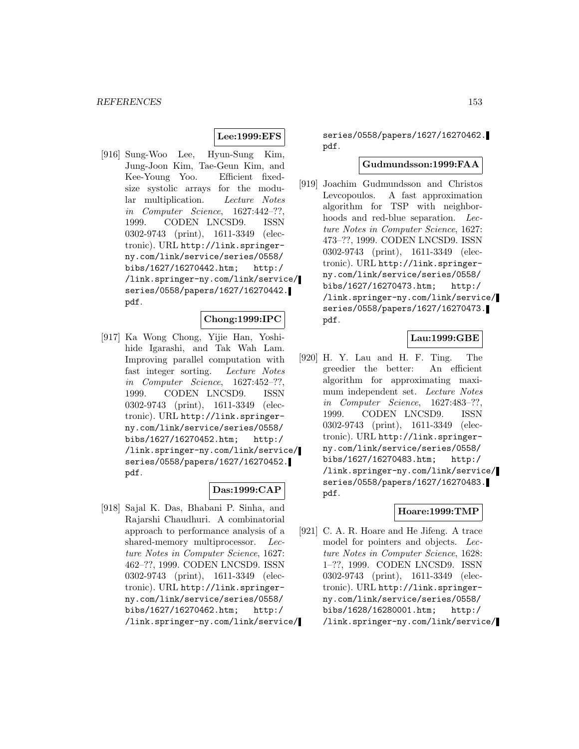# **Lee:1999:EFS**

[916] Sung-Woo Lee, Hyun-Sung Kim, Jung-Joon Kim, Tae-Geun Kim, and Kee-Young Yoo. Efficient fixedsize systolic arrays for the modular multiplication. Lecture Notes in Computer Science, 1627:442–??, 1999. CODEN LNCSD9. ISSN 0302-9743 (print), 1611-3349 (electronic). URL http://link.springerny.com/link/service/series/0558/ bibs/1627/16270442.htm; http:/ /link.springer-ny.com/link/service/ series/0558/papers/1627/16270442. pdf.

#### **Chong:1999:IPC**

[917] Ka Wong Chong, Yijie Han, Yoshihide Igarashi, and Tak Wah Lam. Improving parallel computation with fast integer sorting. Lecture Notes in Computer Science, 1627:452–??, 1999. CODEN LNCSD9. ISSN 0302-9743 (print), 1611-3349 (electronic). URL http://link.springerny.com/link/service/series/0558/ bibs/1627/16270452.htm; http:/ /link.springer-ny.com/link/service/ series/0558/papers/1627/16270452. pdf.

# **Das:1999:CAP**

[918] Sajal K. Das, Bhabani P. Sinha, and Rajarshi Chaudhuri. A combinatorial approach to performance analysis of a shared-memory multiprocessor. Lecture Notes in Computer Science, 1627: 462–??, 1999. CODEN LNCSD9. ISSN 0302-9743 (print), 1611-3349 (electronic). URL http://link.springerny.com/link/service/series/0558/ bibs/1627/16270462.htm; http:/ /link.springer-ny.com/link/service/

series/0558/papers/1627/16270462. pdf.

### **Gudmundsson:1999:FAA**

[919] Joachim Gudmundsson and Christos Levcopoulos. A fast approximation algorithm for TSP with neighborhoods and red-blue separation. Lecture Notes in Computer Science, 1627: 473–??, 1999. CODEN LNCSD9. ISSN 0302-9743 (print), 1611-3349 (electronic). URL http://link.springerny.com/link/service/series/0558/ bibs/1627/16270473.htm; http:/ /link.springer-ny.com/link/service/ series/0558/papers/1627/16270473. pdf.

## **Lau:1999:GBE**

[920] H. Y. Lau and H. F. Ting. The greedier the better: An efficient algorithm for approximating maximum independent set. Lecture Notes in Computer Science, 1627:483–??, 1999. CODEN LNCSD9. ISSN 0302-9743 (print), 1611-3349 (electronic). URL http://link.springerny.com/link/service/series/0558/ bibs/1627/16270483.htm; http:/ /link.springer-ny.com/link/service/ series/0558/papers/1627/16270483. pdf.

#### **Hoare:1999:TMP**

[921] C. A. R. Hoare and He Jifeng. A trace model for pointers and objects. Lecture Notes in Computer Science, 1628: 1–??, 1999. CODEN LNCSD9. ISSN 0302-9743 (print), 1611-3349 (electronic). URL http://link.springerny.com/link/service/series/0558/ bibs/1628/16280001.htm; http:/ /link.springer-ny.com/link/service/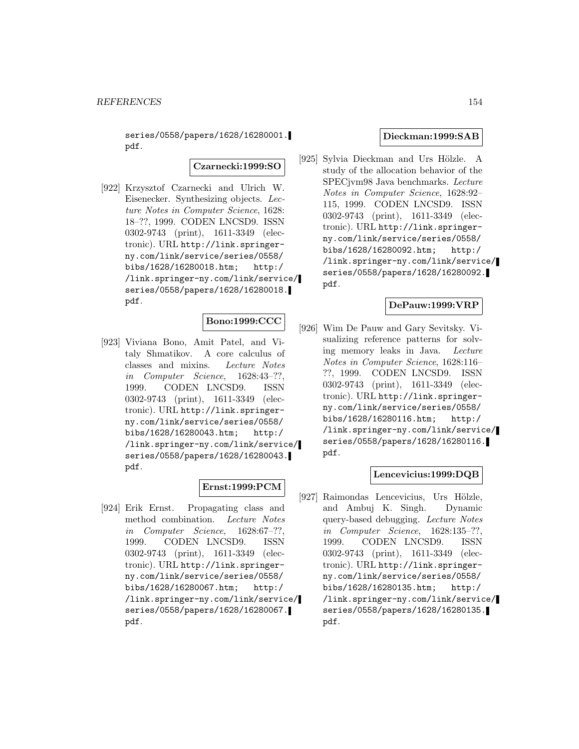series/0558/papers/1628/16280001. pdf.

**Czarnecki:1999:SO**

[922] Krzysztof Czarnecki and Ulrich W. Eisenecker. Synthesizing objects. Lecture Notes in Computer Science, 1628: 18–??, 1999. CODEN LNCSD9. ISSN 0302-9743 (print), 1611-3349 (electronic). URL http://link.springerny.com/link/service/series/0558/ bibs/1628/16280018.htm; http:/ /link.springer-ny.com/link/service/ series/0558/papers/1628/16280018. pdf.

# **Bono:1999:CCC**

[923] Viviana Bono, Amit Patel, and Vitaly Shmatikov. A core calculus of classes and mixins. Lecture Notes in Computer Science, 1628:43–??, 1999. CODEN LNCSD9. ISSN 0302-9743 (print), 1611-3349 (electronic). URL http://link.springerny.com/link/service/series/0558/ bibs/1628/16280043.htm; http:/ /link.springer-ny.com/link/service/ series/0558/papers/1628/16280043. pdf.

# **Ernst:1999:PCM**

[924] Erik Ernst. Propagating class and method combination. Lecture Notes in Computer Science, 1628:67–??, 1999. CODEN LNCSD9. ISSN 0302-9743 (print), 1611-3349 (electronic). URL http://link.springerny.com/link/service/series/0558/ bibs/1628/16280067.htm; http:/ /link.springer-ny.com/link/service/ series/0558/papers/1628/16280067. pdf.

### **Dieckman:1999:SAB**

[925] Sylvia Dieckman and Urs Hölzle. A study of the allocation behavior of the SPECjvm98 Java benchmarks. Lecture Notes in Computer Science, 1628:92– 115, 1999. CODEN LNCSD9. ISSN 0302-9743 (print), 1611-3349 (electronic). URL http://link.springerny.com/link/service/series/0558/ bibs/1628/16280092.htm; http:/ /link.springer-ny.com/link/service/ series/0558/papers/1628/16280092. pdf.

### **DePauw:1999:VRP**

[926] Wim De Pauw and Gary Sevitsky. Visualizing reference patterns for solving memory leaks in Java. Lecture Notes in Computer Science, 1628:116– ??, 1999. CODEN LNCSD9. ISSN 0302-9743 (print), 1611-3349 (electronic). URL http://link.springerny.com/link/service/series/0558/ bibs/1628/16280116.htm; http:/ /link.springer-ny.com/link/service/ series/0558/papers/1628/16280116. pdf.

#### **Lencevicius:1999:DQB**

[927] Raimondas Lencevicius, Urs Hölzle, and Ambuj K. Singh. Dynamic query-based debugging. Lecture Notes in Computer Science, 1628:135–??, 1999. CODEN LNCSD9. ISSN 0302-9743 (print), 1611-3349 (electronic). URL http://link.springerny.com/link/service/series/0558/ bibs/1628/16280135.htm; http:/ /link.springer-ny.com/link/service/ series/0558/papers/1628/16280135. pdf.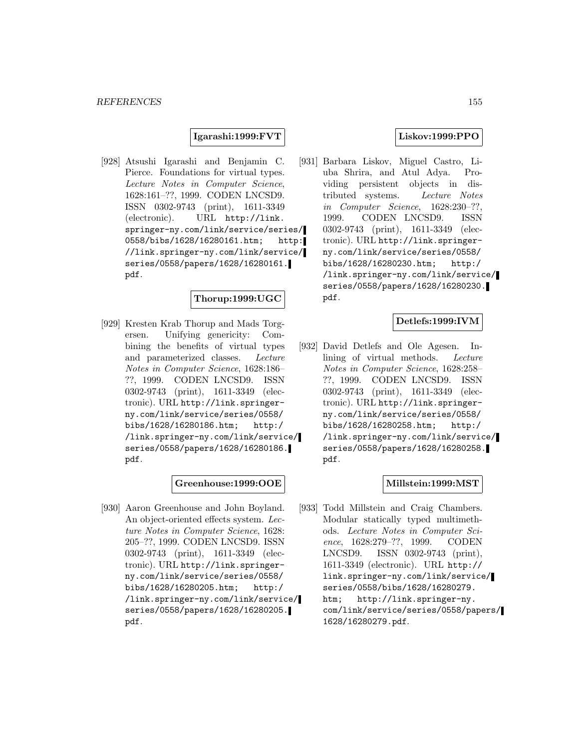## **Igarashi:1999:FVT**

[928] Atsushi Igarashi and Benjamin C. Pierce. Foundations for virtual types. Lecture Notes in Computer Science, 1628:161–??, 1999. CODEN LNCSD9. ISSN 0302-9743 (print), 1611-3349 (electronic). URL http://link. springer-ny.com/link/service/series/ 0558/bibs/1628/16280161.htm; http: //link.springer-ny.com/link/service/ series/0558/papers/1628/16280161. pdf.

# **Thorup:1999:UGC**

[929] Kresten Krab Thorup and Mads Torgersen. Unifying genericity: Combining the benefits of virtual types and parameterized classes. Lecture Notes in Computer Science, 1628:186– ??, 1999. CODEN LNCSD9. ISSN 0302-9743 (print), 1611-3349 (electronic). URL http://link.springerny.com/link/service/series/0558/ bibs/1628/16280186.htm; http:/ /link.springer-ny.com/link/service/ series/0558/papers/1628/16280186. pdf.

## **Greenhouse:1999:OOE**

[930] Aaron Greenhouse and John Boyland. An object-oriented effects system. Lecture Notes in Computer Science, 1628: 205–??, 1999. CODEN LNCSD9. ISSN 0302-9743 (print), 1611-3349 (electronic). URL http://link.springerny.com/link/service/series/0558/ bibs/1628/16280205.htm; http:/ /link.springer-ny.com/link/service/ series/0558/papers/1628/16280205. pdf.

## **Liskov:1999:PPO**

[931] Barbara Liskov, Miguel Castro, Liuba Shrira, and Atul Adya. Providing persistent objects in distributed systems. Lecture Notes in Computer Science, 1628:230–??, 1999. CODEN LNCSD9. ISSN 0302-9743 (print), 1611-3349 (electronic). URL http://link.springerny.com/link/service/series/0558/ bibs/1628/16280230.htm; http:/ /link.springer-ny.com/link/service/ series/0558/papers/1628/16280230. pdf.

## **Detlefs:1999:IVM**

[932] David Detlefs and Ole Agesen. Inlining of virtual methods. Lecture Notes in Computer Science, 1628:258– ??, 1999. CODEN LNCSD9. ISSN 0302-9743 (print), 1611-3349 (electronic). URL http://link.springerny.com/link/service/series/0558/ bibs/1628/16280258.htm; http:/ /link.springer-ny.com/link/service/ series/0558/papers/1628/16280258. pdf.

## **Millstein:1999:MST**

[933] Todd Millstein and Craig Chambers. Modular statically typed multimethods. Lecture Notes in Computer Science, 1628:279–??, 1999. CODEN LNCSD9. ISSN 0302-9743 (print), 1611-3349 (electronic). URL http:// link.springer-ny.com/link/service/ series/0558/bibs/1628/16280279. htm; http://link.springer-ny. com/link/service/series/0558/papers/ 1628/16280279.pdf.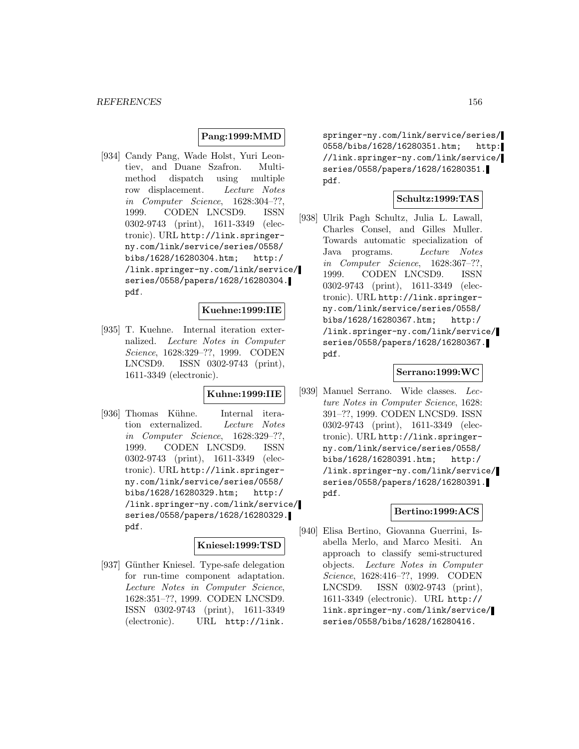### **Pang:1999:MMD**

[934] Candy Pang, Wade Holst, Yuri Leontiev, and Duane Szafron. Multimethod dispatch using multiple row displacement. Lecture Notes in Computer Science, 1628:304–??, 1999. CODEN LNCSD9. ISSN 0302-9743 (print), 1611-3349 (electronic). URL http://link.springerny.com/link/service/series/0558/ bibs/1628/16280304.htm; http:/ /link.springer-ny.com/link/service/ series/0558/papers/1628/16280304. pdf.

### **Kuehne:1999:IIE**

[935] T. Kuehne. Internal iteration externalized. Lecture Notes in Computer Science, 1628:329–??, 1999. CODEN LNCSD9. ISSN 0302-9743 (print), 1611-3349 (electronic).

### **Kuhne:1999:IIE**

[936] Thomas Kühne. Internal iteration externalized. Lecture Notes in Computer Science, 1628:329–??, 1999. CODEN LNCSD9. ISSN 0302-9743 (print), 1611-3349 (electronic). URL http://link.springerny.com/link/service/series/0558/ bibs/1628/16280329.htm; http:/ /link.springer-ny.com/link/service/ series/0558/papers/1628/16280329. pdf.

# **Kniesel:1999:TSD**

[937] Günther Kniesel. Type-safe delegation for run-time component adaptation. Lecture Notes in Computer Science, 1628:351–??, 1999. CODEN LNCSD9. ISSN 0302-9743 (print), 1611-3349 (electronic). URL http://link.

springer-ny.com/link/service/series/ 0558/bibs/1628/16280351.htm; http: //link.springer-ny.com/link/service/ series/0558/papers/1628/16280351. pdf.

### **Schultz:1999:TAS**

[938] Ulrik Pagh Schultz, Julia L. Lawall, Charles Consel, and Gilles Muller. Towards automatic specialization of Java programs. Lecture Notes in Computer Science, 1628:367–??, 1999. CODEN LNCSD9. ISSN 0302-9743 (print), 1611-3349 (electronic). URL http://link.springerny.com/link/service/series/0558/ bibs/1628/16280367.htm; http:/ /link.springer-ny.com/link/service/ series/0558/papers/1628/16280367. pdf.

### **Serrano:1999:WC**

[939] Manuel Serrano. Wide classes. Lecture Notes in Computer Science, 1628: 391–??, 1999. CODEN LNCSD9. ISSN 0302-9743 (print), 1611-3349 (electronic). URL http://link.springerny.com/link/service/series/0558/ bibs/1628/16280391.htm; http:/ /link.springer-ny.com/link/service/ series/0558/papers/1628/16280391. pdf.

### **Bertino:1999:ACS**

[940] Elisa Bertino, Giovanna Guerrini, Isabella Merlo, and Marco Mesiti. An approach to classify semi-structured objects. Lecture Notes in Computer Science, 1628:416–??, 1999. CODEN LNCSD9. ISSN 0302-9743 (print), 1611-3349 (electronic). URL http:// link.springer-ny.com/link/service/ series/0558/bibs/1628/16280416.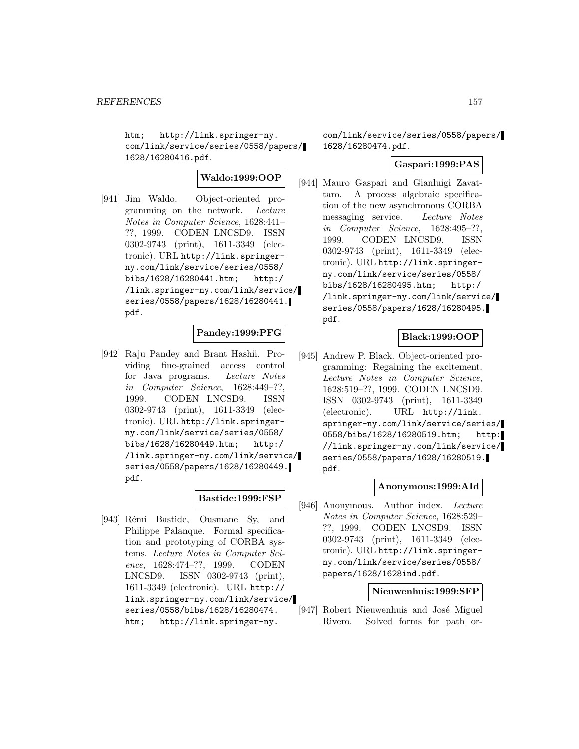htm; http://link.springer-ny. com/link/service/series/0558/papers/ 1628/16280416.pdf.

# **Waldo:1999:OOP**

[941] Jim Waldo. Object-oriented programming on the network. Lecture Notes in Computer Science, 1628:441– ??, 1999. CODEN LNCSD9. ISSN 0302-9743 (print), 1611-3349 (electronic). URL http://link.springerny.com/link/service/series/0558/ bibs/1628/16280441.htm; http:/ /link.springer-ny.com/link/service/ series/0558/papers/1628/16280441. pdf.

# **Pandey:1999:PFG**

[942] Raju Pandey and Brant Hashii. Providing fine-grained access control for Java programs. Lecture Notes in Computer Science, 1628:449–??, 1999. CODEN LNCSD9. ISSN 0302-9743 (print), 1611-3349 (electronic). URL http://link.springerny.com/link/service/series/0558/ bibs/1628/16280449.htm; http:/ /link.springer-ny.com/link/service/ series/0558/papers/1628/16280449. pdf.

# **Bastide:1999:FSP**

[943] Rémi Bastide, Ousmane Sy, and Philippe Palanque. Formal specification and prototyping of CORBA systems. Lecture Notes in Computer Science, 1628:474–??, 1999. CODEN LNCSD9. ISSN 0302-9743 (print), 1611-3349 (electronic). URL http:// link.springer-ny.com/link/service/ series/0558/bibs/1628/16280474. htm; http://link.springer-ny.

com/link/service/series/0558/papers/ 1628/16280474.pdf.

### **Gaspari:1999:PAS**

[944] Mauro Gaspari and Gianluigi Zavattaro. A process algebraic specification of the new asynchronous CORBA messaging service. Lecture Notes in Computer Science, 1628:495–??, 1999. CODEN LNCSD9. ISSN 0302-9743 (print), 1611-3349 (electronic). URL http://link.springerny.com/link/service/series/0558/ bibs/1628/16280495.htm; http:/ /link.springer-ny.com/link/service/ series/0558/papers/1628/16280495. pdf.

## **Black:1999:OOP**

[945] Andrew P. Black. Object-oriented programming: Regaining the excitement. Lecture Notes in Computer Science, 1628:519–??, 1999. CODEN LNCSD9. ISSN 0302-9743 (print), 1611-3349 (electronic). URL http://link. springer-ny.com/link/service/series/ 0558/bibs/1628/16280519.htm; http: //link.springer-ny.com/link/service/ series/0558/papers/1628/16280519. pdf.

### **Anonymous:1999:AId**

[946] Anonymous. Author index. Lecture Notes in Computer Science, 1628:529– ??, 1999. CODEN LNCSD9. ISSN 0302-9743 (print), 1611-3349 (electronic). URL http://link.springerny.com/link/service/series/0558/ papers/1628/1628ind.pdf.

### **Nieuwenhuis:1999:SFP**

[947] Robert Nieuwenhuis and José Miguel Rivero. Solved forms for path or-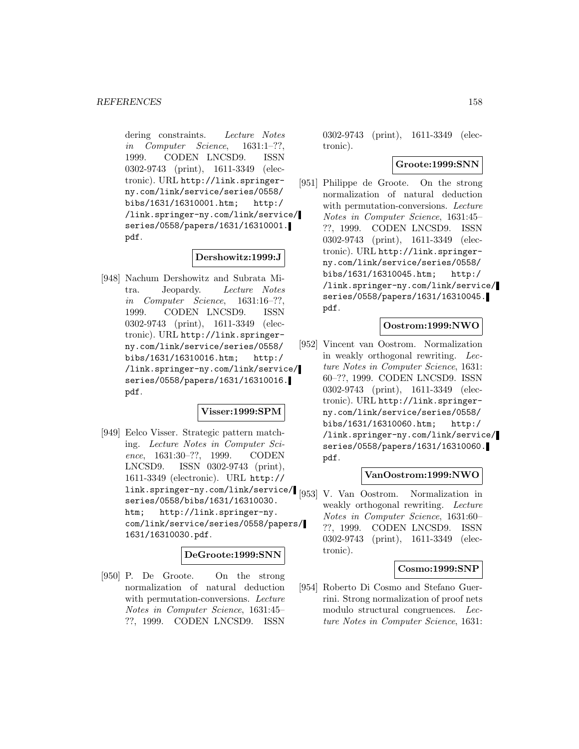dering constraints. Lecture Notes in Computer Science, 1631:1–??, 1999. CODEN LNCSD9. ISSN 0302-9743 (print), 1611-3349 (electronic). URL http://link.springerny.com/link/service/series/0558/ bibs/1631/16310001.htm; http:/ /link.springer-ny.com/link/service/ series/0558/papers/1631/16310001. pdf.

## **Dershowitz:1999:J**

[948] Nachum Dershowitz and Subrata Mitra. Jeopardy. Lecture Notes in Computer Science, 1631:16–??, 1999. CODEN LNCSD9. ISSN 0302-9743 (print), 1611-3349 (electronic). URL http://link.springerny.com/link/service/series/0558/ bibs/1631/16310016.htm; http:/ /link.springer-ny.com/link/service/ series/0558/papers/1631/16310016. pdf.

## **Visser:1999:SPM**

[949] Eelco Visser. Strategic pattern matching. Lecture Notes in Computer Science, 1631:30–??, 1999. CODEN LNCSD9. ISSN 0302-9743 (print), 1611-3349 (electronic). URL http:// link.springer-ny.com/link/service/ [953] V. Van Oostrom. Normalization in series/0558/bibs/1631/16310030. htm; http://link.springer-ny. com/link/service/series/0558/papers/ 1631/16310030.pdf.

## **DeGroote:1999:SNN**

[950] P. De Groote. On the strong normalization of natural deduction with permutation-conversions. Lecture Notes in Computer Science, 1631:45– ??, 1999. CODEN LNCSD9. ISSN

0302-9743 (print), 1611-3349 (electronic).

### **Groote:1999:SNN**

[951] Philippe de Groote. On the strong normalization of natural deduction with permutation-conversions. Lecture Notes in Computer Science, 1631:45– ??, 1999. CODEN LNCSD9. ISSN 0302-9743 (print), 1611-3349 (electronic). URL http://link.springerny.com/link/service/series/0558/ bibs/1631/16310045.htm; http:/ /link.springer-ny.com/link/service/ series/0558/papers/1631/16310045. pdf.

## **Oostrom:1999:NWO**

[952] Vincent van Oostrom. Normalization in weakly orthogonal rewriting. Lecture Notes in Computer Science, 1631: 60–??, 1999. CODEN LNCSD9. ISSN 0302-9743 (print), 1611-3349 (electronic). URL http://link.springerny.com/link/service/series/0558/ bibs/1631/16310060.htm; http:/ /link.springer-ny.com/link/service/ series/0558/papers/1631/16310060. pdf.

### **VanOostrom:1999:NWO**

weakly orthogonal rewriting. Lecture Notes in Computer Science, 1631:60– ??, 1999. CODEN LNCSD9. ISSN 0302-9743 (print), 1611-3349 (electronic).

#### **Cosmo:1999:SNP**

[954] Roberto Di Cosmo and Stefano Guerrini. Strong normalization of proof nets modulo structural congruences. Lecture Notes in Computer Science, 1631: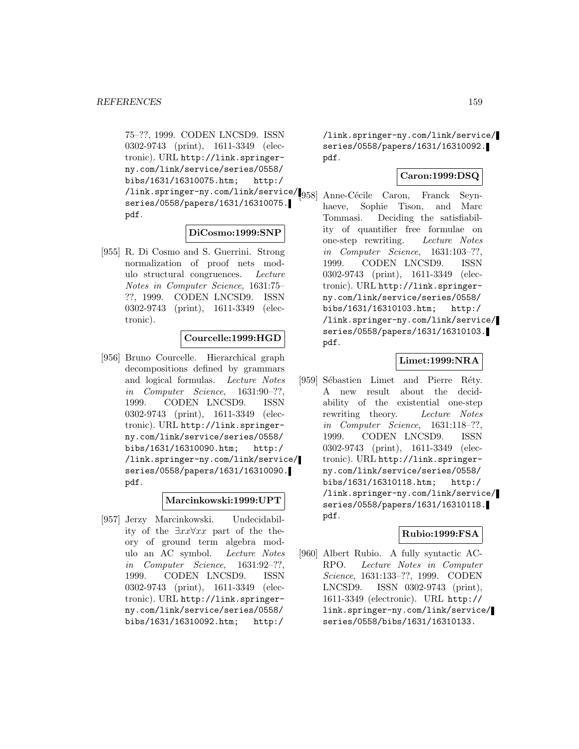75–??, 1999. CODEN LNCSD9. ISSN 0302-9743 (print), 1611-3349 (electronic). URL http://link.springerny.com/link/service/series/0558/ bibs/1631/16310075.htm; http:/ /link.springer-ny.com/link/service/ series/0558/papers/1631/16310075. pdf.

### **DiCosmo:1999:SNP**

[955] R. Di Cosmo and S. Guerrini. Strong normalization of proof nets modulo structural congruences. Lecture Notes in Computer Science, 1631:75– ??, 1999. CODEN LNCSD9. ISSN 0302-9743 (print), 1611-3349 (electronic).

## **Courcelle:1999:HGD**

[956] Bruno Courcelle. Hierarchical graph decompositions defined by grammars and logical formulas. Lecture Notes in Computer Science, 1631:90–??, 1999. CODEN LNCSD9. ISSN 0302-9743 (print), 1611-3349 (electronic). URL http://link.springerny.com/link/service/series/0558/ bibs/1631/16310090.htm; http:/ /link.springer-ny.com/link/service/ series/0558/papers/1631/16310090. pdf.

## **Marcinkowski:1999:UPT**

[957] Jerzy Marcinkowski. Undecidability of the  $\exists xx\forall xx$  part of the theory of ground term algebra modulo an AC symbol. Lecture Notes in Computer Science, 1631:92–??, 1999. CODEN LNCSD9. ISSN 0302-9743 (print), 1611-3349 (electronic). URL http://link.springerny.com/link/service/series/0558/ bibs/1631/16310092.htm; http:/

/link.springer-ny.com/link/service/ series/0558/papers/1631/16310092. pdf.

# **Caron:1999:DSQ**

Anne-Cécile Caron, Franck Seynhaeve, Sophie Tison, and Marc Tommasi. Deciding the satisfiability of quantifier free formulae on one-step rewriting. Lecture Notes in Computer Science, 1631:103–??, 1999. CODEN LNCSD9. ISSN 0302-9743 (print), 1611-3349 (electronic). URL http://link.springerny.com/link/service/series/0558/ bibs/1631/16310103.htm; http:/ /link.springer-ny.com/link/service/ series/0558/papers/1631/16310103. pdf.

# **Limet:1999:NRA**

[959] Sébastien Limet and Pierre Réty. A new result about the decidability of the existential one-step rewriting theory. Lecture Notes in Computer Science, 1631:118–??, 1999. CODEN LNCSD9. ISSN 0302-9743 (print), 1611-3349 (electronic). URL http://link.springerny.com/link/service/series/0558/ bibs/1631/16310118.htm; http:/ /link.springer-ny.com/link/service/ series/0558/papers/1631/16310118. pdf.

## **Rubio:1999:FSA**

[960] Albert Rubio. A fully syntactic AC-RPO. Lecture Notes in Computer Science, 1631:133–??, 1999. CODEN LNCSD9. ISSN 0302-9743 (print), 1611-3349 (electronic). URL http:// link.springer-ny.com/link/service/ series/0558/bibs/1631/16310133.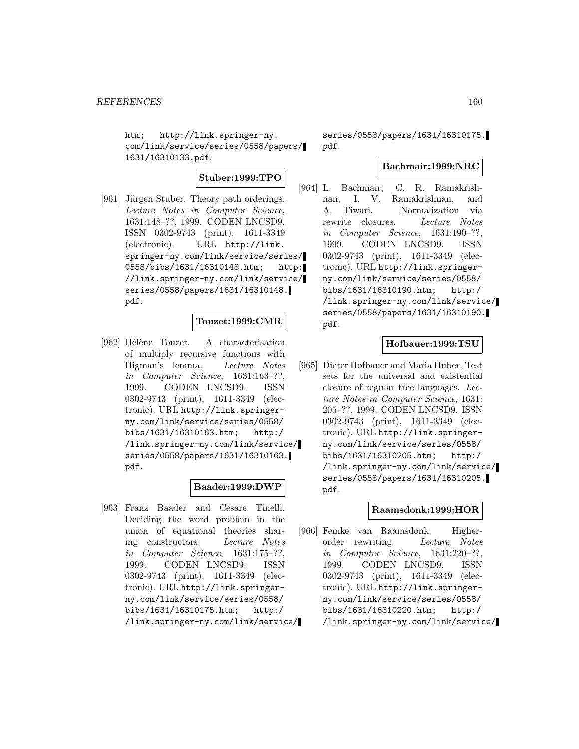htm; http://link.springer-ny. com/link/service/series/0558/papers/ 1631/16310133.pdf.

## **Stuber:1999:TPO**

[961] Jürgen Stuber. Theory path orderings. Lecture Notes in Computer Science, 1631:148–??, 1999. CODEN LNCSD9. ISSN 0302-9743 (print), 1611-3349 (electronic). URL http://link. springer-ny.com/link/service/series/ 0558/bibs/1631/16310148.htm; http: //link.springer-ny.com/link/service/ series/0558/papers/1631/16310148. pdf.

### **Touzet:1999:CMR**

[962] Hélène Touzet. A characterisation of multiply recursive functions with Higman's lemma. Lecture Notes in Computer Science, 1631:163–??, 1999. CODEN LNCSD9. ISSN 0302-9743 (print), 1611-3349 (electronic). URL http://link.springerny.com/link/service/series/0558/ bibs/1631/16310163.htm; http:/ /link.springer-ny.com/link/service/ series/0558/papers/1631/16310163. pdf.

### **Baader:1999:DWP**

[963] Franz Baader and Cesare Tinelli. Deciding the word problem in the union of equational theories sharing constructors. Lecture Notes in Computer Science, 1631:175–??, 1999. CODEN LNCSD9. ISSN 0302-9743 (print), 1611-3349 (electronic). URL http://link.springerny.com/link/service/series/0558/ bibs/1631/16310175.htm; http:/ /link.springer-ny.com/link/service/

series/0558/papers/1631/16310175. pdf.

## **Bachmair:1999:NRC**

[964] L. Bachmair, C. R. Ramakrishnan, I. V. Ramakrishnan, and A. Tiwari. Normalization via rewrite closures. Lecture Notes in Computer Science, 1631:190–??, 1999. CODEN LNCSD9. ISSN 0302-9743 (print), 1611-3349 (electronic). URL http://link.springerny.com/link/service/series/0558/ bibs/1631/16310190.htm; http:/ /link.springer-ny.com/link/service/ series/0558/papers/1631/16310190. pdf.

### **Hofbauer:1999:TSU**

[965] Dieter Hofbauer and Maria Huber. Test sets for the universal and existential closure of regular tree languages. Lecture Notes in Computer Science, 1631: 205–??, 1999. CODEN LNCSD9. ISSN 0302-9743 (print), 1611-3349 (electronic). URL http://link.springerny.com/link/service/series/0558/ bibs/1631/16310205.htm; http:/ /link.springer-ny.com/link/service/ series/0558/papers/1631/16310205. pdf.

## **Raamsdonk:1999:HOR**

[966] Femke van Raamsdonk. Higherorder rewriting. Lecture Notes in Computer Science, 1631:220–??, 1999. CODEN LNCSD9. ISSN 0302-9743 (print), 1611-3349 (electronic). URL http://link.springerny.com/link/service/series/0558/ bibs/1631/16310220.htm; http:/ /link.springer-ny.com/link/service/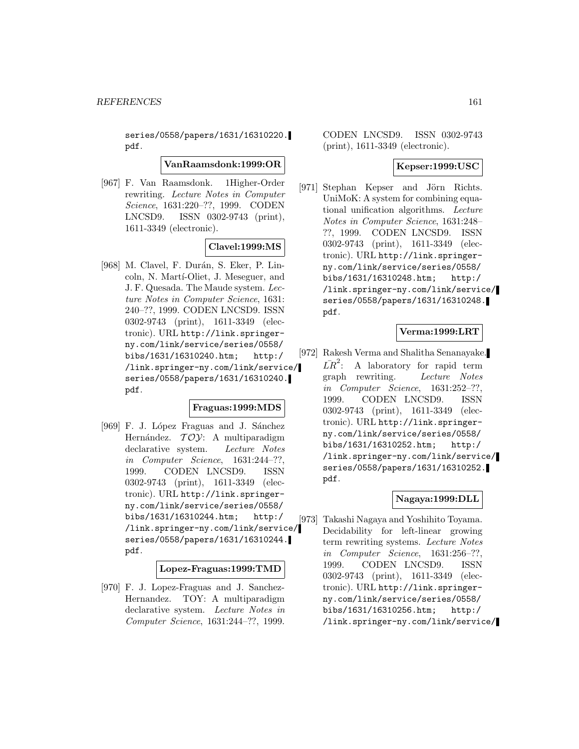series/0558/papers/1631/16310220. pdf.

### **VanRaamsdonk:1999:OR**

[967] F. Van Raamsdonk. 1Higher-Order rewriting. Lecture Notes in Computer Science, 1631:220–??, 1999. CODEN LNCSD9. ISSN 0302-9743 (print), 1611-3349 (electronic).

## **Clavel:1999:MS**

[968] M. Clavel, F. Durán, S. Eker, P. Lincoln, N. Martí-Oliet, J. Meseguer, and J. F. Quesada. The Maude system. Lecture Notes in Computer Science, 1631: 240–??, 1999. CODEN LNCSD9. ISSN 0302-9743 (print), 1611-3349 (electronic). URL http://link.springerny.com/link/service/series/0558/ bibs/1631/16310240.htm; http:/ /link.springer-ny.com/link/service/ series/0558/papers/1631/16310240. pdf.

## **Fraguas:1999:MDS**

[969] F. J. López Fraguas and J. Sánchez Hernández.  $TOY: A$  multiparadigm declarative system. Lecture Notes in Computer Science, 1631:244–??, 1999. CODEN LNCSD9. ISSN 0302-9743 (print), 1611-3349 (electronic). URL http://link.springerny.com/link/service/series/0558/ bibs/1631/16310244.htm; http:/ /link.springer-ny.com/link/service/ series/0558/papers/1631/16310244. pdf.

#### **Lopez-Fraguas:1999:TMD**

[970] F. J. Lopez-Fraguas and J. Sanchez-Hernandez. TOY: A multiparadigm declarative system. Lecture Notes in Computer Science, 1631:244–??, 1999.

# CODEN LNCSD9. ISSN 0302-9743 (print), 1611-3349 (electronic).

# **Kepser:1999:USC**

[971] Stephan Kepser and Jörn Richts. UniMoK: A system for combining equational unification algorithms. Lecture Notes in Computer Science, 1631:248– ??, 1999. CODEN LNCSD9. ISSN 0302-9743 (print), 1611-3349 (electronic). URL http://link.springerny.com/link/service/series/0558/ bibs/1631/16310248.htm; http:/ /link.springer-ny.com/link/service/ series/0558/papers/1631/16310248. pdf.

# **Verma:1999:LRT**

[972] Rakesh Verma and Shalitha Senanayake.  $\overline{LR}^2$ : A laboratory for rapid term graph rewriting. Lecture Notes in Computer Science, 1631:252–??, 1999. CODEN LNCSD9. ISSN 0302-9743 (print), 1611-3349 (electronic). URL http://link.springerny.com/link/service/series/0558/ bibs/1631/16310252.htm; http:/ /link.springer-ny.com/link/service/ series/0558/papers/1631/16310252. pdf.

## **Nagaya:1999:DLL**

[973] Takashi Nagaya and Yoshihito Toyama. Decidability for left-linear growing term rewriting systems. Lecture Notes in Computer Science, 1631:256–??, 1999. CODEN LNCSD9. ISSN 0302-9743 (print), 1611-3349 (electronic). URL http://link.springerny.com/link/service/series/0558/ bibs/1631/16310256.htm; http:/ /link.springer-ny.com/link/service/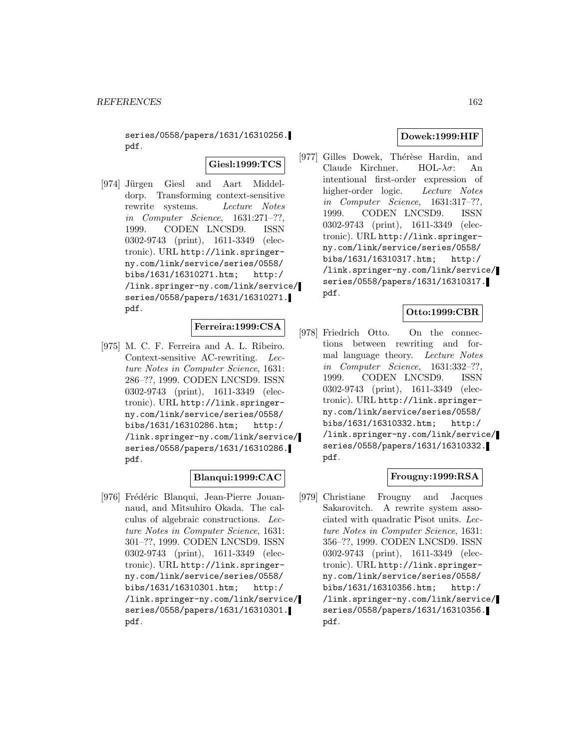series/0558/papers/1631/16310256. pdf.

**Giesl:1999:TCS**

[974] Jürgen Giesl and Aart Middeldorp. Transforming context-sensitive rewrite systems. Lecture Notes in Computer Science, 1631:271–??, 1999. CODEN LNCSD9. ISSN 0302-9743 (print), 1611-3349 (electronic). URL http://link.springerny.com/link/service/series/0558/ bibs/1631/16310271.htm; http:/ /link.springer-ny.com/link/service/ series/0558/papers/1631/16310271. pdf.

## **Ferreira:1999:CSA**

[975] M. C. F. Ferreira and A. L. Ribeiro. Context-sensitive AC-rewriting. Lecture Notes in Computer Science, 1631: 286–??, 1999. CODEN LNCSD9. ISSN 0302-9743 (print), 1611-3349 (electronic). URL http://link.springerny.com/link/service/series/0558/ bibs/1631/16310286.htm; http:/ /link.springer-ny.com/link/service/ series/0558/papers/1631/16310286. pdf.

## **Blanqui:1999:CAC**

[976] Frédéric Blanqui, Jean-Pierre Jouannaud, and Mitsuhiro Okada. The calculus of algebraic constructions. Lecture Notes in Computer Science, 1631: 301–??, 1999. CODEN LNCSD9. ISSN 0302-9743 (print), 1611-3349 (electronic). URL http://link.springerny.com/link/service/series/0558/ bibs/1631/16310301.htm; http:/ /link.springer-ny.com/link/service/ series/0558/papers/1631/16310301. pdf.

## **Dowek:1999:HIF**

[977] Gilles Dowek, Thérèse Hardin, and Claude Kirchner. HOL- $\lambda \sigma$ : An intentional first-order expression of higher-order logic. Lecture Notes in Computer Science, 1631:317–??, 1999. CODEN LNCSD9. ISSN 0302-9743 (print), 1611-3349 (electronic). URL http://link.springerny.com/link/service/series/0558/ bibs/1631/16310317.htm; http:/ /link.springer-ny.com/link/service/ series/0558/papers/1631/16310317. pdf.

# **Otto:1999:CBR**

[978] Friedrich Otto. On the connections between rewriting and formal language theory. Lecture Notes in Computer Science, 1631:332–??, 1999. CODEN LNCSD9. ISSN 0302-9743 (print), 1611-3349 (electronic). URL http://link.springerny.com/link/service/series/0558/ bibs/1631/16310332.htm; http:/ /link.springer-ny.com/link/service/ series/0558/papers/1631/16310332. pdf.

## **Frougny:1999:RSA**

[979] Christiane Frougny and Jacques Sakarovitch. A rewrite system associated with quadratic Pisot units. Lecture Notes in Computer Science, 1631: 356–??, 1999. CODEN LNCSD9. ISSN 0302-9743 (print), 1611-3349 (electronic). URL http://link.springerny.com/link/service/series/0558/ bibs/1631/16310356.htm; http:/ /link.springer-ny.com/link/service/ series/0558/papers/1631/16310356. pdf.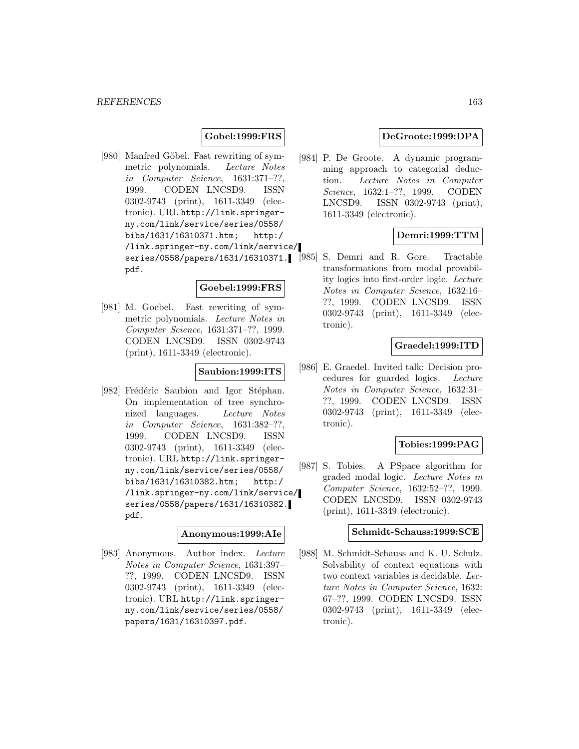# **Gobel:1999:FRS**

[980] Manfred Göbel. Fast rewriting of symmetric polynomials. Lecture Notes in Computer Science, 1631:371–??, 1999. CODEN LNCSD9. ISSN 0302-9743 (print), 1611-3349 (electronic). URL http://link.springerny.com/link/service/series/0558/ bibs/1631/16310371.htm; http:/ /link.springer-ny.com/link/service/ series/0558/papers/1631/16310371. pdf.

#### **Goebel:1999:FRS**

[981] M. Goebel. Fast rewriting of symmetric polynomials. Lecture Notes in Computer Science, 1631:371–??, 1999. CODEN LNCSD9. ISSN 0302-9743 (print), 1611-3349 (electronic).

### **Saubion:1999:ITS**

[982] Frédéric Saubion and Igor Stéphan. On implementation of tree synchronized languages. Lecture Notes in Computer Science, 1631:382–??, 1999. CODEN LNCSD9. ISSN 0302-9743 (print), 1611-3349 (electronic). URL http://link.springerny.com/link/service/series/0558/ bibs/1631/16310382.htm; http:/ /link.springer-ny.com/link/service/ series/0558/papers/1631/16310382. pdf.

#### **Anonymous:1999:AIe**

[983] Anonymous. Author index. Lecture Notes in Computer Science, 1631:397– ??, 1999. CODEN LNCSD9. ISSN 0302-9743 (print), 1611-3349 (electronic). URL http://link.springerny.com/link/service/series/0558/ papers/1631/16310397.pdf.

## **DeGroote:1999:DPA**

[984] P. De Groote. A dynamic programming approach to categorial deduction. Lecture Notes in Computer Science, 1632:1–??, 1999. CODEN LNCSD9. ISSN 0302-9743 (print), 1611-3349 (electronic).

# **Demri:1999:TTM**

[985] S. Demri and R. Gore. Tractable transformations from modal provability logics into first-order logic. Lecture Notes in Computer Science, 1632:16– ??, 1999. CODEN LNCSD9. ISSN 0302-9743 (print), 1611-3349 (electronic).

# **Graedel:1999:ITD**

[986] E. Graedel. Invited talk: Decision procedures for guarded logics. Lecture Notes in Computer Science, 1632:31– ??, 1999. CODEN LNCSD9. ISSN 0302-9743 (print), 1611-3349 (electronic).

### **Tobies:1999:PAG**

[987] S. Tobies. A PSpace algorithm for graded modal logic. Lecture Notes in Computer Science, 1632:52–??, 1999. CODEN LNCSD9. ISSN 0302-9743 (print), 1611-3349 (electronic).

# **Schmidt-Schauss:1999:SCE**

[988] M. Schmidt-Schauss and K. U. Schulz. Solvability of context equations with two context variables is decidable. Lecture Notes in Computer Science, 1632: 67–??, 1999. CODEN LNCSD9. ISSN 0302-9743 (print), 1611-3349 (electronic).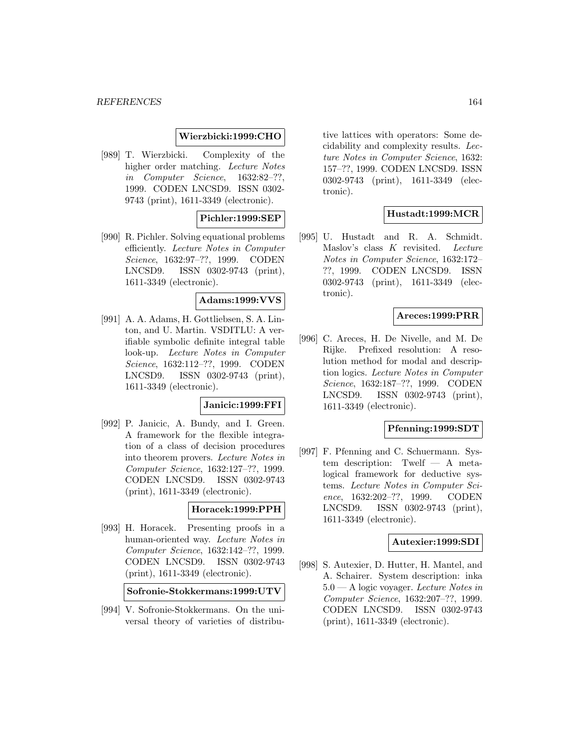## **Wierzbicki:1999:CHO**

[989] T. Wierzbicki. Complexity of the higher order matching. Lecture Notes in Computer Science, 1632:82–??, 1999. CODEN LNCSD9. ISSN 0302- 9743 (print), 1611-3349 (electronic).

### **Pichler:1999:SEP**

[990] R. Pichler. Solving equational problems efficiently. Lecture Notes in Computer Science, 1632:97–??, 1999. CODEN LNCSD9. ISSN 0302-9743 (print), 1611-3349 (electronic).

## **Adams:1999:VVS**

[991] A. A. Adams, H. Gottliebsen, S. A. Linton, and U. Martin. VSDITLU: A verifiable symbolic definite integral table look-up. Lecture Notes in Computer Science, 1632:112–??, 1999. CODEN LNCSD9. ISSN 0302-9743 (print), 1611-3349 (electronic).

### **Janicic:1999:FFI**

[992] P. Janicic, A. Bundy, and I. Green. A framework for the flexible integration of a class of decision procedures into theorem provers. Lecture Notes in Computer Science, 1632:127–??, 1999. CODEN LNCSD9. ISSN 0302-9743 (print), 1611-3349 (electronic).

# **Horacek:1999:PPH**

[993] H. Horacek. Presenting proofs in a human-oriented way. Lecture Notes in Computer Science, 1632:142–??, 1999. CODEN LNCSD9. ISSN 0302-9743 (print), 1611-3349 (electronic).

**Sofronie-Stokkermans:1999:UTV**

[994] V. Sofronie-Stokkermans. On the universal theory of varieties of distribu-

tive lattices with operators: Some decidability and complexity results. Lecture Notes in Computer Science, 1632: 157–??, 1999. CODEN LNCSD9. ISSN 0302-9743 (print), 1611-3349 (electronic).

## **Hustadt:1999:MCR**

[995] U. Hustadt and R. A. Schmidt. Maslov's class K revisited. Lecture Notes in Computer Science, 1632:172– ??, 1999. CODEN LNCSD9. ISSN 0302-9743 (print), 1611-3349 (electronic).

# **Areces:1999:PRR**

[996] C. Areces, H. De Nivelle, and M. De Rijke. Prefixed resolution: A resolution method for modal and description logics. Lecture Notes in Computer Science, 1632:187–??, 1999. CODEN LNCSD9. ISSN 0302-9743 (print), 1611-3349 (electronic).

#### **Pfenning:1999:SDT**

[997] F. Pfenning and C. Schuermann. System description: Twelf — A metalogical framework for deductive systems. Lecture Notes in Computer Science, 1632:202–??, 1999. CODEN LNCSD9. ISSN 0302-9743 (print), 1611-3349 (electronic).

### **Autexier:1999:SDI**

[998] S. Autexier, D. Hutter, H. Mantel, and A. Schairer. System description: inka 5.0 — A logic voyager. Lecture Notes in Computer Science, 1632:207–??, 1999. CODEN LNCSD9. ISSN 0302-9743 (print), 1611-3349 (electronic).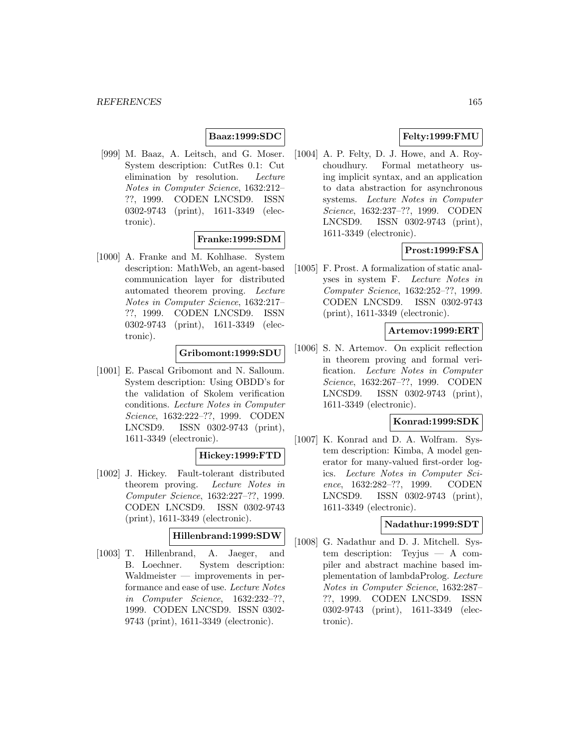# **Baaz:1999:SDC**

[999] M. Baaz, A. Leitsch, and G. Moser. System description: CutRes 0.1: Cut elimination by resolution. Lecture Notes in Computer Science, 1632:212– ??, 1999. CODEN LNCSD9. ISSN 0302-9743 (print), 1611-3349 (electronic).

## **Franke:1999:SDM**

[1000] A. Franke and M. Kohlhase. System description: MathWeb, an agent-based communication layer for distributed automated theorem proving. Lecture Notes in Computer Science, 1632:217– ??, 1999. CODEN LNCSD9. ISSN 0302-9743 (print), 1611-3349 (electronic).

# **Gribomont:1999:SDU**

[1001] E. Pascal Gribomont and N. Salloum. System description: Using OBDD's for the validation of Skolem verification conditions. Lecture Notes in Computer Science, 1632:222–??, 1999. CODEN LNCSD9. ISSN 0302-9743 (print), 1611-3349 (electronic).

## **Hickey:1999:FTD**

[1002] J. Hickey. Fault-tolerant distributed theorem proving. Lecture Notes in Computer Science, 1632:227–??, 1999. CODEN LNCSD9. ISSN 0302-9743 (print), 1611-3349 (electronic).

### **Hillenbrand:1999:SDW**

[1003] T. Hillenbrand, A. Jaeger, and B. Loechner. System description: Waldmeister — improvements in performance and ease of use. Lecture Notes in Computer Science, 1632:232–??, 1999. CODEN LNCSD9. ISSN 0302- 9743 (print), 1611-3349 (electronic).

# **Felty:1999:FMU**

[1004] A. P. Felty, D. J. Howe, and A. Roychoudhury. Formal metatheory using implicit syntax, and an application to data abstraction for asynchronous systems. Lecture Notes in Computer Science, 1632:237–??, 1999. CODEN LNCSD9. ISSN 0302-9743 (print), 1611-3349 (electronic).

# **Prost:1999:FSA**

[1005] F. Prost. A formalization of static analyses in system F. Lecture Notes in Computer Science, 1632:252–??, 1999. CODEN LNCSD9. ISSN 0302-9743 (print), 1611-3349 (electronic).

## **Artemov:1999:ERT**

[1006] S. N. Artemov. On explicit reflection in theorem proving and formal verification. Lecture Notes in Computer Science, 1632:267–??, 1999. CODEN LNCSD9. ISSN 0302-9743 (print), 1611-3349 (electronic).

# **Konrad:1999:SDK**

[1007] K. Konrad and D. A. Wolfram. System description: Kimba, A model generator for many-valued first-order logics. Lecture Notes in Computer Science, 1632:282–??, 1999. CODEN LNCSD9. ISSN 0302-9743 (print), 1611-3349 (electronic).

# **Nadathur:1999:SDT**

[1008] G. Nadathur and D. J. Mitchell. System description: Teyjus — A compiler and abstract machine based implementation of lambdaProlog. Lecture Notes in Computer Science, 1632:287– ??, 1999. CODEN LNCSD9. ISSN 0302-9743 (print), 1611-3349 (electronic).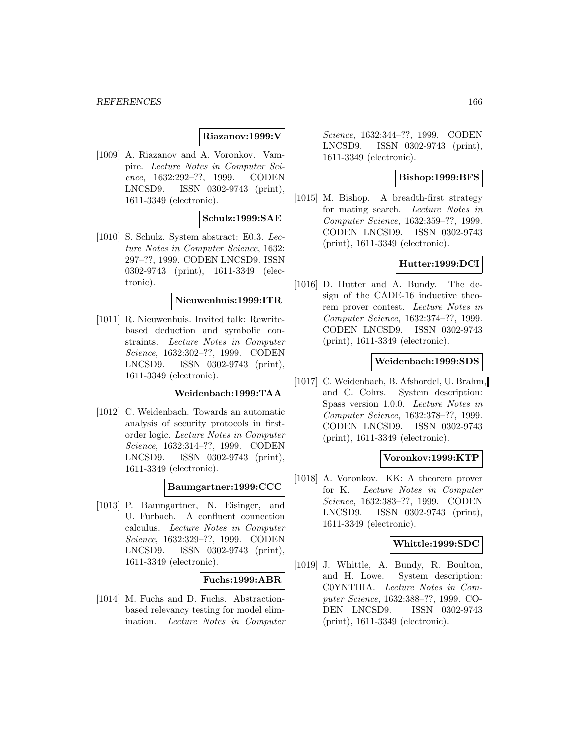## **Riazanov:1999:V**

[1009] A. Riazanov and A. Voronkov. Vampire. Lecture Notes in Computer Science, 1632:292–??, 1999. CODEN LNCSD9. ISSN 0302-9743 (print), 1611-3349 (electronic).

## **Schulz:1999:SAE**

[1010] S. Schulz. System abstract: E0.3. Lecture Notes in Computer Science, 1632: 297–??, 1999. CODEN LNCSD9. ISSN 0302-9743 (print), 1611-3349 (electronic).

### **Nieuwenhuis:1999:ITR**

[1011] R. Nieuwenhuis. Invited talk: Rewritebased deduction and symbolic constraints. Lecture Notes in Computer Science, 1632:302–??, 1999. CODEN LNCSD9. ISSN 0302-9743 (print), 1611-3349 (electronic).

## **Weidenbach:1999:TAA**

[1012] C. Weidenbach. Towards an automatic analysis of security protocols in firstorder logic. Lecture Notes in Computer Science, 1632:314–??, 1999. CODEN LNCSD9. ISSN 0302-9743 (print), 1611-3349 (electronic).

## **Baumgartner:1999:CCC**

[1013] P. Baumgartner, N. Eisinger, and U. Furbach. A confluent connection calculus. Lecture Notes in Computer Science, 1632:329–??, 1999. CODEN LNCSD9. ISSN 0302-9743 (print), 1611-3349 (electronic).

#### **Fuchs:1999:ABR**

[1014] M. Fuchs and D. Fuchs. Abstractionbased relevancy testing for model elimination. Lecture Notes in Computer

Science, 1632:344–??, 1999. CODEN LNCSD9. ISSN 0302-9743 (print), 1611-3349 (electronic).

### **Bishop:1999:BFS**

[1015] M. Bishop. A breadth-first strategy for mating search. Lecture Notes in Computer Science, 1632:359–??, 1999. CODEN LNCSD9. ISSN 0302-9743 (print), 1611-3349 (electronic).

# **Hutter:1999:DCI**

[1016] D. Hutter and A. Bundy. The design of the CADE-16 inductive theorem prover contest. Lecture Notes in Computer Science, 1632:374–??, 1999. CODEN LNCSD9. ISSN 0302-9743 (print), 1611-3349 (electronic).

## **Weidenbach:1999:SDS**

[1017] C. Weidenbach, B. Afshordel, U. Brahm, and C. Cohrs. System description: Spass version 1.0.0. Lecture Notes in Computer Science, 1632:378–??, 1999. CODEN LNCSD9. ISSN 0302-9743 (print), 1611-3349 (electronic).

### **Voronkov:1999:KTP**

[1018] A. Voronkov. KK: A theorem prover for K. Lecture Notes in Computer Science, 1632:383–??, 1999. CODEN LNCSD9. ISSN 0302-9743 (print), 1611-3349 (electronic).

#### **Whittle:1999:SDC**

[1019] J. Whittle, A. Bundy, R. Boulton, and H. Lowe. System description: C0YNTHIA. Lecture Notes in Computer Science, 1632:388–??, 1999. CO-DEN LNCSD9. ISSN 0302-9743 (print), 1611-3349 (electronic).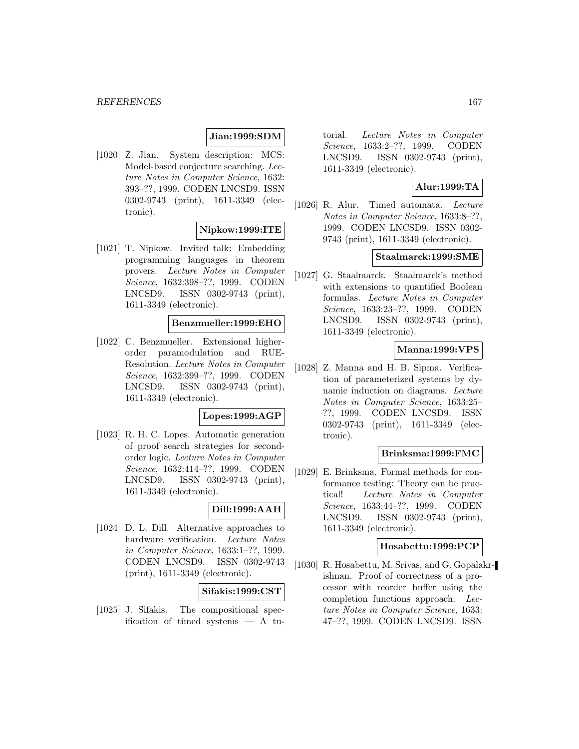# **Jian:1999:SDM**

[1020] Z. Jian. System description: MCS: Model-based conjecture searching. Lecture Notes in Computer Science, 1632: 393–??, 1999. CODEN LNCSD9. ISSN 0302-9743 (print), 1611-3349 (electronic).

# **Nipkow:1999:ITE**

[1021] T. Nipkow. Invited talk: Embedding programming languages in theorem provers. Lecture Notes in Computer Science, 1632:398–??, 1999. CODEN LNCSD9. ISSN 0302-9743 (print), 1611-3349 (electronic).

### **Benzmueller:1999:EHO**

[1022] C. Benzmueller. Extensional higherorder paramodulation and RUE-Resolution. Lecture Notes in Computer Science, 1632:399–??, 1999. CODEN LNCSD9. ISSN 0302-9743 (print), 1611-3349 (electronic).

## **Lopes:1999:AGP**

[1023] R. H. C. Lopes. Automatic generation of proof search strategies for secondorder logic. Lecture Notes in Computer Science, 1632:414–??, 1999. CODEN LNCSD9. ISSN 0302-9743 (print), 1611-3349 (electronic).

# **Dill:1999:AAH**

[1024] D. L. Dill. Alternative approaches to hardware verification. Lecture Notes in Computer Science, 1633:1–??, 1999. CODEN LNCSD9. ISSN 0302-9743 (print), 1611-3349 (electronic).

## **Sifakis:1999:CST**

[1025] J. Sifakis. The compositional specification of timed systems  $- A$  tu-

torial. Lecture Notes in Computer Science, 1633:2–??, 1999. CODEN LNCSD9. ISSN 0302-9743 (print), 1611-3349 (electronic).

## **Alur:1999:TA**

[1026] R. Alur. Timed automata. Lecture Notes in Computer Science, 1633:8–??, 1999. CODEN LNCSD9. ISSN 0302- 9743 (print), 1611-3349 (electronic).

#### **Staalmarck:1999:SME**

[1027] G. Staalmarck. Staalmarck's method with extensions to quantified Boolean formulas. Lecture Notes in Computer Science, 1633:23–??, 1999. CODEN LNCSD9. ISSN 0302-9743 (print), 1611-3349 (electronic).

## **Manna:1999:VPS**

[1028] Z. Manna and H. B. Sipma. Verification of parameterized systems by dynamic induction on diagrams. Lecture Notes in Computer Science, 1633:25– ??, 1999. CODEN LNCSD9. ISSN 0302-9743 (print), 1611-3349 (electronic).

### **Brinksma:1999:FMC**

[1029] E. Brinksma. Formal methods for conformance testing: Theory can be practical! Lecture Notes in Computer Science, 1633:44–??, 1999. CODEN LNCSD9. ISSN 0302-9743 (print), 1611-3349 (electronic).

### **Hosabettu:1999:PCP**

[1030] R. Hosabettu, M. Srivas, and G. Gopalakrishnan. Proof of correctness of a processor with reorder buffer using the completion functions approach. Lecture Notes in Computer Science, 1633: 47–??, 1999. CODEN LNCSD9. ISSN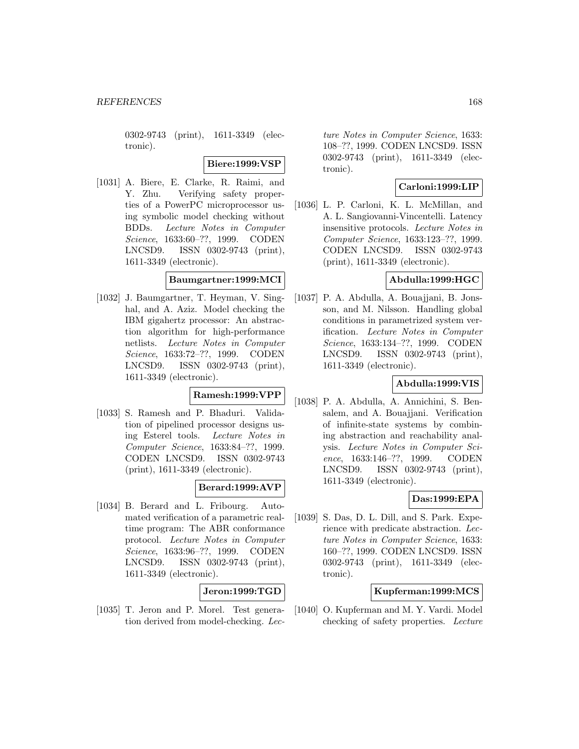0302-9743 (print), 1611-3349 (electronic).

### **Biere:1999:VSP**

[1031] A. Biere, E. Clarke, R. Raimi, and Y. Zhu. Verifying safety properties of a PowerPC microprocessor using symbolic model checking without BDDs. Lecture Notes in Computer Science, 1633:60–??, 1999. CODEN LNCSD9. ISSN 0302-9743 (print), 1611-3349 (electronic).

# **Baumgartner:1999:MCI**

[1032] J. Baumgartner, T. Heyman, V. Singhal, and A. Aziz. Model checking the IBM gigahertz processor: An abstraction algorithm for high-performance netlists. Lecture Notes in Computer Science, 1633:72–??, 1999. CODEN LNCSD9. ISSN 0302-9743 (print), 1611-3349 (electronic).

# **Ramesh:1999:VPP**

[1033] S. Ramesh and P. Bhaduri. Validation of pipelined processor designs using Esterel tools. Lecture Notes in Computer Science, 1633:84–??, 1999. CODEN LNCSD9. ISSN 0302-9743 (print), 1611-3349 (electronic).

## **Berard:1999:AVP**

[1034] B. Berard and L. Fribourg. Automated verification of a parametric realtime program: The ABR conformance protocol. Lecture Notes in Computer Science, 1633:96–??, 1999. CODEN LNCSD9. ISSN 0302-9743 (print), 1611-3349 (electronic).

# **Jeron:1999:TGD**

[1035] T. Jeron and P. Morel. Test generation derived from model-checking. Lec-

ture Notes in Computer Science, 1633: 108–??, 1999. CODEN LNCSD9. ISSN 0302-9743 (print), 1611-3349 (electronic).

## **Carloni:1999:LIP**

[1036] L. P. Carloni, K. L. McMillan, and A. L. Sangiovanni-Vincentelli. Latency insensitive protocols. Lecture Notes in Computer Science, 1633:123–??, 1999. CODEN LNCSD9. ISSN 0302-9743 (print), 1611-3349 (electronic).

## **Abdulla:1999:HGC**

[1037] P. A. Abdulla, A. Bouajjani, B. Jonsson, and M. Nilsson. Handling global conditions in parametrized system verification. Lecture Notes in Computer Science, 1633:134–??, 1999. CODEN LNCSD9. ISSN 0302-9743 (print), 1611-3349 (electronic).

## **Abdulla:1999:VIS**

[1038] P. A. Abdulla, A. Annichini, S. Bensalem, and A. Bouajjani. Verification of infinite-state systems by combining abstraction and reachability analysis. Lecture Notes in Computer Science, 1633:146–??, 1999. CODEN LNCSD9. ISSN 0302-9743 (print), 1611-3349 (electronic).

## **Das:1999:EPA**

[1039] S. Das, D. L. Dill, and S. Park. Experience with predicate abstraction. Lecture Notes in Computer Science, 1633: 160–??, 1999. CODEN LNCSD9. ISSN 0302-9743 (print), 1611-3349 (electronic).

### **Kupferman:1999:MCS**

[1040] O. Kupferman and M. Y. Vardi. Model checking of safety properties. Lecture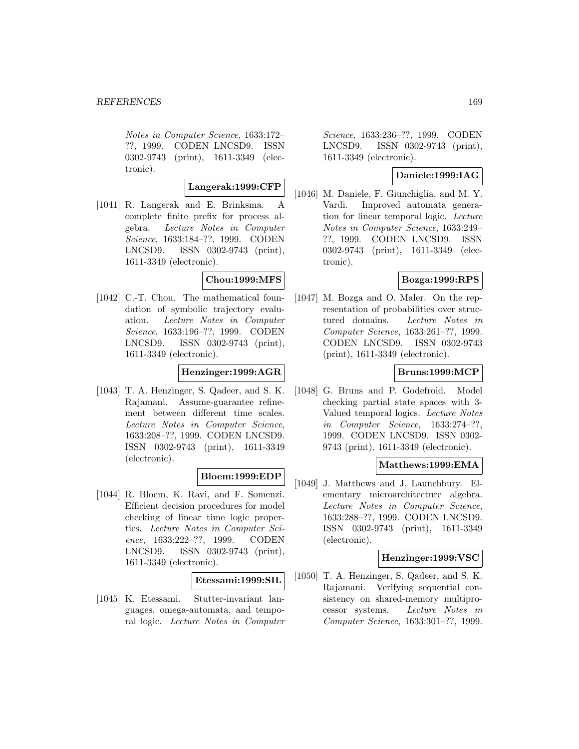Notes in Computer Science, 1633:172– ??, 1999. CODEN LNCSD9. ISSN 0302-9743 (print), 1611-3349 (electronic).

## **Langerak:1999:CFP**

[1041] R. Langerak and E. Brinksma. A complete finite prefix for process algebra. Lecture Notes in Computer Science, 1633:184–??, 1999. CODEN LNCSD9. ISSN 0302-9743 (print), 1611-3349 (electronic).

# **Chou:1999:MFS**

[1042] C.-T. Chou. The mathematical foundation of symbolic trajectory evaluation. Lecture Notes in Computer Science, 1633:196–??, 1999. CODEN LNCSD9. ISSN 0302-9743 (print), 1611-3349 (electronic).

## **Henzinger:1999:AGR**

[1043] T. A. Henzinger, S. Qadeer, and S. K. Rajamani. Assume-guarantee refinement between different time scales. Lecture Notes in Computer Science, 1633:208–??, 1999. CODEN LNCSD9. ISSN 0302-9743 (print), 1611-3349 (electronic).

## **Bloem:1999:EDP**

[1044] R. Bloem, K. Ravi, and F. Somenzi. Efficient decision procedures for model checking of linear time logic properties. Lecture Notes in Computer Science, 1633:222–??, 1999. CODEN LNCSD9. ISSN 0302-9743 (print), 1611-3349 (electronic).

#### **Etessami:1999:SIL**

[1045] K. Etessami. Stutter-invariant languages, omega-automata, and temporal logic. Lecture Notes in Computer

Science, 1633:236–??, 1999. CODEN LNCSD9. ISSN 0302-9743 (print), 1611-3349 (electronic).

# **Daniele:1999:IAG**

[1046] M. Daniele, F. Giunchiglia, and M. Y. Vardi. Improved automata generation for linear temporal logic. Lecture Notes in Computer Science, 1633:249– ??, 1999. CODEN LNCSD9. ISSN 0302-9743 (print), 1611-3349 (electronic).

## **Bozga:1999:RPS**

[1047] M. Bozga and O. Maler. On the representation of probabilities over structured domains. Lecture Notes in Computer Science, 1633:261–??, 1999. CODEN LNCSD9. ISSN 0302-9743 (print), 1611-3349 (electronic).

## **Bruns:1999:MCP**

[1048] G. Bruns and P. Godefroid. Model checking partial state spaces with 3- Valued temporal logics. Lecture Notes in Computer Science, 1633:274–??, 1999. CODEN LNCSD9. ISSN 0302- 9743 (print), 1611-3349 (electronic).

### **Matthews:1999:EMA**

[1049] J. Matthews and J. Launchbury. Elementary microarchitecture algebra. Lecture Notes in Computer Science, 1633:288–??, 1999. CODEN LNCSD9. ISSN 0302-9743 (print), 1611-3349 (electronic).

### **Henzinger:1999:VSC**

[1050] T. A. Henzinger, S. Qadeer, and S. K. Rajamani. Verifying sequential consistency on shared-memory multiprocessor systems. Lecture Notes in Computer Science, 1633:301–??, 1999.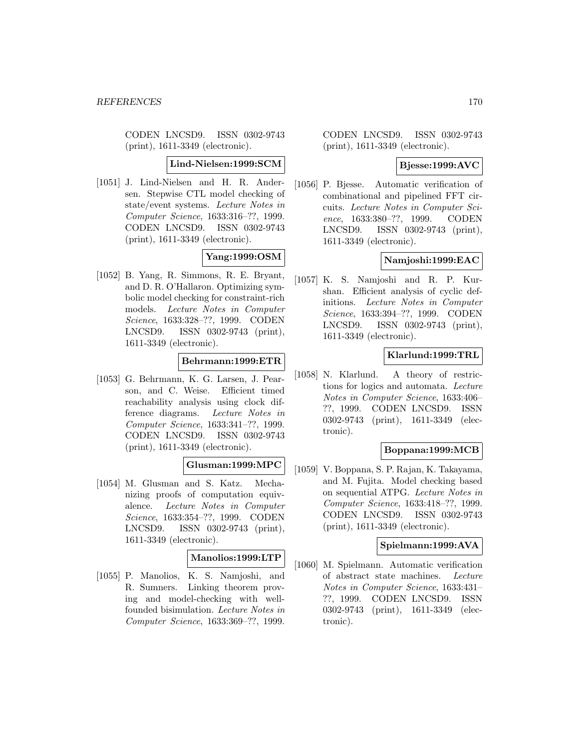CODEN LNCSD9. ISSN 0302-9743 (print), 1611-3349 (electronic).

**Lind-Nielsen:1999:SCM**

[1051] J. Lind-Nielsen and H. R. Andersen. Stepwise CTL model checking of state/event systems. Lecture Notes in Computer Science, 1633:316–??, 1999. CODEN LNCSD9. ISSN 0302-9743 (print), 1611-3349 (electronic).

# **Yang:1999:OSM**

[1052] B. Yang, R. Simmons, R. E. Bryant, and D. R. O'Hallaron. Optimizing symbolic model checking for constraint-rich models. Lecture Notes in Computer Science, 1633:328–??, 1999. CODEN LNCSD9. ISSN 0302-9743 (print), 1611-3349 (electronic).

# **Behrmann:1999:ETR**

[1053] G. Behrmann, K. G. Larsen, J. Pearson, and C. Weise. Efficient timed reachability analysis using clock difference diagrams. Lecture Notes in Computer Science, 1633:341–??, 1999. CODEN LNCSD9. ISSN 0302-9743 (print), 1611-3349 (electronic).

## **Glusman:1999:MPC**

[1054] M. Glusman and S. Katz. Mechanizing proofs of computation equivalence. Lecture Notes in Computer Science, 1633:354–??, 1999. CODEN LNCSD9. ISSN 0302-9743 (print), 1611-3349 (electronic).

## **Manolios:1999:LTP**

[1055] P. Manolios, K. S. Namjoshi, and R. Sumners. Linking theorem proving and model-checking with wellfounded bisimulation. Lecture Notes in Computer Science, 1633:369–??, 1999.

CODEN LNCSD9. ISSN 0302-9743 (print), 1611-3349 (electronic).

## **Bjesse:1999:AVC**

[1056] P. Bjesse. Automatic verification of combinational and pipelined FFT circuits. Lecture Notes in Computer Science, 1633:380–??, 1999. CODEN LNCSD9. ISSN 0302-9743 (print), 1611-3349 (electronic).

# **Namjoshi:1999:EAC**

[1057] K. S. Namjoshi and R. P. Kurshan. Efficient analysis of cyclic definitions. Lecture Notes in Computer Science, 1633:394–??, 1999. CODEN LNCSD9. ISSN 0302-9743 (print), 1611-3349 (electronic).

## **Klarlund:1999:TRL**

[1058] N. Klarlund. A theory of restrictions for logics and automata. Lecture Notes in Computer Science, 1633:406– ??, 1999. CODEN LNCSD9. ISSN 0302-9743 (print), 1611-3349 (electronic).

## **Boppana:1999:MCB**

[1059] V. Boppana, S. P. Rajan, K. Takayama, and M. Fujita. Model checking based on sequential ATPG. Lecture Notes in Computer Science, 1633:418–??, 1999. CODEN LNCSD9. ISSN 0302-9743 (print), 1611-3349 (electronic).

## **Spielmann:1999:AVA**

[1060] M. Spielmann. Automatic verification of abstract state machines. Lecture Notes in Computer Science, 1633:431– ??, 1999. CODEN LNCSD9. ISSN 0302-9743 (print), 1611-3349 (electronic).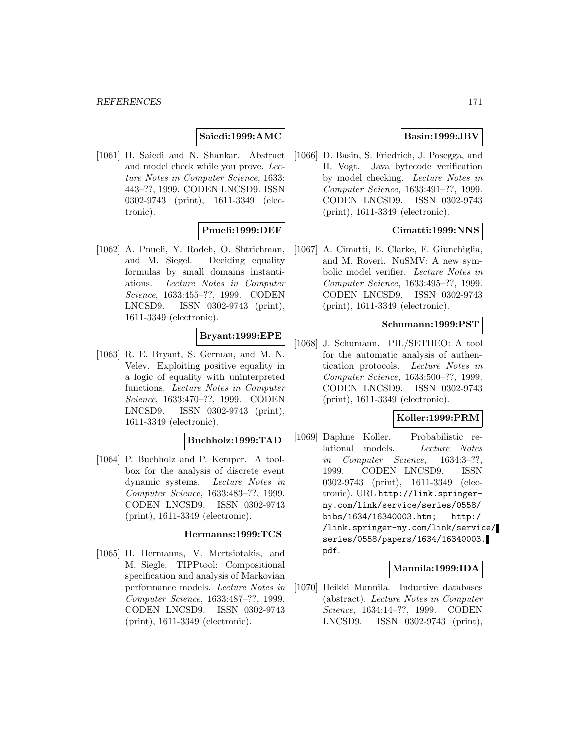## **Saiedi:1999:AMC**

[1061] H. Saiedi and N. Shankar. Abstract and model check while you prove. Lecture Notes in Computer Science, 1633: 443–??, 1999. CODEN LNCSD9. ISSN 0302-9743 (print), 1611-3349 (electronic).

# **Pnueli:1999:DEF**

[1062] A. Pnueli, Y. Rodeh, O. Shtrichman, and M. Siegel. Deciding equality formulas by small domains instantiations. Lecture Notes in Computer Science, 1633:455–??, 1999. CODEN LNCSD9. ISSN 0302-9743 (print), 1611-3349 (electronic).

# **Bryant:1999:EPE**

[1063] R. E. Bryant, S. German, and M. N. Velev. Exploiting positive equality in a logic of equality with uninterpreted functions. Lecture Notes in Computer Science, 1633:470–??, 1999. CODEN LNCSD9. ISSN 0302-9743 (print), 1611-3349 (electronic).

#### **Buchholz:1999:TAD**

[1064] P. Buchholz and P. Kemper. A toolbox for the analysis of discrete event dynamic systems. Lecture Notes in Computer Science, 1633:483–??, 1999. CODEN LNCSD9. ISSN 0302-9743 (print), 1611-3349 (electronic).

# **Hermanns:1999:TCS**

[1065] H. Hermanns, V. Mertsiotakis, and M. Siegle. TIPPtool: Compositional specification and analysis of Markovian performance models. Lecture Notes in Computer Science, 1633:487–??, 1999. CODEN LNCSD9. ISSN 0302-9743 (print), 1611-3349 (electronic).

# **Basin:1999:JBV**

[1066] D. Basin, S. Friedrich, J. Posegga, and H. Vogt. Java bytecode verification by model checking. Lecture Notes in Computer Science, 1633:491–??, 1999. CODEN LNCSD9. ISSN 0302-9743 (print), 1611-3349 (electronic).

# **Cimatti:1999:NNS**

[1067] A. Cimatti, E. Clarke, F. Giunchiglia, and M. Roveri. NuSMV: A new symbolic model verifier. Lecture Notes in Computer Science, 1633:495–??, 1999. CODEN LNCSD9. ISSN 0302-9743 (print), 1611-3349 (electronic).

### **Schumann:1999:PST**

[1068] J. Schumann. PIL/SETHEO: A tool for the automatic analysis of authentication protocols. Lecture Notes in Computer Science, 1633:500–??, 1999. CODEN LNCSD9. ISSN 0302-9743 (print), 1611-3349 (electronic).

#### **Koller:1999:PRM**

[1069] Daphne Koller. Probabilistic relational models. Lecture Notes in Computer Science, 1634:3–??, 1999. CODEN LNCSD9. ISSN 0302-9743 (print), 1611-3349 (electronic). URL http://link.springerny.com/link/service/series/0558/ bibs/1634/16340003.htm; http:/ /link.springer-ny.com/link/service/ series/0558/papers/1634/16340003. pdf.

### **Mannila:1999:IDA**

[1070] Heikki Mannila. Inductive databases (abstract). Lecture Notes in Computer Science, 1634:14–??, 1999. CODEN LNCSD9. ISSN 0302-9743 (print),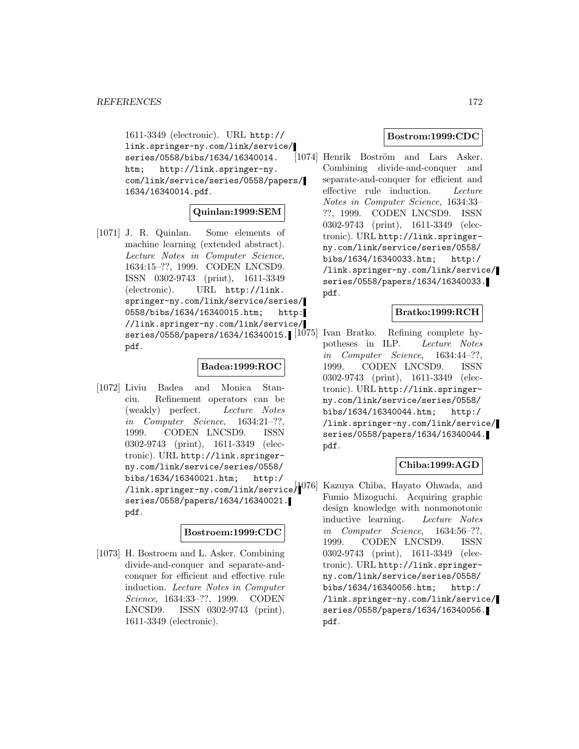1611-3349 (electronic). URL http:// link.springer-ny.com/link/service/ series/0558/bibs/1634/16340014. htm; http://link.springer-ny. com/link/service/series/0558/papers/ 1634/16340014.pdf.

# **Quinlan:1999:SEM**

[1071] J. R. Quinlan. Some elements of machine learning (extended abstract). Lecture Notes in Computer Science, 1634:15–??, 1999. CODEN LNCSD9. ISSN 0302-9743 (print), 1611-3349 (electronic). URL http://link. springer-ny.com/link/service/series/ 0558/bibs/1634/16340015.htm; http: //link.springer-ny.com/link/service/ series/0558/papers/1634/16340015. [1075] Ivan Bratko. Refining complete hypdf.

## **Badea:1999:ROC**

[1072] Liviu Badea and Monica Stanciu. Refinement operators can be (weakly) perfect. Lecture Notes in Computer Science, 1634:21–??, 1999. CODEN LNCSD9. ISSN 0302-9743 (print), 1611-3349 (electronic). URL http://link.springerny.com/link/service/series/0558/ bibs/1634/16340021.htm; http:/ series/0558/papers/1634/16340021. pdf.

#### **Bostroem:1999:CDC**

[1073] H. Bostroem and L. Asker. Combining divide-and-conquer and separate-andconquer for efficient and effective rule induction. Lecture Notes in Computer Science, 1634:33–??, 1999. CODEN LNCSD9. ISSN 0302-9743 (print), 1611-3349 (electronic).

## **Bostrom:1999:CDC**

[1074] Henrik Boström and Lars Asker. Combining divide-and-conquer and separate-and-conquer for efficient and effective rule induction. Lecture Notes in Computer Science, 1634:33– ??, 1999. CODEN LNCSD9. ISSN 0302-9743 (print), 1611-3349 (electronic). URL http://link.springerny.com/link/service/series/0558/ bibs/1634/16340033.htm; http:/ /link.springer-ny.com/link/service/ series/0558/papers/1634/16340033. pdf.

# **Bratko:1999:RCH**

potheses in ILP. Lecture Notes in Computer Science, 1634:44–??, 1999. CODEN LNCSD9. ISSN 0302-9743 (print), 1611-3349 (electronic). URL http://link.springerny.com/link/service/series/0558/ bibs/1634/16340044.htm; http:/ /link.springer-ny.com/link/service/ series/0558/papers/1634/16340044. pdf.

## **Chiba:1999:AGD**

/link.springer-ny.com/link/service/ [1076] Kazuya Chiba, Hayato Ohwada, and Fumio Mizoguchi. Acquiring graphic design knowledge with nonmonotonic inductive learning. Lecture Notes in Computer Science, 1634:56–??, 1999. CODEN LNCSD9. ISSN 0302-9743 (print), 1611-3349 (electronic). URL http://link.springerny.com/link/service/series/0558/ bibs/1634/16340056.htm; http:/ /link.springer-ny.com/link/service/ series/0558/papers/1634/16340056. pdf.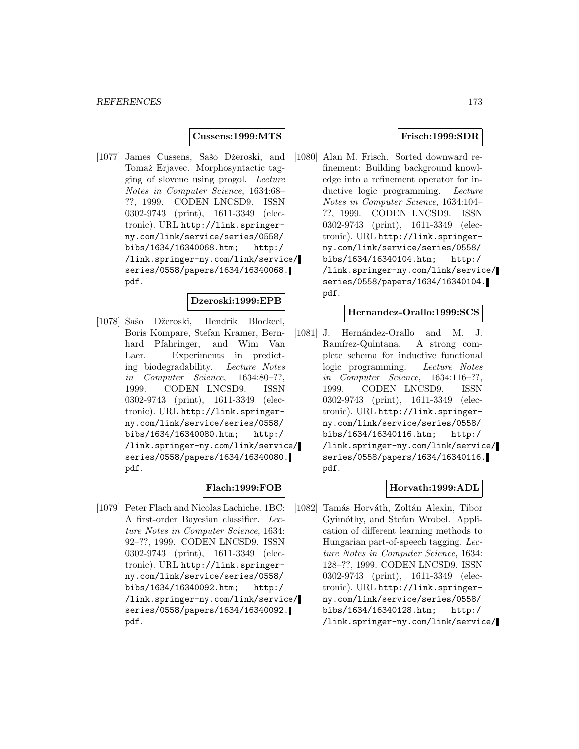### **Cussens:1999:MTS**

[1077] James Cussens, Sašo Džeroski, and Tomaž Erjavec. Morphosyntactic tagging of slovene using progol. Lecture Notes in Computer Science, 1634:68– ??, 1999. CODEN LNCSD9. ISSN 0302-9743 (print), 1611-3349 (electronic). URL http://link.springerny.com/link/service/series/0558/ bibs/1634/16340068.htm; http:/ /link.springer-ny.com/link/service/ series/0558/papers/1634/16340068. pdf.

### **Dzeroski:1999:EPB**

[1078] Sašo Džeroski, Hendrik Blockeel, Boris Kompare, Stefan Kramer, Bernhard Pfahringer, and Wim Van Laer. Experiments in predicting biodegradability. Lecture Notes in Computer Science, 1634:80–??, 1999. CODEN LNCSD9. ISSN 0302-9743 (print), 1611-3349 (electronic). URL http://link.springerny.com/link/service/series/0558/ bibs/1634/16340080.htm; http:/ /link.springer-ny.com/link/service/ series/0558/papers/1634/16340080. pdf.

# **Flach:1999:FOB**

[1079] Peter Flach and Nicolas Lachiche. 1BC: A first-order Bayesian classifier. Lecture Notes in Computer Science, 1634: 92–??, 1999. CODEN LNCSD9. ISSN 0302-9743 (print), 1611-3349 (electronic). URL http://link.springerny.com/link/service/series/0558/ bibs/1634/16340092.htm; http:/ /link.springer-ny.com/link/service/ series/0558/papers/1634/16340092. pdf.

# **Frisch:1999:SDR**

[1080] Alan M. Frisch. Sorted downward refinement: Building background knowledge into a refinement operator for inductive logic programming. Lecture Notes in Computer Science, 1634:104– ??, 1999. CODEN LNCSD9. ISSN 0302-9743 (print), 1611-3349 (electronic). URL http://link.springerny.com/link/service/series/0558/ bibs/1634/16340104.htm; http:/ /link.springer-ny.com/link/service/ series/0558/papers/1634/16340104. pdf.

## **Hernandez-Orallo:1999:SCS**

[1081] J. Hernández-Orallo and M. J. Ramírez-Quintana. A strong complete schema for inductive functional logic programming. Lecture Notes in Computer Science, 1634:116–??, 1999. CODEN LNCSD9. ISSN 0302-9743 (print), 1611-3349 (electronic). URL http://link.springerny.com/link/service/series/0558/ bibs/1634/16340116.htm; http:/ /link.springer-ny.com/link/service/ series/0558/papers/1634/16340116. pdf.

## **Horvath:1999:ADL**

[1082] Tamás Horváth, Zoltán Alexin, Tibor Gyimóthy, and Stefan Wrobel. Application of different learning methods to Hungarian part-of-speech tagging. Lecture Notes in Computer Science, 1634: 128–??, 1999. CODEN LNCSD9. ISSN 0302-9743 (print), 1611-3349 (electronic). URL http://link.springerny.com/link/service/series/0558/ bibs/1634/16340128.htm; http:/ /link.springer-ny.com/link/service/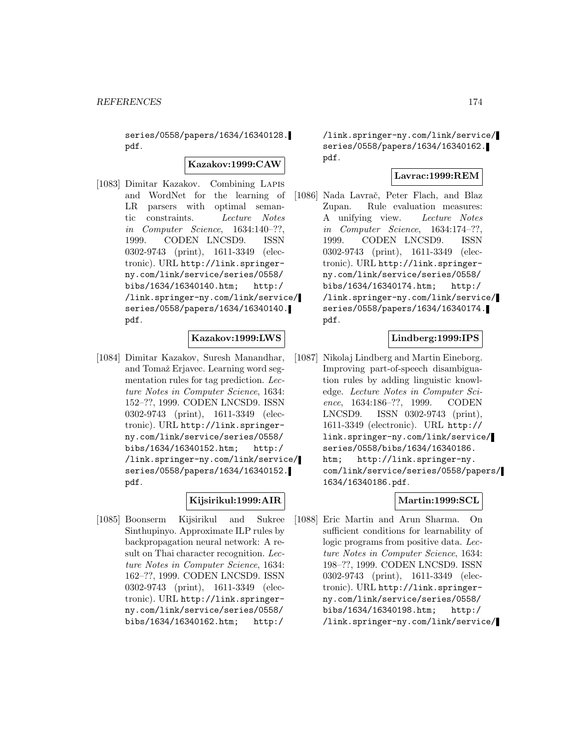series/0558/papers/1634/16340128. pdf.

**Kazakov:1999:CAW**

[1083] Dimitar Kazakov. Combining Lapis and WordNet for the learning of LR parsers with optimal semantic constraints. Lecture Notes in Computer Science, 1634:140–??, 1999. CODEN LNCSD9. ISSN 0302-9743 (print), 1611-3349 (electronic). URL http://link.springerny.com/link/service/series/0558/ bibs/1634/16340140.htm; http:/ /link.springer-ny.com/link/service/ series/0558/papers/1634/16340140. pdf.

# **Kazakov:1999:LWS**

[1084] Dimitar Kazakov, Suresh Manandhar, and Tomaž Erjavec. Learning word segmentation rules for tag prediction. Lecture Notes in Computer Science, 1634: 152–??, 1999. CODEN LNCSD9. ISSN 0302-9743 (print), 1611-3349 (electronic). URL http://link.springerny.com/link/service/series/0558/ bibs/1634/16340152.htm; http:/ /link.springer-ny.com/link/service/ series/0558/papers/1634/16340152. pdf.

# **Kijsirikul:1999:AIR**

[1085] Boonserm Kijsirikul and Sukree Sinthupinyo. Approximate ILP rules by backpropagation neural network: A result on Thai character recognition. Lecture Notes in Computer Science, 1634: 162–??, 1999. CODEN LNCSD9. ISSN 0302-9743 (print), 1611-3349 (electronic). URL http://link.springerny.com/link/service/series/0558/ bibs/1634/16340162.htm; http:/

/link.springer-ny.com/link/service/ series/0558/papers/1634/16340162. pdf.

# **Lavrac:1999:REM**

[1086] Nada Lavrač, Peter Flach, and Blaz Zupan. Rule evaluation measures: A unifying view. Lecture Notes in Computer Science, 1634:174–??, 1999. CODEN LNCSD9. ISSN 0302-9743 (print), 1611-3349 (electronic). URL http://link.springerny.com/link/service/series/0558/ bibs/1634/16340174.htm; http:/ /link.springer-ny.com/link/service/ series/0558/papers/1634/16340174. pdf.

# **Lindberg:1999:IPS**

[1087] Nikolaj Lindberg and Martin Eineborg. Improving part-of-speech disambiguation rules by adding linguistic knowledge. Lecture Notes in Computer Science, 1634:186–??, 1999. CODEN LNCSD9. ISSN 0302-9743 (print), 1611-3349 (electronic). URL http:// link.springer-ny.com/link/service/ series/0558/bibs/1634/16340186. htm; http://link.springer-ny. com/link/service/series/0558/papers/ 1634/16340186.pdf.

## **Martin:1999:SCL**

[1088] Eric Martin and Arun Sharma. On sufficient conditions for learnability of logic programs from positive data. Lecture Notes in Computer Science, 1634: 198–??, 1999. CODEN LNCSD9. ISSN 0302-9743 (print), 1611-3349 (electronic). URL http://link.springerny.com/link/service/series/0558/ bibs/1634/16340198.htm; http:/ /link.springer-ny.com/link/service/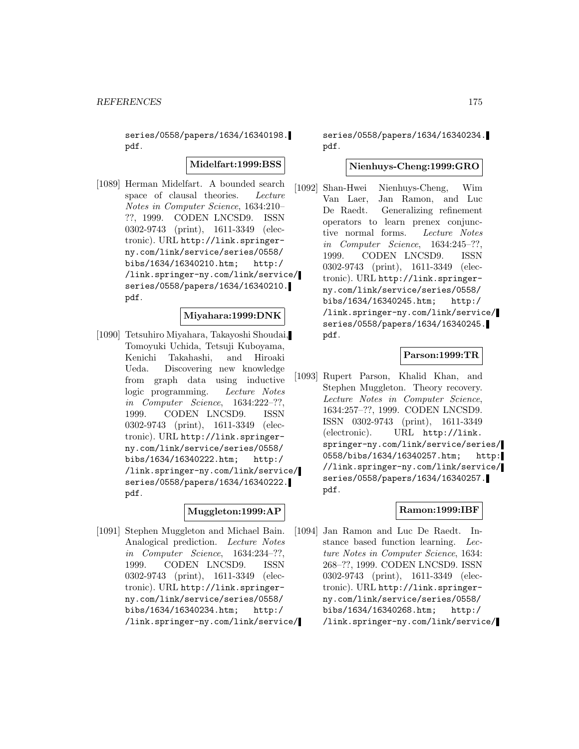series/0558/papers/1634/16340198. pdf.

**Midelfart:1999:BSS**

[1089] Herman Midelfart. A bounded search space of clausal theories. Lecture Notes in Computer Science, 1634:210– ??, 1999. CODEN LNCSD9. ISSN 0302-9743 (print), 1611-3349 (electronic). URL http://link.springerny.com/link/service/series/0558/ bibs/1634/16340210.htm; http:/ /link.springer-ny.com/link/service/ series/0558/papers/1634/16340210. pdf.

## **Miyahara:1999:DNK**

[1090] Tetsuhiro Miyahara, Takayoshi Shoudai, Tomoyuki Uchida, Tetsuji Kuboyama, Kenichi Takahashi, and Hiroaki Ueda. Discovering new knowledge from graph data using inductive logic programming. Lecture Notes in Computer Science, 1634:222–??, 1999. CODEN LNCSD9. ISSN 0302-9743 (print), 1611-3349 (electronic). URL http://link.springerny.com/link/service/series/0558/ bibs/1634/16340222.htm; http:/ /link.springer-ny.com/link/service/ series/0558/papers/1634/16340222. pdf.

## **Muggleton:1999:AP**

[1091] Stephen Muggleton and Michael Bain. Analogical prediction. Lecture Notes in Computer Science, 1634:234–??, 1999. CODEN LNCSD9. ISSN 0302-9743 (print), 1611-3349 (electronic). URL http://link.springerny.com/link/service/series/0558/ bibs/1634/16340234.htm; http:/ /link.springer-ny.com/link/service/ series/0558/papers/1634/16340234. pdf.

### **Nienhuys-Cheng:1999:GRO**

[1092] Shan-Hwei Nienhuys-Cheng, Wim Van Laer, Jan Ramon, and Luc De Raedt. Generalizing refinement operators to learn prenex conjunctive normal forms. Lecture Notes in Computer Science, 1634:245–??, 1999. CODEN LNCSD9. ISSN 0302-9743 (print), 1611-3349 (electronic). URL http://link.springerny.com/link/service/series/0558/ bibs/1634/16340245.htm; http:/ /link.springer-ny.com/link/service/ series/0558/papers/1634/16340245. pdf.

### **Parson:1999:TR**

[1093] Rupert Parson, Khalid Khan, and Stephen Muggleton. Theory recovery. Lecture Notes in Computer Science, 1634:257–??, 1999. CODEN LNCSD9. ISSN 0302-9743 (print), 1611-3349 (electronic). URL http://link. springer-ny.com/link/service/series/ 0558/bibs/1634/16340257.htm; http: //link.springer-ny.com/link/service/ series/0558/papers/1634/16340257. pdf.

# **Ramon:1999:IBF**

[1094] Jan Ramon and Luc De Raedt. Instance based function learning. Lecture Notes in Computer Science, 1634: 268–??, 1999. CODEN LNCSD9. ISSN 0302-9743 (print), 1611-3349 (electronic). URL http://link.springerny.com/link/service/series/0558/ bibs/1634/16340268.htm; http:/ /link.springer-ny.com/link/service/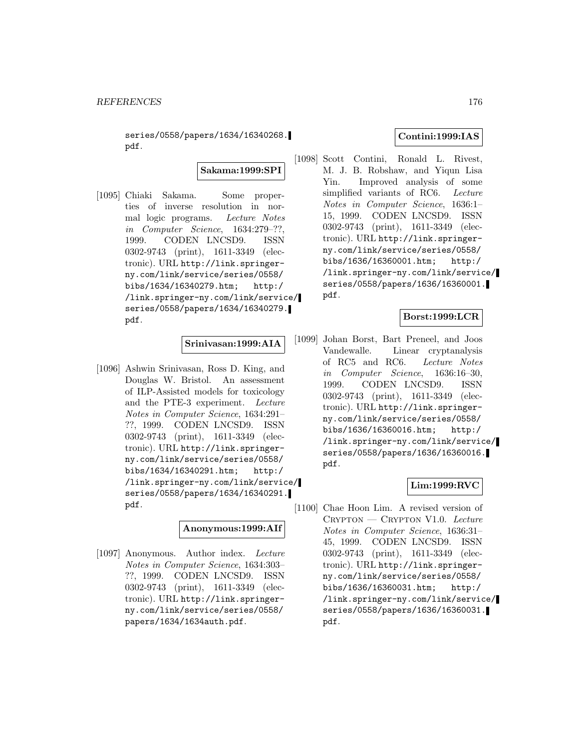series/0558/papers/1634/16340268. pdf.

**Sakama:1999:SPI**

[1095] Chiaki Sakama. Some properties of inverse resolution in normal logic programs. Lecture Notes in Computer Science, 1634:279–??, 1999. CODEN LNCSD9. ISSN 0302-9743 (print), 1611-3349 (electronic). URL http://link.springerny.com/link/service/series/0558/ bibs/1634/16340279.htm; http:/ /link.springer-ny.com/link/service/ series/0558/papers/1634/16340279. pdf.

## **Srinivasan:1999:AIA**

[1096] Ashwin Srinivasan, Ross D. King, and Douglas W. Bristol. An assessment of ILP-Assisted models for toxicology and the PTE-3 experiment. Lecture Notes in Computer Science, 1634:291– ??, 1999. CODEN LNCSD9. ISSN 0302-9743 (print), 1611-3349 (electronic). URL http://link.springerny.com/link/service/series/0558/ bibs/1634/16340291.htm; http:/ /link.springer-ny.com/link/service/ series/0558/papers/1634/16340291. pdf.

## **Anonymous:1999:AIf**

[1097] Anonymous. Author index. Lecture Notes in Computer Science, 1634:303– ??, 1999. CODEN LNCSD9. ISSN 0302-9743 (print), 1611-3349 (electronic). URL http://link.springerny.com/link/service/series/0558/ papers/1634/1634auth.pdf.

## **Contini:1999:IAS**

[1098] Scott Contini, Ronald L. Rivest, M. J. B. Robshaw, and Yiqun Lisa Yin. Improved analysis of some simplified variants of RC6. Lecture Notes in Computer Science, 1636:1– 15, 1999. CODEN LNCSD9. ISSN 0302-9743 (print), 1611-3349 (electronic). URL http://link.springerny.com/link/service/series/0558/ bibs/1636/16360001.htm; http:/ /link.springer-ny.com/link/service/ series/0558/papers/1636/16360001. pdf.

# **Borst:1999:LCR**

[1099] Johan Borst, Bart Preneel, and Joos Vandewalle. Linear cryptanalysis of RC5 and RC6. Lecture Notes in Computer Science, 1636:16–30, 1999. CODEN LNCSD9. ISSN 0302-9743 (print), 1611-3349 (electronic). URL http://link.springerny.com/link/service/series/0558/ bibs/1636/16360016.htm; http:/ /link.springer-ny.com/link/service/ series/0558/papers/1636/16360016. pdf.

# **Lim:1999:RVC**

[1100] Chae Hoon Lim. A revised version of  $C$ RYPTON  $\leftarrow$  CRYPTON V1.0. Lecture Notes in Computer Science, 1636:31– 45, 1999. CODEN LNCSD9. ISSN 0302-9743 (print), 1611-3349 (electronic). URL http://link.springerny.com/link/service/series/0558/ bibs/1636/16360031.htm; http:/ /link.springer-ny.com/link/service/ series/0558/papers/1636/16360031. pdf.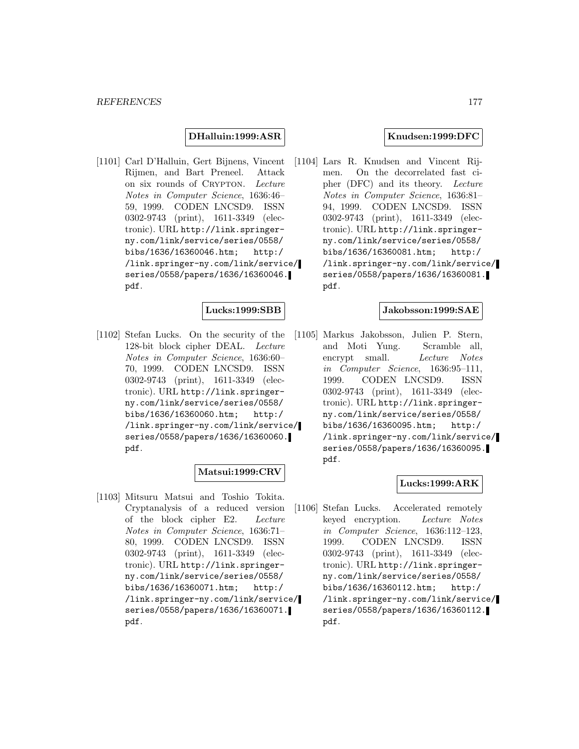### **DHalluin:1999:ASR**

[1101] Carl D'Halluin, Gert Bijnens, Vincent Rijmen, and Bart Preneel. Attack on six rounds of CRYPTON. Lecture Notes in Computer Science, 1636:46– 59, 1999. CODEN LNCSD9. ISSN 0302-9743 (print), 1611-3349 (electronic). URL http://link.springerny.com/link/service/series/0558/ bibs/1636/16360046.htm; http:/ /link.springer-ny.com/link/service/ series/0558/papers/1636/16360046. pdf.

### **Lucks:1999:SBB**

[1102] Stefan Lucks. On the security of the 128-bit block cipher DEAL. Lecture Notes in Computer Science, 1636:60– 70, 1999. CODEN LNCSD9. ISSN 0302-9743 (print), 1611-3349 (electronic). URL http://link.springerny.com/link/service/series/0558/ bibs/1636/16360060.htm; http:/ /link.springer-ny.com/link/service/ series/0558/papers/1636/16360060. pdf.

## **Matsui:1999:CRV**

[1103] Mitsuru Matsui and Toshio Tokita. Cryptanalysis of a reduced version of the block cipher E2. Lecture Notes in Computer Science, 1636:71– 80, 1999. CODEN LNCSD9. ISSN 0302-9743 (print), 1611-3349 (electronic). URL http://link.springerny.com/link/service/series/0558/ bibs/1636/16360071.htm; http:/ /link.springer-ny.com/link/service/ series/0558/papers/1636/16360071. pdf.

### **Knudsen:1999:DFC**

[1104] Lars R. Knudsen and Vincent Rijmen. On the decorrelated fast cipher (DFC) and its theory. Lecture Notes in Computer Science, 1636:81– 94, 1999. CODEN LNCSD9. ISSN 0302-9743 (print), 1611-3349 (electronic). URL http://link.springerny.com/link/service/series/0558/ bibs/1636/16360081.htm; http:/ /link.springer-ny.com/link/service/ series/0558/papers/1636/16360081. pdf.

### **Jakobsson:1999:SAE**

[1105] Markus Jakobsson, Julien P. Stern, and Moti Yung. Scramble all, encrypt small. Lecture Notes in Computer Science, 1636:95–111, 1999. CODEN LNCSD9. ISSN 0302-9743 (print), 1611-3349 (electronic). URL http://link.springerny.com/link/service/series/0558/ bibs/1636/16360095.htm; http:/ /link.springer-ny.com/link/service/ series/0558/papers/1636/16360095. pdf.

# **Lucks:1999:ARK**

[1106] Stefan Lucks. Accelerated remotely keyed encryption. Lecture Notes in Computer Science, 1636:112–123, 1999. CODEN LNCSD9. ISSN 0302-9743 (print), 1611-3349 (electronic). URL http://link.springerny.com/link/service/series/0558/ bibs/1636/16360112.htm; http:/ /link.springer-ny.com/link/service/ series/0558/papers/1636/16360112. pdf.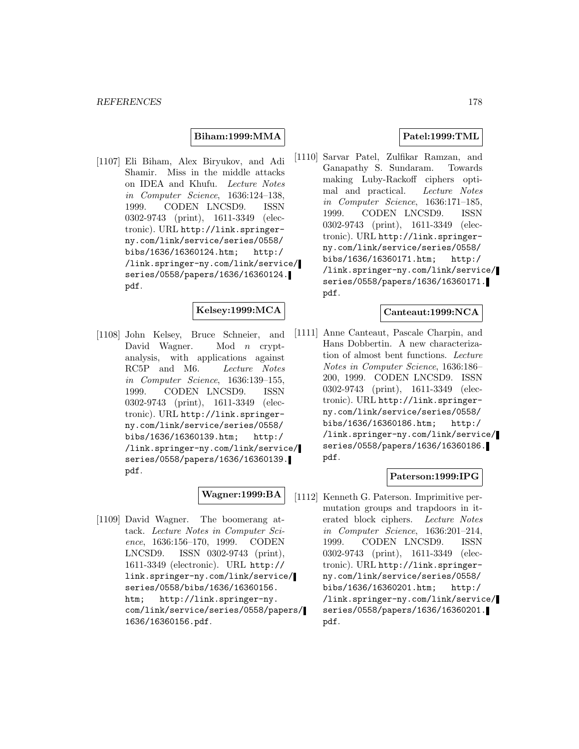### **Biham:1999:MMA**

[1107] Eli Biham, Alex Biryukov, and Adi Shamir. Miss in the middle attacks on IDEA and Khufu. Lecture Notes in Computer Science, 1636:124–138, 1999. CODEN LNCSD9. ISSN 0302-9743 (print), 1611-3349 (electronic). URL http://link.springerny.com/link/service/series/0558/ bibs/1636/16360124.htm; http:/ /link.springer-ny.com/link/service/ series/0558/papers/1636/16360124. pdf.

### **Kelsey:1999:MCA**

[1108] John Kelsey, Bruce Schneier, and David Wagner. Mod *n* cryptanalysis, with applications against RC5P and M6. Lecture Notes in Computer Science, 1636:139–155, 1999. CODEN LNCSD9. ISSN 0302-9743 (print), 1611-3349 (electronic). URL http://link.springerny.com/link/service/series/0558/ bibs/1636/16360139.htm; http:/ /link.springer-ny.com/link/service/ series/0558/papers/1636/16360139. pdf.

# **Wagner:1999:BA**

[1109] David Wagner. The boomerang attack. Lecture Notes in Computer Science, 1636:156–170, 1999. CODEN LNCSD9. ISSN 0302-9743 (print), 1611-3349 (electronic). URL http:// link.springer-ny.com/link/service/ series/0558/bibs/1636/16360156. htm; http://link.springer-ny. com/link/service/series/0558/papers/ 1636/16360156.pdf.

## **Patel:1999:TML**

[1110] Sarvar Patel, Zulfikar Ramzan, and Ganapathy S. Sundaram. Towards making Luby-Rackoff ciphers optimal and practical. Lecture Notes in Computer Science, 1636:171–185, 1999. CODEN LNCSD9. ISSN 0302-9743 (print), 1611-3349 (electronic). URL http://link.springerny.com/link/service/series/0558/ bibs/1636/16360171.htm; http:/ /link.springer-ny.com/link/service/ series/0558/papers/1636/16360171. pdf.

## **Canteaut:1999:NCA**

[1111] Anne Canteaut, Pascale Charpin, and Hans Dobbertin. A new characterization of almost bent functions. Lecture Notes in Computer Science, 1636:186– 200, 1999. CODEN LNCSD9. ISSN 0302-9743 (print), 1611-3349 (electronic). URL http://link.springerny.com/link/service/series/0558/ bibs/1636/16360186.htm; http:/ /link.springer-ny.com/link/service/ series/0558/papers/1636/16360186. pdf.

## **Paterson:1999:IPG**

[1112] Kenneth G. Paterson. Imprimitive permutation groups and trapdoors in iterated block ciphers. Lecture Notes in Computer Science, 1636:201–214, 1999. CODEN LNCSD9. ISSN 0302-9743 (print), 1611-3349 (electronic). URL http://link.springerny.com/link/service/series/0558/ bibs/1636/16360201.htm; http:/ /link.springer-ny.com/link/service/ series/0558/papers/1636/16360201. pdf.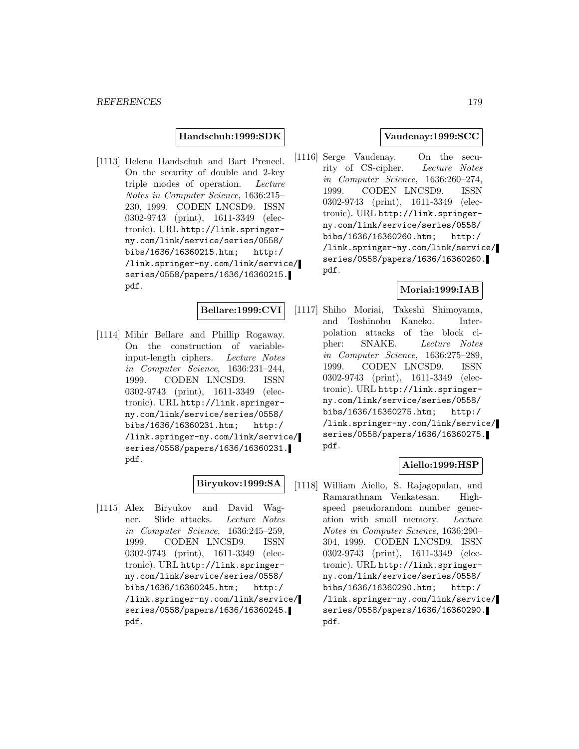### **Handschuh:1999:SDK**

[1113] Helena Handschuh and Bart Preneel. On the security of double and 2-key triple modes of operation. Lecture Notes in Computer Science, 1636:215– 230, 1999. CODEN LNCSD9. ISSN 0302-9743 (print), 1611-3349 (electronic). URL http://link.springerny.com/link/service/series/0558/ bibs/1636/16360215.htm; http:/ /link.springer-ny.com/link/service/ series/0558/papers/1636/16360215. pdf.

**Bellare:1999:CVI**

[1114] Mihir Bellare and Phillip Rogaway. On the construction of variableinput-length ciphers. Lecture Notes in Computer Science, 1636:231–244, 1999. CODEN LNCSD9. ISSN 0302-9743 (print), 1611-3349 (electronic). URL http://link.springerny.com/link/service/series/0558/ bibs/1636/16360231.htm; http:/ /link.springer-ny.com/link/service/ series/0558/papers/1636/16360231. pdf.

# **Biryukov:1999:SA**

[1115] Alex Biryukov and David Wagner. Slide attacks. Lecture Notes in Computer Science, 1636:245–259, 1999. CODEN LNCSD9. ISSN 0302-9743 (print), 1611-3349 (electronic). URL http://link.springerny.com/link/service/series/0558/ bibs/1636/16360245.htm; http:/ /link.springer-ny.com/link/service/ series/0558/papers/1636/16360245. pdf.

## **Vaudenay:1999:SCC**

[1116] Serge Vaudenay. On the security of CS-cipher. Lecture Notes in Computer Science, 1636:260–274, 1999. CODEN LNCSD9. ISSN 0302-9743 (print), 1611-3349 (electronic). URL http://link.springerny.com/link/service/series/0558/ bibs/1636/16360260.htm; http:/ /link.springer-ny.com/link/service/ series/0558/papers/1636/16360260. pdf.

### **Moriai:1999:IAB**

[1117] Shiho Moriai, Takeshi Shimoyama, and Toshinobu Kaneko. Interpolation attacks of the block cipher: SNAKE. Lecture Notes in Computer Science, 1636:275–289, 1999. CODEN LNCSD9. ISSN 0302-9743 (print), 1611-3349 (electronic). URL http://link.springerny.com/link/service/series/0558/ bibs/1636/16360275.htm; http:/ /link.springer-ny.com/link/service/ series/0558/papers/1636/16360275. pdf.

## **Aiello:1999:HSP**

[1118] William Aiello, S. Rajagopalan, and Ramarathnam Venkatesan. Highspeed pseudorandom number generation with small memory. Lecture Notes in Computer Science, 1636:290– 304, 1999. CODEN LNCSD9. ISSN 0302-9743 (print), 1611-3349 (electronic). URL http://link.springerny.com/link/service/series/0558/ bibs/1636/16360290.htm; http:/ /link.springer-ny.com/link/service/ series/0558/papers/1636/16360290. pdf.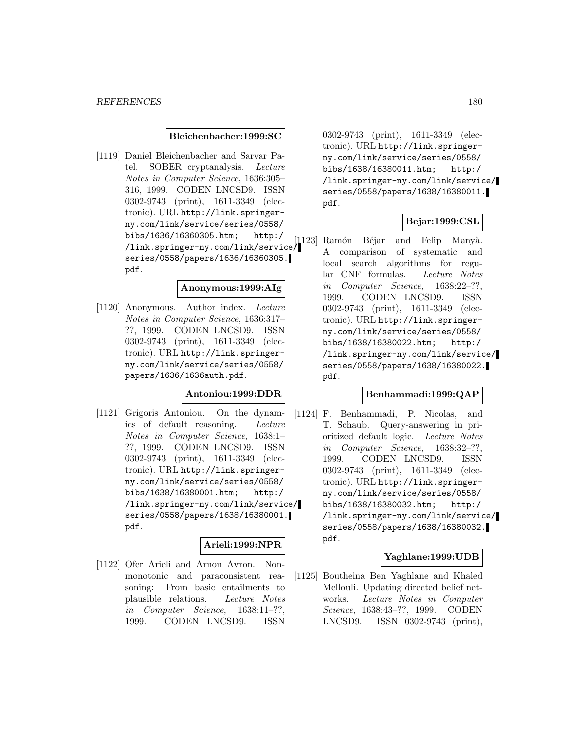### **Bleichenbacher:1999:SC**

[1119] Daniel Bleichenbacher and Sarvar Patel. SOBER cryptanalysis. Lecture Notes in Computer Science, 1636:305– 316, 1999. CODEN LNCSD9. ISSN 0302-9743 (print), 1611-3349 (electronic). URL http://link.springerny.com/link/service/series/0558/ bibs/1636/16360305.htm; http:/ /link.springer-ny.com/link/service/ series/0558/papers/1636/16360305. pdf.

#### **Anonymous:1999:AIg**

[1120] Anonymous. Author index. Lecture Notes in Computer Science, 1636:317– ??, 1999. CODEN LNCSD9. ISSN 0302-9743 (print), 1611-3349 (electronic). URL http://link.springerny.com/link/service/series/0558/ papers/1636/1636auth.pdf.

### **Antoniou:1999:DDR**

[1121] Grigoris Antoniou. On the dynamics of default reasoning. Lecture Notes in Computer Science, 1638:1– ??, 1999. CODEN LNCSD9. ISSN 0302-9743 (print), 1611-3349 (electronic). URL http://link.springerny.com/link/service/series/0558/ bibs/1638/16380001.htm; http:/ /link.springer-ny.com/link/service/ series/0558/papers/1638/16380001. pdf.

# **Arieli:1999:NPR**

[1122] Ofer Arieli and Arnon Avron. Nonmonotonic and paraconsistent reasoning: From basic entailments to plausible relations. Lecture Notes in Computer Science, 1638:11–??, 1999. CODEN LNCSD9. ISSN

0302-9743 (print), 1611-3349 (electronic). URL http://link.springerny.com/link/service/series/0558/ bibs/1638/16380011.htm; http:/ /link.springer-ny.com/link/service/ series/0558/papers/1638/16380011. pdf.

# **Bejar:1999:CSL**

[1123] Ramón Béjar and Felip Manyà. A comparison of systematic and local search algorithms for regular CNF formulas. Lecture Notes in Computer Science, 1638:22–??, 1999. CODEN LNCSD9. ISSN 0302-9743 (print), 1611-3349 (electronic). URL http://link.springerny.com/link/service/series/0558/ bibs/1638/16380022.htm; http:/ /link.springer-ny.com/link/service/ series/0558/papers/1638/16380022. pdf.

### **Benhammadi:1999:QAP**

[1124] F. Benhammadi, P. Nicolas, and T. Schaub. Query-answering in prioritized default logic. Lecture Notes in Computer Science, 1638:32–??, 1999. CODEN LNCSD9. ISSN 0302-9743 (print), 1611-3349 (electronic). URL http://link.springerny.com/link/service/series/0558/ bibs/1638/16380032.htm; http:/ /link.springer-ny.com/link/service/ series/0558/papers/1638/16380032. pdf.

## **Yaghlane:1999:UDB**

[1125] Boutheina Ben Yaghlane and Khaled Mellouli. Updating directed belief networks. Lecture Notes in Computer Science, 1638:43–??, 1999. CODEN LNCSD9. ISSN 0302-9743 (print),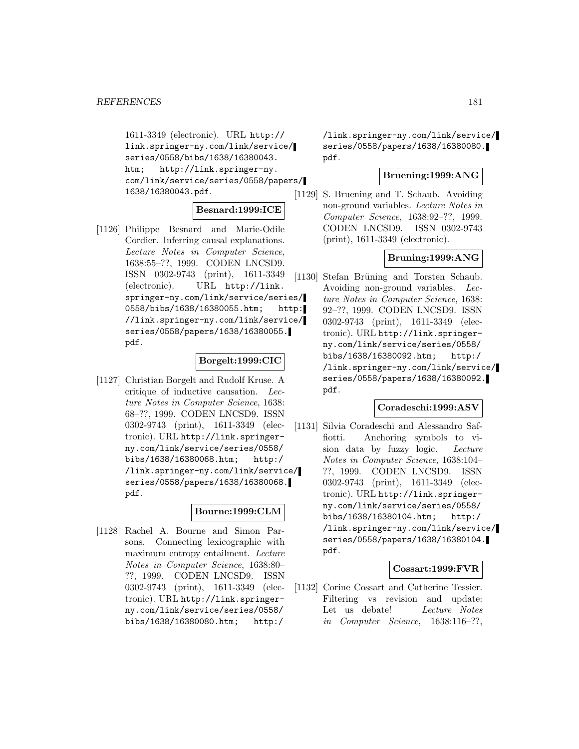1611-3349 (electronic). URL http:// link.springer-ny.com/link/service/ series/0558/bibs/1638/16380043. htm; http://link.springer-ny. com/link/service/series/0558/papers/ 1638/16380043.pdf.

## **Besnard:1999:ICE**

[1126] Philippe Besnard and Marie-Odile Cordier. Inferring causal explanations. Lecture Notes in Computer Science, 1638:55–??, 1999. CODEN LNCSD9. ISSN 0302-9743 (print), 1611-3349 (electronic). URL http://link. springer-ny.com/link/service/series/ 0558/bibs/1638/16380055.htm; http: //link.springer-ny.com/link/service/ series/0558/papers/1638/16380055. pdf.

## **Borgelt:1999:CIC**

[1127] Christian Borgelt and Rudolf Kruse. A critique of inductive causation. Lecture Notes in Computer Science, 1638: 68–??, 1999. CODEN LNCSD9. ISSN 0302-9743 (print), 1611-3349 (electronic). URL http://link.springerny.com/link/service/series/0558/ bibs/1638/16380068.htm; http:/ /link.springer-ny.com/link/service/ series/0558/papers/1638/16380068. pdf.

#### **Bourne:1999:CLM**

[1128] Rachel A. Bourne and Simon Parsons. Connecting lexicographic with maximum entropy entailment. Lecture Notes in Computer Science, 1638:80– ??, 1999. CODEN LNCSD9. ISSN 0302-9743 (print), 1611-3349 (electronic). URL http://link.springerny.com/link/service/series/0558/ bibs/1638/16380080.htm; http:/

/link.springer-ny.com/link/service/ series/0558/papers/1638/16380080. pdf.

## **Bruening:1999:ANG**

[1129] S. Bruening and T. Schaub. Avoiding non-ground variables. Lecture Notes in Computer Science, 1638:92–??, 1999. CODEN LNCSD9. ISSN 0302-9743 (print), 1611-3349 (electronic).

## **Bruning:1999:ANG**

[1130] Stefan Brüning and Torsten Schaub. Avoiding non-ground variables. Lecture Notes in Computer Science, 1638: 92–??, 1999. CODEN LNCSD9. ISSN 0302-9743 (print), 1611-3349 (electronic). URL http://link.springerny.com/link/service/series/0558/ bibs/1638/16380092.htm; http:/ /link.springer-ny.com/link/service/ series/0558/papers/1638/16380092. pdf.

## **Coradeschi:1999:ASV**

[1131] Silvia Coradeschi and Alessandro Saffiotti. Anchoring symbols to vision data by fuzzy logic. Lecture Notes in Computer Science, 1638:104– ??, 1999. CODEN LNCSD9. ISSN 0302-9743 (print), 1611-3349 (electronic). URL http://link.springerny.com/link/service/series/0558/ bibs/1638/16380104.htm; http:/ /link.springer-ny.com/link/service/ series/0558/papers/1638/16380104. pdf.

#### **Cossart:1999:FVR**

[1132] Corine Cossart and Catherine Tessier. Filtering vs revision and update: Let us debate! Lecture Notes in Computer Science, 1638:116–??,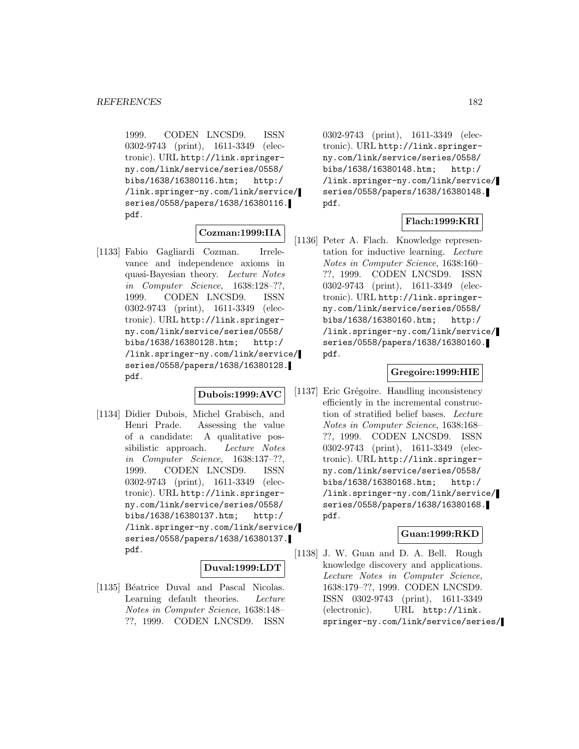1999. CODEN LNCSD9. ISSN 0302-9743 (print), 1611-3349 (electronic). URL http://link.springerny.com/link/service/series/0558/ bibs/1638/16380116.htm; http:/ /link.springer-ny.com/link/service/ series/0558/papers/1638/16380116. pdf.

## **Cozman:1999:IIA**

[1133] Fabio Gagliardi Cozman. Irrelevance and independence axioms in quasi-Bayesian theory. Lecture Notes in Computer Science, 1638:128–??, 1999. CODEN LNCSD9. ISSN 0302-9743 (print), 1611-3349 (electronic). URL http://link.springerny.com/link/service/series/0558/ bibs/1638/16380128.htm; http:/ /link.springer-ny.com/link/service/ series/0558/papers/1638/16380128. pdf.

### **Dubois:1999:AVC**

[1134] Didier Dubois, Michel Grabisch, and Henri Prade. Assessing the value of a candidate: A qualitative possibilistic approach. Lecture Notes in Computer Science, 1638:137–??, 1999. CODEN LNCSD9. ISSN 0302-9743 (print), 1611-3349 (electronic). URL http://link.springerny.com/link/service/series/0558/ bibs/1638/16380137.htm; http:/ /link.springer-ny.com/link/service/ series/0558/papers/1638/16380137. pdf.

#### **Duval:1999:LDT**

[1135] Béatrice Duval and Pascal Nicolas. Learning default theories. Lecture Notes in Computer Science, 1638:148– ??, 1999. CODEN LNCSD9. ISSN

0302-9743 (print), 1611-3349 (electronic). URL http://link.springerny.com/link/service/series/0558/ bibs/1638/16380148.htm; http:/ /link.springer-ny.com/link/service/ series/0558/papers/1638/16380148. pdf.

# **Flach:1999:KRI**

[1136] Peter A. Flach. Knowledge representation for inductive learning. Lecture Notes in Computer Science, 1638:160– ??, 1999. CODEN LNCSD9. ISSN 0302-9743 (print), 1611-3349 (electronic). URL http://link.springerny.com/link/service/series/0558/ bibs/1638/16380160.htm; http:/ /link.springer-ny.com/link/service/ series/0558/papers/1638/16380160. pdf.

## **Gregoire:1999:HIE**

[1137] Eric Grégoire. Handling inconsistency efficiently in the incremental construction of stratified belief bases. Lecture Notes in Computer Science, 1638:168– ??, 1999. CODEN LNCSD9. ISSN 0302-9743 (print), 1611-3349 (electronic). URL http://link.springerny.com/link/service/series/0558/ bibs/1638/16380168.htm; http:/ /link.springer-ny.com/link/service/ series/0558/papers/1638/16380168. pdf.

## **Guan:1999:RKD**

[1138] J. W. Guan and D. A. Bell. Rough knowledge discovery and applications. Lecture Notes in Computer Science, 1638:179–??, 1999. CODEN LNCSD9. ISSN 0302-9743 (print), 1611-3349 (electronic). URL http://link. springer-ny.com/link/service/series/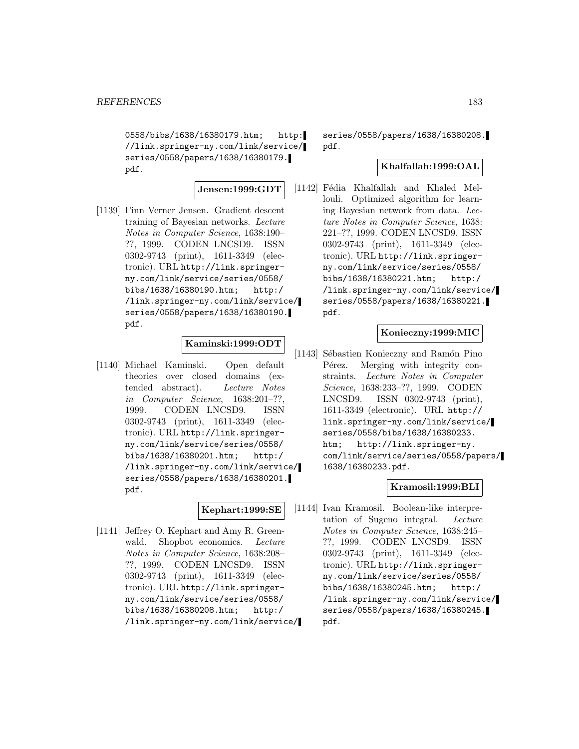0558/bibs/1638/16380179.htm; http: //link.springer-ny.com/link/service/ series/0558/papers/1638/16380179. pdf.

## **Jensen:1999:GDT**

[1139] Finn Verner Jensen. Gradient descent training of Bayesian networks. Lecture Notes in Computer Science, 1638:190– ??, 1999. CODEN LNCSD9. ISSN 0302-9743 (print), 1611-3349 (electronic). URL http://link.springerny.com/link/service/series/0558/ bibs/1638/16380190.htm; http:/ /link.springer-ny.com/link/service/ series/0558/papers/1638/16380190. pdf.

# **Kaminski:1999:ODT**

[1140] Michael Kaminski. Open default theories over closed domains (extended abstract). Lecture Notes in Computer Science, 1638:201–??, 1999. CODEN LNCSD9. ISSN 0302-9743 (print), 1611-3349 (electronic). URL http://link.springerny.com/link/service/series/0558/ bibs/1638/16380201.htm; http:/ /link.springer-ny.com/link/service/ series/0558/papers/1638/16380201. pdf.

## **Kephart:1999:SE**

[1141] Jeffrey O. Kephart and Amy R. Greenwald. Shopbot economics. Lecture Notes in Computer Science, 1638:208– ??, 1999. CODEN LNCSD9. ISSN 0302-9743 (print), 1611-3349 (electronic). URL http://link.springerny.com/link/service/series/0558/ bibs/1638/16380208.htm; http:/ /link.springer-ny.com/link/service/

series/0558/papers/1638/16380208. pdf.

### **Khalfallah:1999:OAL**

[1142] Fédia Khalfallah and Khaled Mellouli. Optimized algorithm for learning Bayesian network from data. Lecture Notes in Computer Science, 1638: 221–??, 1999. CODEN LNCSD9. ISSN 0302-9743 (print), 1611-3349 (electronic). URL http://link.springerny.com/link/service/series/0558/ bibs/1638/16380221.htm; http:/ /link.springer-ny.com/link/service/ series/0558/papers/1638/16380221. pdf.

## **Konieczny:1999:MIC**

[1143] Sébastien Konieczny and Ramón Pino Pérez. Merging with integrity constraints. Lecture Notes in Computer Science, 1638:233–??, 1999. CODEN LNCSD9. ISSN 0302-9743 (print), 1611-3349 (electronic). URL http:// link.springer-ny.com/link/service/ series/0558/bibs/1638/16380233. htm; http://link.springer-ny. com/link/service/series/0558/papers/ 1638/16380233.pdf.

## **Kramosil:1999:BLI**

[1144] Ivan Kramosil. Boolean-like interpretation of Sugeno integral. Lecture Notes in Computer Science, 1638:245– ??, 1999. CODEN LNCSD9. ISSN 0302-9743 (print), 1611-3349 (electronic). URL http://link.springerny.com/link/service/series/0558/ bibs/1638/16380245.htm; http:/ /link.springer-ny.com/link/service/ series/0558/papers/1638/16380245. pdf.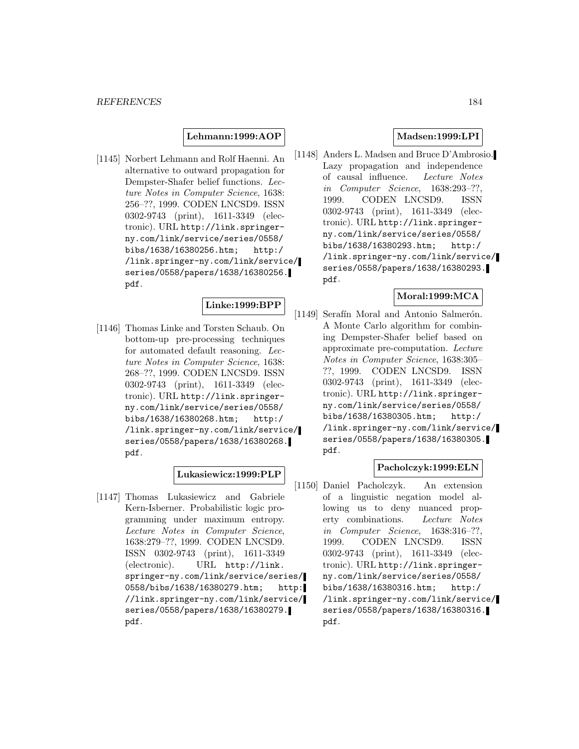**Lehmann:1999:AOP**

[1145] Norbert Lehmann and Rolf Haenni. An alternative to outward propagation for Dempster-Shafer belief functions. Lecture Notes in Computer Science, 1638: 256–??, 1999. CODEN LNCSD9. ISSN 0302-9743 (print), 1611-3349 (electronic). URL http://link.springerny.com/link/service/series/0558/ bibs/1638/16380256.htm; http:/ /link.springer-ny.com/link/service/ series/0558/papers/1638/16380256. pdf.

## **Linke:1999:BPP**

[1146] Thomas Linke and Torsten Schaub. On bottom-up pre-processing techniques for automated default reasoning. Lecture Notes in Computer Science, 1638: 268–??, 1999. CODEN LNCSD9. ISSN 0302-9743 (print), 1611-3349 (electronic). URL http://link.springerny.com/link/service/series/0558/ bibs/1638/16380268.htm; http:/ /link.springer-ny.com/link/service/ series/0558/papers/1638/16380268. pdf.

#### **Lukasiewicz:1999:PLP**

[1147] Thomas Lukasiewicz and Gabriele Kern-Isberner. Probabilistic logic programming under maximum entropy. Lecture Notes in Computer Science, 1638:279–??, 1999. CODEN LNCSD9. ISSN 0302-9743 (print), 1611-3349 (electronic). URL http://link. springer-ny.com/link/service/series/ 0558/bibs/1638/16380279.htm; http: //link.springer-ny.com/link/service/ series/0558/papers/1638/16380279. pdf.

## **Madsen:1999:LPI**

[1148] Anders L. Madsen and Bruce D'Ambrosio. Lazy propagation and independence of causal influence. Lecture Notes in Computer Science, 1638:293–??, 1999. CODEN LNCSD9. ISSN 0302-9743 (print), 1611-3349 (electronic). URL http://link.springerny.com/link/service/series/0558/ bibs/1638/16380293.htm; http:/ /link.springer-ny.com/link/service/ series/0558/papers/1638/16380293. pdf.

## **Moral:1999:MCA**

[1149] Serafín Moral and Antonio Salmerón. A Monte Carlo algorithm for combining Dempster-Shafer belief based on approximate pre-computation. Lecture Notes in Computer Science, 1638:305– ??, 1999. CODEN LNCSD9. ISSN 0302-9743 (print), 1611-3349 (electronic). URL http://link.springerny.com/link/service/series/0558/ bibs/1638/16380305.htm; http:/ /link.springer-ny.com/link/service/ series/0558/papers/1638/16380305. pdf.

# **Pacholczyk:1999:ELN**

[1150] Daniel Pacholczyk. An extension of a linguistic negation model allowing us to deny nuanced property combinations. Lecture Notes in Computer Science, 1638:316–??, 1999. CODEN LNCSD9. ISSN 0302-9743 (print), 1611-3349 (electronic). URL http://link.springerny.com/link/service/series/0558/ bibs/1638/16380316.htm; http:/ /link.springer-ny.com/link/service/ series/0558/papers/1638/16380316. pdf.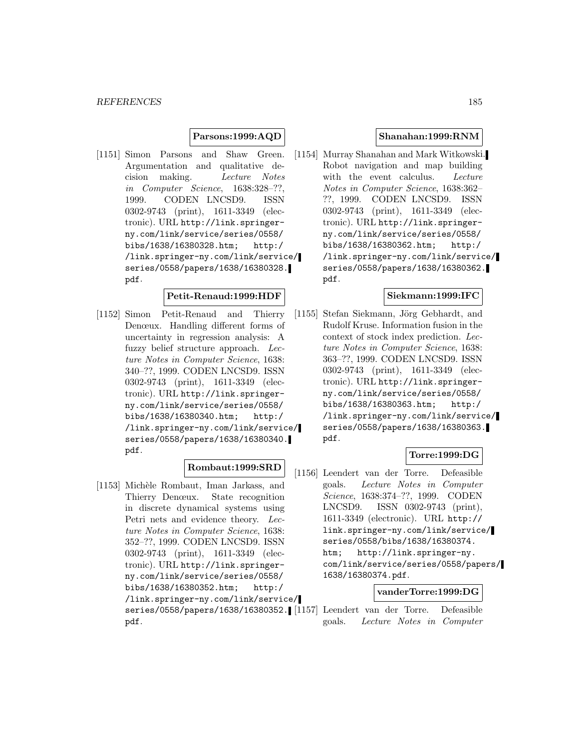## **Parsons:1999:AQD**

[1151] Simon Parsons and Shaw Green. Argumentation and qualitative decision making. Lecture Notes in Computer Science, 1638:328–??, 1999. CODEN LNCSD9. ISSN 0302-9743 (print), 1611-3349 (electronic). URL http://link.springerny.com/link/service/series/0558/ bibs/1638/16380328.htm; http:/ /link.springer-ny.com/link/service/ series/0558/papers/1638/16380328. pdf.

## **Petit-Renaud:1999:HDF**

[1152] Simon Petit-Renaud and Thierry Denœux. Handling different forms of uncertainty in regression analysis: A fuzzy belief structure approach. Lecture Notes in Computer Science, 1638: 340–??, 1999. CODEN LNCSD9. ISSN 0302-9743 (print), 1611-3349 (electronic). URL http://link.springerny.com/link/service/series/0558/ bibs/1638/16380340.htm; http:/ /link.springer-ny.com/link/service/ series/0558/papers/1638/16380340. pdf.

# **Rombaut:1999:SRD**

[1153] Michèle Rombaut, Iman Jarkass, and Thierry Denœux. State recognition in discrete dynamical systems using Petri nets and evidence theory. Lecture Notes in Computer Science, 1638: 352–??, 1999. CODEN LNCSD9. ISSN 0302-9743 (print), 1611-3349 (electronic). URL http://link.springerny.com/link/service/series/0558/ bibs/1638/16380352.htm; http:/ /link.springer-ny.com/link/service/ pdf.

#### **Shanahan:1999:RNM**

[1154] Murray Shanahan and Mark Witkowski. Robot navigation and map building with the event calculus. Lecture Notes in Computer Science, 1638:362– ??, 1999. CODEN LNCSD9. ISSN 0302-9743 (print), 1611-3349 (electronic). URL http://link.springerny.com/link/service/series/0558/ bibs/1638/16380362.htm; http:/ /link.springer-ny.com/link/service/ series/0558/papers/1638/16380362. pdf.

### **Siekmann:1999:IFC**

[1155] Stefan Siekmann, Jörg Gebhardt, and Rudolf Kruse. Information fusion in the context of stock index prediction. Lecture Notes in Computer Science, 1638: 363–??, 1999. CODEN LNCSD9. ISSN 0302-9743 (print), 1611-3349 (electronic). URL http://link.springerny.com/link/service/series/0558/ bibs/1638/16380363.htm; http:/ /link.springer-ny.com/link/service/ series/0558/papers/1638/16380363. pdf.

# **Torre:1999:DG**

[1156] Leendert van der Torre. Defeasible goals. Lecture Notes in Computer Science, 1638:374–??, 1999. CODEN LNCSD9. ISSN 0302-9743 (print), 1611-3349 (electronic). URL http:// link.springer-ny.com/link/service/ series/0558/bibs/1638/16380374. htm; http://link.springer-ny. com/link/service/series/0558/papers/ 1638/16380374.pdf.

## **vanderTorre:1999:DG**

series/0558/papers/1638/16380352. [1157] Leendert van der Torre. Defeasible goals. Lecture Notes in Computer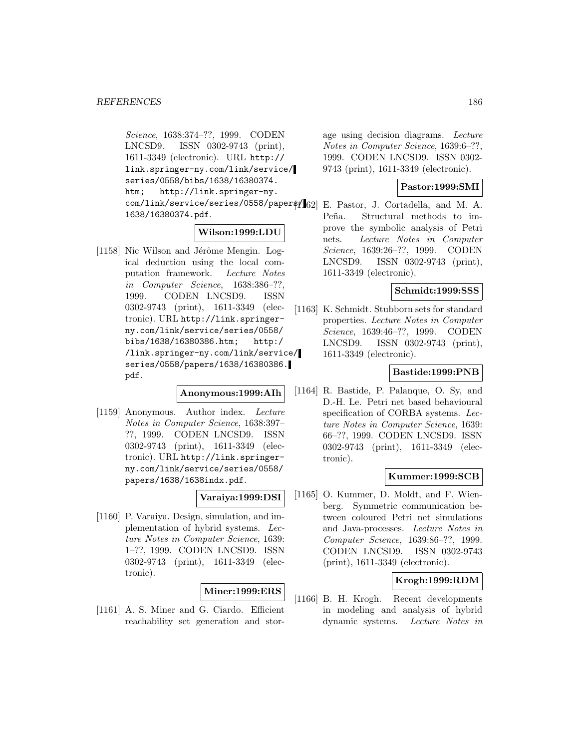Science, 1638:374–??, 1999. CODEN LNCSD9. ISSN 0302-9743 (print), 1611-3349 (electronic). URL http:// link.springer-ny.com/link/service/ series/0558/bibs/1638/16380374. htm; http://link.springer-ny. com/link/service/series/0558/paper\$f[62] 1638/16380374.pdf.

## **Wilson:1999:LDU**

[1158] Nic Wilson and Jérôme Mengin. Logical deduction using the local computation framework. Lecture Notes in Computer Science, 1638:386–??, 1999. CODEN LNCSD9. ISSN 0302-9743 (print), 1611-3349 (electronic). URL http://link.springerny.com/link/service/series/0558/ bibs/1638/16380386.htm; http:/ /link.springer-ny.com/link/service/ series/0558/papers/1638/16380386. pdf.

**Anonymous:1999:AIh**

[1159] Anonymous. Author index. Lecture Notes in Computer Science, 1638:397– ??, 1999. CODEN LNCSD9. ISSN 0302-9743 (print), 1611-3349 (electronic). URL http://link.springerny.com/link/service/series/0558/ papers/1638/1638indx.pdf.

## **Varaiya:1999:DSI**

[1160] P. Varaiya. Design, simulation, and implementation of hybrid systems. Lecture Notes in Computer Science, 1639: 1–??, 1999. CODEN LNCSD9. ISSN 0302-9743 (print), 1611-3349 (electronic).

## **Miner:1999:ERS**

[1161] A. S. Miner and G. Ciardo. Efficient reachability set generation and stor-

age using decision diagrams. Lecture Notes in Computer Science, 1639:6–??, 1999. CODEN LNCSD9. ISSN 0302- 9743 (print), 1611-3349 (electronic).

## **Pastor:1999:SMI**

E. Pastor, J. Cortadella, and M. A. Peña. Structural methods to improve the symbolic analysis of Petri nets. Lecture Notes in Computer Science, 1639:26–??, 1999. CODEN LNCSD9. ISSN 0302-9743 (print), 1611-3349 (electronic).

## **Schmidt:1999:SSS**

[1163] K. Schmidt. Stubborn sets for standard properties. Lecture Notes in Computer Science, 1639:46–??, 1999. CODEN LNCSD9. ISSN 0302-9743 (print), 1611-3349 (electronic).

## **Bastide:1999:PNB**

[1164] R. Bastide, P. Palanque, O. Sy, and D.-H. Le. Petri net based behavioural specification of CORBA systems. Lecture Notes in Computer Science, 1639: 66–??, 1999. CODEN LNCSD9. ISSN 0302-9743 (print), 1611-3349 (electronic).

#### **Kummer:1999:SCB**

[1165] O. Kummer, D. Moldt, and F. Wienberg. Symmetric communication between coloured Petri net simulations and Java-processes. Lecture Notes in Computer Science, 1639:86–??, 1999. CODEN LNCSD9. ISSN 0302-9743 (print), 1611-3349 (electronic).

# **Krogh:1999:RDM**

[1166] B. H. Krogh. Recent developments in modeling and analysis of hybrid dynamic systems. Lecture Notes in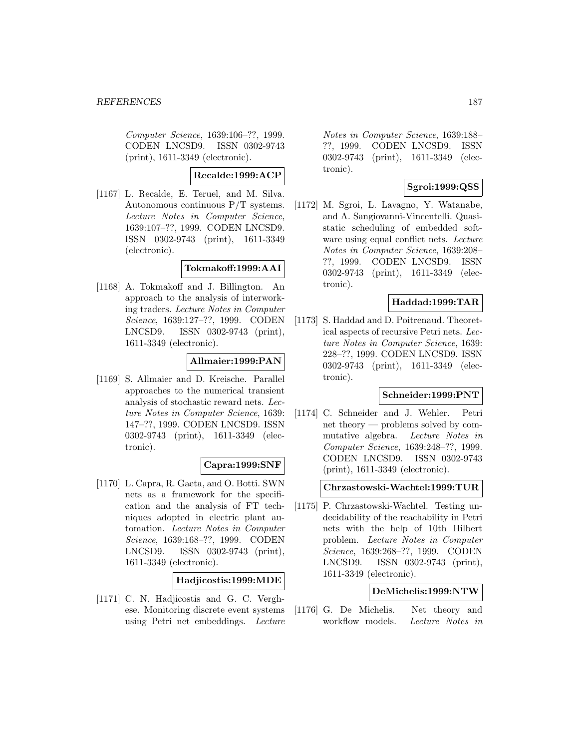Computer Science, 1639:106–??, 1999. CODEN LNCSD9. ISSN 0302-9743 (print), 1611-3349 (electronic).

# **Recalde:1999:ACP**

[1167] L. Recalde, E. Teruel, and M. Silva. Autonomous continuous P/T systems. Lecture Notes in Computer Science, 1639:107–??, 1999. CODEN LNCSD9. ISSN 0302-9743 (print), 1611-3349 (electronic).

#### **Tokmakoff:1999:AAI**

[1168] A. Tokmakoff and J. Billington. An approach to the analysis of interworking traders. Lecture Notes in Computer Science, 1639:127–??, 1999. CODEN LNCSD9. ISSN 0302-9743 (print), 1611-3349 (electronic).

## **Allmaier:1999:PAN**

[1169] S. Allmaier and D. Kreische. Parallel approaches to the numerical transient analysis of stochastic reward nets. Lecture Notes in Computer Science, 1639: 147–??, 1999. CODEN LNCSD9. ISSN 0302-9743 (print), 1611-3349 (electronic).

## **Capra:1999:SNF**

[1170] L. Capra, R. Gaeta, and O. Botti. SWN nets as a framework for the specification and the analysis of FT techniques adopted in electric plant automation. Lecture Notes in Computer Science, 1639:168–??, 1999. CODEN LNCSD9. ISSN 0302-9743 (print), 1611-3349 (electronic).

#### **Hadjicostis:1999:MDE**

[1171] C. N. Hadjicostis and G. C. Verghese. Monitoring discrete event systems using Petri net embeddings. Lecture

Notes in Computer Science, 1639:188– ??, 1999. CODEN LNCSD9. ISSN 0302-9743 (print), 1611-3349 (electronic).

# **Sgroi:1999:QSS**

[1172] M. Sgroi, L. Lavagno, Y. Watanabe, and A. Sangiovanni-Vincentelli. Quasistatic scheduling of embedded software using equal conflict nets. Lecture Notes in Computer Science, 1639:208– ??, 1999. CODEN LNCSD9. ISSN 0302-9743 (print), 1611-3349 (electronic).

## **Haddad:1999:TAR**

[1173] S. Haddad and D. Poitrenaud. Theoretical aspects of recursive Petri nets. Lecture Notes in Computer Science, 1639: 228–??, 1999. CODEN LNCSD9. ISSN 0302-9743 (print), 1611-3349 (electronic).

# **Schneider:1999:PNT**

[1174] C. Schneider and J. Wehler. Petri net theory — problems solved by commutative algebra. Lecture Notes in Computer Science, 1639:248–??, 1999. CODEN LNCSD9. ISSN 0302-9743 (print), 1611-3349 (electronic).

#### **Chrzastowski-Wachtel:1999:TUR**

[1175] P. Chrzastowski-Wachtel. Testing undecidability of the reachability in Petri nets with the help of 10th Hilbert problem. Lecture Notes in Computer Science, 1639:268–??, 1999. CODEN LNCSD9. ISSN 0302-9743 (print), 1611-3349 (electronic).

### **DeMichelis:1999:NTW**

[1176] G. De Michelis. Net theory and workflow models. Lecture Notes in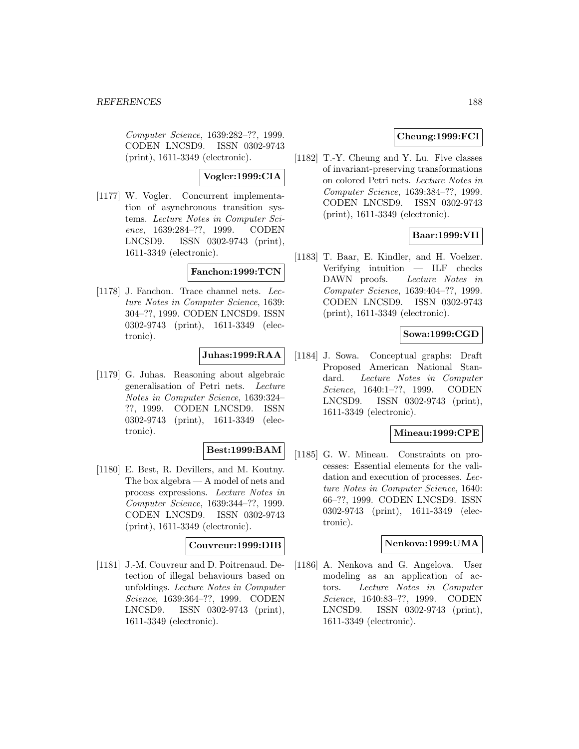Computer Science, 1639:282–??, 1999. CODEN LNCSD9. ISSN 0302-9743 (print), 1611-3349 (electronic).

**Vogler:1999:CIA**

[1177] W. Vogler. Concurrent implementation of asynchronous transition systems. Lecture Notes in Computer Science, 1639:284–??, 1999. CODEN LNCSD9. ISSN 0302-9743 (print), 1611-3349 (electronic).

#### **Fanchon:1999:TCN**

[1178] J. Fanchon. Trace channel nets. Lecture Notes in Computer Science, 1639: 304–??, 1999. CODEN LNCSD9. ISSN 0302-9743 (print), 1611-3349 (electronic).

# **Juhas:1999:RAA**

[1179] G. Juhas. Reasoning about algebraic generalisation of Petri nets. Lecture Notes in Computer Science, 1639:324– ??, 1999. CODEN LNCSD9. ISSN 0302-9743 (print), 1611-3349 (electronic).

## **Best:1999:BAM**

[1180] E. Best, R. Devillers, and M. Koutny. The box algebra — A model of nets and process expressions. Lecture Notes in Computer Science, 1639:344–??, 1999. CODEN LNCSD9. ISSN 0302-9743 (print), 1611-3349 (electronic).

## **Couvreur:1999:DIB**

[1181] J.-M. Couvreur and D. Poitrenaud. Detection of illegal behaviours based on unfoldings. Lecture Notes in Computer Science, 1639:364–??, 1999. CODEN LNCSD9. ISSN 0302-9743 (print), 1611-3349 (electronic).

# **Cheung:1999:FCI**

[1182] T.-Y. Cheung and Y. Lu. Five classes of invariant-preserving transformations on colored Petri nets. Lecture Notes in Computer Science, 1639:384–??, 1999. CODEN LNCSD9. ISSN 0302-9743 (print), 1611-3349 (electronic).

## **Baar:1999:VII**

[1183] T. Baar, E. Kindler, and H. Voelzer. Verifying intuition — ILF checks DAWN proofs. Lecture Notes in Computer Science, 1639:404–??, 1999. CODEN LNCSD9. ISSN 0302-9743 (print), 1611-3349 (electronic).

## **Sowa:1999:CGD**

[1184] J. Sowa. Conceptual graphs: Draft Proposed American National Standard. Lecture Notes in Computer Science, 1640:1–??, 1999. CODEN LNCSD9. ISSN 0302-9743 (print), 1611-3349 (electronic).

## **Mineau:1999:CPE**

[1185] G. W. Mineau. Constraints on processes: Essential elements for the validation and execution of processes. Lecture Notes in Computer Science, 1640: 66–??, 1999. CODEN LNCSD9. ISSN 0302-9743 (print), 1611-3349 (electronic).

#### **Nenkova:1999:UMA**

[1186] A. Nenkova and G. Angelova. User modeling as an application of actors. Lecture Notes in Computer Science, 1640:83–??, 1999. CODEN LNCSD9. ISSN 0302-9743 (print), 1611-3349 (electronic).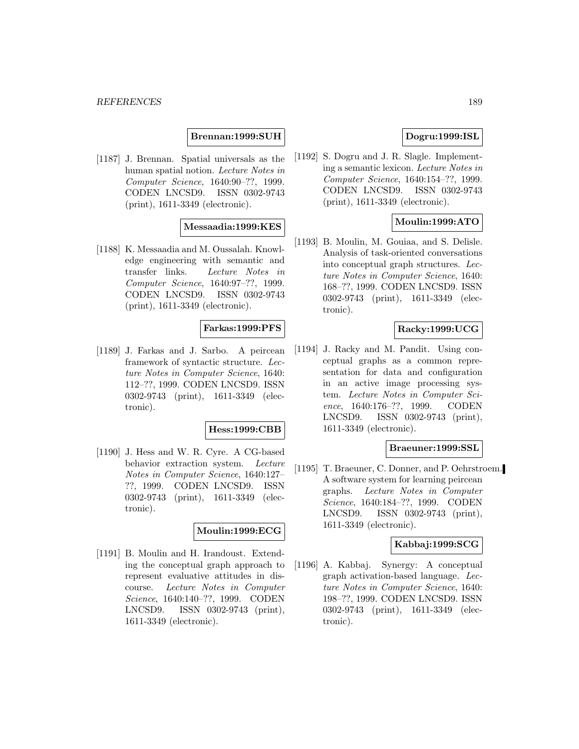## **Brennan:1999:SUH**

[1187] J. Brennan. Spatial universals as the human spatial notion. Lecture Notes in Computer Science, 1640:90–??, 1999. CODEN LNCSD9. ISSN 0302-9743 (print), 1611-3349 (electronic).

#### **Messaadia:1999:KES**

[1188] K. Messaadia and M. Oussalah. Knowledge engineering with semantic and transfer links. Lecture Notes in Computer Science, 1640:97–??, 1999. CODEN LNCSD9. ISSN 0302-9743 (print), 1611-3349 (electronic).

# **Farkas:1999:PFS**

[1189] J. Farkas and J. Sarbo. A peircean framework of syntactic structure. Lecture Notes in Computer Science, 1640: 112–??, 1999. CODEN LNCSD9. ISSN 0302-9743 (print), 1611-3349 (electronic).

#### **Hess:1999:CBB**

[1190] J. Hess and W. R. Cyre. A CG-based behavior extraction system. Lecture Notes in Computer Science, 1640:127– ??, 1999. CODEN LNCSD9. ISSN 0302-9743 (print), 1611-3349 (electronic).

#### **Moulin:1999:ECG**

[1191] B. Moulin and H. Irandoust. Extending the conceptual graph approach to represent evaluative attitudes in discourse. Lecture Notes in Computer Science, 1640:140–??, 1999. CODEN LNCSD9. ISSN 0302-9743 (print), 1611-3349 (electronic).

## **Dogru:1999:ISL**

[1192] S. Dogru and J. R. Slagle. Implementing a semantic lexicon. Lecture Notes in Computer Science, 1640:154–??, 1999. CODEN LNCSD9. ISSN 0302-9743 (print), 1611-3349 (electronic).

## **Moulin:1999:ATO**

[1193] B. Moulin, M. Gouiaa, and S. Delisle. Analysis of task-oriented conversations into conceptual graph structures. Lecture Notes in Computer Science, 1640: 168–??, 1999. CODEN LNCSD9. ISSN 0302-9743 (print), 1611-3349 (electronic).

## **Racky:1999:UCG**

[1194] J. Racky and M. Pandit. Using conceptual graphs as a common representation for data and configuration in an active image processing system. Lecture Notes in Computer Science, 1640:176–??, 1999. CODEN LNCSD9. ISSN 0302-9743 (print), 1611-3349 (electronic).

#### **Braeuner:1999:SSL**

[1195] T. Braeuner, C. Donner, and P. Oehrstroem. A software system for learning peircean graphs. Lecture Notes in Computer Science, 1640:184–??, 1999. CODEN LNCSD9. ISSN 0302-9743 (print), 1611-3349 (electronic).

### **Kabbaj:1999:SCG**

[1196] A. Kabbaj. Synergy: A conceptual graph activation-based language. Lecture Notes in Computer Science, 1640: 198–??, 1999. CODEN LNCSD9. ISSN 0302-9743 (print), 1611-3349 (electronic).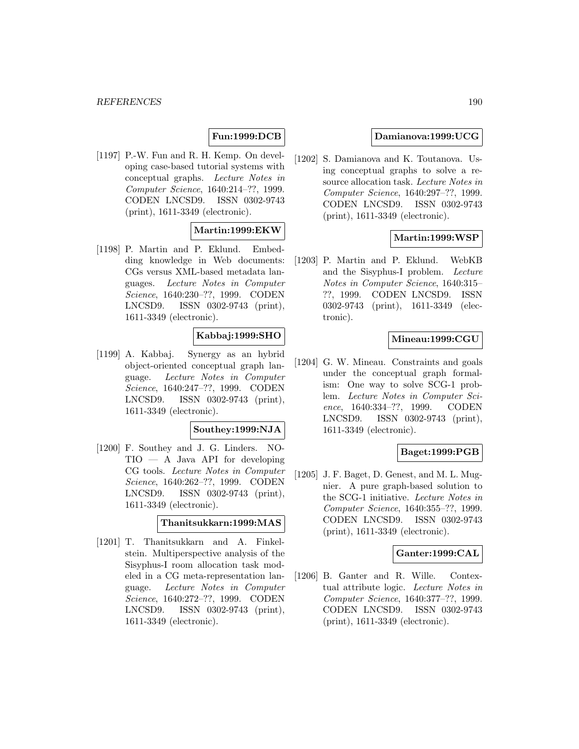# **Fun:1999:DCB**

[1197] P.-W. Fun and R. H. Kemp. On developing case-based tutorial systems with conceptual graphs. Lecture Notes in Computer Science, 1640:214–??, 1999. CODEN LNCSD9. ISSN 0302-9743 (print), 1611-3349 (electronic).

# **Martin:1999:EKW**

[1198] P. Martin and P. Eklund. Embedding knowledge in Web documents: CGs versus XML-based metadata languages. Lecture Notes in Computer Science, 1640:230–??, 1999. CODEN LNCSD9. ISSN 0302-9743 (print), 1611-3349 (electronic).

## **Kabbaj:1999:SHO**

[1199] A. Kabbaj. Synergy as an hybrid object-oriented conceptual graph language. Lecture Notes in Computer Science, 1640:247–??, 1999. CODEN LNCSD9. ISSN 0302-9743 (print), 1611-3349 (electronic).

#### **Southey:1999:NJA**

[1200] F. Southey and J. G. Linders. NO- $TIO - A$  Java API for developing CG tools. Lecture Notes in Computer Science, 1640:262–??, 1999. CODEN LNCSD9. ISSN 0302-9743 (print), 1611-3349 (electronic).

#### **Thanitsukkarn:1999:MAS**

[1201] T. Thanitsukkarn and A. Finkelstein. Multiperspective analysis of the Sisyphus-I room allocation task modeled in a CG meta-representation language. Lecture Notes in Computer Science, 1640:272–??, 1999. CODEN LNCSD9. ISSN 0302-9743 (print), 1611-3349 (electronic).

#### **Damianova:1999:UCG**

[1202] S. Damianova and K. Toutanova. Using conceptual graphs to solve a resource allocation task. Lecture Notes in Computer Science, 1640:297–??, 1999. CODEN LNCSD9. ISSN 0302-9743 (print), 1611-3349 (electronic).

## **Martin:1999:WSP**

[1203] P. Martin and P. Eklund. WebKB and the Sisyphus-I problem. Lecture Notes in Computer Science, 1640:315– ??, 1999. CODEN LNCSD9. ISSN 0302-9743 (print), 1611-3349 (electronic).

#### **Mineau:1999:CGU**

[1204] G. W. Mineau. Constraints and goals under the conceptual graph formalism: One way to solve SCG-1 problem. Lecture Notes in Computer Science, 1640:334–??, 1999. CODEN LNCSD9. ISSN 0302-9743 (print), 1611-3349 (electronic).

# **Baget:1999:PGB**

[1205] J. F. Baget, D. Genest, and M. L. Mugnier. A pure graph-based solution to the SCG-1 initiative. Lecture Notes in Computer Science, 1640:355–??, 1999. CODEN LNCSD9. ISSN 0302-9743 (print), 1611-3349 (electronic).

## **Ganter:1999:CAL**

[1206] B. Ganter and R. Wille. Contextual attribute logic. Lecture Notes in Computer Science, 1640:377–??, 1999. CODEN LNCSD9. ISSN 0302-9743 (print), 1611-3349 (electronic).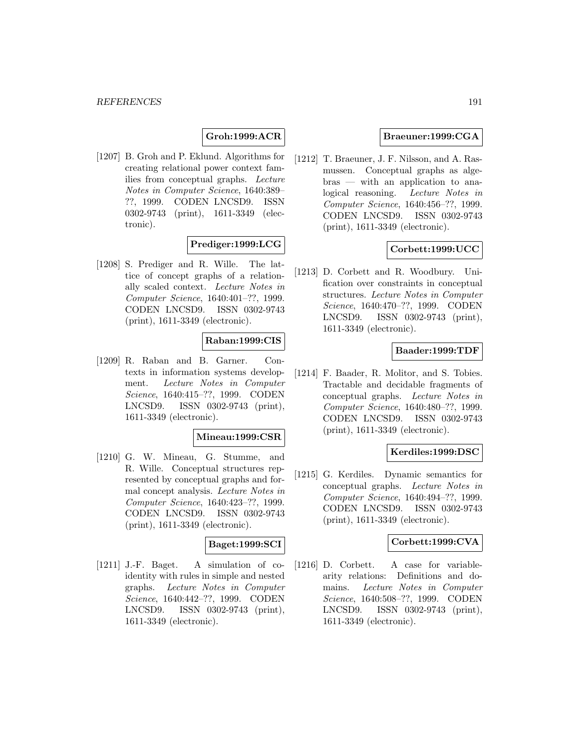## **Groh:1999:ACR**

[1207] B. Groh and P. Eklund. Algorithms for creating relational power context families from conceptual graphs. Lecture Notes in Computer Science, 1640:389– ??, 1999. CODEN LNCSD9. ISSN 0302-9743 (print), 1611-3349 (electronic).

# **Prediger:1999:LCG**

[1208] S. Prediger and R. Wille. The lattice of concept graphs of a relationally scaled context. Lecture Notes in Computer Science, 1640:401–??, 1999. CODEN LNCSD9. ISSN 0302-9743 (print), 1611-3349 (electronic).

## **Raban:1999:CIS**

[1209] R. Raban and B. Garner. Contexts in information systems development. Lecture Notes in Computer Science, 1640:415–??, 1999. CODEN LNCSD9. ISSN 0302-9743 (print), 1611-3349 (electronic).

#### **Mineau:1999:CSR**

[1210] G. W. Mineau, G. Stumme, and R. Wille. Conceptual structures represented by conceptual graphs and formal concept analysis. Lecture Notes in Computer Science, 1640:423–??, 1999. CODEN LNCSD9. ISSN 0302-9743 (print), 1611-3349 (electronic).

## **Baget:1999:SCI**

[1211] J.-F. Baget. A simulation of coidentity with rules in simple and nested graphs. Lecture Notes in Computer Science, 1640:442–??, 1999. CODEN LNCSD9. ISSN 0302-9743 (print), 1611-3349 (electronic).

## **Braeuner:1999:CGA**

[1212] T. Braeuner, J. F. Nilsson, and A. Rasmussen. Conceptual graphs as algebras — with an application to analogical reasoning. Lecture Notes in Computer Science, 1640:456–??, 1999. CODEN LNCSD9. ISSN 0302-9743 (print), 1611-3349 (electronic).

## **Corbett:1999:UCC**

[1213] D. Corbett and R. Woodbury. Unification over constraints in conceptual structures. Lecture Notes in Computer Science, 1640:470–??, 1999. CODEN LNCSD9. ISSN 0302-9743 (print), 1611-3349 (electronic).

## **Baader:1999:TDF**

[1214] F. Baader, R. Molitor, and S. Tobies. Tractable and decidable fragments of conceptual graphs. Lecture Notes in Computer Science, 1640:480–??, 1999. CODEN LNCSD9. ISSN 0302-9743 (print), 1611-3349 (electronic).

## **Kerdiles:1999:DSC**

[1215] G. Kerdiles. Dynamic semantics for conceptual graphs. Lecture Notes in Computer Science, 1640:494–??, 1999. CODEN LNCSD9. ISSN 0302-9743 (print), 1611-3349 (electronic).

## **Corbett:1999:CVA**

[1216] D. Corbett. A case for variablearity relations: Definitions and domains. Lecture Notes in Computer Science, 1640:508–??, 1999. CODEN LNCSD9. ISSN 0302-9743 (print), 1611-3349 (electronic).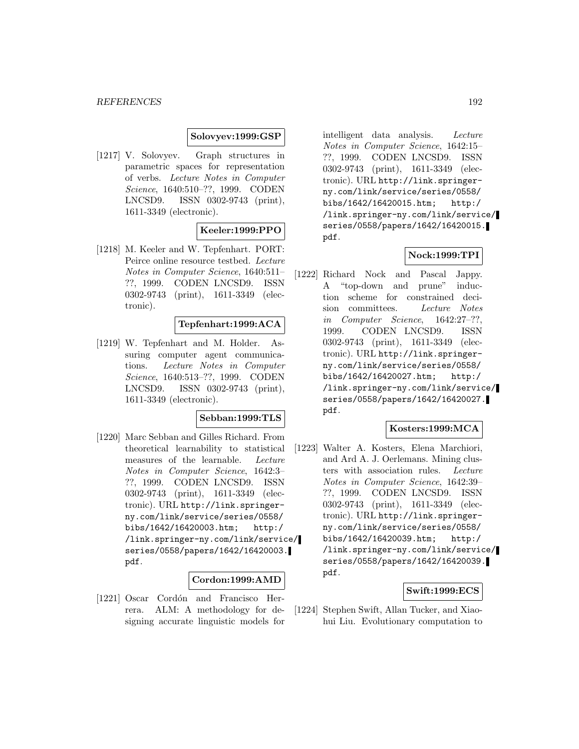### **Solovyev:1999:GSP**

[1217] V. Solovyev. Graph structures in parametric spaces for representation of verbs. Lecture Notes in Computer Science, 1640:510–??, 1999. CODEN LNCSD9. ISSN 0302-9743 (print), 1611-3349 (electronic).

## **Keeler:1999:PPO**

[1218] M. Keeler and W. Tepfenhart. PORT: Peirce online resource testbed. Lecture Notes in Computer Science, 1640:511– ??, 1999. CODEN LNCSD9. ISSN 0302-9743 (print), 1611-3349 (electronic).

## **Tepfenhart:1999:ACA**

[1219] W. Tepfenhart and M. Holder. Assuring computer agent communications. Lecture Notes in Computer Science, 1640:513–??, 1999. CODEN LNCSD9. ISSN 0302-9743 (print), 1611-3349 (electronic).

#### **Sebban:1999:TLS**

[1220] Marc Sebban and Gilles Richard. From theoretical learnability to statistical measures of the learnable. Lecture Notes in Computer Science, 1642:3– ??, 1999. CODEN LNCSD9. ISSN 0302-9743 (print), 1611-3349 (electronic). URL http://link.springerny.com/link/service/series/0558/ bibs/1642/16420003.htm; http:/ /link.springer-ny.com/link/service/ series/0558/papers/1642/16420003. pdf.

## **Cordon:1999:AMD**

[1221] Oscar Cordón and Francisco Herrera. ALM: A methodology for designing accurate linguistic models for

intelligent data analysis. Lecture Notes in Computer Science, 1642:15– ??, 1999. CODEN LNCSD9. ISSN 0302-9743 (print), 1611-3349 (electronic). URL http://link.springerny.com/link/service/series/0558/ bibs/1642/16420015.htm; http:/ /link.springer-ny.com/link/service/ series/0558/papers/1642/16420015. pdf.

## **Nock:1999:TPI**

[1222] Richard Nock and Pascal Jappy. A "top-down and prune" induction scheme for constrained decision committees. Lecture Notes in Computer Science, 1642:27–??, 1999. CODEN LNCSD9. ISSN 0302-9743 (print), 1611-3349 (electronic). URL http://link.springerny.com/link/service/series/0558/ bibs/1642/16420027.htm; http:/ /link.springer-ny.com/link/service/ series/0558/papers/1642/16420027. pdf.

## **Kosters:1999:MCA**

[1223] Walter A. Kosters, Elena Marchiori, and Ard A. J. Oerlemans. Mining clusters with association rules. Lecture Notes in Computer Science, 1642:39– ??, 1999. CODEN LNCSD9. ISSN 0302-9743 (print), 1611-3349 (electronic). URL http://link.springerny.com/link/service/series/0558/ bibs/1642/16420039.htm; http:/ /link.springer-ny.com/link/service/ series/0558/papers/1642/16420039. pdf.

#### **Swift:1999:ECS**

[1224] Stephen Swift, Allan Tucker, and Xiaohui Liu. Evolutionary computation to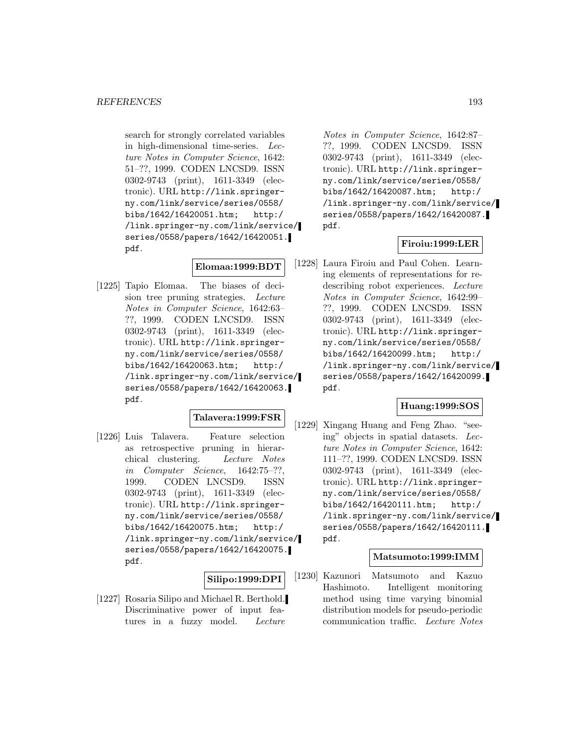search for strongly correlated variables in high-dimensional time-series. Lecture Notes in Computer Science, 1642: 51–??, 1999. CODEN LNCSD9. ISSN 0302-9743 (print), 1611-3349 (electronic). URL http://link.springerny.com/link/service/series/0558/ bibs/1642/16420051.htm; http:/ /link.springer-ny.com/link/service/ series/0558/papers/1642/16420051. pdf.

## **Elomaa:1999:BDT**

[1225] Tapio Elomaa. The biases of decision tree pruning strategies. Lecture Notes in Computer Science, 1642:63– ??, 1999. CODEN LNCSD9. ISSN 0302-9743 (print), 1611-3349 (electronic). URL http://link.springerny.com/link/service/series/0558/ bibs/1642/16420063.htm; http:/ /link.springer-ny.com/link/service/ series/0558/papers/1642/16420063. pdf.

#### **Talavera:1999:FSR**

[1226] Luis Talavera. Feature selection as retrospective pruning in hierarchical clustering. Lecture Notes in Computer Science, 1642:75–??, 1999. CODEN LNCSD9. ISSN 0302-9743 (print), 1611-3349 (electronic). URL http://link.springerny.com/link/service/series/0558/ bibs/1642/16420075.htm; http:/ /link.springer-ny.com/link/service/ series/0558/papers/1642/16420075. pdf.

#### **Silipo:1999:DPI**

[1227] Rosaria Silipo and Michael R. Berthold. Discriminative power of input features in a fuzzy model. Lecture

Notes in Computer Science, 1642:87– ??, 1999. CODEN LNCSD9. ISSN 0302-9743 (print), 1611-3349 (electronic). URL http://link.springerny.com/link/service/series/0558/ bibs/1642/16420087.htm; http:/ /link.springer-ny.com/link/service/ series/0558/papers/1642/16420087. pdf.

## **Firoiu:1999:LER**

[1228] Laura Firoiu and Paul Cohen. Learning elements of representations for redescribing robot experiences. Lecture Notes in Computer Science, 1642:99– ??, 1999. CODEN LNCSD9. ISSN 0302-9743 (print), 1611-3349 (electronic). URL http://link.springerny.com/link/service/series/0558/ bibs/1642/16420099.htm; http:/ /link.springer-ny.com/link/service/ series/0558/papers/1642/16420099. pdf.

## **Huang:1999:SOS**

[1229] Xingang Huang and Feng Zhao. "seeing" objects in spatial datasets. Lecture Notes in Computer Science, 1642: 111–??, 1999. CODEN LNCSD9. ISSN 0302-9743 (print), 1611-3349 (electronic). URL http://link.springerny.com/link/service/series/0558/ bibs/1642/16420111.htm; http:/ /link.springer-ny.com/link/service/ series/0558/papers/1642/16420111. pdf.

## **Matsumoto:1999:IMM**

[1230] Kazunori Matsumoto and Kazuo Hashimoto. Intelligent monitoring method using time varying binomial distribution models for pseudo-periodic communication traffic. Lecture Notes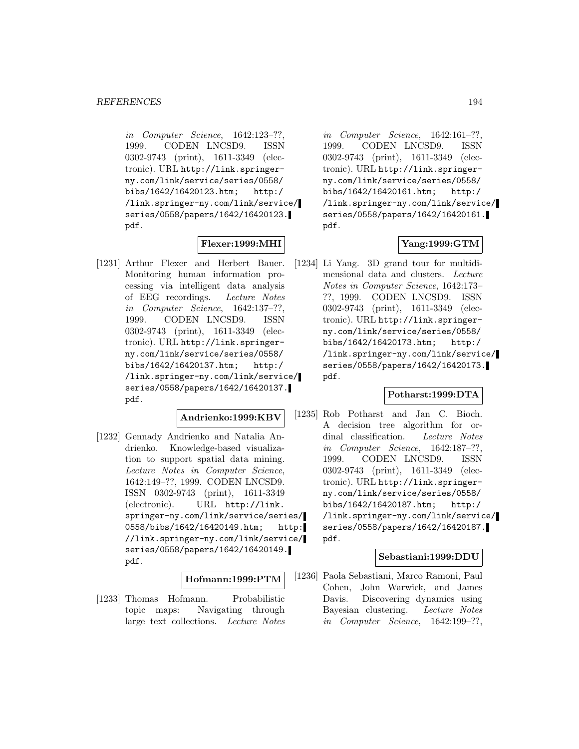in Computer Science, 1642:123–??, 1999. CODEN LNCSD9. ISSN 0302-9743 (print), 1611-3349 (electronic). URL http://link.springerny.com/link/service/series/0558/ bibs/1642/16420123.htm; http:/ /link.springer-ny.com/link/service/ series/0558/papers/1642/16420123. pdf.

# **Flexer:1999:MHI**

[1231] Arthur Flexer and Herbert Bauer. Monitoring human information processing via intelligent data analysis of EEG recordings. Lecture Notes in Computer Science, 1642:137–??, 1999. CODEN LNCSD9. ISSN 0302-9743 (print), 1611-3349 (electronic). URL http://link.springerny.com/link/service/series/0558/ bibs/1642/16420137.htm; http:/ /link.springer-ny.com/link/service/ series/0558/papers/1642/16420137. pdf.

#### **Andrienko:1999:KBV**

[1232] Gennady Andrienko and Natalia Andrienko. Knowledge-based visualization to support spatial data mining. Lecture Notes in Computer Science, 1642:149–??, 1999. CODEN LNCSD9. ISSN 0302-9743 (print), 1611-3349 (electronic). URL http://link. springer-ny.com/link/service/series/ 0558/bibs/1642/16420149.htm; http: //link.springer-ny.com/link/service/ series/0558/papers/1642/16420149. pdf.

#### **Hofmann:1999:PTM**

[1233] Thomas Hofmann. Probabilistic topic maps: Navigating through large text collections. Lecture Notes

in Computer Science, 1642:161–??, 1999. CODEN LNCSD9. ISSN 0302-9743 (print), 1611-3349 (electronic). URL http://link.springerny.com/link/service/series/0558/ bibs/1642/16420161.htm; http:/ /link.springer-ny.com/link/service/ series/0558/papers/1642/16420161. pdf.

## **Yang:1999:GTM**

[1234] Li Yang. 3D grand tour for multidimensional data and clusters. Lecture Notes in Computer Science, 1642:173– ??, 1999. CODEN LNCSD9. ISSN 0302-9743 (print), 1611-3349 (electronic). URL http://link.springerny.com/link/service/series/0558/ bibs/1642/16420173.htm; http:/ /link.springer-ny.com/link/service/ series/0558/papers/1642/16420173. pdf.

### **Potharst:1999:DTA**

[1235] Rob Potharst and Jan C. Bioch. A decision tree algorithm for ordinal classification. Lecture Notes in Computer Science, 1642:187–??, 1999. CODEN LNCSD9. ISSN 0302-9743 (print), 1611-3349 (electronic). URL http://link.springerny.com/link/service/series/0558/ bibs/1642/16420187.htm; http:/ /link.springer-ny.com/link/service/ series/0558/papers/1642/16420187. pdf.

## **Sebastiani:1999:DDU**

[1236] Paola Sebastiani, Marco Ramoni, Paul Cohen, John Warwick, and James Davis. Discovering dynamics using Bayesian clustering. Lecture Notes in Computer Science, 1642:199–??,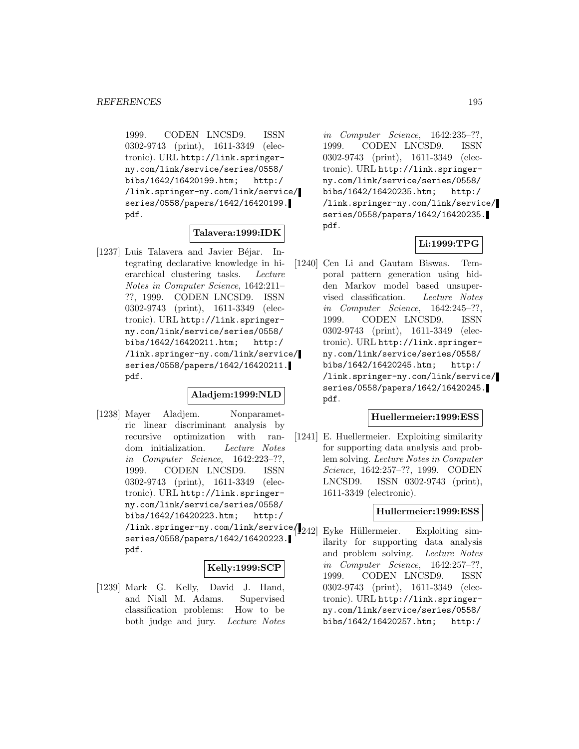1999. CODEN LNCSD9. ISSN 0302-9743 (print), 1611-3349 (electronic). URL http://link.springerny.com/link/service/series/0558/ bibs/1642/16420199.htm; http:/ /link.springer-ny.com/link/service/ series/0558/papers/1642/16420199. pdf.

## **Talavera:1999:IDK**

[1237] Luis Talavera and Javier Béjar. Integrating declarative knowledge in hierarchical clustering tasks. Lecture Notes in Computer Science, 1642:211– ??, 1999. CODEN LNCSD9. ISSN 0302-9743 (print), 1611-3349 (electronic). URL http://link.springerny.com/link/service/series/0558/ bibs/1642/16420211.htm; http:/ /link.springer-ny.com/link/service/ series/0558/papers/1642/16420211. pdf.

### **Aladjem:1999:NLD**

[1238] Mayer Aladjem. Nonparametric linear discriminant analysis by recursive optimization with random initialization. Lecture Notes in Computer Science, 1642:223–??, 1999. CODEN LNCSD9. ISSN 0302-9743 (print), 1611-3349 (electronic). URL http://link.springerny.com/link/service/series/0558/ bibs/1642/16420223.htm; http:/ /link.springer-ny.com/link/service/1242] Eyke Hüllermeier. Exploiting simseries/0558/papers/1642/16420223. pdf.

#### **Kelly:1999:SCP**

[1239] Mark G. Kelly, David J. Hand, and Niall M. Adams. Supervised classification problems: How to be both judge and jury. Lecture Notes

in Computer Science, 1642:235–??, 1999. CODEN LNCSD9. ISSN 0302-9743 (print), 1611-3349 (electronic). URL http://link.springerny.com/link/service/series/0558/ bibs/1642/16420235.htm; http:/ /link.springer-ny.com/link/service/ series/0558/papers/1642/16420235. pdf.

## **Li:1999:TPG**

[1240] Cen Li and Gautam Biswas. Temporal pattern generation using hidden Markov model based unsupervised classification. Lecture Notes in Computer Science, 1642:245–??, 1999. CODEN LNCSD9. ISSN 0302-9743 (print), 1611-3349 (electronic). URL http://link.springerny.com/link/service/series/0558/ bibs/1642/16420245.htm; http:/ /link.springer-ny.com/link/service/ series/0558/papers/1642/16420245. pdf.

#### **Huellermeier:1999:ESS**

[1241] E. Huellermeier. Exploiting similarity for supporting data analysis and problem solving. Lecture Notes in Computer Science, 1642:257–??, 1999. CODEN LNCSD9. ISSN 0302-9743 (print), 1611-3349 (electronic).

#### **Hullermeier:1999:ESS**

ilarity for supporting data analysis and problem solving. Lecture Notes in Computer Science, 1642:257–??, 1999. CODEN LNCSD9. ISSN 0302-9743 (print), 1611-3349 (electronic). URL http://link.springerny.com/link/service/series/0558/ bibs/1642/16420257.htm; http:/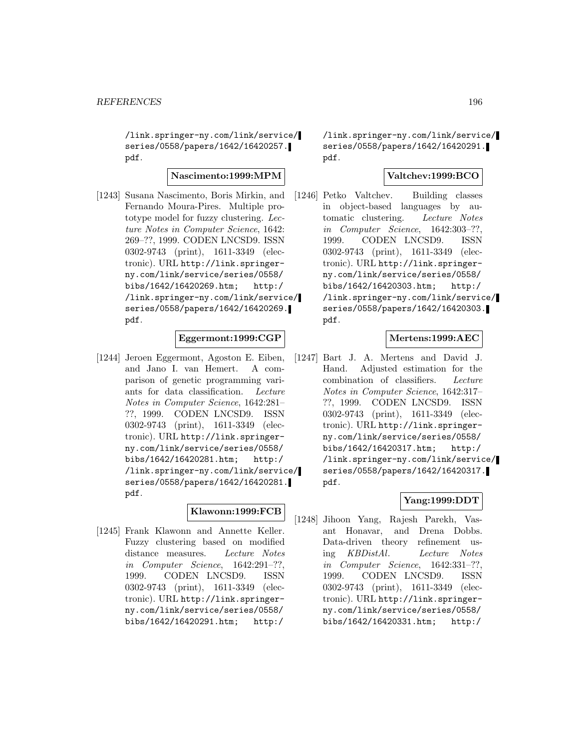/link.springer-ny.com/link/service/ series/0558/papers/1642/16420257. pdf.

# **Nascimento:1999:MPM**

[1243] Susana Nascimento, Boris Mirkin, and Fernando Moura-Pires. Multiple prototype model for fuzzy clustering. Lecture Notes in Computer Science, 1642: 269–??, 1999. CODEN LNCSD9. ISSN 0302-9743 (print), 1611-3349 (electronic). URL http://link.springerny.com/link/service/series/0558/ bibs/1642/16420269.htm; http:/ /link.springer-ny.com/link/service/ series/0558/papers/1642/16420269. pdf.

## **Eggermont:1999:CGP**

[1244] Jeroen Eggermont, Agoston E. Eiben, and Jano I. van Hemert. A comparison of genetic programming variants for data classification. Lecture Notes in Computer Science, 1642:281– ??, 1999. CODEN LNCSD9. ISSN 0302-9743 (print), 1611-3349 (electronic). URL http://link.springerny.com/link/service/series/0558/ bibs/1642/16420281.htm; http:/ /link.springer-ny.com/link/service/ series/0558/papers/1642/16420281. pdf.

### **Klawonn:1999:FCB**

[1245] Frank Klawonn and Annette Keller. Fuzzy clustering based on modified distance measures. Lecture Notes in Computer Science, 1642:291–??, 1999. CODEN LNCSD9. ISSN 0302-9743 (print), 1611-3349 (electronic). URL http://link.springerny.com/link/service/series/0558/ bibs/1642/16420291.htm; http:/

/link.springer-ny.com/link/service/ series/0558/papers/1642/16420291. pdf.

## **Valtchev:1999:BCO**

[1246] Petko Valtchev. Building classes in object-based languages by automatic clustering. Lecture Notes in Computer Science, 1642:303–??, 1999. CODEN LNCSD9. ISSN 0302-9743 (print), 1611-3349 (electronic). URL http://link.springerny.com/link/service/series/0558/ bibs/1642/16420303.htm; http:/ /link.springer-ny.com/link/service/ series/0558/papers/1642/16420303. pdf.

## **Mertens:1999:AEC**

[1247] Bart J. A. Mertens and David J. Hand. Adjusted estimation for the combination of classifiers. Lecture Notes in Computer Science, 1642:317– ??, 1999. CODEN LNCSD9. ISSN 0302-9743 (print), 1611-3349 (electronic). URL http://link.springerny.com/link/service/series/0558/ bibs/1642/16420317.htm; http:/ /link.springer-ny.com/link/service/ series/0558/papers/1642/16420317. pdf.

## **Yang:1999:DDT**

[1248] Jihoon Yang, Rajesh Parekh, Vasant Honavar, and Drena Dobbs. Data-driven theory refinement using KBDistAl. Lecture Notes in Computer Science, 1642:331–??, 1999. CODEN LNCSD9. ISSN 0302-9743 (print), 1611-3349 (electronic). URL http://link.springerny.com/link/service/series/0558/ bibs/1642/16420331.htm; http:/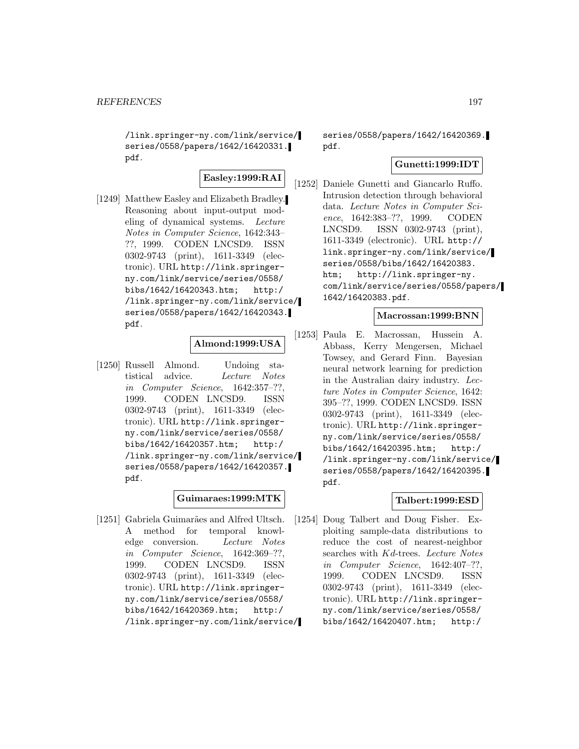/link.springer-ny.com/link/service/ series/0558/papers/1642/16420331. pdf.

**Easley:1999:RAI**

[1249] Matthew Easley and Elizabeth Bradley. Reasoning about input-output modeling of dynamical systems. Lecture Notes in Computer Science, 1642:343– ??, 1999. CODEN LNCSD9. ISSN 0302-9743 (print), 1611-3349 (electronic). URL http://link.springerny.com/link/service/series/0558/ bibs/1642/16420343.htm; http:/ /link.springer-ny.com/link/service/ series/0558/papers/1642/16420343. pdf.

# **Almond:1999:USA**

[1250] Russell Almond. Undoing statistical advice. Lecture Notes in Computer Science, 1642:357–??, 1999. CODEN LNCSD9. ISSN 0302-9743 (print), 1611-3349 (electronic). URL http://link.springerny.com/link/service/series/0558/ bibs/1642/16420357.htm; http:/ /link.springer-ny.com/link/service/ series/0558/papers/1642/16420357. pdf.

## **Guimaraes:1999:MTK**

[1251] Gabriela Guimarães and Alfred Ultsch. A method for temporal knowledge conversion. Lecture Notes in Computer Science, 1642:369–??, 1999. CODEN LNCSD9. ISSN 0302-9743 (print), 1611-3349 (electronic). URL http://link.springerny.com/link/service/series/0558/ bibs/1642/16420369.htm; http:/ /link.springer-ny.com/link/service/

series/0558/papers/1642/16420369. pdf.

## **Gunetti:1999:IDT**

[1252] Daniele Gunetti and Giancarlo Ruffo. Intrusion detection through behavioral data. Lecture Notes in Computer Science, 1642:383–??, 1999. CODEN LNCSD9. ISSN 0302-9743 (print), 1611-3349 (electronic). URL http:// link.springer-ny.com/link/service/ series/0558/bibs/1642/16420383. htm; http://link.springer-ny. com/link/service/series/0558/papers/ 1642/16420383.pdf.

## **Macrossan:1999:BNN**

[1253] Paula E. Macrossan, Hussein A. Abbass, Kerry Mengersen, Michael Towsey, and Gerard Finn. Bayesian neural network learning for prediction in the Australian dairy industry. Lecture Notes in Computer Science, 1642: 395–??, 1999. CODEN LNCSD9. ISSN 0302-9743 (print), 1611-3349 (electronic). URL http://link.springerny.com/link/service/series/0558/ bibs/1642/16420395.htm; http:/ /link.springer-ny.com/link/service/ series/0558/papers/1642/16420395. pdf.

## **Talbert:1999:ESD**

[1254] Doug Talbert and Doug Fisher. Exploiting sample-data distributions to reduce the cost of nearest-neighbor searches with Kd-trees. Lecture Notes in Computer Science, 1642:407–??, 1999. CODEN LNCSD9. ISSN 0302-9743 (print), 1611-3349 (electronic). URL http://link.springerny.com/link/service/series/0558/ bibs/1642/16420407.htm; http:/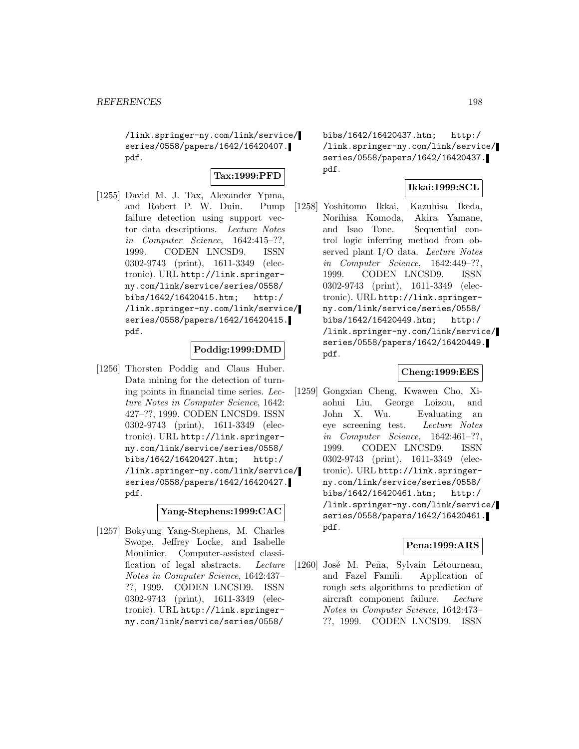/link.springer-ny.com/link/service/ series/0558/papers/1642/16420407. pdf.

## **Tax:1999:PFD**

[1255] David M. J. Tax, Alexander Ypma, and Robert P. W. Duin. Pump failure detection using support vector data descriptions. Lecture Notes in Computer Science, 1642:415–??, 1999. CODEN LNCSD9. ISSN 0302-9743 (print), 1611-3349 (electronic). URL http://link.springerny.com/link/service/series/0558/ bibs/1642/16420415.htm; http:/ /link.springer-ny.com/link/service/ series/0558/papers/1642/16420415. pdf.

## **Poddig:1999:DMD**

[1256] Thorsten Poddig and Claus Huber. Data mining for the detection of turning points in financial time series. Lecture Notes in Computer Science, 1642: 427–??, 1999. CODEN LNCSD9. ISSN 0302-9743 (print), 1611-3349 (electronic). URL http://link.springerny.com/link/service/series/0558/ bibs/1642/16420427.htm; http:/ /link.springer-ny.com/link/service/ series/0558/papers/1642/16420427. pdf.

## **Yang-Stephens:1999:CAC**

[1257] Bokyung Yang-Stephens, M. Charles Swope, Jeffrey Locke, and Isabelle Moulinier. Computer-assisted classification of legal abstracts. Lecture Notes in Computer Science, 1642:437– ??, 1999. CODEN LNCSD9. ISSN 0302-9743 (print), 1611-3349 (electronic). URL http://link.springerny.com/link/service/series/0558/

bibs/1642/16420437.htm; http:/ /link.springer-ny.com/link/service/ series/0558/papers/1642/16420437. pdf.

# **Ikkai:1999:SCL**

[1258] Yoshitomo Ikkai, Kazuhisa Ikeda, Norihisa Komoda, Akira Yamane, and Isao Tone. Sequential control logic inferring method from observed plant I/O data. Lecture Notes in Computer Science, 1642:449–??, 1999. CODEN LNCSD9. ISSN 0302-9743 (print), 1611-3349 (electronic). URL http://link.springerny.com/link/service/series/0558/ bibs/1642/16420449.htm; http:/ /link.springer-ny.com/link/service/ series/0558/papers/1642/16420449. pdf.

## **Cheng:1999:EES**

[1259] Gongxian Cheng, Kwawen Cho, Xiaohui Liu, George Loizou, and John X. Wu. Evaluating an eye screening test. Lecture Notes in Computer Science, 1642:461–??, 1999. CODEN LNCSD9. ISSN 0302-9743 (print), 1611-3349 (electronic). URL http://link.springerny.com/link/service/series/0558/ bibs/1642/16420461.htm; http:/ /link.springer-ny.com/link/service/ series/0558/papers/1642/16420461. pdf.

# **Pena:1999:ARS**

[1260] José M. Peña, Sylvain Létourneau, and Fazel Famili. Application of rough sets algorithms to prediction of aircraft component failure. Lecture Notes in Computer Science, 1642:473– ??, 1999. CODEN LNCSD9. ISSN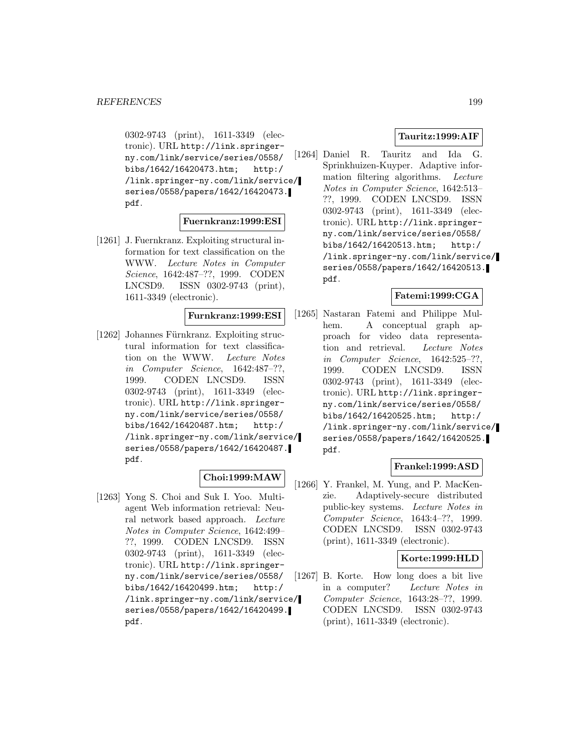0302-9743 (print), 1611-3349 (electronic). URL http://link.springerny.com/link/service/series/0558/ bibs/1642/16420473.htm; http:/ /link.springer-ny.com/link/service/ series/0558/papers/1642/16420473. pdf.

## **Fuernkranz:1999:ESI**

[1261] J. Fuernkranz. Exploiting structural information for text classification on the WWW. Lecture Notes in Computer Science, 1642:487–??, 1999. CODEN LNCSD9. ISSN 0302-9743 (print), 1611-3349 (electronic).

### **Furnkranz:1999:ESI**

 $[1262]$  Johannes Fürnkranz. Exploiting structural information for text classification on the WWW. Lecture Notes in Computer Science, 1642:487–??, 1999. CODEN LNCSD9. ISSN 0302-9743 (print), 1611-3349 (electronic). URL http://link.springerny.com/link/service/series/0558/ bibs/1642/16420487.htm; http:/ /link.springer-ny.com/link/service/ series/0558/papers/1642/16420487. pdf.

## **Choi:1999:MAW**

[1263] Yong S. Choi and Suk I. Yoo. Multiagent Web information retrieval: Neural network based approach. Lecture Notes in Computer Science, 1642:499– ??, 1999. CODEN LNCSD9. ISSN 0302-9743 (print), 1611-3349 (electronic). URL http://link.springerny.com/link/service/series/0558/ bibs/1642/16420499.htm; http:/ /link.springer-ny.com/link/service/ series/0558/papers/1642/16420499. pdf.

## **Tauritz:1999:AIF**

[1264] Daniel R. Tauritz and Ida G. Sprinkhuizen-Kuyper. Adaptive information filtering algorithms. Lecture Notes in Computer Science, 1642:513– ??, 1999. CODEN LNCSD9. ISSN 0302-9743 (print), 1611-3349 (electronic). URL http://link.springerny.com/link/service/series/0558/ bibs/1642/16420513.htm; http:/ /link.springer-ny.com/link/service/ series/0558/papers/1642/16420513. pdf.

# **Fatemi:1999:CGA**

[1265] Nastaran Fatemi and Philippe Mulhem. A conceptual graph approach for video data representation and retrieval. Lecture Notes in Computer Science, 1642:525–??, 1999. CODEN LNCSD9. ISSN 0302-9743 (print), 1611-3349 (electronic). URL http://link.springerny.com/link/service/series/0558/ bibs/1642/16420525.htm; http:/ /link.springer-ny.com/link/service/ series/0558/papers/1642/16420525. pdf.

## **Frankel:1999:ASD**

[1266] Y. Frankel, M. Yung, and P. MacKenzie. Adaptively-secure distributed public-key systems. Lecture Notes in Computer Science, 1643:4–??, 1999. CODEN LNCSD9. ISSN 0302-9743 (print), 1611-3349 (electronic).

## **Korte:1999:HLD**

[1267] B. Korte. How long does a bit live in a computer? Lecture Notes in Computer Science, 1643:28–??, 1999. CODEN LNCSD9. ISSN 0302-9743 (print), 1611-3349 (electronic).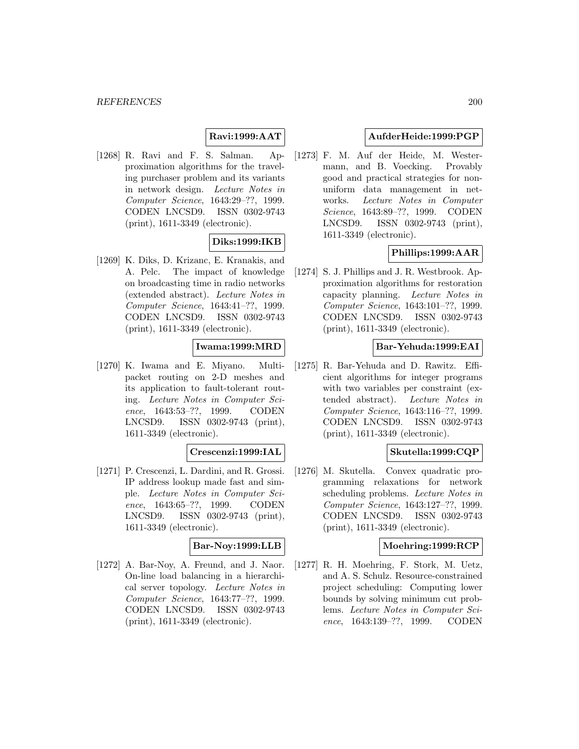# **Ravi:1999:AAT**

[1268] R. Ravi and F. S. Salman. Approximation algorithms for the traveling purchaser problem and its variants in network design. Lecture Notes in Computer Science, 1643:29–??, 1999. CODEN LNCSD9. ISSN 0302-9743 (print), 1611-3349 (electronic).

# **Diks:1999:IKB**

[1269] K. Diks, D. Krizanc, E. Kranakis, and A. Pelc. The impact of knowledge on broadcasting time in radio networks (extended abstract). Lecture Notes in Computer Science, 1643:41–??, 1999. CODEN LNCSD9. ISSN 0302-9743 (print), 1611-3349 (electronic).

## **Iwama:1999:MRD**

[1270] K. Iwama and E. Miyano. Multipacket routing on 2-D meshes and its application to fault-tolerant routing. Lecture Notes in Computer Science, 1643:53–??, 1999. CODEN LNCSD9. ISSN 0302-9743 (print), 1611-3349 (electronic).

## **Crescenzi:1999:IAL**

[1271] P. Crescenzi, L. Dardini, and R. Grossi. IP address lookup made fast and simple. Lecture Notes in Computer Science, 1643:65–??, 1999. CODEN LNCSD9. ISSN 0302-9743 (print), 1611-3349 (electronic).

## **Bar-Noy:1999:LLB**

[1272] A. Bar-Nov, A. Freund, and J. Naor. On-line load balancing in a hierarchical server topology. Lecture Notes in Computer Science, 1643:77–??, 1999. CODEN LNCSD9. ISSN 0302-9743 (print), 1611-3349 (electronic).

## **AufderHeide:1999:PGP**

[1273] F. M. Auf der Heide, M. Westermann, and B. Voecking. Provably good and practical strategies for nonuniform data management in networks. Lecture Notes in Computer Science, 1643:89–??, 1999. CODEN LNCSD9. ISSN 0302-9743 (print), 1611-3349 (electronic).

## **Phillips:1999:AAR**

[1274] S. J. Phillips and J. R. Westbrook. Approximation algorithms for restoration capacity planning. Lecture Notes in Computer Science, 1643:101–??, 1999. CODEN LNCSD9. ISSN 0302-9743 (print), 1611-3349 (electronic).

## **Bar-Yehuda:1999:EAI**

[1275] R. Bar-Yehuda and D. Rawitz. Efficient algorithms for integer programs with two variables per constraint (extended abstract). Lecture Notes in Computer Science, 1643:116–??, 1999. CODEN LNCSD9. ISSN 0302-9743 (print), 1611-3349 (electronic).

# **Skutella:1999:CQP**

[1276] M. Skutella. Convex quadratic programming relaxations for network scheduling problems. Lecture Notes in Computer Science, 1643:127–??, 1999. CODEN LNCSD9. ISSN 0302-9743 (print), 1611-3349 (electronic).

#### **Moehring:1999:RCP**

[1277] R. H. Moehring, F. Stork, M. Uetz, and A. S. Schulz. Resource-constrained project scheduling: Computing lower bounds by solving minimum cut problems. Lecture Notes in Computer Science, 1643:139–??, 1999. CODEN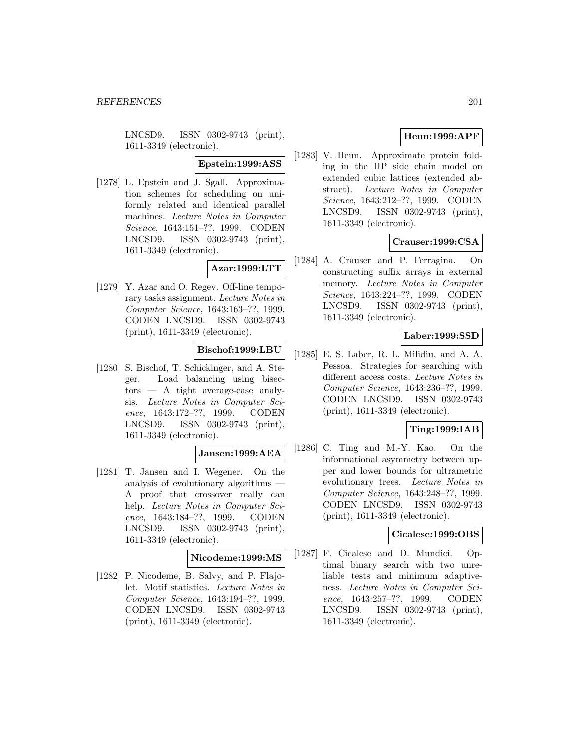LNCSD9. ISSN 0302-9743 (print), 1611-3349 (electronic).

**Epstein:1999:ASS**

[1278] L. Epstein and J. Sgall. Approximation schemes for scheduling on uniformly related and identical parallel machines. Lecture Notes in Computer Science, 1643:151–??, 1999. CODEN LNCSD9. ISSN 0302-9743 (print), 1611-3349 (electronic).

# **Azar:1999:LTT**

[1279] Y. Azar and O. Regev. Off-line temporary tasks assignment. Lecture Notes in Computer Science, 1643:163–??, 1999. CODEN LNCSD9. ISSN 0302-9743 (print), 1611-3349 (electronic).

## **Bischof:1999:LBU**

[1280] S. Bischof, T. Schickinger, and A. Steger. Load balancing using bisectors — A tight average-case analysis. Lecture Notes in Computer Science, 1643:172–??, 1999. CODEN LNCSD9. ISSN 0302-9743 (print), 1611-3349 (electronic).

## **Jansen:1999:AEA**

[1281] T. Jansen and I. Wegener. On the analysis of evolutionary algorithms — A proof that crossover really can help. Lecture Notes in Computer Science, 1643:184–??, 1999. CODEN LNCSD9. ISSN 0302-9743 (print), 1611-3349 (electronic).

## **Nicodeme:1999:MS**

[1282] P. Nicodeme, B. Salvy, and P. Flajolet. Motif statistics. Lecture Notes in Computer Science, 1643:194–??, 1999. CODEN LNCSD9. ISSN 0302-9743 (print), 1611-3349 (electronic).

# **Heun:1999:APF**

[1283] V. Heun. Approximate protein folding in the HP side chain model on extended cubic lattices (extended abstract). Lecture Notes in Computer Science, 1643:212–??, 1999. CODEN LNCSD9. ISSN 0302-9743 (print), 1611-3349 (electronic).

# **Crauser:1999:CSA**

[1284] A. Crauser and P. Ferragina. On constructing suffix arrays in external memory. Lecture Notes in Computer Science, 1643:224–??, 1999. CODEN LNCSD9. ISSN 0302-9743 (print), 1611-3349 (electronic).

## **Laber:1999:SSD**

[1285] E. S. Laber, R. L. Milidiu, and A. A. Pessoa. Strategies for searching with different access costs. Lecture Notes in Computer Science, 1643:236–??, 1999. CODEN LNCSD9. ISSN 0302-9743 (print), 1611-3349 (electronic).

# **Ting:1999:IAB**

[1286] C. Ting and M.-Y. Kao. On the informational asymmetry between upper and lower bounds for ultrametric evolutionary trees. Lecture Notes in Computer Science, 1643:248–??, 1999. CODEN LNCSD9. ISSN 0302-9743 (print), 1611-3349 (electronic).

## **Cicalese:1999:OBS**

[1287] F. Cicalese and D. Mundici. Optimal binary search with two unreliable tests and minimum adaptiveness. Lecture Notes in Computer Science, 1643:257–??, 1999. CODEN LNCSD9. ISSN 0302-9743 (print), 1611-3349 (electronic).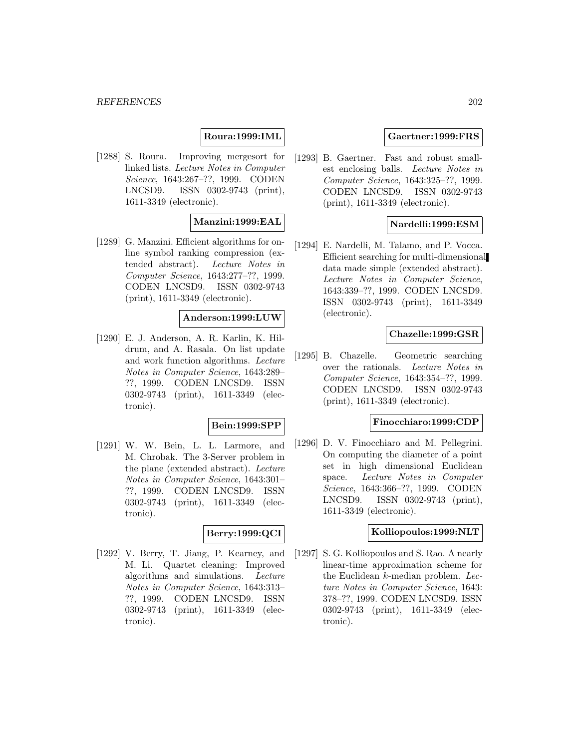# **Roura:1999:IML**

[1288] S. Roura. Improving mergesort for linked lists. Lecture Notes in Computer Science, 1643:267–??, 1999. CODEN LNCSD9. ISSN 0302-9743 (print), 1611-3349 (electronic).

## **Manzini:1999:EAL**

[1289] G. Manzini. Efficient algorithms for online symbol ranking compression (extended abstract). Lecture Notes in Computer Science, 1643:277–??, 1999. CODEN LNCSD9. ISSN 0302-9743 (print), 1611-3349 (electronic).

#### **Anderson:1999:LUW**

[1290] E. J. Anderson, A. R. Karlin, K. Hildrum, and A. Rasala. On list update and work function algorithms. Lecture Notes in Computer Science, 1643:289– ??, 1999. CODEN LNCSD9. ISSN 0302-9743 (print), 1611-3349 (electronic).

## **Bein:1999:SPP**

[1291] W. W. Bein, L. L. Larmore, and M. Chrobak. The 3-Server problem in the plane (extended abstract). Lecture Notes in Computer Science, 1643:301– ??, 1999. CODEN LNCSD9. ISSN 0302-9743 (print), 1611-3349 (electronic).

#### **Berry:1999:QCI**

[1292] V. Berry, T. Jiang, P. Kearney, and M. Li. Quartet cleaning: Improved algorithms and simulations. Lecture Notes in Computer Science, 1643:313– ??, 1999. CODEN LNCSD9. ISSN 0302-9743 (print), 1611-3349 (electronic).

#### **Gaertner:1999:FRS**

[1293] B. Gaertner. Fast and robust smallest enclosing balls. Lecture Notes in Computer Science, 1643:325–??, 1999. CODEN LNCSD9. ISSN 0302-9743 (print), 1611-3349 (electronic).

## **Nardelli:1999:ESM**

[1294] E. Nardelli, M. Talamo, and P. Vocca. Efficient searching for multi-dimensional data made simple (extended abstract). Lecture Notes in Computer Science, 1643:339–??, 1999. CODEN LNCSD9. ISSN 0302-9743 (print), 1611-3349 (electronic).

### **Chazelle:1999:GSR**

[1295] B. Chazelle. Geometric searching over the rationals. Lecture Notes in Computer Science, 1643:354–??, 1999. CODEN LNCSD9. ISSN 0302-9743 (print), 1611-3349 (electronic).

# **Finocchiaro:1999:CDP**

[1296] D. V. Finocchiaro and M. Pellegrini. On computing the diameter of a point set in high dimensional Euclidean space. Lecture Notes in Computer Science, 1643:366–??, 1999. CODEN LNCSD9. ISSN 0302-9743 (print), 1611-3349 (electronic).

## **Kolliopoulos:1999:NLT**

[1297] S. G. Kolliopoulos and S. Rao. A nearly linear-time approximation scheme for the Euclidean k-median problem. Lecture Notes in Computer Science, 1643: 378–??, 1999. CODEN LNCSD9. ISSN 0302-9743 (print), 1611-3349 (electronic).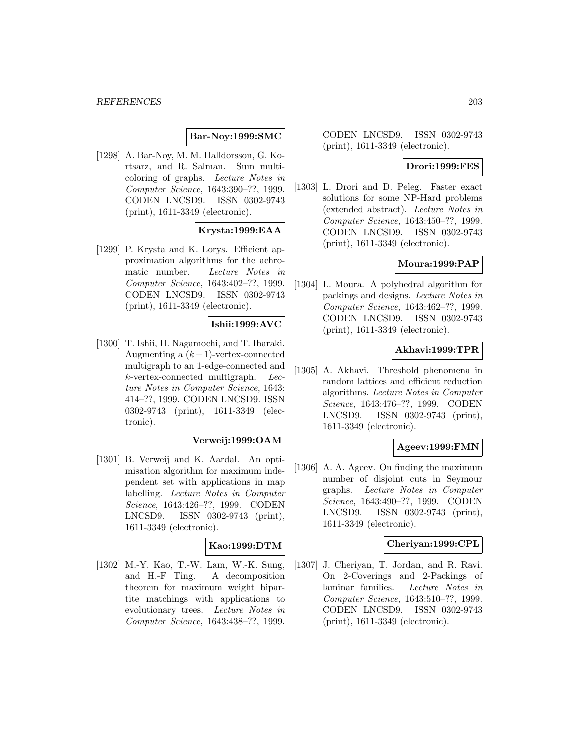**Bar-Noy:1999:SMC**

[1298] A. Bar-Noy, M. M. Halldorsson, G. Kortsarz, and R. Salman. Sum multicoloring of graphs. Lecture Notes in Computer Science, 1643:390–??, 1999. CODEN LNCSD9. ISSN 0302-9743 (print), 1611-3349 (electronic).

## **Krysta:1999:EAA**

[1299] P. Krysta and K. Lorys. Efficient approximation algorithms for the achromatic number. Lecture Notes in Computer Science, 1643:402–??, 1999. CODEN LNCSD9. ISSN 0302-9743 (print), 1611-3349 (electronic).

## **Ishii:1999:AVC**

[1300] T. Ishii, H. Nagamochi, and T. Ibaraki. Augmenting a  $(k-1)$ -vertex-connected multigraph to an 1-edge-connected and k-vertex-connected multigraph. Lecture Notes in Computer Science, 1643: 414–??, 1999. CODEN LNCSD9. ISSN 0302-9743 (print), 1611-3349 (electronic).

#### **Verweij:1999:OAM**

[1301] B. Verweij and K. Aardal. An optimisation algorithm for maximum independent set with applications in map labelling. Lecture Notes in Computer Science, 1643:426–??, 1999. CODEN LNCSD9. ISSN 0302-9743 (print), 1611-3349 (electronic).

# **Kao:1999:DTM**

[1302] M.-Y. Kao, T.-W. Lam, W.-K. Sung, and H.-F Ting. A decomposition theorem for maximum weight bipartite matchings with applications to evolutionary trees. Lecture Notes in Computer Science, 1643:438–??, 1999.

CODEN LNCSD9. ISSN 0302-9743 (print), 1611-3349 (electronic).

## **Drori:1999:FES**

[1303] L. Drori and D. Peleg. Faster exact solutions for some NP-Hard problems (extended abstract). Lecture Notes in Computer Science, 1643:450–??, 1999. CODEN LNCSD9. ISSN 0302-9743 (print), 1611-3349 (electronic).

## **Moura:1999:PAP**

[1304] L. Moura. A polyhedral algorithm for packings and designs. Lecture Notes in Computer Science, 1643:462–??, 1999. CODEN LNCSD9. ISSN 0302-9743 (print), 1611-3349 (electronic).

## **Akhavi:1999:TPR**

[1305] A. Akhavi. Threshold phenomena in random lattices and efficient reduction algorithms. Lecture Notes in Computer Science, 1643:476–??, 1999. CODEN LNCSD9. ISSN 0302-9743 (print), 1611-3349 (electronic).

## **Ageev:1999:FMN**

[1306] A. A. Ageev. On finding the maximum number of disjoint cuts in Seymour graphs. Lecture Notes in Computer Science, 1643:490–??, 1999. CODEN LNCSD9. ISSN 0302-9743 (print), 1611-3349 (electronic).

#### **Cheriyan:1999:CPL**

[1307] J. Cheriyan, T. Jordan, and R. Ravi. On 2-Coverings and 2-Packings of laminar families. Lecture Notes in Computer Science, 1643:510–??, 1999. CODEN LNCSD9. ISSN 0302-9743 (print), 1611-3349 (electronic).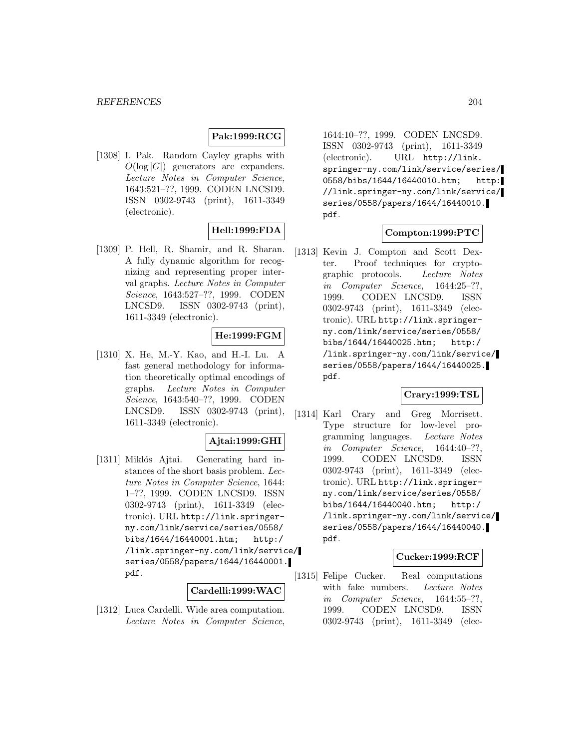# **Pak:1999:RCG**

[1308] I. Pak. Random Cayley graphs with  $O(\log |G|)$  generators are expanders. Lecture Notes in Computer Science, 1643:521–??, 1999. CODEN LNCSD9. ISSN 0302-9743 (print), 1611-3349 (electronic).

# **Hell:1999:FDA**

[1309] P. Hell, R. Shamir, and R. Sharan. A fully dynamic algorithm for recognizing and representing proper interval graphs. Lecture Notes in Computer Science, 1643:527–??, 1999. CODEN LNCSD9. ISSN 0302-9743 (print), 1611-3349 (electronic).

## **He:1999:FGM**

[1310] X. He, M.-Y. Kao, and H.-I. Lu. A fast general methodology for information theoretically optimal encodings of graphs. Lecture Notes in Computer Science, 1643:540–??, 1999. CODEN LNCSD9. ISSN 0302-9743 (print), 1611-3349 (electronic).

# **Ajtai:1999:GHI**

[1311] Miklós Ajtai. Generating hard instances of the short basis problem. Lecture Notes in Computer Science, 1644: 1–??, 1999. CODEN LNCSD9. ISSN 0302-9743 (print), 1611-3349 (electronic). URL http://link.springerny.com/link/service/series/0558/ bibs/1644/16440001.htm; http:/ /link.springer-ny.com/link/service/ series/0558/papers/1644/16440001. pdf.

#### **Cardelli:1999:WAC**

[1312] Luca Cardelli. Wide area computation. Lecture Notes in Computer Science,

1644:10–??, 1999. CODEN LNCSD9. ISSN 0302-9743 (print), 1611-3349 (electronic). URL http://link. springer-ny.com/link/service/series/ 0558/bibs/1644/16440010.htm; http: //link.springer-ny.com/link/service/ series/0558/papers/1644/16440010. pdf.

## **Compton:1999:PTC**

[1313] Kevin J. Compton and Scott Dexter. Proof techniques for cryptographic protocols. Lecture Notes in Computer Science, 1644:25–??, 1999. CODEN LNCSD9. ISSN 0302-9743 (print), 1611-3349 (electronic). URL http://link.springerny.com/link/service/series/0558/ bibs/1644/16440025.htm; http:/ /link.springer-ny.com/link/service/ series/0558/papers/1644/16440025. pdf.

## **Crary:1999:TSL**

[1314] Karl Crary and Greg Morrisett. Type structure for low-level programming languages. Lecture Notes in Computer Science, 1644:40–??, 1999. CODEN LNCSD9. ISSN 0302-9743 (print), 1611-3349 (electronic). URL http://link.springerny.com/link/service/series/0558/ bibs/1644/16440040.htm; http:/ /link.springer-ny.com/link/service/ series/0558/papers/1644/16440040. pdf.

## **Cucker:1999:RCF**

[1315] Felipe Cucker. Real computations with fake numbers. Lecture Notes in Computer Science, 1644:55–??, 1999. CODEN LNCSD9. ISSN 0302-9743 (print), 1611-3349 (elec-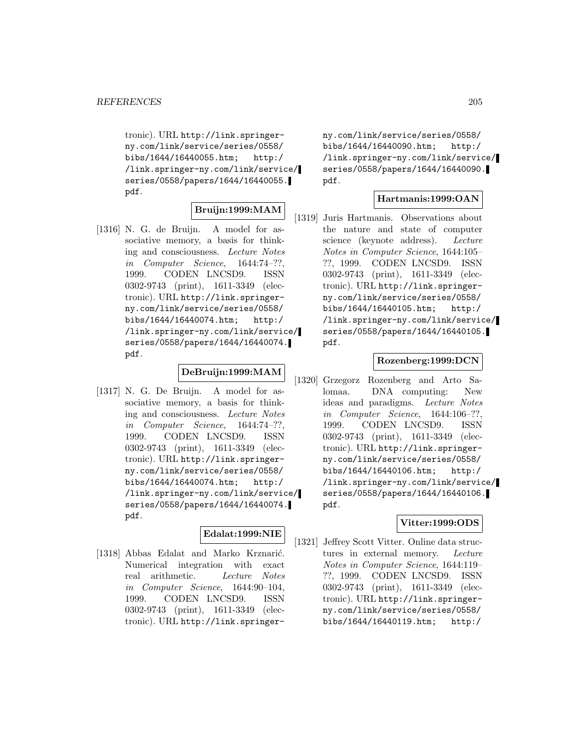tronic). URL http://link.springerny.com/link/service/series/0558/ bibs/1644/16440055.htm; http:/ /link.springer-ny.com/link/service/ series/0558/papers/1644/16440055. pdf.

## **Bruijn:1999:MAM**

[1316] N. G. de Bruijn. A model for associative memory, a basis for thinking and consciousness. Lecture Notes in Computer Science, 1644:74–??, 1999. CODEN LNCSD9. ISSN 0302-9743 (print), 1611-3349 (electronic). URL http://link.springerny.com/link/service/series/0558/ bibs/1644/16440074.htm; http:/ /link.springer-ny.com/link/service/ series/0558/papers/1644/16440074. pdf.

## **DeBruijn:1999:MAM**

[1317] N. G. De Bruijn. A model for associative memory, a basis for thinking and consciousness. Lecture Notes in Computer Science, 1644:74–??, 1999. CODEN LNCSD9. ISSN 0302-9743 (print), 1611-3349 (electronic). URL http://link.springerny.com/link/service/series/0558/ bibs/1644/16440074.htm; http:/ /link.springer-ny.com/link/service/ series/0558/papers/1644/16440074. pdf.

## **Edalat:1999:NIE**

[1318] Abbas Edalat and Marko Krznarić. Numerical integration with exact real arithmetic. Lecture Notes in Computer Science, 1644:90–104, 1999. CODEN LNCSD9. ISSN 0302-9743 (print), 1611-3349 (electronic). URL http://link.springerny.com/link/service/series/0558/ bibs/1644/16440090.htm; http:/ /link.springer-ny.com/link/service/ series/0558/papers/1644/16440090. pdf.

#### **Hartmanis:1999:OAN**

[1319] Juris Hartmanis. Observations about the nature and state of computer science (keynote address). Lecture Notes in Computer Science, 1644:105– ??, 1999. CODEN LNCSD9. ISSN 0302-9743 (print), 1611-3349 (electronic). URL http://link.springerny.com/link/service/series/0558/ bibs/1644/16440105.htm; http:/ /link.springer-ny.com/link/service/ series/0558/papers/1644/16440105. pdf.

# **Rozenberg:1999:DCN**

[1320] Grzegorz Rozenberg and Arto Salomaa. DNA computing: New ideas and paradigms. Lecture Notes in Computer Science, 1644:106–??, 1999. CODEN LNCSD9. ISSN 0302-9743 (print), 1611-3349 (electronic). URL http://link.springerny.com/link/service/series/0558/ bibs/1644/16440106.htm; http:/ /link.springer-ny.com/link/service/ series/0558/papers/1644/16440106. pdf.

#### **Vitter:1999:ODS**

[1321] Jeffrey Scott Vitter. Online data structures in external memory. Lecture Notes in Computer Science, 1644:119– ??, 1999. CODEN LNCSD9. ISSN 0302-9743 (print), 1611-3349 (electronic). URL http://link.springerny.com/link/service/series/0558/ bibs/1644/16440119.htm; http:/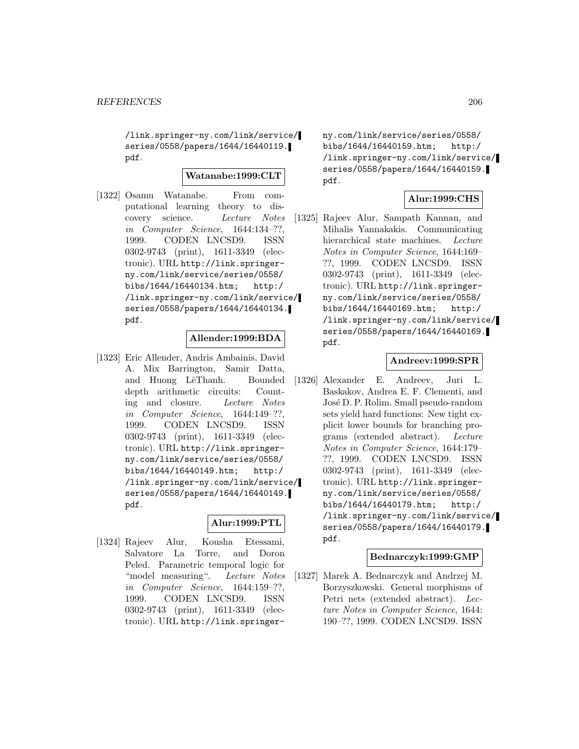/link.springer-ny.com/link/service/ series/0558/papers/1644/16440119. pdf.

## **Watanabe:1999:CLT**

[1322] Osamu Watanabe. From computational learning theory to discovery science. Lecture Notes in Computer Science, 1644:134–??, 1999. CODEN LNCSD9. ISSN 0302-9743 (print), 1611-3349 (electronic). URL http://link.springerny.com/link/service/series/0558/ bibs/1644/16440134.htm; http:/ /link.springer-ny.com/link/service/ series/0558/papers/1644/16440134. pdf.

## **Allender:1999:BDA**

[1323] Eric Allender, Andris Ambainis, David A. Mix Barrington, Samir Datta, and Huong LêThanh. Bounded depth arithmetic circuits: Counting and closure. Lecture Notes in Computer Science, 1644:149–??, 1999. CODEN LNCSD9. ISSN 0302-9743 (print), 1611-3349 (electronic). URL http://link.springerny.com/link/service/series/0558/ bibs/1644/16440149.htm; http:/ /link.springer-ny.com/link/service/ series/0558/papers/1644/16440149. pdf.

# **Alur:1999:PTL**

[1324] Rajeev Alur, Kousha Etessami, Salvatore La Torre, and Doron Peled. Parametric temporal logic for "model measuring". Lecture Notes in Computer Science, 1644:159–??, 1999. CODEN LNCSD9. ISSN 0302-9743 (print), 1611-3349 (electronic). URL http://link.springerny.com/link/service/series/0558/ bibs/1644/16440159.htm; http:/ /link.springer-ny.com/link/service/ series/0558/papers/1644/16440159. pdf.

## **Alur:1999:CHS**

[1325] Rajeev Alur, Sampath Kannan, and Mihalis Yannakakis. Communicating hierarchical state machines. Lecture Notes in Computer Science, 1644:169– ??, 1999. CODEN LNCSD9. ISSN 0302-9743 (print), 1611-3349 (electronic). URL http://link.springerny.com/link/service/series/0558/ bibs/1644/16440169.htm; http:/ /link.springer-ny.com/link/service/ series/0558/papers/1644/16440169. pdf.

#### **Andreev:1999:SPR**

[1326] Alexander E. Andreev, Juri L. Baskakov, Andrea E. F. Clementi, and José D. P. Rolim. Small pseudo-random sets yield hard functions: New tight explicit lower bounds for branching programs (extended abstract). Lecture Notes in Computer Science, 1644:179– ??, 1999. CODEN LNCSD9. ISSN 0302-9743 (print), 1611-3349 (electronic). URL http://link.springerny.com/link/service/series/0558/ bibs/1644/16440179.htm; http:/ /link.springer-ny.com/link/service/ series/0558/papers/1644/16440179. pdf.

#### **Bednarczyk:1999:GMP**

[1327] Marek A. Bednarczyk and Andrzej M. Borzyszkowski. General morphisms of Petri nets (extended abstract). Lecture Notes in Computer Science, 1644: 190–??, 1999. CODEN LNCSD9. ISSN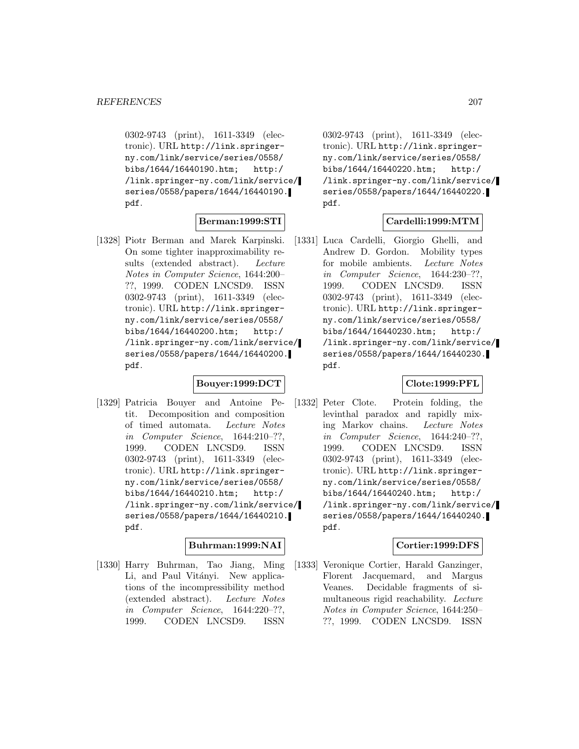0302-9743 (print), 1611-3349 (electronic). URL http://link.springerny.com/link/service/series/0558/ bibs/1644/16440190.htm; http:/ /link.springer-ny.com/link/service/ series/0558/papers/1644/16440190. pdf.

## **Berman:1999:STI**

[1328] Piotr Berman and Marek Karpinski. On some tighter inapproximability results (extended abstract). Lecture Notes in Computer Science, 1644:200– ??, 1999. CODEN LNCSD9. ISSN 0302-9743 (print), 1611-3349 (electronic). URL http://link.springerny.com/link/service/series/0558/ bibs/1644/16440200.htm; http:/ /link.springer-ny.com/link/service/ series/0558/papers/1644/16440200. pdf.

## **Bouyer:1999:DCT**

[1329] Patricia Bouyer and Antoine Petit. Decomposition and composition of timed automata. Lecture Notes in Computer Science, 1644:210–??, 1999. CODEN LNCSD9. ISSN 0302-9743 (print), 1611-3349 (electronic). URL http://link.springerny.com/link/service/series/0558/ bibs/1644/16440210.htm; http:/ /link.springer-ny.com/link/service/ series/0558/papers/1644/16440210. pdf.

## **Buhrman:1999:NAI**

[1330] Harry Buhrman, Tao Jiang, Ming Li, and Paul Vitányi. New applications of the incompressibility method (extended abstract). Lecture Notes in Computer Science, 1644:220–??, 1999. CODEN LNCSD9. ISSN

0302-9743 (print), 1611-3349 (electronic). URL http://link.springerny.com/link/service/series/0558/ bibs/1644/16440220.htm; http:/ /link.springer-ny.com/link/service/ series/0558/papers/1644/16440220. pdf.

## **Cardelli:1999:MTM**

[1331] Luca Cardelli, Giorgio Ghelli, and Andrew D. Gordon. Mobility types for mobile ambients. Lecture Notes in Computer Science, 1644:230–??, 1999. CODEN LNCSD9. ISSN 0302-9743 (print), 1611-3349 (electronic). URL http://link.springerny.com/link/service/series/0558/ bibs/1644/16440230.htm; http:/ /link.springer-ny.com/link/service/ series/0558/papers/1644/16440230. pdf.

## **Clote:1999:PFL**

[1332] Peter Clote. Protein folding, the levinthal paradox and rapidly mixing Markov chains. Lecture Notes in Computer Science, 1644:240–??, 1999. CODEN LNCSD9. ISSN 0302-9743 (print), 1611-3349 (electronic). URL http://link.springerny.com/link/service/series/0558/ bibs/1644/16440240.htm; http:/ /link.springer-ny.com/link/service/ series/0558/papers/1644/16440240. pdf.

## **Cortier:1999:DFS**

[1333] Veronique Cortier, Harald Ganzinger, Florent Jacquemard, and Margus Veanes. Decidable fragments of simultaneous rigid reachability. Lecture Notes in Computer Science, 1644:250– ??, 1999. CODEN LNCSD9. ISSN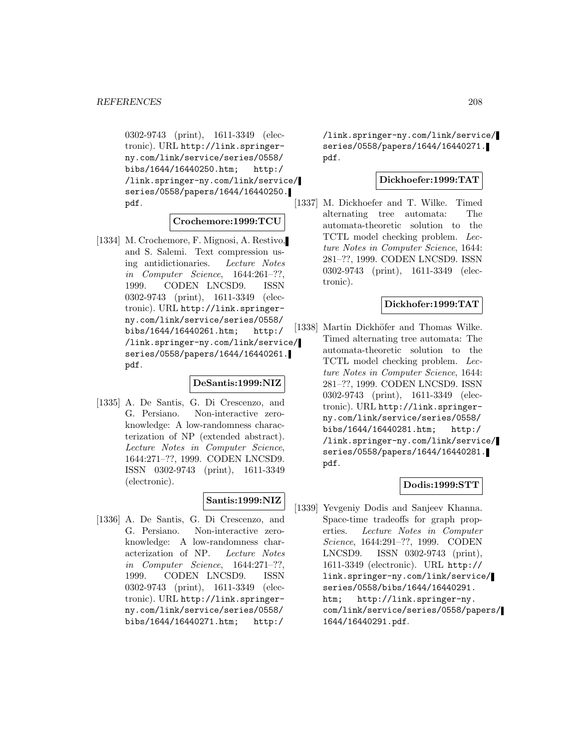0302-9743 (print), 1611-3349 (electronic). URL http://link.springerny.com/link/service/series/0558/ bibs/1644/16440250.htm; http:/ /link.springer-ny.com/link/service/ series/0558/papers/1644/16440250. pdf.

## **Crochemore:1999:TCU**

[1334] M. Crochemore, F. Mignosi, A. Restivo, and S. Salemi. Text compression using antidictionaries. Lecture Notes in Computer Science, 1644:261–??, 1999. CODEN LNCSD9. ISSN 0302-9743 (print), 1611-3349 (electronic). URL http://link.springerny.com/link/service/series/0558/ bibs/1644/16440261.htm; http:/ /link.springer-ny.com/link/service/ series/0558/papers/1644/16440261. pdf.

#### **DeSantis:1999:NIZ**

[1335] A. De Santis, G. Di Crescenzo, and G. Persiano. Non-interactive zeroknowledge: A low-randomness characterization of NP (extended abstract). Lecture Notes in Computer Science, 1644:271–??, 1999. CODEN LNCSD9. ISSN 0302-9743 (print), 1611-3349 (electronic).

# **Santis:1999:NIZ**

[1336] A. De Santis, G. Di Crescenzo, and G. Persiano. Non-interactive zeroknowledge: A low-randomness characterization of NP. Lecture Notes in Computer Science, 1644:271–??, 1999. CODEN LNCSD9. ISSN 0302-9743 (print), 1611-3349 (electronic). URL http://link.springerny.com/link/service/series/0558/ bibs/1644/16440271.htm; http:/

/link.springer-ny.com/link/service/ series/0558/papers/1644/16440271. pdf.

#### **Dickhoefer:1999:TAT**

[1337] M. Dickhoefer and T. Wilke. Timed alternating tree automata: The automata-theoretic solution to the TCTL model checking problem. Lecture Notes in Computer Science, 1644: 281–??, 1999. CODEN LNCSD9. ISSN 0302-9743 (print), 1611-3349 (electronic).

#### **Dickhofer:1999:TAT**

[1338] Martin Dickhöfer and Thomas Wilke. Timed alternating tree automata: The automata-theoretic solution to the TCTL model checking problem. Lecture Notes in Computer Science, 1644: 281–??, 1999. CODEN LNCSD9. ISSN 0302-9743 (print), 1611-3349 (electronic). URL http://link.springerny.com/link/service/series/0558/ bibs/1644/16440281.htm; http:/ /link.springer-ny.com/link/service/ series/0558/papers/1644/16440281. pdf.

# **Dodis:1999:STT**

[1339] Yevgeniy Dodis and Sanjeev Khanna. Space-time tradeoffs for graph properties. Lecture Notes in Computer Science, 1644:291–??, 1999. CODEN LNCSD9. ISSN 0302-9743 (print), 1611-3349 (electronic). URL http:// link.springer-ny.com/link/service/ series/0558/bibs/1644/16440291. htm; http://link.springer-ny. com/link/service/series/0558/papers/ 1644/16440291.pdf.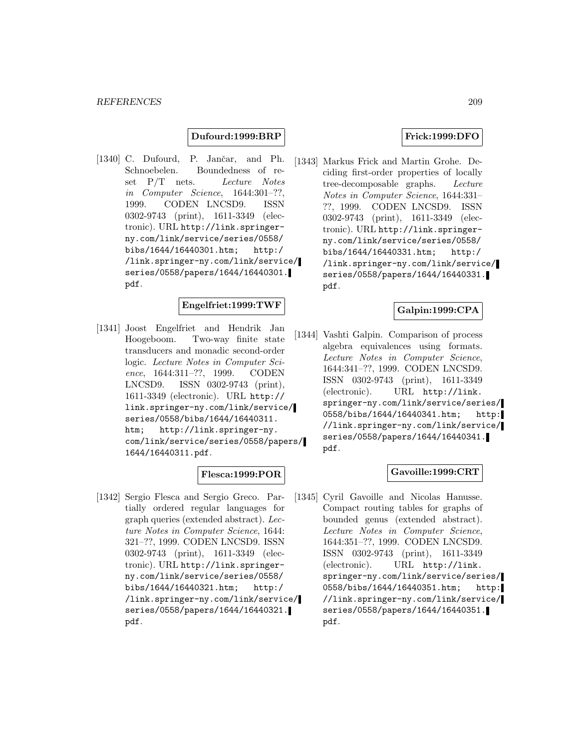### **Dufourd:1999:BRP**

[1340] C. Dufourd, P. Jančar, and Ph. Schnoebelen. Boundedness of reset P/T nets. Lecture Notes in Computer Science, 1644:301–??, 1999. CODEN LNCSD9. ISSN 0302-9743 (print), 1611-3349 (electronic). URL http://link.springerny.com/link/service/series/0558/ bibs/1644/16440301.htm; http:/ /link.springer-ny.com/link/service/ series/0558/papers/1644/16440301. pdf.

## **Engelfriet:1999:TWF**

[1341] Joost Engelfriet and Hendrik Jan Hoogeboom. Two-way finite state transducers and monadic second-order logic. Lecture Notes in Computer Science, 1644:311–??, 1999. CODEN LNCSD9. ISSN 0302-9743 (print), 1611-3349 (electronic). URL http:// link.springer-ny.com/link/service/ series/0558/bibs/1644/16440311. htm; http://link.springer-ny. com/link/service/series/0558/papers/ 1644/16440311.pdf.

#### **Flesca:1999:POR**

[1342] Sergio Flesca and Sergio Greco. Partially ordered regular languages for graph queries (extended abstract). Lecture Notes in Computer Science, 1644: 321–??, 1999. CODEN LNCSD9. ISSN 0302-9743 (print), 1611-3349 (electronic). URL http://link.springerny.com/link/service/series/0558/ bibs/1644/16440321.htm; http:/ /link.springer-ny.com/link/service/ series/0558/papers/1644/16440321. pdf.

#### **Frick:1999:DFO**

[1343] Markus Frick and Martin Grohe. Deciding first-order properties of locally tree-decomposable graphs. Lecture Notes in Computer Science, 1644:331– ??, 1999. CODEN LNCSD9. ISSN 0302-9743 (print), 1611-3349 (electronic). URL http://link.springerny.com/link/service/series/0558/ bibs/1644/16440331.htm; http:/ /link.springer-ny.com/link/service/ series/0558/papers/1644/16440331. pdf.

#### **Galpin:1999:CPA**

[1344] Vashti Galpin. Comparison of process algebra equivalences using formats. Lecture Notes in Computer Science, 1644:341–??, 1999. CODEN LNCSD9. ISSN 0302-9743 (print), 1611-3349 (electronic). URL http://link. springer-ny.com/link/service/series/ 0558/bibs/1644/16440341.htm; http: //link.springer-ny.com/link/service/ series/0558/papers/1644/16440341. pdf.

#### **Gavoille:1999:CRT**

[1345] Cyril Gavoille and Nicolas Hanusse. Compact routing tables for graphs of bounded genus (extended abstract). Lecture Notes in Computer Science, 1644:351–??, 1999. CODEN LNCSD9. ISSN 0302-9743 (print), 1611-3349 (electronic). URL http://link. springer-ny.com/link/service/series/ 0558/bibs/1644/16440351.htm; http: //link.springer-ny.com/link/service/ series/0558/papers/1644/16440351. pdf.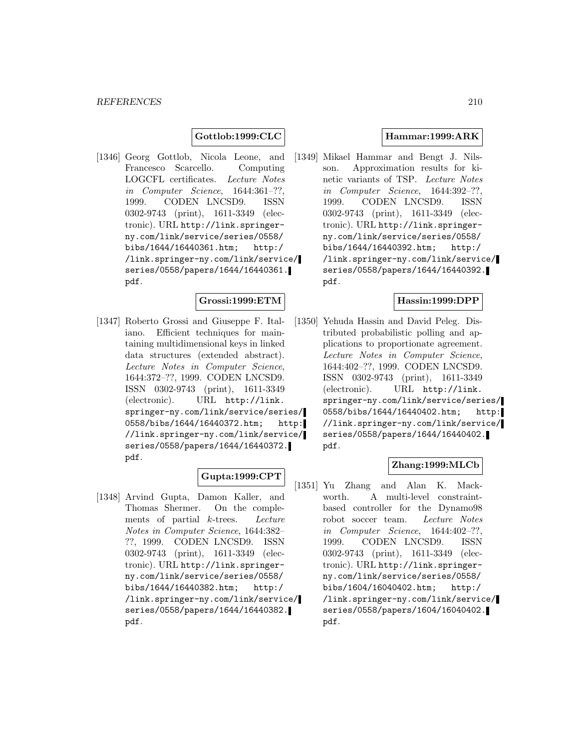### **Gottlob:1999:CLC**

[1346] Georg Gottlob, Nicola Leone, and Francesco Scarcello. Computing LOGCFL certificates. Lecture Notes in Computer Science, 1644:361–??, 1999. CODEN LNCSD9. ISSN 0302-9743 (print), 1611-3349 (electronic). URL http://link.springerny.com/link/service/series/0558/ bibs/1644/16440361.htm; http:/ /link.springer-ny.com/link/service/ series/0558/papers/1644/16440361. pdf.

#### **Grossi:1999:ETM**

[1347] Roberto Grossi and Giuseppe F. Italiano. Efficient techniques for maintaining multidimensional keys in linked data structures (extended abstract). Lecture Notes in Computer Science, 1644:372–??, 1999. CODEN LNCSD9. ISSN 0302-9743 (print), 1611-3349 (electronic). URL http://link. springer-ny.com/link/service/series/ 0558/bibs/1644/16440372.htm; http: //link.springer-ny.com/link/service/ series/0558/papers/1644/16440372. pdf.

## **Gupta:1999:CPT**

[1348] Arvind Gupta, Damon Kaller, and Thomas Shermer. On the complements of partial k-trees. Lecture Notes in Computer Science, 1644:382– ??, 1999. CODEN LNCSD9. ISSN 0302-9743 (print), 1611-3349 (electronic). URL http://link.springerny.com/link/service/series/0558/ bibs/1644/16440382.htm; http:/ /link.springer-ny.com/link/service/ series/0558/papers/1644/16440382. pdf.

### **Hammar:1999:ARK**

[1349] Mikael Hammar and Bengt J. Nilsson. Approximation results for kinetic variants of TSP. Lecture Notes in Computer Science, 1644:392–??, 1999. CODEN LNCSD9. ISSN 0302-9743 (print), 1611-3349 (electronic). URL http://link.springerny.com/link/service/series/0558/ bibs/1644/16440392.htm; http:/ /link.springer-ny.com/link/service/ series/0558/papers/1644/16440392. pdf.

### **Hassin:1999:DPP**

[1350] Yehuda Hassin and David Peleg. Distributed probabilistic polling and applications to proportionate agreement. Lecture Notes in Computer Science, 1644:402–??, 1999. CODEN LNCSD9. ISSN 0302-9743 (print), 1611-3349 (electronic). URL http://link. springer-ny.com/link/service/series/ 0558/bibs/1644/16440402.htm; http: //link.springer-ny.com/link/service/ series/0558/papers/1644/16440402. pdf.

## **Zhang:1999:MLCb**

[1351] Yu Zhang and Alan K. Mackworth. A multi-level constraintbased controller for the Dynamo98 robot soccer team. Lecture Notes in Computer Science, 1644:402–??, 1999. CODEN LNCSD9. ISSN 0302-9743 (print), 1611-3349 (electronic). URL http://link.springerny.com/link/service/series/0558/ bibs/1604/16040402.htm; http:/ /link.springer-ny.com/link/service/ series/0558/papers/1604/16040402. pdf.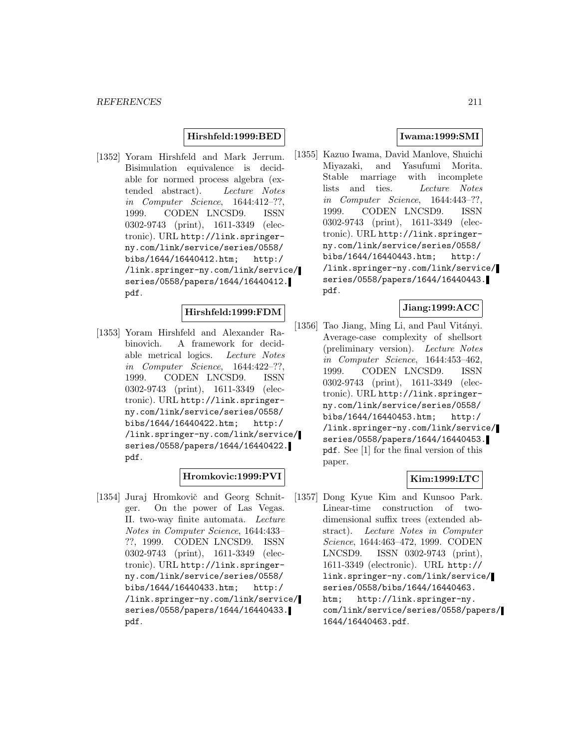## **Hirshfeld:1999:BED**

[1352] Yoram Hirshfeld and Mark Jerrum. Bisimulation equivalence is decidable for normed process algebra (extended abstract). Lecture Notes in Computer Science, 1644:412–??, 1999. CODEN LNCSD9. ISSN 0302-9743 (print), 1611-3349 (electronic). URL http://link.springerny.com/link/service/series/0558/ bibs/1644/16440412.htm; http:/ /link.springer-ny.com/link/service/ series/0558/papers/1644/16440412. pdf.

# **Hirshfeld:1999:FDM**

[1353] Yoram Hirshfeld and Alexander Rabinovich. A framework for decidable metrical logics. Lecture Notes in Computer Science, 1644:422–??, 1999. CODEN LNCSD9. ISSN 0302-9743 (print), 1611-3349 (electronic). URL http://link.springerny.com/link/service/series/0558/ bibs/1644/16440422.htm; http:/ /link.springer-ny.com/link/service/ series/0558/papers/1644/16440422. pdf.

## **Hromkovic:1999:PVI**

[1354] Juraj Hromkovič and Georg Schnitger. On the power of Las Vegas. II. two-way finite automata. Lecture Notes in Computer Science, 1644:433– ??, 1999. CODEN LNCSD9. ISSN 0302-9743 (print), 1611-3349 (electronic). URL http://link.springerny.com/link/service/series/0558/ bibs/1644/16440433.htm; http:/ /link.springer-ny.com/link/service/ series/0558/papers/1644/16440433. pdf.

## **Iwama:1999:SMI**

[1355] Kazuo Iwama, David Manlove, Shuichi Miyazaki, and Yasufumi Morita. Stable marriage with incomplete lists and ties. Lecture Notes in Computer Science, 1644:443–??, 1999. CODEN LNCSD9. ISSN 0302-9743 (print), 1611-3349 (electronic). URL http://link.springerny.com/link/service/series/0558/ bibs/1644/16440443.htm; http:/ /link.springer-ny.com/link/service/ series/0558/papers/1644/16440443. pdf.

## **Jiang:1999:ACC**

[1356] Tao Jiang, Ming Li, and Paul Vitányi. Average-case complexity of shellsort (preliminary version). Lecture Notes in Computer Science, 1644:453–462, 1999. CODEN LNCSD9. ISSN 0302-9743 (print), 1611-3349 (electronic). URL http://link.springerny.com/link/service/series/0558/ bibs/1644/16440453.htm; http:/ /link.springer-ny.com/link/service/ series/0558/papers/1644/16440453. pdf. See [1] for the final version of this paper.

## **Kim:1999:LTC**

[1357] Dong Kyue Kim and Kunsoo Park. Linear-time construction of twodimensional suffix trees (extended abstract). Lecture Notes in Computer Science, 1644:463–472, 1999. CODEN LNCSD9. ISSN 0302-9743 (print), 1611-3349 (electronic). URL http:// link.springer-ny.com/link/service/ series/0558/bibs/1644/16440463. htm; http://link.springer-ny. com/link/service/series/0558/papers/ 1644/16440463.pdf.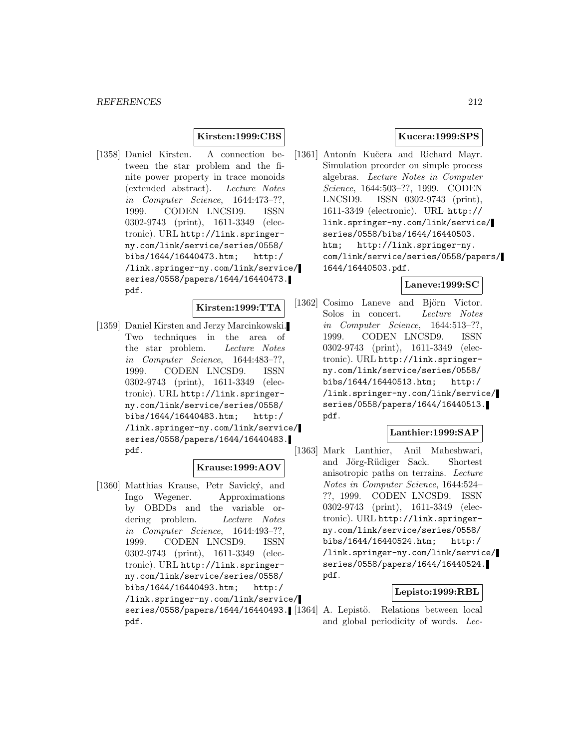## **Kirsten:1999:CBS**

[1358] Daniel Kirsten. A connection between the star problem and the finite power property in trace monoids (extended abstract). Lecture Notes in Computer Science, 1644:473–??, 1999. CODEN LNCSD9. ISSN 0302-9743 (print), 1611-3349 (electronic). URL http://link.springerny.com/link/service/series/0558/ bibs/1644/16440473.htm; http:/ /link.springer-ny.com/link/service/ series/0558/papers/1644/16440473. pdf.

#### **Kirsten:1999:TTA**

[1359] Daniel Kirsten and Jerzy Marcinkowski. Two techniques in the area of the star problem. Lecture Notes in Computer Science, 1644:483–??, 1999. CODEN LNCSD9. ISSN 0302-9743 (print), 1611-3349 (electronic). URL http://link.springerny.com/link/service/series/0558/ bibs/1644/16440483.htm; http:/ /link.springer-ny.com/link/service/ series/0558/papers/1644/16440483. pdf.

# **Krause:1999:AOV**

[1360] Matthias Krause, Petr Savický, and Ingo Wegener. Approximations by OBDDs and the variable ordering problem. Lecture Notes in Computer Science, 1644:493–??, 1999. CODEN LNCSD9. ISSN 0302-9743 (print), 1611-3349 (electronic). URL http://link.springerny.com/link/service/series/0558/ bibs/1644/16440493.htm; http:/ /link.springer-ny.com/link/service/ pdf.

### **Kucera:1999:SPS**

[1361] Antonín Kučera and Richard Mayr. Simulation preorder on simple process algebras. Lecture Notes in Computer Science, 1644:503–??, 1999. CODEN LNCSD9. ISSN 0302-9743 (print), 1611-3349 (electronic). URL http:// link.springer-ny.com/link/service/ series/0558/bibs/1644/16440503. htm; http://link.springer-ny. com/link/service/series/0558/papers/ 1644/16440503.pdf.

### **Laneve:1999:SC**

[1362] Cosimo Laneve and Björn Victor. Solos in concert. Lecture Notes in Computer Science, 1644:513–??, 1999. CODEN LNCSD9. ISSN 0302-9743 (print), 1611-3349 (electronic). URL http://link.springerny.com/link/service/series/0558/ bibs/1644/16440513.htm; http:/ /link.springer-ny.com/link/service/ series/0558/papers/1644/16440513. pdf.

## **Lanthier:1999:SAP**

[1363] Mark Lanthier, Anil Maheshwari, and Jörg-Rüdiger Sack. Shortest anisotropic paths on terrains. Lecture Notes in Computer Science, 1644:524– ??, 1999. CODEN LNCSD9. ISSN 0302-9743 (print), 1611-3349 (electronic). URL http://link.springerny.com/link/service/series/0558/ bibs/1644/16440524.htm; http:/ /link.springer-ny.com/link/service/ series/0558/papers/1644/16440524. pdf.

## **Lepisto:1999:RBL**

series/0558/papers/1644/16440493. [[1364] A. Lepistö. Relations between local and global periodicity of words. Lec-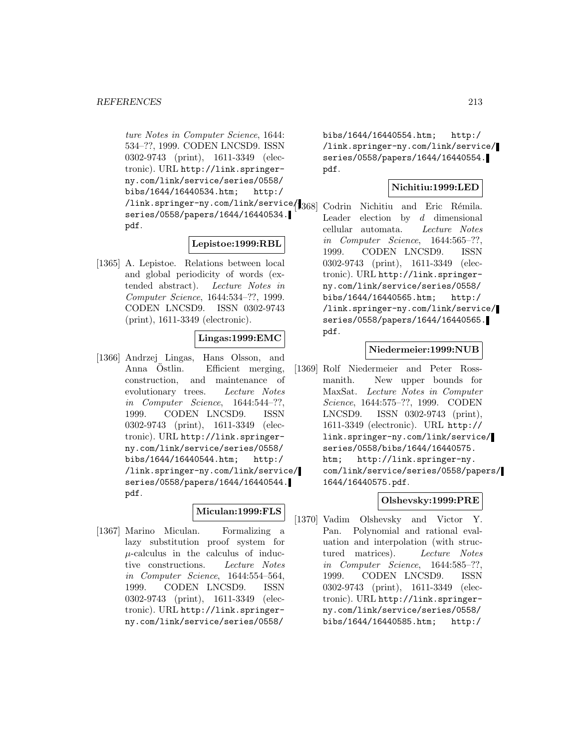ture Notes in Computer Science, 1644: 534–??, 1999. CODEN LNCSD9. ISSN 0302-9743 (print), 1611-3349 (electronic). URL http://link.springerny.com/link/service/series/0558/ bibs/1644/16440534.htm; http:/ /link.springer-ny.com/link/service/ series/0558/papers/1644/16440534. pdf.

## **Lepistoe:1999:RBL**

[1365] A. Lepistoe. Relations between local and global periodicity of words (extended abstract). Lecture Notes in Computer Science, 1644:534–??, 1999. CODEN LNCSD9. ISSN 0302-9743 (print), 1611-3349 (electronic).

## **Lingas:1999:EMC**

[1366] Andrzej Lingas, Hans Olsson, and Anna Östlin. Efficient merging, construction, and maintenance of evolutionary trees. Lecture Notes in Computer Science, 1644:544–??, 1999. CODEN LNCSD9. ISSN 0302-9743 (print), 1611-3349 (electronic). URL http://link.springerny.com/link/service/series/0558/ bibs/1644/16440544.htm; http:/ /link.springer-ny.com/link/service/ series/0558/papers/1644/16440544. pdf.

## **Miculan:1999:FLS**

[1367] Marino Miculan. Formalizing a lazy substitution proof system for  $\mu$ -calculus in the calculus of inductive constructions. Lecture Notes in Computer Science, 1644:554–564, 1999. CODEN LNCSD9. ISSN 0302-9743 (print), 1611-3349 (electronic). URL http://link.springerny.com/link/service/series/0558/

bibs/1644/16440554.htm; http:/ /link.springer-ny.com/link/service/ series/0558/papers/1644/16440554. pdf.

# **Nichitiu:1999:LED**

Codrin Nichitiu and Eric Rémila. Leader election by  $d$  dimensional cellular automata. Lecture Notes in Computer Science, 1644:565–??, 1999. CODEN LNCSD9. ISSN 0302-9743 (print), 1611-3349 (electronic). URL http://link.springerny.com/link/service/series/0558/ bibs/1644/16440565.htm; http:/ /link.springer-ny.com/link/service/ series/0558/papers/1644/16440565. pdf.

## **Niedermeier:1999:NUB**

[1369] Rolf Niedermeier and Peter Rossmanith. New upper bounds for MaxSat. Lecture Notes in Computer Science, 1644:575–??, 1999. CODEN LNCSD9. ISSN 0302-9743 (print), 1611-3349 (electronic). URL http:// link.springer-ny.com/link/service/ series/0558/bibs/1644/16440575. htm; http://link.springer-ny. com/link/service/series/0558/papers/ 1644/16440575.pdf.

## **Olshevsky:1999:PRE**

[1370] Vadim Olshevsky and Victor Y. Pan. Polynomial and rational evaluation and interpolation (with structured matrices). Lecture Notes in Computer Science, 1644:585–??, 1999. CODEN LNCSD9. ISSN 0302-9743 (print), 1611-3349 (electronic). URL http://link.springerny.com/link/service/series/0558/ bibs/1644/16440585.htm; http:/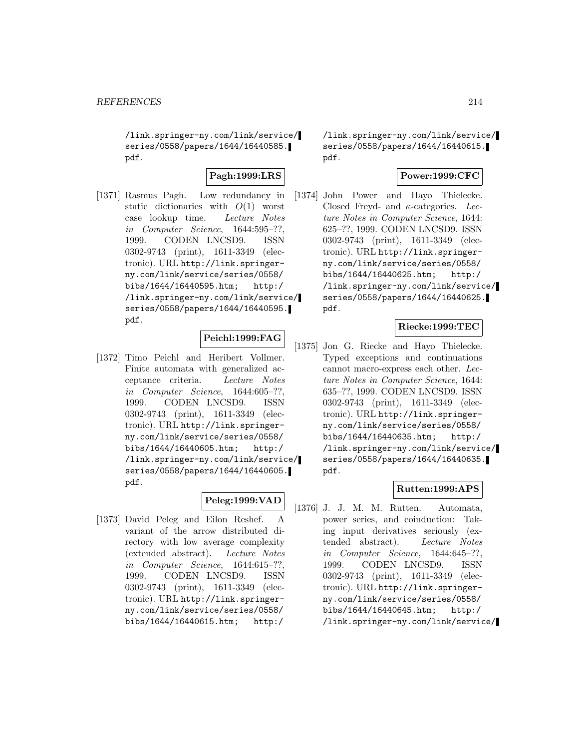/link.springer-ny.com/link/service/ series/0558/papers/1644/16440585. pdf.

## **Pagh:1999:LRS**

[1371] Rasmus Pagh. Low redundancy in static dictionaries with  $O(1)$  worst case lookup time. Lecture Notes in Computer Science, 1644:595–??, 1999. CODEN LNCSD9. ISSN 0302-9743 (print), 1611-3349 (electronic). URL http://link.springerny.com/link/service/series/0558/ bibs/1644/16440595.htm; http:/ /link.springer-ny.com/link/service/ series/0558/papers/1644/16440595. pdf.

## **Peichl:1999:FAG**

[1372] Timo Peichl and Heribert Vollmer. Finite automata with generalized acceptance criteria. Lecture Notes in Computer Science, 1644:605–??, 1999. CODEN LNCSD9. ISSN 0302-9743 (print), 1611-3349 (electronic). URL http://link.springerny.com/link/service/series/0558/ bibs/1644/16440605.htm; http:/ /link.springer-ny.com/link/service/ series/0558/papers/1644/16440605. pdf.

# **Peleg:1999:VAD**

[1373] David Peleg and Eilon Reshef. A variant of the arrow distributed directory with low average complexity (extended abstract). Lecture Notes in Computer Science, 1644:615–??, 1999. CODEN LNCSD9. ISSN 0302-9743 (print), 1611-3349 (electronic). URL http://link.springerny.com/link/service/series/0558/ bibs/1644/16440615.htm; http:/

/link.springer-ny.com/link/service/ series/0558/papers/1644/16440615. pdf.

# **Power:1999:CFC**

[1374] John Power and Hayo Thielecke. Closed Freyd- and  $\kappa$ -categories. Lecture Notes in Computer Science, 1644: 625–??, 1999. CODEN LNCSD9. ISSN 0302-9743 (print), 1611-3349 (electronic). URL http://link.springerny.com/link/service/series/0558/ bibs/1644/16440625.htm; http:/ /link.springer-ny.com/link/service/ series/0558/papers/1644/16440625. pdf.

## **Riecke:1999:TEC**

[1375] Jon G. Riecke and Hayo Thielecke. Typed exceptions and continuations cannot macro-express each other. Lecture Notes in Computer Science, 1644: 635–??, 1999. CODEN LNCSD9. ISSN 0302-9743 (print), 1611-3349 (electronic). URL http://link.springerny.com/link/service/series/0558/ bibs/1644/16440635.htm; http:/ /link.springer-ny.com/link/service/ series/0558/papers/1644/16440635. pdf.

## **Rutten:1999:APS**

[1376] J. J. M. M. Rutten. Automata, power series, and coinduction: Taking input derivatives seriously (extended abstract). Lecture Notes in Computer Science, 1644:645–??, 1999. CODEN LNCSD9. ISSN 0302-9743 (print), 1611-3349 (electronic). URL http://link.springerny.com/link/service/series/0558/ bibs/1644/16440645.htm; http:/ /link.springer-ny.com/link/service/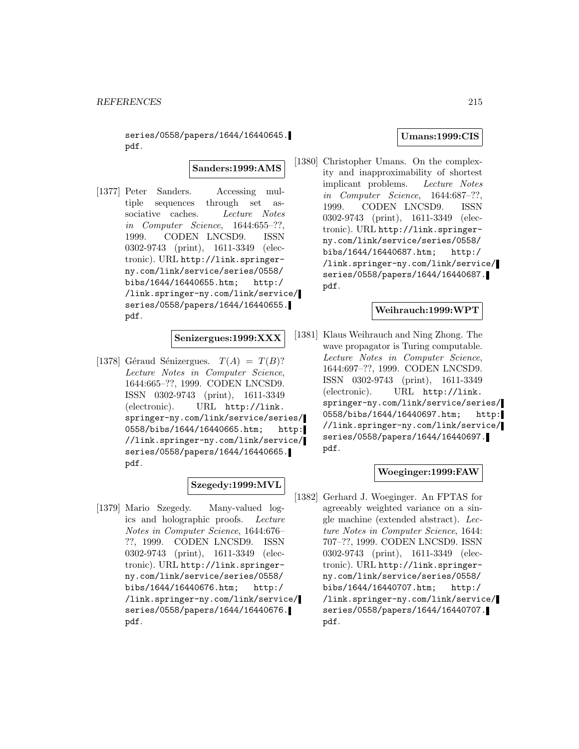series/0558/papers/1644/16440645. pdf.

**Sanders:1999:AMS**

[1377] Peter Sanders. Accessing multiple sequences through set associative caches. Lecture Notes in Computer Science, 1644:655–??, 1999. CODEN LNCSD9. ISSN 0302-9743 (print), 1611-3349 (electronic). URL http://link.springerny.com/link/service/series/0558/ bibs/1644/16440655.htm; http:/ /link.springer-ny.com/link/service/ series/0558/papers/1644/16440655. pdf.

**Senizergues:1999:XXX**

[1378] Géraud Sénizergues.  $T(A) = T(B)$ ? Lecture Notes in Computer Science, 1644:665–??, 1999. CODEN LNCSD9. ISSN 0302-9743 (print), 1611-3349 (electronic). URL http://link. springer-ny.com/link/service/series/ 0558/bibs/1644/16440665.htm; http: //link.springer-ny.com/link/service/ series/0558/papers/1644/16440665. pdf.

# **Szegedy:1999:MVL**

[1379] Mario Szegedy. Many-valued logics and holographic proofs. Lecture Notes in Computer Science, 1644:676– ??, 1999. CODEN LNCSD9. ISSN 0302-9743 (print), 1611-3349 (electronic). URL http://link.springerny.com/link/service/series/0558/ bibs/1644/16440676.htm; http:/ /link.springer-ny.com/link/service/ series/0558/papers/1644/16440676. pdf.

#### **Umans:1999:CIS**

[1380] Christopher Umans. On the complexity and inapproximability of shortest implicant problems. Lecture Notes in Computer Science, 1644:687–??, 1999. CODEN LNCSD9. ISSN 0302-9743 (print), 1611-3349 (electronic). URL http://link.springerny.com/link/service/series/0558/ bibs/1644/16440687.htm; http:/ /link.springer-ny.com/link/service/ series/0558/papers/1644/16440687. pdf.

#### **Weihrauch:1999:WPT**

[1381] Klaus Weihrauch and Ning Zhong. The wave propagator is Turing computable. Lecture Notes in Computer Science, 1644:697–??, 1999. CODEN LNCSD9. ISSN 0302-9743 (print), 1611-3349 (electronic). URL http://link. springer-ny.com/link/service/series/ 0558/bibs/1644/16440697.htm; http: //link.springer-ny.com/link/service/ series/0558/papers/1644/16440697. pdf.

#### **Woeginger:1999:FAW**

[1382] Gerhard J. Woeginger. An FPTAS for agreeably weighted variance on a single machine (extended abstract). Lecture Notes in Computer Science, 1644: 707–??, 1999. CODEN LNCSD9. ISSN 0302-9743 (print), 1611-3349 (electronic). URL http://link.springerny.com/link/service/series/0558/ bibs/1644/16440707.htm; http:/ /link.springer-ny.com/link/service/ series/0558/papers/1644/16440707. pdf.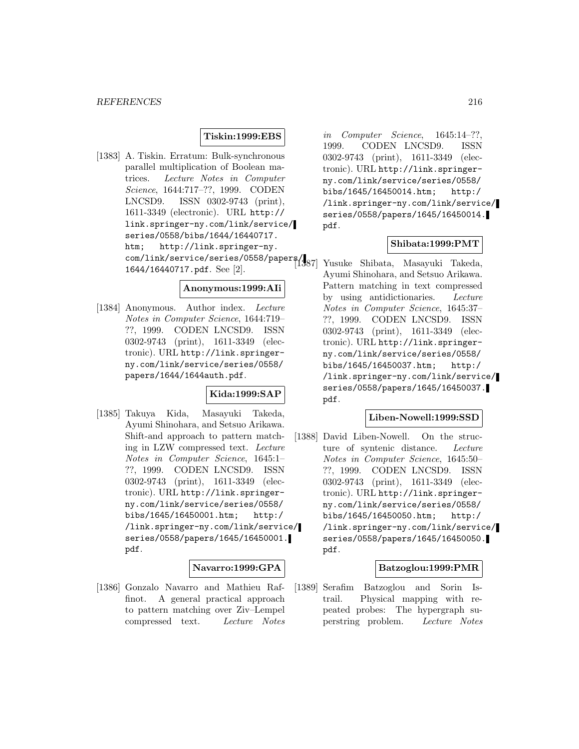## **Tiskin:1999:EBS**

[1383] A. Tiskin. Erratum: Bulk-synchronous parallel multiplication of Boolean matrices. Lecture Notes in Computer Science, 1644:717–??, 1999. CODEN LNCSD9. ISSN 0302-9743 (print), 1611-3349 (electronic). URL http:// link.springer-ny.com/link/service/ series/0558/bibs/1644/16440717. htm; http://link.springer-ny. com/link/service/series/0558/papers/ [1387] Yusuke Shibata, Masayuki Takeda, 1644/16440717.pdf. See [2].

#### **Anonymous:1999:AIi**

[1384] Anonymous. Author index. Lecture Notes in Computer Science, 1644:719– ??, 1999. CODEN LNCSD9. ISSN 0302-9743 (print), 1611-3349 (electronic). URL http://link.springerny.com/link/service/series/0558/ papers/1644/1644auth.pdf.

# **Kida:1999:SAP**

[1385] Takuya Kida, Masayuki Takeda, Ayumi Shinohara, and Setsuo Arikawa. Shift-and approach to pattern matching in LZW compressed text. Lecture Notes in Computer Science, 1645:1– ??, 1999. CODEN LNCSD9. ISSN 0302-9743 (print), 1611-3349 (electronic). URL http://link.springerny.com/link/service/series/0558/ bibs/1645/16450001.htm; http:/ /link.springer-ny.com/link/service/ series/0558/papers/1645/16450001. pdf.

#### **Navarro:1999:GPA**

[1386] Gonzalo Navarro and Mathieu Raffinot. A general practical approach to pattern matching over Ziv–Lempel compressed text. Lecture Notes

in Computer Science, 1645:14–??, 1999. CODEN LNCSD9. ISSN 0302-9743 (print), 1611-3349 (electronic). URL http://link.springerny.com/link/service/series/0558/ bibs/1645/16450014.htm; http:/ /link.springer-ny.com/link/service/ series/0558/papers/1645/16450014. pdf.

### **Shibata:1999:PMT**

Ayumi Shinohara, and Setsuo Arikawa. Pattern matching in text compressed by using antidictionaries. Lecture Notes in Computer Science, 1645:37– ??, 1999. CODEN LNCSD9. ISSN 0302-9743 (print), 1611-3349 (electronic). URL http://link.springerny.com/link/service/series/0558/ bibs/1645/16450037.htm; http:/ /link.springer-ny.com/link/service/ series/0558/papers/1645/16450037. pdf.

### **Liben-Nowell:1999:SSD**

[1388] David Liben-Nowell. On the structure of syntenic distance. Lecture Notes in Computer Science, 1645:50– ??, 1999. CODEN LNCSD9. ISSN 0302-9743 (print), 1611-3349 (electronic). URL http://link.springerny.com/link/service/series/0558/ bibs/1645/16450050.htm; http:/ /link.springer-ny.com/link/service/ series/0558/papers/1645/16450050. pdf.

### **Batzoglou:1999:PMR**

[1389] Serafim Batzoglou and Sorin Istrail. Physical mapping with repeated probes: The hypergraph superstring problem. Lecture Notes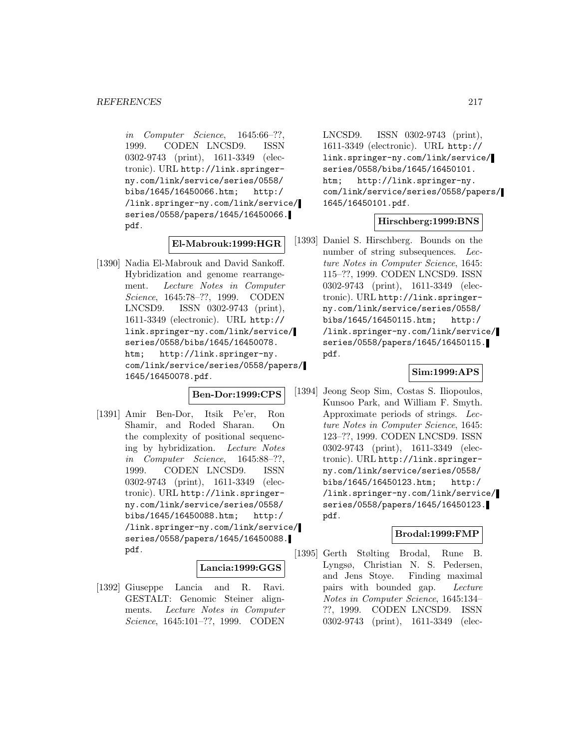in Computer Science, 1645:66–??, 1999. CODEN LNCSD9. ISSN 0302-9743 (print), 1611-3349 (electronic). URL http://link.springerny.com/link/service/series/0558/ bibs/1645/16450066.htm; http:/ /link.springer-ny.com/link/service/ series/0558/papers/1645/16450066. pdf.

## **El-Mabrouk:1999:HGR**

[1390] Nadia El-Mabrouk and David Sankoff. Hybridization and genome rearrangement. Lecture Notes in Computer Science, 1645:78–??, 1999. CODEN LNCSD9. ISSN 0302-9743 (print), 1611-3349 (electronic). URL http:// link.springer-ny.com/link/service/ series/0558/bibs/1645/16450078. htm; http://link.springer-ny. com/link/service/series/0558/papers/ 1645/16450078.pdf.

## **Ben-Dor:1999:CPS**

[1391] Amir Ben-Dor, Itsik Pe'er, Ron Shamir, and Roded Sharan. On the complexity of positional sequencing by hybridization. Lecture Notes in Computer Science, 1645:88–??, 1999. CODEN LNCSD9. ISSN 0302-9743 (print), 1611-3349 (electronic). URL http://link.springerny.com/link/service/series/0558/ bibs/1645/16450088.htm; http:/ /link.springer-ny.com/link/service/ series/0558/papers/1645/16450088. pdf.

# **Lancia:1999:GGS**

[1392] Giuseppe Lancia and R. Ravi. GESTALT: Genomic Steiner alignments. Lecture Notes in Computer Science, 1645:101–??, 1999. CODEN

LNCSD9. ISSN 0302-9743 (print), 1611-3349 (electronic). URL http:// link.springer-ny.com/link/service/ series/0558/bibs/1645/16450101. htm; http://link.springer-ny. com/link/service/series/0558/papers/ 1645/16450101.pdf.

## **Hirschberg:1999:BNS**

[1393] Daniel S. Hirschberg. Bounds on the number of string subsequences. Lecture Notes in Computer Science, 1645: 115–??, 1999. CODEN LNCSD9. ISSN 0302-9743 (print), 1611-3349 (electronic). URL http://link.springerny.com/link/service/series/0558/ bibs/1645/16450115.htm; http:/ /link.springer-ny.com/link/service/ series/0558/papers/1645/16450115. pdf.

## **Sim:1999:APS**

[1394] Jeong Seop Sim, Costas S. Iliopoulos, Kunsoo Park, and William F. Smyth. Approximate periods of strings. Lecture Notes in Computer Science, 1645: 123–??, 1999. CODEN LNCSD9. ISSN 0302-9743 (print), 1611-3349 (electronic). URL http://link.springerny.com/link/service/series/0558/ bibs/1645/16450123.htm; http:/ /link.springer-ny.com/link/service/ series/0558/papers/1645/16450123. pdf.

## **Brodal:1999:FMP**

[1395] Gerth Stølting Brodal, Rune B. Lyngsø, Christian N. S. Pedersen, and Jens Stoye. Finding maximal pairs with bounded gap. Lecture Notes in Computer Science, 1645:134– ??, 1999. CODEN LNCSD9. ISSN 0302-9743 (print), 1611-3349 (elec-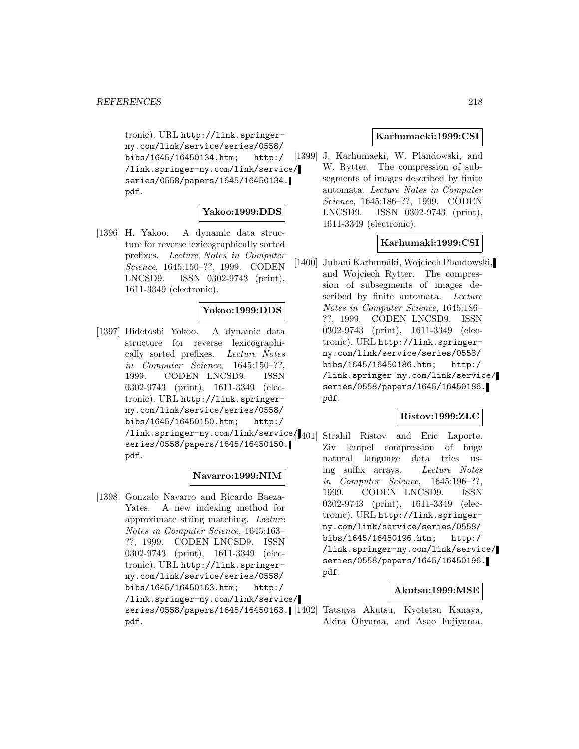tronic). URL http://link.springerny.com/link/service/series/0558/ bibs/1645/16450134.htm; http:/ /link.springer-ny.com/link/service/ series/0558/papers/1645/16450134. pdf.

## **Yakoo:1999:DDS**

[1396] H. Yakoo. A dynamic data structure for reverse lexicographically sorted prefixes. Lecture Notes in Computer Science, 1645:150–??, 1999. CODEN LNCSD9. ISSN 0302-9743 (print), 1611-3349 (electronic).

## **Yokoo:1999:DDS**

[1397] Hidetoshi Yokoo. A dynamic data structure for reverse lexicographically sorted prefixes. Lecture Notes in Computer Science, 1645:150–??, 1999. CODEN LNCSD9. ISSN 0302-9743 (print), 1611-3349 (electronic). URL http://link.springerny.com/link/service/series/0558/ bibs/1645/16450150.htm; http:/ /link.springer-ny.com/link/service/1401] series/0558/papers/1645/16450150. pdf.

#### **Navarro:1999:NIM**

[1398] Gonzalo Navarro and Ricardo Baeza-Yates. A new indexing method for approximate string matching. Lecture Notes in Computer Science, 1645:163– ??, 1999. CODEN LNCSD9. ISSN 0302-9743 (print), 1611-3349 (electronic). URL http://link.springerny.com/link/service/series/0558/ bibs/1645/16450163.htm; http:/ /link.springer-ny.com/link/service/ pdf.

### **Karhumaeki:1999:CSI**

[1399] J. Karhumaeki, W. Plandowski, and W. Rytter. The compression of subsegments of images described by finite automata. Lecture Notes in Computer Science, 1645:186–??, 1999. CODEN LNCSD9. ISSN 0302-9743 (print), 1611-3349 (electronic).

## **Karhumaki:1999:CSI**

[1400] Juhani Karhumäki, Wojciech Plandowski, and Wojciech Rytter. The compression of subsegments of images described by finite automata. Lecture Notes in Computer Science, 1645:186– ??, 1999. CODEN LNCSD9. ISSN 0302-9743 (print), 1611-3349 (electronic). URL http://link.springerny.com/link/service/series/0558/ bibs/1645/16450186.htm; http:/ /link.springer-ny.com/link/service/ series/0558/papers/1645/16450186. pdf.

#### **Ristov:1999:ZLC**

Strahil Ristov and Eric Laporte. Ziv lempel compression of huge natural language data tries using suffix arrays. Lecture Notes in Computer Science, 1645:196–??, 1999. CODEN LNCSD9. ISSN 0302-9743 (print), 1611-3349 (electronic). URL http://link.springerny.com/link/service/series/0558/ bibs/1645/16450196.htm; http:/ /link.springer-ny.com/link/service/ series/0558/papers/1645/16450196. pdf.

## **Akutsu:1999:MSE**

series/0558/papers/1645/16450163. [1402] Tatsuya Akutsu, Kyotetsu Kanaya, Akira Ohyama, and Asao Fujiyama.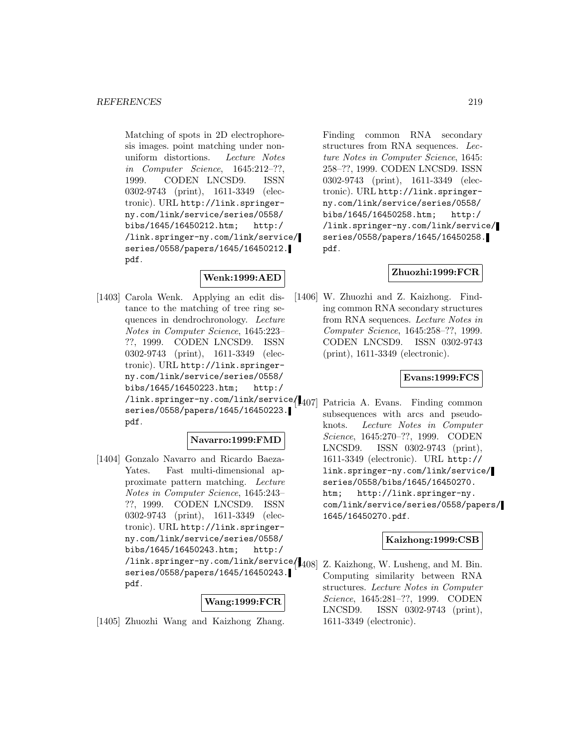Matching of spots in 2D electrophoresis images. point matching under nonuniform distortions. Lecture Notes in Computer Science, 1645:212–??, 1999. CODEN LNCSD9. ISSN 0302-9743 (print), 1611-3349 (electronic). URL http://link.springerny.com/link/service/series/0558/ bibs/1645/16450212.htm; http:/ /link.springer-ny.com/link/service/ series/0558/papers/1645/16450212. pdf.

# **Wenk:1999:AED**

[1403] Carola Wenk. Applying an edit distance to the matching of tree ring sequences in dendrochronology. Lecture Notes in Computer Science, 1645:223– ??, 1999. CODEN LNCSD9. ISSN 0302-9743 (print), 1611-3349 (electronic). URL http://link.springerny.com/link/service/series/0558/ bibs/1645/16450223.htm; http:/ /link.springer-ny.com/link/service/ [1407] Patricia A. Evans. Finding common series/0558/papers/1645/16450223. pdf.

## **Navarro:1999:FMD**

[1404] Gonzalo Navarro and Ricardo Baeza-Yates. Fast multi-dimensional approximate pattern matching. Lecture Notes in Computer Science, 1645:243– ??, 1999. CODEN LNCSD9. ISSN 0302-9743 (print), 1611-3349 (electronic). URL http://link.springerny.com/link/service/series/0558/ bibs/1645/16450243.htm; http:/ /link.springer-ny.com/link/service/ series/0558/papers/1645/16450243. pdf.

## **Wang:1999:FCR**

[1405] Zhuozhi Wang and Kaizhong Zhang.

Finding common RNA secondary structures from RNA sequences. Lecture Notes in Computer Science, 1645: 258–??, 1999. CODEN LNCSD9. ISSN 0302-9743 (print), 1611-3349 (electronic). URL http://link.springerny.com/link/service/series/0558/ bibs/1645/16450258.htm; http:/ /link.springer-ny.com/link/service/ series/0558/papers/1645/16450258. pdf.

## **Zhuozhi:1999:FCR**

[1406] W. Zhuozhi and Z. Kaizhong. Finding common RNA secondary structures from RNA sequences. Lecture Notes in Computer Science, 1645:258–??, 1999. CODEN LNCSD9. ISSN 0302-9743 (print), 1611-3349 (electronic).

## **Evans:1999:FCS**

subsequences with arcs and pseudoknots. Lecture Notes in Computer Science, 1645:270–??, 1999. CODEN LNCSD9. ISSN 0302-9743 (print), 1611-3349 (electronic). URL http:// link.springer-ny.com/link/service/ series/0558/bibs/1645/16450270. htm; http://link.springer-ny. com/link/service/series/0558/papers/ 1645/16450270.pdf.

#### **Kaizhong:1999:CSB**

Z. Kaizhong, W. Lusheng, and M. Bin. Computing similarity between RNA structures. Lecture Notes in Computer Science, 1645:281–??, 1999. CODEN LNCSD9. ISSN 0302-9743 (print), 1611-3349 (electronic).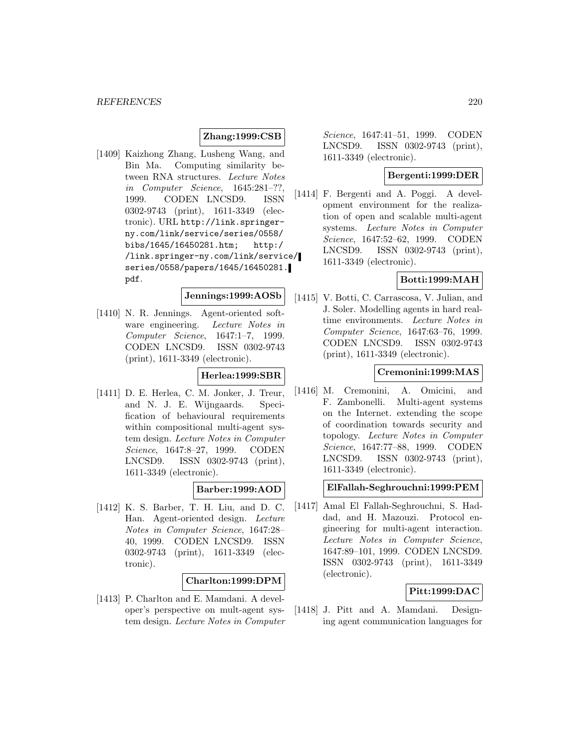## **Zhang:1999:CSB**

[1409] Kaizhong Zhang, Lusheng Wang, and Bin Ma. Computing similarity between RNA structures. Lecture Notes in Computer Science, 1645:281–??, 1999. CODEN LNCSD9. ISSN 0302-9743 (print), 1611-3349 (electronic). URL http://link.springerny.com/link/service/series/0558/ bibs/1645/16450281.htm; http:/ /link.springer-ny.com/link/service/ series/0558/papers/1645/16450281. pdf.

# **Jennings:1999:AOSb**

[1410] N. R. Jennings. Agent-oriented software engineering. Lecture Notes in Computer Science, 1647:1–7, 1999. CODEN LNCSD9. ISSN 0302-9743 (print), 1611-3349 (electronic).

### **Herlea:1999:SBR**

[1411] D. E. Herlea, C. M. Jonker, J. Treur, and N. J. E. Wijngaards. Specification of behavioural requirements within compositional multi-agent system design. Lecture Notes in Computer Science, 1647:8–27, 1999. CODEN LNCSD9. ISSN 0302-9743 (print), 1611-3349 (electronic).

#### **Barber:1999:AOD**

[1412] K. S. Barber, T. H. Liu, and D. C. Han. Agent-oriented design. Lecture Notes in Computer Science, 1647:28– 40, 1999. CODEN LNCSD9. ISSN 0302-9743 (print), 1611-3349 (electronic).

#### **Charlton:1999:DPM**

[1413] P. Charlton and E. Mamdani. A developer's perspective on mult-agent system design. Lecture Notes in Computer

Science, 1647:41–51, 1999. CODEN LNCSD9. ISSN 0302-9743 (print), 1611-3349 (electronic).

## **Bergenti:1999:DER**

[1414] F. Bergenti and A. Poggi. A development environment for the realization of open and scalable multi-agent systems. Lecture Notes in Computer Science, 1647:52–62, 1999. CODEN LNCSD9. ISSN 0302-9743 (print), 1611-3349 (electronic).

### **Botti:1999:MAH**

[1415] V. Botti, C. Carrascosa, V. Julian, and J. Soler. Modelling agents in hard realtime environments. Lecture Notes in Computer Science, 1647:63–76, 1999. CODEN LNCSD9. ISSN 0302-9743 (print), 1611-3349 (electronic).

#### **Cremonini:1999:MAS**

[1416] M. Cremonini, A. Omicini, and F. Zambonelli. Multi-agent systems on the Internet. extending the scope of coordination towards security and topology. Lecture Notes in Computer Science, 1647:77–88, 1999. CODEN LNCSD9. ISSN 0302-9743 (print), 1611-3349 (electronic).

### **ElFallah-Seghrouchni:1999:PEM**

[1417] Amal El Fallah-Seghrouchni, S. Haddad, and H. Mazouzi. Protocol engineering for multi-agent interaction. Lecture Notes in Computer Science, 1647:89–101, 1999. CODEN LNCSD9. ISSN 0302-9743 (print), 1611-3349 (electronic).

## **Pitt:1999:DAC**

[1418] J. Pitt and A. Mamdani. Designing agent communication languages for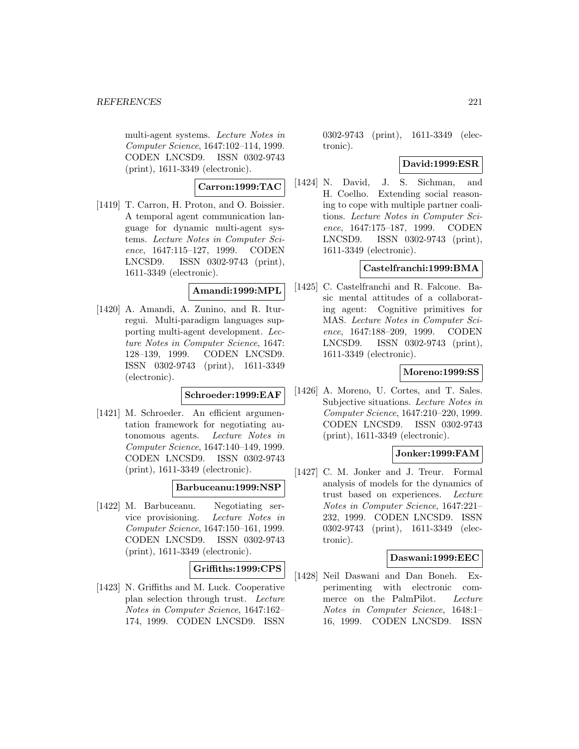multi-agent systems. Lecture Notes in Computer Science, 1647:102–114, 1999. CODEN LNCSD9. ISSN 0302-9743 (print), 1611-3349 (electronic).

## **Carron:1999:TAC**

[1419] T. Carron, H. Proton, and O. Boissier. A temporal agent communication language for dynamic multi-agent systems. Lecture Notes in Computer Science, 1647:115–127, 1999. CODEN LNCSD9. ISSN 0302-9743 (print), 1611-3349 (electronic).

## **Amandi:1999:MPL**

[1420] A. Amandi, A. Zunino, and R. Iturregui. Multi-paradigm languages supporting multi-agent development. Lecture Notes in Computer Science, 1647: 128–139, 1999. CODEN LNCSD9. ISSN 0302-9743 (print), 1611-3349 (electronic).

## **Schroeder:1999:EAF**

[1421] M. Schroeder. An efficient argumentation framework for negotiating autonomous agents. Lecture Notes in Computer Science, 1647:140–149, 1999. CODEN LNCSD9. ISSN 0302-9743 (print), 1611-3349 (electronic).

## **Barbuceanu:1999:NSP**

[1422] M. Barbuceanu. Negotiating service provisioning. Lecture Notes in Computer Science, 1647:150–161, 1999. CODEN LNCSD9. ISSN 0302-9743 (print), 1611-3349 (electronic).

## **Griffiths:1999:CPS**

[1423] N. Griffiths and M. Luck. Cooperative plan selection through trust. Lecture Notes in Computer Science, 1647:162– 174, 1999. CODEN LNCSD9. ISSN

0302-9743 (print), 1611-3349 (electronic).

## **David:1999:ESR**

[1424] N. David, J. S. Sichman, and H. Coelho. Extending social reasoning to cope with multiple partner coalitions. Lecture Notes in Computer Science, 1647:175–187, 1999. CODEN LNCSD9. ISSN 0302-9743 (print), 1611-3349 (electronic).

## **Castelfranchi:1999:BMA**

[1425] C. Castelfranchi and R. Falcone. Basic mental attitudes of a collaborating agent: Cognitive primitives for MAS. Lecture Notes in Computer Science, 1647:188–209, 1999. CODEN LNCSD9. ISSN 0302-9743 (print), 1611-3349 (electronic).

## **Moreno:1999:SS**

[1426] A. Moreno, U. Cortes, and T. Sales. Subjective situations. Lecture Notes in Computer Science, 1647:210–220, 1999. CODEN LNCSD9. ISSN 0302-9743 (print), 1611-3349 (electronic).

## **Jonker:1999:FAM**

[1427] C. M. Jonker and J. Treur. Formal analysis of models for the dynamics of trust based on experiences. Lecture Notes in Computer Science, 1647:221– 232, 1999. CODEN LNCSD9. ISSN 0302-9743 (print), 1611-3349 (electronic).

## **Daswani:1999:EEC**

[1428] Neil Daswani and Dan Boneh. Experimenting with electronic commerce on the PalmPilot. Lecture Notes in Computer Science, 1648:1– 16, 1999. CODEN LNCSD9. ISSN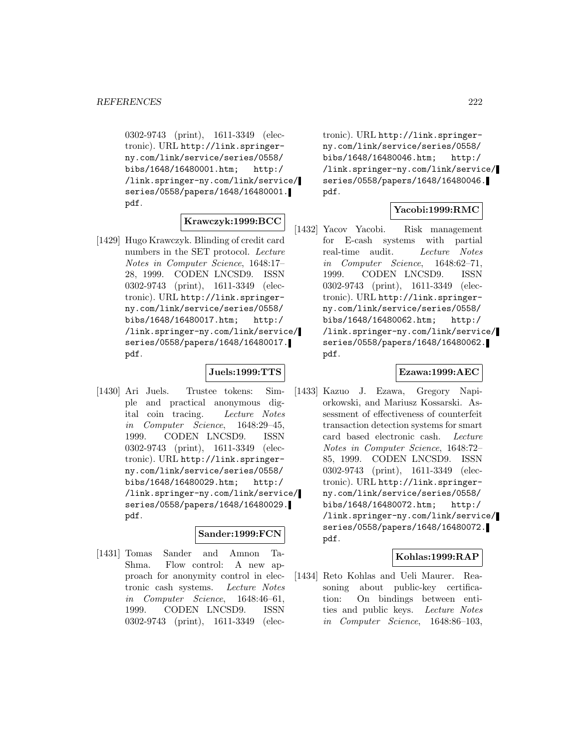0302-9743 (print), 1611-3349 (electronic). URL http://link.springerny.com/link/service/series/0558/ bibs/1648/16480001.htm; http:/ /link.springer-ny.com/link/service/ series/0558/papers/1648/16480001. pdf.

# **Krawczyk:1999:BCC**

[1429] Hugo Krawczyk. Blinding of credit card numbers in the SET protocol. Lecture Notes in Computer Science, 1648:17– 28, 1999. CODEN LNCSD9. ISSN 0302-9743 (print), 1611-3349 (electronic). URL http://link.springerny.com/link/service/series/0558/ bibs/1648/16480017.htm; http:/ /link.springer-ny.com/link/service/ series/0558/papers/1648/16480017. pdf.

### **Juels:1999:TTS**

[1430] Ari Juels. Trustee tokens: Simple and practical anonymous digital coin tracing. Lecture Notes in Computer Science, 1648:29–45, 1999. CODEN LNCSD9. ISSN 0302-9743 (print), 1611-3349 (electronic). URL http://link.springerny.com/link/service/series/0558/ bibs/1648/16480029.htm; http:/ /link.springer-ny.com/link/service/ series/0558/papers/1648/16480029. pdf.

## **Sander:1999:FCN**

[1431] Tomas Sander and Amnon Ta-Shma. Flow control: A new approach for anonymity control in electronic cash systems. Lecture Notes in Computer Science, 1648:46–61, 1999. CODEN LNCSD9. ISSN 0302-9743 (print), 1611-3349 (elec-

tronic). URL http://link.springerny.com/link/service/series/0558/ bibs/1648/16480046.htm; http:/ /link.springer-ny.com/link/service/ series/0558/papers/1648/16480046. pdf.

## **Yacobi:1999:RMC**

[1432] Yacov Yacobi. Risk management for E-cash systems with partial real-time audit. Lecture Notes in Computer Science, 1648:62–71, 1999. CODEN LNCSD9. ISSN 0302-9743 (print), 1611-3349 (electronic). URL http://link.springerny.com/link/service/series/0558/ bibs/1648/16480062.htm; http:/ /link.springer-ny.com/link/service/ series/0558/papers/1648/16480062. pdf.

## **Ezawa:1999:AEC**

[1433] Kazuo J. Ezawa, Gregory Napiorkowski, and Mariusz Kossarski. Assessment of effectiveness of counterfeit transaction detection systems for smart card based electronic cash. Lecture Notes in Computer Science, 1648:72– 85, 1999. CODEN LNCSD9. ISSN 0302-9743 (print), 1611-3349 (electronic). URL http://link.springerny.com/link/service/series/0558/ bibs/1648/16480072.htm; http:/ /link.springer-ny.com/link/service/ series/0558/papers/1648/16480072. pdf.

## **Kohlas:1999:RAP**

[1434] Reto Kohlas and Ueli Maurer. Reasoning about public-key certification: On bindings between entities and public keys. Lecture Notes in Computer Science, 1648:86–103,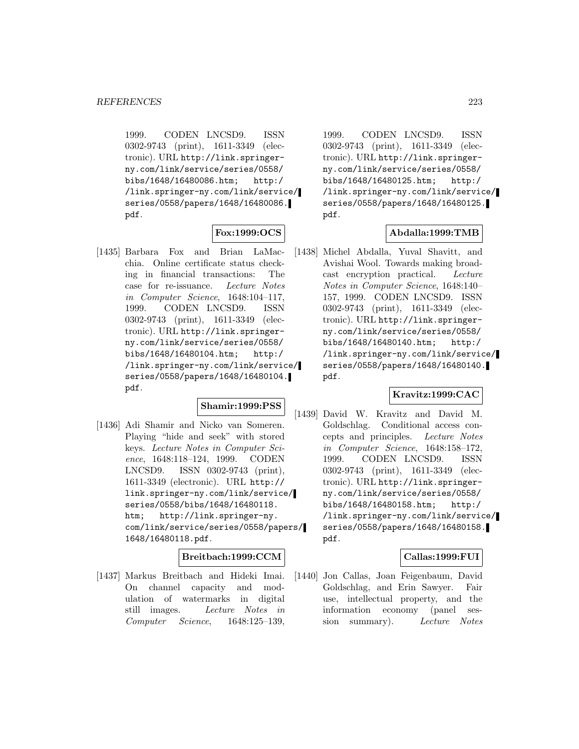1999. CODEN LNCSD9. ISSN 0302-9743 (print), 1611-3349 (electronic). URL http://link.springerny.com/link/service/series/0558/ bibs/1648/16480086.htm; http:/ /link.springer-ny.com/link/service/ series/0558/papers/1648/16480086. pdf.

# **Fox:1999:OCS**

[1435] Barbara Fox and Brian LaMacchia. Online certificate status checking in financial transactions: The case for re-issuance. Lecture Notes in Computer Science, 1648:104–117, 1999. CODEN LNCSD9. ISSN 0302-9743 (print), 1611-3349 (electronic). URL http://link.springerny.com/link/service/series/0558/ bibs/1648/16480104.htm; http:/ /link.springer-ny.com/link/service/ series/0558/papers/1648/16480104. pdf.

# **Shamir:1999:PSS**

[1436] Adi Shamir and Nicko van Someren. Playing "hide and seek" with stored keys. Lecture Notes in Computer Science, 1648:118–124, 1999. CODEN LNCSD9. ISSN 0302-9743 (print), 1611-3349 (electronic). URL http:// link.springer-ny.com/link/service/ series/0558/bibs/1648/16480118. htm; http://link.springer-ny. com/link/service/series/0558/papers/ 1648/16480118.pdf.

## **Breitbach:1999:CCM**

[1437] Markus Breitbach and Hideki Imai. On channel capacity and modulation of watermarks in digital still images. Lecture Notes in Computer Science, 1648:125–139,

1999. CODEN LNCSD9. ISSN 0302-9743 (print), 1611-3349 (electronic). URL http://link.springerny.com/link/service/series/0558/ bibs/1648/16480125.htm; http:/ /link.springer-ny.com/link/service/ series/0558/papers/1648/16480125. pdf.

## **Abdalla:1999:TMB**

[1438] Michel Abdalla, Yuval Shavitt, and Avishai Wool. Towards making broadcast encryption practical. Lecture Notes in Computer Science, 1648:140– 157, 1999. CODEN LNCSD9. ISSN 0302-9743 (print), 1611-3349 (electronic). URL http://link.springerny.com/link/service/series/0558/ bibs/1648/16480140.htm; http:/ /link.springer-ny.com/link/service/ series/0558/papers/1648/16480140. pdf.

# **Kravitz:1999:CAC**

[1439] David W. Kravitz and David M. Goldschlag. Conditional access concepts and principles. Lecture Notes in Computer Science, 1648:158–172, 1999. CODEN LNCSD9. ISSN 0302-9743 (print), 1611-3349 (electronic). URL http://link.springerny.com/link/service/series/0558/ bibs/1648/16480158.htm; http:/ /link.springer-ny.com/link/service/ series/0558/papers/1648/16480158. pdf.

## **Callas:1999:FUI**

[1440] Jon Callas, Joan Feigenbaum, David Goldschlag, and Erin Sawyer. Fair use, intellectual property, and the information economy (panel session summary). Lecture Notes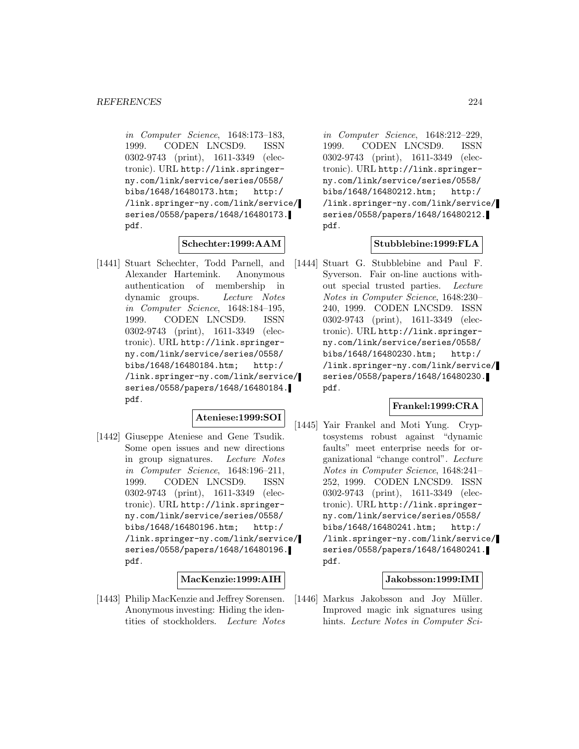in Computer Science, 1648:173–183, 1999. CODEN LNCSD9. ISSN 0302-9743 (print), 1611-3349 (electronic). URL http://link.springerny.com/link/service/series/0558/ bibs/1648/16480173.htm; http:/ /link.springer-ny.com/link/service/ series/0558/papers/1648/16480173. pdf.

## **Schechter:1999:AAM**

[1441] Stuart Schechter, Todd Parnell, and Alexander Hartemink. Anonymous authentication of membership in dynamic groups. Lecture Notes in Computer Science, 1648:184–195, 1999. CODEN LNCSD9. ISSN 0302-9743 (print), 1611-3349 (electronic). URL http://link.springerny.com/link/service/series/0558/ bibs/1648/16480184.htm; http:/ /link.springer-ny.com/link/service/ series/0558/papers/1648/16480184. pdf.

#### **Ateniese:1999:SOI**

[1442] Giuseppe Ateniese and Gene Tsudik. Some open issues and new directions in group signatures. Lecture Notes in Computer Science, 1648:196–211, 1999. CODEN LNCSD9. ISSN 0302-9743 (print), 1611-3349 (electronic). URL http://link.springerny.com/link/service/series/0558/ bibs/1648/16480196.htm; http:/ /link.springer-ny.com/link/service/ series/0558/papers/1648/16480196. pdf.

## **MacKenzie:1999:AIH**

[1443] Philip MacKenzie and Jeffrey Sorensen. Anonymous investing: Hiding the identities of stockholders. Lecture Notes

in Computer Science, 1648:212–229, 1999. CODEN LNCSD9. ISSN 0302-9743 (print), 1611-3349 (electronic). URL http://link.springerny.com/link/service/series/0558/ bibs/1648/16480212.htm; http:/ /link.springer-ny.com/link/service/ series/0558/papers/1648/16480212. pdf.

## **Stubblebine:1999:FLA**

[1444] Stuart G. Stubblebine and Paul F. Syverson. Fair on-line auctions without special trusted parties. Lecture Notes in Computer Science, 1648:230– 240, 1999. CODEN LNCSD9. ISSN 0302-9743 (print), 1611-3349 (electronic). URL http://link.springerny.com/link/service/series/0558/ bibs/1648/16480230.htm; http:/ /link.springer-ny.com/link/service/ series/0558/papers/1648/16480230. pdf.

## **Frankel:1999:CRA**

[1445] Yair Frankel and Moti Yung. Cryptosystems robust against "dynamic faults" meet enterprise needs for organizational "change control". Lecture Notes in Computer Science, 1648:241– 252, 1999. CODEN LNCSD9. ISSN 0302-9743 (print), 1611-3349 (electronic). URL http://link.springerny.com/link/service/series/0558/ bibs/1648/16480241.htm; http:/ /link.springer-ny.com/link/service/ series/0558/papers/1648/16480241. pdf.

## **Jakobsson:1999:IMI**

[1446] Markus Jakobsson and Joy Müller. Improved magic ink signatures using hints. Lecture Notes in Computer Sci-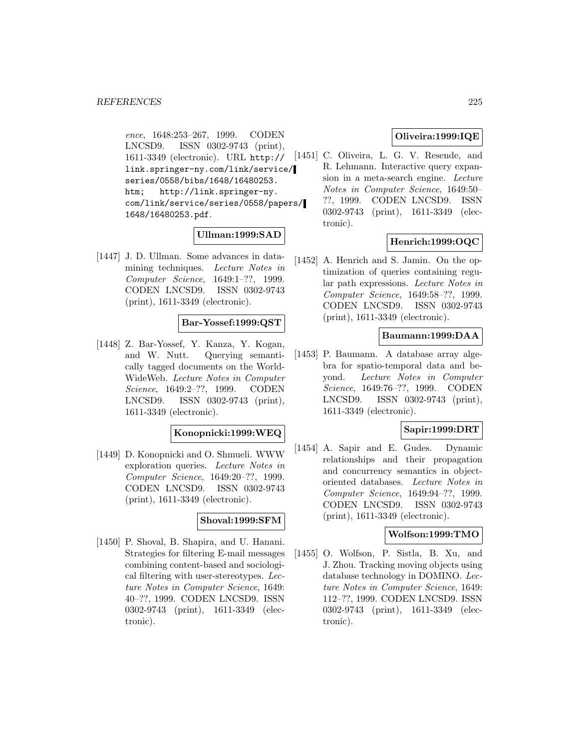ence, 1648:253–267, 1999. CODEN LNCSD9. ISSN 0302-9743 (print), 1611-3349 (electronic). URL http:// link.springer-ny.com/link/service/ series/0558/bibs/1648/16480253. htm; http://link.springer-ny. com/link/service/series/0558/papers/ 1648/16480253.pdf.

## **Ullman:1999:SAD**

[1447] J. D. Ullman. Some advances in datamining techniques. Lecture Notes in Computer Science, 1649:1–??, 1999. CODEN LNCSD9. ISSN 0302-9743 (print), 1611-3349 (electronic).

# **Bar-Yossef:1999:QST**

[1448] Z. Bar-Yossef, Y. Kanza, Y. Kogan, and W. Nutt. Querying semantically tagged documents on the World-WideWeb. Lecture Notes in Computer Science, 1649:2–??, 1999. CODEN LNCSD9. ISSN 0302-9743 (print), 1611-3349 (electronic).

## **Konopnicki:1999:WEQ**

[1449] D. Konopnicki and O. Shmueli. WWW exploration queries. Lecture Notes in Computer Science, 1649:20–??, 1999. CODEN LNCSD9. ISSN 0302-9743 (print), 1611-3349 (electronic).

## **Shoval:1999:SFM**

[1450] P. Shoval, B. Shapira, and U. Hanani. Strategies for filtering E-mail messages combining content-based and sociological filtering with user-stereotypes. Lecture Notes in Computer Science, 1649: 40–??, 1999. CODEN LNCSD9. ISSN 0302-9743 (print), 1611-3349 (electronic).

# **Oliveira:1999:IQE**

[1451] C. Oliveira, L. G. V. Resende, and R. Lehmann. Interactive query expansion in a meta-search engine. Lecture Notes in Computer Science, 1649:50– ??, 1999. CODEN LNCSD9. ISSN 0302-9743 (print), 1611-3349 (electronic).

## **Henrich:1999:OQC**

[1452] A. Henrich and S. Jamin. On the optimization of queries containing regular path expressions. Lecture Notes in Computer Science, 1649:58–??, 1999. CODEN LNCSD9. ISSN 0302-9743 (print), 1611-3349 (electronic).

### **Baumann:1999:DAA**

[1453] P. Baumann. A database array algebra for spatio-temporal data and beyond. Lecture Notes in Computer Science, 1649:76–??, 1999. CODEN LNCSD9. ISSN 0302-9743 (print), 1611-3349 (electronic).

## **Sapir:1999:DRT**

[1454] A. Sapir and E. Gudes. Dynamic relationships and their propagation and concurrency semantics in objectoriented databases. Lecture Notes in Computer Science, 1649:94–??, 1999. CODEN LNCSD9. ISSN 0302-9743 (print), 1611-3349 (electronic).

### **Wolfson:1999:TMO**

[1455] O. Wolfson, P. Sistla, B. Xu, and J. Zhou. Tracking moving objects using database technology in DOMINO. Lecture Notes in Computer Science, 1649: 112–??, 1999. CODEN LNCSD9. ISSN 0302-9743 (print), 1611-3349 (electronic).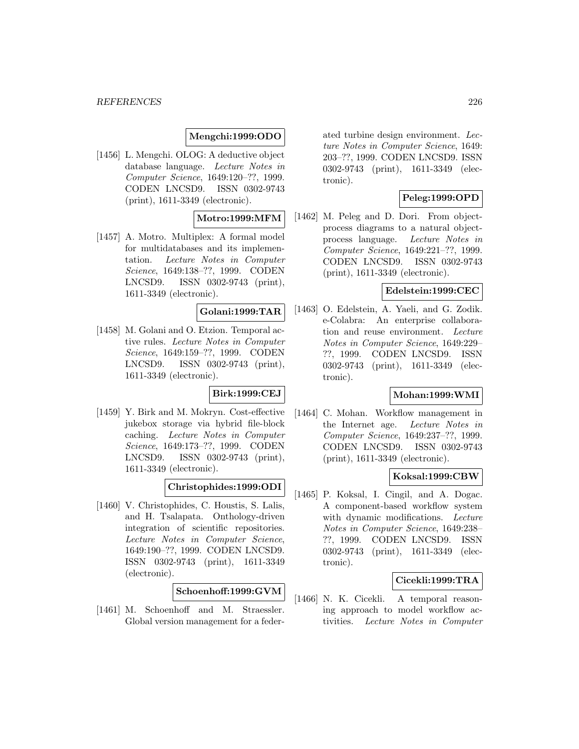## **Mengchi:1999:ODO**

[1456] L. Mengchi. OLOG: A deductive object database language. Lecture Notes in Computer Science, 1649:120–??, 1999. CODEN LNCSD9. ISSN 0302-9743 (print), 1611-3349 (electronic).

## **Motro:1999:MFM**

[1457] A. Motro. Multiplex: A formal model for multidatabases and its implementation. Lecture Notes in Computer Science, 1649:138–??, 1999. CODEN LNCSD9. ISSN 0302-9743 (print), 1611-3349 (electronic).

# **Golani:1999:TAR**

[1458] M. Golani and O. Etzion. Temporal active rules. Lecture Notes in Computer Science, 1649:159–??, 1999. CODEN LNCSD9. ISSN 0302-9743 (print), 1611-3349 (electronic).

## **Birk:1999:CEJ**

[1459] Y. Birk and M. Mokryn. Cost-effective jukebox storage via hybrid file-block caching. Lecture Notes in Computer Science, 1649:173–??, 1999. CODEN LNCSD9. ISSN 0302-9743 (print), 1611-3349 (electronic).

# **Christophides:1999:ODI**

[1460] V. Christophides, C. Houstis, S. Lalis, and H. Tsalapata. Onthology-driven integration of scientific repositories. Lecture Notes in Computer Science, 1649:190–??, 1999. CODEN LNCSD9. ISSN 0302-9743 (print), 1611-3349 (electronic).

## **Schoenhoff:1999:GVM**

[1461] M. Schoenhoff and M. Straessler. Global version management for a federated turbine design environment. Lecture Notes in Computer Science, 1649: 203–??, 1999. CODEN LNCSD9. ISSN 0302-9743 (print), 1611-3349 (electronic).

## **Peleg:1999:OPD**

[1462] M. Peleg and D. Dori. From objectprocess diagrams to a natural objectprocess language. Lecture Notes in Computer Science, 1649:221–??, 1999. CODEN LNCSD9. ISSN 0302-9743 (print), 1611-3349 (electronic).

## **Edelstein:1999:CEC**

[1463] O. Edelstein, A. Yaeli, and G. Zodik. e-Colabra: An enterprise collaboration and reuse environment. Lecture Notes in Computer Science, 1649:229– ??, 1999. CODEN LNCSD9. ISSN 0302-9743 (print), 1611-3349 (electronic).

## **Mohan:1999:WMI**

[1464] C. Mohan. Workflow management in the Internet age. Lecture Notes in Computer Science, 1649:237–??, 1999. CODEN LNCSD9. ISSN 0302-9743 (print), 1611-3349 (electronic).

#### **Koksal:1999:CBW**

[1465] P. Koksal, I. Cingil, and A. Dogac. A component-based workflow system with dynamic modifications. Lecture Notes in Computer Science, 1649:238– ??, 1999. CODEN LNCSD9. ISSN 0302-9743 (print), 1611-3349 (electronic).

## **Cicekli:1999:TRA**

[1466] N. K. Cicekli. A temporal reasoning approach to model workflow activities. Lecture Notes in Computer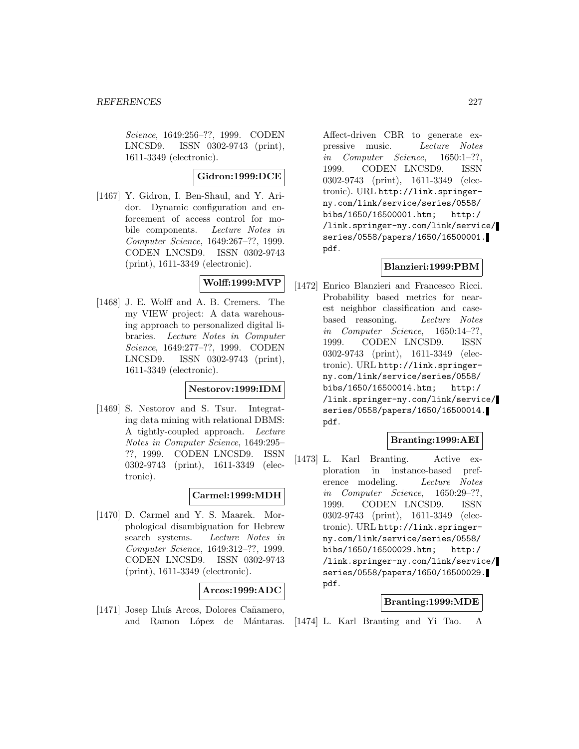Science, 1649:256–??, 1999. CODEN LNCSD9. ISSN 0302-9743 (print), 1611-3349 (electronic).

## **Gidron:1999:DCE**

[1467] Y. Gidron, I. Ben-Shaul, and Y. Aridor. Dynamic configuration and enforcement of access control for mobile components. Lecture Notes in Computer Science, 1649:267–??, 1999. CODEN LNCSD9. ISSN 0302-9743 (print), 1611-3349 (electronic).

# **Wolff:1999:MVP**

[1468] J. E. Wolff and A. B. Cremers. The my VIEW project: A data warehousing approach to personalized digital libraries. Lecture Notes in Computer Science, 1649:277–??, 1999. CODEN LNCSD9. ISSN 0302-9743 (print), 1611-3349 (electronic).

## **Nestorov:1999:IDM**

[1469] S. Nestorov and S. Tsur. Integrating data mining with relational DBMS: A tightly-coupled approach. Lecture Notes in Computer Science, 1649:295– ??, 1999. CODEN LNCSD9. ISSN 0302-9743 (print), 1611-3349 (electronic).

## **Carmel:1999:MDH**

[1470] D. Carmel and Y. S. Maarek. Morphological disambiguation for Hebrew search systems. Lecture Notes in Computer Science, 1649:312–??, 1999. CODEN LNCSD9. ISSN 0302-9743 (print), 1611-3349 (electronic).

## **Arcos:1999:ADC**

[1471] Josep Lluís Arcos, Dolores Cañamero, and Ramon López de Mántaras.

Affect-driven CBR to generate expressive music. Lecture Notes in Computer Science, 1650:1–??, 1999. CODEN LNCSD9. ISSN 0302-9743 (print), 1611-3349 (electronic). URL http://link.springerny.com/link/service/series/0558/ bibs/1650/16500001.htm; http:/ /link.springer-ny.com/link/service/ series/0558/papers/1650/16500001. pdf.

## **Blanzieri:1999:PBM**

[1472] Enrico Blanzieri and Francesco Ricci. Probability based metrics for nearest neighbor classification and casebased reasoning. Lecture Notes in Computer Science, 1650:14–??, 1999. CODEN LNCSD9. ISSN 0302-9743 (print), 1611-3349 (electronic). URL http://link.springerny.com/link/service/series/0558/ bibs/1650/16500014.htm; http:/ /link.springer-ny.com/link/service/ series/0558/papers/1650/16500014. pdf.

# **Branting:1999:AEI**

[1473] L. Karl Branting. Active exploration in instance-based preference modeling. Lecture Notes in Computer Science, 1650:29–??, 1999. CODEN LNCSD9. ISSN 0302-9743 (print), 1611-3349 (electronic). URL http://link.springerny.com/link/service/series/0558/ bibs/1650/16500029.htm; http:/ /link.springer-ny.com/link/service/ series/0558/papers/1650/16500029. pdf.

## **Branting:1999:MDE**

[1474] L. Karl Branting and Yi Tao. A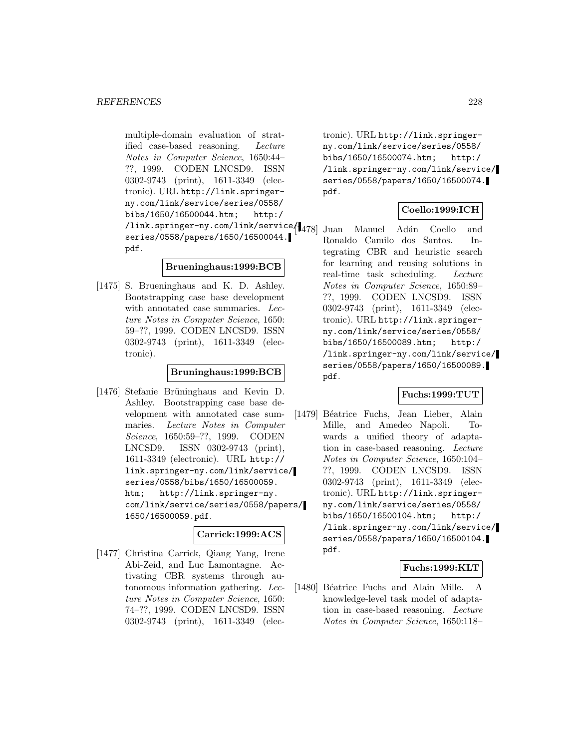multiple-domain evaluation of stratified case-based reasoning. Lecture Notes in Computer Science, 1650:44– ??, 1999. CODEN LNCSD9. ISSN 0302-9743 (print), 1611-3349 (electronic). URL http://link.springerny.com/link/service/series/0558/ bibs/1650/16500044.htm; http:/ /link.springer-ny.com/link/service/ series/0558/papers/1650/16500044. pdf.

## **Brueninghaus:1999:BCB**

[1475] S. Brueninghaus and K. D. Ashley. Bootstrapping case base development with annotated case summaries. Lecture Notes in Computer Science, 1650: 59–??, 1999. CODEN LNCSD9. ISSN 0302-9743 (print), 1611-3349 (electronic).

## **Bruninghaus:1999:BCB**

[1476] Stefanie Brüninghaus and Kevin D. Ashley. Bootstrapping case base development with annotated case summaries. Lecture Notes in Computer Science, 1650:59–??, 1999. CODEN LNCSD9. ISSN 0302-9743 (print), 1611-3349 (electronic). URL http:// link.springer-ny.com/link/service/ series/0558/bibs/1650/16500059. htm; http://link.springer-ny. com/link/service/series/0558/papers/ 1650/16500059.pdf.

## **Carrick:1999:ACS**

[1477] Christina Carrick, Qiang Yang, Irene Abi-Zeid, and Luc Lamontagne. Activating CBR systems through autonomous information gathering. Lecture Notes in Computer Science, 1650: 74–??, 1999. CODEN LNCSD9. ISSN 0302-9743 (print), 1611-3349 (elec-

tronic). URL http://link.springerny.com/link/service/series/0558/ bibs/1650/16500074.htm; http:/ /link.springer-ny.com/link/service/ series/0558/papers/1650/16500074. pdf.

## **Coello:1999:ICH**

Juan Manuel Adán Coello and Ronaldo Camilo dos Santos. Integrating CBR and heuristic search for learning and reusing solutions in real-time task scheduling. Lecture Notes in Computer Science, 1650:89– ??, 1999. CODEN LNCSD9. ISSN 0302-9743 (print), 1611-3349 (electronic). URL http://link.springerny.com/link/service/series/0558/ bibs/1650/16500089.htm; http:/ /link.springer-ny.com/link/service/ series/0558/papers/1650/16500089. pdf.

## **Fuchs:1999:TUT**

[1479] Béatrice Fuchs, Jean Lieber, Alain Mille, and Amedeo Napoli. Towards a unified theory of adaptation in case-based reasoning. Lecture Notes in Computer Science, 1650:104– ??, 1999. CODEN LNCSD9. ISSN 0302-9743 (print), 1611-3349 (electronic). URL http://link.springerny.com/link/service/series/0558/ bibs/1650/16500104.htm; http:/ /link.springer-ny.com/link/service/ series/0558/papers/1650/16500104. pdf.

## **Fuchs:1999:KLT**

[1480] Béatrice Fuchs and Alain Mille. A knowledge-level task model of adaptation in case-based reasoning. Lecture Notes in Computer Science, 1650:118–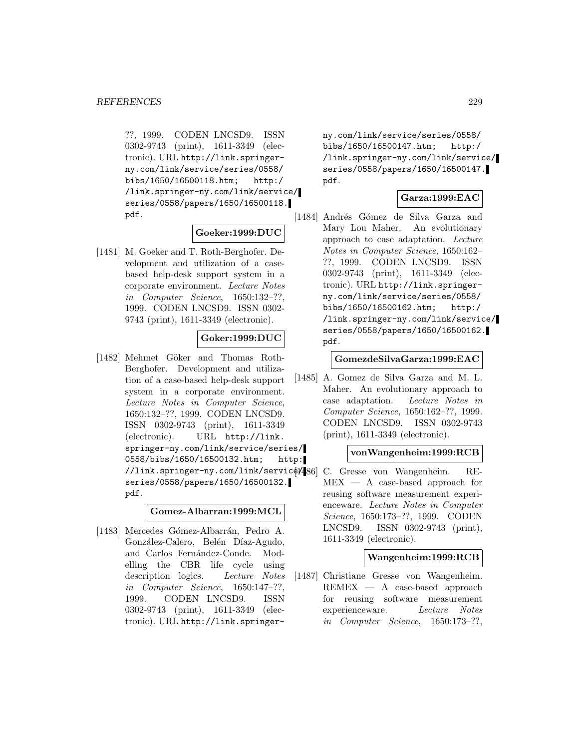??, 1999. CODEN LNCSD9. ISSN 0302-9743 (print), 1611-3349 (electronic). URL http://link.springerny.com/link/service/series/0558/ bibs/1650/16500118.htm; http:/ /link.springer-ny.com/link/service/ series/0558/papers/1650/16500118. pdf.

#### **Goeker:1999:DUC**

[1481] M. Goeker and T. Roth-Berghofer. Development and utilization of a casebased help-desk support system in a corporate environment. Lecture Notes in Computer Science, 1650:132–??, 1999. CODEN LNCSD9. ISSN 0302- 9743 (print), 1611-3349 (electronic).

## **Goker:1999:DUC**

[1482] Mehmet Göker and Thomas Roth-Berghofer. Development and utilization of a case-based help-desk support system in a corporate environment. Lecture Notes in Computer Science, 1650:132–??, 1999. CODEN LNCSD9. ISSN 0302-9743 (print), 1611-3349 (electronic). URL http://link. springer-ny.com/link/service/series/ 0558/bibs/1650/16500132.htm; http: //link.springer-ny.com/link/servicel/486 series/0558/papers/1650/16500132. pdf.

### **Gomez-Albarran:1999:MCL**

[1483] Mercedes Gómez-Albarrán, Pedro A. González-Calero, Belén Díaz-Agudo, and Carlos Fernández-Conde. Modelling the CBR life cycle using description logics. Lecture Notes in Computer Science, 1650:147–??, 1999. CODEN LNCSD9. ISSN 0302-9743 (print), 1611-3349 (electronic). URL http://link.springer-

ny.com/link/service/series/0558/ bibs/1650/16500147.htm; http:/ /link.springer-ny.com/link/service/ series/0558/papers/1650/16500147. pdf.

## **Garza:1999:EAC**

[1484] Andrés Gómez de Silva Garza and Mary Lou Maher. An evolutionary approach to case adaptation. Lecture Notes in Computer Science, 1650:162– ??, 1999. CODEN LNCSD9. ISSN 0302-9743 (print), 1611-3349 (electronic). URL http://link.springerny.com/link/service/series/0558/ bibs/1650/16500162.htm; http:/ /link.springer-ny.com/link/service/ series/0558/papers/1650/16500162. pdf.

### **GomezdeSilvaGarza:1999:EAC**

[1485] A. Gomez de Silva Garza and M. L. Maher. An evolutionary approach to case adaptation. Lecture Notes in Computer Science, 1650:162–??, 1999. CODEN LNCSD9. ISSN 0302-9743 (print), 1611-3349 (electronic).

## **vonWangenheim:1999:RCB**

C. Gresse von Wangenheim. RE-MEX — A case-based approach for reusing software measurement experienceware. Lecture Notes in Computer Science, 1650:173–??, 1999. CODEN LNCSD9. ISSN 0302-9743 (print), 1611-3349 (electronic).

#### **Wangenheim:1999:RCB**

[1487] Christiane Gresse von Wangenheim.  $REMEX - A$  case-based approach for reusing software measurement experienceware. Lecture Notes in Computer Science, 1650:173–??,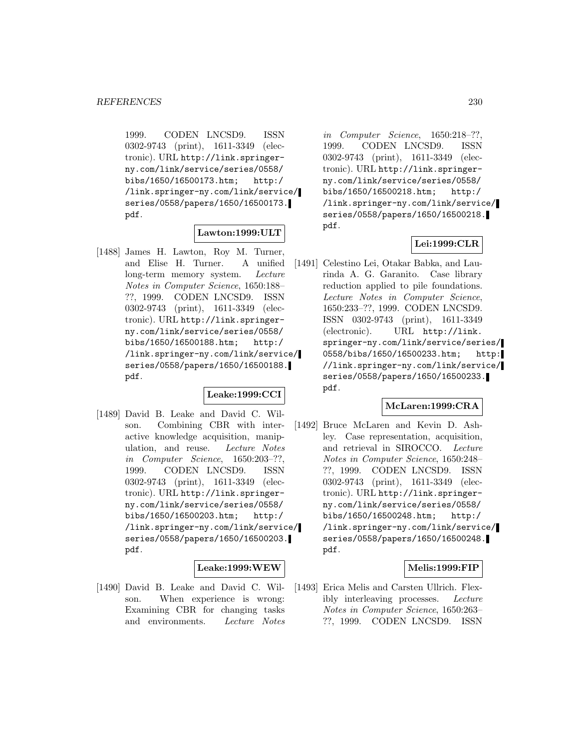1999. CODEN LNCSD9. ISSN 0302-9743 (print), 1611-3349 (electronic). URL http://link.springerny.com/link/service/series/0558/ bibs/1650/16500173.htm; http:/ /link.springer-ny.com/link/service/ series/0558/papers/1650/16500173. pdf.

## **Lawton:1999:ULT**

[1488] James H. Lawton, Roy M. Turner, and Elise H. Turner. A unified long-term memory system. Lecture Notes in Computer Science, 1650:188– ??, 1999. CODEN LNCSD9. ISSN 0302-9743 (print), 1611-3349 (electronic). URL http://link.springerny.com/link/service/series/0558/ bibs/1650/16500188.htm; http:/ /link.springer-ny.com/link/service/ series/0558/papers/1650/16500188. pdf.

## **Leake:1999:CCI**

[1489] David B. Leake and David C. Wilson. Combining CBR with interactive knowledge acquisition, manipulation, and reuse. Lecture Notes in Computer Science, 1650:203–??, 1999. CODEN LNCSD9. ISSN 0302-9743 (print), 1611-3349 (electronic). URL http://link.springerny.com/link/service/series/0558/ bibs/1650/16500203.htm; http:/ /link.springer-ny.com/link/service/ series/0558/papers/1650/16500203. pdf.

# **Leake:1999:WEW**

[1490] David B. Leake and David C. Wilson. When experience is wrong: Examining CBR for changing tasks and environments. Lecture Notes

in Computer Science, 1650:218–??, 1999. CODEN LNCSD9. ISSN 0302-9743 (print), 1611-3349 (electronic). URL http://link.springerny.com/link/service/series/0558/ bibs/1650/16500218.htm; http:/ /link.springer-ny.com/link/service/ series/0558/papers/1650/16500218. pdf.

## **Lei:1999:CLR**

[1491] Celestino Lei, Otakar Babka, and Laurinda A. G. Garanito. Case library reduction applied to pile foundations. Lecture Notes in Computer Science, 1650:233–??, 1999. CODEN LNCSD9. ISSN 0302-9743 (print), 1611-3349 (electronic). URL http://link. springer-ny.com/link/service/series/ 0558/bibs/1650/16500233.htm; http: //link.springer-ny.com/link/service/ series/0558/papers/1650/16500233. pdf.

#### **McLaren:1999:CRA**

[1492] Bruce McLaren and Kevin D. Ashley. Case representation, acquisition, and retrieval in SIROCCO. Lecture Notes in Computer Science, 1650:248– ??, 1999. CODEN LNCSD9. ISSN 0302-9743 (print), 1611-3349 (electronic). URL http://link.springerny.com/link/service/series/0558/ bibs/1650/16500248.htm; http:/ /link.springer-ny.com/link/service/ series/0558/papers/1650/16500248. pdf.

## **Melis:1999:FIP**

[1493] Erica Melis and Carsten Ullrich. Flexibly interleaving processes. Lecture Notes in Computer Science, 1650:263– ??, 1999. CODEN LNCSD9. ISSN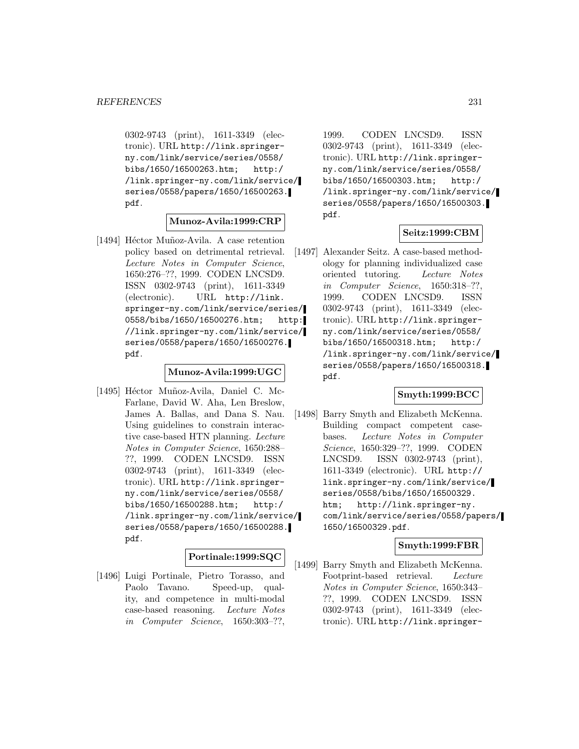0302-9743 (print), 1611-3349 (electronic). URL http://link.springerny.com/link/service/series/0558/ bibs/1650/16500263.htm; http:/ /link.springer-ny.com/link/service/ series/0558/papers/1650/16500263. pdf.

## **Munoz-Avila:1999:CRP**

[1494] Héctor Muñoz-Avila. A case retention policy based on detrimental retrieval. Lecture Notes in Computer Science, 1650:276–??, 1999. CODEN LNCSD9. ISSN 0302-9743 (print), 1611-3349 (electronic). URL http://link. springer-ny.com/link/service/series/ 0558/bibs/1650/16500276.htm; http: //link.springer-ny.com/link/service/ series/0558/papers/1650/16500276. pdf.

# **Munoz-Avila:1999:UGC**

[1495] Héctor Muñoz-Avila, Daniel C. Mc-Farlane, David W. Aha, Len Breslow, James A. Ballas, and Dana S. Nau. Using guidelines to constrain interactive case-based HTN planning. Lecture Notes in Computer Science, 1650:288– ??, 1999. CODEN LNCSD9. ISSN 0302-9743 (print), 1611-3349 (electronic). URL http://link.springerny.com/link/service/series/0558/ bibs/1650/16500288.htm; http:/ /link.springer-ny.com/link/service/ series/0558/papers/1650/16500288. pdf.

## **Portinale:1999:SQC**

[1496] Luigi Portinale, Pietro Torasso, and Paolo Tavano. Speed-up, quality, and competence in multi-modal case-based reasoning. Lecture Notes in Computer Science, 1650:303–??,

1999. CODEN LNCSD9. ISSN 0302-9743 (print), 1611-3349 (electronic). URL http://link.springerny.com/link/service/series/0558/ bibs/1650/16500303.htm; http:/ /link.springer-ny.com/link/service/ series/0558/papers/1650/16500303. pdf.

## **Seitz:1999:CBM**

[1497] Alexander Seitz. A case-based methodology for planning individualized case oriented tutoring. Lecture Notes in Computer Science, 1650:318–??, 1999. CODEN LNCSD9. ISSN 0302-9743 (print), 1611-3349 (electronic). URL http://link.springerny.com/link/service/series/0558/ bibs/1650/16500318.htm; http:/ /link.springer-ny.com/link/service/ series/0558/papers/1650/16500318. pdf.

# **Smyth:1999:BCC**

[1498] Barry Smyth and Elizabeth McKenna. Building compact competent casebases. Lecture Notes in Computer Science, 1650:329–??, 1999. CODEN LNCSD9. ISSN 0302-9743 (print), 1611-3349 (electronic). URL http:// link.springer-ny.com/link/service/ series/0558/bibs/1650/16500329. htm; http://link.springer-ny. com/link/service/series/0558/papers/ 1650/16500329.pdf.

# **Smyth:1999:FBR**

[1499] Barry Smyth and Elizabeth McKenna. Footprint-based retrieval. Lecture Notes in Computer Science, 1650:343– ??, 1999. CODEN LNCSD9. ISSN 0302-9743 (print), 1611-3349 (electronic). URL http://link.springer-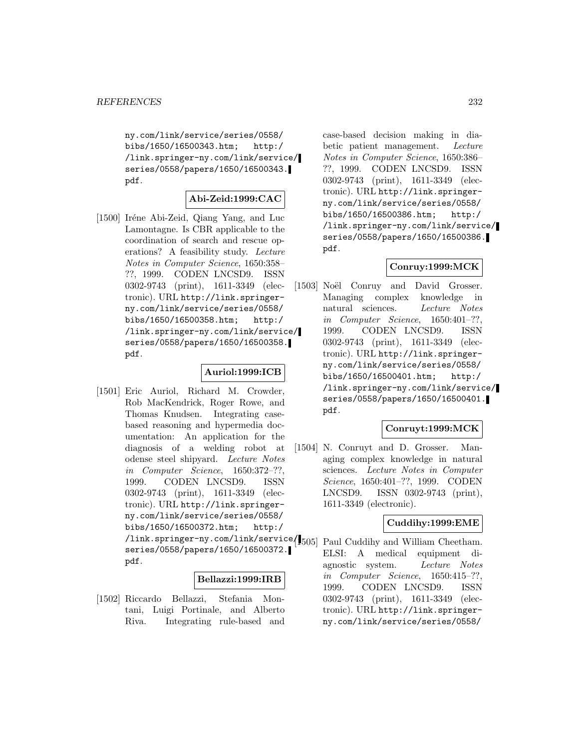ny.com/link/service/series/0558/ bibs/1650/16500343.htm; http:/ /link.springer-ny.com/link/service/ series/0558/papers/1650/16500343. pdf.

## **Abi-Zeid:1999:CAC**

[1500] Iréne Abi-Zeid, Qiang Yang, and Luc Lamontagne. Is CBR applicable to the coordination of search and rescue operations? A feasibility study. Lecture Notes in Computer Science, 1650:358– ??, 1999. CODEN LNCSD9. ISSN 0302-9743 (print), 1611-3349 (electronic). URL http://link.springerny.com/link/service/series/0558/ bibs/1650/16500358.htm; http:/ /link.springer-ny.com/link/service/ series/0558/papers/1650/16500358. pdf.

### **Auriol:1999:ICB**

[1501] Eric Auriol, Richard M. Crowder, Rob MacKendrick, Roger Rowe, and Thomas Knudsen. Integrating casebased reasoning and hypermedia documentation: An application for the diagnosis of a welding robot at odense steel shipyard. Lecture Notes in Computer Science, 1650:372–??, 1999. CODEN LNCSD9. ISSN 0302-9743 (print), 1611-3349 (electronic). URL http://link.springerny.com/link/service/series/0558/ bibs/1650/16500372.htm; http:/ /link.springer-ny.com/link/service/ [1505] Paul Cuddihy and William Cheetham. series/0558/papers/1650/16500372. pdf.

## **Bellazzi:1999:IRB**

[1502] Riccardo Bellazzi, Stefania Montani, Luigi Portinale, and Alberto Riva. Integrating rule-based and

case-based decision making in diabetic patient management. Lecture Notes in Computer Science, 1650:386– ??, 1999. CODEN LNCSD9. ISSN 0302-9743 (print), 1611-3349 (electronic). URL http://link.springerny.com/link/service/series/0558/ bibs/1650/16500386.htm; http:/ /link.springer-ny.com/link/service/ series/0558/papers/1650/16500386. pdf.

## **Conruy:1999:MCK**

[1503] Noël Conruy and David Grosser. Managing complex knowledge in natural sciences. Lecture Notes in Computer Science, 1650:401–??, 1999. CODEN LNCSD9. ISSN 0302-9743 (print), 1611-3349 (electronic). URL http://link.springerny.com/link/service/series/0558/ bibs/1650/16500401.htm; http:/ /link.springer-ny.com/link/service/ series/0558/papers/1650/16500401. pdf.

#### **Conruyt:1999:MCK**

[1504] N. Conruyt and D. Grosser. Managing complex knowledge in natural sciences. Lecture Notes in Computer Science, 1650:401–??, 1999. CODEN LNCSD9. ISSN 0302-9743 (print), 1611-3349 (electronic).

## **Cuddihy:1999:EME**

ELSI: A medical equipment diagnostic system. Lecture Notes in Computer Science, 1650:415–??, 1999. CODEN LNCSD9. ISSN 0302-9743 (print), 1611-3349 (electronic). URL http://link.springerny.com/link/service/series/0558/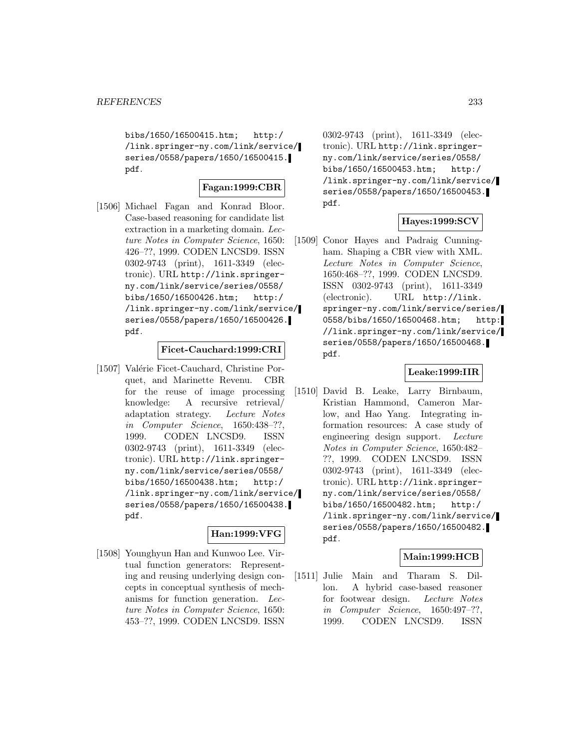bibs/1650/16500415.htm; http:/ /link.springer-ny.com/link/service/ series/0558/papers/1650/16500415. pdf.

## **Fagan:1999:CBR**

[1506] Michael Fagan and Konrad Bloor. Case-based reasoning for candidate list extraction in a marketing domain. Lecture Notes in Computer Science, 1650: 426–??, 1999. CODEN LNCSD9. ISSN 0302-9743 (print), 1611-3349 (electronic). URL http://link.springerny.com/link/service/series/0558/ bibs/1650/16500426.htm; http:/ /link.springer-ny.com/link/service/ series/0558/papers/1650/16500426. pdf.

## **Ficet-Cauchard:1999:CRI**

[1507] Valérie Ficet-Cauchard, Christine Porquet, and Marinette Revenu. CBR for the reuse of image processing knowledge: A recursive retrieval/ adaptation strategy. Lecture Notes in Computer Science, 1650:438–??, 1999. CODEN LNCSD9. ISSN 0302-9743 (print), 1611-3349 (electronic). URL http://link.springerny.com/link/service/series/0558/ bibs/1650/16500438.htm; http:/ /link.springer-ny.com/link/service/ series/0558/papers/1650/16500438. pdf.

## **Han:1999:VFG**

[1508] Younghyun Han and Kunwoo Lee. Virtual function generators: Representing and reusing underlying design concepts in conceptual synthesis of mechanisms for function generation. Lecture Notes in Computer Science, 1650: 453–??, 1999. CODEN LNCSD9. ISSN

0302-9743 (print), 1611-3349 (electronic). URL http://link.springerny.com/link/service/series/0558/ bibs/1650/16500453.htm; http:/ /link.springer-ny.com/link/service/ series/0558/papers/1650/16500453. pdf.

# **Hayes:1999:SCV**

[1509] Conor Hayes and Padraig Cunningham. Shaping a CBR view with XML. Lecture Notes in Computer Science, 1650:468–??, 1999. CODEN LNCSD9. ISSN 0302-9743 (print), 1611-3349 (electronic). URL http://link. springer-ny.com/link/service/series/ 0558/bibs/1650/16500468.htm; http: //link.springer-ny.com/link/service/ series/0558/papers/1650/16500468. pdf.

## **Leake:1999:IIR**

[1510] David B. Leake, Larry Birnbaum, Kristian Hammond, Cameron Marlow, and Hao Yang. Integrating information resources: A case study of engineering design support. Lecture Notes in Computer Science, 1650:482– ??, 1999. CODEN LNCSD9. ISSN 0302-9743 (print), 1611-3349 (electronic). URL http://link.springerny.com/link/service/series/0558/ bibs/1650/16500482.htm; http:/ /link.springer-ny.com/link/service/ series/0558/papers/1650/16500482. pdf.

## **Main:1999:HCB**

[1511] Julie Main and Tharam S. Dillon. A hybrid case-based reasoner for footwear design. Lecture Notes in Computer Science, 1650:497–??, 1999. CODEN LNCSD9. ISSN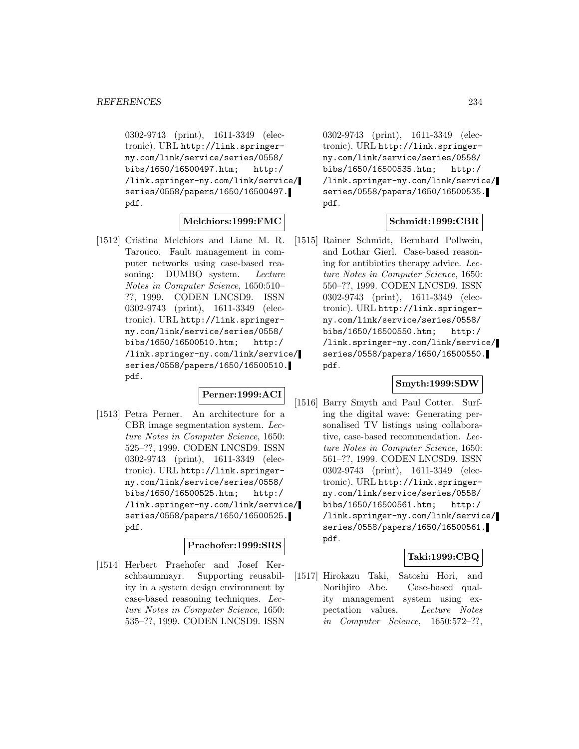0302-9743 (print), 1611-3349 (electronic). URL http://link.springerny.com/link/service/series/0558/ bibs/1650/16500497.htm; http:/ /link.springer-ny.com/link/service/ series/0558/papers/1650/16500497. pdf.

## **Melchiors:1999:FMC**

[1512] Cristina Melchiors and Liane M. R. Tarouco. Fault management in computer networks using case-based reasoning: DUMBO system. Lecture Notes in Computer Science, 1650:510– ??, 1999. CODEN LNCSD9. ISSN 0302-9743 (print), 1611-3349 (electronic). URL http://link.springerny.com/link/service/series/0558/ bibs/1650/16500510.htm; http:/ /link.springer-ny.com/link/service/ series/0558/papers/1650/16500510. pdf.

# **Perner:1999:ACI**

[1513] Petra Perner. An architecture for a CBR image segmentation system. Lecture Notes in Computer Science, 1650: 525–??, 1999. CODEN LNCSD9. ISSN 0302-9743 (print), 1611-3349 (electronic). URL http://link.springerny.com/link/service/series/0558/ bibs/1650/16500525.htm; http:/ /link.springer-ny.com/link/service/ series/0558/papers/1650/16500525. pdf.

## **Praehofer:1999:SRS**

[1514] Herbert Praehofer and Josef Kerschbaummayr. Supporting reusability in a system design environment by case-based reasoning techniques. Lecture Notes in Computer Science, 1650: 535–??, 1999. CODEN LNCSD9. ISSN

0302-9743 (print), 1611-3349 (electronic). URL http://link.springerny.com/link/service/series/0558/ bibs/1650/16500535.htm; http:/ /link.springer-ny.com/link/service/ series/0558/papers/1650/16500535. pdf.

## **Schmidt:1999:CBR**

[1515] Rainer Schmidt, Bernhard Pollwein, and Lothar Gierl. Case-based reasoning for antibiotics therapy advice. Lecture Notes in Computer Science, 1650: 550–??, 1999. CODEN LNCSD9. ISSN 0302-9743 (print), 1611-3349 (electronic). URL http://link.springerny.com/link/service/series/0558/ bibs/1650/16500550.htm; http:/ /link.springer-ny.com/link/service/ series/0558/papers/1650/16500550. pdf.

#### **Smyth:1999:SDW**

[1516] Barry Smyth and Paul Cotter. Surfing the digital wave: Generating personalised TV listings using collaborative, case-based recommendation. Lecture Notes in Computer Science, 1650: 561–??, 1999. CODEN LNCSD9. ISSN 0302-9743 (print), 1611-3349 (electronic). URL http://link.springerny.com/link/service/series/0558/ bibs/1650/16500561.htm; http:/ /link.springer-ny.com/link/service/ series/0558/papers/1650/16500561. pdf.

## **Taki:1999:CBQ**

[1517] Hirokazu Taki, Satoshi Hori, and Norihjiro Abe. Case-based quality management system using expectation values. Lecture Notes in Computer Science, 1650:572–??,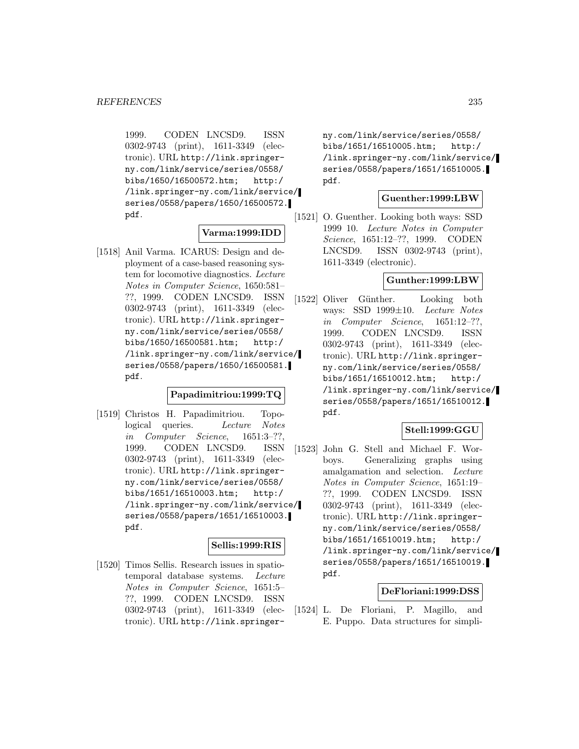1999. CODEN LNCSD9. ISSN 0302-9743 (print), 1611-3349 (electronic). URL http://link.springerny.com/link/service/series/0558/ bibs/1650/16500572.htm; http:/ /link.springer-ny.com/link/service/ series/0558/papers/1650/16500572. pdf.

## **Varma:1999:IDD**

[1518] Anil Varma. ICARUS: Design and deployment of a case-based reasoning system for locomotive diagnostics. Lecture Notes in Computer Science, 1650:581– ??, 1999. CODEN LNCSD9. ISSN 0302-9743 (print), 1611-3349 (electronic). URL http://link.springerny.com/link/service/series/0558/ bibs/1650/16500581.htm; http:/ /link.springer-ny.com/link/service/ series/0558/papers/1650/16500581. pdf.

## **Papadimitriou:1999:TQ**

[1519] Christos H. Papadimitriou. Topological queries. Lecture Notes in Computer Science, 1651:3–??, 1999. CODEN LNCSD9. ISSN 0302-9743 (print), 1611-3349 (electronic). URL http://link.springerny.com/link/service/series/0558/ bibs/1651/16510003.htm; http:/ /link.springer-ny.com/link/service/ series/0558/papers/1651/16510003. pdf.

# **Sellis:1999:RIS**

[1520] Timos Sellis. Research issues in spatiotemporal database systems. Lecture Notes in Computer Science, 1651:5– ??, 1999. CODEN LNCSD9. ISSN 0302-9743 (print), 1611-3349 (electronic). URL http://link.springerny.com/link/service/series/0558/ bibs/1651/16510005.htm; http:/ /link.springer-ny.com/link/service/ series/0558/papers/1651/16510005. pdf.

## **Guenther:1999:LBW**

[1521] O. Guenther. Looking both ways: SSD 1999 10. Lecture Notes in Computer Science, 1651:12–??, 1999. CODEN LNCSD9. ISSN 0302-9743 (print), 1611-3349 (electronic).

### **Gunther:1999:LBW**

[1522] Oliver Günther. Looking both ways: SSD 1999±10. Lecture Notes in Computer Science, 1651:12–??, 1999. CODEN LNCSD9. ISSN 0302-9743 (print), 1611-3349 (electronic). URL http://link.springerny.com/link/service/series/0558/ bibs/1651/16510012.htm; http:/ /link.springer-ny.com/link/service/ series/0558/papers/1651/16510012. pdf.

## **Stell:1999:GGU**

[1523] John G. Stell and Michael F. Worboys. Generalizing graphs using amalgamation and selection. Lecture Notes in Computer Science, 1651:19– ??, 1999. CODEN LNCSD9. ISSN 0302-9743 (print), 1611-3349 (electronic). URL http://link.springerny.com/link/service/series/0558/ bibs/1651/16510019.htm; http:/ /link.springer-ny.com/link/service/ series/0558/papers/1651/16510019. pdf.

#### **DeFloriani:1999:DSS**

[1524] L. De Floriani, P. Magillo, and E. Puppo. Data structures for simpli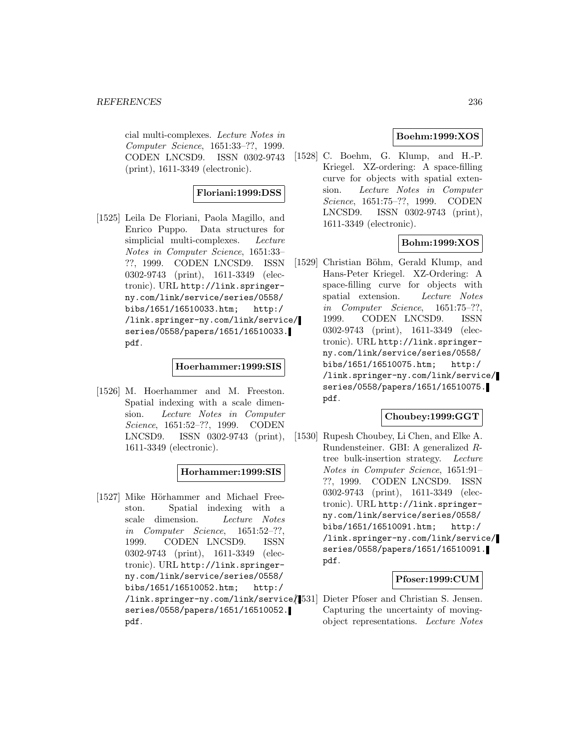cial multi-complexes. Lecture Notes in Computer Science, 1651:33–??, 1999. CODEN LNCSD9. ISSN 0302-9743 (print), 1611-3349 (electronic).

## **Floriani:1999:DSS**

[1525] Leila De Floriani, Paola Magillo, and Enrico Puppo. Data structures for simplicial multi-complexes. Lecture Notes in Computer Science, 1651:33– ??, 1999. CODEN LNCSD9. ISSN 0302-9743 (print), 1611-3349 (electronic). URL http://link.springerny.com/link/service/series/0558/ bibs/1651/16510033.htm; http:/ /link.springer-ny.com/link/service/ series/0558/papers/1651/16510033. pdf.

### **Hoerhammer:1999:SIS**

[1526] M. Hoerhammer and M. Freeston. Spatial indexing with a scale dimension. Lecture Notes in Computer Science, 1651:52–??, 1999. CODEN LNCSD9. ISSN 0302-9743 (print), 1611-3349 (electronic).

#### **Horhammer:1999:SIS**

[1527] Mike Hörhammer and Michael Freeston. Spatial indexing with a scale dimension. Lecture Notes in Computer Science, 1651:52–??, 1999. CODEN LNCSD9. ISSN 0302-9743 (print), 1611-3349 (electronic). URL http://link.springerny.com/link/service/series/0558/ bibs/1651/16510052.htm; http:/ /link.springer-ny.com/link/service/ series/0558/papers/1651/16510052. pdf.

## **Boehm:1999:XOS**

[1528] C. Boehm, G. Klump, and H.-P. Kriegel. XZ-ordering: A space-filling curve for objects with spatial extension. Lecture Notes in Computer Science, 1651:75–??, 1999. CODEN LNCSD9. ISSN 0302-9743 (print), 1611-3349 (electronic).

## **Bohm:1999:XOS**

[1529] Christian Böhm, Gerald Klump, and Hans-Peter Kriegel. XZ-Ordering: A space-filling curve for objects with spatial extension. Lecture Notes in Computer Science, 1651:75–??, 1999. CODEN LNCSD9. ISSN 0302-9743 (print), 1611-3349 (electronic). URL http://link.springerny.com/link/service/series/0558/ bibs/1651/16510075.htm; http:/ /link.springer-ny.com/link/service/ series/0558/papers/1651/16510075. pdf.

## **Choubey:1999:GGT**

[1530] Rupesh Choubey, Li Chen, and Elke A. Rundensteiner. GBI: A generalized Rtree bulk-insertion strategy. Lecture Notes in Computer Science, 1651:91– ??, 1999. CODEN LNCSD9. ISSN 0302-9743 (print), 1611-3349 (electronic). URL http://link.springerny.com/link/service/series/0558/ bibs/1651/16510091.htm; http:/ /link.springer-ny.com/link/service/ series/0558/papers/1651/16510091. pdf.

## **Pfoser:1999:CUM**

Dieter Pfoser and Christian S. Jensen. Capturing the uncertainty of movingobject representations. Lecture Notes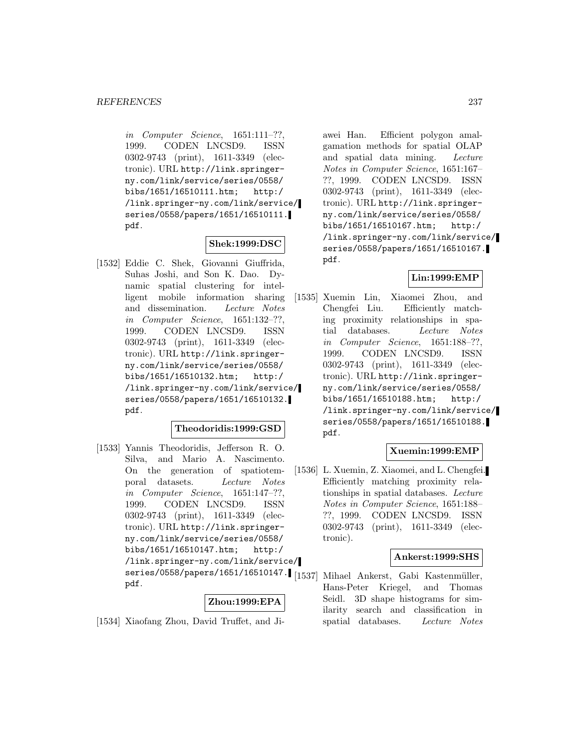in Computer Science, 1651:111–??, 1999. CODEN LNCSD9. ISSN 0302-9743 (print), 1611-3349 (electronic). URL http://link.springerny.com/link/service/series/0558/ bibs/1651/16510111.htm; http:/ /link.springer-ny.com/link/service/ series/0558/papers/1651/16510111. pdf.

### **Shek:1999:DSC**

[1532] Eddie C. Shek, Giovanni Giuffrida, Suhas Joshi, and Son K. Dao. Dynamic spatial clustering for intelligent mobile information sharing and dissemination. Lecture Notes in Computer Science, 1651:132–??, 1999. CODEN LNCSD9. ISSN 0302-9743 (print), 1611-3349 (electronic). URL http://link.springerny.com/link/service/series/0558/ bibs/1651/16510132.htm; http:/ /link.springer-ny.com/link/service/ series/0558/papers/1651/16510132. pdf.

## **Theodoridis:1999:GSD**

[1533] Yannis Theodoridis, Jefferson R. O. Silva, and Mario A. Nascimento. On the generation of spatiotemporal datasets. Lecture Notes in Computer Science, 1651:147–??, 1999. CODEN LNCSD9. ISSN 0302-9743 (print), 1611-3349 (electronic). URL http://link.springerny.com/link/service/series/0558/ bibs/1651/16510147.htm; http:/ /link.springer-ny.com/link/service/ series/0558/papers/1651/16510147. [1537] Mihael Ankerst, Gabi Kastenmüller, pdf.

#### **Zhou:1999:EPA**

[1534] Xiaofang Zhou, David Truffet, and Ji-

awei Han. Efficient polygon amalgamation methods for spatial OLAP and spatial data mining. Lecture Notes in Computer Science, 1651:167– ??, 1999. CODEN LNCSD9. ISSN 0302-9743 (print), 1611-3349 (electronic). URL http://link.springerny.com/link/service/series/0558/ bibs/1651/16510167.htm; http:/ /link.springer-ny.com/link/service/ series/0558/papers/1651/16510167. pdf.

### **Lin:1999:EMP**

[1535] Xuemin Lin, Xiaomei Zhou, and Chengfei Liu. Efficiently matching proximity relationships in spatial databases. Lecture Notes in Computer Science, 1651:188–??, 1999. CODEN LNCSD9. ISSN 0302-9743 (print), 1611-3349 (electronic). URL http://link.springerny.com/link/service/series/0558/ bibs/1651/16510188.htm; http:/ /link.springer-ny.com/link/service/ series/0558/papers/1651/16510188. pdf.

## **Xuemin:1999:EMP**

[1536] L. Xuemin, Z. Xiaomei, and L. Chengfei. Efficiently matching proximity relationships in spatial databases. Lecture Notes in Computer Science, 1651:188– ??, 1999. CODEN LNCSD9. ISSN 0302-9743 (print), 1611-3349 (electronic).

#### **Ankerst:1999:SHS**

Hans-Peter Kriegel, and Thomas Seidl. 3D shape histograms for similarity search and classification in spatial databases. Lecture Notes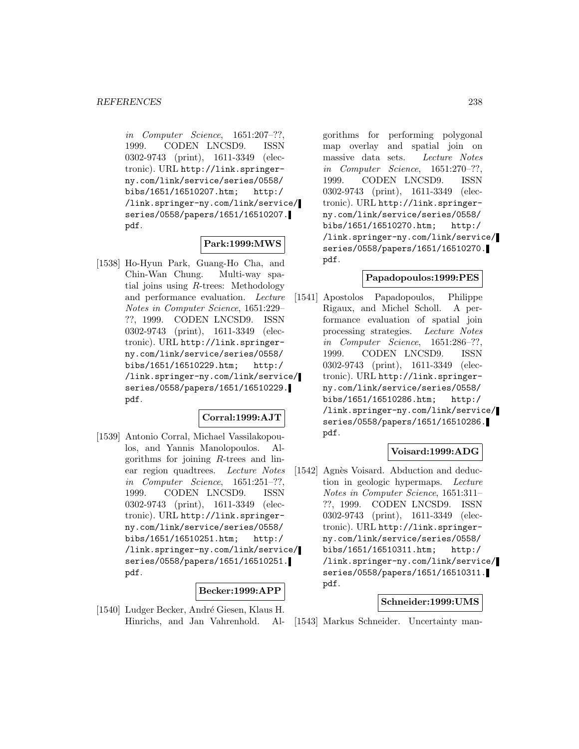in Computer Science, 1651:207–??, 1999. CODEN LNCSD9. ISSN 0302-9743 (print), 1611-3349 (electronic). URL http://link.springerny.com/link/service/series/0558/ bibs/1651/16510207.htm; http:/ /link.springer-ny.com/link/service/ series/0558/papers/1651/16510207. pdf.

## **Park:1999:MWS**

[1538] Ho-Hyun Park, Guang-Ho Cha, and Chin-Wan Chung. Multi-way spatial joins using R-trees: Methodology and performance evaluation. Lecture Notes in Computer Science, 1651:229– ??, 1999. CODEN LNCSD9. ISSN 0302-9743 (print), 1611-3349 (electronic). URL http://link.springerny.com/link/service/series/0558/ bibs/1651/16510229.htm; http:/ /link.springer-ny.com/link/service/ series/0558/papers/1651/16510229. pdf.

## **Corral:1999:AJT**

[1539] Antonio Corral, Michael Vassilakopoulos, and Yannis Manolopoulos. Algorithms for joining R-trees and linear region quadtrees. Lecture Notes in Computer Science, 1651:251–??, 1999. CODEN LNCSD9. ISSN 0302-9743 (print), 1611-3349 (electronic). URL http://link.springerny.com/link/service/series/0558/ bibs/1651/16510251.htm; http:/ /link.springer-ny.com/link/service/ series/0558/papers/1651/16510251. pdf.

## **Becker:1999:APP**

[1540] Ludger Becker, André Giesen, Klaus H. Hinrichs, and Jan Vahrenhold. Al-

gorithms for performing polygonal map overlay and spatial join on massive data sets. Lecture Notes in Computer Science, 1651:270–??, 1999. CODEN LNCSD9. ISSN 0302-9743 (print), 1611-3349 (electronic). URL http://link.springerny.com/link/service/series/0558/ bibs/1651/16510270.htm; http:/ /link.springer-ny.com/link/service/ series/0558/papers/1651/16510270. pdf.

## **Papadopoulos:1999:PES**

[1541] Apostolos Papadopoulos, Philippe Rigaux, and Michel Scholl. A performance evaluation of spatial join processing strategies. Lecture Notes in Computer Science, 1651:286–??, 1999. CODEN LNCSD9. ISSN 0302-9743 (print), 1611-3349 (electronic). URL http://link.springerny.com/link/service/series/0558/ bibs/1651/16510286.htm; http:/ /link.springer-ny.com/link/service/ series/0558/papers/1651/16510286. pdf.

## **Voisard:1999:ADG**

[1542] Agnès Voisard. Abduction and deduction in geologic hypermaps. Lecture Notes in Computer Science, 1651:311– ??, 1999. CODEN LNCSD9. ISSN 0302-9743 (print), 1611-3349 (electronic). URL http://link.springerny.com/link/service/series/0558/ bibs/1651/16510311.htm; http:/ /link.springer-ny.com/link/service/ series/0558/papers/1651/16510311. pdf.

## **Schneider:1999:UMS**

[1543] Markus Schneider. Uncertainty man-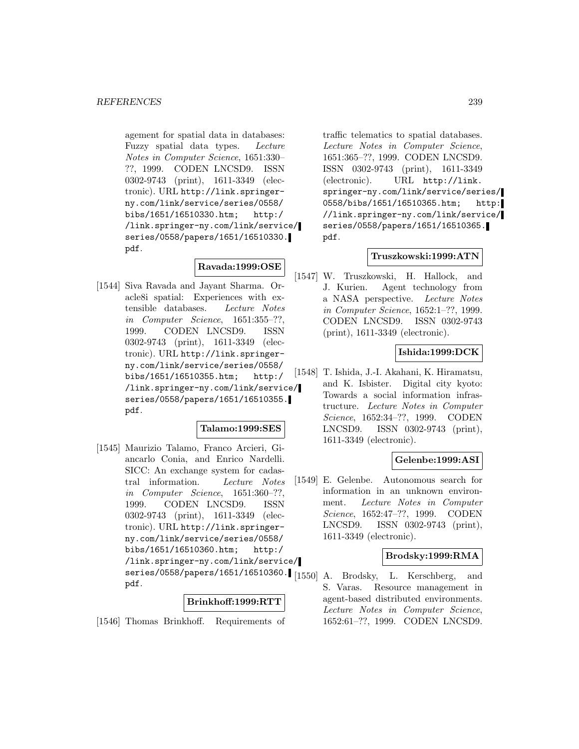agement for spatial data in databases: Fuzzy spatial data types. Lecture Notes in Computer Science, 1651:330– ??, 1999. CODEN LNCSD9. ISSN 0302-9743 (print), 1611-3349 (electronic). URL http://link.springerny.com/link/service/series/0558/ bibs/1651/16510330.htm; http:/ /link.springer-ny.com/link/service/ series/0558/papers/1651/16510330. pdf.

# **Ravada:1999:OSE**

[1544] Siva Ravada and Jayant Sharma. Oracle8i spatial: Experiences with extensible databases. Lecture Notes in Computer Science, 1651:355–??, 1999. CODEN LNCSD9. ISSN 0302-9743 (print), 1611-3349 (electronic). URL http://link.springerny.com/link/service/series/0558/ bibs/1651/16510355.htm; http:/ /link.springer-ny.com/link/service/ series/0558/papers/1651/16510355. pdf.

## **Talamo:1999:SES**

[1545] Maurizio Talamo, Franco Arcieri, Giancarlo Conia, and Enrico Nardelli. SICC: An exchange system for cadastral information. Lecture Notes in Computer Science, 1651:360–??, 1999. CODEN LNCSD9. ISSN 0302-9743 (print), 1611-3349 (electronic). URL http://link.springerny.com/link/service/series/0558/ bibs/1651/16510360.htm; http:/ /link.springer-ny.com/link/service/ series/0558/papers/1651/16510360. [1550] A. Brodsky, L. Kerschberg, and pdf.

## **Brinkhoff:1999:RTT**

[1546] Thomas Brinkhoff. Requirements of

traffic telematics to spatial databases. Lecture Notes in Computer Science, 1651:365–??, 1999. CODEN LNCSD9. ISSN 0302-9743 (print), 1611-3349 (electronic). URL http://link. springer-ny.com/link/service/series/ 0558/bibs/1651/16510365.htm; http: //link.springer-ny.com/link/service/ series/0558/papers/1651/16510365. pdf.

#### **Truszkowski:1999:ATN**

[1547] W. Truszkowski, H. Hallock, and J. Kurien. Agent technology from a NASA perspective. Lecture Notes in Computer Science, 1652:1–??, 1999. CODEN LNCSD9. ISSN 0302-9743 (print), 1611-3349 (electronic).

## **Ishida:1999:DCK**

[1548] T. Ishida, J.-I. Akahani, K. Hiramatsu, and K. Isbister. Digital city kyoto: Towards a social information infrastructure. Lecture Notes in Computer Science, 1652:34–??, 1999. CODEN LNCSD9. ISSN 0302-9743 (print), 1611-3349 (electronic).

## **Gelenbe:1999:ASI**

[1549] E. Gelenbe. Autonomous search for information in an unknown environment. Lecture Notes in Computer Science, 1652:47–??, 1999. CODEN LNCSD9. ISSN 0302-9743 (print), 1611-3349 (electronic).

## **Brodsky:1999:RMA**

S. Varas. Resource management in agent-based distributed environments. Lecture Notes in Computer Science, 1652:61–??, 1999. CODEN LNCSD9.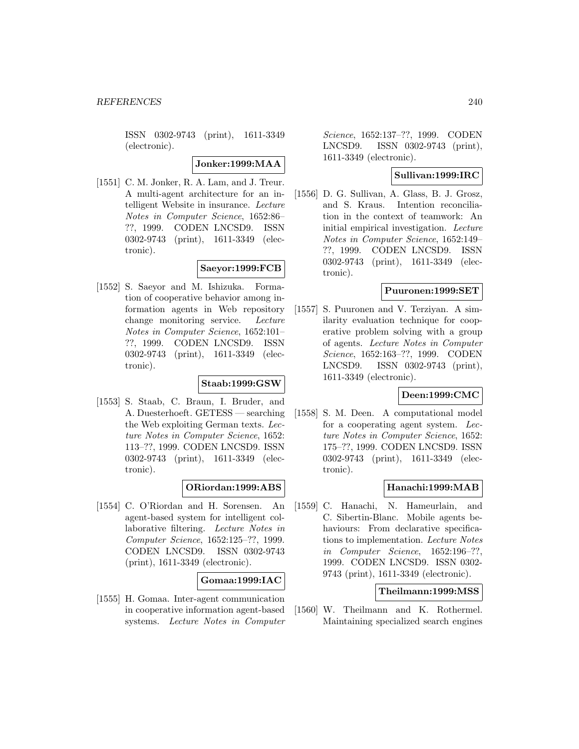ISSN 0302-9743 (print), 1611-3349 (electronic).

**Jonker:1999:MAA**

[1551] C. M. Jonker, R. A. Lam, and J. Treur. A multi-agent architecture for an intelligent Website in insurance. Lecture Notes in Computer Science, 1652:86– ??, 1999. CODEN LNCSD9. ISSN 0302-9743 (print), 1611-3349 (electronic).

# **Saeyor:1999:FCB**

[1552] S. Saeyor and M. Ishizuka. Formation of cooperative behavior among information agents in Web repository change monitoring service. Lecture Notes in Computer Science, 1652:101– ??, 1999. CODEN LNCSD9. ISSN 0302-9743 (print), 1611-3349 (electronic).

## **Staab:1999:GSW**

[1553] S. Staab, C. Braun, I. Bruder, and A. Duesterhoeft. GETESS — searching the Web exploiting German texts. Lecture Notes in Computer Science, 1652: 113–??, 1999. CODEN LNCSD9. ISSN 0302-9743 (print), 1611-3349 (electronic).

## **ORiordan:1999:ABS**

[1554] C. O'Riordan and H. Sorensen. An agent-based system for intelligent collaborative filtering. Lecture Notes in Computer Science, 1652:125–??, 1999. CODEN LNCSD9. ISSN 0302-9743 (print), 1611-3349 (electronic).

## **Gomaa:1999:IAC**

[1555] H. Gomaa. Inter-agent communication in cooperative information agent-based systems. Lecture Notes in Computer

Science, 1652:137–??, 1999. CODEN LNCSD9. ISSN 0302-9743 (print), 1611-3349 (electronic).

## **Sullivan:1999:IRC**

[1556] D. G. Sullivan, A. Glass, B. J. Grosz, and S. Kraus. Intention reconciliation in the context of teamwork: An initial empirical investigation. Lecture Notes in Computer Science, 1652:149– ??, 1999. CODEN LNCSD9. ISSN 0302-9743 (print), 1611-3349 (electronic).

## **Puuronen:1999:SET**

[1557] S. Puuronen and V. Terziyan. A similarity evaluation technique for cooperative problem solving with a group of agents. Lecture Notes in Computer Science, 1652:163–??, 1999. CODEN LNCSD9. ISSN 0302-9743 (print), 1611-3349 (electronic).

## **Deen:1999:CMC**

[1558] S. M. Deen. A computational model for a cooperating agent system. Lecture Notes in Computer Science, 1652: 175–??, 1999. CODEN LNCSD9. ISSN 0302-9743 (print), 1611-3349 (electronic).

## **Hanachi:1999:MAB**

[1559] C. Hanachi, N. Hameurlain, and C. Sibertin-Blanc. Mobile agents behaviours: From declarative specifications to implementation. Lecture Notes in Computer Science, 1652:196–??, 1999. CODEN LNCSD9. ISSN 0302- 9743 (print), 1611-3349 (electronic).

#### **Theilmann:1999:MSS**

[1560] W. Theilmann and K. Rothermel. Maintaining specialized search engines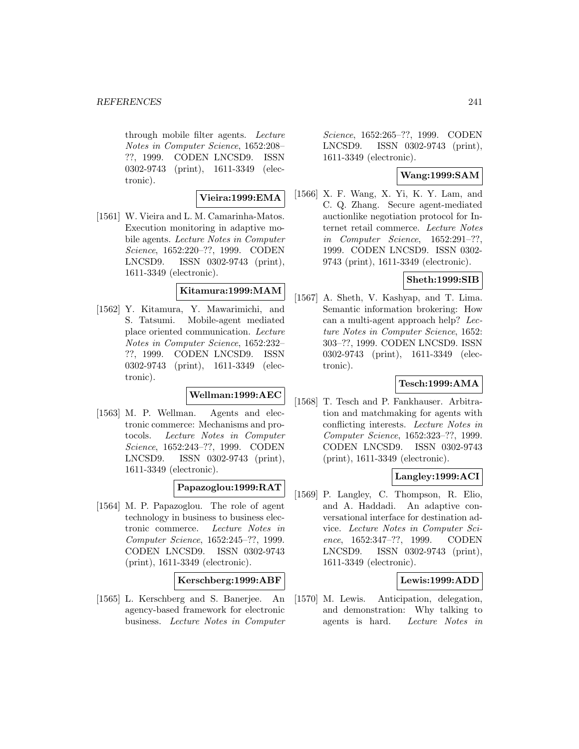#### *REFERENCES* 241

through mobile filter agents. Lecture Notes in Computer Science, 1652:208– ??, 1999. CODEN LNCSD9. ISSN 0302-9743 (print), 1611-3349 (electronic).

## **Vieira:1999:EMA**

[1561] W. Vieira and L. M. Camarinha-Matos. Execution monitoring in adaptive mobile agents. Lecture Notes in Computer Science, 1652:220–??, 1999. CODEN LNCSD9. ISSN 0302-9743 (print), 1611-3349 (electronic).

## **Kitamura:1999:MAM**

[1562] Y. Kitamura, Y. Mawarimichi, and S. Tatsumi. Mobile-agent mediated place oriented communication. Lecture Notes in Computer Science, 1652:232– ??, 1999. CODEN LNCSD9. ISSN 0302-9743 (print), 1611-3349 (electronic).

# **Wellman:1999:AEC**

[1563] M. P. Wellman. Agents and electronic commerce: Mechanisms and protocols. Lecture Notes in Computer Science, 1652:243–??, 1999. CODEN LNCSD9. ISSN 0302-9743 (print), 1611-3349 (electronic).

## **Papazoglou:1999:RAT**

[1564] M. P. Papazoglou. The role of agent technology in business to business electronic commerce. Lecture Notes in Computer Science, 1652:245–??, 1999. CODEN LNCSD9. ISSN 0302-9743 (print), 1611-3349 (electronic).

# **Kerschberg:1999:ABF**

[1565] L. Kerschberg and S. Banerjee. An agency-based framework for electronic business. Lecture Notes in Computer

Science, 1652:265–??, 1999. CODEN LNCSD9. ISSN 0302-9743 (print), 1611-3349 (electronic).

## **Wang:1999:SAM**

[1566] X. F. Wang, X. Yi, K. Y. Lam, and C. Q. Zhang. Secure agent-mediated auctionlike negotiation protocol for Internet retail commerce. Lecture Notes in Computer Science, 1652:291–??, 1999. CODEN LNCSD9. ISSN 0302- 9743 (print), 1611-3349 (electronic).

## **Sheth:1999:SIB**

[1567] A. Sheth, V. Kashyap, and T. Lima. Semantic information brokering: How can a multi-agent approach help? Lecture Notes in Computer Science, 1652: 303–??, 1999. CODEN LNCSD9. ISSN 0302-9743 (print), 1611-3349 (electronic).

## **Tesch:1999:AMA**

[1568] T. Tesch and P. Fankhauser. Arbitration and matchmaking for agents with conflicting interests. Lecture Notes in Computer Science, 1652:323–??, 1999. CODEN LNCSD9. ISSN 0302-9743 (print), 1611-3349 (electronic).

## **Langley:1999:ACI**

[1569] P. Langley, C. Thompson, R. Elio, and A. Haddadi. An adaptive conversational interface for destination advice. Lecture Notes in Computer Science, 1652:347–??, 1999. CODEN LNCSD9. ISSN 0302-9743 (print), 1611-3349 (electronic).

## **Lewis:1999:ADD**

[1570] M. Lewis. Anticipation, delegation, and demonstration: Why talking to agents is hard. Lecture Notes in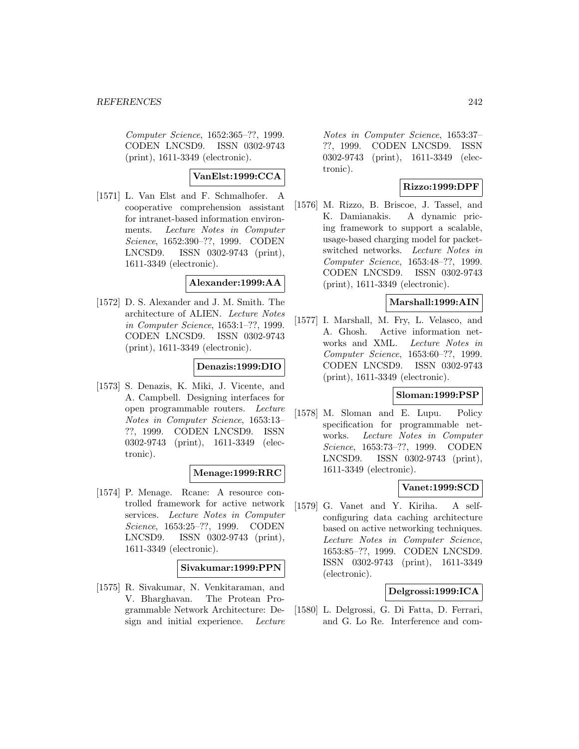Computer Science, 1652:365–??, 1999. CODEN LNCSD9. ISSN 0302-9743 (print), 1611-3349 (electronic).

## **VanElst:1999:CCA**

[1571] L. Van Elst and F. Schmalhofer. A cooperative comprehension assistant for intranet-based information environments. Lecture Notes in Computer Science, 1652:390–??, 1999. CODEN LNCSD9. ISSN 0302-9743 (print), 1611-3349 (electronic).

### **Alexander:1999:AA**

[1572] D. S. Alexander and J. M. Smith. The architecture of ALIEN. Lecture Notes in Computer Science, 1653:1–??, 1999. CODEN LNCSD9. ISSN 0302-9743 (print), 1611-3349 (electronic).

## **Denazis:1999:DIO**

[1573] S. Denazis, K. Miki, J. Vicente, and A. Campbell. Designing interfaces for open programmable routers. Lecture Notes in Computer Science, 1653:13– ??, 1999. CODEN LNCSD9. ISSN 0302-9743 (print), 1611-3349 (electronic).

## **Menage:1999:RRC**

[1574] P. Menage. Rcane: A resource controlled framework for active network services. Lecture Notes in Computer Science, 1653:25–??, 1999. CODEN LNCSD9. ISSN 0302-9743 (print), 1611-3349 (electronic).

## **Sivakumar:1999:PPN**

[1575] R. Sivakumar, N. Venkitaraman, and V. Bharghavan. The Protean Programmable Network Architecture: Design and initial experience. Lecture

Notes in Computer Science, 1653:37– ??, 1999. CODEN LNCSD9. ISSN 0302-9743 (print), 1611-3349 (electronic).

## **Rizzo:1999:DPF**

[1576] M. Rizzo, B. Briscoe, J. Tassel, and K. Damianakis. A dynamic pricing framework to support a scalable, usage-based charging model for packetswitched networks. Lecture Notes in Computer Science, 1653:48–??, 1999. CODEN LNCSD9. ISSN 0302-9743 (print), 1611-3349 (electronic).

## **Marshall:1999:AIN**

[1577] I. Marshall, M. Fry, L. Velasco, and A. Ghosh. Active information networks and XML. Lecture Notes in Computer Science, 1653:60–??, 1999. CODEN LNCSD9. ISSN 0302-9743 (print), 1611-3349 (electronic).

## **Sloman:1999:PSP**

[1578] M. Sloman and E. Lupu. Policy specification for programmable networks. Lecture Notes in Computer Science, 1653:73–??, 1999. CODEN LNCSD9. ISSN 0302-9743 (print), 1611-3349 (electronic).

## **Vanet:1999:SCD**

[1579] G. Vanet and Y. Kiriha. A selfconfiguring data caching architecture based on active networking techniques. Lecture Notes in Computer Science, 1653:85–??, 1999. CODEN LNCSD9. ISSN 0302-9743 (print), 1611-3349 (electronic).

## **Delgrossi:1999:ICA**

[1580] L. Delgrossi, G. Di Fatta, D. Ferrari, and G. Lo Re. Interference and com-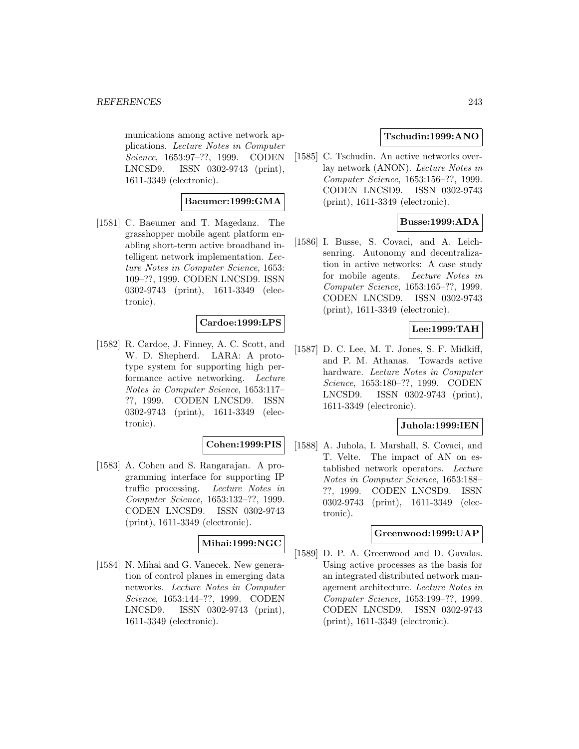munications among active network applications. Lecture Notes in Computer Science, 1653:97–??, 1999. CODEN LNCSD9. ISSN 0302-9743 (print), 1611-3349 (electronic).

## **Baeumer:1999:GMA**

[1581] C. Baeumer and T. Magedanz. The grasshopper mobile agent platform enabling short-term active broadband intelligent network implementation. Lecture Notes in Computer Science, 1653: 109–??, 1999. CODEN LNCSD9. ISSN 0302-9743 (print), 1611-3349 (electronic).

## **Cardoe:1999:LPS**

[1582] R. Cardoe, J. Finney, A. C. Scott, and W. D. Shepherd. LARA: A prototype system for supporting high performance active networking. Lecture Notes in Computer Science, 1653:117– ??, 1999. CODEN LNCSD9. ISSN 0302-9743 (print), 1611-3349 (electronic).

#### **Cohen:1999:PIS**

[1583] A. Cohen and S. Rangarajan. A programming interface for supporting IP traffic processing. Lecture Notes in Computer Science, 1653:132–??, 1999. CODEN LNCSD9. ISSN 0302-9743 (print), 1611-3349 (electronic).

## **Mihai:1999:NGC**

[1584] N. Mihai and G. Vanecek. New generation of control planes in emerging data networks. Lecture Notes in Computer Science, 1653:144–??, 1999. CODEN LNCSD9. ISSN 0302-9743 (print), 1611-3349 (electronic).

## **Tschudin:1999:ANO**

[1585] C. Tschudin. An active networks overlay network (ANON). Lecture Notes in Computer Science, 1653:156–??, 1999. CODEN LNCSD9. ISSN 0302-9743 (print), 1611-3349 (electronic).

## **Busse:1999:ADA**

[1586] I. Busse, S. Covaci, and A. Leichsenring. Autonomy and decentralization in active networks: A case study for mobile agents. Lecture Notes in Computer Science, 1653:165–??, 1999. CODEN LNCSD9. ISSN 0302-9743 (print), 1611-3349 (electronic).

## **Lee:1999:TAH**

[1587] D. C. Lee, M. T. Jones, S. F. Midkiff, and P. M. Athanas. Towards active hardware. Lecture Notes in Computer Science, 1653:180–??, 1999. CODEN LNCSD9. ISSN 0302-9743 (print), 1611-3349 (electronic).

## **Juhola:1999:IEN**

[1588] A. Juhola, I. Marshall, S. Covaci, and T. Velte. The impact of AN on established network operators. Lecture Notes in Computer Science, 1653:188– ??, 1999. CODEN LNCSD9. ISSN 0302-9743 (print), 1611-3349 (electronic).

## **Greenwood:1999:UAP**

[1589] D. P. A. Greenwood and D. Gavalas. Using active processes as the basis for an integrated distributed network management architecture. Lecture Notes in Computer Science, 1653:199–??, 1999. CODEN LNCSD9. ISSN 0302-9743 (print), 1611-3349 (electronic).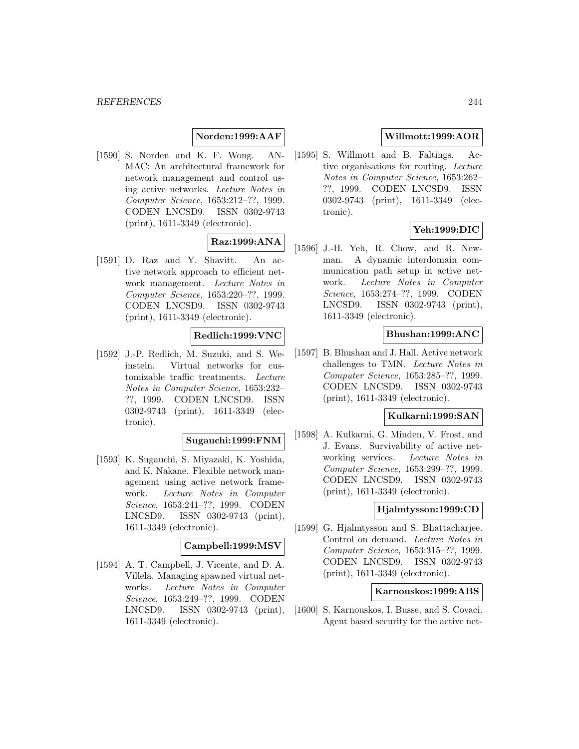## **Norden:1999:AAF**

[1590] S. Norden and K. F. Wong. AN-MAC: An architectural framework for network management and control using active networks. Lecture Notes in Computer Science, 1653:212–??, 1999. CODEN LNCSD9. ISSN 0302-9743 (print), 1611-3349 (electronic).

# **Raz:1999:ANA**

[1591] D. Raz and Y. Shavitt. An active network approach to efficient network management. Lecture Notes in Computer Science, 1653:220–??, 1999. CODEN LNCSD9. ISSN 0302-9743 (print), 1611-3349 (electronic).

## **Redlich:1999:VNC**

[1592] J.-P. Redlich, M. Suzuki, and S. Weinstein. Virtual networks for customizable traffic treatments. Lecture Notes in Computer Science, 1653:232– ??, 1999. CODEN LNCSD9. ISSN 0302-9743 (print), 1611-3349 (electronic).

#### **Sugauchi:1999:FNM**

[1593] K. Sugauchi, S. Miyazaki, K. Yoshida, and K. Nakane. Flexible network management using active network framework. Lecture Notes in Computer Science, 1653:241–??, 1999. CODEN LNCSD9. ISSN 0302-9743 (print), 1611-3349 (electronic).

### **Campbell:1999:MSV**

[1594] A. T. Campbell, J. Vicente, and D. A. Villela. Managing spawned virtual networks. Lecture Notes in Computer Science, 1653:249–??, 1999. CODEN LNCSD9. ISSN 0302-9743 (print), 1611-3349 (electronic).

## **Willmott:1999:AOR**

[1595] S. Willmott and B. Faltings. Active organisations for routing. Lecture Notes in Computer Science, 1653:262– ??, 1999. CODEN LNCSD9. ISSN 0302-9743 (print), 1611-3349 (electronic).

## **Yeh:1999:DIC**

[1596] J.-H. Yeh, R. Chow, and R. Newman. A dynamic interdomain communication path setup in active network. Lecture Notes in Computer Science, 1653:274–??, 1999. CODEN LNCSD9. ISSN 0302-9743 (print), 1611-3349 (electronic).

#### **Bhushan:1999:ANC**

[1597] B. Bhushan and J. Hall. Active network challenges to TMN. Lecture Notes in Computer Science, 1653:285–??, 1999. CODEN LNCSD9. ISSN 0302-9743 (print), 1611-3349 (electronic).

### **Kulkarni:1999:SAN**

[1598] A. Kulkarni, G. Minden, V. Frost, and J. Evans. Survivability of active networking services. Lecture Notes in Computer Science, 1653:299–??, 1999. CODEN LNCSD9. ISSN 0302-9743 (print), 1611-3349 (electronic).

## **Hjalmtysson:1999:CD**

[1599] G. Hjalmtysson and S. Bhattacharjee. Control on demand. Lecture Notes in Computer Science, 1653:315–??, 1999. CODEN LNCSD9. ISSN 0302-9743 (print), 1611-3349 (electronic).

### **Karnouskos:1999:ABS**

[1600] S. Karnouskos, I. Busse, and S. Covaci. Agent based security for the active net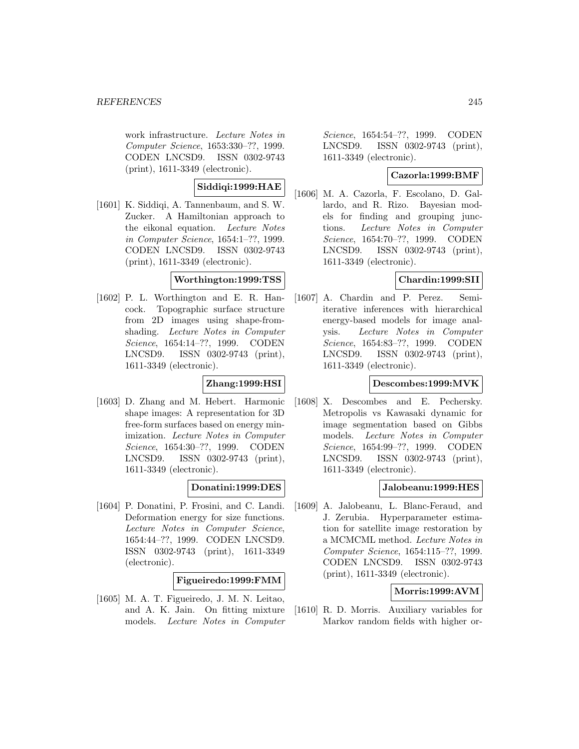work infrastructure. Lecture Notes in Computer Science, 1653:330–??, 1999. CODEN LNCSD9. ISSN 0302-9743 (print), 1611-3349 (electronic).

## **Siddiqi:1999:HAE**

[1601] K. Siddiqi, A. Tannenbaum, and S. W. Zucker. A Hamiltonian approach to the eikonal equation. Lecture Notes in Computer Science, 1654:1–??, 1999. CODEN LNCSD9. ISSN 0302-9743 (print), 1611-3349 (electronic).

## **Worthington:1999:TSS**

[1602] P. L. Worthington and E. R. Hancock. Topographic surface structure from 2D images using shape-fromshading. Lecture Notes in Computer Science, 1654:14–??, 1999. CODEN LNCSD9. ISSN 0302-9743 (print), 1611-3349 (electronic).

## **Zhang:1999:HSI**

[1603] D. Zhang and M. Hebert. Harmonic shape images: A representation for 3D free-form surfaces based on energy minimization. Lecture Notes in Computer Science, 1654:30–??, 1999. CODEN LNCSD9. ISSN 0302-9743 (print), 1611-3349 (electronic).

## **Donatini:1999:DES**

[1604] P. Donatini, P. Frosini, and C. Landi. Deformation energy for size functions. Lecture Notes in Computer Science, 1654:44–??, 1999. CODEN LNCSD9. ISSN 0302-9743 (print), 1611-3349 (electronic).

# **Figueiredo:1999:FMM**

[1605] M. A. T. Figueiredo, J. M. N. Leitao, and A. K. Jain. On fitting mixture models. Lecture Notes in Computer

Science, 1654:54–??, 1999. CODEN LNCSD9. ISSN 0302-9743 (print), 1611-3349 (electronic).

## **Cazorla:1999:BMF**

[1606] M. A. Cazorla, F. Escolano, D. Gallardo, and R. Rizo. Bayesian models for finding and grouping junctions. Lecture Notes in Computer Science, 1654:70–??, 1999. CODEN LNCSD9. ISSN 0302-9743 (print), 1611-3349 (electronic).

## **Chardin:1999:SII**

[1607] A. Chardin and P. Perez. Semiiterative inferences with hierarchical energy-based models for image analysis. Lecture Notes in Computer Science, 1654:83–??, 1999. CODEN LNCSD9. ISSN 0302-9743 (print), 1611-3349 (electronic).

## **Descombes:1999:MVK**

[1608] X. Descombes and E. Pechersky. Metropolis vs Kawasaki dynamic for image segmentation based on Gibbs models. Lecture Notes in Computer Science, 1654:99–??, 1999. CODEN LNCSD9. ISSN 0302-9743 (print), 1611-3349 (electronic).

## **Jalobeanu:1999:HES**

[1609] A. Jalobeanu, L. Blanc-Feraud, and J. Zerubia. Hyperparameter estimation for satellite image restoration by a MCMCML method. Lecture Notes in Computer Science, 1654:115–??, 1999. CODEN LNCSD9. ISSN 0302-9743 (print), 1611-3349 (electronic).

## **Morris:1999:AVM**

[1610] R. D. Morris. Auxiliary variables for Markov random fields with higher or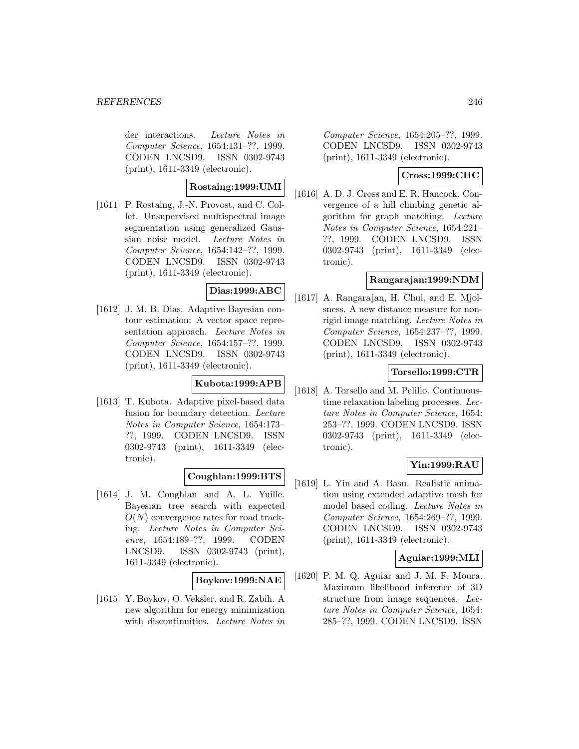der interactions. Lecture Notes in Computer Science, 1654:131–??, 1999. CODEN LNCSD9. ISSN 0302-9743 (print), 1611-3349 (electronic).

## **Rostaing:1999:UMI**

[1611] P. Rostaing, J.-N. Provost, and C. Collet. Unsupervised multispectral image segmentation using generalized Gaussian noise model. Lecture Notes in Computer Science, 1654:142–??, 1999. CODEN LNCSD9. ISSN 0302-9743 (print), 1611-3349 (electronic).

# **Dias:1999:ABC**

[1612] J. M. B. Dias. Adaptive Bayesian contour estimation: A vector space representation approach. Lecture Notes in Computer Science, 1654:157–??, 1999. CODEN LNCSD9. ISSN 0302-9743 (print), 1611-3349 (electronic).

## **Kubota:1999:APB**

[1613] T. Kubota. Adaptive pixel-based data fusion for boundary detection. Lecture Notes in Computer Science, 1654:173– ??, 1999. CODEN LNCSD9. ISSN 0302-9743 (print), 1611-3349 (electronic).

## **Coughlan:1999:BTS**

[1614] J. M. Coughlan and A. L. Yuille. Bayesian tree search with expected  $O(N)$  convergence rates for road tracking. Lecture Notes in Computer Science, 1654:189–??, 1999. CODEN LNCSD9. ISSN 0302-9743 (print), 1611-3349 (electronic).

## **Boykov:1999:NAE**

[1615] Y. Boykov, O. Veksler, and R. Zabih. A new algorithm for energy minimization with discontinuities. Lecture Notes in

Computer Science, 1654:205–??, 1999. CODEN LNCSD9. ISSN 0302-9743 (print), 1611-3349 (electronic).

## **Cross:1999:CHC**

[1616] A. D. J. Cross and E. R. Hancock. Convergence of a hill climbing genetic algorithm for graph matching. Lecture Notes in Computer Science, 1654:221– ??, 1999. CODEN LNCSD9. ISSN 0302-9743 (print), 1611-3349 (electronic).

## **Rangarajan:1999:NDM**

[1617] A. Rangarajan, H. Chui, and E. Mjolsness. A new distance measure for nonrigid image matching. Lecture Notes in Computer Science, 1654:237–??, 1999. CODEN LNCSD9. ISSN 0302-9743 (print), 1611-3349 (electronic).

## **Torsello:1999:CTR**

[1618] A. Torsello and M. Pelillo. Continuoustime relaxation labeling processes. Lecture Notes in Computer Science, 1654: 253–??, 1999. CODEN LNCSD9. ISSN 0302-9743 (print), 1611-3349 (electronic).

## **Yin:1999:RAU**

[1619] L. Yin and A. Basu. Realistic animation using extended adaptive mesh for model based coding. Lecture Notes in Computer Science, 1654:269–??, 1999. CODEN LNCSD9. ISSN 0302-9743 (print), 1611-3349 (electronic).

## **Aguiar:1999:MLI**

[1620] P. M. Q. Aguiar and J. M. F. Moura. Maximum likelihood inference of 3D structure from image sequences. Lecture Notes in Computer Science, 1654: 285–??, 1999. CODEN LNCSD9. ISSN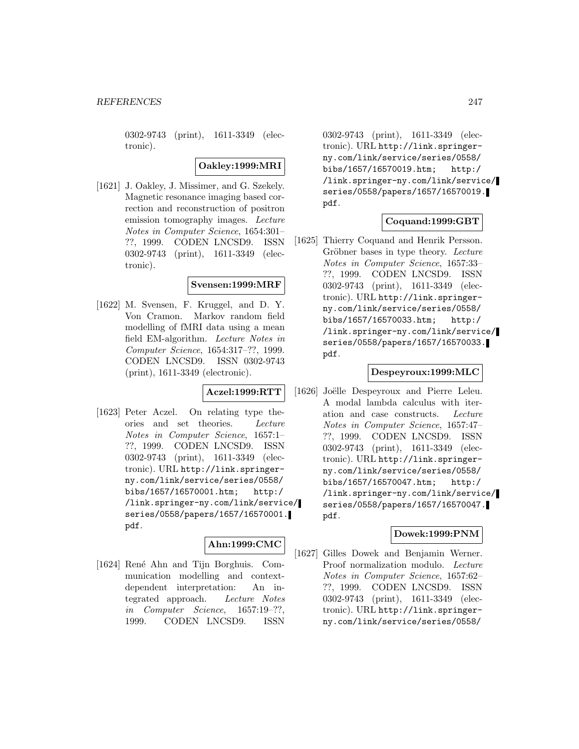0302-9743 (print), 1611-3349 (electronic).

**Oakley:1999:MRI**

[1621] J. Oakley, J. Missimer, and G. Szekely. Magnetic resonance imaging based correction and reconstruction of positron emission tomography images. Lecture Notes in Computer Science, 1654:301– ??, 1999. CODEN LNCSD9. ISSN 0302-9743 (print), 1611-3349 (electronic).

### **Svensen:1999:MRF**

[1622] M. Svensen, F. Kruggel, and D. Y. Von Cramon. Markov random field modelling of fMRI data using a mean field EM-algorithm. Lecture Notes in Computer Science, 1654:317–??, 1999. CODEN LNCSD9. ISSN 0302-9743 (print), 1611-3349 (electronic).

### **Aczel:1999:RTT**

[1623] Peter Aczel. On relating type theories and set theories. Lecture Notes in Computer Science, 1657:1– ??, 1999. CODEN LNCSD9. ISSN 0302-9743 (print), 1611-3349 (electronic). URL http://link.springerny.com/link/service/series/0558/ bibs/1657/16570001.htm; http:/ /link.springer-ny.com/link/service/ series/0558/papers/1657/16570001. pdf.

### **Ahn:1999:CMC**

[1624] René Ahn and Tijn Borghuis. Communication modelling and contextdependent interpretation: An integrated approach. Lecture Notes in Computer Science, 1657:19–??, 1999. CODEN LNCSD9. ISSN

0302-9743 (print), 1611-3349 (electronic). URL http://link.springerny.com/link/service/series/0558/ bibs/1657/16570019.htm; http:/ /link.springer-ny.com/link/service/ series/0558/papers/1657/16570019. pdf.

## **Coquand:1999:GBT**

[1625] Thierry Coquand and Henrik Persson. Gröbner bases in type theory. Lecture Notes in Computer Science, 1657:33– ??, 1999. CODEN LNCSD9. ISSN 0302-9743 (print), 1611-3349 (electronic). URL http://link.springerny.com/link/service/series/0558/ bibs/1657/16570033.htm; http:/ /link.springer-ny.com/link/service/ series/0558/papers/1657/16570033. pdf.

## **Despeyroux:1999:MLC**

[1626] Joëlle Despeyroux and Pierre Leleu. A modal lambda calculus with iteration and case constructs. Lecture Notes in Computer Science, 1657:47– ??, 1999. CODEN LNCSD9. ISSN 0302-9743 (print), 1611-3349 (electronic). URL http://link.springerny.com/link/service/series/0558/ bibs/1657/16570047.htm; http:/ /link.springer-ny.com/link/service/ series/0558/papers/1657/16570047. pdf.

## **Dowek:1999:PNM**

[1627] Gilles Dowek and Benjamin Werner. Proof normalization modulo. Lecture Notes in Computer Science, 1657:62– ??, 1999. CODEN LNCSD9. ISSN 0302-9743 (print), 1611-3349 (electronic). URL http://link.springerny.com/link/service/series/0558/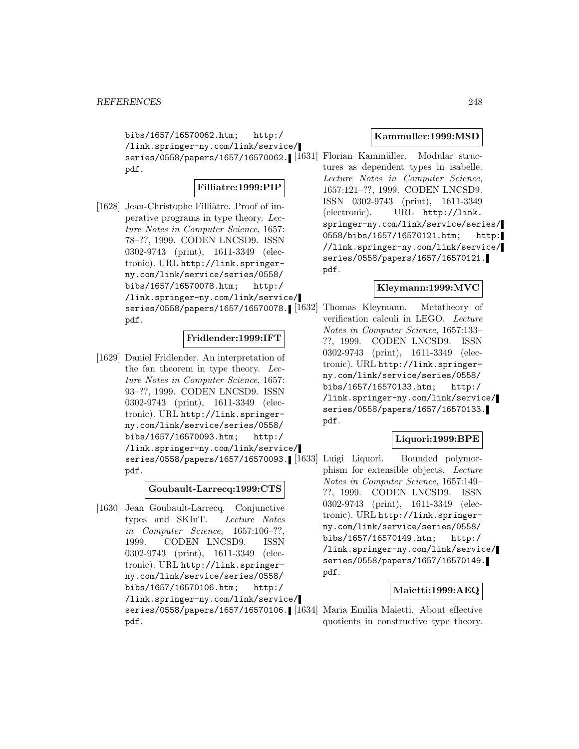pdf.

bibs/1657/16570062.htm; http:/ /link.springer-ny.com/link/service/ series/0558/papers/1657/16570062. [1631] Florian Kammüller. Modular strucpdf.

## **Filliatre:1999:PIP**

[1628] Jean-Christophe Filliâtre. Proof of imperative programs in type theory. Lecture Notes in Computer Science, 1657: 78–??, 1999. CODEN LNCSD9. ISSN 0302-9743 (print), 1611-3349 (electronic). URL http://link.springerny.com/link/service/series/0558/ bibs/1657/16570078.htm; http:/ /link.springer-ny.com/link/service/ series/0558/papers/1657/16570078.

## **Fridlender:1999:IFT**

[1629] Daniel Fridlender. An interpretation of the fan theorem in type theory. Lecture Notes in Computer Science, 1657: 93–??, 1999. CODEN LNCSD9. ISSN 0302-9743 (print), 1611-3349 (electronic). URL http://link.springerny.com/link/service/series/0558/ bibs/1657/16570093.htm; http:/ /link.springer-ny.com/link/service/ pdf.

## **Goubault-Larrecq:1999:CTS**

[1630] Jean Goubault-Larrecq. Conjunctive types and SKInT. Lecture Notes in Computer Science, 1657:106–??, 1999. CODEN LNCSD9. ISSN 0302-9743 (print), 1611-3349 (electronic). URL http://link.springerny.com/link/service/series/0558/ bibs/1657/16570106.htm; http:/ /link.springer-ny.com/link/service/ pdf.

### **Kammuller:1999:MSD**

tures as dependent types in isabelle. Lecture Notes in Computer Science, 1657:121–??, 1999. CODEN LNCSD9. ISSN 0302-9743 (print), 1611-3349 (electronic). URL http://link. springer-ny.com/link/service/series/ 0558/bibs/1657/16570121.htm; http: //link.springer-ny.com/link/service/ series/0558/papers/1657/16570121. pdf.

### **Kleymann:1999:MVC**

Thomas Kleymann. Metatheory of verification calculi in LEGO. Lecture Notes in Computer Science, 1657:133– ??, 1999. CODEN LNCSD9. ISSN 0302-9743 (print), 1611-3349 (electronic). URL http://link.springerny.com/link/service/series/0558/ bibs/1657/16570133.htm; http:/ /link.springer-ny.com/link/service/ series/0558/papers/1657/16570133. pdf.

## **Liquori:1999:BPE**

series/0558/papers/1657/16570093. [[1633] Luigi Liquori. Bounded polymorphism for extensible objects. Lecture Notes in Computer Science, 1657:149– ??, 1999. CODEN LNCSD9. ISSN 0302-9743 (print), 1611-3349 (electronic). URL http://link.springerny.com/link/service/series/0558/ bibs/1657/16570149.htm; http:/ /link.springer-ny.com/link/service/ series/0558/papers/1657/16570149. pdf.

## **Maietti:1999:AEQ**

series/0558/papers/1657/16570106. [1634] Maria Emilia Maietti. About effective quotients in constructive type theory.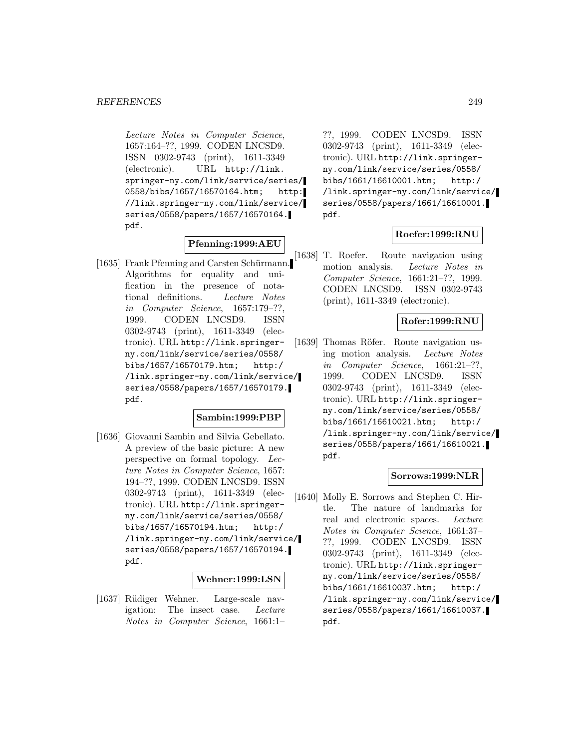Lecture Notes in Computer Science, 1657:164–??, 1999. CODEN LNCSD9. ISSN 0302-9743 (print), 1611-3349 (electronic). URL http://link. springer-ny.com/link/service/series/ 0558/bibs/1657/16570164.htm; http: //link.springer-ny.com/link/service/ series/0558/papers/1657/16570164. pdf.

## **Pfenning:1999:AEU**

[1635] Frank Pfenning and Carsten Schürmann. Algorithms for equality and unification in the presence of notational definitions. Lecture Notes in Computer Science, 1657:179–??, 1999. CODEN LNCSD9. ISSN 0302-9743 (print), 1611-3349 (electronic). URL http://link.springerny.com/link/service/series/0558/ bibs/1657/16570179.htm; http:/ /link.springer-ny.com/link/service/ series/0558/papers/1657/16570179. pdf.

## **Sambin:1999:PBP**

[1636] Giovanni Sambin and Silvia Gebellato. A preview of the basic picture: A new perspective on formal topology. Lecture Notes in Computer Science, 1657: 194–??, 1999. CODEN LNCSD9. ISSN 0302-9743 (print), 1611-3349 (electronic). URL http://link.springerny.com/link/service/series/0558/ bibs/1657/16570194.htm; http:/ /link.springer-ny.com/link/service/ series/0558/papers/1657/16570194. pdf.

#### **Wehner:1999:LSN**

[1637] Rüdiger Wehner. Large-scale navigation: The insect case. Lecture Notes in Computer Science, 1661:1–

??, 1999. CODEN LNCSD9. ISSN 0302-9743 (print), 1611-3349 (electronic). URL http://link.springerny.com/link/service/series/0558/ bibs/1661/16610001.htm; http:/ /link.springer-ny.com/link/service/ series/0558/papers/1661/16610001. pdf.

## **Roefer:1999:RNU**

[1638] T. Roefer. Route navigation using motion analysis. Lecture Notes in Computer Science, 1661:21–??, 1999. CODEN LNCSD9. ISSN 0302-9743 (print), 1611-3349 (electronic).

### **Rofer:1999:RNU**

[1639] Thomas Röfer. Route navigation using motion analysis. Lecture Notes in Computer Science, 1661:21–??, 1999. CODEN LNCSD9. ISSN 0302-9743 (print), 1611-3349 (electronic). URL http://link.springerny.com/link/service/series/0558/ bibs/1661/16610021.htm; http:/ /link.springer-ny.com/link/service/ series/0558/papers/1661/16610021. pdf.

## **Sorrows:1999:NLR**

[1640] Molly E. Sorrows and Stephen C. Hirtle. The nature of landmarks for real and electronic spaces. Lecture Notes in Computer Science, 1661:37– ??, 1999. CODEN LNCSD9. ISSN 0302-9743 (print), 1611-3349 (electronic). URL http://link.springerny.com/link/service/series/0558/ bibs/1661/16610037.htm; http:/ /link.springer-ny.com/link/service/ series/0558/papers/1661/16610037. pdf.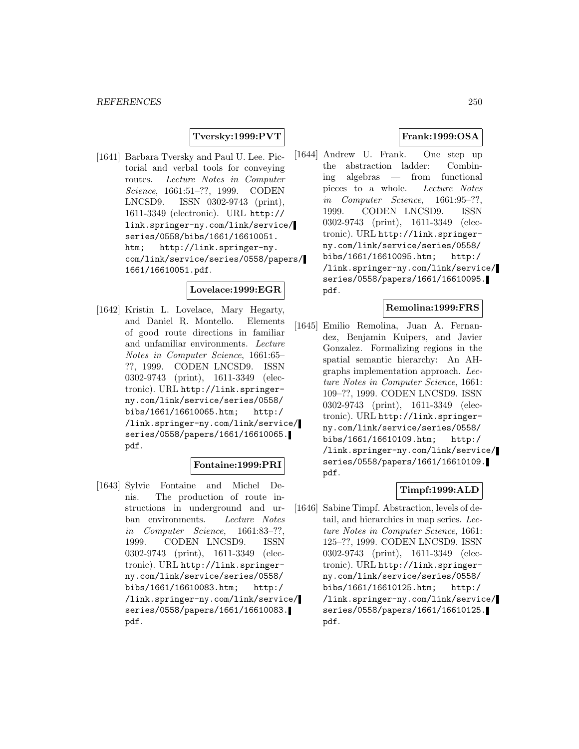## **Tversky:1999:PVT**

[1641] Barbara Tversky and Paul U. Lee. Pictorial and verbal tools for conveying routes. Lecture Notes in Computer Science, 1661:51–??, 1999. CODEN LNCSD9. ISSN 0302-9743 (print), 1611-3349 (electronic). URL http:// link.springer-ny.com/link/service/ series/0558/bibs/1661/16610051. htm; http://link.springer-ny. com/link/service/series/0558/papers/ 1661/16610051.pdf.

## **Lovelace:1999:EGR**

[1642] Kristin L. Lovelace, Mary Hegarty, and Daniel R. Montello. Elements of good route directions in familiar and unfamiliar environments. Lecture Notes in Computer Science, 1661:65– ??, 1999. CODEN LNCSD9. ISSN 0302-9743 (print), 1611-3349 (electronic). URL http://link.springerny.com/link/service/series/0558/ bibs/1661/16610065.htm; http:/ /link.springer-ny.com/link/service/ series/0558/papers/1661/16610065. pdf.

### **Fontaine:1999:PRI**

[1643] Sylvie Fontaine and Michel Denis. The production of route instructions in underground and urban environments. Lecture Notes in Computer Science, 1661:83–??, 1999. CODEN LNCSD9. ISSN 0302-9743 (print), 1611-3349 (electronic). URL http://link.springerny.com/link/service/series/0558/ bibs/1661/16610083.htm; http:/ /link.springer-ny.com/link/service/ series/0558/papers/1661/16610083. pdf.

## **Frank:1999:OSA**

[1644] Andrew U. Frank. One step up the abstraction ladder: Combining algebras — from functional pieces to a whole. Lecture Notes in Computer Science, 1661:95–??, 1999. CODEN LNCSD9. ISSN 0302-9743 (print), 1611-3349 (electronic). URL http://link.springerny.com/link/service/series/0558/ bibs/1661/16610095.htm; http:/ /link.springer-ny.com/link/service/ series/0558/papers/1661/16610095. pdf.

### **Remolina:1999:FRS**

[1645] Emilio Remolina, Juan A. Fernandez, Benjamin Kuipers, and Javier Gonzalez. Formalizing regions in the spatial semantic hierarchy: An AHgraphs implementation approach. Lecture Notes in Computer Science, 1661: 109–??, 1999. CODEN LNCSD9. ISSN 0302-9743 (print), 1611-3349 (electronic). URL http://link.springerny.com/link/service/series/0558/ bibs/1661/16610109.htm; http:/ /link.springer-ny.com/link/service/ series/0558/papers/1661/16610109. pdf.

### **Timpf:1999:ALD**

[1646] Sabine Timpf. Abstraction, levels of detail, and hierarchies in map series. Lecture Notes in Computer Science, 1661: 125–??, 1999. CODEN LNCSD9. ISSN 0302-9743 (print), 1611-3349 (electronic). URL http://link.springerny.com/link/service/series/0558/ bibs/1661/16610125.htm; http:/ /link.springer-ny.com/link/service/ series/0558/papers/1661/16610125. pdf.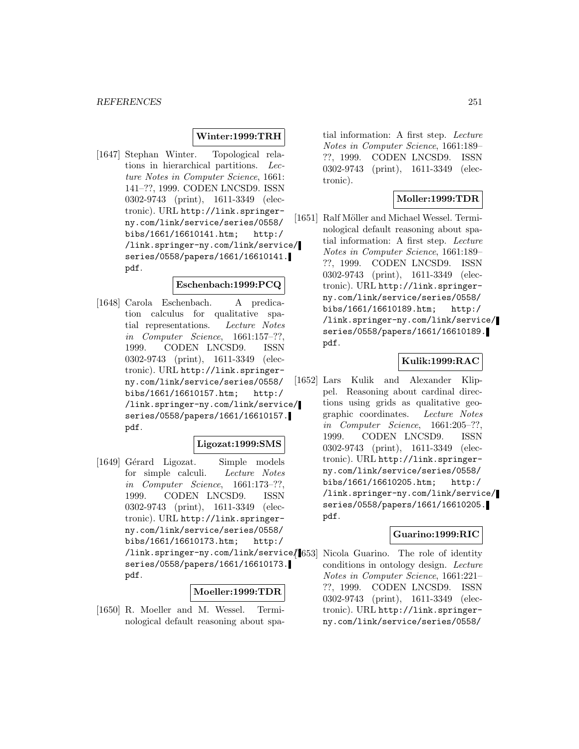## **Winter:1999:TRH**

[1647] Stephan Winter. Topological relations in hierarchical partitions. Lecture Notes in Computer Science, 1661: 141–??, 1999. CODEN LNCSD9. ISSN 0302-9743 (print), 1611-3349 (electronic). URL http://link.springerny.com/link/service/series/0558/ bibs/1661/16610141.htm; http:/ /link.springer-ny.com/link/service/ series/0558/papers/1661/16610141. pdf.

### **Eschenbach:1999:PCQ**

[1648] Carola Eschenbach. A predication calculus for qualitative spatial representations. Lecture Notes in Computer Science, 1661:157–??, 1999. CODEN LNCSD9. ISSN 0302-9743 (print), 1611-3349 (electronic). URL http://link.springerny.com/link/service/series/0558/ bibs/1661/16610157.htm; http:/ /link.springer-ny.com/link/service/ series/0558/papers/1661/16610157. pdf.

#### **Ligozat:1999:SMS**

[1649] Gérard Ligozat. Simple models for simple calculi. Lecture Notes in Computer Science, 1661:173–??, 1999. CODEN LNCSD9. ISSN 0302-9743 (print), 1611-3349 (electronic). URL http://link.springerny.com/link/service/series/0558/ bibs/1661/16610173.htm; http:/ /link.springer-ny.com/link/service/ series/0558/papers/1661/16610173. pdf.

## **Moeller:1999:TDR**

[1650] R. Moeller and M. Wessel. Terminological default reasoning about spa-

tial information: A first step. Lecture Notes in Computer Science, 1661:189– ??, 1999. CODEN LNCSD9. ISSN 0302-9743 (print), 1611-3349 (electronic).

## **Moller:1999:TDR**

[1651] Ralf Möller and Michael Wessel. Terminological default reasoning about spatial information: A first step. Lecture Notes in Computer Science, 1661:189– ??, 1999. CODEN LNCSD9. ISSN 0302-9743 (print), 1611-3349 (electronic). URL http://link.springerny.com/link/service/series/0558/ bibs/1661/16610189.htm; http:/ /link.springer-ny.com/link/service/ series/0558/papers/1661/16610189. pdf.

## **Kulik:1999:RAC**

[1652] Lars Kulik and Alexander Klippel. Reasoning about cardinal directions using grids as qualitative geographic coordinates. Lecture Notes in Computer Science, 1661:205–??, 1999. CODEN LNCSD9. ISSN 0302-9743 (print), 1611-3349 (electronic). URL http://link.springerny.com/link/service/series/0558/ bibs/1661/16610205.htm; http:/ /link.springer-ny.com/link/service/ series/0558/papers/1661/16610205. pdf.

#### **Guarino:1999:RIC**

Nicola Guarino. The role of identity conditions in ontology design. Lecture Notes in Computer Science, 1661:221– ??, 1999. CODEN LNCSD9. ISSN 0302-9743 (print), 1611-3349 (electronic). URL http://link.springerny.com/link/service/series/0558/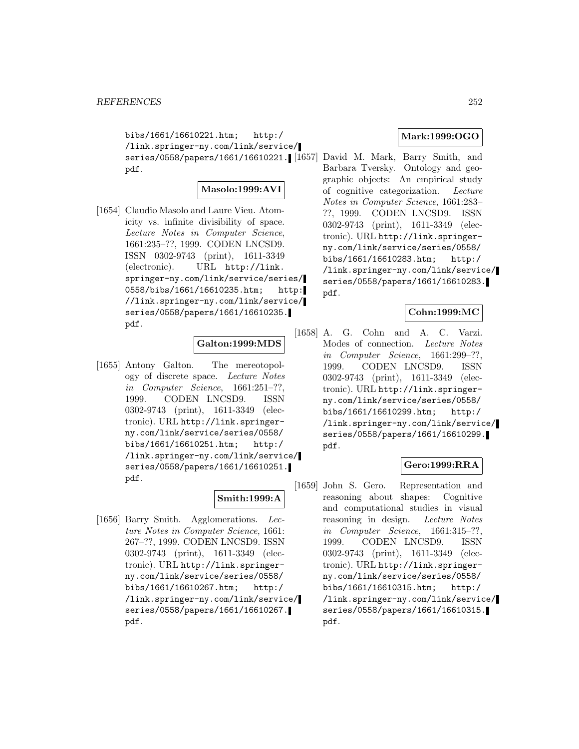bibs/1661/16610221.htm; http:/ /link.springer-ny.com/link/service/ series/0558/papers/1661/16610221. [1657] David M. Mark, Barry Smith, and pdf.

## **Masolo:1999:AVI**

[1654] Claudio Masolo and Laure Vieu. Atomicity vs. infinite divisibility of space. Lecture Notes in Computer Science, 1661:235–??, 1999. CODEN LNCSD9. ISSN 0302-9743 (print), 1611-3349 (electronic). URL http://link. springer-ny.com/link/service/series/ 0558/bibs/1661/16610235.htm; http: //link.springer-ny.com/link/service/ series/0558/papers/1661/16610235. pdf.

## **Galton:1999:MDS**

[1655] Antony Galton. The mereotopology of discrete space. Lecture Notes in Computer Science, 1661:251–??, 1999. CODEN LNCSD9. ISSN 0302-9743 (print), 1611-3349 (electronic). URL http://link.springerny.com/link/service/series/0558/ bibs/1661/16610251.htm; http:/ /link.springer-ny.com/link/service/ series/0558/papers/1661/16610251. pdf.

## **Smith:1999:A**

[1656] Barry Smith. Agglomerations. Lecture Notes in Computer Science, 1661: 267–??, 1999. CODEN LNCSD9. ISSN 0302-9743 (print), 1611-3349 (electronic). URL http://link.springerny.com/link/service/series/0558/ bibs/1661/16610267.htm; http:/ /link.springer-ny.com/link/service/ series/0558/papers/1661/16610267. pdf.

# **Mark:1999:OGO**

Barbara Tversky. Ontology and geographic objects: An empirical study of cognitive categorization. Lecture Notes in Computer Science, 1661:283– ??, 1999. CODEN LNCSD9. ISSN 0302-9743 (print), 1611-3349 (electronic). URL http://link.springerny.com/link/service/series/0558/ bibs/1661/16610283.htm; http:/ /link.springer-ny.com/link/service/ series/0558/papers/1661/16610283. pdf.

## **Cohn:1999:MC**

[1658] A. G. Cohn and A. C. Varzi. Modes of connection. Lecture Notes in Computer Science, 1661:299–??, 1999. CODEN LNCSD9. ISSN 0302-9743 (print), 1611-3349 (electronic). URL http://link.springerny.com/link/service/series/0558/ bibs/1661/16610299.htm; http:/ /link.springer-ny.com/link/service/ series/0558/papers/1661/16610299. pdf.

## **Gero:1999:RRA**

[1659] John S. Gero. Representation and reasoning about shapes: Cognitive and computational studies in visual reasoning in design. Lecture Notes in Computer Science, 1661:315–??, 1999. CODEN LNCSD9. ISSN 0302-9743 (print), 1611-3349 (electronic). URL http://link.springerny.com/link/service/series/0558/ bibs/1661/16610315.htm; http:/ /link.springer-ny.com/link/service/ series/0558/papers/1661/16610315. pdf.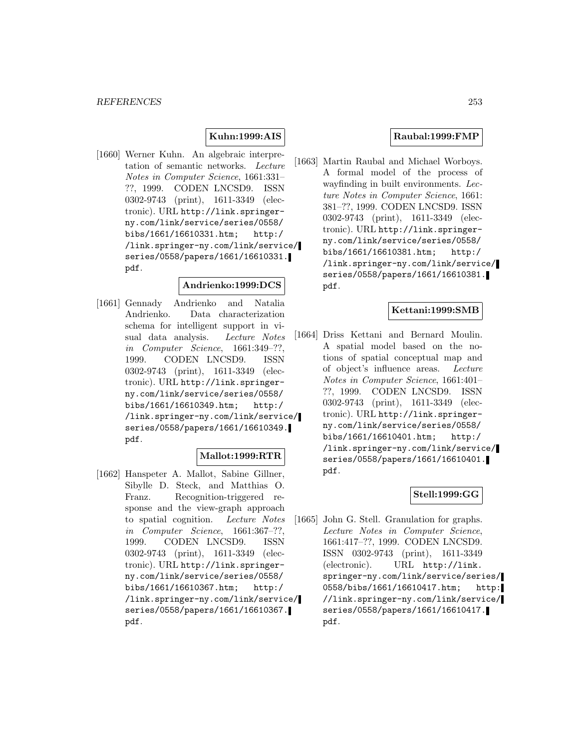# **Kuhn:1999:AIS**

[1660] Werner Kuhn. An algebraic interpretation of semantic networks. Lecture Notes in Computer Science, 1661:331– ??, 1999. CODEN LNCSD9. ISSN 0302-9743 (print), 1611-3349 (electronic). URL http://link.springerny.com/link/service/series/0558/ bibs/1661/16610331.htm; http:/ /link.springer-ny.com/link/service/ series/0558/papers/1661/16610331. pdf.

#### **Andrienko:1999:DCS**

[1661] Gennady Andrienko and Natalia Andrienko. Data characterization schema for intelligent support in visual data analysis. Lecture Notes in Computer Science, 1661:349–??, 1999. CODEN LNCSD9. ISSN 0302-9743 (print), 1611-3349 (electronic). URL http://link.springerny.com/link/service/series/0558/ bibs/1661/16610349.htm; http:/ /link.springer-ny.com/link/service/ series/0558/papers/1661/16610349. pdf.

### **Mallot:1999:RTR**

[1662] Hanspeter A. Mallot, Sabine Gillner, Sibylle D. Steck, and Matthias O. Franz. Recognition-triggered response and the view-graph approach to spatial cognition. Lecture Notes in Computer Science, 1661:367–??, 1999. CODEN LNCSD9. ISSN 0302-9743 (print), 1611-3349 (electronic). URL http://link.springerny.com/link/service/series/0558/ bibs/1661/16610367.htm; http:/ /link.springer-ny.com/link/service/ series/0558/papers/1661/16610367. pdf.

#### **Raubal:1999:FMP**

[1663] Martin Raubal and Michael Worboys. A formal model of the process of wayfinding in built environments. Lecture Notes in Computer Science, 1661: 381–??, 1999. CODEN LNCSD9. ISSN 0302-9743 (print), 1611-3349 (electronic). URL http://link.springerny.com/link/service/series/0558/ bibs/1661/16610381.htm; http:/ /link.springer-ny.com/link/service/ series/0558/papers/1661/16610381. pdf.

#### **Kettani:1999:SMB**

[1664] Driss Kettani and Bernard Moulin. A spatial model based on the notions of spatial conceptual map and of object's influence areas. Lecture Notes in Computer Science, 1661:401– ??, 1999. CODEN LNCSD9. ISSN 0302-9743 (print), 1611-3349 (electronic). URL http://link.springerny.com/link/service/series/0558/ bibs/1661/16610401.htm; http:/ /link.springer-ny.com/link/service/ series/0558/papers/1661/16610401. pdf.

# **Stell:1999:GG**

[1665] John G. Stell. Granulation for graphs. Lecture Notes in Computer Science, 1661:417–??, 1999. CODEN LNCSD9. ISSN 0302-9743 (print), 1611-3349 (electronic). URL http://link. springer-ny.com/link/service/series/ 0558/bibs/1661/16610417.htm; http: //link.springer-ny.com/link/service/ series/0558/papers/1661/16610417. pdf.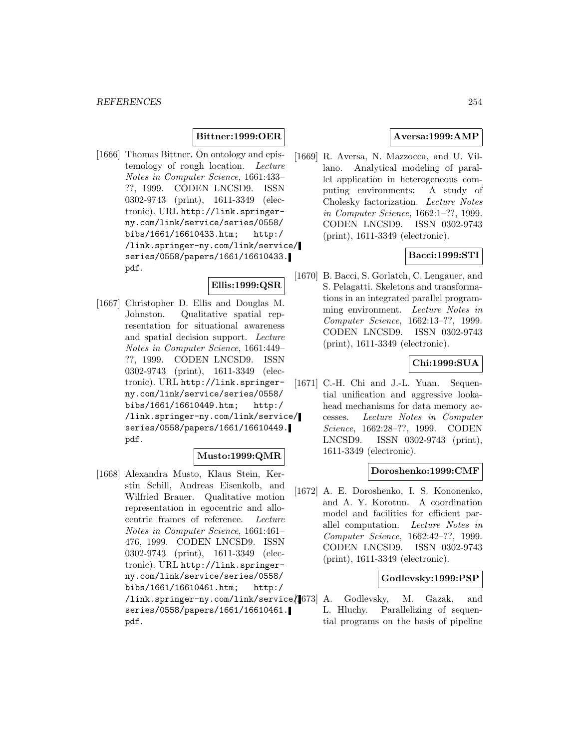#### **Bittner:1999:OER**

[1666] Thomas Bittner. On ontology and epistemology of rough location. Lecture Notes in Computer Science, 1661:433– ??, 1999. CODEN LNCSD9. ISSN 0302-9743 (print), 1611-3349 (electronic). URL http://link.springerny.com/link/service/series/0558/ bibs/1661/16610433.htm; http:/ /link.springer-ny.com/link/service/ series/0558/papers/1661/16610433. pdf.

### **Ellis:1999:QSR**

[1667] Christopher D. Ellis and Douglas M. Johnston. Qualitative spatial representation for situational awareness and spatial decision support. Lecture Notes in Computer Science, 1661:449– ??, 1999. CODEN LNCSD9. ISSN 0302-9743 (print), 1611-3349 (electronic). URL http://link.springerny.com/link/service/series/0558/ bibs/1661/16610449.htm; http:/ /link.springer-ny.com/link/service/ series/0558/papers/1661/16610449. pdf.

#### **Musto:1999:QMR**

[1668] Alexandra Musto, Klaus Stein, Kerstin Schill, Andreas Eisenkolb, and Wilfried Brauer. Qualitative motion representation in egocentric and allocentric frames of reference. Lecture Notes in Computer Science, 1661:461– 476, 1999. CODEN LNCSD9. ISSN 0302-9743 (print), 1611-3349 (electronic). URL http://link.springerny.com/link/service/series/0558/ bibs/1661/16610461.htm; http:/ /link.springer-ny.com/link/service/ series/0558/papers/1661/16610461. pdf.

## **Aversa:1999:AMP**

[1669] R. Aversa, N. Mazzocca, and U. Villano. Analytical modeling of parallel application in heterogeneous computing environments: A study of Cholesky factorization. Lecture Notes in Computer Science, 1662:1–??, 1999. CODEN LNCSD9. ISSN 0302-9743 (print), 1611-3349 (electronic).

#### **Bacci:1999:STI**

[1670] B. Bacci, S. Gorlatch, C. Lengauer, and S. Pelagatti. Skeletons and transformations in an integrated parallel programming environment. Lecture Notes in Computer Science, 1662:13–??, 1999. CODEN LNCSD9. ISSN 0302-9743 (print), 1611-3349 (electronic).

## **Chi:1999:SUA**

[1671] C.-H. Chi and J.-L. Yuan. Sequential unification and aggressive lookahead mechanisms for data memory accesses. Lecture Notes in Computer Science, 1662:28–??, 1999. CODEN LNCSD9. ISSN 0302-9743 (print), 1611-3349 (electronic).

### **Doroshenko:1999:CMF**

[1672] A. E. Doroshenko, I. S. Kononenko, and A. Y. Korotun. A coordination model and facilities for efficient parallel computation. Lecture Notes in Computer Science, 1662:42–??, 1999. CODEN LNCSD9. ISSN 0302-9743 (print), 1611-3349 (electronic).

# **Godlevsky:1999:PSP**

A. Godlevsky, M. Gazak, and L. Hluchy. Parallelizing of sequential programs on the basis of pipeline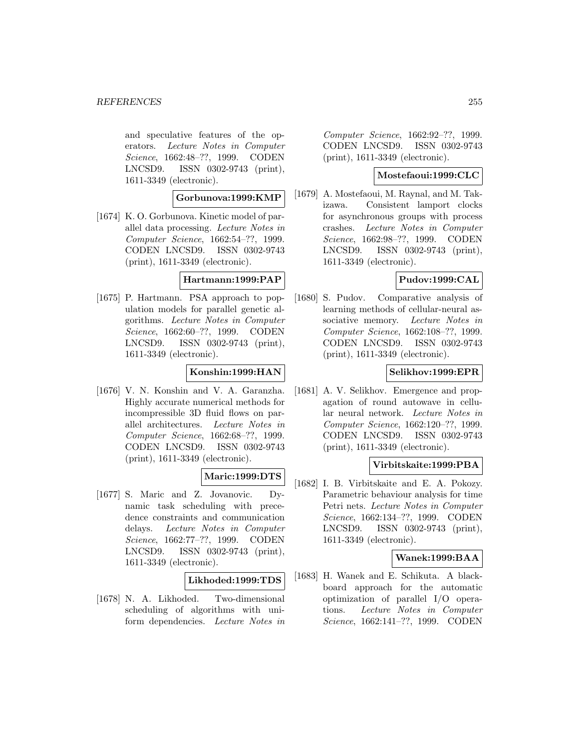and speculative features of the operators. Lecture Notes in Computer Science, 1662:48–??, 1999. CODEN LNCSD9. ISSN 0302-9743 (print), 1611-3349 (electronic).

#### **Gorbunova:1999:KMP**

[1674] K.O. Gorbunova. Kinetic model of parallel data processing. Lecture Notes in Computer Science, 1662:54–??, 1999. CODEN LNCSD9. ISSN 0302-9743 (print), 1611-3349 (electronic).

# **Hartmann:1999:PAP**

[1675] P. Hartmann. PSA approach to population models for parallel genetic algorithms. Lecture Notes in Computer Science, 1662:60–??, 1999. CODEN LNCSD9. ISSN 0302-9743 (print), 1611-3349 (electronic).

## **Konshin:1999:HAN**

[1676] V. N. Konshin and V. A. Garanzha. Highly accurate numerical methods for incompressible 3D fluid flows on parallel architectures. Lecture Notes in Computer Science, 1662:68–??, 1999. CODEN LNCSD9. ISSN 0302-9743 (print), 1611-3349 (electronic).

### **Maric:1999:DTS**

[1677] S. Maric and Z. Jovanovic. Dynamic task scheduling with precedence constraints and communication delays. Lecture Notes in Computer Science, 1662:77–??, 1999. CODEN LNCSD9. ISSN 0302-9743 (print), 1611-3349 (electronic).

### **Likhoded:1999:TDS**

[1678] N. A. Likhoded. Two-dimensional scheduling of algorithms with uniform dependencies. Lecture Notes in

Computer Science, 1662:92–??, 1999. CODEN LNCSD9. ISSN 0302-9743 (print), 1611-3349 (electronic).

# **Mostefaoui:1999:CLC**

[1679] A. Mostefaoui, M. Raynal, and M. Takizawa. Consistent lamport clocks for asynchronous groups with process crashes. Lecture Notes in Computer Science, 1662:98–??, 1999. CODEN LNCSD9. ISSN 0302-9743 (print), 1611-3349 (electronic).

## **Pudov:1999:CAL**

[1680] S. Pudov. Comparative analysis of learning methods of cellular-neural associative memory. Lecture Notes in Computer Science, 1662:108–??, 1999. CODEN LNCSD9. ISSN 0302-9743 (print), 1611-3349 (electronic).

## **Selikhov:1999:EPR**

[1681] A. V. Selikhov. Emergence and propagation of round autowave in cellular neural network. Lecture Notes in Computer Science, 1662:120–??, 1999. CODEN LNCSD9. ISSN 0302-9743 (print), 1611-3349 (electronic).

## **Virbitskaite:1999:PBA**

[1682] I. B. Virbitskaite and E. A. Pokozy. Parametric behaviour analysis for time Petri nets. Lecture Notes in Computer Science, 1662:134–??, 1999. CODEN LNCSD9. ISSN 0302-9743 (print), 1611-3349 (electronic).

### **Wanek:1999:BAA**

[1683] H. Wanek and E. Schikuta. A blackboard approach for the automatic optimization of parallel I/O operations. Lecture Notes in Computer Science, 1662:141–??, 1999. CODEN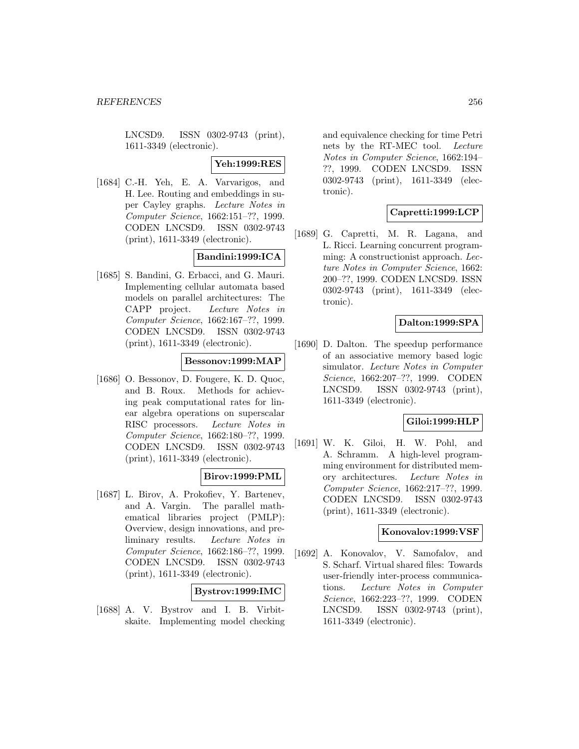LNCSD9. ISSN 0302-9743 (print), 1611-3349 (electronic).

## **Yeh:1999:RES**

[1684] C.-H. Yeh, E. A. Varvarigos, and H. Lee. Routing and embeddings in super Cayley graphs. Lecture Notes in Computer Science, 1662:151–??, 1999. CODEN LNCSD9. ISSN 0302-9743 (print), 1611-3349 (electronic).

# **Bandini:1999:ICA**

[1685] S. Bandini, G. Erbacci, and G. Mauri. Implementing cellular automata based models on parallel architectures: The CAPP project. Lecture Notes in Computer Science, 1662:167–??, 1999. CODEN LNCSD9. ISSN 0302-9743 (print), 1611-3349 (electronic).

#### **Bessonov:1999:MAP**

[1686] O. Bessonov, D. Fougere, K. D. Quoc, and B. Roux. Methods for achieving peak computational rates for linear algebra operations on superscalar RISC processors. Lecture Notes in Computer Science, 1662:180–??, 1999. CODEN LNCSD9. ISSN 0302-9743 (print), 1611-3349 (electronic).

### **Birov:1999:PML**

[1687] L. Birov, A. Prokofiev, Y. Bartenev, and A. Vargin. The parallel mathematical libraries project (PMLP): Overview, design innovations, and preliminary results. Lecture Notes in Computer Science, 1662:186–??, 1999. CODEN LNCSD9. ISSN 0302-9743 (print), 1611-3349 (electronic).

### **Bystrov:1999:IMC**

[1688] A. V. Bystrov and I. B. Virbitskaite. Implementing model checking

and equivalence checking for time Petri nets by the RT-MEC tool. Lecture Notes in Computer Science, 1662:194– ??, 1999. CODEN LNCSD9. ISSN 0302-9743 (print), 1611-3349 (electronic).

# **Capretti:1999:LCP**

[1689] G. Capretti, M. R. Lagana, and L. Ricci. Learning concurrent programming: A constructionist approach. Lecture Notes in Computer Science, 1662: 200–??, 1999. CODEN LNCSD9. ISSN 0302-9743 (print), 1611-3349 (electronic).

# **Dalton:1999:SPA**

[1690] D. Dalton. The speedup performance of an associative memory based logic simulator. Lecture Notes in Computer Science, 1662:207–??, 1999. CODEN LNCSD9. ISSN 0302-9743 (print), 1611-3349 (electronic).

## **Giloi:1999:HLP**

[1691] W. K. Giloi, H. W. Pohl, and A. Schramm. A high-level programming environment for distributed memory architectures. Lecture Notes in Computer Science, 1662:217–??, 1999. CODEN LNCSD9. ISSN 0302-9743 (print), 1611-3349 (electronic).

# **Konovalov:1999:VSF**

[1692] A. Konovalov, V. Samofalov, and S. Scharf. Virtual shared files: Towards user-friendly inter-process communications. Lecture Notes in Computer Science, 1662:223–??, 1999. CODEN LNCSD9. ISSN 0302-9743 (print), 1611-3349 (electronic).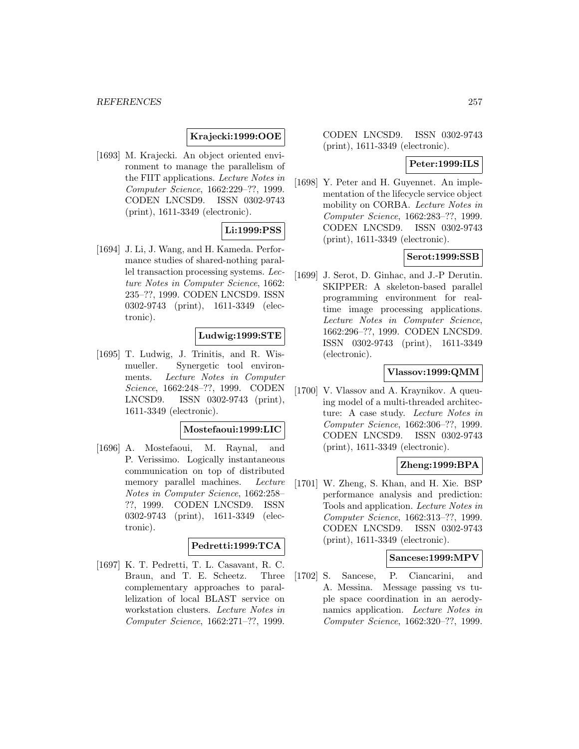# **Krajecki:1999:OOE**

[1693] M. Krajecki. An object oriented environment to manage the parallelism of the FIIT applications. Lecture Notes in Computer Science, 1662:229–??, 1999. CODEN LNCSD9. ISSN 0302-9743 (print), 1611-3349 (electronic).

# **Li:1999:PSS**

[1694] J. Li, J. Wang, and H. Kameda. Performance studies of shared-nothing parallel transaction processing systems. Lecture Notes in Computer Science, 1662: 235–??, 1999. CODEN LNCSD9. ISSN 0302-9743 (print), 1611-3349 (electronic).

### **Ludwig:1999:STE**

[1695] T. Ludwig, J. Trinitis, and R. Wismueller. Synergetic tool environments. Lecture Notes in Computer Science, 1662:248–??, 1999. CODEN LNCSD9. ISSN 0302-9743 (print), 1611-3349 (electronic).

#### **Mostefaoui:1999:LIC**

[1696] A. Mostefaoui, M. Raynal, and P. Verissimo. Logically instantaneous communication on top of distributed memory parallel machines. Lecture Notes in Computer Science, 1662:258– ??, 1999. CODEN LNCSD9. ISSN 0302-9743 (print), 1611-3349 (electronic).

# **Pedretti:1999:TCA**

[1697] K. T. Pedretti, T. L. Casavant, R. C. Braun, and T. E. Scheetz. Three complementary approaches to parallelization of local BLAST service on workstation clusters. Lecture Notes in Computer Science, 1662:271–??, 1999.

CODEN LNCSD9. ISSN 0302-9743 (print), 1611-3349 (electronic).

#### **Peter:1999:ILS**

[1698] Y. Peter and H. Guyennet. An implementation of the lifecycle service object mobility on CORBA. Lecture Notes in Computer Science, 1662:283–??, 1999. CODEN LNCSD9. ISSN 0302-9743 (print), 1611-3349 (electronic).

#### **Serot:1999:SSB**

[1699] J. Serot, D. Ginhac, and J.-P Derutin. SKIPPER: A skeleton-based parallel programming environment for realtime image processing applications. Lecture Notes in Computer Science, 1662:296–??, 1999. CODEN LNCSD9. ISSN 0302-9743 (print), 1611-3349 (electronic).

### **Vlassov:1999:QMM**

[1700] V. Vlassov and A. Kraynikov. A queuing model of a multi-threaded architecture: A case study. Lecture Notes in Computer Science, 1662:306–??, 1999. CODEN LNCSD9. ISSN 0302-9743 (print), 1611-3349 (electronic).

#### **Zheng:1999:BPA**

[1701] W. Zheng, S. Khan, and H. Xie. BSP performance analysis and prediction: Tools and application. Lecture Notes in Computer Science, 1662:313–??, 1999. CODEN LNCSD9. ISSN 0302-9743 (print), 1611-3349 (electronic).

#### **Sancese:1999:MPV**

[1702] S. Sancese, P. Ciancarini, and A. Messina. Message passing vs tuple space coordination in an aerodynamics application. Lecture Notes in Computer Science, 1662:320–??, 1999.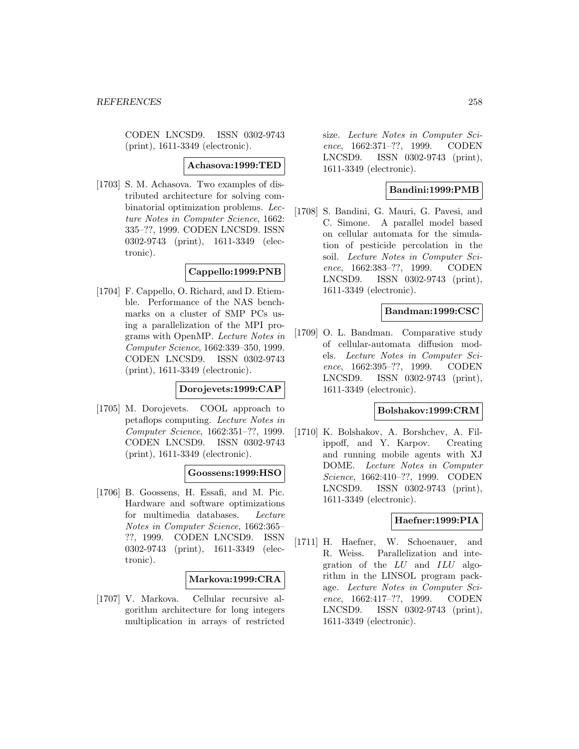CODEN LNCSD9. ISSN 0302-9743 (print), 1611-3349 (electronic).

#### **Achasova:1999:TED**

[1703] S. M. Achasova. Two examples of distributed architecture for solving combinatorial optimization problems. Lecture Notes in Computer Science, 1662: 335–??, 1999. CODEN LNCSD9. ISSN 0302-9743 (print), 1611-3349 (electronic).

# **Cappello:1999:PNB**

[1704] F. Cappello, O. Richard, and D. Etiemble. Performance of the NAS benchmarks on a cluster of SMP PCs using a parallelization of the MPI programs with OpenMP. Lecture Notes in Computer Science, 1662:339–350, 1999. CODEN LNCSD9. ISSN 0302-9743 (print), 1611-3349 (electronic).

**Dorojevets:1999:CAP**

[1705] M. Dorojevets. COOL approach to petaflops computing. Lecture Notes in Computer Science, 1662:351–??, 1999. CODEN LNCSD9. ISSN 0302-9743 (print), 1611-3349 (electronic).

## **Goossens:1999:HSO**

[1706] B. Goossens, H. Essafi, and M. Pic. Hardware and software optimizations for multimedia databases. Lecture Notes in Computer Science, 1662:365– ??, 1999. CODEN LNCSD9. ISSN 0302-9743 (print), 1611-3349 (electronic).

### **Markova:1999:CRA**

[1707] V. Markova. Cellular recursive algorithm architecture for long integers multiplication in arrays of restricted

size. Lecture Notes in Computer Science, 1662:371–??, 1999. CODEN LNCSD9. ISSN 0302-9743 (print), 1611-3349 (electronic).

# **Bandini:1999:PMB**

[1708] S. Bandini, G. Mauri, G. Pavesi, and C. Simone. A parallel model based on cellular automata for the simulation of pesticide percolation in the soil. Lecture Notes in Computer Science, 1662:383–??, 1999. CODEN LNCSD9. ISSN 0302-9743 (print), 1611-3349 (electronic).

# **Bandman:1999:CSC**

[1709] O. L. Bandman. Comparative study of cellular-automata diffusion models. Lecture Notes in Computer Science, 1662:395–??, 1999. CODEN LNCSD9. ISSN 0302-9743 (print), 1611-3349 (electronic).

## **Bolshakov:1999:CRM**

[1710] K. Bolshakov, A. Borshchev, A. Filippoff, and Y. Karpov. Creating and running mobile agents with XJ DOME. Lecture Notes in Computer Science, 1662:410–??, 1999. CODEN LNCSD9. ISSN 0302-9743 (print), 1611-3349 (electronic).

# **Haefner:1999:PIA**

[1711] H. Haefner, W. Schoenauer, and R. Weiss. Parallelization and integration of the LU and ILU algorithm in the LINSOL program package. Lecture Notes in Computer Science, 1662:417–??, 1999. CODEN LNCSD9. ISSN 0302-9743 (print), 1611-3349 (electronic).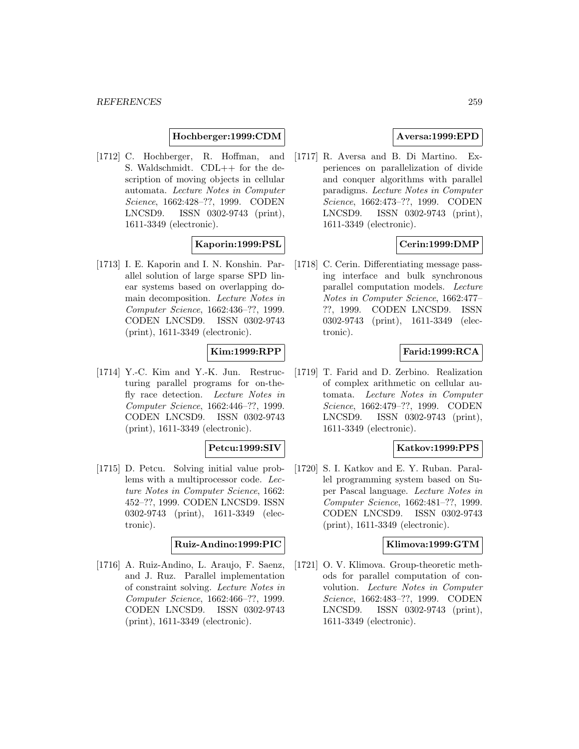#### **Hochberger:1999:CDM**

[1712] C. Hochberger, R. Hoffman, and S. Waldschmidt. CDL++ for the description of moving objects in cellular automata. Lecture Notes in Computer Science, 1662:428–??, 1999. CODEN LNCSD9. ISSN 0302-9743 (print), 1611-3349 (electronic).

### **Kaporin:1999:PSL**

[1713] I. E. Kaporin and I. N. Konshin. Parallel solution of large sparse SPD linear systems based on overlapping domain decomposition. Lecture Notes in Computer Science, 1662:436–??, 1999. CODEN LNCSD9. ISSN 0302-9743 (print), 1611-3349 (electronic).

### **Kim:1999:RPP**

[1714] Y.-C. Kim and Y.-K. Jun. Restructuring parallel programs for on-thefly race detection. Lecture Notes in Computer Science, 1662:446–??, 1999. CODEN LNCSD9. ISSN 0302-9743 (print), 1611-3349 (electronic).

### **Petcu:1999:SIV**

[1715] D. Petcu. Solving initial value problems with a multiprocessor code. Lecture Notes in Computer Science, 1662: 452–??, 1999. CODEN LNCSD9. ISSN 0302-9743 (print), 1611-3349 (electronic).

### **Ruiz-Andino:1999:PIC**

[1716] A. Ruiz-Andino, L. Araujo, F. Saenz, and J. Ruz. Parallel implementation of constraint solving. Lecture Notes in Computer Science, 1662:466–??, 1999. CODEN LNCSD9. ISSN 0302-9743 (print), 1611-3349 (electronic).

# **Aversa:1999:EPD**

[1717] R. Aversa and B. Di Martino. Experiences on parallelization of divide and conquer algorithms with parallel paradigms. Lecture Notes in Computer Science, 1662:473–??, 1999. CODEN LNCSD9. ISSN 0302-9743 (print), 1611-3349 (electronic).

### **Cerin:1999:DMP**

[1718] C. Cerin. Differentiating message passing interface and bulk synchronous parallel computation models. Lecture Notes in Computer Science, 1662:477– ??, 1999. CODEN LNCSD9. ISSN 0302-9743 (print), 1611-3349 (electronic).

## **Farid:1999:RCA**

[1719] T. Farid and D. Zerbino. Realization of complex arithmetic on cellular automata. Lecture Notes in Computer Science, 1662:479–??, 1999. CODEN LNCSD9. ISSN 0302-9743 (print), 1611-3349 (electronic).

### **Katkov:1999:PPS**

[1720] S. I. Katkov and E. Y. Ruban. Parallel programming system based on Super Pascal language. Lecture Notes in Computer Science, 1662:481–??, 1999. CODEN LNCSD9. ISSN 0302-9743 (print), 1611-3349 (electronic).

#### **Klimova:1999:GTM**

[1721] O. V. Klimova. Group-theoretic methods for parallel computation of convolution. Lecture Notes in Computer Science, 1662:483–??, 1999. CODEN LNCSD9. ISSN 0302-9743 (print), 1611-3349 (electronic).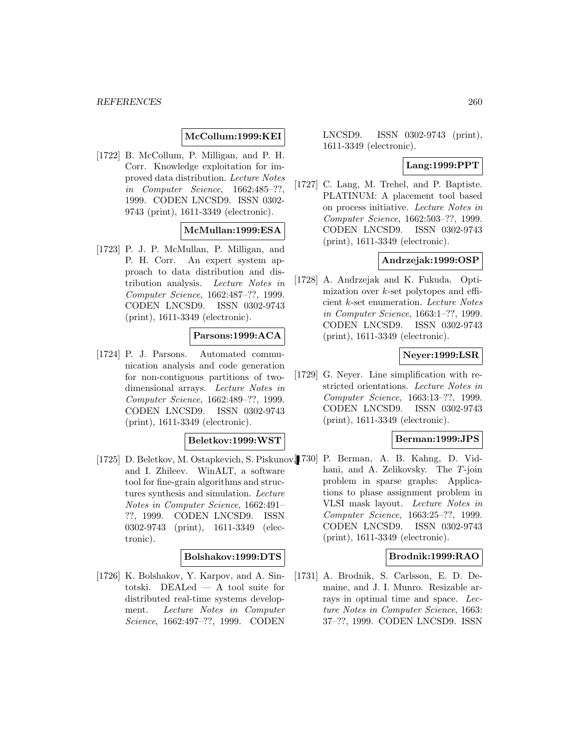# **McCollum:1999:KEI**

[1722] B. McCollum, P. Milligan, and P. H. Corr. Knowledge exploitation for improved data distribution. Lecture Notes in Computer Science, 1662:485–??, 1999. CODEN LNCSD9. ISSN 0302- 9743 (print), 1611-3349 (electronic).

### **McMullan:1999:ESA**

[1723] P. J. P. McMullan, P. Milligan, and P. H. Corr. An expert system approach to data distribution and distribution analysis. Lecture Notes in Computer Science, 1662:487–??, 1999. CODEN LNCSD9. ISSN 0302-9743 (print), 1611-3349 (electronic).

#### **Parsons:1999:ACA**

[1724] P. J. Parsons. Automated communication analysis and code generation for non-contiguous partitions of twodimensional arrays. Lecture Notes in Computer Science, 1662:489–??, 1999. CODEN LNCSD9. ISSN 0302-9743 (print), 1611-3349 (electronic).

#### **Beletkov:1999:WST**

[1725] D. Beletkov, M. Ostapkevich, S. Piskunov, [1730] P. Berman, A. B. Kahng, D. Vidand I. Zhileev. WinALT, a software tool for fine-grain algorithms and structures synthesis and simulation. Lecture Notes in Computer Science, 1662:491– ??, 1999. CODEN LNCSD9. ISSN 0302-9743 (print), 1611-3349 (electronic).

### **Bolshakov:1999:DTS**

[1726] K. Bolshakov, Y. Karpov, and A. Sintotski. DEALed — A tool suite for distributed real-time systems development. Lecture Notes in Computer Science, 1662:497–??, 1999. CODEN

LNCSD9. ISSN 0302-9743 (print), 1611-3349 (electronic).

# **Lang:1999:PPT**

[1727] C. Lang, M. Trehel, and P. Baptiste. PLATINUM: A placement tool based on process initiative. Lecture Notes in Computer Science, 1662:503–??, 1999. CODEN LNCSD9. ISSN 0302-9743 (print), 1611-3349 (electronic).

#### **Andrzejak:1999:OSP**

[1728] A. Andrzejak and K. Fukuda. Optimization over  $k$ -set polytopes and efficient k-set enumeration. Lecture Notes in Computer Science, 1663:1–??, 1999. CODEN LNCSD9. ISSN 0302-9743 (print), 1611-3349 (electronic).

#### **Neyer:1999:LSR**

[1729] G. Neyer. Line simplification with restricted orientations. Lecture Notes in Computer Science, 1663:13–??, 1999. CODEN LNCSD9. ISSN 0302-9743 (print), 1611-3349 (electronic).

#### **Berman:1999:JPS**

hani, and A. Zelikovsky. The T-join problem in sparse graphs: Applications to phase assignment problem in VLSI mask layout. Lecture Notes in Computer Science, 1663:25–??, 1999. CODEN LNCSD9. ISSN 0302-9743 (print), 1611-3349 (electronic).

### **Brodnik:1999:RAO**

[1731] A. Brodnik, S. Carlsson, E. D. Demaine, and J. I. Munro. Resizable arrays in optimal time and space. Lecture Notes in Computer Science, 1663: 37–??, 1999. CODEN LNCSD9. ISSN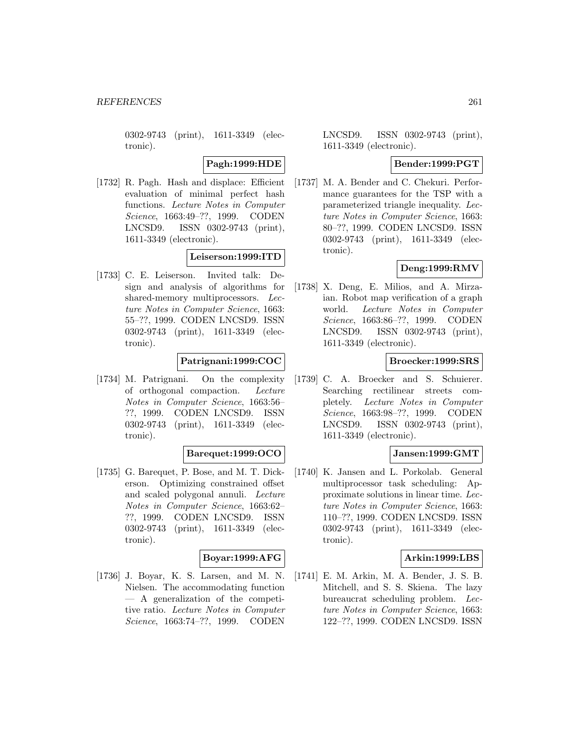0302-9743 (print), 1611-3349 (electronic).

### **Pagh:1999:HDE**

[1732] R. Pagh. Hash and displace: Efficient evaluation of minimal perfect hash functions. Lecture Notes in Computer Science, 1663:49–??, 1999. CODEN LNCSD9. ISSN 0302-9743 (print), 1611-3349 (electronic).

### **Leiserson:1999:ITD**

[1733] C. E. Leiserson. Invited talk: Design and analysis of algorithms for shared-memory multiprocessors. Lecture Notes in Computer Science, 1663: 55–??, 1999. CODEN LNCSD9. ISSN 0302-9743 (print), 1611-3349 (electronic).

# **Patrignani:1999:COC**

[1734] M. Patrignani. On the complexity of orthogonal compaction. Lecture Notes in Computer Science, 1663:56– ??, 1999. CODEN LNCSD9. ISSN 0302-9743 (print), 1611-3349 (electronic).

### **Barequet:1999:OCO**

[1735] G. Barequet, P. Bose, and M. T. Dickerson. Optimizing constrained offset and scaled polygonal annuli. Lecture Notes in Computer Science, 1663:62– ??, 1999. CODEN LNCSD9. ISSN 0302-9743 (print), 1611-3349 (electronic).

# **Boyar:1999:AFG**

[1736] J. Boyar, K. S. Larsen, and M. N. Nielsen. The accommodating function — A generalization of the competitive ratio. Lecture Notes in Computer Science, 1663:74–??, 1999. CODEN

LNCSD9. ISSN 0302-9743 (print), 1611-3349 (electronic).

#### **Bender:1999:PGT**

[1737] M. A. Bender and C. Chekuri. Performance guarantees for the TSP with a parameterized triangle inequality. Lecture Notes in Computer Science, 1663: 80–??, 1999. CODEN LNCSD9. ISSN 0302-9743 (print), 1611-3349 (electronic).

## **Deng:1999:RMV**

[1738] X. Deng, E. Milios, and A. Mirzaian. Robot map verification of a graph world. Lecture Notes in Computer Science, 1663:86–??, 1999. CODEN LNCSD9. ISSN 0302-9743 (print), 1611-3349 (electronic).

### **Broecker:1999:SRS**

[1739] C. A. Broecker and S. Schuierer. Searching rectilinear streets completely. Lecture Notes in Computer Science, 1663:98–??, 1999. CODEN LNCSD9. ISSN 0302-9743 (print), 1611-3349 (electronic).

### **Jansen:1999:GMT**

[1740] K. Jansen and L. Porkolab. General multiprocessor task scheduling: Approximate solutions in linear time. Lecture Notes in Computer Science, 1663: 110–??, 1999. CODEN LNCSD9. ISSN 0302-9743 (print), 1611-3349 (electronic).

### **Arkin:1999:LBS**

[1741] E. M. Arkin, M. A. Bender, J. S. B. Mitchell, and S. S. Skiena. The lazy bureaucrat scheduling problem. Lecture Notes in Computer Science, 1663: 122–??, 1999. CODEN LNCSD9. ISSN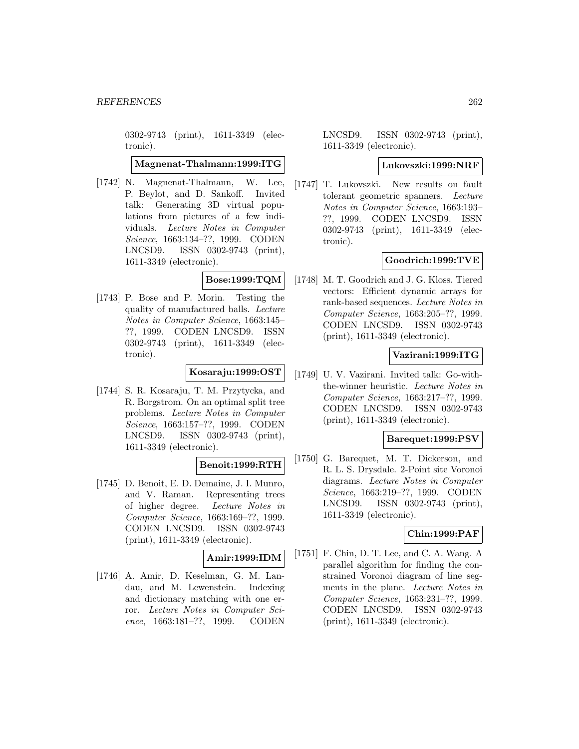0302-9743 (print), 1611-3349 (electronic).

**Magnenat-Thalmann:1999:ITG**

[1742] N. Magnenat-Thalmann, W. Lee, P. Beylot, and D. Sankoff. Invited talk: Generating 3D virtual populations from pictures of a few individuals. Lecture Notes in Computer Science, 1663:134–??, 1999. CODEN LNCSD9. ISSN 0302-9743 (print), 1611-3349 (electronic).

# **Bose:1999:TQM**

[1743] P. Bose and P. Morin. Testing the quality of manufactured balls. Lecture Notes in Computer Science, 1663:145– ??, 1999. CODEN LNCSD9. ISSN 0302-9743 (print), 1611-3349 (electronic).

# **Kosaraju:1999:OST**

[1744] S. R. Kosaraju, T. M. Przytycka, and R. Borgstrom. On an optimal split tree problems. Lecture Notes in Computer Science, 1663:157–??, 1999. CODEN LNCSD9. ISSN 0302-9743 (print), 1611-3349 (electronic).

### **Benoit:1999:RTH**

[1745] D. Benoit, E. D. Demaine, J. I. Munro, and V. Raman. Representing trees of higher degree. Lecture Notes in Computer Science, 1663:169–??, 1999. CODEN LNCSD9. ISSN 0302-9743 (print), 1611-3349 (electronic).

### **Amir:1999:IDM**

[1746] A. Amir, D. Keselman, G. M. Landau, and M. Lewenstein. Indexing and dictionary matching with one error. Lecture Notes in Computer Science, 1663:181–??, 1999. CODEN

LNCSD9. ISSN 0302-9743 (print), 1611-3349 (electronic).

#### **Lukovszki:1999:NRF**

[1747] T. Lukovszki. New results on fault tolerant geometric spanners. Lecture Notes in Computer Science, 1663:193– ??, 1999. CODEN LNCSD9. ISSN 0302-9743 (print), 1611-3349 (electronic).

# **Goodrich:1999:TVE**

[1748] M. T. Goodrich and J. G. Kloss. Tiered vectors: Efficient dynamic arrays for rank-based sequences. Lecture Notes in Computer Science, 1663:205–??, 1999. CODEN LNCSD9. ISSN 0302-9743 (print), 1611-3349 (electronic).

# **Vazirani:1999:ITG**

[1749] U. V. Vazirani. Invited talk: Go-withthe-winner heuristic. Lecture Notes in Computer Science, 1663:217–??, 1999. CODEN LNCSD9. ISSN 0302-9743 (print), 1611-3349 (electronic).

#### **Barequet:1999:PSV**

[1750] G. Barequet, M. T. Dickerson, and R. L. S. Drysdale. 2-Point site Voronoi diagrams. Lecture Notes in Computer Science, 1663:219–??, 1999. CODEN LNCSD9. ISSN 0302-9743 (print), 1611-3349 (electronic).

### **Chin:1999:PAF**

[1751] F. Chin, D. T. Lee, and C. A. Wang. A parallel algorithm for finding the constrained Voronoi diagram of line segments in the plane. Lecture Notes in Computer Science, 1663:231–??, 1999. CODEN LNCSD9. ISSN 0302-9743 (print), 1611-3349 (electronic).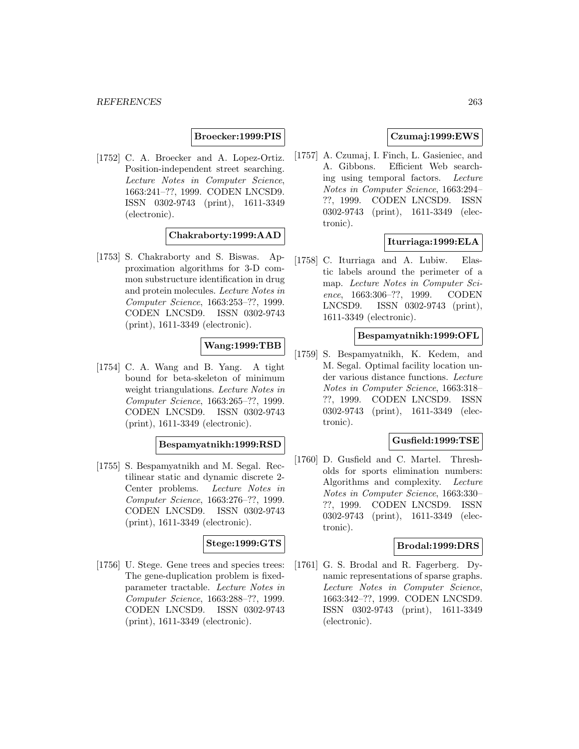**Broecker:1999:PIS**

[1752] C. A. Broecker and A. Lopez-Ortiz. Position-independent street searching. Lecture Notes in Computer Science, 1663:241–??, 1999. CODEN LNCSD9. ISSN 0302-9743 (print), 1611-3349 (electronic).

**Chakraborty:1999:AAD**

[1753] S. Chakraborty and S. Biswas. Approximation algorithms for 3-D common substructure identification in drug and protein molecules. Lecture Notes in Computer Science, 1663:253–??, 1999. CODEN LNCSD9. ISSN 0302-9743 (print), 1611-3349 (electronic).

# **Wang:1999:TBB**

[1754] C. A. Wang and B. Yang. A tight bound for beta-skeleton of minimum weight triangulations. Lecture Notes in Computer Science, 1663:265–??, 1999. CODEN LNCSD9. ISSN 0302-9743 (print), 1611-3349 (electronic).

#### **Bespamyatnikh:1999:RSD**

[1755] S. Bespamyatnikh and M. Segal. Rectilinear static and dynamic discrete 2- Center problems. Lecture Notes in Computer Science, 1663:276–??, 1999. CODEN LNCSD9. ISSN 0302-9743 (print), 1611-3349 (electronic).

### **Stege:1999:GTS**

[1756] U. Stege. Gene trees and species trees: The gene-duplication problem is fixedparameter tractable. Lecture Notes in Computer Science, 1663:288–??, 1999. CODEN LNCSD9. ISSN 0302-9743 (print), 1611-3349 (electronic).

# **Czumaj:1999:EWS**

[1757] A. Czumaj, I. Finch, L. Gasieniec, and A. Gibbons. Efficient Web searching using temporal factors. Lecture Notes in Computer Science, 1663:294– ??, 1999. CODEN LNCSD9. ISSN 0302-9743 (print), 1611-3349 (electronic).

### **Iturriaga:1999:ELA**

[1758] C. Iturriaga and A. Lubiw. Elastic labels around the perimeter of a map. Lecture Notes in Computer Science, 1663:306–??, 1999. CODEN LNCSD9. ISSN 0302-9743 (print), 1611-3349 (electronic).

#### **Bespamyatnikh:1999:OFL**

[1759] S. Bespamyatnikh, K. Kedem, and M. Segal. Optimal facility location under various distance functions. Lecture Notes in Computer Science, 1663:318– ??, 1999. CODEN LNCSD9. ISSN 0302-9743 (print), 1611-3349 (electronic).

### **Gusfield:1999:TSE**

[1760] D. Gusfield and C. Martel. Thresholds for sports elimination numbers: Algorithms and complexity. Lecture Notes in Computer Science, 1663:330– ??, 1999. CODEN LNCSD9. ISSN 0302-9743 (print), 1611-3349 (electronic).

# **Brodal:1999:DRS**

[1761] G. S. Brodal and R. Fagerberg. Dynamic representations of sparse graphs. Lecture Notes in Computer Science, 1663:342–??, 1999. CODEN LNCSD9. ISSN 0302-9743 (print), 1611-3349 (electronic).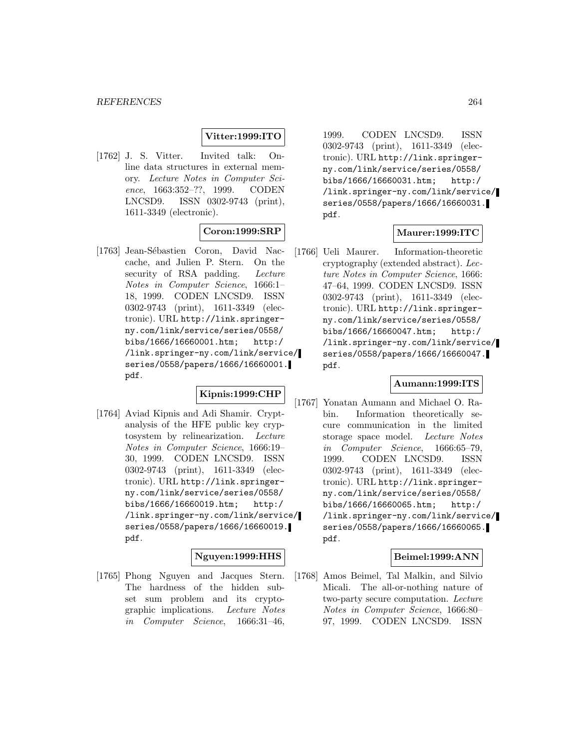# **Vitter:1999:ITO**

[1762] J. S. Vitter. Invited talk: Online data structures in external memory. Lecture Notes in Computer Science, 1663:352–??, 1999. CODEN LNCSD9. ISSN 0302-9743 (print), 1611-3349 (electronic).

# **Coron:1999:SRP**

[1763] Jean-Sébastien Coron, David Naccache, and Julien P. Stern. On the security of RSA padding. Lecture Notes in Computer Science, 1666:1– 18, 1999. CODEN LNCSD9. ISSN 0302-9743 (print), 1611-3349 (electronic). URL http://link.springerny.com/link/service/series/0558/ bibs/1666/16660001.htm; http:/ /link.springer-ny.com/link/service/ series/0558/papers/1666/16660001. pdf.

# **Kipnis:1999:CHP**

[1764] Aviad Kipnis and Adi Shamir. Cryptanalysis of the HFE public key cryptosystem by relinearization. Lecture Notes in Computer Science, 1666:19– 30, 1999. CODEN LNCSD9. ISSN 0302-9743 (print), 1611-3349 (electronic). URL http://link.springerny.com/link/service/series/0558/ bibs/1666/16660019.htm; http:/ /link.springer-ny.com/link/service/ series/0558/papers/1666/16660019. pdf.

### **Nguyen:1999:HHS**

[1765] Phong Nguyen and Jacques Stern. The hardness of the hidden subset sum problem and its cryptographic implications. Lecture Notes in Computer Science, 1666:31–46,

1999. CODEN LNCSD9. ISSN 0302-9743 (print), 1611-3349 (electronic). URL http://link.springerny.com/link/service/series/0558/ bibs/1666/16660031.htm; http:/ /link.springer-ny.com/link/service/ series/0558/papers/1666/16660031. pdf.

# **Maurer:1999:ITC**

[1766] Ueli Maurer. Information-theoretic cryptography (extended abstract). Lecture Notes in Computer Science, 1666: 47–64, 1999. CODEN LNCSD9. ISSN 0302-9743 (print), 1611-3349 (electronic). URL http://link.springerny.com/link/service/series/0558/ bibs/1666/16660047.htm; http:/ /link.springer-ny.com/link/service/ series/0558/papers/1666/16660047. pdf.

#### **Aumann:1999:ITS**

[1767] Yonatan Aumann and Michael O. Rabin. Information theoretically secure communication in the limited storage space model. Lecture Notes in Computer Science, 1666:65–79, 1999. CODEN LNCSD9. ISSN 0302-9743 (print), 1611-3349 (electronic). URL http://link.springerny.com/link/service/series/0558/ bibs/1666/16660065.htm; http:/ /link.springer-ny.com/link/service/ series/0558/papers/1666/16660065. pdf.

#### **Beimel:1999:ANN**

[1768] Amos Beimel, Tal Malkin, and Silvio Micali. The all-or-nothing nature of two-party secure computation. Lecture Notes in Computer Science, 1666:80– 97, 1999. CODEN LNCSD9. ISSN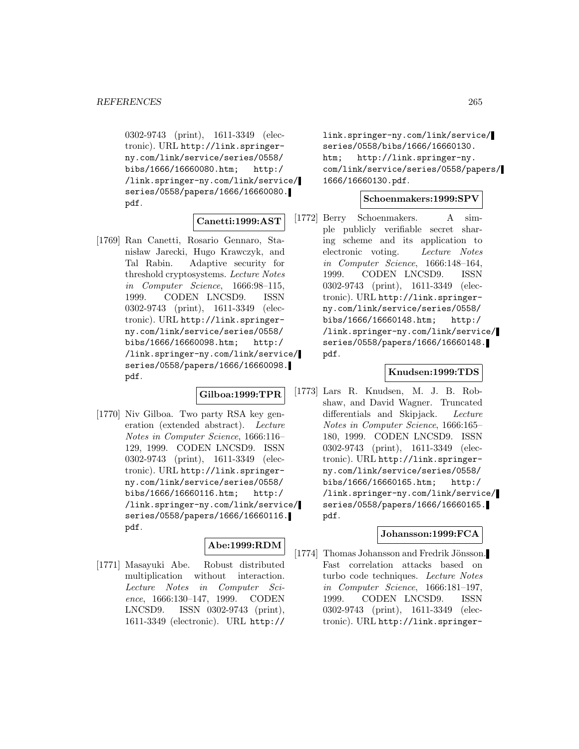0302-9743 (print), 1611-3349 (electronic). URL http://link.springerny.com/link/service/series/0558/ bibs/1666/16660080.htm; http:/ /link.springer-ny.com/link/service/ series/0558/papers/1666/16660080. pdf.

# **Canetti:1999:AST**

[1769] Ran Canetti, Rosario Gennaro, Stanisław Jarecki, Hugo Krawczyk, and Tal Rabin. Adaptive security for threshold cryptosystems. Lecture Notes in Computer Science, 1666:98–115, 1999. CODEN LNCSD9. ISSN 0302-9743 (print), 1611-3349 (electronic). URL http://link.springerny.com/link/service/series/0558/ bibs/1666/16660098.htm; http:/ /link.springer-ny.com/link/service/ series/0558/papers/1666/16660098. pdf.

#### **Gilboa:1999:TPR**

[1770] Niv Gilboa. Two party RSA key generation (extended abstract). Lecture Notes in Computer Science, 1666:116– 129, 1999. CODEN LNCSD9. ISSN 0302-9743 (print), 1611-3349 (electronic). URL http://link.springerny.com/link/service/series/0558/ bibs/1666/16660116.htm; http:/ /link.springer-ny.com/link/service/ series/0558/papers/1666/16660116. pdf.

# **Abe:1999:RDM**

[1771] Masayuki Abe. Robust distributed multiplication without interaction. Lecture Notes in Computer Science, 1666:130–147, 1999. CODEN LNCSD9. ISSN 0302-9743 (print), 1611-3349 (electronic). URL http://

link.springer-ny.com/link/service/ series/0558/bibs/1666/16660130. htm; http://link.springer-ny. com/link/service/series/0558/papers/ 1666/16660130.pdf.

### **Schoenmakers:1999:SPV**

[1772] Berry Schoenmakers. A simple publicly verifiable secret sharing scheme and its application to electronic voting. Lecture Notes in Computer Science, 1666:148–164, 1999. CODEN LNCSD9. ISSN 0302-9743 (print), 1611-3349 (electronic). URL http://link.springerny.com/link/service/series/0558/ bibs/1666/16660148.htm; http:/ /link.springer-ny.com/link/service/ series/0558/papers/1666/16660148. pdf.

#### **Knudsen:1999:TDS**

[1773] Lars R. Knudsen, M. J. B. Robshaw, and David Wagner. Truncated differentials and Skipjack. Lecture Notes in Computer Science, 1666:165– 180, 1999. CODEN LNCSD9. ISSN 0302-9743 (print), 1611-3349 (electronic). URL http://link.springerny.com/link/service/series/0558/ bibs/1666/16660165.htm; http:/ /link.springer-ny.com/link/service/ series/0558/papers/1666/16660165. pdf.

### **Johansson:1999:FCA**

[1774] Thomas Johansson and Fredrik Jönsson. Fast correlation attacks based on turbo code techniques. Lecture Notes in Computer Science, 1666:181–197, 1999. CODEN LNCSD9. ISSN 0302-9743 (print), 1611-3349 (electronic). URL http://link.springer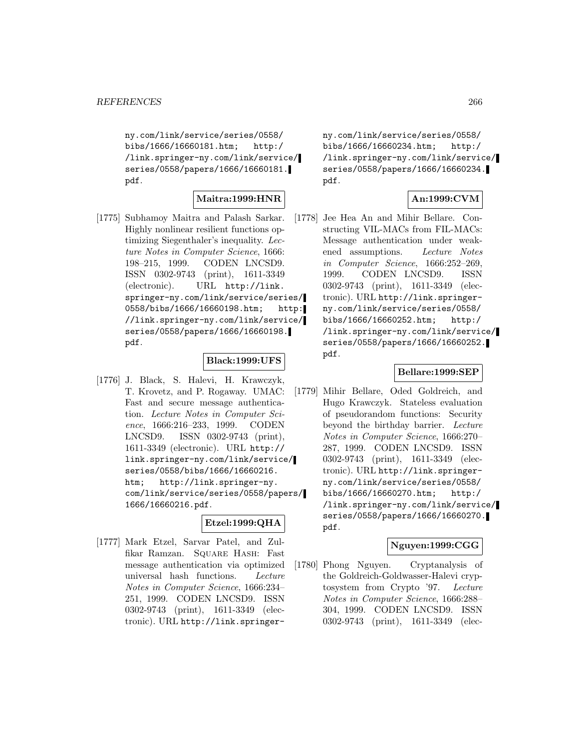ny.com/link/service/series/0558/ bibs/1666/16660181.htm; http:/ /link.springer-ny.com/link/service/ series/0558/papers/1666/16660181. pdf.

# **Maitra:1999:HNR**

[1775] Subhamoy Maitra and Palash Sarkar. Highly nonlinear resilient functions optimizing Siegenthaler's inequality. Lecture Notes in Computer Science, 1666: 198–215, 1999. CODEN LNCSD9. ISSN 0302-9743 (print), 1611-3349 (electronic). URL http://link. springer-ny.com/link/service/series/ 0558/bibs/1666/16660198.htm; http: //link.springer-ny.com/link/service/ series/0558/papers/1666/16660198. pdf.

# **Black:1999:UFS**

[1776] J. Black, S. Halevi, H. Krawczyk, T. Krovetz, and P. Rogaway. UMAC: Fast and secure message authentication. Lecture Notes in Computer Science, 1666:216–233, 1999. CODEN LNCSD9. ISSN 0302-9743 (print), 1611-3349 (electronic). URL http:// link.springer-ny.com/link/service/ series/0558/bibs/1666/16660216. htm; http://link.springer-ny. com/link/service/series/0558/papers/ 1666/16660216.pdf.

# **Etzel:1999:QHA**

[1777] Mark Etzel, Sarvar Patel, and Zulfikar Ramzan. Square Hash: Fast message authentication via optimized universal hash functions. Lecture Notes in Computer Science, 1666:234– 251, 1999. CODEN LNCSD9. ISSN 0302-9743 (print), 1611-3349 (electronic). URL http://link.springerny.com/link/service/series/0558/ bibs/1666/16660234.htm; http:/ /link.springer-ny.com/link/service/ series/0558/papers/1666/16660234. pdf.

# **An:1999:CVM**

[1778] Jee Hea An and Mihir Bellare. Constructing VIL-MACs from FIL-MACs: Message authentication under weakened assumptions. Lecture Notes in Computer Science, 1666:252–269, 1999. CODEN LNCSD9. ISSN 0302-9743 (print), 1611-3349 (electronic). URL http://link.springerny.com/link/service/series/0558/ bibs/1666/16660252.htm; http:/ /link.springer-ny.com/link/service/ series/0558/papers/1666/16660252. pdf.

### **Bellare:1999:SEP**

[1779] Mihir Bellare, Oded Goldreich, and Hugo Krawczyk. Stateless evaluation of pseudorandom functions: Security beyond the birthday barrier. Lecture Notes in Computer Science, 1666:270– 287, 1999. CODEN LNCSD9. ISSN 0302-9743 (print), 1611-3349 (electronic). URL http://link.springerny.com/link/service/series/0558/ bibs/1666/16660270.htm; http:/ /link.springer-ny.com/link/service/ series/0558/papers/1666/16660270. pdf.

# **Nguyen:1999:CGG**

[1780] Phong Nguyen. Cryptanalysis of the Goldreich-Goldwasser-Halevi cryptosystem from Crypto '97. Lecture Notes in Computer Science, 1666:288– 304, 1999. CODEN LNCSD9. ISSN 0302-9743 (print), 1611-3349 (elec-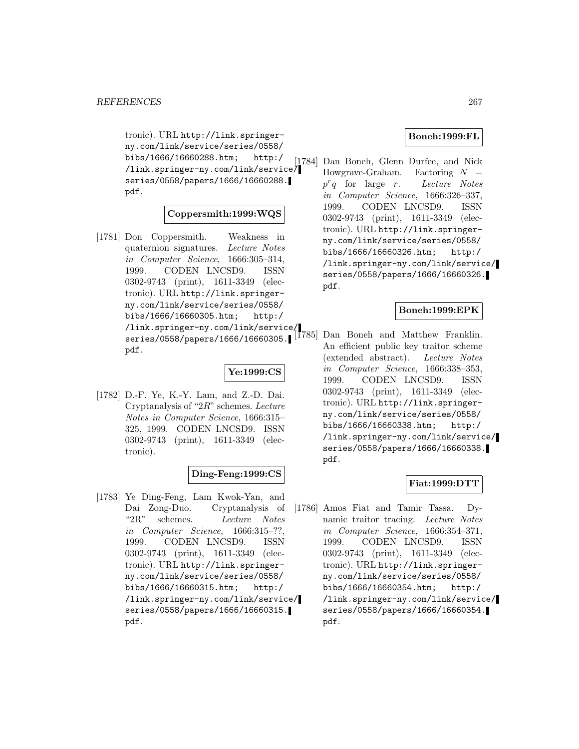tronic). URL http://link.springerny.com/link/service/series/0558/ bibs/1666/16660288.htm; http:/ /link.springer-ny.com/link/service/ series/0558/papers/1666/16660288. pdf.

# **Coppersmith:1999:WQS**

[1781] Don Coppersmith. Weakness in quaternion signatures. Lecture Notes in Computer Science, 1666:305–314, 1999. CODEN LNCSD9. ISSN 0302-9743 (print), 1611-3349 (electronic). URL http://link.springerny.com/link/service/series/0558/ bibs/1666/16660305.htm; http:/ /link.springer-ny.com/link/service/ series/0558/papers/1666/16660305. pdf.

# **Ye:1999:CS**

[1782] D.-F. Ye, K.-Y. Lam, and Z.-D. Dai. Cryptanalysis of " $2R$ " schemes. Lecture Notes in Computer Science, 1666:315– 325, 1999. CODEN LNCSD9. ISSN 0302-9743 (print), 1611-3349 (electronic).

# **Ding-Feng:1999:CS**

[1783] Ye Ding-Feng, Lam Kwok-Yan, and Dai Zong-Duo. Cryptanalysis of "2R" schemes. Lecture Notes in Computer Science, 1666:315–??, 1999. CODEN LNCSD9. ISSN 0302-9743 (print), 1611-3349 (electronic). URL http://link.springerny.com/link/service/series/0558/ bibs/1666/16660315.htm; http:/ /link.springer-ny.com/link/service/ series/0558/papers/1666/16660315. pdf.

## **Boneh:1999:FL**

[1784] Dan Boneh, Glenn Durfee, and Nick Howgrave-Graham. Factoring  $N =$  $p^r q$  for large r. Lecture Notes in Computer Science, 1666:326–337, 1999. CODEN LNCSD9. ISSN 0302-9743 (print), 1611-3349 (electronic). URL http://link.springerny.com/link/service/series/0558/ bibs/1666/16660326.htm; http:/ /link.springer-ny.com/link/service/ series/0558/papers/1666/16660326. pdf.

### **Boneh:1999:EPK**

Dan Boneh and Matthew Franklin. An efficient public key traitor scheme (extended abstract). Lecture Notes in Computer Science, 1666:338–353, 1999. CODEN LNCSD9. ISSN 0302-9743 (print), 1611-3349 (electronic). URL http://link.springerny.com/link/service/series/0558/ bibs/1666/16660338.htm; http:/ /link.springer-ny.com/link/service/ series/0558/papers/1666/16660338. pdf.

# **Fiat:1999:DTT**

[1786] Amos Fiat and Tamir Tassa. Dynamic traitor tracing. Lecture Notes in Computer Science, 1666:354–371, 1999. CODEN LNCSD9. ISSN 0302-9743 (print), 1611-3349 (electronic). URL http://link.springerny.com/link/service/series/0558/ bibs/1666/16660354.htm; http:/ /link.springer-ny.com/link/service/ series/0558/papers/1666/16660354. pdf.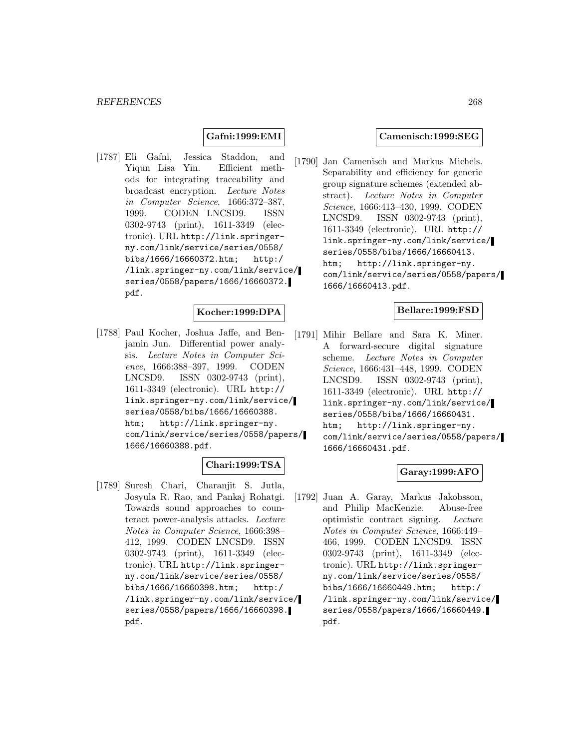### **Gafni:1999:EMI**

[1787] Eli Gafni, Jessica Staddon, and Yiqun Lisa Yin. Efficient methods for integrating traceability and broadcast encryption. Lecture Notes in Computer Science, 1666:372–387, 1999. CODEN LNCSD9. ISSN 0302-9743 (print), 1611-3349 (electronic). URL http://link.springerny.com/link/service/series/0558/ bibs/1666/16660372.htm; http:/ /link.springer-ny.com/link/service/ series/0558/papers/1666/16660372. pdf.

# **Kocher:1999:DPA**

[1788] Paul Kocher, Joshua Jaffe, and Benjamin Jun. Differential power analysis. Lecture Notes in Computer Science, 1666:388–397, 1999. CODEN LNCSD9. ISSN 0302-9743 (print), 1611-3349 (electronic). URL http:// link.springer-ny.com/link/service/ series/0558/bibs/1666/16660388. htm; http://link.springer-ny. com/link/service/series/0558/papers/ 1666/16660388.pdf.

# **Chari:1999:TSA**

[1789] Suresh Chari, Charanjit S. Jutla, Josyula R. Rao, and Pankaj Rohatgi. Towards sound approaches to counteract power-analysis attacks. Lecture Notes in Computer Science, 1666:398– 412, 1999. CODEN LNCSD9. ISSN 0302-9743 (print), 1611-3349 (electronic). URL http://link.springerny.com/link/service/series/0558/ bibs/1666/16660398.htm; http:/ /link.springer-ny.com/link/service/ series/0558/papers/1666/16660398. pdf.

#### **Camenisch:1999:SEG**

[1790] Jan Camenisch and Markus Michels. Separability and efficiency for generic group signature schemes (extended abstract). Lecture Notes in Computer Science, 1666:413–430, 1999. CODEN LNCSD9. ISSN 0302-9743 (print), 1611-3349 (electronic). URL http:// link.springer-ny.com/link/service/ series/0558/bibs/1666/16660413. htm; http://link.springer-ny. com/link/service/series/0558/papers/ 1666/16660413.pdf.

#### **Bellare:1999:FSD**

[1791] Mihir Bellare and Sara K. Miner. A forward-secure digital signature scheme. Lecture Notes in Computer Science, 1666:431–448, 1999. CODEN LNCSD9. ISSN 0302-9743 (print), 1611-3349 (electronic). URL http:// link.springer-ny.com/link/service/ series/0558/bibs/1666/16660431. htm; http://link.springer-ny. com/link/service/series/0558/papers/ 1666/16660431.pdf.

#### **Garay:1999:AFO**

[1792] Juan A. Garay, Markus Jakobsson, and Philip MacKenzie. Abuse-free optimistic contract signing. Lecture Notes in Computer Science, 1666:449– 466, 1999. CODEN LNCSD9. ISSN 0302-9743 (print), 1611-3349 (electronic). URL http://link.springerny.com/link/service/series/0558/ bibs/1666/16660449.htm; http:/ /link.springer-ny.com/link/service/ series/0558/papers/1666/16660449. pdf.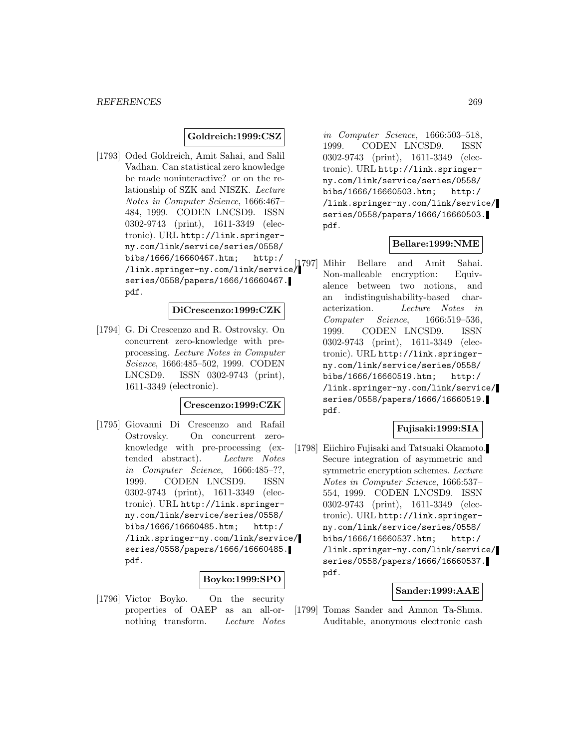## **Goldreich:1999:CSZ**

[1793] Oded Goldreich, Amit Sahai, and Salil Vadhan. Can statistical zero knowledge be made noninteractive? or on the relationship of SZK and NISZK. Lecture Notes in Computer Science, 1666:467– 484, 1999. CODEN LNCSD9. ISSN 0302-9743 (print), 1611-3349 (electronic). URL http://link.springerny.com/link/service/series/0558/ bibs/1666/16660467.htm; http:/ /link.springer-ny.com/link/service/ series/0558/papers/1666/16660467. pdf.

# **DiCrescenzo:1999:CZK**

[1794] G. Di Crescenzo and R. Ostrovsky. On concurrent zero-knowledge with preprocessing. Lecture Notes in Computer Science, 1666:485–502, 1999. CODEN LNCSD9. ISSN 0302-9743 (print), 1611-3349 (electronic).

#### **Crescenzo:1999:CZK**

[1795] Giovanni Di Crescenzo and Rafail Ostrovsky. On concurrent zeroknowledge with pre-processing (extended abstract). Lecture Notes in Computer Science, 1666:485–??, 1999. CODEN LNCSD9. ISSN 0302-9743 (print), 1611-3349 (electronic). URL http://link.springerny.com/link/service/series/0558/ bibs/1666/16660485.htm; http:/ /link.springer-ny.com/link/service/ series/0558/papers/1666/16660485. pdf.

#### **Boyko:1999:SPO**

[1796] Victor Boyko. On the security properties of OAEP as an all-ornothing transform. Lecture Notes

in Computer Science, 1666:503–518, 1999. CODEN LNCSD9. ISSN 0302-9743 (print), 1611-3349 (electronic). URL http://link.springerny.com/link/service/series/0558/ bibs/1666/16660503.htm; http:/ /link.springer-ny.com/link/service/ series/0558/papers/1666/16660503. pdf.

#### **Bellare:1999:NME**

[1797] Mihir Bellare and Amit Sahai. Non-malleable encryption: Equivalence between two notions, and an indistinguishability-based characterization. Lecture Notes in Computer Science, 1666:519–536, 1999. CODEN LNCSD9. ISSN 0302-9743 (print), 1611-3349 (electronic). URL http://link.springerny.com/link/service/series/0558/ bibs/1666/16660519.htm; http:/ /link.springer-ny.com/link/service/ series/0558/papers/1666/16660519. pdf.

#### **Fujisaki:1999:SIA**

[1798] Eiichiro Fujisaki and Tatsuaki Okamoto. Secure integration of asymmetric and symmetric encryption schemes. Lecture Notes in Computer Science, 1666:537– 554, 1999. CODEN LNCSD9. ISSN 0302-9743 (print), 1611-3349 (electronic). URL http://link.springerny.com/link/service/series/0558/ bibs/1666/16660537.htm; http:/ /link.springer-ny.com/link/service/ series/0558/papers/1666/16660537. pdf.

#### **Sander:1999:AAE**

[1799] Tomas Sander and Amnon Ta-Shma. Auditable, anonymous electronic cash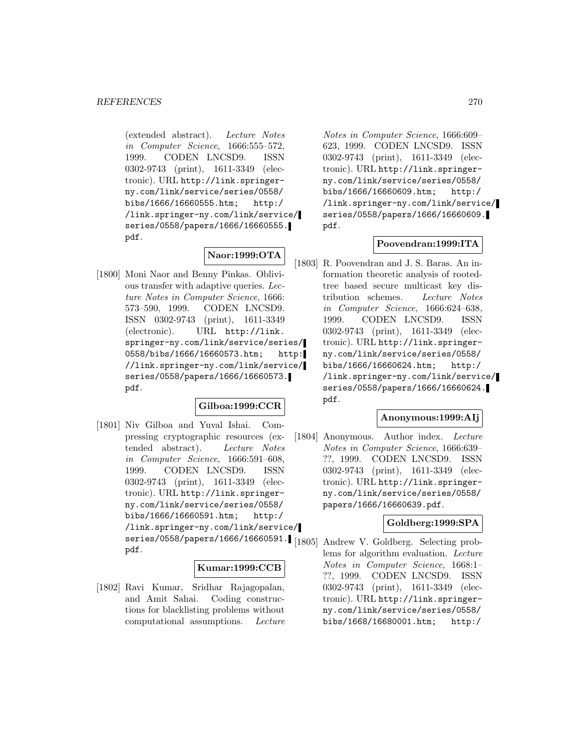(extended abstract). Lecture Notes in Computer Science, 1666:555–572, 1999. CODEN LNCSD9. ISSN 0302-9743 (print), 1611-3349 (electronic). URL http://link.springerny.com/link/service/series/0558/ bibs/1666/16660555.htm; http:/ /link.springer-ny.com/link/service/ series/0558/papers/1666/16660555. pdf.

# **Naor:1999:OTA**

[1800] Moni Naor and Benny Pinkas. Oblivious transfer with adaptive queries. Lecture Notes in Computer Science, 1666: 573–590, 1999. CODEN LNCSD9. ISSN 0302-9743 (print), 1611-3349 (electronic). URL http://link. springer-ny.com/link/service/series/ 0558/bibs/1666/16660573.htm; http: //link.springer-ny.com/link/service/ series/0558/papers/1666/16660573. pdf.

# **Gilboa:1999:CCR**

[1801] Niv Gilboa and Yuval Ishai. Compressing cryptographic resources (extended abstract). Lecture Notes in Computer Science, 1666:591–608, 1999. CODEN LNCSD9. ISSN 0302-9743 (print), 1611-3349 (electronic). URL http://link.springerny.com/link/service/series/0558/ bibs/1666/16660591.htm; http:/ /link.springer-ny.com/link/service/ series/0558/papers/1666/16660591. pdf.

### **Kumar:1999:CCB**

[1802] Ravi Kumar, Sridhar Rajagopalan, and Amit Sahai. Coding constructions for blacklisting problems without computational assumptions. Lecture

Notes in Computer Science, 1666:609– 623, 1999. CODEN LNCSD9. ISSN 0302-9743 (print), 1611-3349 (electronic). URL http://link.springerny.com/link/service/series/0558/ bibs/1666/16660609.htm; http:/ /link.springer-ny.com/link/service/ series/0558/papers/1666/16660609. pdf.

### **Poovendran:1999:ITA**

[1803] R. Poovendran and J. S. Baras. An information theoretic analysis of rootedtree based secure multicast key distribution schemes. Lecture Notes in Computer Science, 1666:624–638, 1999. CODEN LNCSD9. ISSN 0302-9743 (print), 1611-3349 (electronic). URL http://link.springerny.com/link/service/series/0558/ bibs/1666/16660624.htm; http:/ /link.springer-ny.com/link/service/ series/0558/papers/1666/16660624. pdf.

## **Anonymous:1999:AIj**

[1804] Anonymous. Author index. Lecture Notes in Computer Science, 1666:639– ??, 1999. CODEN LNCSD9. ISSN 0302-9743 (print), 1611-3349 (electronic). URL http://link.springerny.com/link/service/series/0558/ papers/1666/16660639.pdf.

### **Goldberg:1999:SPA**

[1805] Andrew V. Goldberg. Selecting problems for algorithm evaluation. Lecture Notes in Computer Science, 1668:1– ??, 1999. CODEN LNCSD9. ISSN 0302-9743 (print), 1611-3349 (electronic). URL http://link.springerny.com/link/service/series/0558/ bibs/1668/16680001.htm; http:/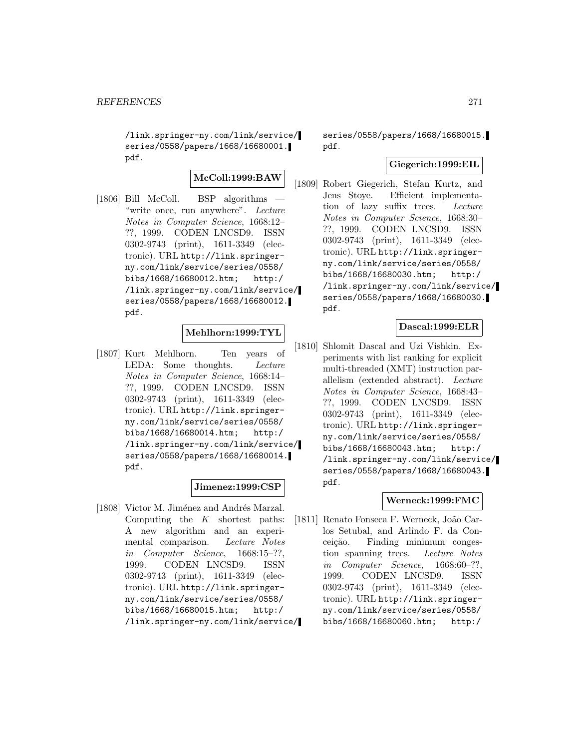/link.springer-ny.com/link/service/ series/0558/papers/1668/16680001. pdf.

**McColl:1999:BAW**

[1806] Bill McColl. BSP algorithms — "write once, run anywhere". Lecture Notes in Computer Science, 1668:12– ??, 1999. CODEN LNCSD9. ISSN 0302-9743 (print), 1611-3349 (electronic). URL http://link.springerny.com/link/service/series/0558/ bibs/1668/16680012.htm; http:/ /link.springer-ny.com/link/service/ series/0558/papers/1668/16680012. pdf.

# **Mehlhorn:1999:TYL**

[1807] Kurt Mehlhorn. Ten years of LEDA: Some thoughts. Lecture Notes in Computer Science, 1668:14– ??, 1999. CODEN LNCSD9. ISSN 0302-9743 (print), 1611-3349 (electronic). URL http://link.springerny.com/link/service/series/0558/ bibs/1668/16680014.htm; http:/ /link.springer-ny.com/link/service/ series/0558/papers/1668/16680014. pdf.

### **Jimenez:1999:CSP**

[1808] Victor M. Jiménez and Andrés Marzal. Computing the  $K$  shortest paths: A new algorithm and an experimental comparison. Lecture Notes in Computer Science, 1668:15–??, 1999. CODEN LNCSD9. ISSN 0302-9743 (print), 1611-3349 (electronic). URL http://link.springerny.com/link/service/series/0558/ bibs/1668/16680015.htm; http:/ /link.springer-ny.com/link/service/

series/0558/papers/1668/16680015. pdf.

#### **Giegerich:1999:EIL**

[1809] Robert Giegerich, Stefan Kurtz, and Jens Stoye. Efficient implementation of lazy suffix trees. Lecture Notes in Computer Science, 1668:30– ??, 1999. CODEN LNCSD9. ISSN 0302-9743 (print), 1611-3349 (electronic). URL http://link.springerny.com/link/service/series/0558/ bibs/1668/16680030.htm; http:/ /link.springer-ny.com/link/service/ series/0558/papers/1668/16680030. pdf.

## **Dascal:1999:ELR**

[1810] Shlomit Dascal and Uzi Vishkin. Experiments with list ranking for explicit multi-threaded (XMT) instruction parallelism (extended abstract). Lecture Notes in Computer Science, 1668:43– ??, 1999. CODEN LNCSD9. ISSN 0302-9743 (print), 1611-3349 (electronic). URL http://link.springerny.com/link/service/series/0558/ bibs/1668/16680043.htm; http:/ /link.springer-ny.com/link/service/ series/0558/papers/1668/16680043. pdf.

# **Werneck:1999:FMC**

[1811] Renato Fonseca F. Werneck, João Carlos Setubal, and Arlindo F. da Conceição. Finding minimum congestion spanning trees. Lecture Notes in Computer Science, 1668:60–??, 1999. CODEN LNCSD9. ISSN 0302-9743 (print), 1611-3349 (electronic). URL http://link.springerny.com/link/service/series/0558/ bibs/1668/16680060.htm; http:/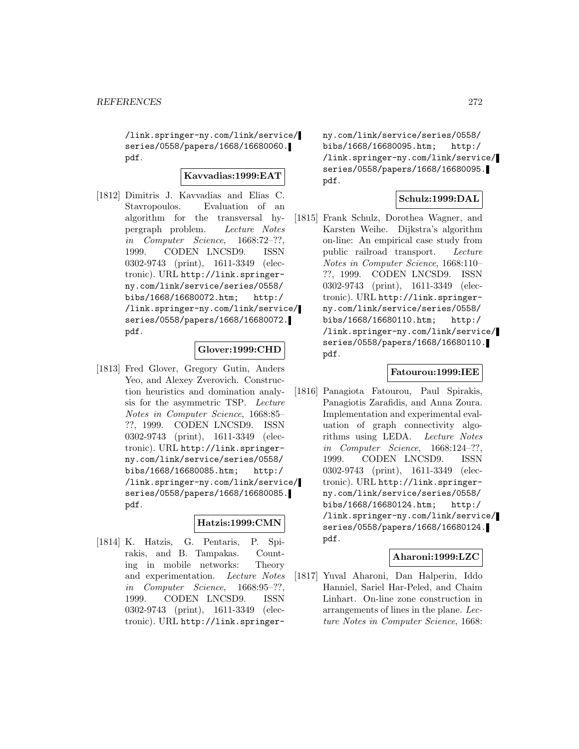/link.springer-ny.com/link/service/ series/0558/papers/1668/16680060. pdf.

## **Kavvadias:1999:EAT**

[1812] Dimitris J. Kavvadias and Elias C. Stavropoulos. Evaluation of an algorithm for the transversal hypergraph problem. Lecture Notes in Computer Science, 1668:72–??, 1999. CODEN LNCSD9. ISSN 0302-9743 (print), 1611-3349 (electronic). URL http://link.springerny.com/link/service/series/0558/ bibs/1668/16680072.htm; http:/ /link.springer-ny.com/link/service/ series/0558/papers/1668/16680072. pdf.

### **Glover:1999:CHD**

[1813] Fred Glover, Gregory Gutin, Anders Yeo, and Alexey Zverovich. Construction heuristics and domination analysis for the asymmetric TSP. Lecture Notes in Computer Science, 1668:85– ??, 1999. CODEN LNCSD9. ISSN 0302-9743 (print), 1611-3349 (electronic). URL http://link.springerny.com/link/service/series/0558/ bibs/1668/16680085.htm; http:/ /link.springer-ny.com/link/service/ series/0558/papers/1668/16680085. pdf.

### **Hatzis:1999:CMN**

[1814] K. Hatzis, G. Pentaris, P. Spirakis, and B. Tampakas. Counting in mobile networks: Theory and experimentation. Lecture Notes in Computer Science, 1668:95–??, 1999. CODEN LNCSD9. ISSN 0302-9743 (print), 1611-3349 (electronic). URL http://link.springerny.com/link/service/series/0558/ bibs/1668/16680095.htm; http:/ /link.springer-ny.com/link/service/ series/0558/papers/1668/16680095. pdf.

#### **Schulz:1999:DAL**

[1815] Frank Schulz, Dorothea Wagner, and Karsten Weihe. Dijkstra's algorithm on-line: An empirical case study from public railroad transport. Lecture Notes in Computer Science, 1668:110– ??, 1999. CODEN LNCSD9. ISSN 0302-9743 (print), 1611-3349 (electronic). URL http://link.springerny.com/link/service/series/0558/ bibs/1668/16680110.htm; http:/ /link.springer-ny.com/link/service/ series/0558/papers/1668/16680110. pdf.

### **Fatourou:1999:IEE**

[1816] Panagiota Fatourou, Paul Spirakis, Panagiotis Zarafidis, and Anna Zoura. Implementation and experimental evaluation of graph connectivity algorithms using LEDA. Lecture Notes in Computer Science, 1668:124–??, 1999. CODEN LNCSD9. ISSN 0302-9743 (print), 1611-3349 (electronic). URL http://link.springerny.com/link/service/series/0558/ bibs/1668/16680124.htm; http:/ /link.springer-ny.com/link/service/ series/0558/papers/1668/16680124. pdf.

### **Aharoni:1999:LZC**

[1817] Yuval Aharoni, Dan Halperin, Iddo Hanniel, Sariel Har-Peled, and Chaim Linhart. On-line zone construction in arrangements of lines in the plane. Lecture Notes in Computer Science, 1668: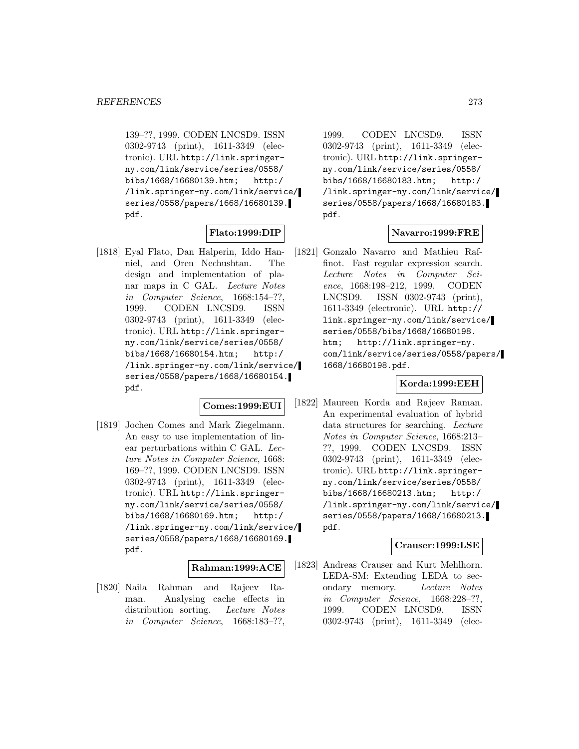139–??, 1999. CODEN LNCSD9. ISSN 0302-9743 (print), 1611-3349 (electronic). URL http://link.springerny.com/link/service/series/0558/ bibs/1668/16680139.htm; http:/ /link.springer-ny.com/link/service/ series/0558/papers/1668/16680139. pdf.

# **Flato:1999:DIP**

[1818] Eyal Flato, Dan Halperin, Iddo Hanniel, and Oren Nechushtan. The design and implementation of planar maps in C GAL. Lecture Notes in Computer Science, 1668:154–??, 1999. CODEN LNCSD9. ISSN 0302-9743 (print), 1611-3349 (electronic). URL http://link.springerny.com/link/service/series/0558/ bibs/1668/16680154.htm; http:/ /link.springer-ny.com/link/service/ series/0558/papers/1668/16680154. pdf.

#### **Comes:1999:EUI**

[1819] Jochen Comes and Mark Ziegelmann. An easy to use implementation of linear perturbations within C GAL. Lecture Notes in Computer Science, 1668: 169–??, 1999. CODEN LNCSD9. ISSN 0302-9743 (print), 1611-3349 (electronic). URL http://link.springerny.com/link/service/series/0558/ bibs/1668/16680169.htm; http:/ /link.springer-ny.com/link/service/ series/0558/papers/1668/16680169. pdf.

#### **Rahman:1999:ACE**

[1820] Naila Rahman and Rajeev Raman. Analysing cache effects in distribution sorting. Lecture Notes in Computer Science, 1668:183–??,

1999. CODEN LNCSD9. ISSN 0302-9743 (print), 1611-3349 (electronic). URL http://link.springerny.com/link/service/series/0558/ bibs/1668/16680183.htm; http:/ /link.springer-ny.com/link/service/ series/0558/papers/1668/16680183. pdf.

# **Navarro:1999:FRE**

[1821] Gonzalo Navarro and Mathieu Raffinot. Fast regular expression search. Lecture Notes in Computer Science, 1668:198–212, 1999. CODEN LNCSD9. ISSN 0302-9743 (print), 1611-3349 (electronic). URL http:// link.springer-ny.com/link/service/ series/0558/bibs/1668/16680198. htm; http://link.springer-ny. com/link/service/series/0558/papers/ 1668/16680198.pdf.

### **Korda:1999:EEH**

[1822] Maureen Korda and Rajeev Raman. An experimental evaluation of hybrid data structures for searching. Lecture Notes in Computer Science, 1668:213– ??, 1999. CODEN LNCSD9. ISSN 0302-9743 (print), 1611-3349 (electronic). URL http://link.springerny.com/link/service/series/0558/ bibs/1668/16680213.htm; http:/ /link.springer-ny.com/link/service/ series/0558/papers/1668/16680213. pdf.

#### **Crauser:1999:LSE**

[1823] Andreas Crauser and Kurt Mehlhorn. LEDA-SM: Extending LEDA to secondary memory. Lecture Notes in Computer Science, 1668:228–??, 1999. CODEN LNCSD9. ISSN 0302-9743 (print), 1611-3349 (elec-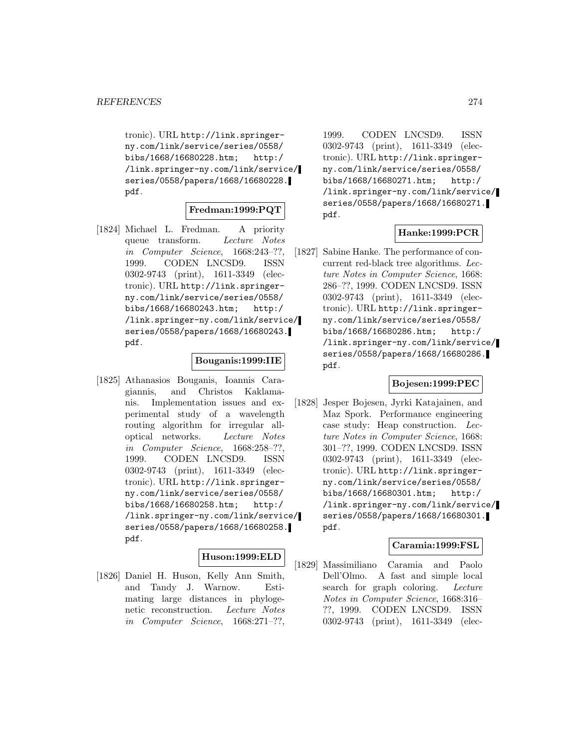tronic). URL http://link.springerny.com/link/service/series/0558/ bibs/1668/16680228.htm; http:/ /link.springer-ny.com/link/service/ series/0558/papers/1668/16680228. pdf.

## **Fredman:1999:PQT**

[1824] Michael L. Fredman. A priority queue transform. Lecture Notes in Computer Science, 1668:243–??, 1999. CODEN LNCSD9. ISSN 0302-9743 (print), 1611-3349 (electronic). URL http://link.springerny.com/link/service/series/0558/ bibs/1668/16680243.htm; http:/ /link.springer-ny.com/link/service/ series/0558/papers/1668/16680243. pdf.

#### **Bouganis:1999:IIE**

[1825] Athanasios Bouganis, Ioannis Caragiannis, and Christos Kaklamanis. Implementation issues and experimental study of a wavelength routing algorithm for irregular alloptical networks. Lecture Notes in Computer Science, 1668:258–??, 1999. CODEN LNCSD9. ISSN 0302-9743 (print), 1611-3349 (electronic). URL http://link.springerny.com/link/service/series/0558/ bibs/1668/16680258.htm; http:/ /link.springer-ny.com/link/service/ series/0558/papers/1668/16680258. pdf.

### **Huson:1999:ELD**

[1826] Daniel H. Huson, Kelly Ann Smith, and Tandy J. Warnow. Estimating large distances in phylogenetic reconstruction. Lecture Notes in Computer Science, 1668:271–??,

1999. CODEN LNCSD9. ISSN 0302-9743 (print), 1611-3349 (electronic). URL http://link.springerny.com/link/service/series/0558/ bibs/1668/16680271.htm; http:/ /link.springer-ny.com/link/service/ series/0558/papers/1668/16680271. pdf.

# **Hanke:1999:PCR**

[1827] Sabine Hanke. The performance of concurrent red-black tree algorithms. Lecture Notes in Computer Science, 1668: 286–??, 1999. CODEN LNCSD9. ISSN 0302-9743 (print), 1611-3349 (electronic). URL http://link.springerny.com/link/service/series/0558/ bibs/1668/16680286.htm; http:/ /link.springer-ny.com/link/service/ series/0558/papers/1668/16680286. pdf.

# **Bojesen:1999:PEC**

[1828] Jesper Bojesen, Jyrki Katajainen, and Maz Spork. Performance engineering case study: Heap construction. Lecture Notes in Computer Science, 1668: 301–??, 1999. CODEN LNCSD9. ISSN 0302-9743 (print), 1611-3349 (electronic). URL http://link.springerny.com/link/service/series/0558/ bibs/1668/16680301.htm; http:/ /link.springer-ny.com/link/service/ series/0558/papers/1668/16680301. pdf.

## **Caramia:1999:FSL**

[1829] Massimiliano Caramia and Paolo Dell'Olmo. A fast and simple local search for graph coloring. Lecture Notes in Computer Science, 1668:316– ??, 1999. CODEN LNCSD9. ISSN 0302-9743 (print), 1611-3349 (elec-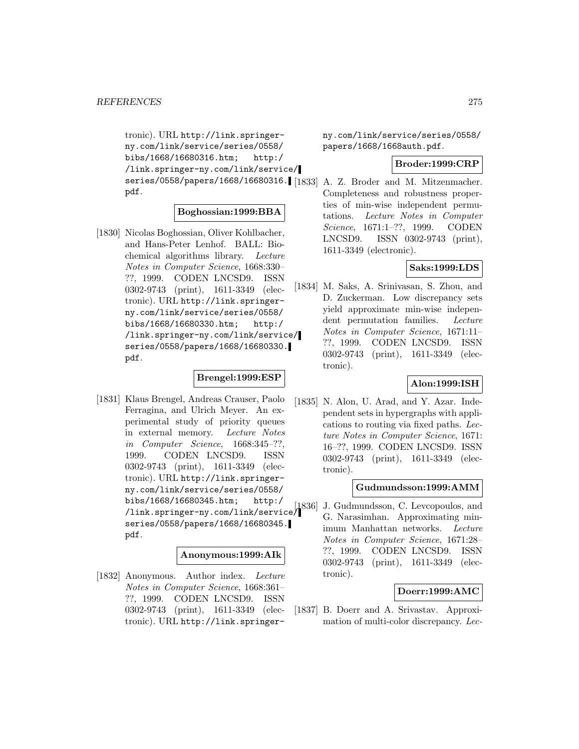```
tronic). URL http://link.springer-
ny.com/link/service/series/0558/
bibs/1668/16680316.htm; http:/
/link.springer-ny.com/link/service/
series/0558/papers/1668/16680316.
[1833] A. Z. Broder and M. Mitzenmacher.
pdf.
```
# **Boghossian:1999:BBA**

[1830] Nicolas Boghossian, Oliver Kohlbacher, and Hans-Peter Lenhof. BALL: Biochemical algorithms library. Lecture Notes in Computer Science, 1668:330– ??, 1999. CODEN LNCSD9. ISSN 0302-9743 (print), 1611-3349 (electronic). URL http://link.springerny.com/link/service/series/0558/ bibs/1668/16680330.htm; http:/ /link.springer-ny.com/link/service/ series/0558/papers/1668/16680330. pdf.

# **Brengel:1999:ESP**

[1831] Klaus Brengel, Andreas Crauser, Paolo Ferragina, and Ulrich Meyer. An experimental study of priority queues in external memory. Lecture Notes in Computer Science, 1668:345–??, 1999. CODEN LNCSD9. ISSN 0302-9743 (print), 1611-3349 (electronic). URL http://link.springerny.com/link/service/series/0558/ bibs/1668/16680345.htm; http:/ /link.springer-ny.com/link/service/ series/0558/papers/1668/16680345. pdf.

## **Anonymous:1999:AIk**

[1832] Anonymous. Author index. Lecture Notes in Computer Science, 1668:361– ??, 1999. CODEN LNCSD9. ISSN 0302-9743 (print), 1611-3349 (electronic). URL http://link.springerny.com/link/service/series/0558/ papers/1668/1668auth.pdf.

#### **Broder:1999:CRP**

Completeness and robustness properties of min-wise independent permutations. Lecture Notes in Computer Science, 1671:1–??, 1999. CODEN LNCSD9. ISSN 0302-9743 (print), 1611-3349 (electronic).

# **Saks:1999:LDS**

[1834] M. Saks, A. Srinivasan, S. Zhou, and D. Zuckerman. Low discrepancy sets yield approximate min-wise independent permutation families. Lecture Notes in Computer Science, 1671:11– ??, 1999. CODEN LNCSD9. ISSN 0302-9743 (print), 1611-3349 (electronic).

### **Alon:1999:ISH**

[1835] N. Alon, U. Arad, and Y. Azar. Independent sets in hypergraphs with applications to routing via fixed paths. Lecture Notes in Computer Science, 1671: 16–??, 1999. CODEN LNCSD9. ISSN 0302-9743 (print), 1611-3349 (electronic).

### **Gudmundsson:1999:AMM**

[1836] J. Gudmundsson, C. Levcopoulos, and G. Narasimhan. Approximating minimum Manhattan networks. Lecture Notes in Computer Science, 1671:28– ??, 1999. CODEN LNCSD9. ISSN 0302-9743 (print), 1611-3349 (electronic).

### **Doerr:1999:AMC**

[1837] B. Doerr and A. Srivastav. Approximation of multi-color discrepancy. Lec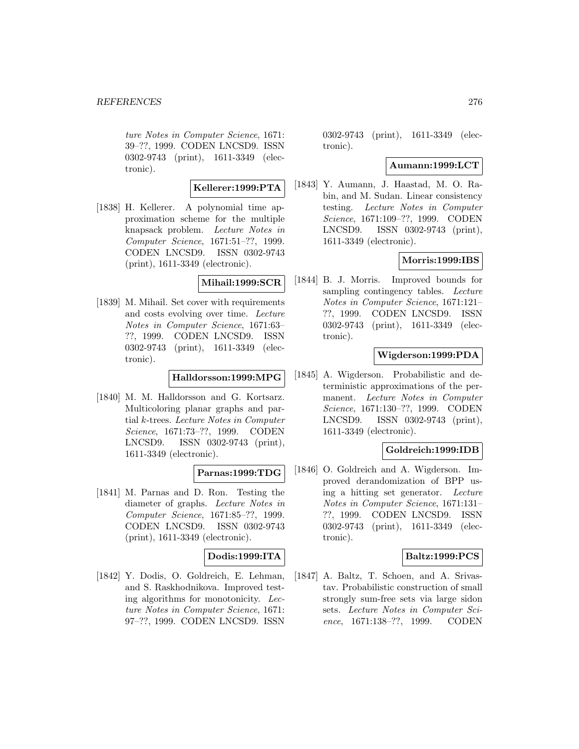ture Notes in Computer Science, 1671: 39–??, 1999. CODEN LNCSD9. ISSN 0302-9743 (print), 1611-3349 (electronic).

#### **Kellerer:1999:PTA**

[1838] H. Kellerer. A polynomial time approximation scheme for the multiple knapsack problem. Lecture Notes in Computer Science, 1671:51–??, 1999. CODEN LNCSD9. ISSN 0302-9743 (print), 1611-3349 (electronic).

#### **Mihail:1999:SCR**

[1839] M. Mihail. Set cover with requirements and costs evolving over time. Lecture Notes in Computer Science, 1671:63– ??, 1999. CODEN LNCSD9. ISSN 0302-9743 (print), 1611-3349 (electronic).

#### **Halldorsson:1999:MPG**

[1840] M. M. Halldorsson and G. Kortsarz. Multicoloring planar graphs and partial k-trees. Lecture Notes in Computer Science, 1671:73–??, 1999. CODEN LNCSD9. ISSN 0302-9743 (print), 1611-3349 (electronic).

# **Parnas:1999:TDG**

[1841] M. Parnas and D. Ron. Testing the diameter of graphs. Lecture Notes in Computer Science, 1671:85–??, 1999. CODEN LNCSD9. ISSN 0302-9743 (print), 1611-3349 (electronic).

### **Dodis:1999:ITA**

[1842] Y. Dodis, O. Goldreich, E. Lehman, and S. Raskhodnikova. Improved testing algorithms for monotonicity. Lecture Notes in Computer Science, 1671: 97–??, 1999. CODEN LNCSD9. ISSN

0302-9743 (print), 1611-3349 (electronic).

#### **Aumann:1999:LCT**

[1843] Y. Aumann, J. Haastad, M. O. Rabin, and M. Sudan. Linear consistency testing. Lecture Notes in Computer Science, 1671:109–??, 1999. CODEN LNCSD9. ISSN 0302-9743 (print), 1611-3349 (electronic).

# **Morris:1999:IBS**

[1844] B. J. Morris. Improved bounds for sampling contingency tables. Lecture Notes in Computer Science, 1671:121– ??, 1999. CODEN LNCSD9. ISSN 0302-9743 (print), 1611-3349 (electronic).

### **Wigderson:1999:PDA**

[1845] A. Wigderson. Probabilistic and deterministic approximations of the permanent. Lecture Notes in Computer Science, 1671:130–??, 1999. CODEN LNCSD9. ISSN 0302-9743 (print), 1611-3349 (electronic).

### **Goldreich:1999:IDB**

[1846] O. Goldreich and A. Wigderson. Improved derandomization of BPP using a hitting set generator. Lecture Notes in Computer Science, 1671:131– ??, 1999. CODEN LNCSD9. ISSN 0302-9743 (print), 1611-3349 (electronic).

### **Baltz:1999:PCS**

[1847] A. Baltz, T. Schoen, and A. Srivastav. Probabilistic construction of small strongly sum-free sets via large sidon sets. Lecture Notes in Computer Science, 1671:138–??, 1999. CODEN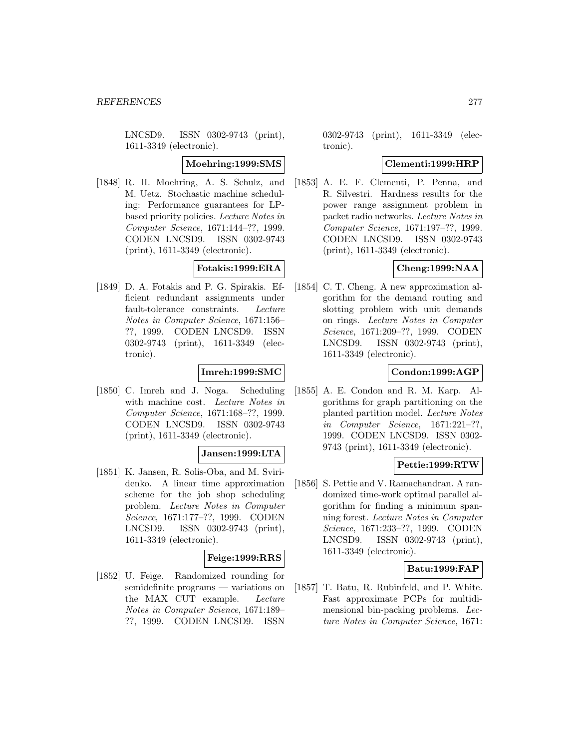LNCSD9. ISSN 0302-9743 (print), 1611-3349 (electronic).

#### **Moehring:1999:SMS**

[1848] R. H. Moehring, A. S. Schulz, and M. Uetz. Stochastic machine scheduling: Performance guarantees for LPbased priority policies. Lecture Notes in Computer Science, 1671:144–??, 1999. CODEN LNCSD9. ISSN 0302-9743 (print), 1611-3349 (electronic).

# **Fotakis:1999:ERA**

[1849] D. A. Fotakis and P. G. Spirakis. Efficient redundant assignments under fault-tolerance constraints. Lecture Notes in Computer Science, 1671:156– ??, 1999. CODEN LNCSD9. ISSN 0302-9743 (print), 1611-3349 (electronic).

## **Imreh:1999:SMC**

[1850] C. Imreh and J. Noga. Scheduling with machine cost. Lecture Notes in Computer Science, 1671:168–??, 1999. CODEN LNCSD9. ISSN 0302-9743 (print), 1611-3349 (electronic).

### **Jansen:1999:LTA**

[1851] K. Jansen, R. Solis-Oba, and M. Sviridenko. A linear time approximation scheme for the job shop scheduling problem. Lecture Notes in Computer Science, 1671:177–??, 1999. CODEN LNCSD9. ISSN 0302-9743 (print), 1611-3349 (electronic).

#### **Feige:1999:RRS**

[1852] U. Feige. Randomized rounding for semidefinite programs — variations on the MAX CUT example. Lecture Notes in Computer Science, 1671:189– ??, 1999. CODEN LNCSD9. ISSN

0302-9743 (print), 1611-3349 (electronic).

#### **Clementi:1999:HRP**

[1853] A. E. F. Clementi, P. Penna, and R. Silvestri. Hardness results for the power range assignment problem in packet radio networks. Lecture Notes in Computer Science, 1671:197–??, 1999. CODEN LNCSD9. ISSN 0302-9743 (print), 1611-3349 (electronic).

# **Cheng:1999:NAA**

[1854] C. T. Cheng. A new approximation algorithm for the demand routing and slotting problem with unit demands on rings. Lecture Notes in Computer Science, 1671:209–??, 1999. CODEN LNCSD9. ISSN 0302-9743 (print), 1611-3349 (electronic).

# **Condon:1999:AGP**

[1855] A. E. Condon and R. M. Karp. Algorithms for graph partitioning on the planted partition model. Lecture Notes in Computer Science, 1671:221–??, 1999. CODEN LNCSD9. ISSN 0302- 9743 (print), 1611-3349 (electronic).

### **Pettie:1999:RTW**

[1856] S. Pettie and V. Ramachandran. A randomized time-work optimal parallel algorithm for finding a minimum spanning forest. Lecture Notes in Computer Science, 1671:233–??, 1999. CODEN LNCSD9. ISSN 0302-9743 (print), 1611-3349 (electronic).

### **Batu:1999:FAP**

[1857] T. Batu, R. Rubinfeld, and P. White. Fast approximate PCPs for multidimensional bin-packing problems. Lecture Notes in Computer Science, 1671: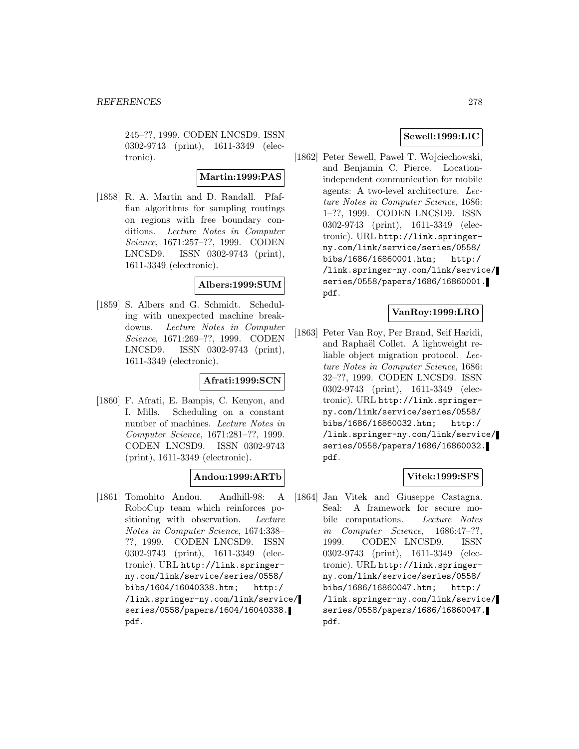245–??, 1999. CODEN LNCSD9. ISSN 0302-9743 (print), 1611-3349 (electronic).

#### **Martin:1999:PAS**

[1858] R. A. Martin and D. Randall. Pfaffian algorithms for sampling routings on regions with free boundary conditions. Lecture Notes in Computer Science, 1671:257–??, 1999. CODEN LNCSD9. ISSN 0302-9743 (print), 1611-3349 (electronic).

### **Albers:1999:SUM**

[1859] S. Albers and G. Schmidt. Scheduling with unexpected machine breakdowns. Lecture Notes in Computer Science, 1671:269–??, 1999. CODEN LNCSD9. ISSN 0302-9743 (print), 1611-3349 (electronic).

### **Afrati:1999:SCN**

[1860] F. Afrati, E. Bampis, C. Kenyon, and I. Mills. Scheduling on a constant number of machines. Lecture Notes in Computer Science, 1671:281–??, 1999. CODEN LNCSD9. ISSN 0302-9743 (print), 1611-3349 (electronic).

### **Andou:1999:ARTb**

[1861] Tomohito Andou. Andhill-98: A RoboCup team which reinforces positioning with observation. Lecture Notes in Computer Science, 1674:338– ??, 1999. CODEN LNCSD9. ISSN 0302-9743 (print), 1611-3349 (electronic). URL http://link.springerny.com/link/service/series/0558/ bibs/1604/16040338.htm; http:/ /link.springer-ny.com/link/service/ series/0558/papers/1604/16040338. pdf.

# **Sewell:1999:LIC**

[1862] Peter Sewell, Paweł T. Wojciechowski, and Benjamin C. Pierce. Locationindependent communication for mobile agents: A two-level architecture. Lecture Notes in Computer Science, 1686: 1–??, 1999. CODEN LNCSD9. ISSN 0302-9743 (print), 1611-3349 (electronic). URL http://link.springerny.com/link/service/series/0558/ bibs/1686/16860001.htm; http:/ /link.springer-ny.com/link/service/ series/0558/papers/1686/16860001. pdf.

# **VanRoy:1999:LRO**

[1863] Peter Van Roy, Per Brand, Seif Haridi, and Raphaël Collet. A lightweight reliable object migration protocol. Lecture Notes in Computer Science, 1686: 32–??, 1999. CODEN LNCSD9. ISSN 0302-9743 (print), 1611-3349 (electronic). URL http://link.springerny.com/link/service/series/0558/ bibs/1686/16860032.htm; http:/ /link.springer-ny.com/link/service/ series/0558/papers/1686/16860032. pdf.

### **Vitek:1999:SFS**

[1864] Jan Vitek and Giuseppe Castagna. Seal: A framework for secure mobile computations. Lecture Notes in Computer Science, 1686:47–??, 1999. CODEN LNCSD9. ISSN 0302-9743 (print), 1611-3349 (electronic). URL http://link.springerny.com/link/service/series/0558/ bibs/1686/16860047.htm; http:/ /link.springer-ny.com/link/service/ series/0558/papers/1686/16860047. pdf.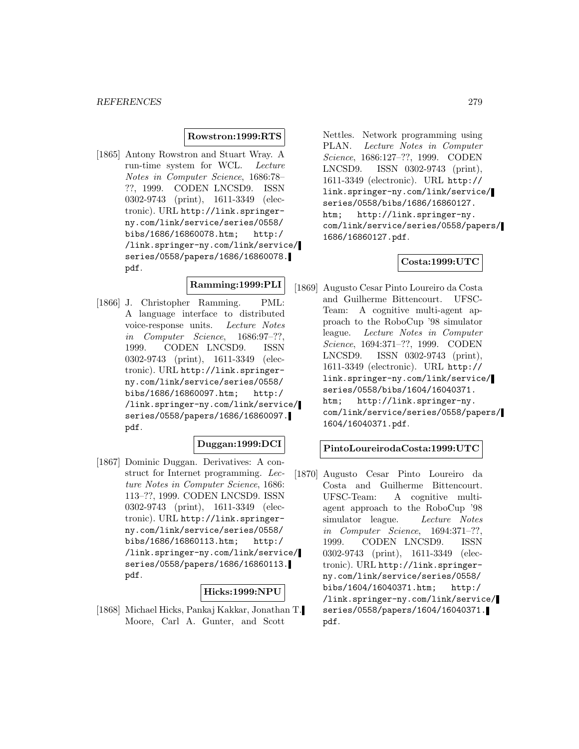#### **Rowstron:1999:RTS**

[1865] Antony Rowstron and Stuart Wray. A run-time system for WCL. Lecture Notes in Computer Science, 1686:78– ??, 1999. CODEN LNCSD9. ISSN 0302-9743 (print), 1611-3349 (electronic). URL http://link.springerny.com/link/service/series/0558/ bibs/1686/16860078.htm; http:/ /link.springer-ny.com/link/service/ series/0558/papers/1686/16860078. pdf.

# **Ramming:1999:PLI**

[1866] J. Christopher Ramming. PML: A language interface to distributed voice-response units. Lecture Notes in Computer Science, 1686:97–??, 1999. CODEN LNCSD9. ISSN 0302-9743 (print), 1611-3349 (electronic). URL http://link.springerny.com/link/service/series/0558/ bibs/1686/16860097.htm; http:/ /link.springer-ny.com/link/service/ series/0558/papers/1686/16860097. pdf.

#### **Duggan:1999:DCI**

[1867] Dominic Duggan. Derivatives: A construct for Internet programming. Lecture Notes in Computer Science, 1686: 113–??, 1999. CODEN LNCSD9. ISSN 0302-9743 (print), 1611-3349 (electronic). URL http://link.springerny.com/link/service/series/0558/ bibs/1686/16860113.htm; http:/ /link.springer-ny.com/link/service/ series/0558/papers/1686/16860113. pdf.

#### **Hicks:1999:NPU**

[1868] Michael Hicks, Pankaj Kakkar, Jonathan T. Moore, Carl A. Gunter, and Scott

Nettles. Network programming using PLAN. Lecture Notes in Computer Science, 1686:127–??, 1999. CODEN LNCSD9. ISSN 0302-9743 (print), 1611-3349 (electronic). URL http:// link.springer-ny.com/link/service/ series/0558/bibs/1686/16860127. htm; http://link.springer-ny. com/link/service/series/0558/papers/ 1686/16860127.pdf.

## **Costa:1999:UTC**

[1869] Augusto Cesar Pinto Loureiro da Costa and Guilherme Bittencourt. UFSC-Team: A cognitive multi-agent approach to the RoboCup '98 simulator league. Lecture Notes in Computer Science, 1694:371–??, 1999. CODEN LNCSD9. ISSN 0302-9743 (print), 1611-3349 (electronic). URL http:// link.springer-ny.com/link/service/ series/0558/bibs/1604/16040371. htm; http://link.springer-ny. com/link/service/series/0558/papers/ 1604/16040371.pdf.

#### **PintoLoureirodaCosta:1999:UTC**

[1870] Augusto Cesar Pinto Loureiro da Costa and Guilherme Bittencourt. UFSC-Team: A cognitive multiagent approach to the RoboCup '98 simulator league. Lecture Notes in Computer Science, 1694:371–??, 1999. CODEN LNCSD9. ISSN 0302-9743 (print), 1611-3349 (electronic). URL http://link.springerny.com/link/service/series/0558/ bibs/1604/16040371.htm; http:/ /link.springer-ny.com/link/service/ series/0558/papers/1604/16040371. pdf.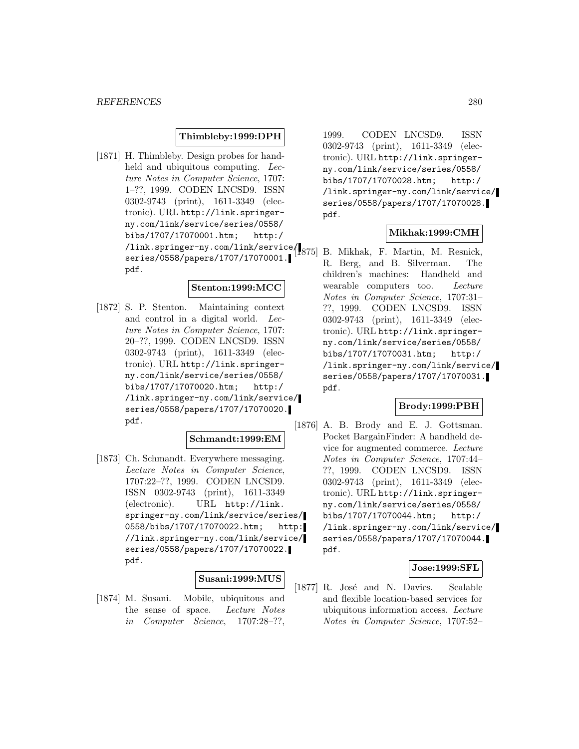## **Thimbleby:1999:DPH**

[1871] H. Thimbleby. Design probes for handheld and ubiquitous computing. Lecture Notes in Computer Science, 1707: 1–??, 1999. CODEN LNCSD9. ISSN 0302-9743 (print), 1611-3349 (electronic). URL http://link.springerny.com/link/service/series/0558/ bibs/1707/17070001.htm; http:/ /link.springer-ny.com/link/service/ series/0558/papers/1707/17070001. pdf.

#### **Stenton:1999:MCC**

[1872] S. P. Stenton. Maintaining context and control in a digital world. Lecture Notes in Computer Science, 1707: 20–??, 1999. CODEN LNCSD9. ISSN 0302-9743 (print), 1611-3349 (electronic). URL http://link.springerny.com/link/service/series/0558/ bibs/1707/17070020.htm; http:/ /link.springer-ny.com/link/service/ series/0558/papers/1707/17070020. pdf.

#### **Schmandt:1999:EM**

[1873] Ch. Schmandt. Everywhere messaging. Lecture Notes in Computer Science, 1707:22–??, 1999. CODEN LNCSD9. ISSN 0302-9743 (print), 1611-3349 (electronic). URL http://link. springer-ny.com/link/service/series/ 0558/bibs/1707/17070022.htm; http: //link.springer-ny.com/link/service/ series/0558/papers/1707/17070022. pdf.

# **Susani:1999:MUS**

[1874] M. Susani. Mobile, ubiquitous and the sense of space. Lecture Notes in Computer Science, 1707:28–??,

1999. CODEN LNCSD9. ISSN 0302-9743 (print), 1611-3349 (electronic). URL http://link.springerny.com/link/service/series/0558/ bibs/1707/17070028.htm; http:/ /link.springer-ny.com/link/service/ series/0558/papers/1707/17070028. pdf.

# **Mikhak:1999:CMH**

B. Mikhak, F. Martin, M. Resnick, R. Berg, and B. Silverman. The children's machines: Handheld and wearable computers too. Lecture Notes in Computer Science, 1707:31– ??, 1999. CODEN LNCSD9. ISSN 0302-9743 (print), 1611-3349 (electronic). URL http://link.springerny.com/link/service/series/0558/ bibs/1707/17070031.htm; http:/ /link.springer-ny.com/link/service/ series/0558/papers/1707/17070031. pdf.

## **Brody:1999:PBH**

[1876] A. B. Brody and E. J. Gottsman. Pocket BargainFinder: A handheld device for augmented commerce. Lecture Notes in Computer Science, 1707:44– ??, 1999. CODEN LNCSD9. ISSN 0302-9743 (print), 1611-3349 (electronic). URL http://link.springerny.com/link/service/series/0558/ bibs/1707/17070044.htm; http:/ /link.springer-ny.com/link/service/ series/0558/papers/1707/17070044. pdf.

## **Jose:1999:SFL**

[1877] R. José and N. Davies. Scalable and flexible location-based services for ubiquitous information access. Lecture Notes in Computer Science, 1707:52–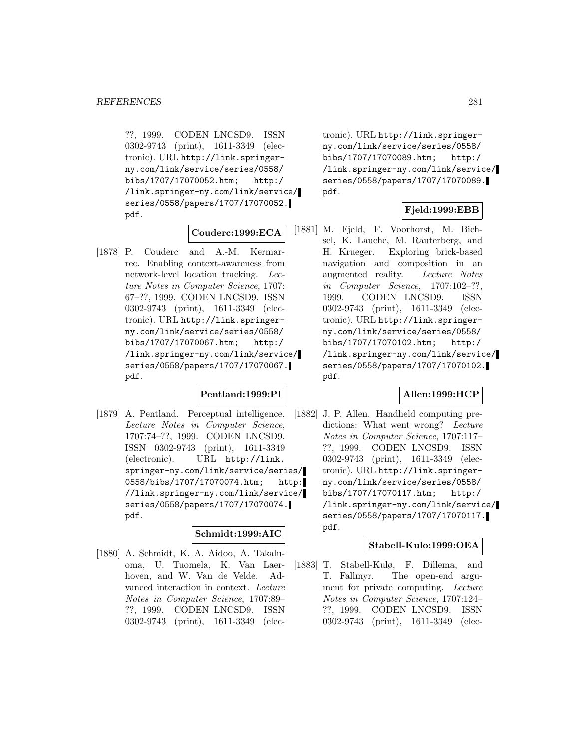??, 1999. CODEN LNCSD9. ISSN 0302-9743 (print), 1611-3349 (electronic). URL http://link.springerny.com/link/service/series/0558/ bibs/1707/17070052.htm; http:/ /link.springer-ny.com/link/service/ series/0558/papers/1707/17070052. pdf.

#### **Couderc:1999:ECA**

[1878] P. Couderc and A.-M. Kermarrec. Enabling context-awareness from network-level location tracking. Lecture Notes in Computer Science, 1707: 67–??, 1999. CODEN LNCSD9. ISSN 0302-9743 (print), 1611-3349 (electronic). URL http://link.springerny.com/link/service/series/0558/ bibs/1707/17070067.htm; http:/ /link.springer-ny.com/link/service/ series/0558/papers/1707/17070067. pdf.

## **Pentland:1999:PI**

[1879] A. Pentland. Perceptual intelligence. Lecture Notes in Computer Science, 1707:74–??, 1999. CODEN LNCSD9. ISSN 0302-9743 (print), 1611-3349 (electronic). URL http://link. springer-ny.com/link/service/series/ 0558/bibs/1707/17070074.htm; http: //link.springer-ny.com/link/service/ series/0558/papers/1707/17070074. pdf.

#### **Schmidt:1999:AIC**

[1880] A. Schmidt, K. A. Aidoo, A. Takaluoma, U. Tuomela, K. Van Laerhoven, and W. Van de Velde. Advanced interaction in context. Lecture Notes in Computer Science, 1707:89– ??, 1999. CODEN LNCSD9. ISSN 0302-9743 (print), 1611-3349 (elec-

tronic). URL http://link.springerny.com/link/service/series/0558/ bibs/1707/17070089.htm; http:/ /link.springer-ny.com/link/service/ series/0558/papers/1707/17070089. pdf.

#### **Fjeld:1999:EBB**

[1881] M. Fjeld, F. Voorhorst, M. Bichsel, K. Lauche, M. Rauterberg, and H. Krueger. Exploring brick-based navigation and composition in an augmented reality. Lecture Notes in Computer Science, 1707:102–??, 1999. CODEN LNCSD9. ISSN 0302-9743 (print), 1611-3349 (electronic). URL http://link.springerny.com/link/service/series/0558/ bibs/1707/17070102.htm; http:/ /link.springer-ny.com/link/service/ series/0558/papers/1707/17070102. pdf.

# **Allen:1999:HCP**

[1882] J. P. Allen. Handheld computing predictions: What went wrong? Lecture Notes in Computer Science, 1707:117– ??, 1999. CODEN LNCSD9. ISSN 0302-9743 (print), 1611-3349 (electronic). URL http://link.springerny.com/link/service/series/0558/ bibs/1707/17070117.htm; http:/ /link.springer-ny.com/link/service/ series/0558/papers/1707/17070117. pdf.

#### **Stabell-Kulo:1999:OEA**

[1883] T. Stabell-Kulø, F. Dillema, and T. Fallmyr. The open-end argument for private computing. Lecture Notes in Computer Science, 1707:124– ??, 1999. CODEN LNCSD9. ISSN 0302-9743 (print), 1611-3349 (elec-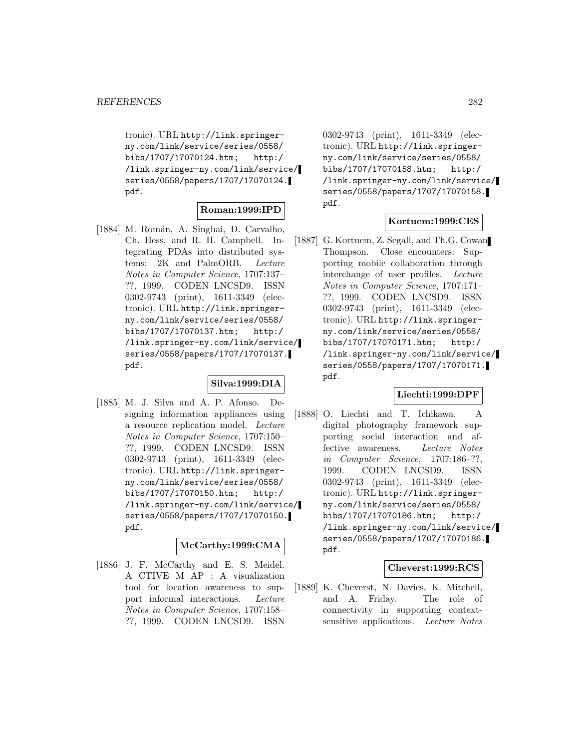tronic). URL http://link.springerny.com/link/service/series/0558/ bibs/1707/17070124.htm; http:/ /link.springer-ny.com/link/service/ series/0558/papers/1707/17070124. pdf.

#### **Roman:1999:IPD**

[1884] M. Román, A. Singhai, D. Carvalho, Ch. Hess, and R. H. Campbell. Integrating PDAs into distributed systems: 2K and PalmORB. Lecture Notes in Computer Science, 1707:137– ??, 1999. CODEN LNCSD9. ISSN 0302-9743 (print), 1611-3349 (electronic). URL http://link.springerny.com/link/service/series/0558/ bibs/1707/17070137.htm; http:/ /link.springer-ny.com/link/service/ series/0558/papers/1707/17070137. pdf.

### **Silva:1999:DIA**

[1885] M. J. Silva and A. P. Afonso. Designing information appliances using a resource replication model. Lecture Notes in Computer Science, 1707:150– ??, 1999. CODEN LNCSD9. ISSN 0302-9743 (print), 1611-3349 (electronic). URL http://link.springerny.com/link/service/series/0558/ bibs/1707/17070150.htm; http:/ /link.springer-ny.com/link/service/ series/0558/papers/1707/17070150. pdf.

## **McCarthy:1999:CMA**

[1886] J. F. McCarthy and E. S. Meidel. A CTIVE M AP : A visualization tool for location awareness to support informal interactions. Lecture Notes in Computer Science, 1707:158– ??, 1999. CODEN LNCSD9. ISSN

0302-9743 (print), 1611-3349 (electronic). URL http://link.springerny.com/link/service/series/0558/ bibs/1707/17070158.htm; http:/ /link.springer-ny.com/link/service/ series/0558/papers/1707/17070158. pdf.

## **Kortuem:1999:CES**

[1887] G. Kortuem, Z. Segall, and Th.G. Cowan Thompson. Close encounters: Supporting mobile collaboration through interchange of user profiles. Lecture Notes in Computer Science, 1707:171– ??, 1999. CODEN LNCSD9. ISSN 0302-9743 (print), 1611-3349 (electronic). URL http://link.springerny.com/link/service/series/0558/ bibs/1707/17070171.htm; http:/ /link.springer-ny.com/link/service/ series/0558/papers/1707/17070171. pdf.

# **Liechti:1999:DPF**

[1888] O. Liechti and T. Ichikawa. A digital photography framework supporting social interaction and affective awareness. Lecture Notes in Computer Science, 1707:186–??, 1999. CODEN LNCSD9. ISSN 0302-9743 (print), 1611-3349 (electronic). URL http://link.springerny.com/link/service/series/0558/ bibs/1707/17070186.htm; http:/ /link.springer-ny.com/link/service/ series/0558/papers/1707/17070186. pdf.

#### **Cheverst:1999:RCS**

[1889] K. Cheverst, N. Davies, K. Mitchell, and A. Friday. The role of connectivity in supporting contextsensitive applications. Lecture Notes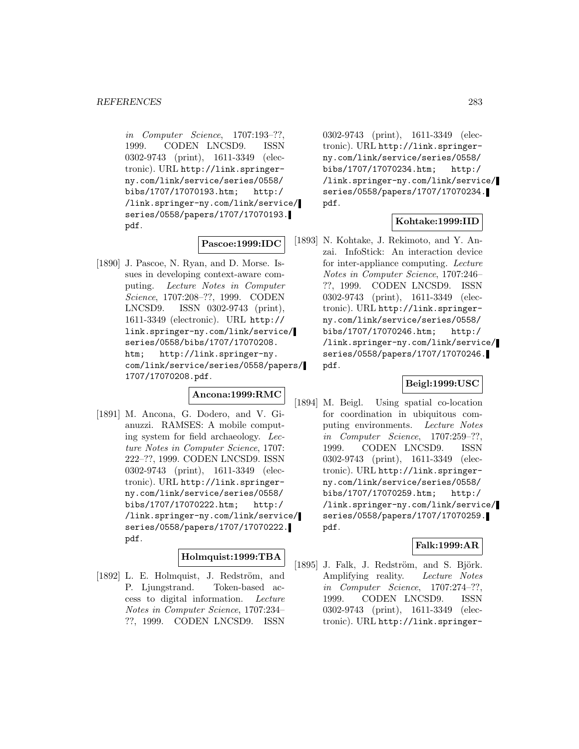in Computer Science, 1707:193–??, 1999. CODEN LNCSD9. ISSN 0302-9743 (print), 1611-3349 (electronic). URL http://link.springerny.com/link/service/series/0558/ bibs/1707/17070193.htm; http:/ /link.springer-ny.com/link/service/ series/0558/papers/1707/17070193. pdf.

#### **Pascoe:1999:IDC**

[1890] J. Pascoe, N. Ryan, and D. Morse. Issues in developing context-aware computing. Lecture Notes in Computer Science, 1707:208–??, 1999. CODEN LNCSD9. ISSN 0302-9743 (print), 1611-3349 (electronic). URL http:// link.springer-ny.com/link/service/ series/0558/bibs/1707/17070208. htm; http://link.springer-ny. com/link/service/series/0558/papers/ 1707/17070208.pdf.

# **Ancona:1999:RMC**

[1891] M. Ancona, G. Dodero, and V. Gianuzzi. RAMSES: A mobile computing system for field archaeology. Lecture Notes in Computer Science, 1707: 222–??, 1999. CODEN LNCSD9. ISSN 0302-9743 (print), 1611-3349 (electronic). URL http://link.springerny.com/link/service/series/0558/ bibs/1707/17070222.htm; http:/ /link.springer-ny.com/link/service/ series/0558/papers/1707/17070222. pdf.

## **Holmquist:1999:TBA**

[1892] L. E. Holmquist, J. Redström, and P. Ljungstrand. Token-based access to digital information. Lecture Notes in Computer Science, 1707:234– ??, 1999. CODEN LNCSD9. ISSN

0302-9743 (print), 1611-3349 (electronic). URL http://link.springerny.com/link/service/series/0558/ bibs/1707/17070234.htm; http:/ /link.springer-ny.com/link/service/ series/0558/papers/1707/17070234. pdf.

# **Kohtake:1999:IID**

[1893] N. Kohtake, J. Rekimoto, and Y. Anzai. InfoStick: An interaction device for inter-appliance computing. Lecture Notes in Computer Science, 1707:246– ??, 1999. CODEN LNCSD9. ISSN 0302-9743 (print), 1611-3349 (electronic). URL http://link.springerny.com/link/service/series/0558/ bibs/1707/17070246.htm; http:/ /link.springer-ny.com/link/service/ series/0558/papers/1707/17070246. pdf.

### **Beigl:1999:USC**

[1894] M. Beigl. Using spatial co-location for coordination in ubiquitous computing environments. Lecture Notes in Computer Science, 1707:259–??, 1999. CODEN LNCSD9. ISSN 0302-9743 (print), 1611-3349 (electronic). URL http://link.springerny.com/link/service/series/0558/ bibs/1707/17070259.htm; http:/ /link.springer-ny.com/link/service/ series/0558/papers/1707/17070259. pdf.

## **Falk:1999:AR**

[1895] J. Falk, J. Redström, and S. Björk. Amplifying reality. Lecture Notes in Computer Science, 1707:274–??, 1999. CODEN LNCSD9. ISSN 0302-9743 (print), 1611-3349 (electronic). URL http://link.springer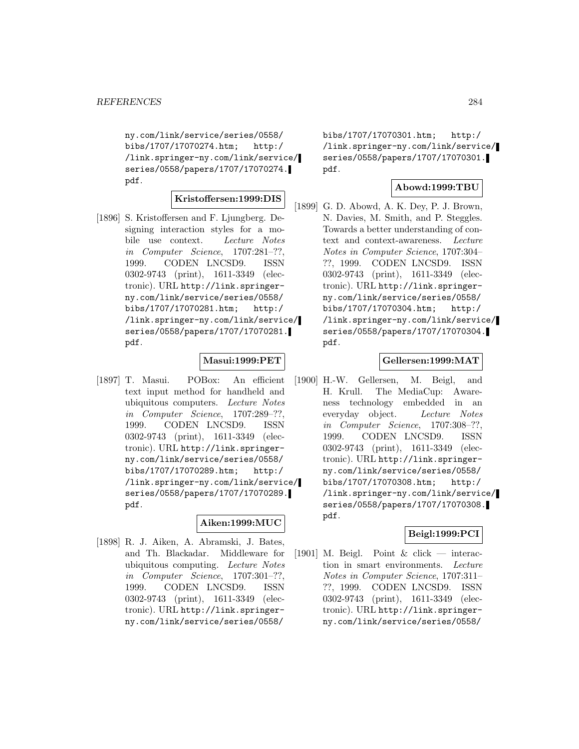ny.com/link/service/series/0558/ bibs/1707/17070274.htm; http:/ /link.springer-ny.com/link/service/ series/0558/papers/1707/17070274. pdf.

# **Kristoffersen:1999:DIS**

[1896] S. Kristoffersen and F. Ljungberg. Designing interaction styles for a mobile use context. Lecture Notes in Computer Science, 1707:281–??, 1999. CODEN LNCSD9. ISSN 0302-9743 (print), 1611-3349 (electronic). URL http://link.springerny.com/link/service/series/0558/ bibs/1707/17070281.htm; http:/ /link.springer-ny.com/link/service/ series/0558/papers/1707/17070281. pdf.

### **Masui:1999:PET**

[1897] T. Masui. POBox: An efficient text input method for handheld and ubiquitous computers. Lecture Notes in Computer Science, 1707:289–??, 1999. CODEN LNCSD9. ISSN 0302-9743 (print), 1611-3349 (electronic). URL http://link.springerny.com/link/service/series/0558/ bibs/1707/17070289.htm; http:/ /link.springer-ny.com/link/service/ series/0558/papers/1707/17070289. pdf.

# **Aiken:1999:MUC**

[1898] R. J. Aiken, A. Abramski, J. Bates, and Th. Blackadar. Middleware for ubiquitous computing. Lecture Notes in Computer Science, 1707:301–??, 1999. CODEN LNCSD9. ISSN 0302-9743 (print), 1611-3349 (electronic). URL http://link.springerny.com/link/service/series/0558/

bibs/1707/17070301.htm; http:/ /link.springer-ny.com/link/service/ series/0558/papers/1707/17070301. pdf.

# **Abowd:1999:TBU**

[1899] G. D. Abowd, A. K. Dey, P. J. Brown, N. Davies, M. Smith, and P. Steggles. Towards a better understanding of context and context-awareness. Lecture Notes in Computer Science, 1707:304– ??, 1999. CODEN LNCSD9. ISSN 0302-9743 (print), 1611-3349 (electronic). URL http://link.springerny.com/link/service/series/0558/ bibs/1707/17070304.htm; http:/ /link.springer-ny.com/link/service/ series/0558/papers/1707/17070304. pdf.

#### **Gellersen:1999:MAT**

[1900] H.-W. Gellersen, M. Beigl, and H. Krull. The MediaCup: Awareness technology embedded in an everyday object. Lecture Notes in Computer Science, 1707:308–??, 1999. CODEN LNCSD9. ISSN 0302-9743 (print), 1611-3349 (electronic). URL http://link.springerny.com/link/service/series/0558/ bibs/1707/17070308.htm; http:/ /link.springer-ny.com/link/service/ series/0558/papers/1707/17070308. pdf.

### **Beigl:1999:PCI**

[1901] M. Beigl. Point  $\&$  click — interaction in smart environments. Lecture Notes in Computer Science, 1707:311– ??, 1999. CODEN LNCSD9. ISSN 0302-9743 (print), 1611-3349 (electronic). URL http://link.springerny.com/link/service/series/0558/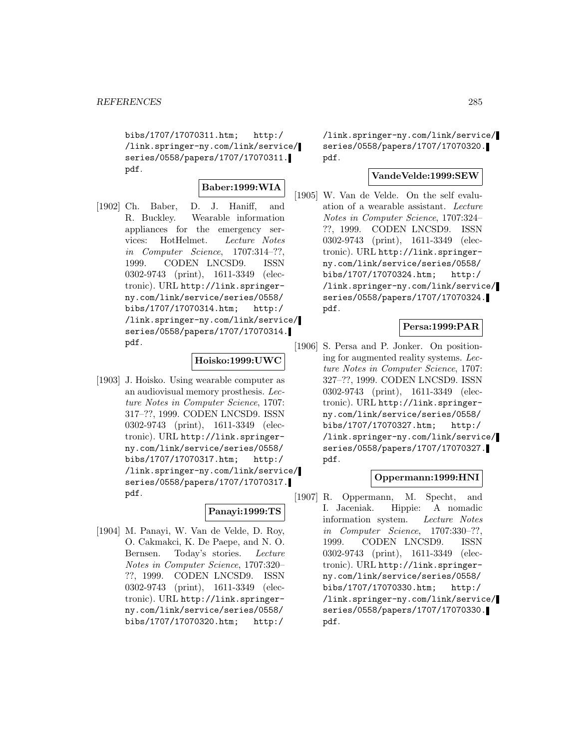bibs/1707/17070311.htm; http:/ /link.springer-ny.com/link/service/ series/0558/papers/1707/17070311. pdf.

$$
{\bf Baber:} 1999{:} {\bf WIA}
$$

[1902] Ch. Baber, D. J. Haniff, and R. Buckley. Wearable information appliances for the emergency services: HotHelmet. Lecture Notes in Computer Science, 1707:314–??, 1999. CODEN LNCSD9. ISSN 0302-9743 (print), 1611-3349 (electronic). URL http://link.springerny.com/link/service/series/0558/ bibs/1707/17070314.htm; http:/ /link.springer-ny.com/link/service/ series/0558/papers/1707/17070314. pdf.

### **Hoisko:1999:UWC**

[1903] J. Hoisko. Using wearable computer as an audiovisual memory prosthesis. Lecture Notes in Computer Science, 1707: 317–??, 1999. CODEN LNCSD9. ISSN 0302-9743 (print), 1611-3349 (electronic). URL http://link.springerny.com/link/service/series/0558/ bibs/1707/17070317.htm; http:/ /link.springer-ny.com/link/service/ series/0558/papers/1707/17070317. pdf.

#### **Panayi:1999:TS**

[1904] M. Panayi, W. Van de Velde, D. Roy, O. Cakmakci, K. De Paepe, and N. O. Bernsen. Today's stories. Lecture Notes in Computer Science, 1707:320– ??, 1999. CODEN LNCSD9. ISSN 0302-9743 (print), 1611-3349 (electronic). URL http://link.springerny.com/link/service/series/0558/ bibs/1707/17070320.htm; http:/

/link.springer-ny.com/link/service/ series/0558/papers/1707/17070320. pdf.

## **VandeVelde:1999:SEW**

[1905] W. Van de Velde. On the self evaluation of a wearable assistant. Lecture Notes in Computer Science, 1707:324– ??, 1999. CODEN LNCSD9. ISSN 0302-9743 (print), 1611-3349 (electronic). URL http://link.springerny.com/link/service/series/0558/ bibs/1707/17070324.htm; http:/ /link.springer-ny.com/link/service/ series/0558/papers/1707/17070324. pdf.

## **Persa:1999:PAR**

[1906] S. Persa and P. Jonker. On positioning for augmented reality systems. Lecture Notes in Computer Science, 1707: 327–??, 1999. CODEN LNCSD9. ISSN 0302-9743 (print), 1611-3349 (electronic). URL http://link.springerny.com/link/service/series/0558/ bibs/1707/17070327.htm; http:/ /link.springer-ny.com/link/service/ series/0558/papers/1707/17070327. pdf.

#### **Oppermann:1999:HNI**

[1907] R. Oppermann, M. Specht, and I. Jaceniak. Hippie: A nomadic information system. Lecture Notes in Computer Science, 1707:330–??, 1999. CODEN LNCSD9. ISSN 0302-9743 (print), 1611-3349 (electronic). URL http://link.springerny.com/link/service/series/0558/ bibs/1707/17070330.htm; http:/ /link.springer-ny.com/link/service/ series/0558/papers/1707/17070330. pdf.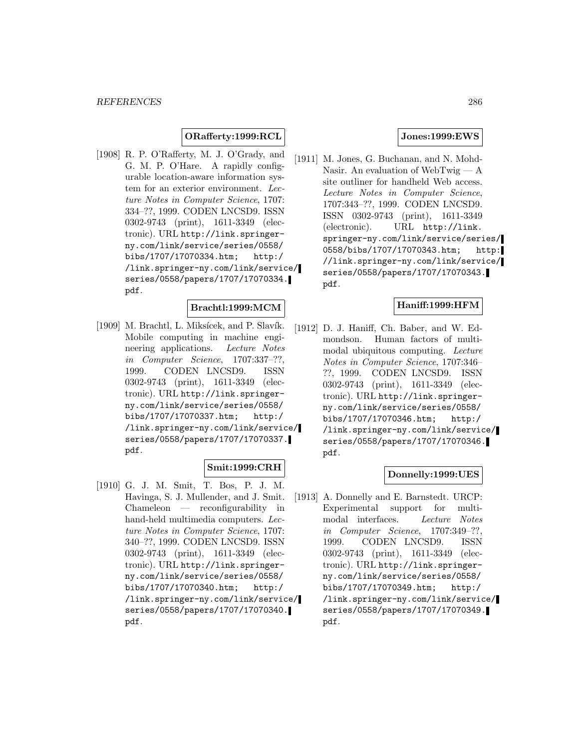# **ORafferty:1999:RCL**

[1908] R. P. O'Rafferty, M. J. O'Grady, and G. M. P. O'Hare. A rapidly configurable location-aware information system for an exterior environment. Lecture Notes in Computer Science, 1707: 334–??, 1999. CODEN LNCSD9. ISSN 0302-9743 (print), 1611-3349 (electronic). URL http://link.springerny.com/link/service/series/0558/ bibs/1707/17070334.htm; http:/ /link.springer-ny.com/link/service/ series/0558/papers/1707/17070334. pdf.

# **Brachtl:1999:MCM**

[1909] M. Brachtl, L. Miksícek, and P. Slavík. Mobile computing in machine engineering applications. Lecture Notes in Computer Science, 1707:337–??, 1999. CODEN LNCSD9. ISSN 0302-9743 (print), 1611-3349 (electronic). URL http://link.springerny.com/link/service/series/0558/ bibs/1707/17070337.htm; http:/ /link.springer-ny.com/link/service/ series/0558/papers/1707/17070337. pdf.

# **Smit:1999:CRH**

[1910] G. J. M. Smit, T. Bos, P. J. M. Havinga, S. J. Mullender, and J. Smit. Chameleon — reconfigurability in hand-held multimedia computers. Lecture Notes in Computer Science, 1707: 340–??, 1999. CODEN LNCSD9. ISSN 0302-9743 (print), 1611-3349 (electronic). URL http://link.springerny.com/link/service/series/0558/ bibs/1707/17070340.htm; http:/ /link.springer-ny.com/link/service/ series/0558/papers/1707/17070340. pdf.

#### **Jones:1999:EWS**

[1911] M. Jones, G. Buchanan, and N. Mohd-Nasir. An evaluation of WebTwig — A site outliner for handheld Web access. Lecture Notes in Computer Science, 1707:343–??, 1999. CODEN LNCSD9. ISSN 0302-9743 (print), 1611-3349 (electronic). URL http://link. springer-ny.com/link/service/series/ 0558/bibs/1707/17070343.htm; http: //link.springer-ny.com/link/service/ series/0558/papers/1707/17070343. pdf.

#### **Haniff:1999:HFM**

[1912] D. J. Haniff, Ch. Baber, and W. Edmondson. Human factors of multimodal ubiquitous computing. Lecture Notes in Computer Science, 1707:346– ??, 1999. CODEN LNCSD9. ISSN 0302-9743 (print), 1611-3349 (electronic). URL http://link.springerny.com/link/service/series/0558/ bibs/1707/17070346.htm; http:/ /link.springer-ny.com/link/service/ series/0558/papers/1707/17070346. pdf.

#### **Donnelly:1999:UES**

[1913] A. Donnelly and E. Barnstedt. URCP: Experimental support for multimodal interfaces. Lecture Notes in Computer Science, 1707:349–??, 1999. CODEN LNCSD9. ISSN 0302-9743 (print), 1611-3349 (electronic). URL http://link.springerny.com/link/service/series/0558/ bibs/1707/17070349.htm; http:/ /link.springer-ny.com/link/service/ series/0558/papers/1707/17070349. pdf.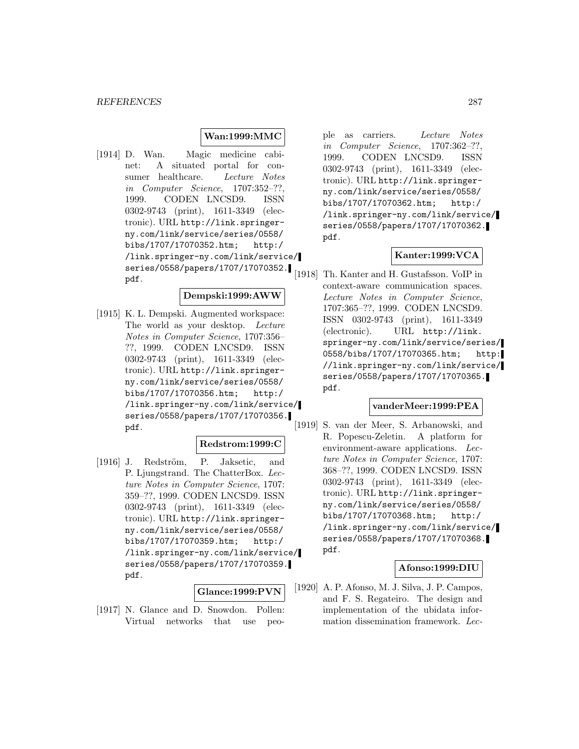#### **Wan:1999:MMC**

[1914] D. Wan. Magic medicine cabinet: A situated portal for consumer healthcare. Lecture Notes in Computer Science, 1707:352–??, 1999. CODEN LNCSD9. ISSN 0302-9743 (print), 1611-3349 (electronic). URL http://link.springerny.com/link/service/series/0558/ bibs/1707/17070352.htm; http:/ /link.springer-ny.com/link/service/ series/0558/papers/1707/17070352. pdf.

### **Dempski:1999:AWW**

[1915] K. L. Dempski. Augmented workspace: The world as your desktop. Lecture Notes in Computer Science, 1707:356– ??, 1999. CODEN LNCSD9. ISSN 0302-9743 (print), 1611-3349 (electronic). URL http://link.springerny.com/link/service/series/0558/ bibs/1707/17070356.htm; http:/ /link.springer-ny.com/link/service/ series/0558/papers/1707/17070356. pdf.

#### **Redstrom:1999:C**

[1916] J. Redström, P. Jaksetic, and P. Ljungstrand. The ChatterBox. Lecture Notes in Computer Science, 1707: 359–??, 1999. CODEN LNCSD9. ISSN 0302-9743 (print), 1611-3349 (electronic). URL http://link.springerny.com/link/service/series/0558/ bibs/1707/17070359.htm; http:/ /link.springer-ny.com/link/service/ series/0558/papers/1707/17070359. pdf.

### **Glance:1999:PVN**

[1917] N. Glance and D. Snowdon. Pollen: Virtual networks that use people as carriers. Lecture Notes in Computer Science, 1707:362–??, 1999. CODEN LNCSD9. ISSN 0302-9743 (print), 1611-3349 (electronic). URL http://link.springerny.com/link/service/series/0558/ bibs/1707/17070362.htm; http:/ /link.springer-ny.com/link/service/ series/0558/papers/1707/17070362. pdf.

#### **Kanter:1999:VCA**

[1918] Th. Kanter and H. Gustafsson. VoIP in context-aware communication spaces. Lecture Notes in Computer Science, 1707:365–??, 1999. CODEN LNCSD9. ISSN 0302-9743 (print), 1611-3349 (electronic). URL http://link. springer-ny.com/link/service/series/ 0558/bibs/1707/17070365.htm; http: //link.springer-ny.com/link/service/ series/0558/papers/1707/17070365. pdf.

#### **vanderMeer:1999:PEA**

[1919] S. van der Meer, S. Arbanowski, and R. Popescu-Zeletin. A platform for environment-aware applications. Lecture Notes in Computer Science, 1707: 368–??, 1999. CODEN LNCSD9. ISSN 0302-9743 (print), 1611-3349 (electronic). URL http://link.springerny.com/link/service/series/0558/ bibs/1707/17070368.htm; http:/ /link.springer-ny.com/link/service/ series/0558/papers/1707/17070368. pdf.

# **Afonso:1999:DIU**

[1920] A. P. Afonso, M. J. Silva, J. P. Campos, and F. S. Regateiro. The design and implementation of the ubidata information dissemination framework. Lec-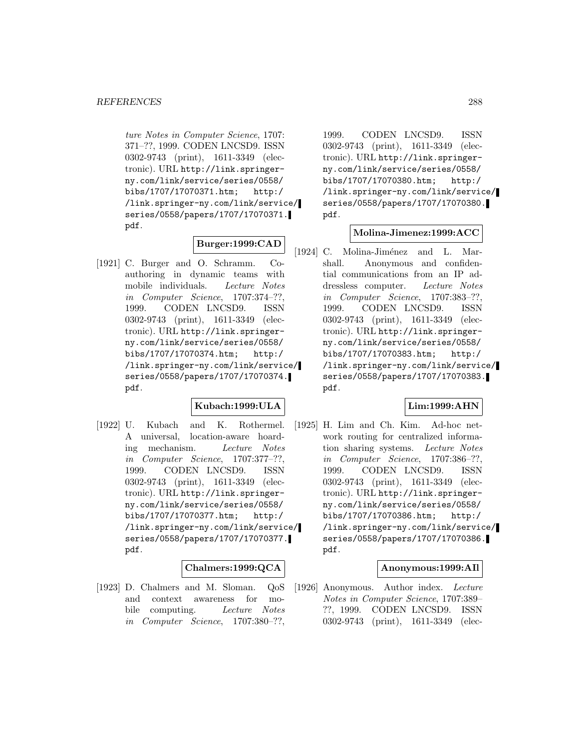ture Notes in Computer Science, 1707: 371–??, 1999. CODEN LNCSD9. ISSN 0302-9743 (print), 1611-3349 (electronic). URL http://link.springerny.com/link/service/series/0558/ bibs/1707/17070371.htm; http:/ /link.springer-ny.com/link/service/ series/0558/papers/1707/17070371. pdf.

# **Burger:1999:CAD**

[1921] C. Burger and O. Schramm. Coauthoring in dynamic teams with mobile individuals. Lecture Notes in Computer Science, 1707:374–??, 1999. CODEN LNCSD9. ISSN 0302-9743 (print), 1611-3349 (electronic). URL http://link.springerny.com/link/service/series/0558/ bibs/1707/17070374.htm; http:/ /link.springer-ny.com/link/service/ series/0558/papers/1707/17070374. pdf.

### **Kubach:1999:ULA**

[1922] U. Kubach and K. Rothermel. A universal, location-aware hoarding mechanism. Lecture Notes in Computer Science, 1707:377–??, 1999. CODEN LNCSD9. ISSN 0302-9743 (print), 1611-3349 (electronic). URL http://link.springerny.com/link/service/series/0558/ bibs/1707/17070377.htm; http:/ /link.springer-ny.com/link/service/ series/0558/papers/1707/17070377. pdf.

# **Chalmers:1999:QCA**

[1923] D. Chalmers and M. Sloman. QoS and context awareness for mobile computing. Lecture Notes in Computer Science, 1707:380–??,

1999. CODEN LNCSD9. ISSN 0302-9743 (print), 1611-3349 (electronic). URL http://link.springerny.com/link/service/series/0558/ bibs/1707/17070380.htm; http:/ /link.springer-ny.com/link/service/ series/0558/papers/1707/17070380. pdf.

#### **Molina-Jimenez:1999:ACC**

[1924] C. Molina-Jiménez and L. Marshall. Anonymous and confidential communications from an IP addressless computer. Lecture Notes in Computer Science, 1707:383–??, 1999. CODEN LNCSD9. ISSN 0302-9743 (print), 1611-3349 (electronic). URL http://link.springerny.com/link/service/series/0558/ bibs/1707/17070383.htm; http:/ /link.springer-ny.com/link/service/ series/0558/papers/1707/17070383. pdf.

### **Lim:1999:AHN**

[1925] H. Lim and Ch. Kim. Ad-hoc network routing for centralized information sharing systems. Lecture Notes in Computer Science, 1707:386–??, 1999. CODEN LNCSD9. ISSN 0302-9743 (print), 1611-3349 (electronic). URL http://link.springerny.com/link/service/series/0558/ bibs/1707/17070386.htm; http:/ /link.springer-ny.com/link/service/ series/0558/papers/1707/17070386. pdf.

# **Anonymous:1999:AIl**

[1926] Anonymous. Author index. Lecture Notes in Computer Science, 1707:389– ??, 1999. CODEN LNCSD9. ISSN 0302-9743 (print), 1611-3349 (elec-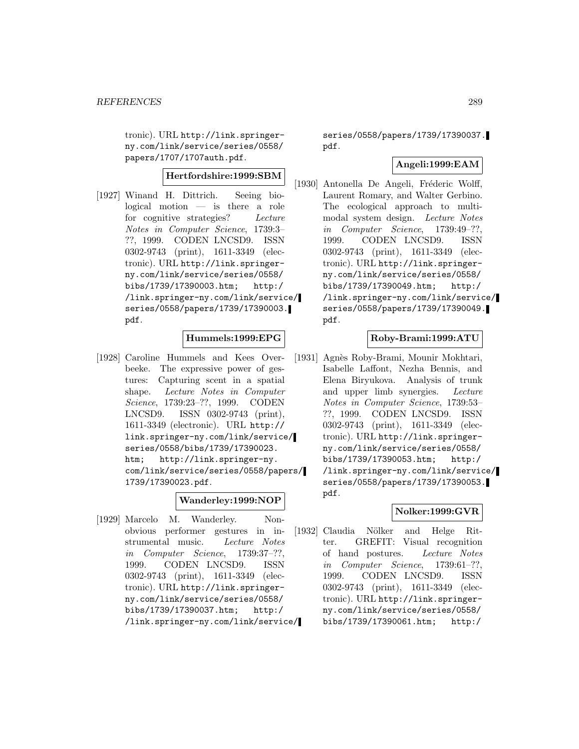tronic). URL http://link.springerny.com/link/service/series/0558/ papers/1707/1707auth.pdf.

# **Hertfordshire:1999:SBM**

[1927] Winand H. Dittrich. Seeing biological motion — is there a role for cognitive strategies? Lecture Notes in Computer Science, 1739:3– ??, 1999. CODEN LNCSD9. ISSN 0302-9743 (print), 1611-3349 (electronic). URL http://link.springerny.com/link/service/series/0558/ bibs/1739/17390003.htm; http:/ /link.springer-ny.com/link/service/ series/0558/papers/1739/17390003. pdf.

## **Hummels:1999:EPG**

[1928] Caroline Hummels and Kees Overbeeke. The expressive power of gestures: Capturing scent in a spatial shape. Lecture Notes in Computer Science, 1739:23–??, 1999. CODEN LNCSD9. ISSN 0302-9743 (print), 1611-3349 (electronic). URL http:// link.springer-ny.com/link/service/ series/0558/bibs/1739/17390023. htm; http://link.springer-ny. com/link/service/series/0558/papers/ 1739/17390023.pdf.

## **Wanderley:1999:NOP**

[1929] Marcelo M. Wanderley. Nonobvious performer gestures in instrumental music. Lecture Notes in Computer Science, 1739:37–??, 1999. CODEN LNCSD9. ISSN 0302-9743 (print), 1611-3349 (electronic). URL http://link.springerny.com/link/service/series/0558/ bibs/1739/17390037.htm; http:/ /link.springer-ny.com/link/service/

series/0558/papers/1739/17390037. pdf.

#### **Angeli:1999:EAM**

[1930] Antonella De Angeli, Fréderic Wolff, Laurent Romary, and Walter Gerbino. The ecological approach to multimodal system design. Lecture Notes in Computer Science, 1739:49–??, 1999. CODEN LNCSD9. ISSN 0302-9743 (print), 1611-3349 (electronic). URL http://link.springerny.com/link/service/series/0558/ bibs/1739/17390049.htm; http:/ /link.springer-ny.com/link/service/ series/0558/papers/1739/17390049. pdf.

## **Roby-Brami:1999:ATU**

[1931] Agnès Roby-Brami, Mounir Mokhtari, Isabelle Laffont, Nezha Bennis, and Elena Biryukova. Analysis of trunk and upper limb synergies. Lecture Notes in Computer Science, 1739:53– ??, 1999. CODEN LNCSD9. ISSN 0302-9743 (print), 1611-3349 (electronic). URL http://link.springerny.com/link/service/series/0558/ bibs/1739/17390053.htm; http:/ /link.springer-ny.com/link/service/ series/0558/papers/1739/17390053. pdf.

## **Nolker:1999:GVR**

[1932] Claudia Nölker and Helge Ritter. GREFIT: Visual recognition of hand postures. Lecture Notes in Computer Science, 1739:61–??, 1999. CODEN LNCSD9. ISSN 0302-9743 (print), 1611-3349 (electronic). URL http://link.springerny.com/link/service/series/0558/ bibs/1739/17390061.htm; http:/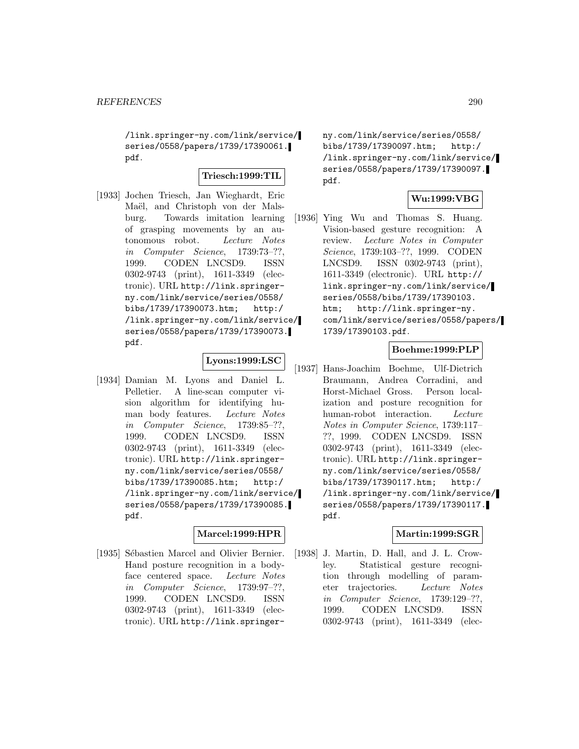/link.springer-ny.com/link/service/ series/0558/papers/1739/17390061. pdf.

# **Triesch:1999:TIL**

[1933] Jochen Triesch, Jan Wieghardt, Eric Maël, and Christoph von der Malsburg. Towards imitation learning of grasping movements by an autonomous robot. Lecture Notes in Computer Science, 1739:73–??, 1999. CODEN LNCSD9. ISSN 0302-9743 (print), 1611-3349 (electronic). URL http://link.springerny.com/link/service/series/0558/ bibs/1739/17390073.htm; http:/ /link.springer-ny.com/link/service/ series/0558/papers/1739/17390073. pdf.

# **Lyons:1999:LSC**

[1934] Damian M. Lyons and Daniel L. Pelletier. A line-scan computer vision algorithm for identifying human body features. Lecture Notes in Computer Science, 1739:85–??, 1999. CODEN LNCSD9. ISSN 0302-9743 (print), 1611-3349 (electronic). URL http://link.springerny.com/link/service/series/0558/ bibs/1739/17390085.htm; http:/ /link.springer-ny.com/link/service/ series/0558/papers/1739/17390085. pdf.

## **Marcel:1999:HPR**

[1935] Sébastien Marcel and Olivier Bernier. Hand posture recognition in a bodyface centered space. Lecture Notes in Computer Science, 1739:97–??, 1999. CODEN LNCSD9. ISSN 0302-9743 (print), 1611-3349 (electronic). URL http://link.springerny.com/link/service/series/0558/ bibs/1739/17390097.htm; http:/ /link.springer-ny.com/link/service/ series/0558/papers/1739/17390097. pdf.

## **Wu:1999:VBG**

[1936] Ying Wu and Thomas S. Huang. Vision-based gesture recognition: A review. Lecture Notes in Computer Science, 1739:103–??, 1999. CODEN LNCSD9. ISSN 0302-9743 (print), 1611-3349 (electronic). URL http:// link.springer-ny.com/link/service/ series/0558/bibs/1739/17390103. htm; http://link.springer-ny. com/link/service/series/0558/papers/ 1739/17390103.pdf.

# **Boehme:1999:PLP**

[1937] Hans-Joachim Boehme, Ulf-Dietrich Braumann, Andrea Corradini, and Horst-Michael Gross. Person localization and posture recognition for human-robot interaction. Lecture Notes in Computer Science, 1739:117– ??, 1999. CODEN LNCSD9. ISSN 0302-9743 (print), 1611-3349 (electronic). URL http://link.springerny.com/link/service/series/0558/ bibs/1739/17390117.htm; http:/ /link.springer-ny.com/link/service/ series/0558/papers/1739/17390117. pdf.

## **Martin:1999:SGR**

[1938] J. Martin, D. Hall, and J. L. Crowley. Statistical gesture recognition through modelling of parameter trajectories. Lecture Notes in Computer Science, 1739:129–??, 1999. CODEN LNCSD9. ISSN 0302-9743 (print), 1611-3349 (elec-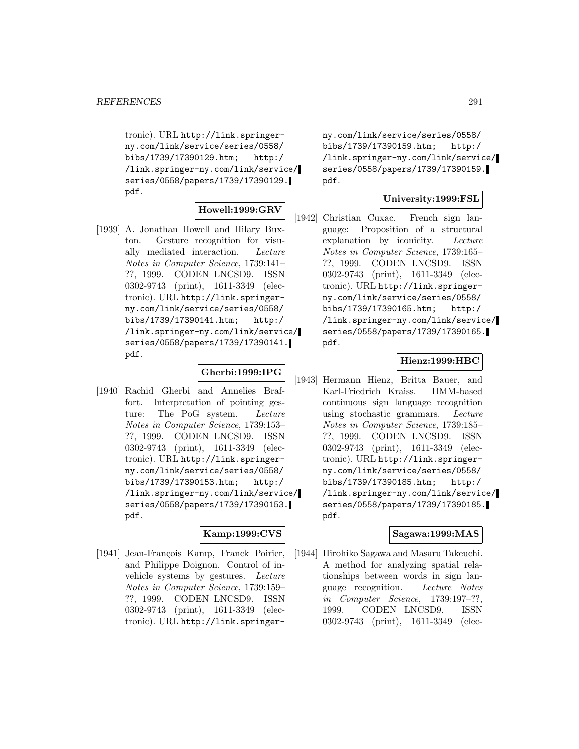tronic). URL http://link.springerny.com/link/service/series/0558/ bibs/1739/17390129.htm; http:/ /link.springer-ny.com/link/service/ series/0558/papers/1739/17390129. pdf.

## **Howell:1999:GRV**

[1939] A. Jonathan Howell and Hilary Buxton. Gesture recognition for visually mediated interaction. Lecture Notes in Computer Science, 1739:141– ??, 1999. CODEN LNCSD9. ISSN 0302-9743 (print), 1611-3349 (electronic). URL http://link.springerny.com/link/service/series/0558/ bibs/1739/17390141.htm; http:/ /link.springer-ny.com/link/service/ series/0558/papers/1739/17390141. pdf.

## **Gherbi:1999:IPG**

[1940] Rachid Gherbi and Annelies Braffort. Interpretation of pointing gesture: The PoG system. Lecture Notes in Computer Science, 1739:153– ??, 1999. CODEN LNCSD9. ISSN 0302-9743 (print), 1611-3349 (electronic). URL http://link.springerny.com/link/service/series/0558/ bibs/1739/17390153.htm; http:/ /link.springer-ny.com/link/service/ series/0558/papers/1739/17390153. pdf.

## **Kamp:1999:CVS**

[1941] Jean-François Kamp, Franck Poirier, and Philippe Doignon. Control of invehicle systems by gestures. Lecture Notes in Computer Science, 1739:159– ??, 1999. CODEN LNCSD9. ISSN 0302-9743 (print), 1611-3349 (electronic). URL http://link.springerny.com/link/service/series/0558/ bibs/1739/17390159.htm; http:/ /link.springer-ny.com/link/service/ series/0558/papers/1739/17390159. pdf.

#### **University:1999:FSL**

[1942] Christian Cuxac. French sign language: Proposition of a structural explanation by iconicity. Lecture Notes in Computer Science, 1739:165– ??, 1999. CODEN LNCSD9. ISSN 0302-9743 (print), 1611-3349 (electronic). URL http://link.springerny.com/link/service/series/0558/ bibs/1739/17390165.htm; http:/ /link.springer-ny.com/link/service/ series/0558/papers/1739/17390165. pdf.

## **Hienz:1999:HBC**

[1943] Hermann Hienz, Britta Bauer, and Karl-Friedrich Kraiss. HMM-based continuous sign language recognition using stochastic grammars. Lecture Notes in Computer Science, 1739:185– ??, 1999. CODEN LNCSD9. ISSN 0302-9743 (print), 1611-3349 (electronic). URL http://link.springerny.com/link/service/series/0558/ bibs/1739/17390185.htm; http:/ /link.springer-ny.com/link/service/ series/0558/papers/1739/17390185. pdf.

#### **Sagawa:1999:MAS**

[1944] Hirohiko Sagawa and Masaru Takeuchi. A method for analyzing spatial relationships between words in sign language recognition. Lecture Notes in Computer Science, 1739:197–??, 1999. CODEN LNCSD9. ISSN 0302-9743 (print), 1611-3349 (elec-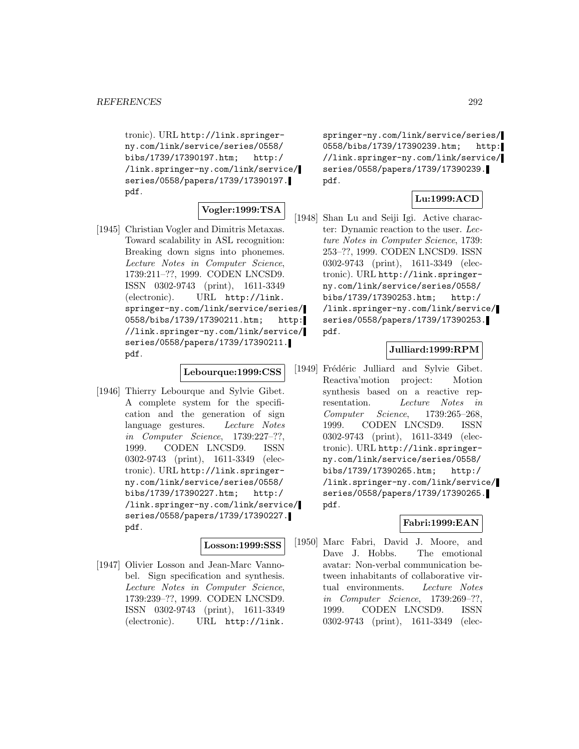tronic). URL http://link.springerny.com/link/service/series/0558/ bibs/1739/17390197.htm; http:/ /link.springer-ny.com/link/service/ series/0558/papers/1739/17390197. pdf.

## **Vogler:1999:TSA**

[1945] Christian Vogler and Dimitris Metaxas. Toward scalability in ASL recognition: Breaking down signs into phonemes. Lecture Notes in Computer Science, 1739:211–??, 1999. CODEN LNCSD9. ISSN 0302-9743 (print), 1611-3349 (electronic). URL http://link. springer-ny.com/link/service/series/ 0558/bibs/1739/17390211.htm; http: //link.springer-ny.com/link/service/ series/0558/papers/1739/17390211. pdf.

#### **Lebourque:1999:CSS**

[1946] Thierry Lebourque and Sylvie Gibet. A complete system for the specification and the generation of sign language gestures. Lecture Notes in Computer Science, 1739:227–??, 1999. CODEN LNCSD9. ISSN 0302-9743 (print), 1611-3349 (electronic). URL http://link.springerny.com/link/service/series/0558/ bibs/1739/17390227.htm; http:/ /link.springer-ny.com/link/service/ series/0558/papers/1739/17390227. pdf.

# **Losson:1999:SSS**

[1947] Olivier Losson and Jean-Marc Vannobel. Sign specification and synthesis. Lecture Notes in Computer Science, 1739:239–??, 1999. CODEN LNCSD9. ISSN 0302-9743 (print), 1611-3349 (electronic). URL http://link.

springer-ny.com/link/service/series/ 0558/bibs/1739/17390239.htm; http: //link.springer-ny.com/link/service/ series/0558/papers/1739/17390239. pdf.

## **Lu:1999:ACD**

[1948] Shan Lu and Seiji Igi. Active character: Dynamic reaction to the user. Lecture Notes in Computer Science, 1739: 253–??, 1999. CODEN LNCSD9. ISSN 0302-9743 (print), 1611-3349 (electronic). URL http://link.springerny.com/link/service/series/0558/ bibs/1739/17390253.htm; http:/ /link.springer-ny.com/link/service/ series/0558/papers/1739/17390253. pdf.

## **Julliard:1999:RPM**

[1949] Frédéric Julliard and Sylvie Gibet. Reactiva'motion project: Motion synthesis based on a reactive representation. Lecture Notes in Computer Science, 1739:265–268, 1999. CODEN LNCSD9. ISSN 0302-9743 (print), 1611-3349 (electronic). URL http://link.springerny.com/link/service/series/0558/ bibs/1739/17390265.htm; http:/ /link.springer-ny.com/link/service/ series/0558/papers/1739/17390265. pdf.

#### **Fabri:1999:EAN**

[1950] Marc Fabri, David J. Moore, and Dave J. Hobbs. The emotional avatar: Non-verbal communication between inhabitants of collaborative virtual environments. Lecture Notes in Computer Science, 1739:269–??, 1999. CODEN LNCSD9. ISSN 0302-9743 (print), 1611-3349 (elec-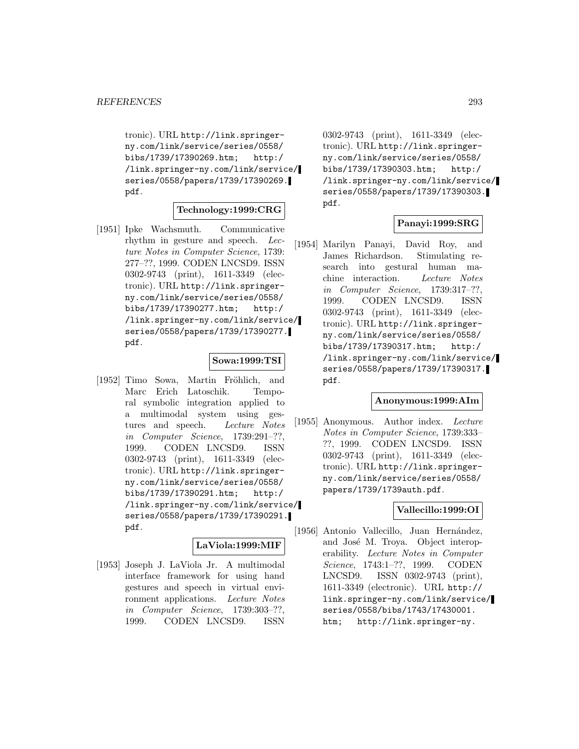tronic). URL http://link.springerny.com/link/service/series/0558/ bibs/1739/17390269.htm; http:/ /link.springer-ny.com/link/service/ series/0558/papers/1739/17390269. pdf.

#### **Technology:1999:CRG**

[1951] Ipke Wachsmuth. Communicative rhythm in gesture and speech. Lecture Notes in Computer Science, 1739: 277–??, 1999. CODEN LNCSD9. ISSN 0302-9743 (print), 1611-3349 (electronic). URL http://link.springerny.com/link/service/series/0558/ bibs/1739/17390277.htm; http:/ /link.springer-ny.com/link/service/ series/0558/papers/1739/17390277. pdf.

#### **Sowa:1999:TSI**

[1952] Timo Sowa, Martin Fröhlich, and Marc Erich Latoschik. Temporal symbolic integration applied to a multimodal system using gestures and speech. Lecture Notes in Computer Science, 1739:291–??, 1999. CODEN LNCSD9. ISSN 0302-9743 (print), 1611-3349 (electronic). URL http://link.springerny.com/link/service/series/0558/ bibs/1739/17390291.htm; http:/ /link.springer-ny.com/link/service/ series/0558/papers/1739/17390291. pdf.

#### **LaViola:1999:MIF**

[1953] Joseph J. LaViola Jr. A multimodal interface framework for using hand gestures and speech in virtual environment applications. Lecture Notes in Computer Science, 1739:303–??, 1999. CODEN LNCSD9. ISSN

0302-9743 (print), 1611-3349 (electronic). URL http://link.springerny.com/link/service/series/0558/ bibs/1739/17390303.htm; http:/ /link.springer-ny.com/link/service/ series/0558/papers/1739/17390303. pdf.

## **Panayi:1999:SRG**

[1954] Marilyn Panayi, David Roy, and James Richardson. Stimulating research into gestural human machine interaction. Lecture Notes in Computer Science, 1739:317–??, 1999. CODEN LNCSD9. ISSN 0302-9743 (print), 1611-3349 (electronic). URL http://link.springerny.com/link/service/series/0558/ bibs/1739/17390317.htm; http:/ /link.springer-ny.com/link/service/ series/0558/papers/1739/17390317. pdf.

#### **Anonymous:1999:AIm**

[1955] Anonymous. Author index. Lecture Notes in Computer Science, 1739:333– ??, 1999. CODEN LNCSD9. ISSN 0302-9743 (print), 1611-3349 (electronic). URL http://link.springerny.com/link/service/series/0558/ papers/1739/1739auth.pdf.

#### **Vallecillo:1999:OI**

[1956] Antonio Vallecillo, Juan Hernández, and José M. Troya. Object interoperability. Lecture Notes in Computer Science, 1743:1–??, 1999. CODEN LNCSD9. ISSN 0302-9743 (print), 1611-3349 (electronic). URL http:// link.springer-ny.com/link/service/ series/0558/bibs/1743/17430001. htm; http://link.springer-ny.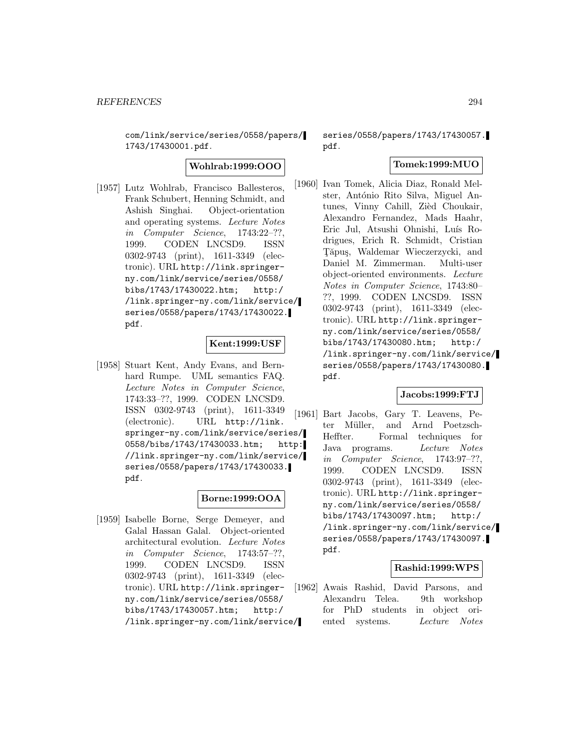com/link/service/series/0558/papers/ 1743/17430001.pdf.

**Wohlrab:1999:OOO**

[1957] Lutz Wohlrab, Francisco Ballesteros, Frank Schubert, Henning Schmidt, and Ashish Singhai. Object-orientation and operating systems. Lecture Notes in Computer Science, 1743:22–??, 1999. CODEN LNCSD9. ISSN 0302-9743 (print), 1611-3349 (electronic). URL http://link.springerny.com/link/service/series/0558/ bibs/1743/17430022.htm; http:/ /link.springer-ny.com/link/service/ series/0558/papers/1743/17430022. pdf.

## **Kent:1999:USF**

[1958] Stuart Kent, Andy Evans, and Bernhard Rumpe. UML semantics FAQ. Lecture Notes in Computer Science, 1743:33–??, 1999. CODEN LNCSD9. ISSN 0302-9743 (print), 1611-3349 (electronic). URL http://link. springer-ny.com/link/service/series/ 0558/bibs/1743/17430033.htm; http: //link.springer-ny.com/link/service/ series/0558/papers/1743/17430033. pdf.

# **Borne:1999:OOA**

[1959] Isabelle Borne, Serge Demeyer, and Galal Hassan Galal. Object-oriented architectural evolution. Lecture Notes in Computer Science, 1743:57–??, 1999. CODEN LNCSD9. ISSN 0302-9743 (print), 1611-3349 (electronic). URL http://link.springerny.com/link/service/series/0558/ bibs/1743/17430057.htm; http:/ /link.springer-ny.com/link/service/

series/0558/papers/1743/17430057. pdf.

# **Tomek:1999:MUO**

[1960] Ivan Tomek, Alicia Diaz, Ronald Melster, António Rito Silva, Miguel Antunes, Vinny Cahill, Zièd Choukair, Alexandro Fernandez, Mads Haahr, Eric Jul, Atsushi Ohnishi, Luís Rodrigues, Erich R. Schmidt, Cristian Tăpus, Waldemar Wieczerzycki, and Daniel M. Zimmerman. Multi-user object-oriented environments. Lecture Notes in Computer Science, 1743:80– ??, 1999. CODEN LNCSD9. ISSN 0302-9743 (print), 1611-3349 (electronic). URL http://link.springerny.com/link/service/series/0558/ bibs/1743/17430080.htm; http:/ /link.springer-ny.com/link/service/ series/0558/papers/1743/17430080. pdf.

# **Jacobs:1999:FTJ**

[1961] Bart Jacobs, Gary T. Leavens, Peter Müller, and Arnd Poetzsch-Heffter. Formal techniques for Java programs. Lecture Notes in Computer Science, 1743:97–??, 1999. CODEN LNCSD9. ISSN 0302-9743 (print), 1611-3349 (electronic). URL http://link.springerny.com/link/service/series/0558/ bibs/1743/17430097.htm; http:/ /link.springer-ny.com/link/service/ series/0558/papers/1743/17430097. pdf.

## **Rashid:1999:WPS**

[1962] Awais Rashid, David Parsons, and Alexandru Telea. 9th workshop for PhD students in object oriented systems. Lecture Notes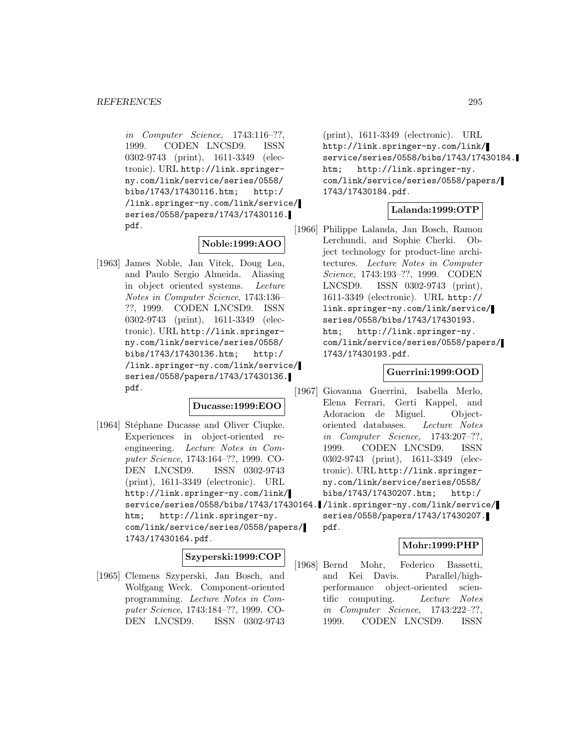in Computer Science, 1743:116–??, 1999. CODEN LNCSD9. ISSN 0302-9743 (print), 1611-3349 (electronic). URL http://link.springerny.com/link/service/series/0558/ bibs/1743/17430116.htm; http:/ /link.springer-ny.com/link/service/ series/0558/papers/1743/17430116. pdf.

# **Noble:1999:AOO**

[1963] James Noble, Jan Vitek, Doug Lea, and Paulo Sergio Almeida. Aliasing in object oriented systems. Lecture Notes in Computer Science, 1743:136– ??, 1999. CODEN LNCSD9. ISSN 0302-9743 (print), 1611-3349 (electronic). URL http://link.springerny.com/link/service/series/0558/ bibs/1743/17430136.htm; http:/ /link.springer-ny.com/link/service/ series/0558/papers/1743/17430136. pdf.

## **Ducasse:1999:EOO**

[1964] Stéphane Ducasse and Oliver Ciupke. Experiences in object-oriented reengineering. Lecture Notes in Computer Science, 1743:164–??, 1999. CO-DEN LNCSD9. ISSN 0302-9743 (print), 1611-3349 (electronic). URL http://link.springer-ny.com/link/ service/series/0558/bibs/1743/17430164. /link.springer-ny.com/link/service/ htm; http://link.springer-ny. com/link/service/series/0558/papers/ 1743/17430164.pdf.

# **Szyperski:1999:COP**

[1965] Clemens Szyperski, Jan Bosch, and Wolfgang Weck. Component-oriented programming. Lecture Notes in Computer Science, 1743:184–??, 1999. CO-DEN LNCSD9. ISSN 0302-9743

(print), 1611-3349 (electronic). URL http://link.springer-ny.com/link/ service/series/0558/bibs/1743/17430184. htm; http://link.springer-ny. com/link/service/series/0558/papers/ 1743/17430184.pdf.

## **Lalanda:1999:OTP**

[1966] Philippe Lalanda, Jan Bosch, Ramon Lerchundi, and Sophie Cherki. Object technology for product-line architectures. Lecture Notes in Computer Science, 1743:193–??, 1999. CODEN LNCSD9. ISSN 0302-9743 (print), 1611-3349 (electronic). URL http:// link.springer-ny.com/link/service/ series/0558/bibs/1743/17430193. htm; http://link.springer-ny. com/link/service/series/0558/papers/ 1743/17430193.pdf.

## **Guerrini:1999:OOD**

- [1967] Giovanna Guerrini, Isabella Merlo, Elena Ferrari, Gerti Kappel, and Adoracion de Miguel. Objectoriented databases. Lecture Notes in Computer Science, 1743:207–??, 1999. CODEN LNCSD9. ISSN 0302-9743 (print), 1611-3349 (electronic). URL http://link.springerny.com/link/service/series/0558/ bibs/1743/17430207.htm; http:/
	- series/0558/papers/1743/17430207. pdf.

## **Mohr:1999:PHP**

[1968] Bernd Mohr, Federico Bassetti, and Kei Davis. Parallel/highperformance object-oriented scientific computing. Lecture Notes in Computer Science, 1743:222–??, 1999. CODEN LNCSD9. ISSN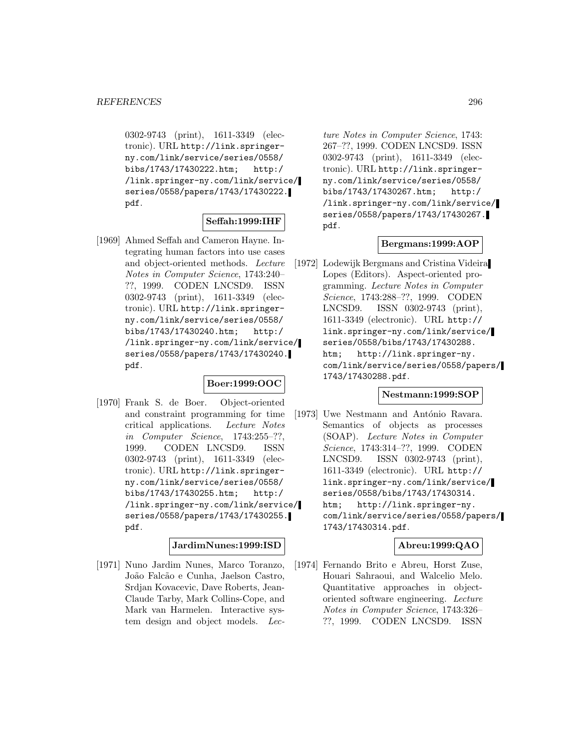0302-9743 (print), 1611-3349 (electronic). URL http://link.springerny.com/link/service/series/0558/ bibs/1743/17430222.htm; http:/ /link.springer-ny.com/link/service/ series/0558/papers/1743/17430222. pdf.

## **Seffah:1999:IHF**

[1969] Ahmed Seffah and Cameron Hayne. Integrating human factors into use cases and object-oriented methods. Lecture Notes in Computer Science, 1743:240– ??, 1999. CODEN LNCSD9. ISSN 0302-9743 (print), 1611-3349 (electronic). URL http://link.springerny.com/link/service/series/0558/ bibs/1743/17430240.htm; http:/ /link.springer-ny.com/link/service/ series/0558/papers/1743/17430240. pdf.

## **Boer:1999:OOC**

[1970] Frank S. de Boer. Object-oriented and constraint programming for time critical applications. Lecture Notes in Computer Science, 1743:255–??, 1999. CODEN LNCSD9. ISSN 0302-9743 (print), 1611-3349 (electronic). URL http://link.springerny.com/link/service/series/0558/ bibs/1743/17430255.htm; http:/ /link.springer-ny.com/link/service/ series/0558/papers/1743/17430255. pdf.

## **JardimNunes:1999:ISD**

[1971] Nuno Jardim Nunes, Marco Toranzo, João Falcão e Cunha, Jaelson Castro, Srdjan Kovacevic, Dave Roberts, Jean-Claude Tarby, Mark Collins-Cope, and Mark van Harmelen. Interactive system design and object models. Lec-

ture Notes in Computer Science, 1743: 267–??, 1999. CODEN LNCSD9. ISSN 0302-9743 (print), 1611-3349 (electronic). URL http://link.springerny.com/link/service/series/0558/ bibs/1743/17430267.htm; http:/ /link.springer-ny.com/link/service/ series/0558/papers/1743/17430267. pdf.

## **Bergmans:1999:AOP**

[1972] Lodewijk Bergmans and Cristina Videira Lopes (Editors). Aspect-oriented programming. Lecture Notes in Computer Science, 1743:288–??, 1999. CODEN LNCSD9. ISSN 0302-9743 (print), 1611-3349 (electronic). URL http:// link.springer-ny.com/link/service/ series/0558/bibs/1743/17430288. htm; http://link.springer-ny. com/link/service/series/0558/papers/ 1743/17430288.pdf.

#### **Nestmann:1999:SOP**

[1973] Uwe Nestmann and António Ravara. Semantics of objects as processes (SOAP). Lecture Notes in Computer Science, 1743:314–??, 1999. CODEN LNCSD9. ISSN 0302-9743 (print), 1611-3349 (electronic). URL http:// link.springer-ny.com/link/service/ series/0558/bibs/1743/17430314. htm; http://link.springer-ny. com/link/service/series/0558/papers/ 1743/17430314.pdf.

# **Abreu:1999:QAO**

[1974] Fernando Brito e Abreu, Horst Zuse, Houari Sahraoui, and Walcelio Melo. Quantitative approaches in objectoriented software engineering. Lecture Notes in Computer Science, 1743:326– ??, 1999. CODEN LNCSD9. ISSN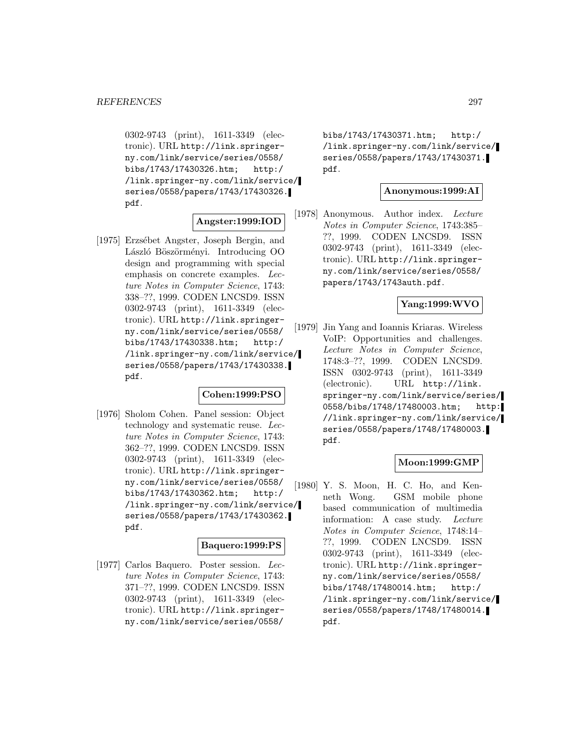0302-9743 (print), 1611-3349 (electronic). URL http://link.springerny.com/link/service/series/0558/ bibs/1743/17430326.htm; http:/ /link.springer-ny.com/link/service/ series/0558/papers/1743/17430326. pdf.

## **Angster:1999:IOD**

[1975] Erzsébet Angster, Joseph Bergin, and László Böszörményi. Introducing OO design and programming with special emphasis on concrete examples. Lecture Notes in Computer Science, 1743: 338–??, 1999. CODEN LNCSD9. ISSN 0302-9743 (print), 1611-3349 (electronic). URL http://link.springerny.com/link/service/series/0558/ bibs/1743/17430338.htm; http:/ /link.springer-ny.com/link/service/ series/0558/papers/1743/17430338. pdf.

## **Cohen:1999:PSO**

[1976] Sholom Cohen. Panel session: Object technology and systematic reuse. Lecture Notes in Computer Science, 1743: 362–??, 1999. CODEN LNCSD9. ISSN 0302-9743 (print), 1611-3349 (electronic). URL http://link.springerny.com/link/service/series/0558/ bibs/1743/17430362.htm; http:/ /link.springer-ny.com/link/service/ series/0558/papers/1743/17430362. pdf.

## **Baquero:1999:PS**

[1977] Carlos Baquero. Poster session. Lecture Notes in Computer Science, 1743: 371–??, 1999. CODEN LNCSD9. ISSN 0302-9743 (print), 1611-3349 (electronic). URL http://link.springerny.com/link/service/series/0558/

bibs/1743/17430371.htm; http:/ /link.springer-ny.com/link/service/ series/0558/papers/1743/17430371. pdf.

#### **Anonymous:1999:AI**

[1978] Anonymous. Author index. Lecture Notes in Computer Science, 1743:385– ??, 1999. CODEN LNCSD9. ISSN 0302-9743 (print), 1611-3349 (electronic). URL http://link.springerny.com/link/service/series/0558/ papers/1743/1743auth.pdf.

## **Yang:1999:WVO**

[1979] Jin Yang and Ioannis Kriaras. Wireless VoIP: Opportunities and challenges. Lecture Notes in Computer Science, 1748:3–??, 1999. CODEN LNCSD9. ISSN 0302-9743 (print), 1611-3349 (electronic). URL http://link. springer-ny.com/link/service/series/ 0558/bibs/1748/17480003.htm; http: //link.springer-ny.com/link/service/ series/0558/papers/1748/17480003. pdf.

## **Moon:1999:GMP**

[1980] Y. S. Moon, H. C. Ho, and Kenneth Wong. GSM mobile phone based communication of multimedia information: A case study. Lecture Notes in Computer Science, 1748:14– ??, 1999. CODEN LNCSD9. ISSN 0302-9743 (print), 1611-3349 (electronic). URL http://link.springerny.com/link/service/series/0558/ bibs/1748/17480014.htm; http:/ /link.springer-ny.com/link/service/ series/0558/papers/1748/17480014. pdf.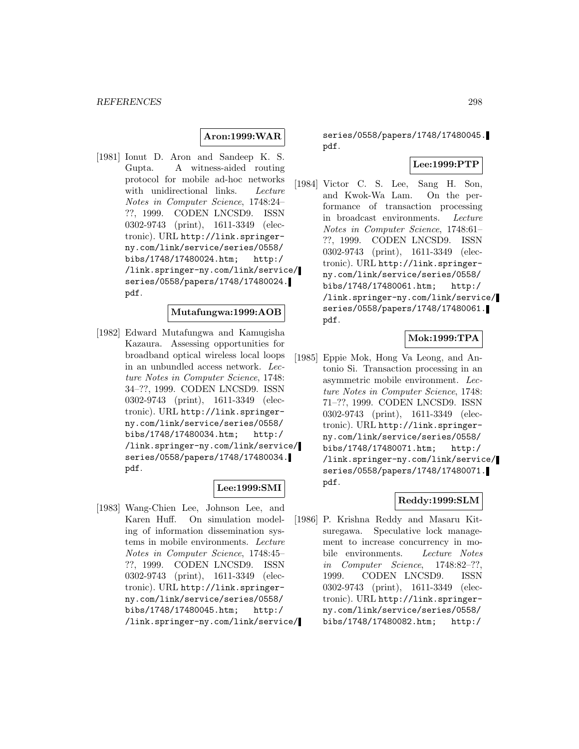## **Aron:1999:WAR**

[1981] Ionut D. Aron and Sandeep K. S. Gupta. A witness-aided routing protocol for mobile ad-hoc networks with unidirectional links. Lecture Notes in Computer Science, 1748:24– ??, 1999. CODEN LNCSD9. ISSN 0302-9743 (print), 1611-3349 (electronic). URL http://link.springerny.com/link/service/series/0558/ bibs/1748/17480024.htm; http:/ /link.springer-ny.com/link/service/ series/0558/papers/1748/17480024. pdf.

## **Mutafungwa:1999:AOB**

[1982] Edward Mutafungwa and Kamugisha Kazaura. Assessing opportunities for broadband optical wireless local loops in an unbundled access network. Lecture Notes in Computer Science, 1748: 34–??, 1999. CODEN LNCSD9. ISSN 0302-9743 (print), 1611-3349 (electronic). URL http://link.springerny.com/link/service/series/0558/ bibs/1748/17480034.htm; http:/ /link.springer-ny.com/link/service/ series/0558/papers/1748/17480034. pdf.

## **Lee:1999:SMI**

[1983] Wang-Chien Lee, Johnson Lee, and Karen Huff. On simulation modeling of information dissemination systems in mobile environments. Lecture Notes in Computer Science, 1748:45– ??, 1999. CODEN LNCSD9. ISSN 0302-9743 (print), 1611-3349 (electronic). URL http://link.springerny.com/link/service/series/0558/ bibs/1748/17480045.htm; http:/ /link.springer-ny.com/link/service/

series/0558/papers/1748/17480045. pdf.

#### **Lee:1999:PTP**

[1984] Victor C. S. Lee, Sang H. Son, and Kwok-Wa Lam. On the performance of transaction processing in broadcast environments. Lecture Notes in Computer Science, 1748:61– ??, 1999. CODEN LNCSD9. ISSN 0302-9743 (print), 1611-3349 (electronic). URL http://link.springerny.com/link/service/series/0558/ bibs/1748/17480061.htm; http:/ /link.springer-ny.com/link/service/ series/0558/papers/1748/17480061. pdf.

## **Mok:1999:TPA**

[1985] Eppie Mok, Hong Va Leong, and Antonio Si. Transaction processing in an asymmetric mobile environment. Lecture Notes in Computer Science, 1748: 71–??, 1999. CODEN LNCSD9. ISSN 0302-9743 (print), 1611-3349 (electronic). URL http://link.springerny.com/link/service/series/0558/ bibs/1748/17480071.htm; http:/ /link.springer-ny.com/link/service/ series/0558/papers/1748/17480071. pdf.

# **Reddy:1999:SLM**

[1986] P. Krishna Reddy and Masaru Kitsuregawa. Speculative lock management to increase concurrency in mobile environments. Lecture Notes in Computer Science, 1748:82–??, 1999. CODEN LNCSD9. ISSN 0302-9743 (print), 1611-3349 (electronic). URL http://link.springerny.com/link/service/series/0558/ bibs/1748/17480082.htm; http:/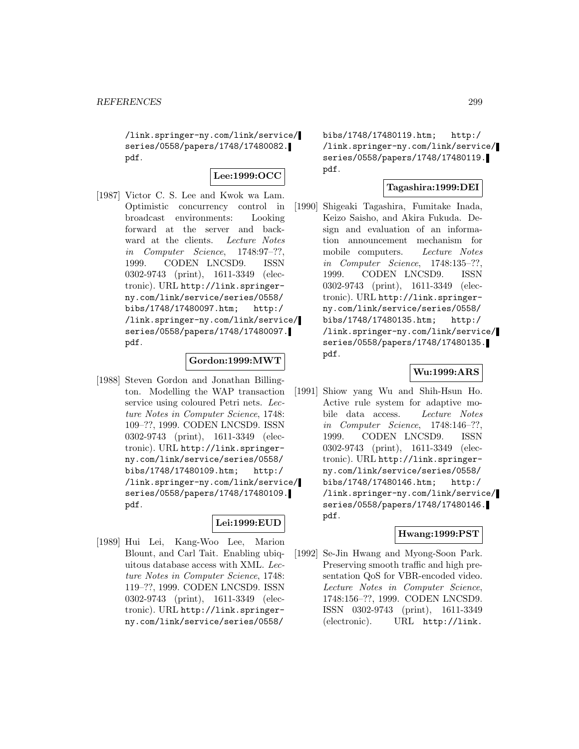/link.springer-ny.com/link/service/ series/0558/papers/1748/17480082. pdf.

## **Lee:1999:OCC**

[1987] Victor C. S. Lee and Kwok wa Lam. Optimistic concurrency control in broadcast environments: Looking forward at the server and backward at the clients. Lecture Notes in Computer Science, 1748:97–??, 1999. CODEN LNCSD9. ISSN 0302-9743 (print), 1611-3349 (electronic). URL http://link.springerny.com/link/service/series/0558/ bibs/1748/17480097.htm; http:/ /link.springer-ny.com/link/service/ series/0558/papers/1748/17480097. pdf.

## **Gordon:1999:MWT**

[1988] Steven Gordon and Jonathan Billington. Modelling the WAP transaction service using coloured Petri nets. Lecture Notes in Computer Science, 1748: 109–??, 1999. CODEN LNCSD9. ISSN 0302-9743 (print), 1611-3349 (electronic). URL http://link.springerny.com/link/service/series/0558/ bibs/1748/17480109.htm; http:/ /link.springer-ny.com/link/service/ series/0558/papers/1748/17480109. pdf.

# **Lei:1999:EUD**

[1989] Hui Lei, Kang-Woo Lee, Marion Blount, and Carl Tait. Enabling ubiquitous database access with XML. Lecture Notes in Computer Science, 1748: 119–??, 1999. CODEN LNCSD9. ISSN 0302-9743 (print), 1611-3349 (electronic). URL http://link.springerny.com/link/service/series/0558/

bibs/1748/17480119.htm; http:/ /link.springer-ny.com/link/service/ series/0558/papers/1748/17480119. pdf.

# **Tagashira:1999:DEI**

[1990] Shigeaki Tagashira, Fumitake Inada, Keizo Saisho, and Akira Fukuda. Design and evaluation of an information announcement mechanism for mobile computers. Lecture Notes in Computer Science, 1748:135–??, 1999. CODEN LNCSD9. ISSN 0302-9743 (print), 1611-3349 (electronic). URL http://link.springerny.com/link/service/series/0558/ bibs/1748/17480135.htm; http:/ /link.springer-ny.com/link/service/ series/0558/papers/1748/17480135. pdf.

# **Wu:1999:ARS**

[1991] Shiow yang Wu and Shih-Hsun Ho. Active rule system for adaptive mobile data access. Lecture Notes in Computer Science, 1748:146–??, 1999. CODEN LNCSD9. ISSN 0302-9743 (print), 1611-3349 (electronic). URL http://link.springerny.com/link/service/series/0558/ bibs/1748/17480146.htm; http:/ /link.springer-ny.com/link/service/ series/0558/papers/1748/17480146. pdf.

## **Hwang:1999:PST**

[1992] Se-Jin Hwang and Myong-Soon Park. Preserving smooth traffic and high presentation QoS for VBR-encoded video. Lecture Notes in Computer Science, 1748:156–??, 1999. CODEN LNCSD9. ISSN 0302-9743 (print), 1611-3349 (electronic). URL http://link.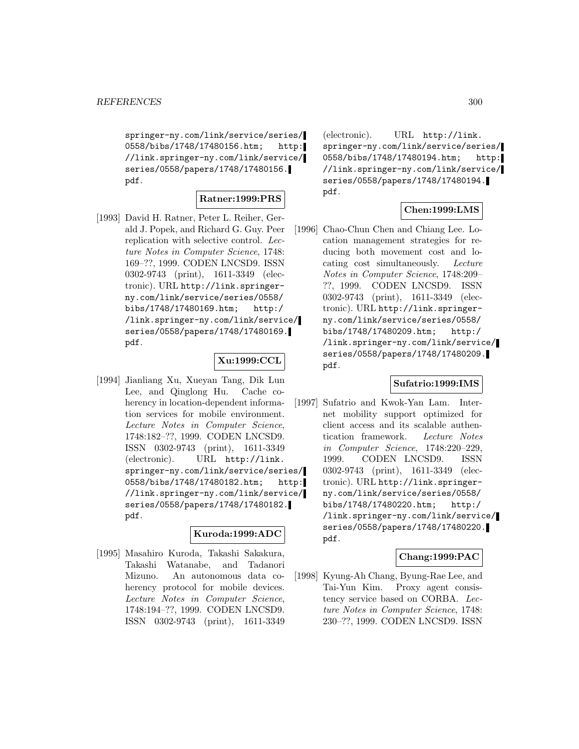springer-ny.com/link/service/series/ 0558/bibs/1748/17480156.htm; http: //link.springer-ny.com/link/service/ series/0558/papers/1748/17480156. pdf.

## **Ratner:1999:PRS**

[1993] David H. Ratner, Peter L. Reiher, Gerald J. Popek, and Richard G. Guy. Peer replication with selective control. Lecture Notes in Computer Science, 1748: 169–??, 1999. CODEN LNCSD9. ISSN 0302-9743 (print), 1611-3349 (electronic). URL http://link.springerny.com/link/service/series/0558/ bibs/1748/17480169.htm; http:/ /link.springer-ny.com/link/service/ series/0558/papers/1748/17480169. pdf.

# **Xu:1999:CCL**

[1994] Jianliang Xu, Xueyan Tang, Dik Lun Lee, and Qinglong Hu. Cache coherency in location-dependent information services for mobile environment. Lecture Notes in Computer Science, 1748:182–??, 1999. CODEN LNCSD9. ISSN 0302-9743 (print), 1611-3349 (electronic). URL http://link. springer-ny.com/link/service/series/ 0558/bibs/1748/17480182.htm; http: //link.springer-ny.com/link/service/ series/0558/papers/1748/17480182. pdf.

#### **Kuroda:1999:ADC**

[1995] Masahiro Kuroda, Takashi Sakakura, Takashi Watanabe, and Tadanori Mizuno. An autonomous data coherency protocol for mobile devices. Lecture Notes in Computer Science, 1748:194–??, 1999. CODEN LNCSD9. ISSN 0302-9743 (print), 1611-3349

(electronic). URL http://link. springer-ny.com/link/service/series/ 0558/bibs/1748/17480194.htm; http: //link.springer-ny.com/link/service/ series/0558/papers/1748/17480194. pdf.

## **Chen:1999:LMS**

[1996] Chao-Chun Chen and Chiang Lee. Location management strategies for reducing both movement cost and locating cost simultaneously. Lecture Notes in Computer Science, 1748:209– ??, 1999. CODEN LNCSD9. ISSN 0302-9743 (print), 1611-3349 (electronic). URL http://link.springerny.com/link/service/series/0558/ bibs/1748/17480209.htm; http:/ /link.springer-ny.com/link/service/ series/0558/papers/1748/17480209. pdf.

## **Sufatrio:1999:IMS**

[1997] Sufatrio and Kwok-Yan Lam. Internet mobility support optimized for client access and its scalable authentication framework. Lecture Notes in Computer Science, 1748:220–229, 1999. CODEN LNCSD9. ISSN 0302-9743 (print), 1611-3349 (electronic). URL http://link.springerny.com/link/service/series/0558/ bibs/1748/17480220.htm; http:/ /link.springer-ny.com/link/service/ series/0558/papers/1748/17480220. pdf.

## **Chang:1999:PAC**

[1998] Kyung-Ah Chang, Byung-Rae Lee, and Tai-Yun Kim. Proxy agent consistency service based on CORBA. Lecture Notes in Computer Science, 1748: 230–??, 1999. CODEN LNCSD9. ISSN